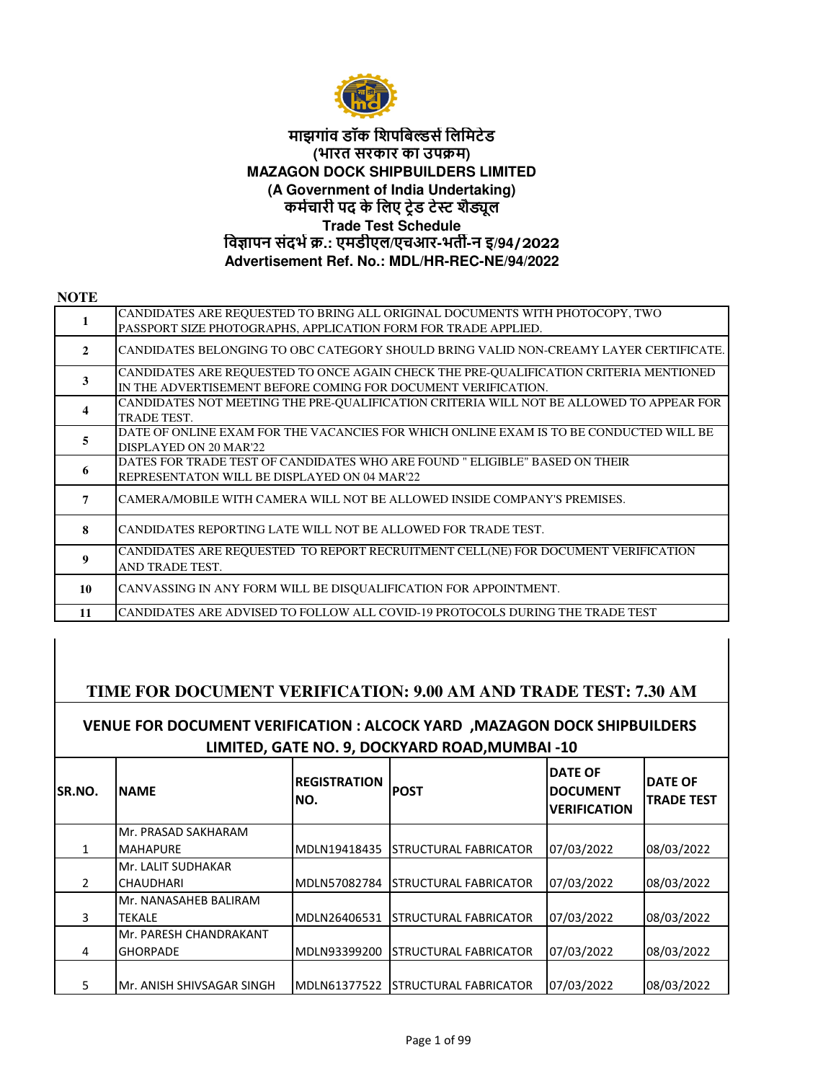

## **कमचारी पद के िलए टेड टे शैूल Trade Test Schedule िवापन संदभ.: एमडीएल/एचआर-भत -न इ/94/2022 Advertisement Ref. No.: MDL/HR-REC-NE/94/2022 माझगांव डॉक िशपिब&सिलिमटेड (भारत सरकार का उपम) MAZAGON DOCK SHIPBUILDERS LIMITED (A Government of India Undertaking)**

| <b>NOTE</b>             |                                                                                                                                                        |
|-------------------------|--------------------------------------------------------------------------------------------------------------------------------------------------------|
| 1                       | CANDIDATES ARE REQUESTED TO BRING ALL ORIGINAL DOCUMENTS WITH PHOTOCOPY, TWO<br>PASSPORT SIZE PHOTOGRAPHS, APPLICATION FORM FOR TRADE APPLIED.         |
| $\overline{2}$          | CANDIDATES BELONGING TO OBC CATEGORY SHOULD BRING VALID NON-CREAMY LAYER CERTIFICATE.                                                                  |
| 3                       | CANDIDATES ARE REQUESTED TO ONCE AGAIN CHECK THE PRE-QUALIFICATION CRITERIA MENTIONED<br>IN THE ADVERTISEMENT BEFORE COMING FOR DOCUMENT VERIFICATION. |
| $\overline{\mathbf{4}}$ | CANDIDATES NOT MEETING THE PRE-QUALIFICATION CRITERIA WILL NOT BE ALLOWED TO APPEAR FOR<br>TRADE TEST.                                                 |
| 5                       | DATE OF ONLINE EXAM FOR THE VACANCIES FOR WHICH ONLINE EXAM IS TO BE CONDUCTED WILL BE<br>DISPLAYED ON 20 MAR'22                                       |
| 6                       | DATES FOR TRADE TEST OF CANDIDATES WHO ARE FOUND " ELIGIBLE" BASED ON THEIR<br>REPRESENTATON WILL BE DISPLAYED ON 04 MAR'22                            |
| 7                       | CAMERA/MOBILE WITH CAMERA WILL NOT BE ALLOWED INSIDE COMPANY'S PREMISES.                                                                               |
| 8                       | CANDIDATES REPORTING LATE WILL NOT BE ALLOWED FOR TRADE TEST.                                                                                          |
| $\boldsymbol{9}$        | CANDIDATES ARE REQUESTED TO REPORT RECRUITMENT CELL(NE) FOR DOCUMENT VERIFICATION<br>AND TRADE TEST.                                                   |
| 10                      | CANVASSING IN ANY FORM WILL BE DISQUALIFICATION FOR APPOINTMENT.                                                                                       |
| 11                      | CANDIDATES ARE ADVISED TO FOLLOW ALL COVID-19 PROTOCOLS DURING THE TRADE TEST                                                                          |

## **TIME FOR DOCUMENT VERIFICATION: 9.00 AM AND TRADE TEST: 7.30 AM**

## **VENUE FOR DOCUMENT VERIFICATION : ALCOCK YARD ,MAZAGON DOCK SHIPBUILDERS LIMITED, GATE NO. 9, DOCKYARD ROAD,MUMBAI -10**

| <b>SR.NO.</b> | <b>INAME</b>               | <b>REGISTRATION</b><br>NO. | <b>POST</b>                  | <b>DATE OF</b><br><b>DOCUMENT</b><br><b>VERIFICATION</b> | <b>DATE OF</b><br><b>TRADE TEST</b> |
|---------------|----------------------------|----------------------------|------------------------------|----------------------------------------------------------|-------------------------------------|
|               | Mr. PRASAD SAKHARAM        |                            |                              |                                                          |                                     |
|               | <b>MAHAPURE</b>            | MDLN19418435               | <b>STRUCTURAL FABRICATOR</b> | 07/03/2022                                               | 08/03/2022                          |
|               | Mr. LALIT SUDHAKAR         |                            |                              |                                                          |                                     |
|               | <b>CHAUDHARI</b>           | MDLN57082784               | <b>STRUCTURAL FABRICATOR</b> | 07/03/2022                                               | 08/03/2022                          |
|               | Mr. NANASAHEB BALIRAM      |                            |                              |                                                          |                                     |
| 3             | <b>ITEKALE</b>             | MDLN26406531               | <b>STRUCTURAL FABRICATOR</b> | 07/03/2022                                               | 08/03/2022                          |
|               | Mr. PARESH CHANDRAKANT     |                            |                              |                                                          |                                     |
| 4             | <b>GHORPADE</b>            | MDLN93399200               | <b>STRUCTURAL FABRICATOR</b> | 07/03/2022                                               | 08/03/2022                          |
|               |                            |                            |                              |                                                          |                                     |
| 5             | IMr. ANISH SHIVSAGAR SINGH | MDLN61377522               | <b>STRUCTURAL FABRICATOR</b> | 07/03/2022                                               | 08/03/2022                          |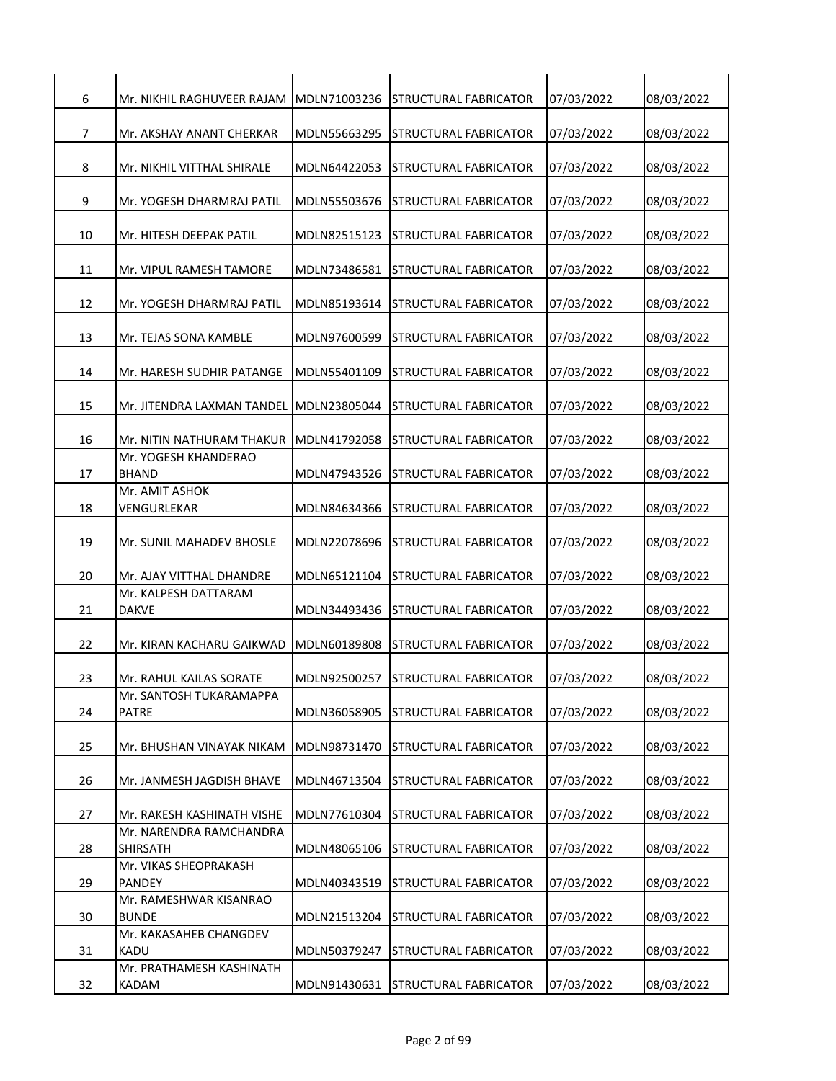| 6  | Mr. NIKHIL RAGHUVEER RAJAM                 | MDLN71003236 | STRUCTURAL FABRICATOR        | 07/03/2022 | 08/03/2022 |
|----|--------------------------------------------|--------------|------------------------------|------------|------------|
| 7  | Mr. AKSHAY ANANT CHERKAR                   | MDLN55663295 | STRUCTURAL FABRICATOR        | 07/03/2022 | 08/03/2022 |
|    |                                            |              |                              |            |            |
| 8  | Mr. NIKHIL VITTHAL SHIRALE                 | MDLN64422053 | STRUCTURAL FABRICATOR        | 07/03/2022 | 08/03/2022 |
| 9  | Mr. YOGESH DHARMRAJ PATIL                  | MDLN55503676 | STRUCTURAL FABRICATOR        | 07/03/2022 | 08/03/2022 |
| 10 | Mr. HITESH DEEPAK PATIL                    | MDLN82515123 | STRUCTURAL FABRICATOR        | 07/03/2022 | 08/03/2022 |
| 11 | Mr. VIPUL RAMESH TAMORE                    | MDLN73486581 | STRUCTURAL FABRICATOR        | 07/03/2022 | 08/03/2022 |
| 12 | Mr. YOGESH DHARMRAJ PATIL                  | MDLN85193614 | STRUCTURAL FABRICATOR        | 07/03/2022 | 08/03/2022 |
| 13 | Mr. TEJAS SONA KAMBLE                      | MDLN97600599 | STRUCTURAL FABRICATOR        | 07/03/2022 | 08/03/2022 |
| 14 | Mr. HARESH SUDHIR PATANGE                  | MDLN55401109 | STRUCTURAL FABRICATOR        | 07/03/2022 | 08/03/2022 |
| 15 | Mr. JITENDRA LAXMAN TANDEL                 | MDLN23805044 | STRUCTURAL FABRICATOR        | 07/03/2022 | 08/03/2022 |
| 16 | Mr. NITIN NATHURAM THAKUR                  | MDLN41792058 | <b>STRUCTURAL FABRICATOR</b> | 07/03/2022 | 08/03/2022 |
| 17 | Mr. YOGESH KHANDERAO<br><b>BHAND</b>       | MDLN47943526 | STRUCTURAL FABRICATOR        | 07/03/2022 | 08/03/2022 |
| 18 | Mr. AMIT ASHOK<br>VENGURLEKAR              | MDLN84634366 | STRUCTURAL FABRICATOR        | 07/03/2022 | 08/03/2022 |
| 19 | Mr. SUNIL MAHADEV BHOSLE                   | MDLN22078696 | STRUCTURAL FABRICATOR        | 07/03/2022 | 08/03/2022 |
| 20 | Mr. AJAY VITTHAL DHANDRE                   | MDLN65121104 | STRUCTURAL FABRICATOR        | 07/03/2022 | 08/03/2022 |
| 21 | Mr. KALPESH DATTARAM<br><b>DAKVE</b>       | MDLN34493436 | STRUCTURAL FABRICATOR        | 07/03/2022 | 08/03/2022 |
| 22 | Mr. KIRAN KACHARU GAIKWAD                  | MDLN60189808 | STRUCTURAL FABRICATOR        | 07/03/2022 | 08/03/2022 |
| 23 | Mr. RAHUL KAILAS SORATE                    | MDLN92500257 | <b>STRUCTURAL FABRICATOR</b> | 07/03/2022 | 08/03/2022 |
| 24 | Mr. SANTOSH TUKARAMAPPA<br><b>PATRE</b>    | MDLN36058905 | STRUCTURAL FABRICATOR        | 07/03/2022 | 08/03/2022 |
| 25 | Mr. BHUSHAN VINAYAK NIKAM                  | MDLN98731470 | STRUCTURAL FABRICATOR        | 07/03/2022 | 08/03/2022 |
| 26 | Mr. JANMESH JAGDISH BHAVE                  | MDLN46713504 | STRUCTURAL FABRICATOR        | 07/03/2022 | 08/03/2022 |
| 27 | Mr. RAKESH KASHINATH VISHE                 | MDLN77610304 | STRUCTURAL FABRICATOR        | 07/03/2022 | 08/03/2022 |
| 28 | Mr. NARENDRA RAMCHANDRA<br><b>SHIRSATH</b> | MDLN48065106 | STRUCTURAL FABRICATOR        | 07/03/2022 | 08/03/2022 |
|    | Mr. VIKAS SHEOPRAKASH                      |              |                              |            |            |
| 29 | <b>PANDEY</b><br>Mr. RAMESHWAR KISANRAO    | MDLN40343519 | STRUCTURAL FABRICATOR        | 07/03/2022 | 08/03/2022 |
| 30 | <b>BUNDE</b>                               | MDLN21513204 | STRUCTURAL FABRICATOR        | 07/03/2022 | 08/03/2022 |
| 31 | Mr. KAKASAHEB CHANGDEV<br><b>KADU</b>      | MDLN50379247 | STRUCTURAL FABRICATOR        | 07/03/2022 | 08/03/2022 |
| 32 | Mr. PRATHAMESH KASHINATH<br>KADAM          | MDLN91430631 | STRUCTURAL FABRICATOR        | 07/03/2022 | 08/03/2022 |
|    |                                            |              |                              |            |            |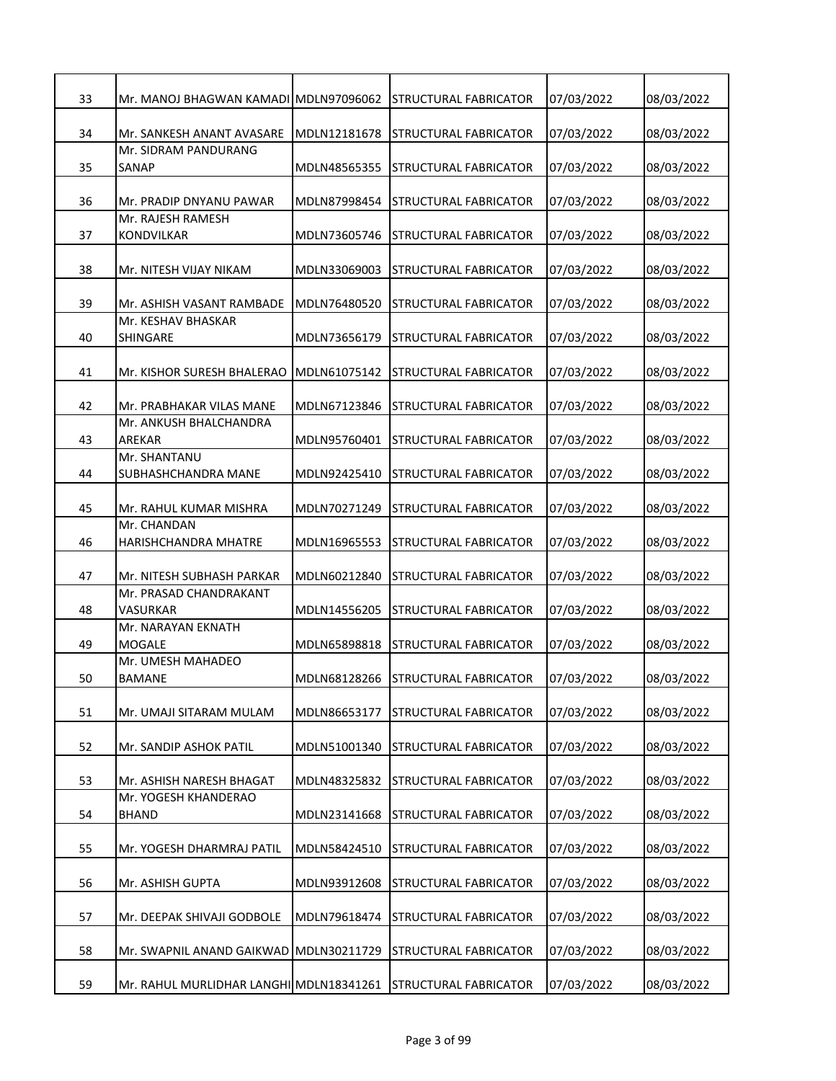| 33 | Mr. MANOJ BHAGWAN KAMADI MDLN97096062     |              | STRUCTURAL FABRICATOR        | 07/03/2022 | 08/03/2022 |
|----|-------------------------------------------|--------------|------------------------------|------------|------------|
| 34 | Mr. SANKESH ANANT AVASARE                 | MDLN12181678 | <b>STRUCTURAL FABRICATOR</b> | 07/03/2022 | 08/03/2022 |
| 35 | Mr. SIDRAM PANDURANG<br>SANAP             | MDLN48565355 | STRUCTURAL FABRICATOR        | 07/03/2022 | 08/03/2022 |
| 36 | Mr. PRADIP DNYANU PAWAR                   | MDLN87998454 | <b>STRUCTURAL FABRICATOR</b> | 07/03/2022 | 08/03/2022 |
| 37 | Mr. RAJESH RAMESH<br><b>KONDVILKAR</b>    | MDLN73605746 | STRUCTURAL FABRICATOR        | 07/03/2022 | 08/03/2022 |
| 38 | Mr. NITESH VIJAY NIKAM                    | MDLN33069003 | STRUCTURAL FABRICATOR        | 07/03/2022 | 08/03/2022 |
| 39 | Mr. ASHISH VASANT RAMBADE                 | MDLN76480520 | STRUCTURAL FABRICATOR        | 07/03/2022 | 08/03/2022 |
| 40 | Mr. KESHAV BHASKAR<br><b>SHINGARE</b>     | MDLN73656179 | STRUCTURAL FABRICATOR        | 07/03/2022 | 08/03/2022 |
| 41 | Mr. KISHOR SURESH BHALERAO                | MDLN61075142 | STRUCTURAL FABRICATOR        | 07/03/2022 | 08/03/2022 |
| 42 | Mr. PRABHAKAR VILAS MANE                  | MDLN67123846 | STRUCTURAL FABRICATOR        | 07/03/2022 | 08/03/2022 |
| 43 | Mr. ANKUSH BHALCHANDRA<br>AREKAR          | MDLN95760401 | STRUCTURAL FABRICATOR        | 07/03/2022 | 08/03/2022 |
| 44 | Mr. SHANTANU<br>SUBHASHCHANDRA MANE       | MDLN92425410 | STRUCTURAL FABRICATOR        | 07/03/2022 | 08/03/2022 |
| 45 | Mr. RAHUL KUMAR MISHRA                    | MDLN70271249 | STRUCTURAL FABRICATOR        | 07/03/2022 | 08/03/2022 |
| 46 | Mr. CHANDAN<br>HARISHCHANDRA MHATRE       | MDLN16965553 | STRUCTURAL FABRICATOR        | 07/03/2022 | 08/03/2022 |
| 47 | Mr. NITESH SUBHASH PARKAR                 | MDLN60212840 | STRUCTURAL FABRICATOR        | 07/03/2022 | 08/03/2022 |
| 48 | Mr. PRASAD CHANDRAKANT<br><b>VASURKAR</b> | MDLN14556205 | STRUCTURAL FABRICATOR        | 07/03/2022 | 08/03/2022 |
| 49 | Mr. NARAYAN EKNATH<br><b>MOGALE</b>       | MDLN65898818 | STRUCTURAL FABRICATOR        | 07/03/2022 | 08/03/2022 |
| 50 | Mr. UMESH MAHADEO<br><b>BAMANE</b>        | MDLN68128266 | <b>STRUCTURAL FABRICATOR</b> | 07/03/2022 | 08/03/2022 |
| 51 | Mr. UMAJI SITARAM MULAM                   | MDLN86653177 | STRUCTURAL FABRICATOR        | 07/03/2022 | 08/03/2022 |
| 52 | Mr. SANDIP ASHOK PATIL                    | MDLN51001340 | STRUCTURAL FABRICATOR        | 07/03/2022 | 08/03/2022 |
| 53 | Mr. ASHISH NARESH BHAGAT                  | MDLN48325832 | STRUCTURAL FABRICATOR        | 07/03/2022 | 08/03/2022 |
| 54 | Mr. YOGESH KHANDERAO<br><b>BHAND</b>      | MDLN23141668 | STRUCTURAL FABRICATOR        | 07/03/2022 | 08/03/2022 |
| 55 | Mr. YOGESH DHARMRAJ PATIL                 | MDLN58424510 | STRUCTURAL FABRICATOR        | 07/03/2022 | 08/03/2022 |
| 56 | Mr. ASHISH GUPTA                          | MDLN93912608 | STRUCTURAL FABRICATOR        | 07/03/2022 | 08/03/2022 |
| 57 | Mr. DEEPAK SHIVAJI GODBOLE                | MDLN79618474 | STRUCTURAL FABRICATOR        | 07/03/2022 | 08/03/2022 |
| 58 | Mr. SWAPNIL ANAND GAIKWAD                 | MDLN30211729 | STRUCTURAL FABRICATOR        | 07/03/2022 | 08/03/2022 |
| 59 | Mr. RAHUL MURLIDHAR LANGHI MDLN18341261   |              | STRUCTURAL FABRICATOR        | 07/03/2022 | 08/03/2022 |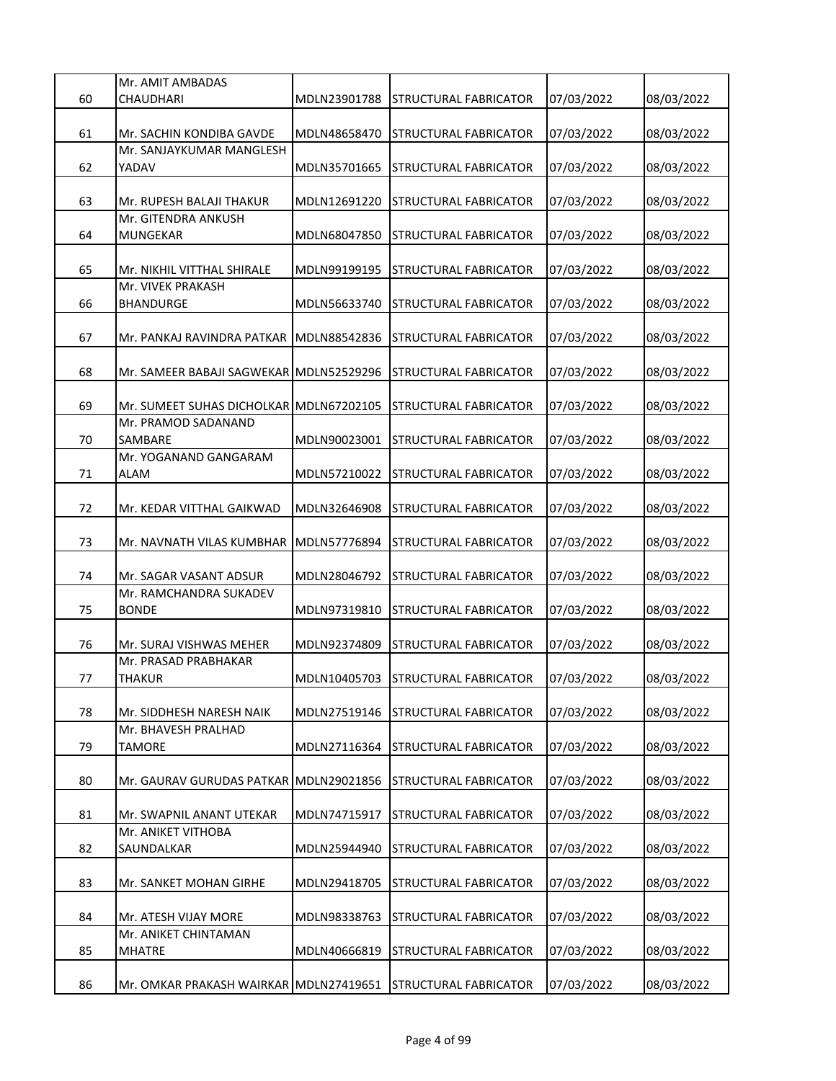|    | Mr. AMIT AMBADAS                         |              |                                    |            |            |
|----|------------------------------------------|--------------|------------------------------------|------------|------------|
| 60 | CHAUDHARI                                | MDLN23901788 | STRUCTURAL FABRICATOR              | 07/03/2022 | 08/03/2022 |
| 61 | Mr. SACHIN KONDIBA GAVDE                 | MDLN48658470 | STRUCTURAL FABRICATOR              | 07/03/2022 | 08/03/2022 |
| 62 | Mr. SANJAYKUMAR MANGLESH<br>YADAV        | MDLN35701665 | STRUCTURAL FABRICATOR              | 07/03/2022 | 08/03/2022 |
| 63 | Mr. RUPESH BALAJI THAKUR                 | MDLN12691220 | STRUCTURAL FABRICATOR              | 07/03/2022 | 08/03/2022 |
| 64 | Mr. GITENDRA ANKUSH<br><b>MUNGEKAR</b>   | MDLN68047850 | STRUCTURAL FABRICATOR              | 07/03/2022 | 08/03/2022 |
| 65 | Mr. NIKHIL VITTHAL SHIRALE               | MDLN99199195 | STRUCTURAL FABRICATOR              | 07/03/2022 | 08/03/2022 |
| 66 | Mr. VIVEK PRAKASH<br><b>BHANDURGE</b>    | MDLN56633740 | STRUCTURAL FABRICATOR              | 07/03/2022 | 08/03/2022 |
| 67 | Mr. PANKAJ RAVINDRA PATKAR               | MDLN88542836 | STRUCTURAL FABRICATOR              | 07/03/2022 | 08/03/2022 |
| 68 | Mr. SAMEER BABAJI SAGWEKAR MDLN52529296  |              | STRUCTURAL FABRICATOR              | 07/03/2022 | 08/03/2022 |
| 69 | Mr. SUMEET SUHAS DICHOLKAR İMDLN67202105 |              | STRUCTURAL FABRICATOR              | 07/03/2022 | 08/03/2022 |
| 70 | Mr. PRAMOD SADANAND<br>SAMBARE           | MDLN90023001 | STRUCTURAL FABRICATOR              | 07/03/2022 | 08/03/2022 |
| 71 | Mr. YOGANAND GANGARAM<br>ALAM            | MDLN57210022 | STRUCTURAL FABRICATOR              | 07/03/2022 | 08/03/2022 |
| 72 | Mr. KEDAR VITTHAL GAIKWAD                | MDLN32646908 | STRUCTURAL FABRICATOR              | 07/03/2022 | 08/03/2022 |
| 73 | Mr. NAVNATH VILAS KUMBHAR                | MDLN57776894 | STRUCTURAL FABRICATOR              | 07/03/2022 | 08/03/2022 |
| 74 | Mr. SAGAR VASANT ADSUR                   | MDLN28046792 | STRUCTURAL FABRICATOR              | 07/03/2022 | 08/03/2022 |
| 75 | Mr. RAMCHANDRA SUKADEV<br><b>BONDE</b>   | MDLN97319810 | STRUCTURAL FABRICATOR              | 07/03/2022 | 08/03/2022 |
| 76 | Mr. SURAJ VISHWAS MEHER                  | MDLN92374809 | STRUCTURAL FABRICATOR              | 07/03/2022 | 08/03/2022 |
| 77 | Mr. PRASAD PRABHAKAR<br><b>THAKUR</b>    |              | MDLN10405703 STRUCTURAL FABRICATOR | 07/03/2022 | 08/03/2022 |
| 78 | Mr. SIDDHESH NARESH NAIK                 | MDLN27519146 | STRUCTURAL FABRICATOR              | 07/03/2022 | 08/03/2022 |
| 79 | Mr. BHAVESH PRALHAD<br>TAMORE            | MDLN27116364 | STRUCTURAL FABRICATOR              | 07/03/2022 | 08/03/2022 |
| 80 | Mr. GAURAV GURUDAS PATKAR MDLN29021856   |              | STRUCTURAL FABRICATOR              | 07/03/2022 | 08/03/2022 |
| 81 | Mr. SWAPNIL ANANT UTEKAR                 | MDLN74715917 | STRUCTURAL FABRICATOR              | 07/03/2022 | 08/03/2022 |
| 82 | Mr. ANIKET VITHOBA<br>SAUNDALKAR         | MDLN25944940 | STRUCTURAL FABRICATOR              | 07/03/2022 | 08/03/2022 |
| 83 | Mr. SANKET MOHAN GIRHE                   | MDLN29418705 | STRUCTURAL FABRICATOR              | 07/03/2022 | 08/03/2022 |
| 84 | Mr. ATESH VIJAY MORE                     | MDLN98338763 | STRUCTURAL FABRICATOR              | 07/03/2022 | 08/03/2022 |
| 85 | Mr. ANIKET CHINTAMAN<br><b>MHATRE</b>    | MDLN40666819 | STRUCTURAL FABRICATOR              | 07/03/2022 | 08/03/2022 |
| 86 | Mr. OMKAR PRAKASH WAIRKAR MDLN27419651   |              | STRUCTURAL FABRICATOR              | 07/03/2022 | 08/03/2022 |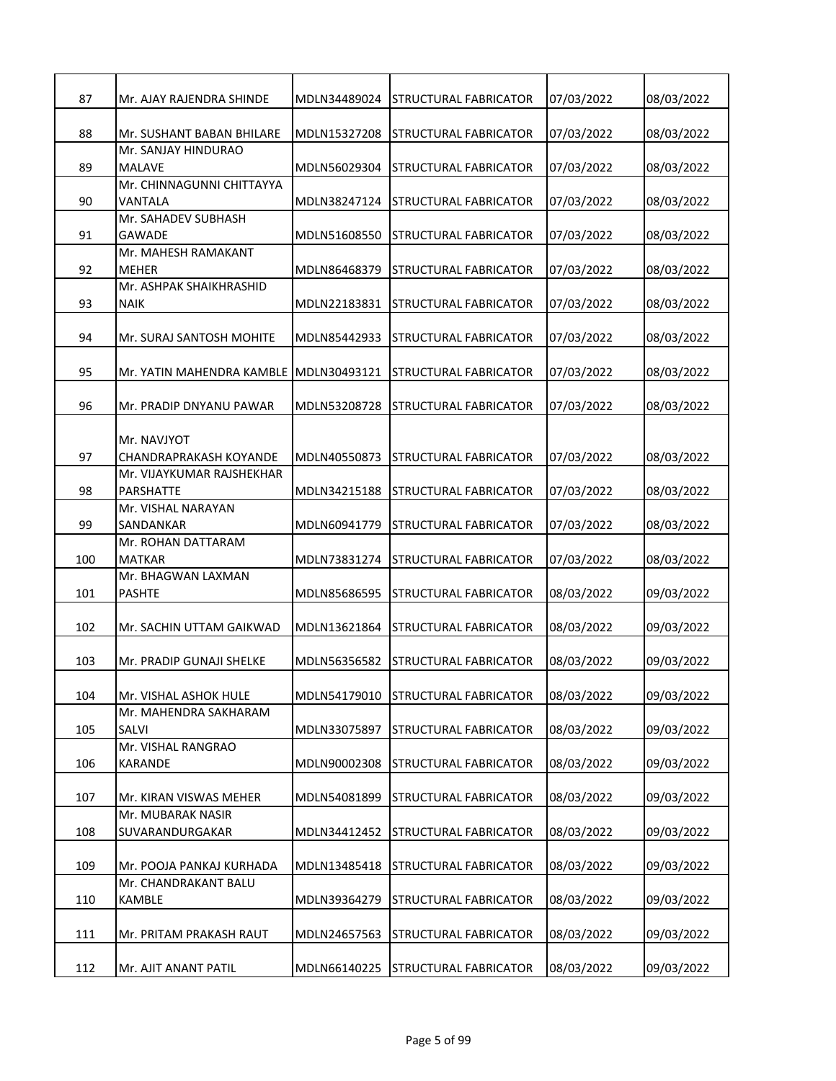| 87  | Mr. AJAY RAJENDRA SHINDE                            | MDLN34489024 | <b>STRUCTURAL FABRICATOR</b> | 07/03/2022 | 08/03/2022 |
|-----|-----------------------------------------------------|--------------|------------------------------|------------|------------|
| 88  | Mr. SUSHANT BABAN BHILARE                           | MDLN15327208 | <b>STRUCTURAL FABRICATOR</b> | 07/03/2022 | 08/03/2022 |
|     | Mr. SANJAY HINDURAO                                 |              |                              |            |            |
| 89  | <b>MALAVE</b>                                       | MDLN56029304 | <b>STRUCTURAL FABRICATOR</b> | 07/03/2022 | 08/03/2022 |
| 90  | Mr. CHINNAGUNNI CHITTAYYA<br>VANTALA                | MDLN38247124 | STRUCTURAL FABRICATOR        | 07/03/2022 | 08/03/2022 |
| 91  | Mr. SAHADEV SUBHASH<br><b>GAWADE</b>                | MDLN51608550 | STRUCTURAL FABRICATOR        | 07/03/2022 | 08/03/2022 |
|     | Mr. MAHESH RAMAKANT                                 |              |                              |            |            |
| 92  | MEHER                                               | MDLN86468379 | <b>STRUCTURAL FABRICATOR</b> | 07/03/2022 | 08/03/2022 |
|     | Mr. ASHPAK SHAIKHRASHID                             |              |                              |            |            |
| 93  | <b>NAIK</b>                                         | MDLN22183831 | STRUCTURAL FABRICATOR        | 07/03/2022 | 08/03/2022 |
| 94  | Mr. SURAJ SANTOSH MOHITE                            | MDLN85442933 | <b>STRUCTURAL FABRICATOR</b> | 07/03/2022 | 08/03/2022 |
| 95  | Mr. YATIN MAHENDRA KAMBLE                           | MDLN30493121 | <b>STRUCTURAL FABRICATOR</b> | 07/03/2022 | 08/03/2022 |
| 96  | Mr. PRADIP DNYANU PAWAR                             | MDLN53208728 | <b>STRUCTURAL FABRICATOR</b> | 07/03/2022 | 08/03/2022 |
|     |                                                     |              |                              |            |            |
|     | Mr. NAVJYOT                                         |              |                              |            |            |
| 97  | CHANDRAPRAKASH KOYANDE<br>Mr. VIJAYKUMAR RAJSHEKHAR | MDLN40550873 | <b>STRUCTURAL FABRICATOR</b> | 07/03/2022 | 08/03/2022 |
| 98  | <b>PARSHATTE</b>                                    | MDLN34215188 | STRUCTURAL FABRICATOR        | 07/03/2022 | 08/03/2022 |
|     | Mr. VISHAL NARAYAN                                  |              |                              |            |            |
| 99  | SANDANKAR                                           | MDLN60941779 | <b>STRUCTURAL FABRICATOR</b> | 07/03/2022 | 08/03/2022 |
|     | Mr. ROHAN DATTARAM                                  |              |                              |            |            |
| 100 | <b>MATKAR</b>                                       | MDLN73831274 | <b>STRUCTURAL FABRICATOR</b> | 07/03/2022 | 08/03/2022 |
| 101 | Mr. BHAGWAN LAXMAN<br><b>PASHTE</b>                 | MDLN85686595 | <b>STRUCTURAL FABRICATOR</b> | 08/03/2022 | 09/03/2022 |
|     |                                                     |              |                              |            |            |
| 102 | Mr. SACHIN UTTAM GAIKWAD                            | MDLN13621864 | STRUCTURAL FABRICATOR        | 08/03/2022 | 09/03/2022 |
| 103 | Mr. PRADIP GUNAJI SHELKE                            | MDLN56356582 | STRUCTURAL FABRICATOR        | 08/03/2022 | 09/03/2022 |
|     |                                                     |              |                              |            |            |
| 104 | Mr. VISHAL ASHOK HULE                               | MDLN54179010 | <b>STRUCTURAL FABRICATOR</b> | 08/03/2022 | 09/03/2022 |
|     | Mr. MAHENDRA SAKHARAM<br>SALVI                      |              |                              |            |            |
| 105 | Mr. VISHAL RANGRAO                                  | MDLN33075897 | STRUCTURAL FABRICATOR        | 08/03/2022 | 09/03/2022 |
| 106 | <b>KARANDE</b>                                      | MDLN90002308 | STRUCTURAL FABRICATOR        | 08/03/2022 | 09/03/2022 |
|     |                                                     |              |                              |            |            |
| 107 | Mr. KIRAN VISWAS MEHER<br>Mr. MUBARAK NASIR         | MDLN54081899 | STRUCTURAL FABRICATOR        | 08/03/2022 | 09/03/2022 |
| 108 | SUVARANDURGAKAR                                     | MDLN34412452 | <b>STRUCTURAL FABRICATOR</b> | 08/03/2022 | 09/03/2022 |
|     |                                                     |              |                              |            |            |
| 109 | Mr. POOJA PANKAJ KURHADA                            | MDLN13485418 | STRUCTURAL FABRICATOR        | 08/03/2022 | 09/03/2022 |
|     | Mr. CHANDRAKANT BALU                                |              |                              |            |            |
| 110 | KAMBLE                                              | MDLN39364279 | STRUCTURAL FABRICATOR        | 08/03/2022 | 09/03/2022 |
| 111 | Mr. PRITAM PRAKASH RAUT                             | MDLN24657563 | STRUCTURAL FABRICATOR        | 08/03/2022 | 09/03/2022 |
| 112 | Mr. AJIT ANANT PATIL                                | MDLN66140225 | <b>STRUCTURAL FABRICATOR</b> | 08/03/2022 | 09/03/2022 |
|     |                                                     |              |                              |            |            |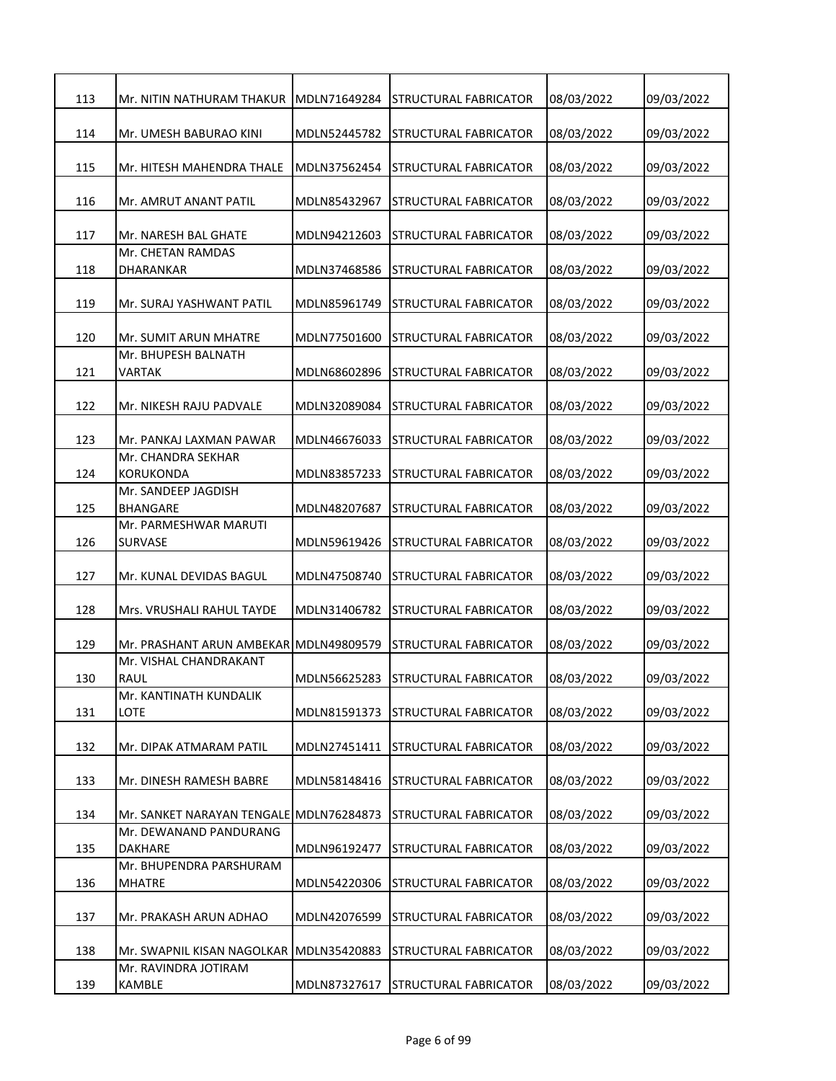| 113 | Mr. NITIN NATHURAM THAKUR                | MDLN71649284 | <b>STRUCTURAL FABRICATOR</b>       | 08/03/2022 | 09/03/2022 |
|-----|------------------------------------------|--------------|------------------------------------|------------|------------|
| 114 | Mr. UMESH BABURAO KINI                   | MDLN52445782 | <b>STRUCTURAL FABRICATOR</b>       | 08/03/2022 | 09/03/2022 |
| 115 | Mr. HITESH MAHENDRA THALE                | MDLN37562454 | <b>STRUCTURAL FABRICATOR</b>       | 08/03/2022 | 09/03/2022 |
| 116 | Mr. AMRUT ANANT PATIL                    | MDLN85432967 | STRUCTURAL FABRICATOR              | 08/03/2022 | 09/03/2022 |
| 117 | Mr. NARESH BAL GHATE                     | MDLN94212603 | STRUCTURAL FABRICATOR              | 08/03/2022 | 09/03/2022 |
|     | Mr. CHETAN RAMDAS                        |              |                                    |            |            |
| 118 | DHARANKAR                                | MDLN37468586 | STRUCTURAL FABRICATOR              | 08/03/2022 | 09/03/2022 |
| 119 | Mr. SURAJ YASHWANT PATIL                 | MDLN85961749 | STRUCTURAL FABRICATOR              | 08/03/2022 | 09/03/2022 |
| 120 | Mr. SUMIT ARUN MHATRE                    | MDLN77501600 | STRUCTURAL FABRICATOR              | 08/03/2022 | 09/03/2022 |
| 121 | Mr. BHUPESH BALNATH<br><b>VARTAK</b>     | MDLN68602896 | STRUCTURAL FABRICATOR              | 08/03/2022 | 09/03/2022 |
| 122 | Mr. NIKESH RAJU PADVALE                  | MDLN32089084 | <b>STRUCTURAL FABRICATOR</b>       | 08/03/2022 | 09/03/2022 |
| 123 | Mr. PANKAJ LAXMAN PAWAR                  | MDLN46676033 | <b>STRUCTURAL FABRICATOR</b>       | 08/03/2022 | 09/03/2022 |
|     | Mr. CHANDRA SEKHAR                       |              |                                    |            |            |
| 124 | <b>KORUKONDA</b><br>Mr. SANDEEP JAGDISH  | MDLN83857233 | STRUCTURAL FABRICATOR              | 08/03/2022 | 09/03/2022 |
| 125 | <b>BHANGARE</b>                          | MDLN48207687 | STRUCTURAL FABRICATOR              | 08/03/2022 | 09/03/2022 |
|     | Mr. PARMESHWAR MARUTI                    |              |                                    |            |            |
| 126 | <b>SURVASE</b>                           | MDLN59619426 | STRUCTURAL FABRICATOR              | 08/03/2022 | 09/03/2022 |
| 127 | Mr. KUNAL DEVIDAS BAGUL                  | MDLN47508740 | <b>STRUCTURAL FABRICATOR</b>       | 08/03/2022 | 09/03/2022 |
| 128 | Mrs. VRUSHALI RAHUL TAYDE                | MDLN31406782 | <b>STRUCTURAL FABRICATOR</b>       | 08/03/2022 | 09/03/2022 |
| 129 | Mr. PRASHANT ARUN AMBEKAR MDLN49809579   |              | <b>STRUCTURAL FABRICATOR</b>       | 08/03/2022 | 09/03/2022 |
| 130 | Mr. VISHAL CHANDRAKANT<br><b>RAUL</b>    |              |                                    |            | 09/03/2022 |
|     | Mr. KANTINATH KUNDALIK                   |              | MDLN56625283 STRUCTURAL FABRICATOR | 08/03/2022 |            |
| 131 | LOTE                                     | MDLN81591373 | STRUCTURAL FABRICATOR              | 08/03/2022 | 09/03/2022 |
| 132 | Mr. DIPAK ATMARAM PATIL                  | MDLN27451411 | <b>STRUCTURAL FABRICATOR</b>       | 08/03/2022 | 09/03/2022 |
| 133 | Mr. DINESH RAMESH BABRE                  | MDLN58148416 | STRUCTURAL FABRICATOR              | 08/03/2022 | 09/03/2022 |
| 134 | Mr. SANKET NARAYAN TENGALE MDLN76284873  |              | STRUCTURAL FABRICATOR              | 08/03/2022 | 09/03/2022 |
|     | Mr. DEWANAND PANDURANG                   |              |                                    |            |            |
| 135 | DAKHARE                                  | MDLN96192477 | <b>STRUCTURAL FABRICATOR</b>       | 08/03/2022 | 09/03/2022 |
| 136 | Mr. BHUPENDRA PARSHURAM<br><b>MHATRE</b> | MDLN54220306 | STRUCTURAL FABRICATOR              | 08/03/2022 | 09/03/2022 |
| 137 | Mr. PRAKASH ARUN ADHAO                   | MDLN42076599 | STRUCTURAL FABRICATOR              | 08/03/2022 | 09/03/2022 |
| 138 | Mr. SWAPNIL KISAN NAGOLKAR               | MDLN35420883 | <b>STRUCTURAL FABRICATOR</b>       | 08/03/2022 | 09/03/2022 |
|     | Mr. RAVINDRA JOTIRAM                     |              |                                    |            |            |
| 139 | KAMBLE                                   | MDLN87327617 | <b>STRUCTURAL FABRICATOR</b>       | 08/03/2022 | 09/03/2022 |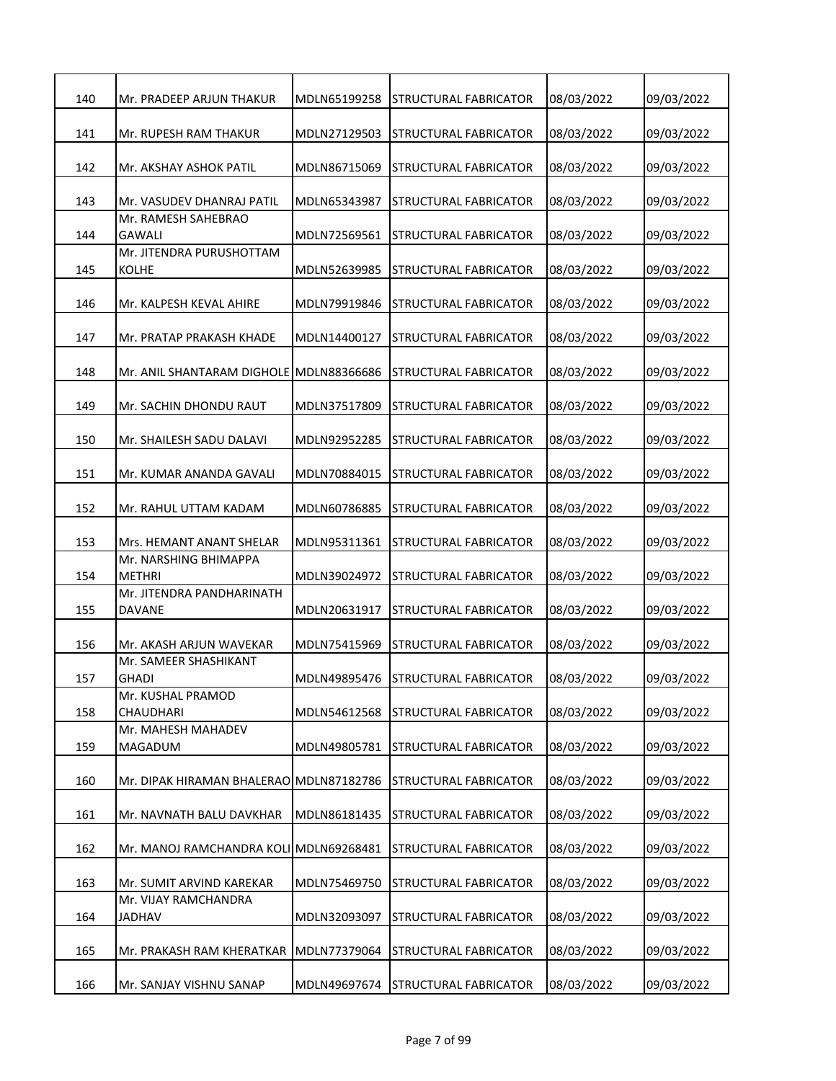| 140 | Mr. PRADEEP ARJUN THAKUR                 | MDLN65199258 | STRUCTURAL FABRICATOR        | 08/03/2022 | 09/03/2022 |
|-----|------------------------------------------|--------------|------------------------------|------------|------------|
| 141 | Mr. RUPESH RAM THAKUR                    | MDLN27129503 | <b>STRUCTURAL FABRICATOR</b> | 08/03/2022 | 09/03/2022 |
| 142 | Mr. AKSHAY ASHOK PATIL                   | MDLN86715069 | STRUCTURAL FABRICATOR        | 08/03/2022 | 09/03/2022 |
| 143 | Mr. VASUDEV DHANRAJ PATIL                | MDLN65343987 | STRUCTURAL FABRICATOR        | 08/03/2022 | 09/03/2022 |
| 144 | Mr. RAMESH SAHEBRAO<br><b>GAWALI</b>     | MDLN72569561 | STRUCTURAL FABRICATOR        | 08/03/2022 | 09/03/2022 |
| 145 | Mr. JITENDRA PURUSHOTTAM<br><b>KOLHE</b> | MDLN52639985 | STRUCTURAL FABRICATOR        | 08/03/2022 | 09/03/2022 |
| 146 | Mr. KALPESH KEVAL AHIRE                  | MDLN79919846 | STRUCTURAL FABRICATOR        | 08/03/2022 | 09/03/2022 |
| 147 | Mr. PRATAP PRAKASH KHADE                 | MDLN14400127 | STRUCTURAL FABRICATOR        | 08/03/2022 | 09/03/2022 |
| 148 | Mr. ANIL SHANTARAM DIGHOLE MDLN88366686  |              | STRUCTURAL FABRICATOR        | 08/03/2022 | 09/03/2022 |
| 149 | Mr. SACHIN DHONDU RAUT                   | MDLN37517809 | <b>STRUCTURAL FABRICATOR</b> | 08/03/2022 | 09/03/2022 |
| 150 | Mr. SHAILESH SADU DALAVI                 | MDLN92952285 | STRUCTURAL FABRICATOR        | 08/03/2022 | 09/03/2022 |
| 151 | Mr. KUMAR ANANDA GAVALI                  | MDLN70884015 | STRUCTURAL FABRICATOR        | 08/03/2022 | 09/03/2022 |
| 152 | Mr. RAHUL UTTAM KADAM                    | MDLN60786885 | STRUCTURAL FABRICATOR        | 08/03/2022 | 09/03/2022 |
| 153 | Mrs. HEMANT ANANT SHELAR                 | MDLN95311361 | STRUCTURAL FABRICATOR        | 08/03/2022 | 09/03/2022 |
| 154 | Mr. NARSHING BHIMAPPA<br>METHRI          | MDLN39024972 | STRUCTURAL FABRICATOR        | 08/03/2022 | 09/03/2022 |
| 155 | Mr. JITENDRA PANDHARINATH<br>DAVANE      | MDLN20631917 | STRUCTURAL FABRICATOR        | 08/03/2022 | 09/03/2022 |
| 156 | Mr. AKASH ARJUN WAVEKAR                  | MDLN75415969 | STRUCTURAL FABRICATOR        | 08/03/2022 | 09/03/2022 |
| 157 | Mr. SAMEER SHASHIKANT<br><b>GHADI</b>    | MDLN49895476 | <b>STRUCTURAL FABRICATOR</b> | 08/03/2022 | 09/03/2022 |
| 158 | Mr. KUSHAL PRAMOD<br>CHAUDHARI           | MDLN54612568 | STRUCTURAL FABRICATOR        | 08/03/2022 | 09/03/2022 |
| 159 | Mr. MAHESH MAHADEV<br>MAGADUM            | MDLN49805781 | STRUCTURAL FABRICATOR        | 08/03/2022 | 09/03/2022 |
| 160 | Mr. DIPAK HIRAMAN BHALERAO MDLN87182786  |              | STRUCTURAL FABRICATOR        | 08/03/2022 | 09/03/2022 |
| 161 | Mr. NAVNATH BALU DAVKHAR                 | MDLN86181435 | STRUCTURAL FABRICATOR        | 08/03/2022 | 09/03/2022 |
| 162 | Mr. MANOJ RAMCHANDRA KOLI MDLN69268481   |              | STRUCTURAL FABRICATOR        | 08/03/2022 | 09/03/2022 |
| 163 | Mr. SUMIT ARVIND KAREKAR                 | MDLN75469750 | STRUCTURAL FABRICATOR        | 08/03/2022 | 09/03/2022 |
| 164 | Mr. VIJAY RAMCHANDRA<br><b>JADHAV</b>    | MDLN32093097 | STRUCTURAL FABRICATOR        | 08/03/2022 | 09/03/2022 |
| 165 | Mr. PRAKASH RAM KHERATKAR                | MDLN77379064 | STRUCTURAL FABRICATOR        | 08/03/2022 | 09/03/2022 |
| 166 | Mr. SANJAY VISHNU SANAP                  | MDLN49697674 | STRUCTURAL FABRICATOR        | 08/03/2022 | 09/03/2022 |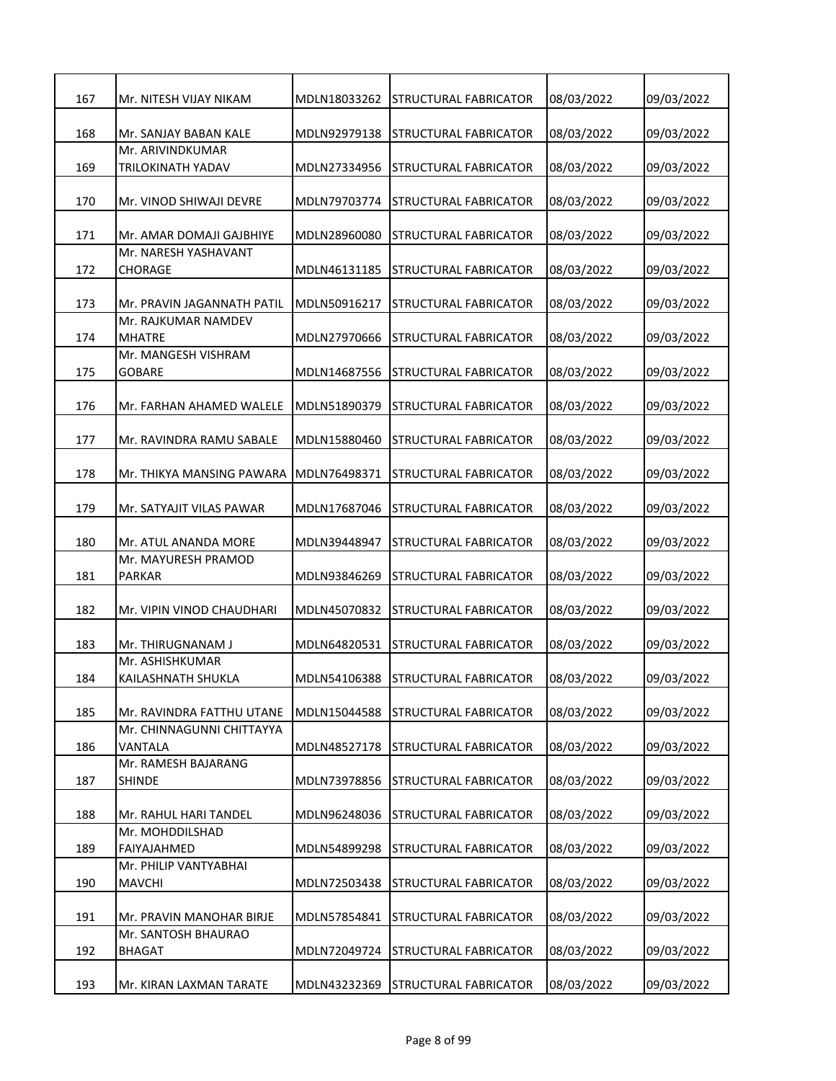| 167 | Mr. NITESH VIJAY NIKAM                 | MDLN18033262 | ISTRUCTURAL FABRICATOR             | 08/03/2022 | 09/03/2022 |
|-----|----------------------------------------|--------------|------------------------------------|------------|------------|
| 168 | Mr. SANJAY BABAN KALE                  | MDLN92979138 | <b>STRUCTURAL FABRICATOR</b>       | 08/03/2022 | 09/03/2022 |
|     | Mr. ARIVINDKUMAR                       |              |                                    |            |            |
| 169 | TRILOKINATH YADAV                      | MDLN27334956 | STRUCTURAL FABRICATOR              | 08/03/2022 | 09/03/2022 |
| 170 | Mr. VINOD SHIWAJI DEVRE                | MDLN79703774 | <b>STRUCTURAL FABRICATOR</b>       | 08/03/2022 | 09/03/2022 |
| 171 | Mr. AMAR DOMAJI GAJBHIYE               | MDLN28960080 | STRUCTURAL FABRICATOR              | 08/03/2022 | 09/03/2022 |
| 172 | Mr. NARESH YASHAVANT<br>CHORAGE        | MDLN46131185 | STRUCTURAL FABRICATOR              | 08/03/2022 | 09/03/2022 |
| 173 | Mr. PRAVIN JAGANNATH PATIL             | MDLN50916217 | STRUCTURAL FABRICATOR              | 08/03/2022 | 09/03/2022 |
| 174 | Mr. RAJKUMAR NAMDEV<br><b>MHATRE</b>   | MDLN27970666 | <b>STRUCTURAL FABRICATOR</b>       | 08/03/2022 | 09/03/2022 |
| 175 | Mr. MANGESH VISHRAM<br><b>GOBARE</b>   | MDLN14687556 | STRUCTURAL FABRICATOR              | 08/03/2022 | 09/03/2022 |
| 176 | Mr. FARHAN AHAMED WALELE               | MDLN51890379 | STRUCTURAL FABRICATOR              | 08/03/2022 | 09/03/2022 |
| 177 | Mr. RAVINDRA RAMU SABALE               | MDLN15880460 | STRUCTURAL FABRICATOR              | 08/03/2022 | 09/03/2022 |
| 178 | Mr. THIKYA MANSING PAWARA              | MDLN76498371 | STRUCTURAL FABRICATOR              | 08/03/2022 | 09/03/2022 |
| 179 | Mr. SATYAJIT VILAS PAWAR               | MDLN17687046 | STRUCTURAL FABRICATOR              | 08/03/2022 | 09/03/2022 |
| 180 | Mr. ATUL ANANDA MORE                   | MDLN39448947 | STRUCTURAL FABRICATOR              | 08/03/2022 | 09/03/2022 |
| 181 | Mr. MAYURESH PRAMOD<br><b>PARKAR</b>   | MDLN93846269 | STRUCTURAL FABRICATOR              | 08/03/2022 | 09/03/2022 |
| 182 | Mr. VIPIN VINOD CHAUDHARI              | MDLN45070832 | STRUCTURAL FABRICATOR              | 08/03/2022 | 09/03/2022 |
| 183 | Mr. THIRUGNANAM J                      | MDLN64820531 | STRUCTURAL FABRICATOR              | 08/03/2022 | 09/03/2022 |
| 184 | Mr. ASHISHKUMAR<br>KAILASHNATH SHUKLA  |              | MDLN54106388 STRUCTURAL FABRICATOR | 08/03/2022 | 09/03/2022 |
| 185 | Mr. RAVINDRA FATTHU UTANE              | MDLN15044588 | STRUCTURAL FABRICATOR              | 08/03/2022 | 09/03/2022 |
| 186 | Mr. CHINNAGUNNI CHITTAYYA<br>VANTALA   | MDLN48527178 | <b>STRUCTURAL FABRICATOR</b>       | 08/03/2022 | 09/03/2022 |
| 187 | Mr. RAMESH BAJARANG<br><b>SHINDE</b>   | MDLN73978856 | STRUCTURAL FABRICATOR              | 08/03/2022 | 09/03/2022 |
| 188 | Mr. RAHUL HARI TANDEL                  | MDLN96248036 | STRUCTURAL FABRICATOR              | 08/03/2022 | 09/03/2022 |
| 189 | Mr. MOHDDILSHAD<br>FAIYAJAHMED         | MDLN54899298 | STRUCTURAL FABRICATOR              | 08/03/2022 | 09/03/2022 |
| 190 | Mr. PHILIP VANTYABHAI<br><b>MAVCHI</b> | MDLN72503438 | STRUCTURAL FABRICATOR              | 08/03/2022 | 09/03/2022 |
| 191 | Mr. PRAVIN MANOHAR BIRJE               | MDLN57854841 | STRUCTURAL FABRICATOR              | 08/03/2022 | 09/03/2022 |
| 192 | Mr. SANTOSH BHAURAO<br><b>BHAGAT</b>   | MDLN72049724 | <b>STRUCTURAL FABRICATOR</b>       | 08/03/2022 | 09/03/2022 |
| 193 | Mr. KIRAN LAXMAN TARATE                | MDLN43232369 | STRUCTURAL FABRICATOR              | 08/03/2022 | 09/03/2022 |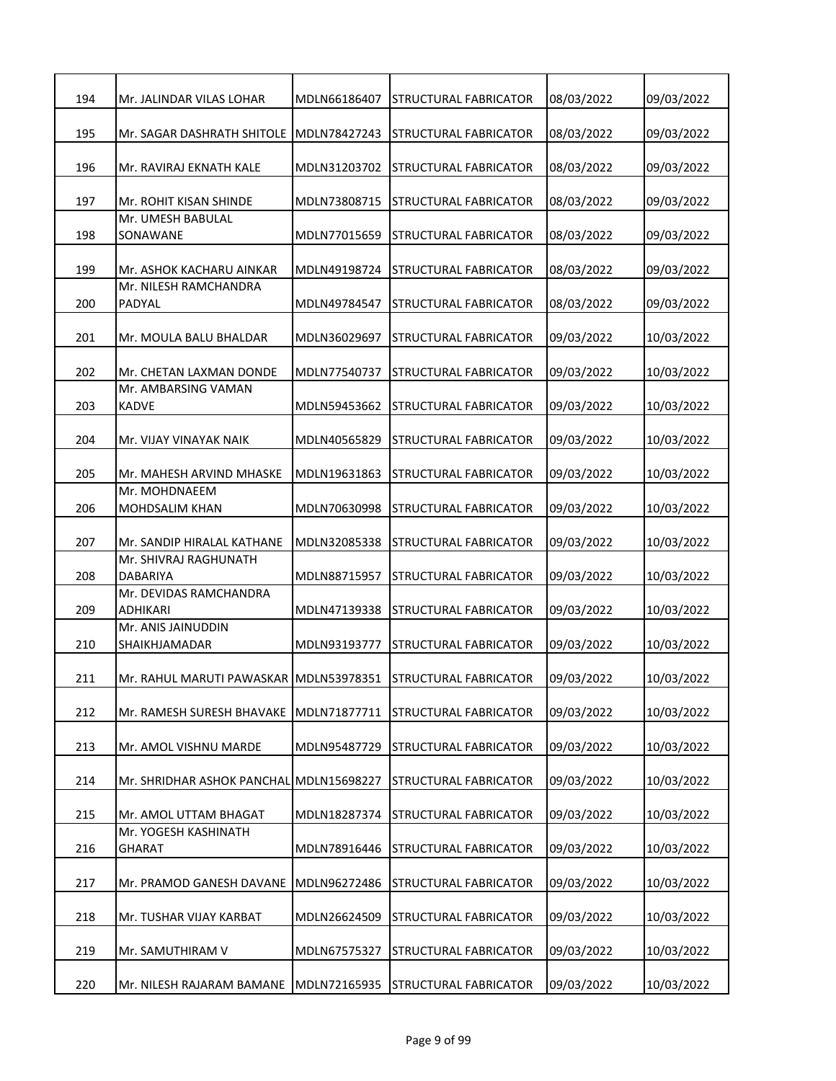| 194 | Mr. JALINDAR VILAS LOHAR                                     | MDLN66186407 | <b>STRUCTURAL FABRICATOR</b> | 08/03/2022 | 09/03/2022 |
|-----|--------------------------------------------------------------|--------------|------------------------------|------------|------------|
| 195 | Mr. SAGAR DASHRATH SHITOLE                                   | MDLN78427243 | STRUCTURAL FABRICATOR        | 08/03/2022 | 09/03/2022 |
| 196 | Mr. RAVIRAJ EKNATH KALE                                      | MDLN31203702 | <b>STRUCTURAL FABRICATOR</b> | 08/03/2022 | 09/03/2022 |
| 197 | Mr. ROHIT KISAN SHINDE                                       | MDLN73808715 | STRUCTURAL FABRICATOR        | 08/03/2022 | 09/03/2022 |
| 198 | Mr. UMESH BABULAL<br>SONAWANE                                | MDLN77015659 | STRUCTURAL FABRICATOR        | 08/03/2022 | 09/03/2022 |
| 199 | Mr. ASHOK KACHARU AINKAR                                     | MDLN49198724 | STRUCTURAL FABRICATOR        | 08/03/2022 | 09/03/2022 |
| 200 | Mr. NILESH RAMCHANDRA<br>PADYAL                              | MDLN49784547 | STRUCTURAL FABRICATOR        | 08/03/2022 | 09/03/2022 |
| 201 | Mr. MOULA BALU BHALDAR                                       | MDLN36029697 | STRUCTURAL FABRICATOR        | 09/03/2022 | 10/03/2022 |
| 202 | Mr. CHETAN LAXMAN DONDE                                      | MDLN77540737 | STRUCTURAL FABRICATOR        | 09/03/2022 | 10/03/2022 |
| 203 | Mr. AMBARSING VAMAN<br><b>KADVE</b>                          | MDLN59453662 | STRUCTURAL FABRICATOR        | 09/03/2022 | 10/03/2022 |
| 204 | Mr. VIJAY VINAYAK NAIK                                       | MDLN40565829 | STRUCTURAL FABRICATOR        | 09/03/2022 | 10/03/2022 |
| 205 | Mr. MAHESH ARVIND MHASKE                                     | MDLN19631863 | STRUCTURAL FABRICATOR        | 09/03/2022 | 10/03/2022 |
| 206 | Mr. MOHDNAEEM<br><b>MOHDSALIM KHAN</b>                       | MDLN70630998 | STRUCTURAL FABRICATOR        | 09/03/2022 | 10/03/2022 |
| 207 | Mr. SANDIP HIRALAL KATHANE                                   | MDLN32085338 | STRUCTURAL FABRICATOR        | 09/03/2022 | 10/03/2022 |
| 208 | Mr. SHIVRAJ RAGHUNATH<br><b>DABARIYA</b>                     | MDLN88715957 | STRUCTURAL FABRICATOR        | 09/03/2022 | 10/03/2022 |
| 209 | Mr. DEVIDAS RAMCHANDRA<br><b>ADHIKARI</b>                    | MDLN47139338 | STRUCTURAL FABRICATOR        | 09/03/2022 | 10/03/2022 |
| 210 | Mr. ANIS JAINUDDIN<br>SHAIKHJAMADAR                          | MDLN93193777 | STRUCTURAL FABRICATOR        | 09/03/2022 | 10/03/2022 |
| 211 | Mr. RAHUL MARUTI PAWASKAR MDLN53978351 STRUCTURAL FABRICATOR |              |                              | 09/03/2022 | 10/03/2022 |
| 212 | Mr. RAMESH SURESH BHAVAKE                                    | MDLN71877711 | STRUCTURAL FABRICATOR        | 09/03/2022 | 10/03/2022 |
| 213 | Mr. AMOL VISHNU MARDE                                        | MDLN95487729 | <b>STRUCTURAL FABRICATOR</b> | 09/03/2022 | 10/03/2022 |
| 214 | Mr. SHRIDHAR ASHOK PANCHAL MDLN15698227                      |              | STRUCTURAL FABRICATOR        | 09/03/2022 | 10/03/2022 |
| 215 | Mr. AMOL UTTAM BHAGAT                                        | MDLN18287374 | STRUCTURAL FABRICATOR        | 09/03/2022 | 10/03/2022 |
| 216 | Mr. YOGESH KASHINATH<br>GHARAT                               | MDLN78916446 | STRUCTURAL FABRICATOR        | 09/03/2022 | 10/03/2022 |
| 217 | Mr. PRAMOD GANESH DAVANE                                     | MDLN96272486 | STRUCTURAL FABRICATOR        | 09/03/2022 | 10/03/2022 |
| 218 | Mr. TUSHAR VIJAY KARBAT                                      | MDLN26624509 | STRUCTURAL FABRICATOR        | 09/03/2022 | 10/03/2022 |
| 219 | Mr. SAMUTHIRAM V                                             | MDLN67575327 | STRUCTURAL FABRICATOR        | 09/03/2022 | 10/03/2022 |
| 220 | Mr. NILESH RAJARAM BAMANE                                    | MDLN72165935 | STRUCTURAL FABRICATOR        | 09/03/2022 | 10/03/2022 |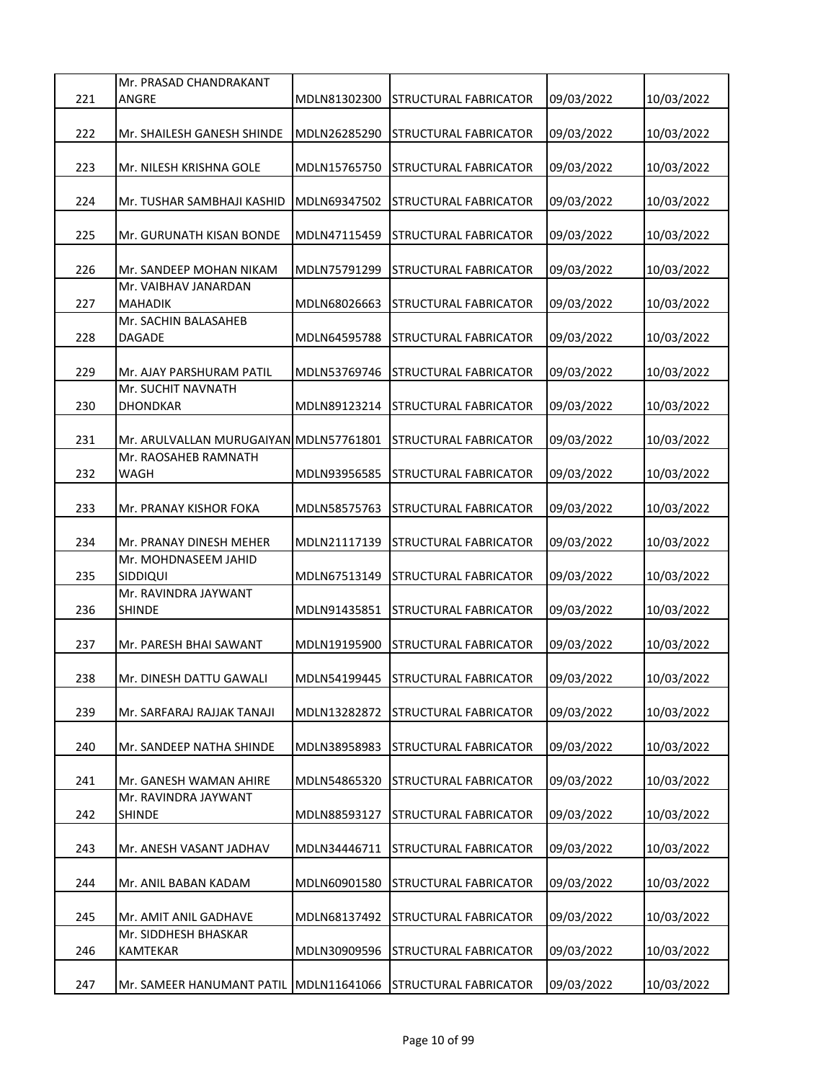| Mr. PRASAD CHANDRAKANT<br>221<br>ANGRE<br>10/03/2022<br>MDLN81302300<br>STRUCTURAL FABRICATOR<br>09/03/2022<br>222<br>MDLN26285290<br>STRUCTURAL FABRICATOR<br>09/03/2022<br>10/03/2022<br>Mr. SHAILESH GANESH SHINDE<br>223<br>MDLN15765750<br>STRUCTURAL FABRICATOR<br>09/03/2022<br>10/03/2022<br>Mr. NILESH KRISHNA GOLE<br>224<br>MDLN69347502<br>09/03/2022<br>10/03/2022<br>Mr. TUSHAR SAMBHAJI KASHID<br>STRUCTURAL FABRICATOR<br>225<br>MDLN47115459<br>09/03/2022<br>10/03/2022<br>Mr. GURUNATH KISAN BONDE<br>STRUCTURAL FABRICATOR<br>226<br>MDLN75791299<br>09/03/2022<br>10/03/2022<br>Mr. SANDEEP MOHAN NIKAM<br>STRUCTURAL FABRICATOR<br>Mr. VAIBHAV JANARDAN<br>227<br><b>MAHADIK</b><br>MDLN68026663<br>09/03/2022<br>10/03/2022<br>STRUCTURAL FABRICATOR<br>Mr. SACHIN BALASAHEB<br>228<br><b>DAGADE</b><br>MDLN64595788<br>09/03/2022<br>10/03/2022<br>STRUCTURAL FABRICATOR<br>229<br>MDLN53769746<br>09/03/2022<br>10/03/2022<br>Mr. AJAY PARSHURAM PATIL<br>STRUCTURAL FABRICATOR<br>Mr. SUCHIT NAVNATH<br>230<br><b>DHONDKAR</b><br>09/03/2022<br>10/03/2022<br>MDLN89123214<br><b>STRUCTURAL FABRICATOR</b><br>231<br>09/03/2022<br>Mr. ARULVALLAN MURUGAIYAN MDLN57761801<br>STRUCTURAL FABRICATOR<br>10/03/2022<br>Mr. RAOSAHEB RAMNATH<br>232<br>WAGH<br>MDLN93956585<br>STRUCTURAL FABRICATOR<br>09/03/2022<br>10/03/2022<br>233<br>09/03/2022<br>10/03/2022<br>Mr. PRANAY KISHOR FOKA<br>MDLN58575763<br>STRUCTURAL FABRICATOR<br>234<br>MDLN21117139<br>09/03/2022<br>10/03/2022<br>Mr. PRANAY DINESH MEHER<br>STRUCTURAL FABRICATOR<br>Mr. MOHDNASEEM JAHID<br>235<br>09/03/2022<br>10/03/2022<br><b>SIDDIQUI</b><br>MDLN67513149<br>STRUCTURAL FABRICATOR<br>Mr. RAVINDRA JAYWANT<br>236<br><b>SHINDE</b><br>09/03/2022<br>10/03/2022<br>MDLN91435851<br>STRUCTURAL FABRICATOR<br>237<br>09/03/2022<br>10/03/2022<br>Mr. PARESH BHAI SAWANT<br>MDLN19195900<br>STRUCTURAL FABRICATOR<br>238<br>Mr. DINESH DATTU GAWALI<br>MDLN54199445<br><b>STRUCTURAL FABRICATOR</b><br>09/03/2022<br>10/03/2022<br>239<br>MDLN13282872<br>09/03/2022<br>10/03/2022<br>STRUCTURAL FABRICATOR<br>Mr. SARFARAJ RAJJAK TANAJI<br>240<br>09/03/2022<br>10/03/2022<br>Mr. SANDEEP NATHA SHINDE<br>MDLN38958983<br>STRUCTURAL FABRICATOR<br>241<br>Mr. GANESH WAMAN AHIRE<br>MDLN54865320<br>09/03/2022<br>10/03/2022<br>STRUCTURAL FABRICATOR<br>Mr. RAVINDRA JAYWANT<br>242<br>MDLN88593127<br>STRUCTURAL FABRICATOR<br>09/03/2022<br>10/03/2022<br><b>SHINDE</b><br>243<br>09/03/2022<br>10/03/2022<br>Mr. ANESH VASANT JADHAV<br>MDLN34446711<br>STRUCTURAL FABRICATOR<br>244<br>Mr. ANIL BABAN KADAM<br>MDLN60901580<br>STRUCTURAL FABRICATOR<br>09/03/2022<br>10/03/2022<br>245<br>Mr. AMIT ANIL GADHAVE<br>MDLN68137492<br>STRUCTURAL FABRICATOR<br>09/03/2022<br>10/03/2022<br>Mr. SIDDHESH BHASKAR<br>246<br>KAMTEKAR<br>MDLN30909596<br>09/03/2022<br>10/03/2022<br>STRUCTURAL FABRICATOR |     |                           |              |                       |            |            |
|------------------------------------------------------------------------------------------------------------------------------------------------------------------------------------------------------------------------------------------------------------------------------------------------------------------------------------------------------------------------------------------------------------------------------------------------------------------------------------------------------------------------------------------------------------------------------------------------------------------------------------------------------------------------------------------------------------------------------------------------------------------------------------------------------------------------------------------------------------------------------------------------------------------------------------------------------------------------------------------------------------------------------------------------------------------------------------------------------------------------------------------------------------------------------------------------------------------------------------------------------------------------------------------------------------------------------------------------------------------------------------------------------------------------------------------------------------------------------------------------------------------------------------------------------------------------------------------------------------------------------------------------------------------------------------------------------------------------------------------------------------------------------------------------------------------------------------------------------------------------------------------------------------------------------------------------------------------------------------------------------------------------------------------------------------------------------------------------------------------------------------------------------------------------------------------------------------------------------------------------------------------------------------------------------------------------------------------------------------------------------------------------------------------------------------------------------------------------------------------------------------------------------------------------------------------------------------------------------------------------------------------------------------------------------------------------------------------------------------------------------------------------------------------------------------------------------------------------------------------------------------------------------------------|-----|---------------------------|--------------|-----------------------|------------|------------|
|                                                                                                                                                                                                                                                                                                                                                                                                                                                                                                                                                                                                                                                                                                                                                                                                                                                                                                                                                                                                                                                                                                                                                                                                                                                                                                                                                                                                                                                                                                                                                                                                                                                                                                                                                                                                                                                                                                                                                                                                                                                                                                                                                                                                                                                                                                                                                                                                                                                                                                                                                                                                                                                                                                                                                                                                                                                                                                                  |     |                           |              |                       |            |            |
|                                                                                                                                                                                                                                                                                                                                                                                                                                                                                                                                                                                                                                                                                                                                                                                                                                                                                                                                                                                                                                                                                                                                                                                                                                                                                                                                                                                                                                                                                                                                                                                                                                                                                                                                                                                                                                                                                                                                                                                                                                                                                                                                                                                                                                                                                                                                                                                                                                                                                                                                                                                                                                                                                                                                                                                                                                                                                                                  |     |                           |              |                       |            |            |
|                                                                                                                                                                                                                                                                                                                                                                                                                                                                                                                                                                                                                                                                                                                                                                                                                                                                                                                                                                                                                                                                                                                                                                                                                                                                                                                                                                                                                                                                                                                                                                                                                                                                                                                                                                                                                                                                                                                                                                                                                                                                                                                                                                                                                                                                                                                                                                                                                                                                                                                                                                                                                                                                                                                                                                                                                                                                                                                  |     |                           |              |                       |            |            |
|                                                                                                                                                                                                                                                                                                                                                                                                                                                                                                                                                                                                                                                                                                                                                                                                                                                                                                                                                                                                                                                                                                                                                                                                                                                                                                                                                                                                                                                                                                                                                                                                                                                                                                                                                                                                                                                                                                                                                                                                                                                                                                                                                                                                                                                                                                                                                                                                                                                                                                                                                                                                                                                                                                                                                                                                                                                                                                                  |     |                           |              |                       |            |            |
|                                                                                                                                                                                                                                                                                                                                                                                                                                                                                                                                                                                                                                                                                                                                                                                                                                                                                                                                                                                                                                                                                                                                                                                                                                                                                                                                                                                                                                                                                                                                                                                                                                                                                                                                                                                                                                                                                                                                                                                                                                                                                                                                                                                                                                                                                                                                                                                                                                                                                                                                                                                                                                                                                                                                                                                                                                                                                                                  |     |                           |              |                       |            |            |
|                                                                                                                                                                                                                                                                                                                                                                                                                                                                                                                                                                                                                                                                                                                                                                                                                                                                                                                                                                                                                                                                                                                                                                                                                                                                                                                                                                                                                                                                                                                                                                                                                                                                                                                                                                                                                                                                                                                                                                                                                                                                                                                                                                                                                                                                                                                                                                                                                                                                                                                                                                                                                                                                                                                                                                                                                                                                                                                  |     |                           |              |                       |            |            |
|                                                                                                                                                                                                                                                                                                                                                                                                                                                                                                                                                                                                                                                                                                                                                                                                                                                                                                                                                                                                                                                                                                                                                                                                                                                                                                                                                                                                                                                                                                                                                                                                                                                                                                                                                                                                                                                                                                                                                                                                                                                                                                                                                                                                                                                                                                                                                                                                                                                                                                                                                                                                                                                                                                                                                                                                                                                                                                                  |     |                           |              |                       |            |            |
|                                                                                                                                                                                                                                                                                                                                                                                                                                                                                                                                                                                                                                                                                                                                                                                                                                                                                                                                                                                                                                                                                                                                                                                                                                                                                                                                                                                                                                                                                                                                                                                                                                                                                                                                                                                                                                                                                                                                                                                                                                                                                                                                                                                                                                                                                                                                                                                                                                                                                                                                                                                                                                                                                                                                                                                                                                                                                                                  |     |                           |              |                       |            |            |
|                                                                                                                                                                                                                                                                                                                                                                                                                                                                                                                                                                                                                                                                                                                                                                                                                                                                                                                                                                                                                                                                                                                                                                                                                                                                                                                                                                                                                                                                                                                                                                                                                                                                                                                                                                                                                                                                                                                                                                                                                                                                                                                                                                                                                                                                                                                                                                                                                                                                                                                                                                                                                                                                                                                                                                                                                                                                                                                  |     |                           |              |                       |            |            |
|                                                                                                                                                                                                                                                                                                                                                                                                                                                                                                                                                                                                                                                                                                                                                                                                                                                                                                                                                                                                                                                                                                                                                                                                                                                                                                                                                                                                                                                                                                                                                                                                                                                                                                                                                                                                                                                                                                                                                                                                                                                                                                                                                                                                                                                                                                                                                                                                                                                                                                                                                                                                                                                                                                                                                                                                                                                                                                                  |     |                           |              |                       |            |            |
|                                                                                                                                                                                                                                                                                                                                                                                                                                                                                                                                                                                                                                                                                                                                                                                                                                                                                                                                                                                                                                                                                                                                                                                                                                                                                                                                                                                                                                                                                                                                                                                                                                                                                                                                                                                                                                                                                                                                                                                                                                                                                                                                                                                                                                                                                                                                                                                                                                                                                                                                                                                                                                                                                                                                                                                                                                                                                                                  |     |                           |              |                       |            |            |
|                                                                                                                                                                                                                                                                                                                                                                                                                                                                                                                                                                                                                                                                                                                                                                                                                                                                                                                                                                                                                                                                                                                                                                                                                                                                                                                                                                                                                                                                                                                                                                                                                                                                                                                                                                                                                                                                                                                                                                                                                                                                                                                                                                                                                                                                                                                                                                                                                                                                                                                                                                                                                                                                                                                                                                                                                                                                                                                  |     |                           |              |                       |            |            |
|                                                                                                                                                                                                                                                                                                                                                                                                                                                                                                                                                                                                                                                                                                                                                                                                                                                                                                                                                                                                                                                                                                                                                                                                                                                                                                                                                                                                                                                                                                                                                                                                                                                                                                                                                                                                                                                                                                                                                                                                                                                                                                                                                                                                                                                                                                                                                                                                                                                                                                                                                                                                                                                                                                                                                                                                                                                                                                                  |     |                           |              |                       |            |            |
|                                                                                                                                                                                                                                                                                                                                                                                                                                                                                                                                                                                                                                                                                                                                                                                                                                                                                                                                                                                                                                                                                                                                                                                                                                                                                                                                                                                                                                                                                                                                                                                                                                                                                                                                                                                                                                                                                                                                                                                                                                                                                                                                                                                                                                                                                                                                                                                                                                                                                                                                                                                                                                                                                                                                                                                                                                                                                                                  |     |                           |              |                       |            |            |
|                                                                                                                                                                                                                                                                                                                                                                                                                                                                                                                                                                                                                                                                                                                                                                                                                                                                                                                                                                                                                                                                                                                                                                                                                                                                                                                                                                                                                                                                                                                                                                                                                                                                                                                                                                                                                                                                                                                                                                                                                                                                                                                                                                                                                                                                                                                                                                                                                                                                                                                                                                                                                                                                                                                                                                                                                                                                                                                  |     |                           |              |                       |            |            |
|                                                                                                                                                                                                                                                                                                                                                                                                                                                                                                                                                                                                                                                                                                                                                                                                                                                                                                                                                                                                                                                                                                                                                                                                                                                                                                                                                                                                                                                                                                                                                                                                                                                                                                                                                                                                                                                                                                                                                                                                                                                                                                                                                                                                                                                                                                                                                                                                                                                                                                                                                                                                                                                                                                                                                                                                                                                                                                                  |     |                           |              |                       |            |            |
|                                                                                                                                                                                                                                                                                                                                                                                                                                                                                                                                                                                                                                                                                                                                                                                                                                                                                                                                                                                                                                                                                                                                                                                                                                                                                                                                                                                                                                                                                                                                                                                                                                                                                                                                                                                                                                                                                                                                                                                                                                                                                                                                                                                                                                                                                                                                                                                                                                                                                                                                                                                                                                                                                                                                                                                                                                                                                                                  |     |                           |              |                       |            |            |
|                                                                                                                                                                                                                                                                                                                                                                                                                                                                                                                                                                                                                                                                                                                                                                                                                                                                                                                                                                                                                                                                                                                                                                                                                                                                                                                                                                                                                                                                                                                                                                                                                                                                                                                                                                                                                                                                                                                                                                                                                                                                                                                                                                                                                                                                                                                                                                                                                                                                                                                                                                                                                                                                                                                                                                                                                                                                                                                  |     |                           |              |                       |            |            |
|                                                                                                                                                                                                                                                                                                                                                                                                                                                                                                                                                                                                                                                                                                                                                                                                                                                                                                                                                                                                                                                                                                                                                                                                                                                                                                                                                                                                                                                                                                                                                                                                                                                                                                                                                                                                                                                                                                                                                                                                                                                                                                                                                                                                                                                                                                                                                                                                                                                                                                                                                                                                                                                                                                                                                                                                                                                                                                                  |     |                           |              |                       |            |            |
|                                                                                                                                                                                                                                                                                                                                                                                                                                                                                                                                                                                                                                                                                                                                                                                                                                                                                                                                                                                                                                                                                                                                                                                                                                                                                                                                                                                                                                                                                                                                                                                                                                                                                                                                                                                                                                                                                                                                                                                                                                                                                                                                                                                                                                                                                                                                                                                                                                                                                                                                                                                                                                                                                                                                                                                                                                                                                                                  |     |                           |              |                       |            |            |
|                                                                                                                                                                                                                                                                                                                                                                                                                                                                                                                                                                                                                                                                                                                                                                                                                                                                                                                                                                                                                                                                                                                                                                                                                                                                                                                                                                                                                                                                                                                                                                                                                                                                                                                                                                                                                                                                                                                                                                                                                                                                                                                                                                                                                                                                                                                                                                                                                                                                                                                                                                                                                                                                                                                                                                                                                                                                                                                  |     |                           |              |                       |            |            |
|                                                                                                                                                                                                                                                                                                                                                                                                                                                                                                                                                                                                                                                                                                                                                                                                                                                                                                                                                                                                                                                                                                                                                                                                                                                                                                                                                                                                                                                                                                                                                                                                                                                                                                                                                                                                                                                                                                                                                                                                                                                                                                                                                                                                                                                                                                                                                                                                                                                                                                                                                                                                                                                                                                                                                                                                                                                                                                                  |     |                           |              |                       |            |            |
|                                                                                                                                                                                                                                                                                                                                                                                                                                                                                                                                                                                                                                                                                                                                                                                                                                                                                                                                                                                                                                                                                                                                                                                                                                                                                                                                                                                                                                                                                                                                                                                                                                                                                                                                                                                                                                                                                                                                                                                                                                                                                                                                                                                                                                                                                                                                                                                                                                                                                                                                                                                                                                                                                                                                                                                                                                                                                                                  |     |                           |              |                       |            |            |
|                                                                                                                                                                                                                                                                                                                                                                                                                                                                                                                                                                                                                                                                                                                                                                                                                                                                                                                                                                                                                                                                                                                                                                                                                                                                                                                                                                                                                                                                                                                                                                                                                                                                                                                                                                                                                                                                                                                                                                                                                                                                                                                                                                                                                                                                                                                                                                                                                                                                                                                                                                                                                                                                                                                                                                                                                                                                                                                  |     |                           |              |                       |            |            |
|                                                                                                                                                                                                                                                                                                                                                                                                                                                                                                                                                                                                                                                                                                                                                                                                                                                                                                                                                                                                                                                                                                                                                                                                                                                                                                                                                                                                                                                                                                                                                                                                                                                                                                                                                                                                                                                                                                                                                                                                                                                                                                                                                                                                                                                                                                                                                                                                                                                                                                                                                                                                                                                                                                                                                                                                                                                                                                                  |     |                           |              |                       |            |            |
|                                                                                                                                                                                                                                                                                                                                                                                                                                                                                                                                                                                                                                                                                                                                                                                                                                                                                                                                                                                                                                                                                                                                                                                                                                                                                                                                                                                                                                                                                                                                                                                                                                                                                                                                                                                                                                                                                                                                                                                                                                                                                                                                                                                                                                                                                                                                                                                                                                                                                                                                                                                                                                                                                                                                                                                                                                                                                                                  |     |                           |              |                       |            |            |
|                                                                                                                                                                                                                                                                                                                                                                                                                                                                                                                                                                                                                                                                                                                                                                                                                                                                                                                                                                                                                                                                                                                                                                                                                                                                                                                                                                                                                                                                                                                                                                                                                                                                                                                                                                                                                                                                                                                                                                                                                                                                                                                                                                                                                                                                                                                                                                                                                                                                                                                                                                                                                                                                                                                                                                                                                                                                                                                  |     |                           |              |                       |            |            |
|                                                                                                                                                                                                                                                                                                                                                                                                                                                                                                                                                                                                                                                                                                                                                                                                                                                                                                                                                                                                                                                                                                                                                                                                                                                                                                                                                                                                                                                                                                                                                                                                                                                                                                                                                                                                                                                                                                                                                                                                                                                                                                                                                                                                                                                                                                                                                                                                                                                                                                                                                                                                                                                                                                                                                                                                                                                                                                                  |     |                           |              |                       |            |            |
|                                                                                                                                                                                                                                                                                                                                                                                                                                                                                                                                                                                                                                                                                                                                                                                                                                                                                                                                                                                                                                                                                                                                                                                                                                                                                                                                                                                                                                                                                                                                                                                                                                                                                                                                                                                                                                                                                                                                                                                                                                                                                                                                                                                                                                                                                                                                                                                                                                                                                                                                                                                                                                                                                                                                                                                                                                                                                                                  |     |                           |              |                       |            |            |
|                                                                                                                                                                                                                                                                                                                                                                                                                                                                                                                                                                                                                                                                                                                                                                                                                                                                                                                                                                                                                                                                                                                                                                                                                                                                                                                                                                                                                                                                                                                                                                                                                                                                                                                                                                                                                                                                                                                                                                                                                                                                                                                                                                                                                                                                                                                                                                                                                                                                                                                                                                                                                                                                                                                                                                                                                                                                                                                  |     |                           |              |                       |            |            |
|                                                                                                                                                                                                                                                                                                                                                                                                                                                                                                                                                                                                                                                                                                                                                                                                                                                                                                                                                                                                                                                                                                                                                                                                                                                                                                                                                                                                                                                                                                                                                                                                                                                                                                                                                                                                                                                                                                                                                                                                                                                                                                                                                                                                                                                                                                                                                                                                                                                                                                                                                                                                                                                                                                                                                                                                                                                                                                                  |     |                           |              |                       |            |            |
|                                                                                                                                                                                                                                                                                                                                                                                                                                                                                                                                                                                                                                                                                                                                                                                                                                                                                                                                                                                                                                                                                                                                                                                                                                                                                                                                                                                                                                                                                                                                                                                                                                                                                                                                                                                                                                                                                                                                                                                                                                                                                                                                                                                                                                                                                                                                                                                                                                                                                                                                                                                                                                                                                                                                                                                                                                                                                                                  |     |                           |              |                       |            |            |
|                                                                                                                                                                                                                                                                                                                                                                                                                                                                                                                                                                                                                                                                                                                                                                                                                                                                                                                                                                                                                                                                                                                                                                                                                                                                                                                                                                                                                                                                                                                                                                                                                                                                                                                                                                                                                                                                                                                                                                                                                                                                                                                                                                                                                                                                                                                                                                                                                                                                                                                                                                                                                                                                                                                                                                                                                                                                                                                  |     |                           |              |                       |            |            |
|                                                                                                                                                                                                                                                                                                                                                                                                                                                                                                                                                                                                                                                                                                                                                                                                                                                                                                                                                                                                                                                                                                                                                                                                                                                                                                                                                                                                                                                                                                                                                                                                                                                                                                                                                                                                                                                                                                                                                                                                                                                                                                                                                                                                                                                                                                                                                                                                                                                                                                                                                                                                                                                                                                                                                                                                                                                                                                                  |     |                           |              |                       |            |            |
|                                                                                                                                                                                                                                                                                                                                                                                                                                                                                                                                                                                                                                                                                                                                                                                                                                                                                                                                                                                                                                                                                                                                                                                                                                                                                                                                                                                                                                                                                                                                                                                                                                                                                                                                                                                                                                                                                                                                                                                                                                                                                                                                                                                                                                                                                                                                                                                                                                                                                                                                                                                                                                                                                                                                                                                                                                                                                                                  |     |                           |              |                       |            |            |
|                                                                                                                                                                                                                                                                                                                                                                                                                                                                                                                                                                                                                                                                                                                                                                                                                                                                                                                                                                                                                                                                                                                                                                                                                                                                                                                                                                                                                                                                                                                                                                                                                                                                                                                                                                                                                                                                                                                                                                                                                                                                                                                                                                                                                                                                                                                                                                                                                                                                                                                                                                                                                                                                                                                                                                                                                                                                                                                  |     |                           |              |                       |            |            |
|                                                                                                                                                                                                                                                                                                                                                                                                                                                                                                                                                                                                                                                                                                                                                                                                                                                                                                                                                                                                                                                                                                                                                                                                                                                                                                                                                                                                                                                                                                                                                                                                                                                                                                                                                                                                                                                                                                                                                                                                                                                                                                                                                                                                                                                                                                                                                                                                                                                                                                                                                                                                                                                                                                                                                                                                                                                                                                                  |     |                           |              |                       |            |            |
|                                                                                                                                                                                                                                                                                                                                                                                                                                                                                                                                                                                                                                                                                                                                                                                                                                                                                                                                                                                                                                                                                                                                                                                                                                                                                                                                                                                                                                                                                                                                                                                                                                                                                                                                                                                                                                                                                                                                                                                                                                                                                                                                                                                                                                                                                                                                                                                                                                                                                                                                                                                                                                                                                                                                                                                                                                                                                                                  |     |                           |              |                       |            |            |
|                                                                                                                                                                                                                                                                                                                                                                                                                                                                                                                                                                                                                                                                                                                                                                                                                                                                                                                                                                                                                                                                                                                                                                                                                                                                                                                                                                                                                                                                                                                                                                                                                                                                                                                                                                                                                                                                                                                                                                                                                                                                                                                                                                                                                                                                                                                                                                                                                                                                                                                                                                                                                                                                                                                                                                                                                                                                                                                  |     |                           |              |                       |            |            |
|                                                                                                                                                                                                                                                                                                                                                                                                                                                                                                                                                                                                                                                                                                                                                                                                                                                                                                                                                                                                                                                                                                                                                                                                                                                                                                                                                                                                                                                                                                                                                                                                                                                                                                                                                                                                                                                                                                                                                                                                                                                                                                                                                                                                                                                                                                                                                                                                                                                                                                                                                                                                                                                                                                                                                                                                                                                                                                                  |     |                           |              |                       |            |            |
|                                                                                                                                                                                                                                                                                                                                                                                                                                                                                                                                                                                                                                                                                                                                                                                                                                                                                                                                                                                                                                                                                                                                                                                                                                                                                                                                                                                                                                                                                                                                                                                                                                                                                                                                                                                                                                                                                                                                                                                                                                                                                                                                                                                                                                                                                                                                                                                                                                                                                                                                                                                                                                                                                                                                                                                                                                                                                                                  |     |                           |              |                       |            |            |
|                                                                                                                                                                                                                                                                                                                                                                                                                                                                                                                                                                                                                                                                                                                                                                                                                                                                                                                                                                                                                                                                                                                                                                                                                                                                                                                                                                                                                                                                                                                                                                                                                                                                                                                                                                                                                                                                                                                                                                                                                                                                                                                                                                                                                                                                                                                                                                                                                                                                                                                                                                                                                                                                                                                                                                                                                                                                                                                  |     |                           |              |                       |            |            |
|                                                                                                                                                                                                                                                                                                                                                                                                                                                                                                                                                                                                                                                                                                                                                                                                                                                                                                                                                                                                                                                                                                                                                                                                                                                                                                                                                                                                                                                                                                                                                                                                                                                                                                                                                                                                                                                                                                                                                                                                                                                                                                                                                                                                                                                                                                                                                                                                                                                                                                                                                                                                                                                                                                                                                                                                                                                                                                                  |     |                           |              |                       |            |            |
|                                                                                                                                                                                                                                                                                                                                                                                                                                                                                                                                                                                                                                                                                                                                                                                                                                                                                                                                                                                                                                                                                                                                                                                                                                                                                                                                                                                                                                                                                                                                                                                                                                                                                                                                                                                                                                                                                                                                                                                                                                                                                                                                                                                                                                                                                                                                                                                                                                                                                                                                                                                                                                                                                                                                                                                                                                                                                                                  |     |                           |              |                       |            |            |
|                                                                                                                                                                                                                                                                                                                                                                                                                                                                                                                                                                                                                                                                                                                                                                                                                                                                                                                                                                                                                                                                                                                                                                                                                                                                                                                                                                                                                                                                                                                                                                                                                                                                                                                                                                                                                                                                                                                                                                                                                                                                                                                                                                                                                                                                                                                                                                                                                                                                                                                                                                                                                                                                                                                                                                                                                                                                                                                  |     |                           |              |                       |            |            |
|                                                                                                                                                                                                                                                                                                                                                                                                                                                                                                                                                                                                                                                                                                                                                                                                                                                                                                                                                                                                                                                                                                                                                                                                                                                                                                                                                                                                                                                                                                                                                                                                                                                                                                                                                                                                                                                                                                                                                                                                                                                                                                                                                                                                                                                                                                                                                                                                                                                                                                                                                                                                                                                                                                                                                                                                                                                                                                                  |     |                           |              |                       |            |            |
|                                                                                                                                                                                                                                                                                                                                                                                                                                                                                                                                                                                                                                                                                                                                                                                                                                                                                                                                                                                                                                                                                                                                                                                                                                                                                                                                                                                                                                                                                                                                                                                                                                                                                                                                                                                                                                                                                                                                                                                                                                                                                                                                                                                                                                                                                                                                                                                                                                                                                                                                                                                                                                                                                                                                                                                                                                                                                                                  |     |                           |              |                       |            |            |
|                                                                                                                                                                                                                                                                                                                                                                                                                                                                                                                                                                                                                                                                                                                                                                                                                                                                                                                                                                                                                                                                                                                                                                                                                                                                                                                                                                                                                                                                                                                                                                                                                                                                                                                                                                                                                                                                                                                                                                                                                                                                                                                                                                                                                                                                                                                                                                                                                                                                                                                                                                                                                                                                                                                                                                                                                                                                                                                  |     |                           |              |                       |            |            |
|                                                                                                                                                                                                                                                                                                                                                                                                                                                                                                                                                                                                                                                                                                                                                                                                                                                                                                                                                                                                                                                                                                                                                                                                                                                                                                                                                                                                                                                                                                                                                                                                                                                                                                                                                                                                                                                                                                                                                                                                                                                                                                                                                                                                                                                                                                                                                                                                                                                                                                                                                                                                                                                                                                                                                                                                                                                                                                                  |     |                           |              |                       |            |            |
|                                                                                                                                                                                                                                                                                                                                                                                                                                                                                                                                                                                                                                                                                                                                                                                                                                                                                                                                                                                                                                                                                                                                                                                                                                                                                                                                                                                                                                                                                                                                                                                                                                                                                                                                                                                                                                                                                                                                                                                                                                                                                                                                                                                                                                                                                                                                                                                                                                                                                                                                                                                                                                                                                                                                                                                                                                                                                                                  |     |                           |              |                       |            |            |
|                                                                                                                                                                                                                                                                                                                                                                                                                                                                                                                                                                                                                                                                                                                                                                                                                                                                                                                                                                                                                                                                                                                                                                                                                                                                                                                                                                                                                                                                                                                                                                                                                                                                                                                                                                                                                                                                                                                                                                                                                                                                                                                                                                                                                                                                                                                                                                                                                                                                                                                                                                                                                                                                                                                                                                                                                                                                                                                  |     |                           |              |                       |            |            |
|                                                                                                                                                                                                                                                                                                                                                                                                                                                                                                                                                                                                                                                                                                                                                                                                                                                                                                                                                                                                                                                                                                                                                                                                                                                                                                                                                                                                                                                                                                                                                                                                                                                                                                                                                                                                                                                                                                                                                                                                                                                                                                                                                                                                                                                                                                                                                                                                                                                                                                                                                                                                                                                                                                                                                                                                                                                                                                                  |     |                           |              |                       |            |            |
|                                                                                                                                                                                                                                                                                                                                                                                                                                                                                                                                                                                                                                                                                                                                                                                                                                                                                                                                                                                                                                                                                                                                                                                                                                                                                                                                                                                                                                                                                                                                                                                                                                                                                                                                                                                                                                                                                                                                                                                                                                                                                                                                                                                                                                                                                                                                                                                                                                                                                                                                                                                                                                                                                                                                                                                                                                                                                                                  | 247 | Mr. SAMEER HANUMANT PATIL | MDLN11641066 | STRUCTURAL FABRICATOR | 09/03/2022 | 10/03/2022 |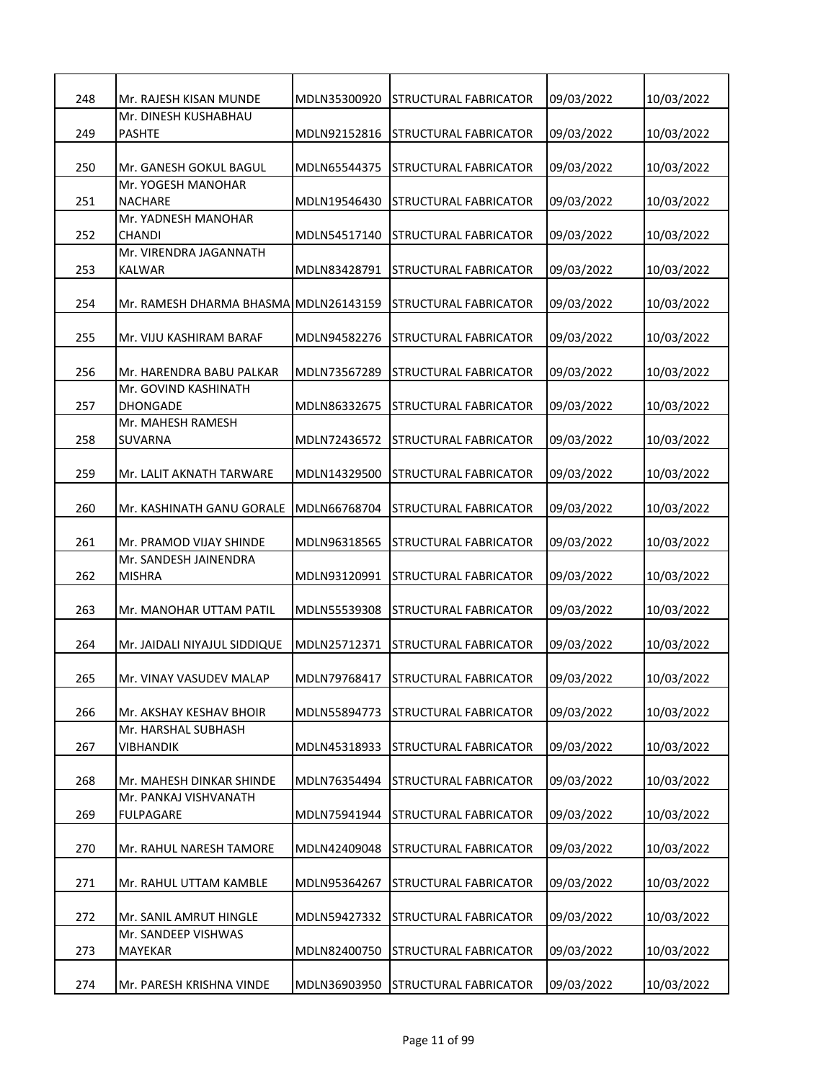| 248 | Mr. RAJESH KISAN MUNDE                | MDLN35300920 | <b>STRUCTURAL FABRICATOR</b>       | 09/03/2022 | 10/03/2022 |
|-----|---------------------------------------|--------------|------------------------------------|------------|------------|
|     | Mr. DINESH KUSHABHAU                  |              |                                    |            |            |
| 249 | <b>PASHTE</b>                         | MDLN92152816 | STRUCTURAL FABRICATOR              | 09/03/2022 | 10/03/2022 |
|     |                                       |              |                                    |            |            |
| 250 | Mr. GANESH GOKUL BAGUL                | MDLN65544375 | <b>STRUCTURAL FABRICATOR</b>       | 09/03/2022 | 10/03/2022 |
|     | Mr. YOGESH MANOHAR                    |              |                                    |            |            |
| 251 | <b>NACHARE</b>                        | MDLN19546430 | STRUCTURAL FABRICATOR              | 09/03/2022 | 10/03/2022 |
|     | Mr. YADNESH MANOHAR                   |              |                                    |            |            |
| 252 | CHANDI                                | MDLN54517140 | STRUCTURAL FABRICATOR              | 09/03/2022 | 10/03/2022 |
|     | Mr. VIRENDRA JAGANNATH                |              |                                    |            |            |
|     |                                       |              |                                    |            |            |
| 253 | KALWAR                                | MDLN83428791 | STRUCTURAL FABRICATOR              | 09/03/2022 | 10/03/2022 |
|     |                                       |              |                                    |            |            |
| 254 | Mr. RAMESH DHARMA BHASMA MDLN26143159 |              | STRUCTURAL FABRICATOR              | 09/03/2022 | 10/03/2022 |
|     |                                       |              |                                    |            |            |
| 255 | Mr. VIJU KASHIRAM BARAF               | MDLN94582276 | STRUCTURAL FABRICATOR              | 09/03/2022 | 10/03/2022 |
|     |                                       |              |                                    |            |            |
| 256 | Mr. HARENDRA BABU PALKAR              | MDLN73567289 | STRUCTURAL FABRICATOR              | 09/03/2022 | 10/03/2022 |
|     | Mr. GOVIND KASHINATH                  |              |                                    |            |            |
| 257 | <b>DHONGADE</b>                       | MDLN86332675 | STRUCTURAL FABRICATOR              | 09/03/2022 | 10/03/2022 |
|     | Mr. MAHESH RAMESH                     |              |                                    |            |            |
| 258 | SUVARNA                               | MDLN72436572 | STRUCTURAL FABRICATOR              | 09/03/2022 | 10/03/2022 |
|     |                                       |              |                                    |            |            |
| 259 | Mr. LALIT AKNATH TARWARE              | MDLN14329500 | STRUCTURAL FABRICATOR              | 09/03/2022 | 10/03/2022 |
|     |                                       |              |                                    |            |            |
| 260 | Mr. KASHINATH GANU GORALE             | MDLN66768704 | <b>STRUCTURAL FABRICATOR</b>       | 09/03/2022 | 10/03/2022 |
|     |                                       |              |                                    |            |            |
| 261 | Mr. PRAMOD VIJAY SHINDE               | MDLN96318565 | STRUCTURAL FABRICATOR              | 09/03/2022 | 10/03/2022 |
|     | Mr. SANDESH JAINENDRA                 |              |                                    |            |            |
| 262 | <b>MISHRA</b>                         | MDLN93120991 | STRUCTURAL FABRICATOR              | 09/03/2022 | 10/03/2022 |
|     |                                       |              |                                    |            |            |
| 263 | Mr. MANOHAR UTTAM PATIL               | MDLN55539308 | STRUCTURAL FABRICATOR              | 09/03/2022 | 10/03/2022 |
|     |                                       |              |                                    |            |            |
| 264 | Mr. JAIDALI NIYAJUL SIDDIQUE          | MDLN25712371 | <b>STRUCTURAL FABRICATOR</b>       | 09/03/2022 | 10/03/2022 |
|     |                                       |              |                                    |            |            |
|     |                                       |              |                                    |            |            |
| 265 | Mr. VINAY VASUDEV MALAP               |              | MDLN79768417 STRUCTURAL FABRICATOR | 09/03/2022 | 10/03/2022 |
|     |                                       |              |                                    |            |            |
| 266 | Mr. AKSHAY KESHAV BHOIR               | MDLN55894773 | STRUCTURAL FABRICATOR              | 09/03/2022 | 10/03/2022 |
|     | Mr. HARSHAL SUBHASH                   |              |                                    |            |            |
| 267 | <b>VIBHANDIK</b>                      | MDLN45318933 | <b>STRUCTURAL FABRICATOR</b>       | 09/03/2022 | 10/03/2022 |
|     |                                       |              |                                    |            |            |
| 268 | Mr. MAHESH DINKAR SHINDE              | MDLN76354494 | STRUCTURAL FABRICATOR              | 09/03/2022 | 10/03/2022 |
|     | Mr. PANKAJ VISHVANATH                 |              |                                    |            |            |
| 269 | <b>FULPAGARE</b>                      | MDLN75941944 | STRUCTURAL FABRICATOR              | 09/03/2022 | 10/03/2022 |
|     |                                       |              |                                    |            |            |
| 270 | Mr. RAHUL NARESH TAMORE               | MDLN42409048 | STRUCTURAL FABRICATOR              | 09/03/2022 | 10/03/2022 |
|     |                                       |              |                                    |            |            |
| 271 | Mr. RAHUL UTTAM KAMBLE                | MDLN95364267 | STRUCTURAL FABRICATOR              | 09/03/2022 | 10/03/2022 |
|     |                                       |              |                                    |            |            |
| 272 | Mr. SANIL AMRUT HINGLE                | MDLN59427332 | STRUCTURAL FABRICATOR              | 09/03/2022 | 10/03/2022 |
|     | Mr. SANDEEP VISHWAS                   |              |                                    |            |            |
| 273 | MAYEKAR                               | MDLN82400750 | <b>STRUCTURAL FABRICATOR</b>       | 09/03/2022 | 10/03/2022 |
|     |                                       |              |                                    |            |            |
| 274 | Mr. PARESH KRISHNA VINDE              | MDLN36903950 | STRUCTURAL FABRICATOR              | 09/03/2022 | 10/03/2022 |
|     |                                       |              |                                    |            |            |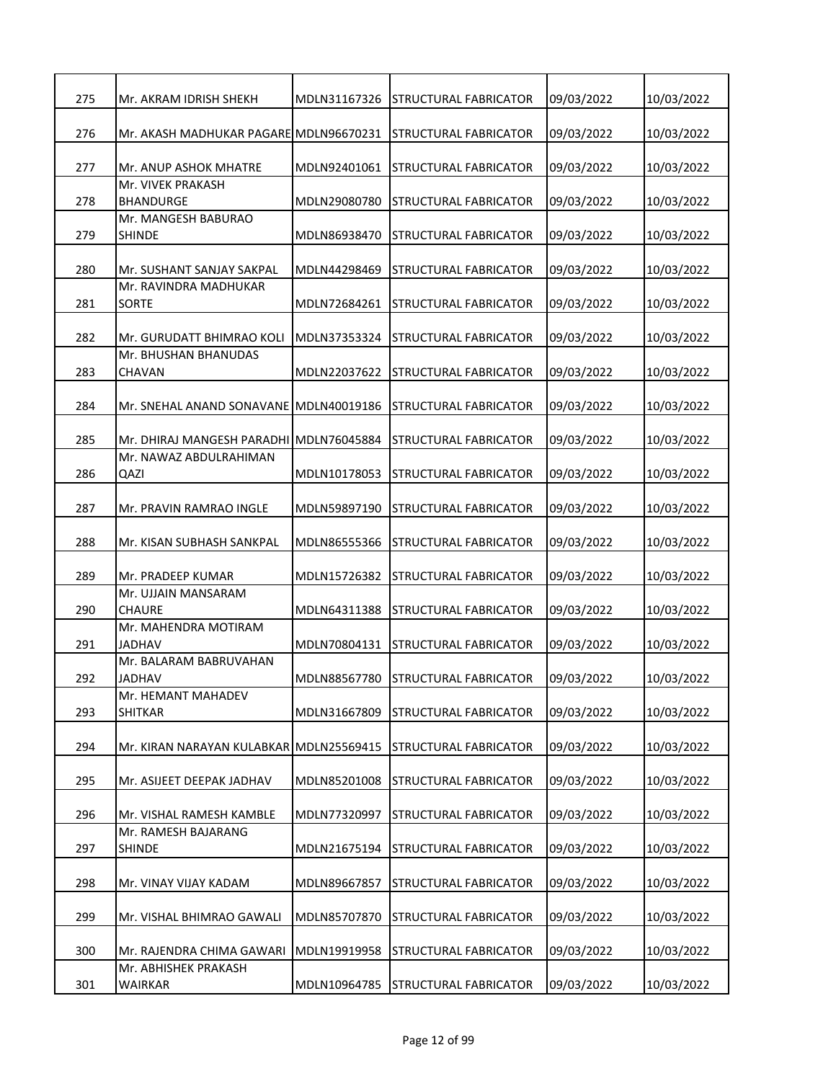| 275 | Mr. AKRAM IDRISH SHEKH                                            | MDLN31167326 | <b>STRUCTURAL FABRICATOR</b>  | 09/03/2022 | 10/03/2022 |
|-----|-------------------------------------------------------------------|--------------|-------------------------------|------------|------------|
|     |                                                                   |              |                               |            |            |
| 276 | Mr. AKASH MADHUKAR PAGARE MDLN96670231                            |              | <b>STRUCTURAL FABRICATOR</b>  | 09/03/2022 | 10/03/2022 |
| 277 | Mr. ANUP ASHOK MHATRE                                             | MDLN92401061 | <b>STRUCTURAL FABRICATOR</b>  | 09/03/2022 | 10/03/2022 |
| 278 | Mr. VIVEK PRAKASH<br>BHANDURGE                                    | MDLN29080780 | STRUCTURAL FABRICATOR         | 09/03/2022 | 10/03/2022 |
|     | Mr. MANGESH BABURAO                                               |              |                               |            |            |
| 279 | <b>SHINDE</b>                                                     | MDLN86938470 | STRUCTURAL FABRICATOR         | 09/03/2022 | 10/03/2022 |
| 280 | Mr. SUSHANT SANJAY SAKPAL                                         | MDLN44298469 | <b>STRUCTURAL FABRICATOR</b>  | 09/03/2022 | 10/03/2022 |
|     | Mr. RAVINDRA MADHUKAR                                             |              |                               |            |            |
| 281 | <b>SORTE</b>                                                      | MDLN72684261 | STRUCTURAL FABRICATOR         | 09/03/2022 | 10/03/2022 |
| 282 | Mr. GURUDATT BHIMRAO KOLI                                         | MDLN37353324 | <b>STRUCTURAL FABRICATOR</b>  | 09/03/2022 | 10/03/2022 |
|     | Mr. BHUSHAN BHANUDAS                                              |              |                               |            |            |
| 283 | <b>CHAVAN</b>                                                     | MDLN22037622 | STRUCTURAL FABRICATOR         | 09/03/2022 | 10/03/2022 |
|     |                                                                   |              |                               |            |            |
| 284 | Mr. SNEHAL ANAND SONAVANE MDLN40019186                            |              | STRUCTURAL FABRICATOR         | 09/03/2022 | 10/03/2022 |
|     |                                                                   |              |                               |            |            |
| 285 | Mr. DHIRAJ MANGESH PARADHI MDLN76045884<br>Mr. NAWAZ ABDULRAHIMAN |              | STRUCTURAL FABRICATOR         | 09/03/2022 | 10/03/2022 |
| 286 |                                                                   |              |                               |            |            |
|     | QAZI                                                              | MDLN10178053 | STRUCTURAL FABRICATOR         | 09/03/2022 | 10/03/2022 |
| 287 | Mr. PRAVIN RAMRAO INGLE                                           | MDLN59897190 | <b>STRUCTURAL FABRICATOR</b>  | 09/03/2022 | 10/03/2022 |
| 288 | Mr. KISAN SUBHASH SANKPAL                                         | MDLN86555366 | ISTRUCTURAL FABRICATOR        | 09/03/2022 | 10/03/2022 |
|     |                                                                   |              |                               |            |            |
| 289 | Mr. PRADEEP KUMAR                                                 | MDLN15726382 | STRUCTURAL FABRICATOR         | 09/03/2022 | 10/03/2022 |
|     | Mr. UJJAIN MANSARAM                                               |              |                               |            |            |
| 290 | CHAURE                                                            | MDLN64311388 | <b>STRUCTURAL FABRICATOR</b>  | 09/03/2022 | 10/03/2022 |
|     | Mr. MAHENDRA MOTIRAM                                              |              |                               |            |            |
| 291 | JADHAV                                                            | MDLN70804131 | <b>STRUCTURAL FABRICATOR</b>  | 09/03/2022 | 10/03/2022 |
|     | Mr. BALARAM BABRUVAHAN                                            |              |                               |            |            |
| 292 | <b>JADHAV</b>                                                     | MDLN88567780 | <b>ISTRUCTURAL FABRICATOR</b> | 09/03/2022 | 10/03/2022 |
|     | Mr. HEMANT MAHADEV                                                |              |                               |            |            |
| 293 | <b>SHITKAR</b>                                                    | MDLN31667809 | STRUCTURAL FABRICATOR         | 09/03/2022 | 10/03/2022 |
|     |                                                                   |              |                               |            |            |
| 294 | Mr. KIRAN NARAYAN KULABKAR MDLN25569415                           |              | <b>STRUCTURAL FABRICATOR</b>  | 09/03/2022 | 10/03/2022 |
|     |                                                                   |              |                               |            |            |
| 295 | Mr. ASIJEET DEEPAK JADHAV                                         | MDLN85201008 | STRUCTURAL FABRICATOR         | 09/03/2022 | 10/03/2022 |
| 296 | Mr. VISHAL RAMESH KAMBLE                                          | MDLN77320997 | <b>STRUCTURAL FABRICATOR</b>  |            |            |
|     | Mr. RAMESH BAJARANG                                               |              |                               | 09/03/2022 | 10/03/2022 |
| 297 | <b>SHINDE</b>                                                     | MDLN21675194 | <b>STRUCTURAL FABRICATOR</b>  | 09/03/2022 | 10/03/2022 |
|     |                                                                   |              |                               |            |            |
| 298 | Mr. VINAY VIJAY KADAM                                             | MDLN89667857 | STRUCTURAL FABRICATOR         | 09/03/2022 | 10/03/2022 |
| 299 | Mr. VISHAL BHIMRAO GAWALI                                         | MDLN85707870 | STRUCTURAL FABRICATOR         | 09/03/2022 | 10/03/2022 |
|     |                                                                   |              |                               |            |            |
| 300 | Mr. RAJENDRA CHIMA GAWARI                                         | MDLN19919958 | <b>STRUCTURAL FABRICATOR</b>  | 09/03/2022 | 10/03/2022 |
|     | Mr. ABHISHEK PRAKASH                                              |              |                               |            |            |
| 301 | WAIRKAR                                                           | MDLN10964785 | <b>STRUCTURAL FABRICATOR</b>  | 09/03/2022 | 10/03/2022 |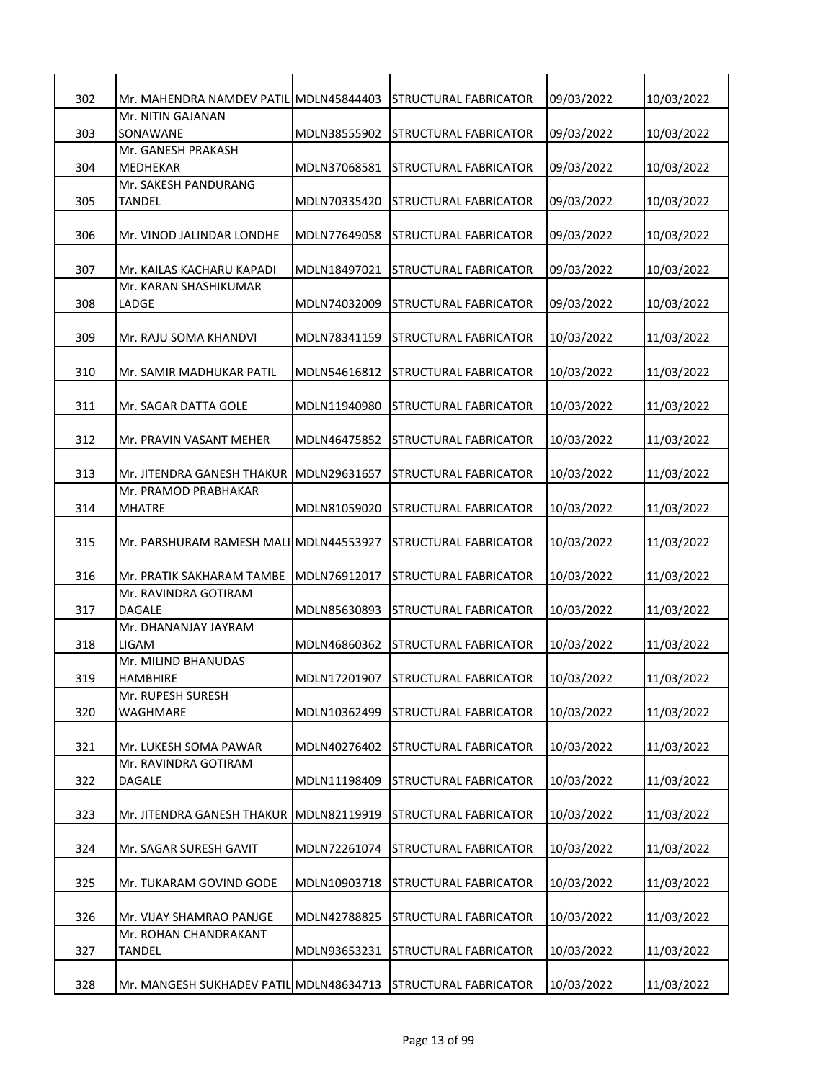| 302 | Mr. MAHENDRA NAMDEV PATIL               | MDLN45844403 | <b>STRUCTURAL FABRICATOR</b> | 09/03/2022 | 10/03/2022 |
|-----|-----------------------------------------|--------------|------------------------------|------------|------------|
| 303 | Mr. NITIN GAJANAN<br>SONAWANE           | MDLN38555902 | STRUCTURAL FABRICATOR        | 09/03/2022 | 10/03/2022 |
|     | Mr. GANESH PRAKASH                      |              |                              |            |            |
| 304 | MEDHEKAR<br>Mr. SAKESH PANDURANG        | MDLN37068581 | STRUCTURAL FABRICATOR        | 09/03/2022 | 10/03/2022 |
| 305 | TANDEL                                  | MDLN70335420 | STRUCTURAL FABRICATOR        | 09/03/2022 | 10/03/2022 |
| 306 | Mr. VINOD JALINDAR LONDHE               | MDLN77649058 | STRUCTURAL FABRICATOR        | 09/03/2022 | 10/03/2022 |
| 307 | Mr. KAILAS KACHARU KAPADI               | MDLN18497021 | STRUCTURAL FABRICATOR        | 09/03/2022 | 10/03/2022 |
| 308 | Mr. KARAN SHASHIKUMAR<br>LADGE          | MDLN74032009 | <b>STRUCTURAL FABRICATOR</b> | 09/03/2022 | 10/03/2022 |
| 309 | Mr. RAJU SOMA KHANDVI                   | MDLN78341159 | <b>STRUCTURAL FABRICATOR</b> | 10/03/2022 | 11/03/2022 |
| 310 | Mr. SAMIR MADHUKAR PATIL                | MDLN54616812 | STRUCTURAL FABRICATOR        | 10/03/2022 | 11/03/2022 |
| 311 | Mr. SAGAR DATTA GOLE                    | MDLN11940980 | STRUCTURAL FABRICATOR        | 10/03/2022 | 11/03/2022 |
| 312 | Mr. PRAVIN VASANT MEHER                 | MDLN46475852 | STRUCTURAL FABRICATOR        | 10/03/2022 | 11/03/2022 |
| 313 | Mr. JITENDRA GANESH THAKUR              | MDLN29631657 | <b>STRUCTURAL FABRICATOR</b> | 10/03/2022 | 11/03/2022 |
| 314 | Mr. PRAMOD PRABHAKAR<br><b>MHATRE</b>   | MDLN81059020 | <b>STRUCTURAL FABRICATOR</b> | 10/03/2022 | 11/03/2022 |
| 315 | Mr. PARSHURAM RAMESH MALI MDLN44553927  |              | STRUCTURAL FABRICATOR        | 10/03/2022 | 11/03/2022 |
| 316 | Mr. PRATIK SAKHARAM TAMBE               | MDLN76912017 | <b>STRUCTURAL FABRICATOR</b> | 10/03/2022 | 11/03/2022 |
| 317 | Mr. RAVINDRA GOTIRAM<br>DAGALE          | MDLN85630893 | STRUCTURAL FABRICATOR        | 10/03/2022 | 11/03/2022 |
| 318 | Mr. DHANANJAY JAYRAM<br>LIGAM           | MDLN46860362 | STRUCTURAL FABRICATOR        | 10/03/2022 | 11/03/2022 |
| 319 | Mr. MILIND BHANUDAS<br><b>HAMBHIRE</b>  | MDLN17201907 | <b>STRUCTURAL FABRICATOR</b> | 10/03/2022 | 11/03/2022 |
| 320 | Mr. RUPESH SURESH<br>WAGHMARE           | MDLN10362499 | STRUCTURAL FABRICATOR        | 10/03/2022 | 11/03/2022 |
| 321 | Mr. LUKESH SOMA PAWAR                   | MDLN40276402 | STRUCTURAL FABRICATOR        | 10/03/2022 | 11/03/2022 |
| 322 | Mr. RAVINDRA GOTIRAM<br>DAGALE          | MDLN11198409 | STRUCTURAL FABRICATOR        | 10/03/2022 | 11/03/2022 |
| 323 | Mr. JITENDRA GANESH THAKUR              | MDLN82119919 | STRUCTURAL FABRICATOR        | 10/03/2022 | 11/03/2022 |
| 324 | Mr. SAGAR SURESH GAVIT                  | MDLN72261074 | <b>STRUCTURAL FABRICATOR</b> | 10/03/2022 | 11/03/2022 |
| 325 | Mr. TUKARAM GOVIND GODE                 | MDLN10903718 | STRUCTURAL FABRICATOR        | 10/03/2022 | 11/03/2022 |
| 326 | Mr. VIJAY SHAMRAO PANJGE                | MDLN42788825 | STRUCTURAL FABRICATOR        | 10/03/2022 | 11/03/2022 |
| 327 | Mr. ROHAN CHANDRAKANT<br><b>TANDEL</b>  | MDLN93653231 | STRUCTURAL FABRICATOR        | 10/03/2022 | 11/03/2022 |
| 328 | Mr. MANGESH SUKHADEV PATIL MDLN48634713 |              | <b>STRUCTURAL FABRICATOR</b> | 10/03/2022 | 11/03/2022 |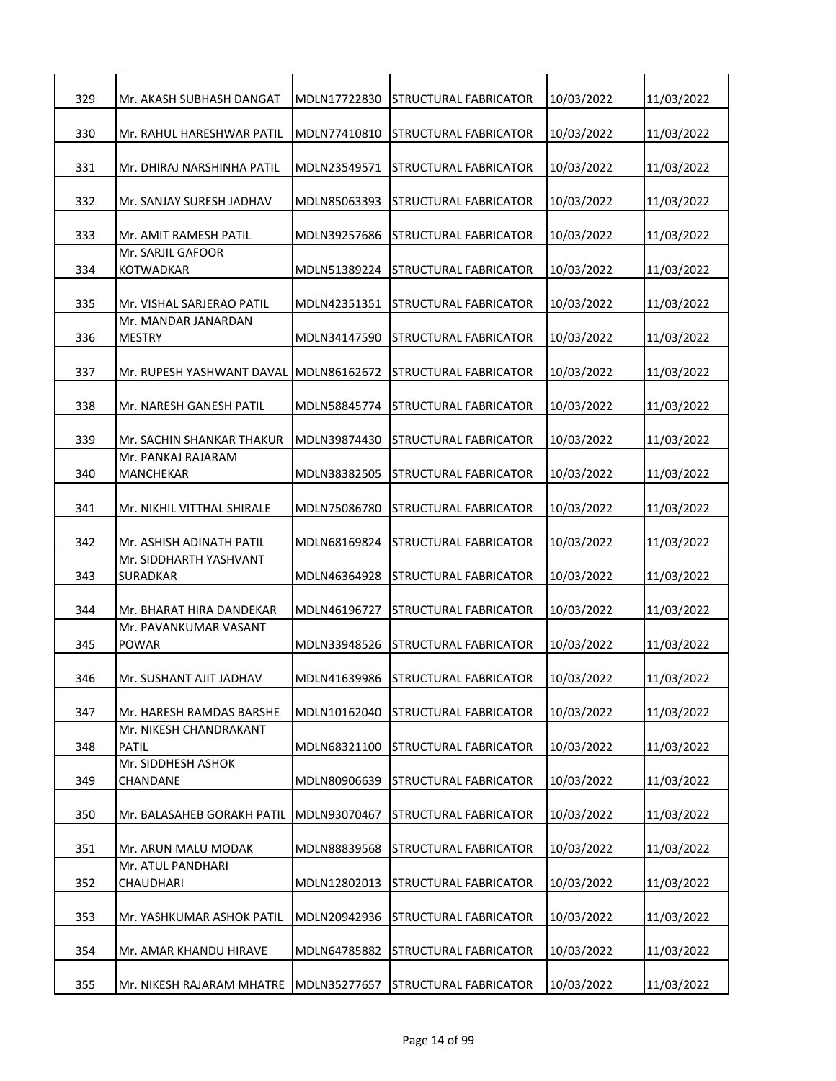| 329 | Mr. AKASH SUBHASH DANGAT                  | MDLN17722830 | <b>STRUCTURAL FABRICATOR</b>       | 10/03/2022 | 11/03/2022 |
|-----|-------------------------------------------|--------------|------------------------------------|------------|------------|
| 330 | Mr. RAHUL HARESHWAR PATIL                 | MDLN77410810 | <b>STRUCTURAL FABRICATOR</b>       | 10/03/2022 | 11/03/2022 |
| 331 | Mr. DHIRAJ NARSHINHA PATIL                | MDLN23549571 | <b>STRUCTURAL FABRICATOR</b>       | 10/03/2022 | 11/03/2022 |
| 332 | Mr. SANJAY SURESH JADHAV                  | MDLN85063393 | STRUCTURAL FABRICATOR              | 10/03/2022 | 11/03/2022 |
| 333 | Mr. AMIT RAMESH PATIL                     | MDLN39257686 | STRUCTURAL FABRICATOR              | 10/03/2022 | 11/03/2022 |
| 334 | Mr. SARJIL GAFOOR<br>KOTWADKAR            | MDLN51389224 | STRUCTURAL FABRICATOR              | 10/03/2022 | 11/03/2022 |
| 335 | Mr. VISHAL SARJERAO PATIL                 | MDLN42351351 | STRUCTURAL FABRICATOR              | 10/03/2022 | 11/03/2022 |
| 336 | Mr. MANDAR JANARDAN<br><b>MESTRY</b>      | MDLN34147590 | STRUCTURAL FABRICATOR              | 10/03/2022 | 11/03/2022 |
| 337 | Mr. RUPESH YASHWANT DAVAL                 | MDLN86162672 | STRUCTURAL FABRICATOR              | 10/03/2022 | 11/03/2022 |
| 338 | Mr. NARESH GANESH PATIL                   | MDLN58845774 | <b>STRUCTURAL FABRICATOR</b>       | 10/03/2022 | 11/03/2022 |
| 339 | Mr. SACHIN SHANKAR THAKUR                 | MDLN39874430 | STRUCTURAL FABRICATOR              | 10/03/2022 | 11/03/2022 |
| 340 | Mr. PANKAJ RAJARAM<br>MANCHEKAR           | MDLN38382505 | STRUCTURAL FABRICATOR              | 10/03/2022 | 11/03/2022 |
| 341 | Mr. NIKHIL VITTHAL SHIRALE                | MDLN75086780 | STRUCTURAL FABRICATOR              | 10/03/2022 | 11/03/2022 |
| 342 | Mr. ASHISH ADINATH PATIL                  | MDLN68169824 | STRUCTURAL FABRICATOR              | 10/03/2022 | 11/03/2022 |
| 343 | Mr. SIDDHARTH YASHVANT<br><b>SURADKAR</b> | MDLN46364928 | STRUCTURAL FABRICATOR              | 10/03/2022 | 11/03/2022 |
| 344 | Mr. BHARAT HIRA DANDEKAR                  | MDLN46196727 | STRUCTURAL FABRICATOR              | 10/03/2022 | 11/03/2022 |
| 345 | Mr. PAVANKUMAR VASANT<br><b>POWAR</b>     | MDLN33948526 | STRUCTURAL FABRICATOR              | 10/03/2022 | 11/03/2022 |
| 346 | Mr. SUSHANT AJIT JADHAV                   |              | MDLN41639986 STRUCTURAL FABRICATOR | 10/03/2022 | 11/03/2022 |
| 347 | Mr. HARESH RAMDAS BARSHE                  | MDLN10162040 | STRUCTURAL FABRICATOR              | 10/03/2022 | 11/03/2022 |
| 348 | Mr. NIKESH CHANDRAKANT<br><b>PATIL</b>    | MDLN68321100 | STRUCTURAL FABRICATOR              | 10/03/2022 | 11/03/2022 |
| 349 | Mr. SIDDHESH ASHOK<br>CHANDANE            | MDLN80906639 | STRUCTURAL FABRICATOR              | 10/03/2022 | 11/03/2022 |
| 350 | Mr. BALASAHEB GORAKH PATIL                | MDLN93070467 | STRUCTURAL FABRICATOR              | 10/03/2022 | 11/03/2022 |
| 351 | Mr. ARUN MALU MODAK                       | MDLN88839568 | <b>STRUCTURAL FABRICATOR</b>       | 10/03/2022 | 11/03/2022 |
| 352 | Mr. ATUL PANDHARI<br>CHAUDHARI            | MDLN12802013 | STRUCTURAL FABRICATOR              | 10/03/2022 | 11/03/2022 |
| 353 | Mr. YASHKUMAR ASHOK PATIL                 | MDLN20942936 | STRUCTURAL FABRICATOR              | 10/03/2022 | 11/03/2022 |
| 354 | Mr. AMAR KHANDU HIRAVE                    | MDLN64785882 | STRUCTURAL FABRICATOR              | 10/03/2022 | 11/03/2022 |
| 355 | Mr. NIKESH RAJARAM MHATRE                 | MDLN35277657 | STRUCTURAL FABRICATOR              | 10/03/2022 | 11/03/2022 |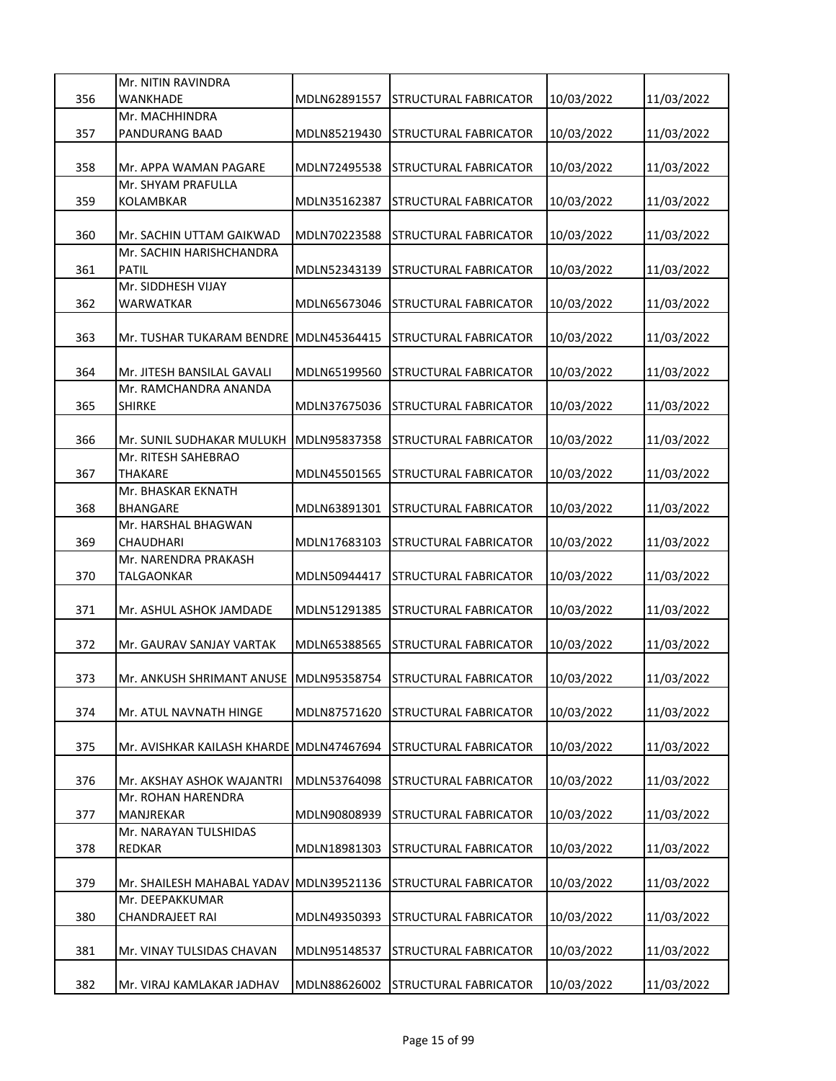|     | Mr. NITIN RAVINDRA                                           |              |                              |            |            |
|-----|--------------------------------------------------------------|--------------|------------------------------|------------|------------|
| 356 | WANKHADE                                                     | MDLN62891557 | STRUCTURAL FABRICATOR        | 10/03/2022 | 11/03/2022 |
| 357 | Mr. MACHHINDRA<br>PANDURANG BAAD                             | MDLN85219430 | <b>STRUCTURAL FABRICATOR</b> | 10/03/2022 | 11/03/2022 |
|     |                                                              |              |                              |            |            |
| 358 | Mr. APPA WAMAN PAGARE                                        | MDLN72495538 | STRUCTURAL FABRICATOR        | 10/03/2022 | 11/03/2022 |
|     | Mr. SHYAM PRAFULLA                                           |              |                              |            |            |
| 359 | KOLAMBKAR                                                    | MDLN35162387 | STRUCTURAL FABRICATOR        | 10/03/2022 | 11/03/2022 |
|     |                                                              |              |                              |            |            |
| 360 | Mr. SACHIN UTTAM GAIKWAD                                     | MDLN70223588 | STRUCTURAL FABRICATOR        | 10/03/2022 | 11/03/2022 |
| 361 | Mr. SACHIN HARISHCHANDRA<br>PATIL                            | MDLN52343139 | STRUCTURAL FABRICATOR        | 10/03/2022 | 11/03/2022 |
|     | Mr. SIDDHESH VIJAY                                           |              |                              |            |            |
| 362 | WARWATKAR                                                    | MDLN65673046 | STRUCTURAL FABRICATOR        | 10/03/2022 | 11/03/2022 |
|     |                                                              |              |                              |            |            |
| 363 | Mr. TUSHAR TUKARAM BENDRE MDLN45364415                       |              | <b>STRUCTURAL FABRICATOR</b> | 10/03/2022 | 11/03/2022 |
|     |                                                              |              |                              |            |            |
| 364 | Mr. JITESH BANSILAL GAVALI<br>Mr. RAMCHANDRA ANANDA          | MDLN65199560 | STRUCTURAL FABRICATOR        | 10/03/2022 | 11/03/2022 |
| 365 | <b>SHIRKE</b>                                                | MDLN37675036 | STRUCTURAL FABRICATOR        | 10/03/2022 | 11/03/2022 |
|     |                                                              |              |                              |            |            |
| 366 | Mr. SUNIL SUDHAKAR MULUKH                                    | MDLN95837358 | STRUCTURAL FABRICATOR        | 10/03/2022 | 11/03/2022 |
|     | Mr. RITESH SAHEBRAO                                          |              |                              |            |            |
| 367 | THAKARE                                                      | MDLN45501565 | STRUCTURAL FABRICATOR        | 10/03/2022 | 11/03/2022 |
|     | Mr. BHASKAR EKNATH                                           |              |                              |            |            |
| 368 | <b>BHANGARE</b><br>Mr. HARSHAL BHAGWAN                       | MDLN63891301 | <b>STRUCTURAL FABRICATOR</b> | 10/03/2022 | 11/03/2022 |
| 369 | <b>CHAUDHARI</b>                                             | MDLN17683103 | <b>STRUCTURAL FABRICATOR</b> | 10/03/2022 | 11/03/2022 |
|     | Mr. NARENDRA PRAKASH                                         |              |                              |            |            |
| 370 | TALGAONKAR                                                   | MDLN50944417 | STRUCTURAL FABRICATOR        | 10/03/2022 | 11/03/2022 |
|     |                                                              |              |                              |            |            |
| 371 | Mr. ASHUL ASHOK JAMDADE                                      | MDLN51291385 | STRUCTURAL FABRICATOR        | 10/03/2022 | 11/03/2022 |
| 372 | Mr. GAURAV SANJAY VARTAK                                     | MDLN65388565 | STRUCTURAL FABRICATOR        | 10/03/2022 | 11/03/2022 |
|     |                                                              |              |                              |            |            |
| 373 | Mr. ANKUSH SHRIMANT ANUSE MDLN95358754 STRUCTURAL FABRICATOR |              |                              | 10/03/2022 | 11/03/2022 |
|     |                                                              |              |                              |            |            |
| 374 | Mr. ATUL NAVNATH HINGE                                       | MDLN87571620 | STRUCTURAL FABRICATOR        | 10/03/2022 | 11/03/2022 |
|     |                                                              |              |                              |            |            |
| 375 | Mr. AVISHKAR KAILASH KHARDE MDLN47467694                     |              | STRUCTURAL FABRICATOR        | 10/03/2022 | 11/03/2022 |
| 376 | Mr. AKSHAY ASHOK WAJANTRI                                    | MDLN53764098 | STRUCTURAL FABRICATOR        | 10/03/2022 | 11/03/2022 |
|     | Mr. ROHAN HARENDRA                                           |              |                              |            |            |
| 377 | MANJREKAR                                                    | MDLN90808939 | STRUCTURAL FABRICATOR        | 10/03/2022 | 11/03/2022 |
|     | Mr. NARAYAN TULSHIDAS                                        |              |                              |            |            |
| 378 | <b>REDKAR</b>                                                | MDLN18981303 | STRUCTURAL FABRICATOR        | 10/03/2022 | 11/03/2022 |
| 379 | Mr. SHAILESH MAHABAL YADAV MDLN39521136                      |              | STRUCTURAL FABRICATOR        | 10/03/2022 | 11/03/2022 |
|     | Mr. DEEPAKKUMAR                                              |              |                              |            |            |
| 380 | CHANDRAJEET RAI                                              | MDLN49350393 | STRUCTURAL FABRICATOR        | 10/03/2022 | 11/03/2022 |
|     |                                                              |              |                              |            |            |
| 381 | Mr. VINAY TULSIDAS CHAVAN                                    | MDLN95148537 | STRUCTURAL FABRICATOR        | 10/03/2022 | 11/03/2022 |
|     |                                                              |              |                              |            |            |
| 382 | Mr. VIRAJ KAMLAKAR JADHAV                                    | MDLN88626002 | STRUCTURAL FABRICATOR        | 10/03/2022 | 11/03/2022 |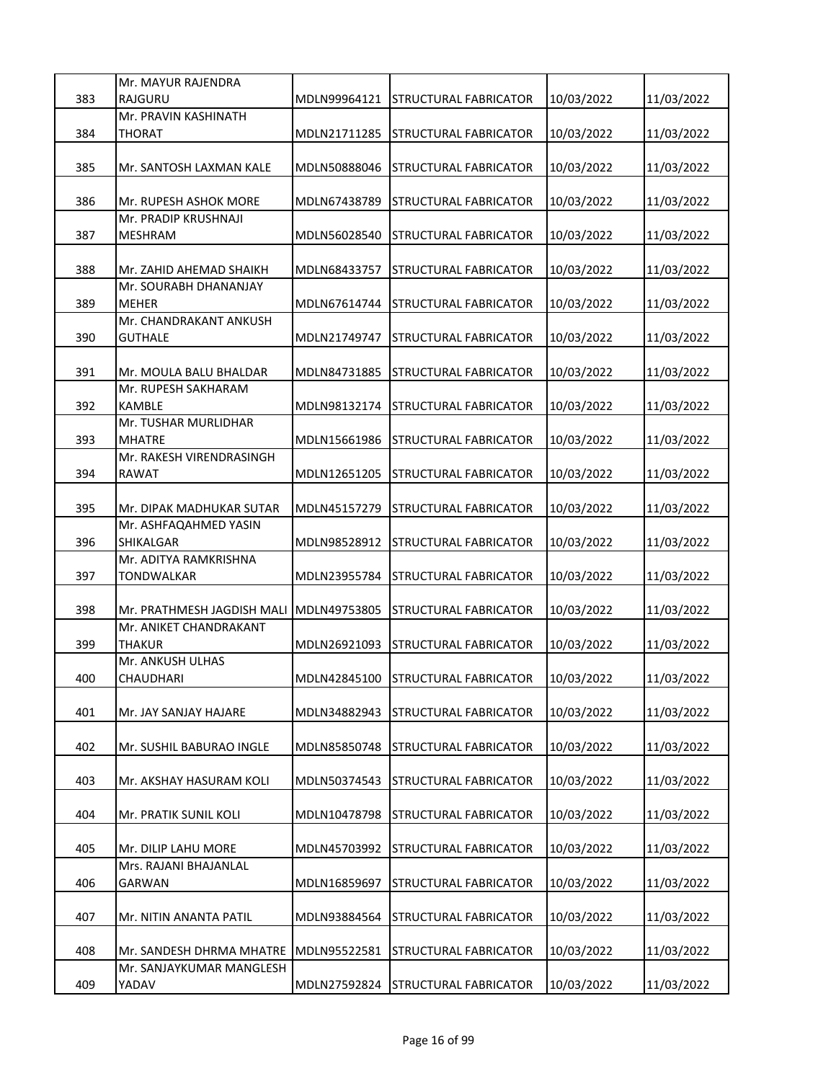|     | Mr. MAYUR RAJENDRA                            |              |                                    |            |            |
|-----|-----------------------------------------------|--------------|------------------------------------|------------|------------|
| 383 | RAJGURU                                       | MDLN99964121 | <b>STRUCTURAL FABRICATOR</b>       | 10/03/2022 | 11/03/2022 |
|     | Mr. PRAVIN KASHINATH                          |              |                                    |            |            |
| 384 | THORAT                                        | MDLN21711285 | <b>STRUCTURAL FABRICATOR</b>       | 10/03/2022 | 11/03/2022 |
|     |                                               | MDLN50888046 |                                    |            |            |
| 385 | Mr. SANTOSH LAXMAN KALE                       |              | STRUCTURAL FABRICATOR              | 10/03/2022 | 11/03/2022 |
| 386 | Mr. RUPESH ASHOK MORE                         | MDLN67438789 | STRUCTURAL FABRICATOR              | 10/03/2022 | 11/03/2022 |
|     | Mr. PRADIP KRUSHNAJI                          |              |                                    |            |            |
| 387 | <b>MESHRAM</b>                                | MDLN56028540 | STRUCTURAL FABRICATOR              | 10/03/2022 | 11/03/2022 |
|     |                                               |              |                                    |            |            |
| 388 | Mr. ZAHID AHEMAD SHAIKH                       | MDLN68433757 | STRUCTURAL FABRICATOR              | 10/03/2022 | 11/03/2022 |
|     | Mr. SOURABH DHANANJAY                         |              |                                    |            |            |
| 389 | <b>MEHER</b>                                  | MDLN67614744 | <b>STRUCTURAL FABRICATOR</b>       | 10/03/2022 | 11/03/2022 |
|     | Mr. CHANDRAKANT ANKUSH                        |              |                                    |            |            |
| 390 | <b>GUTHALE</b>                                | MDLN21749747 | <b>STRUCTURAL FABRICATOR</b>       | 10/03/2022 | 11/03/2022 |
|     |                                               |              |                                    |            |            |
| 391 | Mr. MOULA BALU BHALDAR<br>Mr. RUPESH SAKHARAM | MDLN84731885 | STRUCTURAL FABRICATOR              | 10/03/2022 | 11/03/2022 |
| 392 | <b>KAMBLE</b>                                 | MDLN98132174 | <b>STRUCTURAL FABRICATOR</b>       | 10/03/2022 | 11/03/2022 |
|     | Mr. TUSHAR MURLIDHAR                          |              |                                    |            |            |
| 393 | MHATRE                                        | MDLN15661986 | STRUCTURAL FABRICATOR              | 10/03/2022 | 11/03/2022 |
|     | Mr. RAKESH VIRENDRASINGH                      |              |                                    |            |            |
| 394 | RAWAT                                         | MDLN12651205 | STRUCTURAL FABRICATOR              | 10/03/2022 | 11/03/2022 |
|     |                                               |              |                                    |            |            |
| 395 | Mr. DIPAK MADHUKAR SUTAR                      | MDLN45157279 | <b>STRUCTURAL FABRICATOR</b>       | 10/03/2022 | 11/03/2022 |
|     | Mr. ASHFAQAHMED YASIN                         |              |                                    |            |            |
| 396 | SHIKALGAR                                     | MDLN98528912 | <b>STRUCTURAL FABRICATOR</b>       | 10/03/2022 | 11/03/2022 |
|     | Mr. ADITYA RAMKRISHNA                         |              |                                    |            |            |
| 397 | <b>TONDWALKAR</b>                             | MDLN23955784 | STRUCTURAL FABRICATOR              | 10/03/2022 | 11/03/2022 |
| 398 | Mr. PRATHMESH JAGDISH MALI                    | MDLN49753805 | STRUCTURAL FABRICATOR              | 10/03/2022 | 11/03/2022 |
|     | Mr. ANIKET CHANDRAKANT                        |              |                                    |            |            |
| 399 | THAKUR                                        | MDLN26921093 | STRUCTURAL FABRICATOR              | 10/03/2022 | 11/03/2022 |
|     | Mr. ANKUSH ULHAS                              |              |                                    |            |            |
| 400 | CHAUDHARI                                     |              | MDLN42845100 STRUCTURAL FABRICATOR | 10/03/2022 | 11/03/2022 |
|     |                                               |              |                                    |            |            |
| 401 | Mr. JAY SANJAY HAJARE                         | MDLN34882943 | STRUCTURAL FABRICATOR              | 10/03/2022 | 11/03/2022 |
|     |                                               |              |                                    |            |            |
| 402 | Mr. SUSHIL BABURAO INGLE                      | MDLN85850748 | STRUCTURAL FABRICATOR              | 10/03/2022 | 11/03/2022 |
|     |                                               |              |                                    |            |            |
| 403 | Mr. AKSHAY HASURAM KOLI                       | MDLN50374543 | STRUCTURAL FABRICATOR              | 10/03/2022 | 11/03/2022 |
| 404 | Mr. PRATIK SUNIL KOLI                         | MDLN10478798 | STRUCTURAL FABRICATOR              | 10/03/2022 | 11/03/2022 |
|     |                                               |              |                                    |            |            |
| 405 | Mr. DILIP LAHU MORE                           | MDLN45703992 | STRUCTURAL FABRICATOR              | 10/03/2022 | 11/03/2022 |
|     | Mrs. RAJANI BHAJANLAL                         |              |                                    |            |            |
| 406 | GARWAN                                        | MDLN16859697 | STRUCTURAL FABRICATOR              | 10/03/2022 | 11/03/2022 |
|     |                                               |              |                                    |            |            |
| 407 | Mr. NITIN ANANTA PATIL                        | MDLN93884564 | STRUCTURAL FABRICATOR              | 10/03/2022 | 11/03/2022 |
|     |                                               |              |                                    |            |            |
| 408 | Mr. SANDESH DHRMA MHATRE                      | MDLN95522581 | STRUCTURAL FABRICATOR              | 10/03/2022 | 11/03/2022 |
|     | Mr. SANJAYKUMAR MANGLESH                      |              |                                    |            |            |
| 409 | YADAV                                         | MDLN27592824 | <b>STRUCTURAL FABRICATOR</b>       | 10/03/2022 | 11/03/2022 |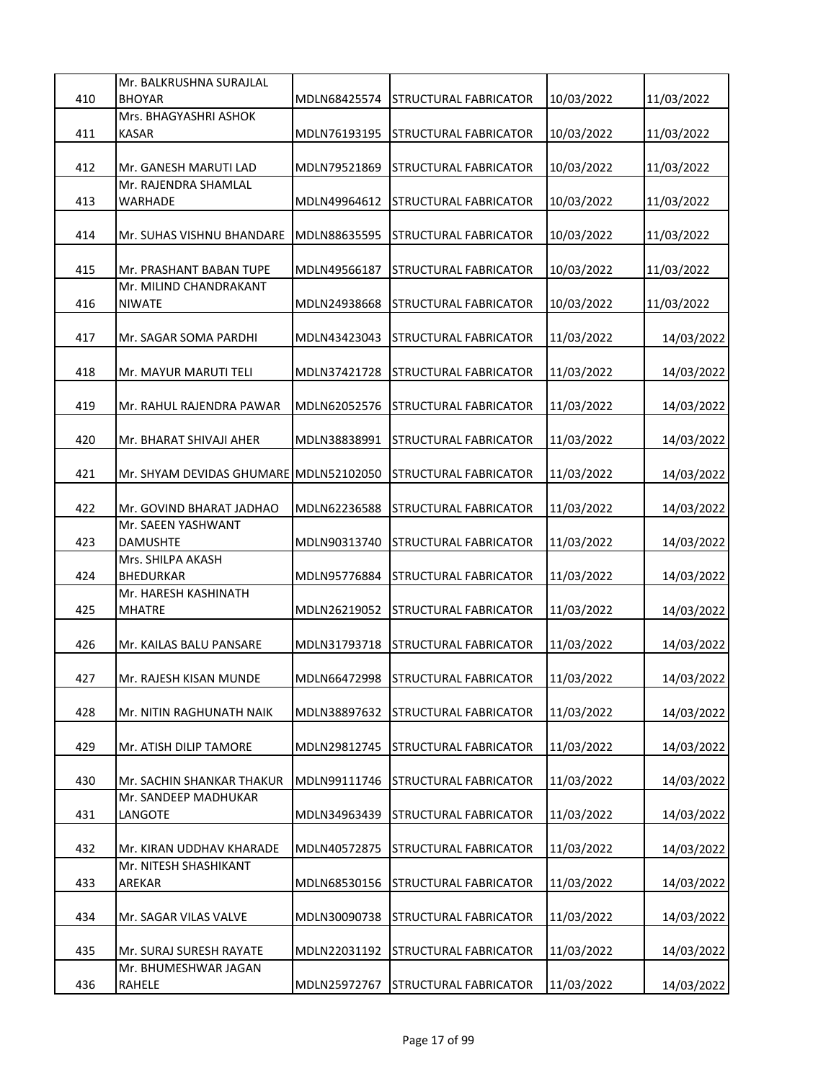|     | Mr. BALKRUSHNA SURAJLAL                       |              |                                    |            |            |
|-----|-----------------------------------------------|--------------|------------------------------------|------------|------------|
| 410 | <b>BHOYAR</b>                                 | MDLN68425574 | <b>STRUCTURAL FABRICATOR</b>       | 10/03/2022 | 11/03/2022 |
|     | Mrs. BHAGYASHRI ASHOK                         |              |                                    |            |            |
| 411 | <b>KASAR</b>                                  | MDLN76193195 | STRUCTURAL FABRICATOR              | 10/03/2022 | 11/03/2022 |
|     |                                               |              |                                    |            |            |
| 412 | Mr. GANESH MARUTI LAD<br>Mr. RAJENDRA SHAMLAL | MDLN79521869 | <b>STRUCTURAL FABRICATOR</b>       | 10/03/2022 | 11/03/2022 |
| 413 | WARHADE                                       | MDLN49964612 | <b>STRUCTURAL FABRICATOR</b>       | 10/03/2022 | 11/03/2022 |
|     |                                               |              |                                    |            |            |
| 414 | Mr. SUHAS VISHNU BHANDARE                     | MDLN88635595 | <b>STRUCTURAL FABRICATOR</b>       | 10/03/2022 | 11/03/2022 |
|     |                                               |              |                                    |            |            |
| 415 | Mr. PRASHANT BABAN TUPE                       | MDLN49566187 | <b>STRUCTURAL FABRICATOR</b>       | 10/03/2022 | 11/03/2022 |
|     | Mr. MILIND CHANDRAKANT                        |              |                                    |            |            |
| 416 | <b>NIWATE</b>                                 | MDLN24938668 | <b>STRUCTURAL FABRICATOR</b>       | 10/03/2022 | 11/03/2022 |
|     |                                               |              |                                    |            |            |
| 417 | Mr. SAGAR SOMA PARDHI                         | MDLN43423043 | STRUCTURAL FABRICATOR              | 11/03/2022 | 14/03/2022 |
|     |                                               |              |                                    |            |            |
| 418 | Mr. MAYUR MARUTI TELI                         | MDLN37421728 | STRUCTURAL FABRICATOR              | 11/03/2022 | 14/03/2022 |
|     |                                               |              |                                    |            |            |
| 419 | Mr. RAHUL RAJENDRA PAWAR                      | MDLN62052576 | <b>STRUCTURAL FABRICATOR</b>       | 11/03/2022 | 14/03/2022 |
|     |                                               |              |                                    |            |            |
| 420 | Mr. BHARAT SHIVAJI AHER                       | MDLN38838991 | STRUCTURAL FABRICATOR              | 11/03/2022 | 14/03/2022 |
|     |                                               |              |                                    |            |            |
| 421 | Mr. SHYAM DEVIDAS GHUMARE MDLN52102050        |              | STRUCTURAL FABRICATOR              | 11/03/2022 | 14/03/2022 |
|     |                                               |              |                                    |            |            |
| 422 | Mr. GOVIND BHARAT JADHAO                      | MDLN62236588 | <b>STRUCTURAL FABRICATOR</b>       | 11/03/2022 | 14/03/2022 |
| 423 | Mr. SAEEN YASHWANT<br><b>DAMUSHTE</b>         | MDLN90313740 | <b>STRUCTURAL FABRICATOR</b>       |            |            |
|     | Mrs. SHILPA AKASH                             |              |                                    | 11/03/2022 | 14/03/2022 |
| 424 | <b>BHEDURKAR</b>                              | MDLN95776884 | STRUCTURAL FABRICATOR              | 11/03/2022 | 14/03/2022 |
|     | Mr. HARESH KASHINATH                          |              |                                    |            |            |
| 425 | <b>MHATRE</b>                                 | MDLN26219052 | <b>STRUCTURAL FABRICATOR</b>       | 11/03/2022 | 14/03/2022 |
|     |                                               |              |                                    |            |            |
| 426 | Mr. KAILAS BALU PANSARE                       | MDLN31793718 | STRUCTURAL FABRICATOR              | 11/03/2022 | 14/03/2022 |
|     |                                               |              |                                    |            |            |
| 427 | Mr. RAJESH KISAN MUNDE                        |              | MDLN66472998 STRUCTURAL FABRICATOR | 11/03/2022 | 14/03/2022 |
|     |                                               |              |                                    |            |            |
| 428 | Mr. NITIN RAGHUNATH NAIK                      | MDLN38897632 | <b>STRUCTURAL FABRICATOR</b>       | 11/03/2022 | 14/03/2022 |
|     |                                               |              |                                    |            |            |
| 429 | Mr. ATISH DILIP TAMORE                        | MDLN29812745 | <b>STRUCTURAL FABRICATOR</b>       | 11/03/2022 | 14/03/2022 |
|     |                                               |              |                                    |            |            |
| 430 | Mr. SACHIN SHANKAR THAKUR                     | MDLN99111746 | STRUCTURAL FABRICATOR              | 11/03/2022 | 14/03/2022 |
|     | Mr. SANDEEP MADHUKAR                          |              |                                    |            |            |
| 431 | LANGOTE                                       | MDLN34963439 | STRUCTURAL FABRICATOR              | 11/03/2022 | 14/03/2022 |
|     |                                               |              |                                    |            |            |
| 432 | Mr. KIRAN UDDHAV KHARADE                      | MDLN40572875 | STRUCTURAL FABRICATOR              | 11/03/2022 | 14/03/2022 |
|     | Mr. NITESH SHASHIKANT                         |              |                                    |            |            |
| 433 | AREKAR                                        | MDLN68530156 | STRUCTURAL FABRICATOR              | 11/03/2022 | 14/03/2022 |
| 434 | Mr. SAGAR VILAS VALVE                         | MDLN30090738 | <b>STRUCTURAL FABRICATOR</b>       | 11/03/2022 | 14/03/2022 |
|     |                                               |              |                                    |            |            |
| 435 | Mr. SURAJ SURESH RAYATE                       | MDLN22031192 | <b>STRUCTURAL FABRICATOR</b>       | 11/03/2022 | 14/03/2022 |
|     | Mr. BHUMESHWAR JAGAN                          |              |                                    |            |            |
| 436 | RAHELE                                        | MDLN25972767 | STRUCTURAL FABRICATOR              | 11/03/2022 | 14/03/2022 |
|     |                                               |              |                                    |            |            |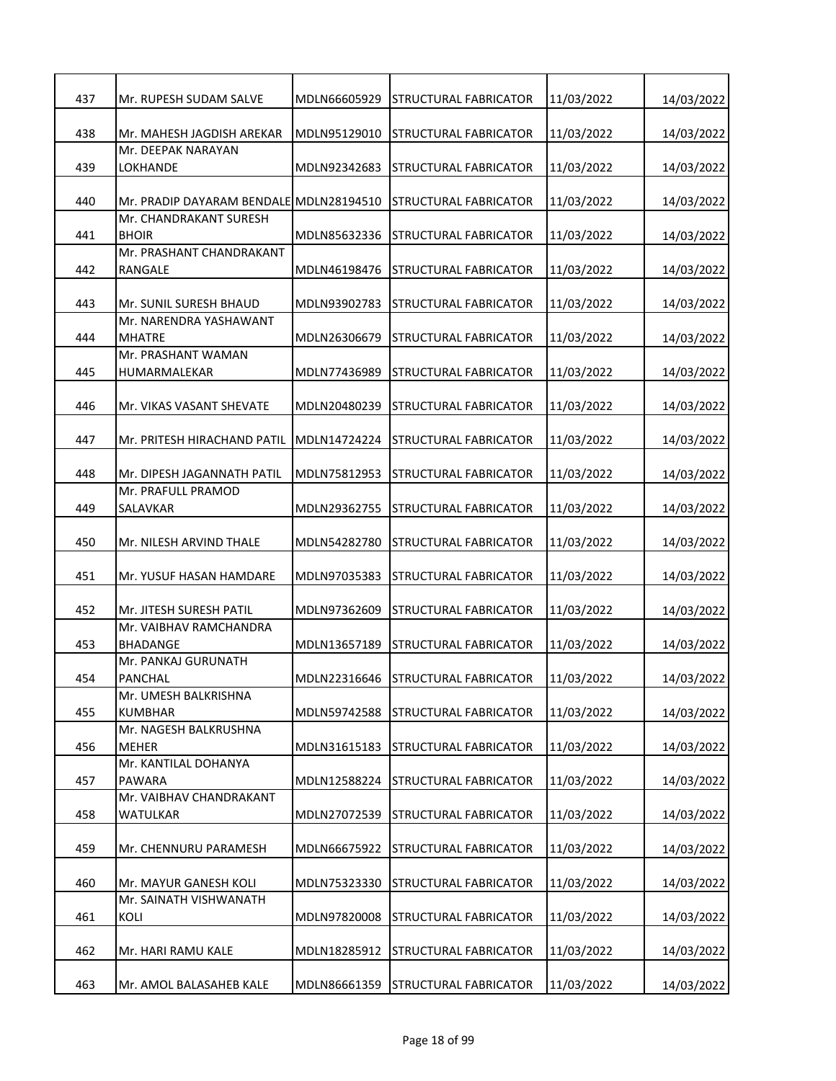| 437 | Mr. RUPESH SUDAM SALVE                            | MDLN66605929 | <b>STRUCTURAL FABRICATOR</b>       | 11/03/2022 | 14/03/2022 |
|-----|---------------------------------------------------|--------------|------------------------------------|------------|------------|
| 438 | Mr. MAHESH JAGDISH AREKAR                         | MDLN95129010 | <b>STRUCTURAL FABRICATOR</b>       | 11/03/2022 | 14/03/2022 |
|     | Mr. DEEPAK NARAYAN                                |              |                                    |            |            |
| 439 | LOKHANDE                                          | MDLN92342683 | STRUCTURAL FABRICATOR              | 11/03/2022 | 14/03/2022 |
| 440 | Mr. PRADIP DAYARAM BENDALE MDLN28194510           |              | <b>STRUCTURAL FABRICATOR</b>       | 11/03/2022 | 14/03/2022 |
|     | Mr. CHANDRAKANT SURESH                            | MDLN85632336 |                                    |            |            |
| 441 | <b>BHOIR</b><br>Mr. PRASHANT CHANDRAKANT          |              | STRUCTURAL FABRICATOR              | 11/03/2022 | 14/03/2022 |
| 442 | <b>RANGALE</b>                                    | MDLN46198476 | STRUCTURAL FABRICATOR              | 11/03/2022 | 14/03/2022 |
| 443 | Mr. SUNIL SURESH BHAUD                            | MDLN93902783 | STRUCTURAL FABRICATOR              | 11/03/2022 | 14/03/2022 |
| 444 | Mr. NARENDRA YASHAWANT<br><b>MHATRE</b>           | MDLN26306679 | <b>STRUCTURAL FABRICATOR</b>       | 11/03/2022 | 14/03/2022 |
| 445 | Mr. PRASHANT WAMAN<br>HUMARMALEKAR                | MDLN77436989 | STRUCTURAL FABRICATOR              | 11/03/2022 | 14/03/2022 |
| 446 | Mr. VIKAS VASANT SHEVATE                          | MDLN20480239 | STRUCTURAL FABRICATOR              | 11/03/2022 | 14/03/2022 |
| 447 | Mr. PRITESH HIRACHAND PATIL                       | MDLN14724224 | STRUCTURAL FABRICATOR              | 11/03/2022 | 14/03/2022 |
| 448 | Mr. DIPESH JAGANNATH PATIL                        | MDLN75812953 | STRUCTURAL FABRICATOR              | 11/03/2022 | 14/03/2022 |
| 449 | Mr. PRAFULL PRAMOD<br>SALAVKAR                    | MDLN29362755 | STRUCTURAL FABRICATOR              | 11/03/2022 | 14/03/2022 |
| 450 | Mr. NILESH ARVIND THALE                           | MDLN54282780 | <b>STRUCTURAL FABRICATOR</b>       | 11/03/2022 | 14/03/2022 |
| 451 | Mr. YUSUF HASAN HAMDARE                           | MDLN97035383 | STRUCTURAL FABRICATOR              | 11/03/2022 | 14/03/2022 |
| 452 | Mr. JITESH SURESH PATIL<br>Mr. VAIBHAV RAMCHANDRA | MDLN97362609 | STRUCTURAL FABRICATOR              | 11/03/2022 | 14/03/2022 |
| 453 | BHADANGE                                          | MDLN13657189 | STRUCTURAL FABRICATOR              | 11/03/2022 | 14/03/2022 |
| 454 | Mr. PANKAJ GURUNATH<br><b>PANCHAL</b>             |              |                                    |            | 14/03/2022 |
|     | Mr. UMESH BALKRISHNA                              |              | MDLN22316646 STRUCTURAL FABRICATOR | 11/03/2022 |            |
| 455 | <b>KUMBHAR</b>                                    | MDLN59742588 | STRUCTURAL FABRICATOR              | 11/03/2022 | 14/03/2022 |
|     | Mr. NAGESH BALKRUSHNA                             |              |                                    |            |            |
| 456 | <b>MEHER</b>                                      | MDLN31615183 | STRUCTURAL FABRICATOR              | 11/03/2022 | 14/03/2022 |
| 457 | Mr. KANTILAL DOHANYA<br><b>PAWARA</b>             | MDLN12588224 | STRUCTURAL FABRICATOR              | 11/03/2022 | 14/03/2022 |
|     | Mr. VAIBHAV CHANDRAKANT                           |              |                                    |            |            |
| 458 | WATULKAR                                          | MDLN27072539 | STRUCTURAL FABRICATOR              | 11/03/2022 | 14/03/2022 |
| 459 | Mr. CHENNURU PARAMESH                             | MDLN66675922 | <b>STRUCTURAL FABRICATOR</b>       | 11/03/2022 | 14/03/2022 |
| 460 | Mr. MAYUR GANESH KOLI                             | MDLN75323330 | <b>STRUCTURAL FABRICATOR</b>       | 11/03/2022 | 14/03/2022 |
| 461 | Mr. SAINATH VISHWANATH<br>KOLI                    | MDLN97820008 | STRUCTURAL FABRICATOR              | 11/03/2022 | 14/03/2022 |
| 462 | Mr. HARI RAMU KALE                                | MDLN18285912 | STRUCTURAL FABRICATOR              | 11/03/2022 | 14/03/2022 |
| 463 | Mr. AMOL BALASAHEB KALE                           | MDLN86661359 | <b>STRUCTURAL FABRICATOR</b>       | 11/03/2022 | 14/03/2022 |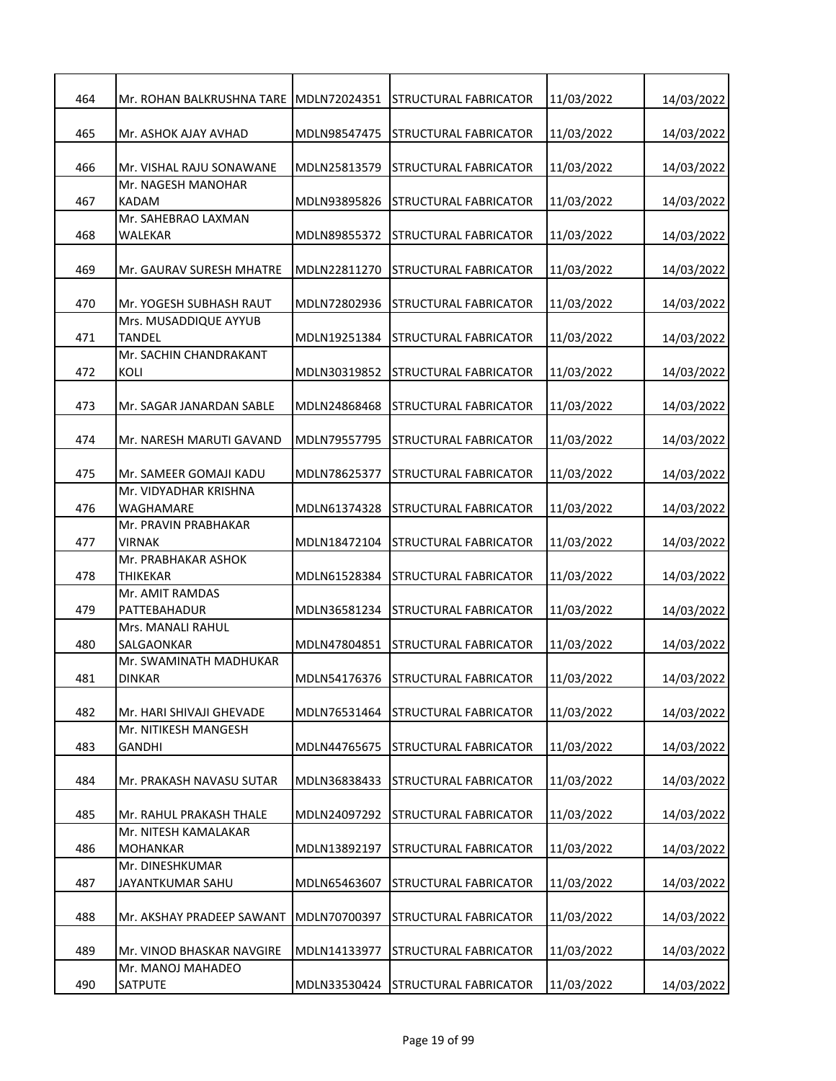| 464 | Mr. ROHAN BALKRUSHNA TARE MDLN72024351  |              | <b>STRUCTURAL FABRICATOR</b>       | 11/03/2022 | 14/03/2022 |
|-----|-----------------------------------------|--------------|------------------------------------|------------|------------|
| 465 | Mr. ASHOK AJAY AVHAD                    | MDLN98547475 | <b>STRUCTURAL FABRICATOR</b>       | 11/03/2022 | 14/03/2022 |
| 466 | Mr. VISHAL RAJU SONAWANE                | MDLN25813579 | STRUCTURAL FABRICATOR              | 11/03/2022 | 14/03/2022 |
| 467 | Mr. NAGESH MANOHAR<br>KADAM             | MDLN93895826 | STRUCTURAL FABRICATOR              | 11/03/2022 | 14/03/2022 |
|     | Mr. SAHEBRAO LAXMAN                     |              |                                    |            |            |
| 468 | WALEKAR                                 | MDLN89855372 | STRUCTURAL FABRICATOR              | 11/03/2022 | 14/03/2022 |
| 469 | Mr. GAURAV SURESH MHATRE                | MDLN22811270 | STRUCTURAL FABRICATOR              | 11/03/2022 | 14/03/2022 |
| 470 | Mr. YOGESH SUBHASH RAUT                 | MDLN72802936 | STRUCTURAL FABRICATOR              | 11/03/2022 | 14/03/2022 |
| 471 | Mrs. MUSADDIQUE AYYUB<br><b>TANDEL</b>  | MDLN19251384 | STRUCTURAL FABRICATOR              | 11/03/2022 | 14/03/2022 |
| 472 | Mr. SACHIN CHANDRAKANT<br><b>KOLI</b>   | MDLN30319852 | STRUCTURAL FABRICATOR              | 11/03/2022 | 14/03/2022 |
| 473 | Mr. SAGAR JANARDAN SABLE                | MDLN24868468 | <b>STRUCTURAL FABRICATOR</b>       | 11/03/2022 | 14/03/2022 |
| 474 | Mr. NARESH MARUTI GAVAND                | MDLN79557795 | <b>STRUCTURAL FABRICATOR</b>       | 11/03/2022 | 14/03/2022 |
| 475 | Mr. SAMEER GOMAJI KADU                  | MDLN78625377 | STRUCTURAL FABRICATOR              | 11/03/2022 | 14/03/2022 |
| 476 | Mr. VIDYADHAR KRISHNA<br>WAGHAMARE      | MDLN61374328 | <b>STRUCTURAL FABRICATOR</b>       | 11/03/2022 | 14/03/2022 |
| 477 | Mr. PRAVIN PRABHAKAR<br><b>VIRNAK</b>   | MDLN18472104 | <b>STRUCTURAL FABRICATOR</b>       |            |            |
|     | Mr. PRABHAKAR ASHOK                     |              |                                    | 11/03/2022 | 14/03/2022 |
| 478 | <b>THIKEKAR</b>                         | MDLN61528384 | STRUCTURAL FABRICATOR              | 11/03/2022 | 14/03/2022 |
| 479 | Mr. AMIT RAMDAS<br>PATTEBAHADUR         | MDLN36581234 | STRUCTURAL FABRICATOR              | 11/03/2022 | 14/03/2022 |
| 480 | Mrs. MANALI RAHUL<br>SALGAONKAR         | MDLN47804851 | <b>STRUCTURAL FABRICATOR</b>       | 11/03/2022 | 14/03/2022 |
| 481 | Mr. SWAMINATH MADHUKAR<br><b>DINKAR</b> |              | MDLN54176376 STRUCTURAL FABRICATOR | 11/03/2022 | 14/03/2022 |
| 482 | Mr. HARI SHIVAJI GHEVADE                | MDLN76531464 | STRUCTURAL FABRICATOR              | 11/03/2022 | 14/03/2022 |
| 483 | Mr. NITIKESH MANGESH<br><b>GANDHI</b>   | MDLN44765675 | STRUCTURAL FABRICATOR              | 11/03/2022 | 14/03/2022 |
|     |                                         |              |                                    |            |            |
| 484 | Mr. PRAKASH NAVASU SUTAR                | MDLN36838433 | STRUCTURAL FABRICATOR              | 11/03/2022 | 14/03/2022 |
| 485 | Mr. RAHUL PRAKASH THALE                 | MDLN24097292 | STRUCTURAL FABRICATOR              | 11/03/2022 | 14/03/2022 |
|     | Mr. NITESH KAMALAKAR                    |              |                                    |            |            |
| 486 | <b>MOHANKAR</b>                         | MDLN13892197 | <b>STRUCTURAL FABRICATOR</b>       | 11/03/2022 | 14/03/2022 |
|     | Mr. DINESHKUMAR                         |              |                                    |            |            |
| 487 | JAYANTKUMAR SAHU                        | MDLN65463607 | STRUCTURAL FABRICATOR              | 11/03/2022 | 14/03/2022 |
| 488 | Mr. AKSHAY PRADEEP SAWANT               | MDLN70700397 | <b>STRUCTURAL FABRICATOR</b>       | 11/03/2022 | 14/03/2022 |
| 489 | Mr. VINOD BHASKAR NAVGIRE               | MDLN14133977 | <b>STRUCTURAL FABRICATOR</b>       | 11/03/2022 | 14/03/2022 |
| 490 | Mr. MANOJ MAHADEO<br><b>SATPUTE</b>     | MDLN33530424 | <b>STRUCTURAL FABRICATOR</b>       | 11/03/2022 | 14/03/2022 |
|     |                                         |              |                                    |            |            |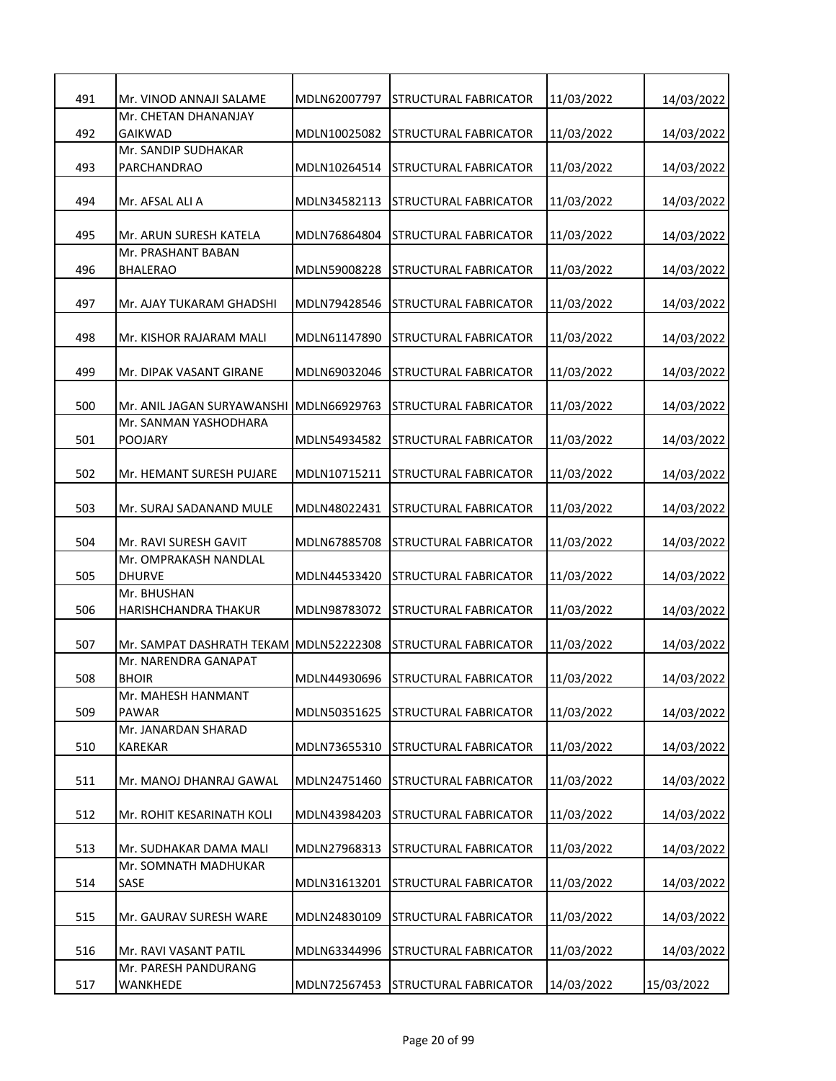| 491 | Mr. VINOD ANNAJI SALAME    | MDLN62007797 | <b>STRUCTURAL FABRICATOR</b>       | 11/03/2022 | 14/03/2022 |
|-----|----------------------------|--------------|------------------------------------|------------|------------|
|     | Mr. CHETAN DHANANJAY       |              |                                    |            |            |
| 492 | <b>GAIKWAD</b>             | MDLN10025082 | STRUCTURAL FABRICATOR              | 11/03/2022 | 14/03/2022 |
|     | Mr. SANDIP SUDHAKAR        |              |                                    |            |            |
| 493 | PARCHANDRAO                | MDLN10264514 | STRUCTURAL FABRICATOR              | 11/03/2022 | 14/03/2022 |
|     |                            |              |                                    |            |            |
| 494 | Mr. AFSAL ALI A            | MDLN34582113 | <b>STRUCTURAL FABRICATOR</b>       | 11/03/2022 | 14/03/2022 |
|     |                            |              |                                    |            |            |
| 495 | Mr. ARUN SURESH KATELA     | MDLN76864804 | STRUCTURAL FABRICATOR              | 11/03/2022 | 14/03/2022 |
|     | Mr. PRASHANT BABAN         |              |                                    |            |            |
| 496 | <b>BHALERAO</b>            | MDLN59008228 | <b>STRUCTURAL FABRICATOR</b>       | 11/03/2022 | 14/03/2022 |
|     |                            |              |                                    |            |            |
| 497 | Mr. AJAY TUKARAM GHADSHI   | MDLN79428546 | <b>STRUCTURAL FABRICATOR</b>       | 11/03/2022 | 14/03/2022 |
|     |                            |              |                                    |            |            |
| 498 | Mr. KISHOR RAJARAM MALI    | MDLN61147890 | <b>STRUCTURAL FABRICATOR</b>       | 11/03/2022 | 14/03/2022 |
|     |                            |              |                                    |            |            |
| 499 | Mr. DIPAK VASANT GIRANE    | MDLN69032046 | STRUCTURAL FABRICATOR              | 11/03/2022 | 14/03/2022 |
|     |                            |              |                                    |            |            |
|     |                            |              |                                    |            |            |
| 500 | Mr. ANIL JAGAN SURYAWANSHI | MDLN66929763 | STRUCTURAL FABRICATOR              | 11/03/2022 | 14/03/2022 |
|     | Mr. SANMAN YASHODHARA      |              |                                    |            |            |
| 501 | <b>POOJARY</b>             | MDLN54934582 | <b>STRUCTURAL FABRICATOR</b>       | 11/03/2022 | 14/03/2022 |
|     |                            |              |                                    |            |            |
| 502 | Mr. HEMANT SURESH PUJARE   | MDLN10715211 | STRUCTURAL FABRICATOR              | 11/03/2022 | 14/03/2022 |
|     |                            |              |                                    |            |            |
| 503 | Mr. SURAJ SADANAND MULE    | MDLN48022431 | <b>STRUCTURAL FABRICATOR</b>       | 11/03/2022 | 14/03/2022 |
|     |                            |              |                                    |            |            |
| 504 | Mr. RAVI SURESH GAVIT      | MDLN67885708 | <b>STRUCTURAL FABRICATOR</b>       | 11/03/2022 | 14/03/2022 |
|     | Mr. OMPRAKASH NANDLAL      |              |                                    |            |            |
|     |                            |              |                                    |            |            |
| 505 | <b>DHURVE</b>              | MDLN44533420 | STRUCTURAL FABRICATOR              | 11/03/2022 | 14/03/2022 |
|     | Mr. BHUSHAN                |              |                                    |            |            |
| 506 | HARISHCHANDRA THAKUR       | MDLN98783072 | <b>STRUCTURAL FABRICATOR</b>       | 11/03/2022 | 14/03/2022 |
|     |                            |              |                                    |            |            |
| 507 | Mr. SAMPAT DASHRATH TEKAM  | MDLN52222308 | <b>STRUCTURAL FABRICATOR</b>       | 11/03/2022 | 14/03/2022 |
|     | Mr. NARENDRA GANAPAT       |              |                                    |            |            |
| 508 | <b>BHOIR</b>               |              | MDLN44930696 STRUCTURAL FABRICATOR | 11/03/2022 | 14/03/2022 |
|     | Mr. MAHESH HANMANT         |              |                                    |            |            |
| 509 | <b>PAWAR</b>               | MDLN50351625 | STRUCTURAL FABRICATOR              | 11/03/2022 | 14/03/2022 |
|     | Mr. JANARDAN SHARAD        |              |                                    |            |            |
| 510 | KAREKAR                    | MDLN73655310 | <b>STRUCTURAL FABRICATOR</b>       | 11/03/2022 | 14/03/2022 |
|     |                            |              |                                    |            |            |
|     |                            |              |                                    |            |            |
| 511 | Mr. MANOJ DHANRAJ GAWAL    | MDLN24751460 | STRUCTURAL FABRICATOR              | 11/03/2022 | 14/03/2022 |
|     |                            |              |                                    |            |            |
| 512 | Mr. ROHIT KESARINATH KOLI  | MDLN43984203 | STRUCTURAL FABRICATOR              | 11/03/2022 | 14/03/2022 |
|     |                            |              |                                    |            |            |
| 513 | Mr. SUDHAKAR DAMA MALI     | MDLN27968313 | <b>STRUCTURAL FABRICATOR</b>       | 11/03/2022 | 14/03/2022 |
|     | Mr. SOMNATH MADHUKAR       |              |                                    |            |            |
| 514 | SASE                       | MDLN31613201 | STRUCTURAL FABRICATOR              | 11/03/2022 | 14/03/2022 |
|     |                            |              |                                    |            |            |
| 515 | Mr. GAURAV SURESH WARE     | MDLN24830109 | <b>STRUCTURAL FABRICATOR</b>       | 11/03/2022 | 14/03/2022 |
|     |                            |              |                                    |            |            |
|     |                            |              |                                    |            |            |
| 516 | Mr. RAVI VASANT PATIL      | MDLN63344996 | <b>STRUCTURAL FABRICATOR</b>       | 11/03/2022 | 14/03/2022 |
|     | Mr. PARESH PANDURANG       |              |                                    |            |            |
| 517 | WANKHEDE                   | MDLN72567453 | <b>STRUCTURAL FABRICATOR</b>       | 14/03/2022 | 15/03/2022 |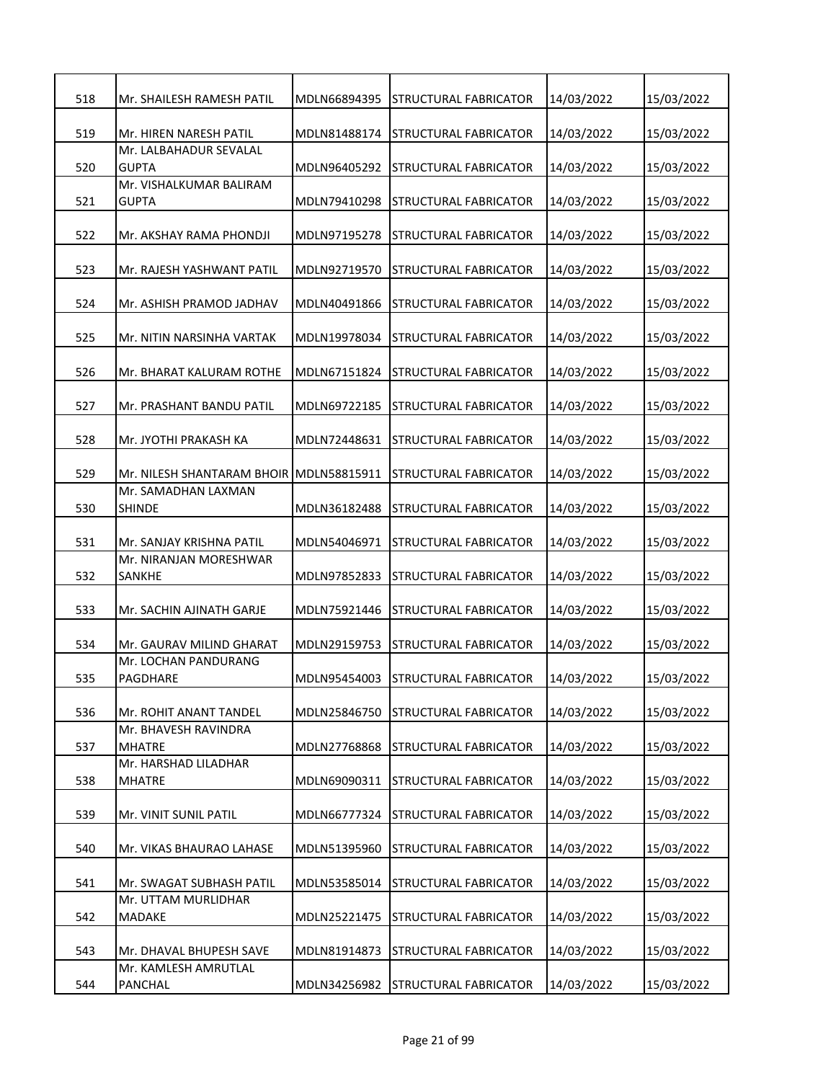| 518 | Mr. SHAILESH RAMESH PATIL               | MDLN66894395 | STRUCTURAL FABRICATOR        | 14/03/2022 | 15/03/2022 |
|-----|-----------------------------------------|--------------|------------------------------|------------|------------|
| 519 | Mr. HIREN NARESH PATIL                  | MDLN81488174 | <b>STRUCTURAL FABRICATOR</b> | 14/03/2022 | 15/03/2022 |
| 520 | Mr. LALBAHADUR SEVALAL<br><b>GUPTA</b>  | MDLN96405292 | <b>STRUCTURAL FABRICATOR</b> | 14/03/2022 | 15/03/2022 |
| 521 | Mr. VISHALKUMAR BALIRAM<br><b>GUPTA</b> | MDLN79410298 | STRUCTURAL FABRICATOR        | 14/03/2022 | 15/03/2022 |
| 522 | Mr. AKSHAY RAMA PHONDJI                 | MDLN97195278 | STRUCTURAL FABRICATOR        | 14/03/2022 | 15/03/2022 |
| 523 | Mr. RAJESH YASHWANT PATIL               | MDLN92719570 | STRUCTURAL FABRICATOR        | 14/03/2022 | 15/03/2022 |
| 524 | Mr. ASHISH PRAMOD JADHAV                | MDLN40491866 | STRUCTURAL FABRICATOR        | 14/03/2022 | 15/03/2022 |
| 525 | Mr. NITIN NARSINHA VARTAK               | MDLN19978034 | <b>STRUCTURAL FABRICATOR</b> | 14/03/2022 | 15/03/2022 |
| 526 | Mr. BHARAT KALURAM ROTHE                | MDLN67151824 | STRUCTURAL FABRICATOR        | 14/03/2022 | 15/03/2022 |
| 527 | Mr. PRASHANT BANDU PATIL                | MDLN69722185 | <b>STRUCTURAL FABRICATOR</b> | 14/03/2022 | 15/03/2022 |
| 528 | Mr. JYOTHI PRAKASH KA                   | MDLN72448631 | STRUCTURAL FABRICATOR        | 14/03/2022 | 15/03/2022 |
| 529 | Mr. NILESH SHANTARAM BHOIR MDLN58815911 |              | STRUCTURAL FABRICATOR        | 14/03/2022 | 15/03/2022 |
| 530 | Mr. SAMADHAN LAXMAN<br><b>SHINDE</b>    | MDLN36182488 | <b>STRUCTURAL FABRICATOR</b> | 14/03/2022 | 15/03/2022 |
| 531 | Mr. SANJAY KRISHNA PATIL                | MDLN54046971 | STRUCTURAL FABRICATOR        | 14/03/2022 | 15/03/2022 |
| 532 | Mr. NIRANJAN MORESHWAR<br><b>SANKHE</b> | MDLN97852833 | STRUCTURAL FABRICATOR        | 14/03/2022 | 15/03/2022 |
| 533 | Mr. SACHIN AJINATH GARJE                | MDLN75921446 | STRUCTURAL FABRICATOR        | 14/03/2022 | 15/03/2022 |
| 534 | Mr. GAURAV MILIND GHARAT                | MDLN29159753 | <b>STRUCTURAL FABRICATOR</b> | 14/03/2022 | 15/03/2022 |
| 535 | Mr. LOCHAN PANDURANG<br>PAGDHARE        | MDLN95454003 | <b>STRUCTURAL FABRICATOR</b> | 14/03/2022 | 15/03/2022 |
| 536 | Mr. ROHIT ANANT TANDEL                  | MDLN25846750 | STRUCTURAL FABRICATOR        | 14/03/2022 | 15/03/2022 |
| 537 | Mr. BHAVESH RAVINDRA<br><b>MHATRE</b>   | MDLN27768868 | <b>STRUCTURAL FABRICATOR</b> | 14/03/2022 | 15/03/2022 |
| 538 | Mr. HARSHAD LILADHAR<br><b>MHATRE</b>   | MDLN69090311 | STRUCTURAL FABRICATOR        | 14/03/2022 | 15/03/2022 |
| 539 | Mr. VINIT SUNIL PATIL                   | MDLN66777324 | <b>STRUCTURAL FABRICATOR</b> | 14/03/2022 | 15/03/2022 |
| 540 | Mr. VIKAS BHAURAO LAHASE                | MDLN51395960 | <b>STRUCTURAL FABRICATOR</b> | 14/03/2022 | 15/03/2022 |
| 541 | Mr. SWAGAT SUBHASH PATIL                | MDLN53585014 | STRUCTURAL FABRICATOR        | 14/03/2022 | 15/03/2022 |
| 542 | Mr. UTTAM MURLIDHAR<br>MADAKE           | MDLN25221475 | STRUCTURAL FABRICATOR        | 14/03/2022 | 15/03/2022 |
| 543 | Mr. DHAVAL BHUPESH SAVE                 | MDLN81914873 | STRUCTURAL FABRICATOR        | 14/03/2022 | 15/03/2022 |
| 544 | Mr. KAMLESH AMRUTLAL<br>PANCHAL         | MDLN34256982 | STRUCTURAL FABRICATOR        | 14/03/2022 | 15/03/2022 |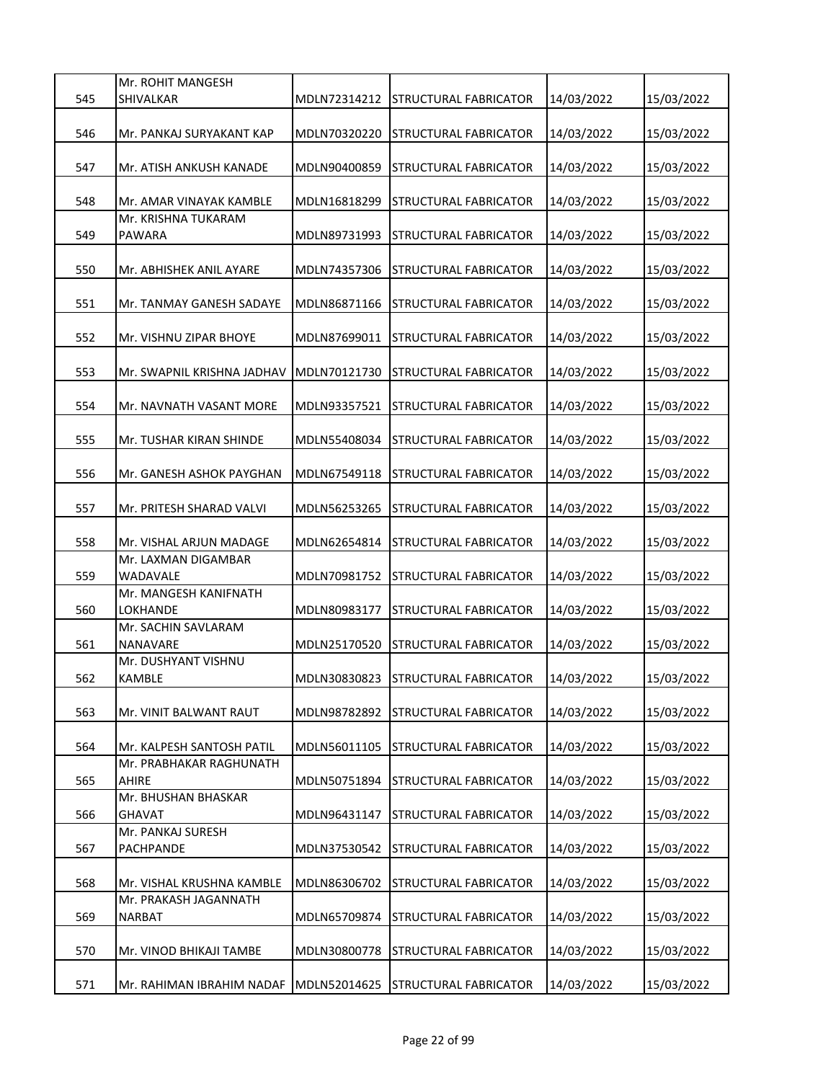|     | Mr. ROHIT MANGESH                              |              |                                    |            |            |
|-----|------------------------------------------------|--------------|------------------------------------|------------|------------|
| 545 | <b>SHIVALKAR</b>                               | MDLN72314212 | STRUCTURAL FABRICATOR              | 14/03/2022 | 15/03/2022 |
| 546 | Mr. PANKAJ SURYAKANT KAP                       | MDLN70320220 | STRUCTURAL FABRICATOR              | 14/03/2022 | 15/03/2022 |
|     |                                                |              |                                    |            |            |
| 547 | Mr. ATISH ANKUSH KANADE                        | MDLN90400859 | STRUCTURAL FABRICATOR              | 14/03/2022 | 15/03/2022 |
|     |                                                |              |                                    |            |            |
| 548 | Mr. AMAR VINAYAK KAMBLE<br>Mr. KRISHNA TUKARAM | MDLN16818299 | STRUCTURAL FABRICATOR              | 14/03/2022 | 15/03/2022 |
| 549 | <b>PAWARA</b>                                  | MDLN89731993 | STRUCTURAL FABRICATOR              | 14/03/2022 | 15/03/2022 |
|     |                                                |              |                                    |            |            |
| 550 | Mr. ABHISHEK ANIL AYARE                        | MDLN74357306 | STRUCTURAL FABRICATOR              | 14/03/2022 | 15/03/2022 |
|     |                                                |              |                                    |            |            |
| 551 | Mr. TANMAY GANESH SADAYE                       | MDLN86871166 | STRUCTURAL FABRICATOR              | 14/03/2022 | 15/03/2022 |
| 552 | Mr. VISHNU ZIPAR BHOYE                         | MDLN87699011 | STRUCTURAL FABRICATOR              | 14/03/2022 | 15/03/2022 |
|     |                                                |              |                                    |            |            |
| 553 | Mr. SWAPNIL KRISHNA JADHAV                     | MDLN70121730 | STRUCTURAL FABRICATOR              | 14/03/2022 | 15/03/2022 |
|     |                                                |              |                                    |            |            |
| 554 | Mr. NAVNATH VASANT MORE                        | MDLN93357521 | STRUCTURAL FABRICATOR              | 14/03/2022 | 15/03/2022 |
| 555 | Mr. TUSHAR KIRAN SHINDE                        | MDLN55408034 | STRUCTURAL FABRICATOR              | 14/03/2022 | 15/03/2022 |
|     |                                                |              |                                    |            |            |
| 556 | Mr. GANESH ASHOK PAYGHAN                       | MDLN67549118 | STRUCTURAL FABRICATOR              | 14/03/2022 | 15/03/2022 |
|     |                                                |              |                                    |            |            |
| 557 | Mr. PRITESH SHARAD VALVI                       | MDLN56253265 | STRUCTURAL FABRICATOR              | 14/03/2022 | 15/03/2022 |
| 558 | Mr. VISHAL ARJUN MADAGE                        | MDLN62654814 | STRUCTURAL FABRICATOR              | 14/03/2022 | 15/03/2022 |
|     | Mr. LAXMAN DIGAMBAR                            |              |                                    |            |            |
| 559 | WADAVALE                                       | MDLN70981752 | STRUCTURAL FABRICATOR              | 14/03/2022 | 15/03/2022 |
|     | Mr. MANGESH KANIFNATH                          |              |                                    |            |            |
| 560 | LOKHANDE<br>Mr. SACHIN SAVLARAM                | MDLN80983177 | STRUCTURAL FABRICATOR              | 14/03/2022 | 15/03/2022 |
| 561 | NANAVARE                                       | MDLN25170520 | STRUCTURAL FABRICATOR              | 14/03/2022 | 15/03/2022 |
|     | Mr. DUSHYANT VISHNU                            |              |                                    |            |            |
| 562 | KAMBLE                                         |              | MDLN30830823 STRUCTURAL FABRICATOR | 14/03/2022 | 15/03/2022 |
|     |                                                |              |                                    |            |            |
| 563 | Mr. VINIT BALWANT RAUT                         | MDLN98782892 | STRUCTURAL FABRICATOR              | 14/03/2022 | 15/03/2022 |
| 564 | Mr. KALPESH SANTOSH PATIL                      | MDLN56011105 | STRUCTURAL FABRICATOR              | 14/03/2022 | 15/03/2022 |
|     | Mr. PRABHAKAR RAGHUNATH                        |              |                                    |            |            |
| 565 | <b>AHIRE</b>                                   | MDLN50751894 | STRUCTURAL FABRICATOR              | 14/03/2022 | 15/03/2022 |
|     | Mr. BHUSHAN BHASKAR                            |              |                                    |            |            |
| 566 | <b>GHAVAT</b><br>Mr. PANKAJ SURESH             | MDLN96431147 | STRUCTURAL FABRICATOR              | 14/03/2022 | 15/03/2022 |
| 567 | PACHPANDE                                      | MDLN37530542 | STRUCTURAL FABRICATOR              | 14/03/2022 | 15/03/2022 |
|     |                                                |              |                                    |            |            |
| 568 | Mr. VISHAL KRUSHNA KAMBLE                      | MDLN86306702 | STRUCTURAL FABRICATOR              | 14/03/2022 | 15/03/2022 |
|     | Mr. PRAKASH JAGANNATH                          |              |                                    |            |            |
| 569 | <b>NARBAT</b>                                  | MDLN65709874 | STRUCTURAL FABRICATOR              | 14/03/2022 | 15/03/2022 |
| 570 | Mr. VINOD BHIKAJI TAMBE                        | MDLN30800778 | STRUCTURAL FABRICATOR              | 14/03/2022 | 15/03/2022 |
|     |                                                |              |                                    |            |            |
| 571 | Mr. RAHIMAN IBRAHIM NADAF                      | MDLN52014625 | STRUCTURAL FABRICATOR              | 14/03/2022 | 15/03/2022 |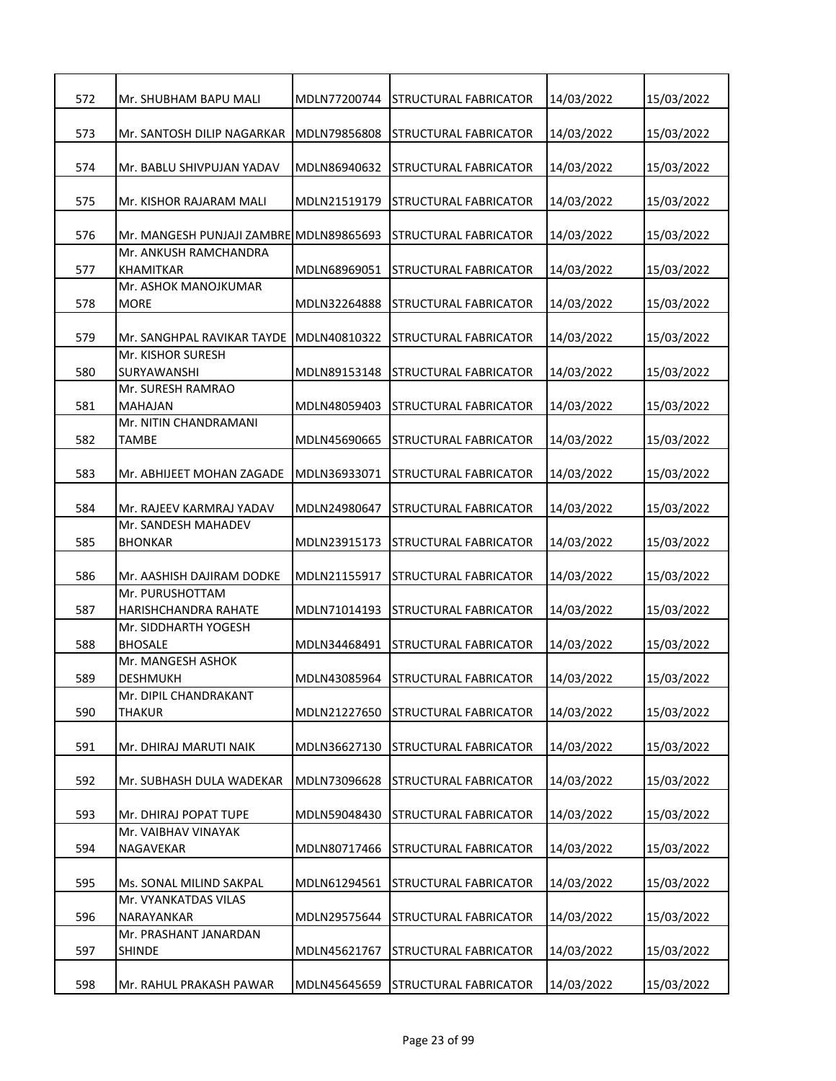| 572 | Mr. SHUBHAM BAPU MALI                     | MDLN77200744 | <b>STRUCTURAL FABRICATOR</b>       | 14/03/2022 | 15/03/2022 |
|-----|-------------------------------------------|--------------|------------------------------------|------------|------------|
| 573 | Mr. SANTOSH DILIP NAGARKAR                | MDLN79856808 | <b>STRUCTURAL FABRICATOR</b>       | 14/03/2022 | 15/03/2022 |
| 574 | Mr. BABLU SHIVPUJAN YADAV                 | MDLN86940632 | <b>STRUCTURAL FABRICATOR</b>       | 14/03/2022 | 15/03/2022 |
| 575 | Mr. KISHOR RAJARAM MALI                   | MDLN21519179 | STRUCTURAL FABRICATOR              | 14/03/2022 | 15/03/2022 |
| 576 | Mr. MANGESH PUNJAJI ZAMBRE MDLN89865693   |              | STRUCTURAL FABRICATOR              | 14/03/2022 | 15/03/2022 |
| 577 | Mr. ANKUSH RAMCHANDRA<br><b>KHAMITKAR</b> | MDLN68969051 | STRUCTURAL FABRICATOR              | 14/03/2022 | 15/03/2022 |
| 578 | Mr. ASHOK MANOJKUMAR<br><b>MORE</b>       | MDLN32264888 | STRUCTURAL FABRICATOR              | 14/03/2022 | 15/03/2022 |
| 579 | Mr. SANGHPAL RAVIKAR TAYDE                | MDLN40810322 | STRUCTURAL FABRICATOR              | 14/03/2022 | 15/03/2022 |
| 580 | Mr. KISHOR SURESH<br><b>SURYAWANSHI</b>   | MDLN89153148 | <b>STRUCTURAL FABRICATOR</b>       | 14/03/2022 | 15/03/2022 |
| 581 | Mr. SURESH RAMRAO<br><b>MAHAJAN</b>       | MDLN48059403 | STRUCTURAL FABRICATOR              | 14/03/2022 | 15/03/2022 |
| 582 | Mr. NITIN CHANDRAMANI<br>TAMBE            | MDLN45690665 | <b>STRUCTURAL FABRICATOR</b>       | 14/03/2022 | 15/03/2022 |
| 583 | Mr. ABHIJEET MOHAN ZAGADE                 | MDLN36933071 | STRUCTURAL FABRICATOR              | 14/03/2022 | 15/03/2022 |
| 584 | Mr. RAJEEV KARMRAJ YADAV                  | MDLN24980647 | STRUCTURAL FABRICATOR              | 14/03/2022 | 15/03/2022 |
| 585 | Mr. SANDESH MAHADEV<br><b>BHONKAR</b>     | MDLN23915173 | <b>STRUCTURAL FABRICATOR</b>       | 14/03/2022 | 15/03/2022 |
| 586 | Mr. AASHISH DAJIRAM DODKE                 | MDLN21155917 | <b>STRUCTURAL FABRICATOR</b>       | 14/03/2022 | 15/03/2022 |
| 587 | Mr. PURUSHOTTAM<br>HARISHCHANDRA RAHATE   | MDLN71014193 | <b>STRUCTURAL FABRICATOR</b>       | 14/03/2022 | 15/03/2022 |
| 588 | Mr. SIDDHARTH YOGESH<br><b>BHOSALE</b>    | MDLN34468491 | <b>STRUCTURAL FABRICATOR</b>       | 14/03/2022 | 15/03/2022 |
| 589 | Mr. MANGESH ASHOK<br><b>DESHMUKH</b>      |              | MDLN43085964 STRUCTURAL FABRICATOR | 14/03/2022 | 15/03/2022 |
| 590 | Mr. DIPIL CHANDRAKANT<br>THAKUR           | MDLN21227650 | STRUCTURAL FABRICATOR              | 14/03/2022 | 15/03/2022 |
| 591 | Mr. DHIRAJ MARUTI NAIK                    | MDLN36627130 | <b>STRUCTURAL FABRICATOR</b>       | 14/03/2022 | 15/03/2022 |
| 592 | Mr. SUBHASH DULA WADEKAR                  | MDLN73096628 | STRUCTURAL FABRICATOR              | 14/03/2022 | 15/03/2022 |
| 593 | Mr. DHIRAJ POPAT TUPE                     | MDLN59048430 | STRUCTURAL FABRICATOR              | 14/03/2022 | 15/03/2022 |
| 594 | Mr. VAIBHAV VINAYAK<br>NAGAVEKAR          | MDLN80717466 | <b>STRUCTURAL FABRICATOR</b>       | 14/03/2022 | 15/03/2022 |
| 595 | Ms. SONAL MILIND SAKPAL                   | MDLN61294561 | STRUCTURAL FABRICATOR              | 14/03/2022 | 15/03/2022 |
| 596 | Mr. VYANKATDAS VILAS<br>NARAYANKAR        | MDLN29575644 | STRUCTURAL FABRICATOR              | 14/03/2022 | 15/03/2022 |
| 597 | Mr. PRASHANT JANARDAN<br><b>SHINDE</b>    | MDLN45621767 | <b>STRUCTURAL FABRICATOR</b>       | 14/03/2022 | 15/03/2022 |
| 598 | Mr. RAHUL PRAKASH PAWAR                   | MDLN45645659 | <b>STRUCTURAL FABRICATOR</b>       | 14/03/2022 | 15/03/2022 |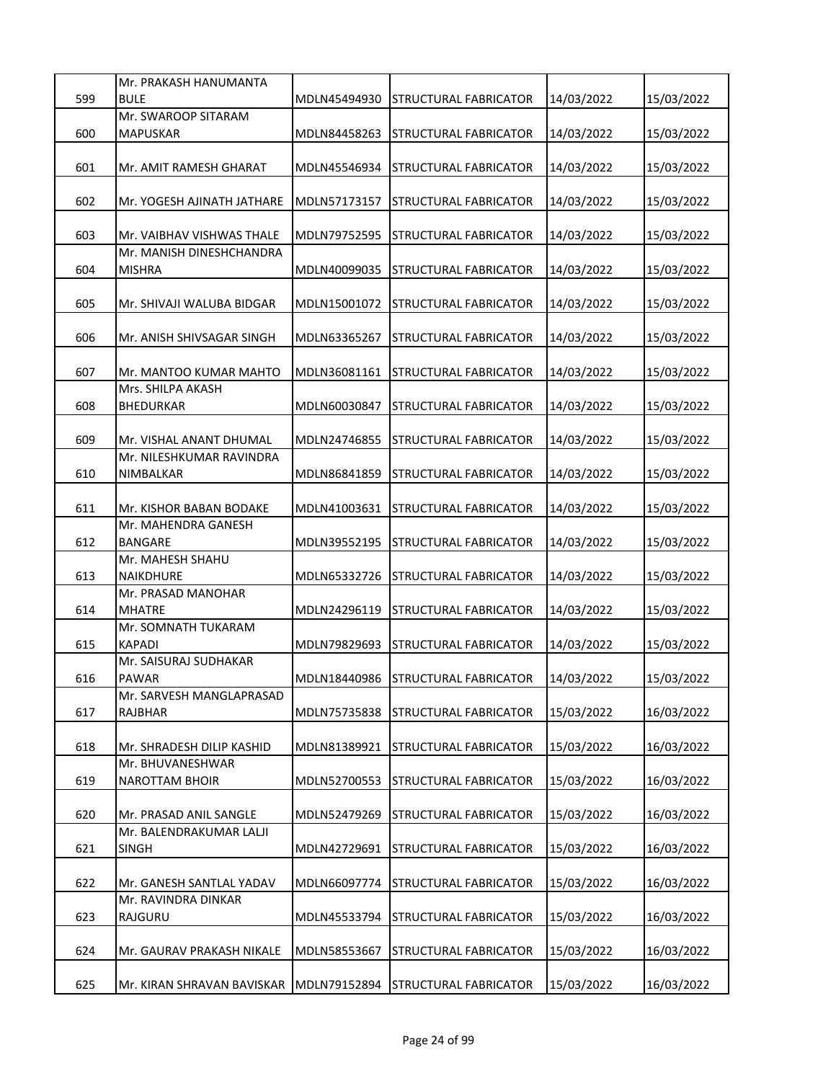|     | Mr. PRAKASH HANUMANTA                               |              |                                    |            |            |
|-----|-----------------------------------------------------|--------------|------------------------------------|------------|------------|
| 599 | <b>BULE</b>                                         | MDLN45494930 | STRUCTURAL FABRICATOR              | 14/03/2022 | 15/03/2022 |
|     | Mr. SWAROOP SITARAM                                 |              |                                    |            |            |
| 600 | MAPUSKAR                                            | MDLN84458263 | <b>STRUCTURAL FABRICATOR</b>       | 14/03/2022 | 15/03/2022 |
|     |                                                     |              |                                    |            |            |
| 601 | Mr. AMIT RAMESH GHARAT                              | MDLN45546934 | STRUCTURAL FABRICATOR              | 14/03/2022 | 15/03/2022 |
| 602 | Mr. YOGESH AJINATH JATHARE                          | MDLN57173157 | STRUCTURAL FABRICATOR              | 14/03/2022 | 15/03/2022 |
|     |                                                     |              |                                    |            |            |
| 603 | Mr. VAIBHAV VISHWAS THALE                           | MDLN79752595 | STRUCTURAL FABRICATOR              | 14/03/2022 | 15/03/2022 |
|     | Mr. MANISH DINESHCHANDRA                            |              |                                    |            |            |
| 604 | MISHRA                                              | MDLN40099035 | STRUCTURAL FABRICATOR              | 14/03/2022 | 15/03/2022 |
|     |                                                     |              |                                    |            |            |
| 605 | Mr. SHIVAJI WALUBA BIDGAR                           | MDLN15001072 | <b>STRUCTURAL FABRICATOR</b>       | 14/03/2022 | 15/03/2022 |
|     |                                                     |              |                                    |            |            |
| 606 | Mr. ANISH SHIVSAGAR SINGH                           | MDLN63365267 | <b>STRUCTURAL FABRICATOR</b>       | 14/03/2022 | 15/03/2022 |
|     |                                                     |              |                                    |            |            |
| 607 | Mr. MANTOO KUMAR MAHTO                              | MDLN36081161 | STRUCTURAL FABRICATOR              | 14/03/2022 | 15/03/2022 |
|     | Mrs. SHILPA AKASH                                   |              |                                    |            |            |
| 608 | BHEDURKAR                                           | MDLN60030847 | STRUCTURAL FABRICATOR              | 14/03/2022 | 15/03/2022 |
|     |                                                     |              |                                    |            |            |
| 609 | Mr. VISHAL ANANT DHUMAL<br>Mr. NILESHKUMAR RAVINDRA | MDLN24746855 | STRUCTURAL FABRICATOR              | 14/03/2022 | 15/03/2022 |
| 610 | NIMBALKAR                                           | MDLN86841859 | STRUCTURAL FABRICATOR              | 14/03/2022 | 15/03/2022 |
|     |                                                     |              |                                    |            |            |
| 611 | Mr. KISHOR BABAN BODAKE                             | MDLN41003631 | <b>STRUCTURAL FABRICATOR</b>       | 14/03/2022 | 15/03/2022 |
|     | Mr. MAHENDRA GANESH                                 |              |                                    |            |            |
| 612 | <b>BANGARE</b>                                      | MDLN39552195 | <b>STRUCTURAL FABRICATOR</b>       | 14/03/2022 | 15/03/2022 |
|     | Mr. MAHESH SHAHU                                    |              |                                    |            |            |
| 613 | NAIKDHURE                                           | MDLN65332726 | STRUCTURAL FABRICATOR              | 14/03/2022 | 15/03/2022 |
|     | Mr. PRASAD MANOHAR                                  |              |                                    |            |            |
| 614 | <b>MHATRE</b>                                       | MDLN24296119 | STRUCTURAL FABRICATOR              | 14/03/2022 | 15/03/2022 |
|     | Mr. SOMNATH TUKARAM                                 |              |                                    |            |            |
| 615 | <b>KAPADI</b>                                       | MDLN79829693 | STRUCTURAL FABRICATOR              | 14/03/2022 | 15/03/2022 |
|     | Mr. SAISURAJ SUDHAKAR                               |              |                                    |            |            |
| 616 | <b>PAWAR</b>                                        |              | MDLN18440986 STRUCTURAL FABRICATOR | 14/03/2022 | 15/03/2022 |
|     | Mr. SARVESH MANGLAPRASAD                            |              |                                    |            |            |
| 617 | RAJBHAR                                             | MDLN75735838 | STRUCTURAL FABRICATOR              | 15/03/2022 | 16/03/2022 |
| 618 | Mr. SHRADESH DILIP KASHID                           | MDLN81389921 | <b>STRUCTURAL FABRICATOR</b>       | 15/03/2022 | 16/03/2022 |
|     | Mr. BHUVANESHWAR                                    |              |                                    |            |            |
| 619 | NAROTTAM BHOIR                                      | MDLN52700553 | STRUCTURAL FABRICATOR              | 15/03/2022 | 16/03/2022 |
|     |                                                     |              |                                    |            |            |
| 620 | Mr. PRASAD ANIL SANGLE                              | MDLN52479269 | STRUCTURAL FABRICATOR              | 15/03/2022 | 16/03/2022 |
|     | Mr. BALENDRAKUMAR LALJI                             |              |                                    |            |            |
| 621 | <b>SINGH</b>                                        | MDLN42729691 | STRUCTURAL FABRICATOR              | 15/03/2022 | 16/03/2022 |
|     |                                                     |              |                                    |            |            |
| 622 | Mr. GANESH SANTLAL YADAV                            | MDLN66097774 | STRUCTURAL FABRICATOR              | 15/03/2022 | 16/03/2022 |
|     | Mr. RAVINDRA DINKAR                                 |              |                                    |            |            |
| 623 | RAJGURU                                             | MDLN45533794 | STRUCTURAL FABRICATOR              | 15/03/2022 | 16/03/2022 |
|     |                                                     |              |                                    |            |            |
| 624 | Mr. GAURAV PRAKASH NIKALE                           | MDLN58553667 | STRUCTURAL FABRICATOR              | 15/03/2022 | 16/03/2022 |
|     |                                                     |              |                                    |            |            |
| 625 | Mr. KIRAN SHRAVAN BAVISKAR                          | MDLN79152894 | STRUCTURAL FABRICATOR              | 15/03/2022 | 16/03/2022 |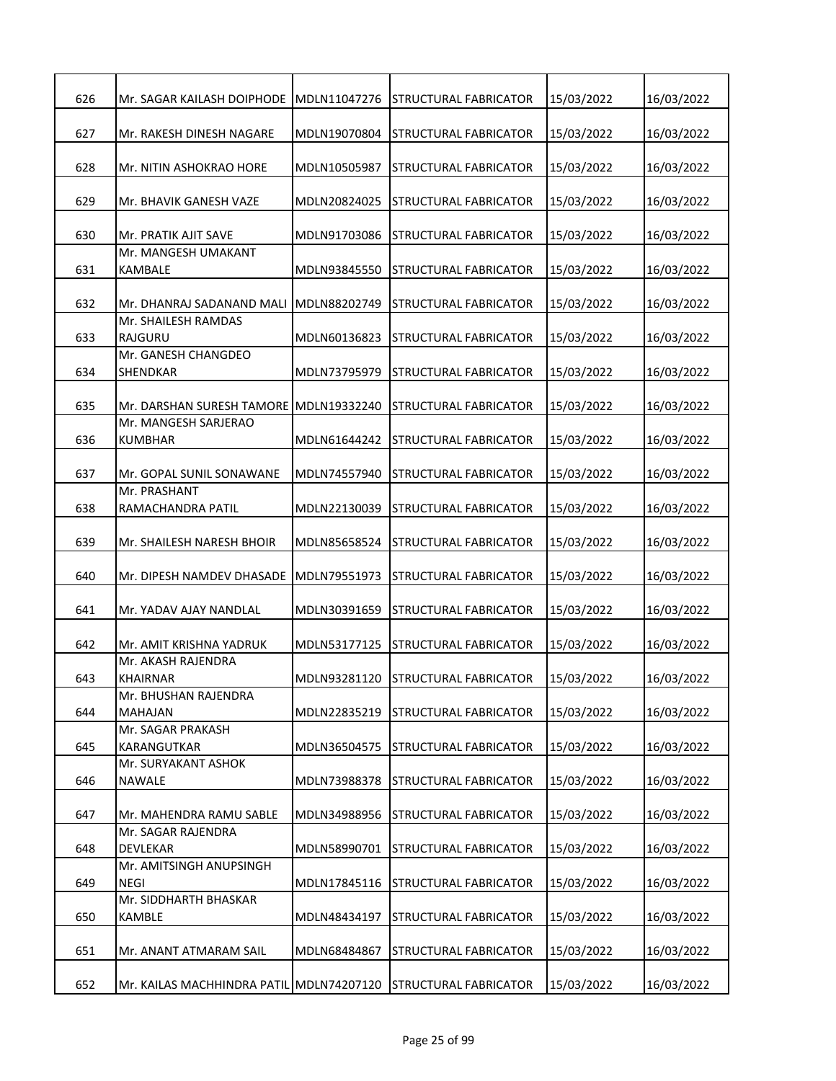| 626 | Mr. SAGAR KAILASH DOIPHODE               | MDLN11047276 | STRUCTURAL FABRICATOR        | 15/03/2022 | 16/03/2022 |
|-----|------------------------------------------|--------------|------------------------------|------------|------------|
| 627 | Mr. RAKESH DINESH NAGARE                 | MDLN19070804 | STRUCTURAL FABRICATOR        | 15/03/2022 | 16/03/2022 |
| 628 | Mr. NITIN ASHOKRAO HORE                  | MDLN10505987 | STRUCTURAL FABRICATOR        | 15/03/2022 | 16/03/2022 |
| 629 | Mr. BHAVIK GANESH VAZE                   | MDLN20824025 | STRUCTURAL FABRICATOR        | 15/03/2022 | 16/03/2022 |
| 630 | Mr. PRATIK AJIT SAVE                     | MDLN91703086 | STRUCTURAL FABRICATOR        | 15/03/2022 | 16/03/2022 |
| 631 | Mr. MANGESH UMAKANT<br>KAMBALE           | MDLN93845550 | STRUCTURAL FABRICATOR        | 15/03/2022 | 16/03/2022 |
| 632 | Mr. DHANRAJ SADANAND MALI                | MDLN88202749 | STRUCTURAL FABRICATOR        | 15/03/2022 | 16/03/2022 |
| 633 | Mr. SHAILESH RAMDAS<br><b>RAJGURU</b>    | MDLN60136823 | STRUCTURAL FABRICATOR        | 15/03/2022 | 16/03/2022 |
| 634 | Mr. GANESH CHANGDEO<br><b>SHENDKAR</b>   | MDLN73795979 | STRUCTURAL FABRICATOR        | 15/03/2022 | 16/03/2022 |
| 635 | Mr. DARSHAN SURESH TAMORE                | MDLN19332240 | STRUCTURAL FABRICATOR        | 15/03/2022 | 16/03/2022 |
| 636 | Mr. MANGESH SARJERAO<br><b>KUMBHAR</b>   | MDLN61644242 | STRUCTURAL FABRICATOR        | 15/03/2022 | 16/03/2022 |
| 637 | Mr. GOPAL SUNIL SONAWANE                 | MDLN74557940 | STRUCTURAL FABRICATOR        | 15/03/2022 | 16/03/2022 |
| 638 | Mr. PRASHANT<br>RAMACHANDRA PATIL        | MDLN22130039 | STRUCTURAL FABRICATOR        | 15/03/2022 | 16/03/2022 |
| 639 | Mr. SHAILESH NARESH BHOIR                | MDLN85658524 | STRUCTURAL FABRICATOR        | 15/03/2022 | 16/03/2022 |
| 640 | Mr. DIPESH NAMDEV DHASADE                | MDLN79551973 | STRUCTURAL FABRICATOR        | 15/03/2022 | 16/03/2022 |
| 641 | Mr. YADAV AJAY NANDLAL                   | MDLN30391659 | STRUCTURAL FABRICATOR        | 15/03/2022 | 16/03/2022 |
| 642 | Mr. AMIT KRISHNA YADRUK                  | MDLN53177125 | STRUCTURAL FABRICATOR        | 15/03/2022 | 16/03/2022 |
| 643 | Mr. AKASH RAJENDRA<br><b>KHAIRNAR</b>    | MDLN93281120 | <b>STRUCTURAL FABRICATOR</b> | 15/03/2022 | 16/03/2022 |
| 644 | Mr. BHUSHAN RAJENDRA<br><b>MAHAJAN</b>   | MDLN22835219 | STRUCTURAL FABRICATOR        | 15/03/2022 | 16/03/2022 |
| 645 | Mr. SAGAR PRAKASH<br>KARANGUTKAR         | MDLN36504575 | STRUCTURAL FABRICATOR        | 15/03/2022 | 16/03/2022 |
| 646 | Mr. SURYAKANT ASHOK<br>NAWALE            | MDLN73988378 | STRUCTURAL FABRICATOR        | 15/03/2022 | 16/03/2022 |
| 647 | Mr. MAHENDRA RAMU SABLE                  | MDLN34988956 | STRUCTURAL FABRICATOR        | 15/03/2022 | 16/03/2022 |
| 648 | Mr. SAGAR RAJENDRA<br>DEVLEKAR           | MDLN58990701 | STRUCTURAL FABRICATOR        | 15/03/2022 | 16/03/2022 |
| 649 | Mr. AMITSINGH ANUPSINGH<br><b>NEGI</b>   | MDLN17845116 | STRUCTURAL FABRICATOR        | 15/03/2022 | 16/03/2022 |
| 650 | Mr. SIDDHARTH BHASKAR<br>KAMBLE          | MDLN48434197 | STRUCTURAL FABRICATOR        | 15/03/2022 | 16/03/2022 |
| 651 | Mr. ANANT ATMARAM SAIL                   | MDLN68484867 | STRUCTURAL FABRICATOR        | 15/03/2022 | 16/03/2022 |
| 652 | Mr. KAILAS MACHHINDRA PATIL MDLN74207120 |              | STRUCTURAL FABRICATOR        | 15/03/2022 | 16/03/2022 |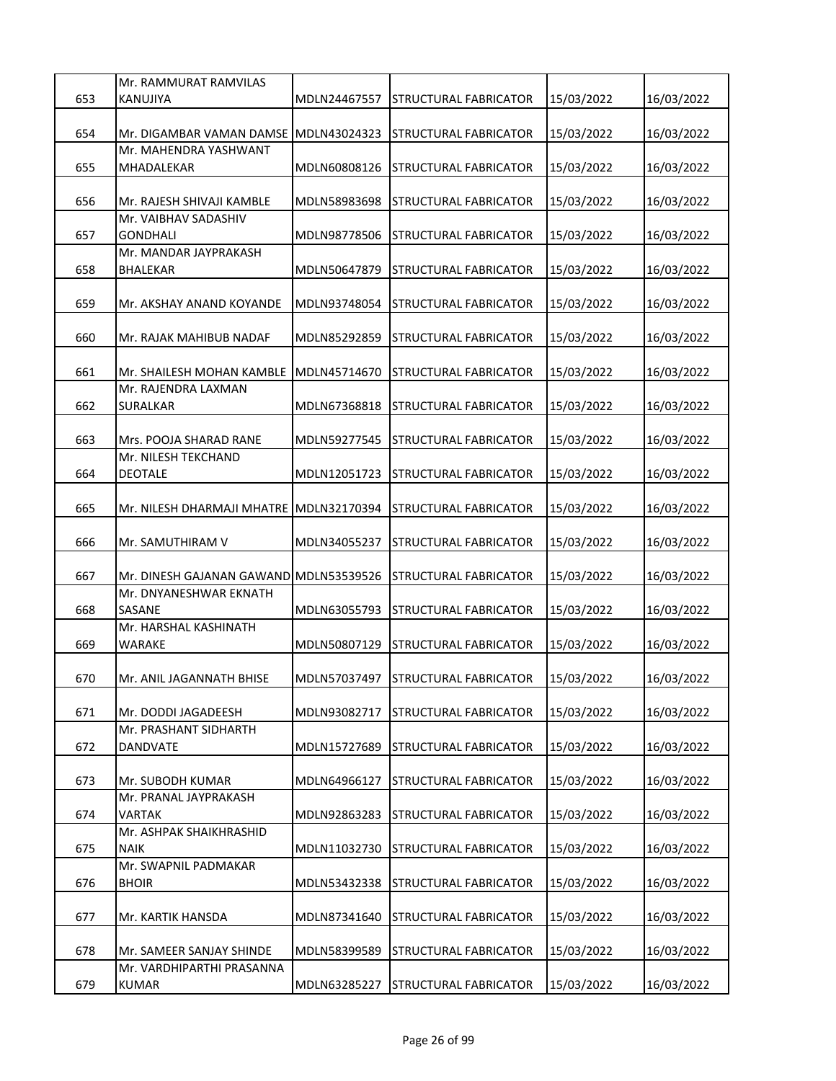|     | Mr. RAMMURAT RAMVILAS                   |              |                                    |            |            |
|-----|-----------------------------------------|--------------|------------------------------------|------------|------------|
| 653 | KANUJIYA                                | MDLN24467557 | STRUCTURAL FABRICATOR              | 15/03/2022 | 16/03/2022 |
|     |                                         |              |                                    |            |            |
| 654 | Mr. DIGAMBAR VAMAN DAMSE                | MDLN43024323 | <b>STRUCTURAL FABRICATOR</b>       | 15/03/2022 | 16/03/2022 |
|     | Mr. MAHENDRA YASHWANT                   |              |                                    |            |            |
| 655 | MHADALEKAR                              | MDLN60808126 | STRUCTURAL FABRICATOR              | 15/03/2022 | 16/03/2022 |
|     |                                         |              |                                    |            |            |
| 656 | Mr. RAJESH SHIVAJI KAMBLE               | MDLN58983698 | STRUCTURAL FABRICATOR              | 15/03/2022 | 16/03/2022 |
|     | Mr. VAIBHAV SADASHIV                    |              |                                    |            |            |
| 657 | GONDHALI                                | MDLN98778506 | STRUCTURAL FABRICATOR              | 15/03/2022 | 16/03/2022 |
|     | Mr. MANDAR JAYPRAKASH                   |              |                                    |            |            |
| 658 | <b>BHALEKAR</b>                         | MDLN50647879 | STRUCTURAL FABRICATOR              | 15/03/2022 | 16/03/2022 |
| 659 |                                         | MDLN93748054 |                                    |            |            |
|     | Mr. AKSHAY ANAND KOYANDE                |              | STRUCTURAL FABRICATOR              | 15/03/2022 | 16/03/2022 |
| 660 | Mr. RAJAK MAHIBUB NADAF                 | MDLN85292859 | STRUCTURAL FABRICATOR              | 15/03/2022 | 16/03/2022 |
|     |                                         |              |                                    |            |            |
| 661 | Mr. SHAILESH MOHAN KAMBLE               | MDLN45714670 | STRUCTURAL FABRICATOR              | 15/03/2022 | 16/03/2022 |
|     | Mr. RAJENDRA LAXMAN                     |              |                                    |            |            |
| 662 | <b>SURALKAR</b>                         | MDLN67368818 | STRUCTURAL FABRICATOR              | 15/03/2022 | 16/03/2022 |
|     |                                         |              |                                    |            |            |
| 663 | Mrs. POOJA SHARAD RANE                  | MDLN59277545 | STRUCTURAL FABRICATOR              | 15/03/2022 | 16/03/2022 |
|     | Mr. NILESH TEKCHAND                     |              |                                    |            |            |
| 664 | <b>DEOTALE</b>                          | MDLN12051723 | STRUCTURAL FABRICATOR              | 15/03/2022 | 16/03/2022 |
|     |                                         |              |                                    |            |            |
| 665 | Mr. NILESH DHARMAJI MHATRE MDLN32170394 |              | STRUCTURAL FABRICATOR              | 15/03/2022 | 16/03/2022 |
|     |                                         |              |                                    |            |            |
| 666 | Mr. SAMUTHIRAM V                        | MDLN34055237 | STRUCTURAL FABRICATOR              | 15/03/2022 | 16/03/2022 |
|     |                                         |              |                                    |            |            |
| 667 | Mr. DINESH GAJANAN GAWAND MDLN53539526  |              | STRUCTURAL FABRICATOR              | 15/03/2022 | 16/03/2022 |
|     | Mr. DNYANESHWAR EKNATH                  |              |                                    |            |            |
| 668 | SASANE                                  | MDLN63055793 | STRUCTURAL FABRICATOR              | 15/03/2022 | 16/03/2022 |
|     | Mr. HARSHAL KASHINATH                   |              |                                    |            |            |
| 669 | WARAKE                                  | MDLN50807129 | STRUCTURAL FABRICATOR              | 15/03/2022 | 16/03/2022 |
|     |                                         |              |                                    |            |            |
| 670 | Mr. ANIL JAGANNATH BHISE                |              | MDLN57037497 STRUCTURAL FABRICATOR | 15/03/2022 | 16/03/2022 |
| 671 | Mr. DODDI JAGADEESH                     | MDLN93082717 | STRUCTURAL FABRICATOR              | 15/03/2022 | 16/03/2022 |
|     | Mr. PRASHANT SIDHARTH                   |              |                                    |            |            |
| 672 | DANDVATE                                | MDLN15727689 | <b>STRUCTURAL FABRICATOR</b>       | 15/03/2022 | 16/03/2022 |
|     |                                         |              |                                    |            |            |
| 673 | Mr. SUBODH KUMAR                        | MDLN64966127 | STRUCTURAL FABRICATOR              | 15/03/2022 | 16/03/2022 |
|     | Mr. PRANAL JAYPRAKASH                   |              |                                    |            |            |
| 674 | VARTAK                                  | MDLN92863283 | STRUCTURAL FABRICATOR              | 15/03/2022 | 16/03/2022 |
|     | Mr. ASHPAK SHAIKHRASHID                 |              |                                    |            |            |
| 675 | NAIK                                    | MDLN11032730 | <b>STRUCTURAL FABRICATOR</b>       | 15/03/2022 | 16/03/2022 |
|     | Mr. SWAPNIL PADMAKAR                    |              |                                    |            |            |
| 676 | <b>BHOIR</b>                            | MDLN53432338 | STRUCTURAL FABRICATOR              | 15/03/2022 | 16/03/2022 |
|     |                                         |              |                                    |            |            |
| 677 | Mr. KARTIK HANSDA                       | MDLN87341640 | STRUCTURAL FABRICATOR              | 15/03/2022 | 16/03/2022 |
|     |                                         |              |                                    |            |            |
| 678 | Mr. SAMEER SANJAY SHINDE                | MDLN58399589 | STRUCTURAL FABRICATOR              | 15/03/2022 | 16/03/2022 |
|     | Mr. VARDHIPARTHI PRASANNA               |              |                                    |            |            |
| 679 | <b>KUMAR</b>                            | MDLN63285227 | STRUCTURAL FABRICATOR              | 15/03/2022 | 16/03/2022 |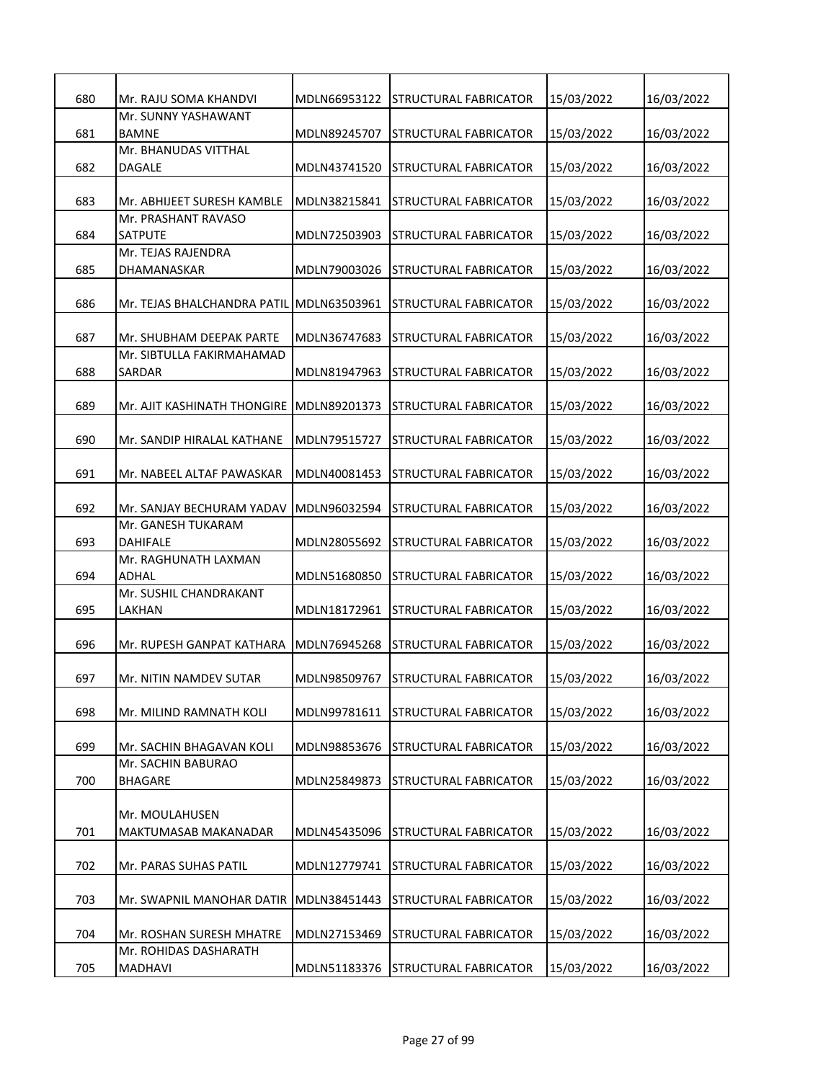| 680 | Mr. RAJU SOMA KHANDVI                      | MDLN66953122 | STRUCTURAL FABRICATOR        | 15/03/2022 | 16/03/2022 |
|-----|--------------------------------------------|--------------|------------------------------|------------|------------|
|     | Mr. SUNNY YASHAWANT                        |              |                              |            |            |
| 681 | BAMNE                                      | MDLN89245707 | STRUCTURAL FABRICATOR        | 15/03/2022 | 16/03/2022 |
|     | Mr. BHANUDAS VITTHAL                       |              |                              |            |            |
| 682 | DAGALE                                     | MDLN43741520 | STRUCTURAL FABRICATOR        | 15/03/2022 | 16/03/2022 |
|     |                                            |              |                              |            |            |
| 683 | Mr. ABHIJEET SURESH KAMBLE                 | MDLN38215841 | STRUCTURAL FABRICATOR        | 15/03/2022 | 16/03/2022 |
|     | Mr. PRASHANT RAVASO                        |              |                              |            |            |
| 684 | SATPUTE                                    | MDLN72503903 | STRUCTURAL FABRICATOR        | 15/03/2022 | 16/03/2022 |
|     | Mr. TEJAS RAJENDRA                         |              |                              |            |            |
| 685 | DHAMANASKAR                                | MDLN79003026 | STRUCTURAL FABRICATOR        | 15/03/2022 | 16/03/2022 |
| 686 | Mr. TEJAS BHALCHANDRA PATIL   MDLN63503961 |              | STRUCTURAL FABRICATOR        | 15/03/2022 | 16/03/2022 |
|     |                                            |              |                              |            |            |
| 687 | Mr. SHUBHAM DEEPAK PARTE                   | MDLN36747683 | STRUCTURAL FABRICATOR        | 15/03/2022 | 16/03/2022 |
|     | Mr. SIBTULLA FAKIRMAHAMAD                  |              |                              |            |            |
| 688 | <b>SARDAR</b>                              | MDLN81947963 | STRUCTURAL FABRICATOR        | 15/03/2022 | 16/03/2022 |
|     |                                            |              |                              |            |            |
| 689 | Mr. AJIT KASHINATH THONGIRE                | MDLN89201373 | STRUCTURAL FABRICATOR        | 15/03/2022 | 16/03/2022 |
|     |                                            |              |                              |            |            |
| 690 | Mr. SANDIP HIRALAL KATHANE                 | MDLN79515727 | STRUCTURAL FABRICATOR        | 15/03/2022 | 16/03/2022 |
|     |                                            |              |                              |            |            |
| 691 | Mr. NABEEL ALTAF PAWASKAR                  | MDLN40081453 | STRUCTURAL FABRICATOR        | 15/03/2022 | 16/03/2022 |
|     |                                            |              |                              |            |            |
| 692 | Mr. SANJAY BECHURAM YADAV                  | MDLN96032594 | STRUCTURAL FABRICATOR        | 15/03/2022 | 16/03/2022 |
| 693 | Mr. GANESH TUKARAM<br>DAHIFALE             |              |                              |            |            |
|     | Mr. RAGHUNATH LAXMAN                       | MDLN28055692 | STRUCTURAL FABRICATOR        | 15/03/2022 | 16/03/2022 |
| 694 | ADHAL                                      | MDLN51680850 | STRUCTURAL FABRICATOR        | 15/03/2022 | 16/03/2022 |
|     | Mr. SUSHIL CHANDRAKANT                     |              |                              |            |            |
| 695 | LAKHAN                                     | MDLN18172961 | STRUCTURAL FABRICATOR        | 15/03/2022 | 16/03/2022 |
|     |                                            |              |                              |            |            |
| 696 | Mr. RUPESH GANPAT KATHARA                  | MDLN76945268 | STRUCTURAL FABRICATOR        | 15/03/2022 | 16/03/2022 |
|     |                                            |              |                              |            |            |
| 697 | Mr. NITIN NAMDEV SUTAR                     | MDLN98509767 | <b>STRUCTURAL FABRICATOR</b> | 15/03/2022 | 16/03/2022 |
|     |                                            |              |                              |            |            |
| 698 | Mr. MILIND RAMNATH KOLI                    | MDLN99781611 | STRUCTURAL FABRICATOR        | 15/03/2022 | 16/03/2022 |
|     |                                            |              |                              |            |            |
| 699 | Mr. SACHIN BHAGAVAN KOLI                   | MDLN98853676 | STRUCTURAL FABRICATOR        | 15/03/2022 | 16/03/2022 |
|     | Mr. SACHIN BABURAO                         |              |                              |            |            |
| 700 | <b>BHAGARE</b>                             | MDLN25849873 | <b>STRUCTURAL FABRICATOR</b> | 15/03/2022 | 16/03/2022 |
|     | Mr. MOULAHUSEN                             |              |                              |            |            |
| 701 | MAKTUMASAB MAKANADAR                       | MDLN45435096 | STRUCTURAL FABRICATOR        | 15/03/2022 | 16/03/2022 |
|     |                                            |              |                              |            |            |
| 702 | Mr. PARAS SUHAS PATIL                      | MDLN12779741 | <b>STRUCTURAL FABRICATOR</b> | 15/03/2022 | 16/03/2022 |
|     |                                            |              |                              |            |            |
| 703 | Mr. SWAPNIL MANOHAR DATIR                  | MDLN38451443 | STRUCTURAL FABRICATOR        | 15/03/2022 | 16/03/2022 |
|     |                                            |              |                              |            |            |
| 704 | Mr. ROSHAN SURESH MHATRE                   | MDLN27153469 | STRUCTURAL FABRICATOR        | 15/03/2022 | 16/03/2022 |
|     | Mr. ROHIDAS DASHARATH                      |              |                              |            |            |
| 705 | MADHAVI                                    | MDLN51183376 | <b>STRUCTURAL FABRICATOR</b> | 15/03/2022 | 16/03/2022 |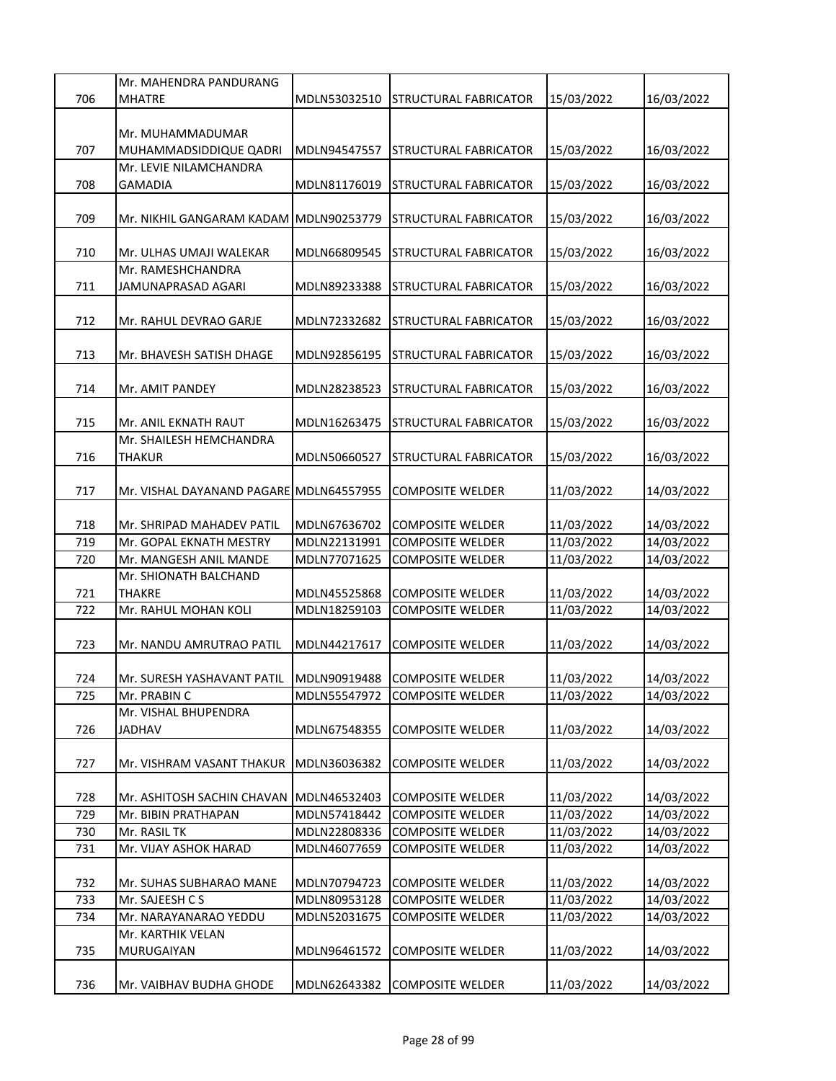|     | Mr. MAHENDRA PANDURANG                  |              |                         |            |            |
|-----|-----------------------------------------|--------------|-------------------------|------------|------------|
| 706 | <b>MHATRE</b>                           | MDLN53032510 | STRUCTURAL FABRICATOR   | 15/03/2022 | 16/03/2022 |
|     |                                         |              |                         |            |            |
|     | Mr. MUHAMMADUMAR                        |              |                         |            |            |
| 707 | MUHAMMADSIDDIQUE QADRI                  | MDLN94547557 | STRUCTURAL FABRICATOR   | 15/03/2022 | 16/03/2022 |
|     | Mr. LEVIE NILAMCHANDRA                  |              |                         |            |            |
| 708 | <b>GAMADIA</b>                          | MDLN81176019 | STRUCTURAL FABRICATOR   | 15/03/2022 | 16/03/2022 |
|     |                                         |              |                         |            |            |
| 709 | Mr. NIKHIL GANGARAM KADAM  MDLN90253779 |              | STRUCTURAL FABRICATOR   | 15/03/2022 | 16/03/2022 |
|     |                                         |              |                         |            |            |
| 710 | Mr. ULHAS UMAJI WALEKAR                 | MDLN66809545 | STRUCTURAL FABRICATOR   | 15/03/2022 | 16/03/2022 |
|     | Mr. RAMESHCHANDRA                       |              |                         |            |            |
| 711 | JAMUNAPRASAD AGARI                      | MDLN89233388 | STRUCTURAL FABRICATOR   | 15/03/2022 | 16/03/2022 |
|     |                                         |              |                         |            |            |
| 712 | Mr. RAHUL DEVRAO GARJE                  | MDLN72332682 | STRUCTURAL FABRICATOR   | 15/03/2022 | 16/03/2022 |
|     |                                         |              |                         |            |            |
| 713 | Mr. BHAVESH SATISH DHAGE                | MDLN92856195 | STRUCTURAL FABRICATOR   | 15/03/2022 | 16/03/2022 |
|     |                                         |              |                         |            |            |
| 714 | Mr. AMIT PANDEY                         | MDLN28238523 | STRUCTURAL FABRICATOR   | 15/03/2022 | 16/03/2022 |
|     |                                         |              |                         |            |            |
| 715 | Mr. ANIL EKNATH RAUT                    | MDLN16263475 | STRUCTURAL FABRICATOR   | 15/03/2022 | 16/03/2022 |
|     | Mr. SHAILESH HEMCHANDRA                 |              |                         |            |            |
| 716 | THAKUR                                  | MDLN50660527 | STRUCTURAL FABRICATOR   | 15/03/2022 | 16/03/2022 |
|     |                                         |              |                         |            |            |
| 717 | Mr. VISHAL DAYANAND PAGARE MDLN64557955 |              | COMPOSITE WELDER        | 11/03/2022 | 14/03/2022 |
|     |                                         |              |                         |            |            |
| 718 | Mr. SHRIPAD MAHADEV PATIL               | MDLN67636702 | <b>COMPOSITE WELDER</b> | 11/03/2022 | 14/03/2022 |
| 719 | Mr. GOPAL EKNATH MESTRY                 | MDLN22131991 | <b>COMPOSITE WELDER</b> | 11/03/2022 | 14/03/2022 |
| 720 | Mr. MANGESH ANIL MANDE                  | MDLN77071625 | <b>COMPOSITE WELDER</b> | 11/03/2022 | 14/03/2022 |
|     | Mr. SHIONATH BALCHAND                   |              |                         |            |            |
|     |                                         |              |                         |            |            |
| 721 | THAKRE                                  | MDLN45525868 | <b>COMPOSITE WELDER</b> | 11/03/2022 | 14/03/2022 |
| 722 | Mr. RAHUL MOHAN KOLI                    | MDLN18259103 | COMPOSITE WELDER        | 11/03/2022 | 14/03/2022 |
|     |                                         |              |                         |            |            |
| 723 | Mr. NANDU AMRUTRAO PATIL                | MDLN44217617 | <b>COMPOSITE WELDER</b> | 11/03/2022 | 14/03/2022 |
|     |                                         |              |                         |            |            |
| 724 | Mr. SURESH YASHAVANT PATIL MDLN90919488 |              | <b>COMPOSITE WELDER</b> | 11/03/2022 | 14/03/2022 |
| 725 | Mr. PRABIN C                            | MDLN55547972 | <b>COMPOSITE WELDER</b> | 11/03/2022 | 14/03/2022 |
|     | Mr. VISHAL BHUPENDRA                    |              |                         |            |            |
| 726 | <b>JADHAV</b>                           | MDLN67548355 | <b>COMPOSITE WELDER</b> | 11/03/2022 | 14/03/2022 |
|     |                                         |              |                         |            |            |
| 727 | Mr. VISHRAM VASANT THAKUR               | MDLN36036382 | <b>COMPOSITE WELDER</b> | 11/03/2022 | 14/03/2022 |
|     |                                         |              |                         |            |            |
| 728 | Mr. ASHITOSH SACHIN CHAVAN              | MDLN46532403 | <b>COMPOSITE WELDER</b> | 11/03/2022 | 14/03/2022 |
| 729 | Mr. BIBIN PRATHAPAN                     | MDLN57418442 | <b>COMPOSITE WELDER</b> | 11/03/2022 | 14/03/2022 |
| 730 | Mr. RASIL TK                            | MDLN22808336 | <b>COMPOSITE WELDER</b> | 11/03/2022 | 14/03/2022 |
| 731 | Mr. VIJAY ASHOK HARAD                   | MDLN46077659 | <b>COMPOSITE WELDER</b> | 11/03/2022 | 14/03/2022 |
|     |                                         |              |                         |            |            |
| 732 | Mr. SUHAS SUBHARAO MANE                 | MDLN70794723 | <b>COMPOSITE WELDER</b> | 11/03/2022 | 14/03/2022 |
| 733 | Mr. SAJEESH C S                         | MDLN80953128 | <b>COMPOSITE WELDER</b> | 11/03/2022 | 14/03/2022 |
| 734 | Mr. NARAYANARAO YEDDU                   | MDLN52031675 | <b>COMPOSITE WELDER</b> | 11/03/2022 | 14/03/2022 |
|     | Mr. KARTHIK VELAN                       |              |                         |            |            |
| 735 | MURUGAIYAN                              | MDLN96461572 | <b>COMPOSITE WELDER</b> | 11/03/2022 | 14/03/2022 |
|     |                                         |              |                         |            |            |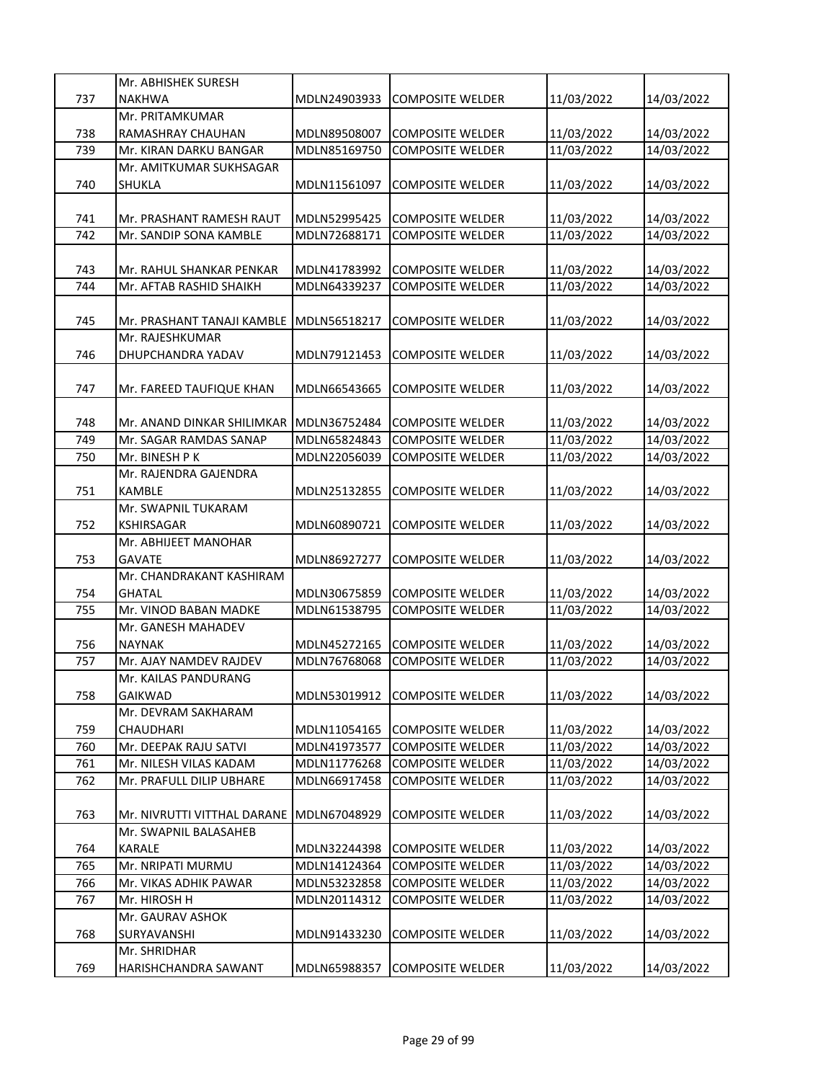|     | Mr. ABHISHEK SURESH         |              |                         |            |            |
|-----|-----------------------------|--------------|-------------------------|------------|------------|
| 737 | <b>NAKHWA</b>               | MDLN24903933 | <b>COMPOSITE WELDER</b> | 11/03/2022 | 14/03/2022 |
|     | Mr. PRITAMKUMAR             |              |                         |            |            |
| 738 | RAMASHRAY CHAUHAN           | MDLN89508007 | <b>COMPOSITE WELDER</b> | 11/03/2022 | 14/03/2022 |
| 739 | Mr. KIRAN DARKU BANGAR      | MDLN85169750 | <b>COMPOSITE WELDER</b> | 11/03/2022 | 14/03/2022 |
|     | Mr. AMITKUMAR SUKHSAGAR     |              |                         |            |            |
|     |                             |              |                         |            |            |
| 740 | SHUKLA                      | MDLN11561097 | <b>COMPOSITE WELDER</b> | 11/03/2022 | 14/03/2022 |
|     |                             |              |                         |            |            |
| 741 | Mr. PRASHANT RAMESH RAUT    | MDLN52995425 | <b>COMPOSITE WELDER</b> | 11/03/2022 | 14/03/2022 |
| 742 | Mr. SANDIP SONA KAMBLE      | MDLN72688171 | <b>COMPOSITE WELDER</b> | 11/03/2022 | 14/03/2022 |
|     |                             |              |                         |            |            |
| 743 | Mr. RAHUL SHANKAR PENKAR    | MDLN41783992 | <b>COMPOSITE WELDER</b> | 11/03/2022 | 14/03/2022 |
| 744 | Mr. AFTAB RASHID SHAIKH     | MDLN64339237 | <b>COMPOSITE WELDER</b> | 11/03/2022 | 14/03/2022 |
|     |                             |              |                         |            |            |
| 745 | Mr. PRASHANT TANAJI KAMBLE  | MDLN56518217 | COMPOSITE WELDER        | 11/03/2022 | 14/03/2022 |
|     | Mr. RAJESHKUMAR             |              |                         |            |            |
| 746 | <b>DHUPCHANDRA YADAV</b>    | MDLN79121453 | <b>COMPOSITE WELDER</b> | 11/03/2022 | 14/03/2022 |
|     |                             |              |                         |            |            |
| 747 | Mr. FAREED TAUFIQUE KHAN    | MDLN66543665 | <b>COMPOSITE WELDER</b> | 11/03/2022 | 14/03/2022 |
|     |                             |              |                         |            |            |
| 748 | Mr. ANAND DINKAR SHILIMKAR  | MDLN36752484 | <b>COMPOSITE WELDER</b> | 11/03/2022 | 14/03/2022 |
| 749 | Mr. SAGAR RAMDAS SANAP      | MDLN65824843 | <b>COMPOSITE WELDER</b> | 11/03/2022 | 14/03/2022 |
| 750 | Mr. BINESH P K              |              |                         |            | 14/03/2022 |
|     |                             | MDLN22056039 | <b>COMPOSITE WELDER</b> | 11/03/2022 |            |
|     | Mr. RAJENDRA GAJENDRA       |              |                         |            |            |
| 751 | <b>KAMBLE</b>               | MDLN25132855 | <b>COMPOSITE WELDER</b> | 11/03/2022 | 14/03/2022 |
|     | Mr. SWAPNIL TUKARAM         |              |                         |            |            |
| 752 | KSHIRSAGAR                  | MDLN60890721 | <b>COMPOSITE WELDER</b> | 11/03/2022 | 14/03/2022 |
|     | Mr. ABHIJEET MANOHAR        |              |                         |            |            |
| 753 | <b>GAVATE</b>               | MDLN86927277 | <b>COMPOSITE WELDER</b> | 11/03/2022 | 14/03/2022 |
|     | Mr. CHANDRAKANT KASHIRAM    |              |                         |            |            |
| 754 | <b>GHATAL</b>               | MDLN30675859 | <b>COMPOSITE WELDER</b> | 11/03/2022 | 14/03/2022 |
| 755 | Mr. VINOD BABAN MADKE       | MDLN61538795 | <b>COMPOSITE WELDER</b> | 11/03/2022 | 14/03/2022 |
|     | Mr. GANESH MAHADEV          |              |                         |            |            |
| 756 | <b>NAYNAK</b>               | MDLN45272165 | <b>COMPOSITE WELDER</b> | 11/03/2022 | 14/03/2022 |
| 757 | Mr. AJAY NAMDEV RAJDEV      | MDLN76768068 | <b>COMPOSITE WELDER</b> | 11/03/2022 | 14/03/2022 |
|     | Mr. KAILAS PANDURANG        |              |                         |            |            |
| 758 | <b>GAIKWAD</b>              | MDLN53019912 | <b>COMPOSITE WELDER</b> | 11/03/2022 | 14/03/2022 |
|     | Mr. DEVRAM SAKHARAM         |              |                         |            |            |
| 759 | CHAUDHARI                   | MDLN11054165 | <b>COMPOSITE WELDER</b> | 11/03/2022 | 14/03/2022 |
| 760 | Mr. DEEPAK RAJU SATVI       | MDLN41973577 | <b>COMPOSITE WELDER</b> | 11/03/2022 |            |
|     |                             |              |                         |            | 14/03/2022 |
| 761 | Mr. NILESH VILAS KADAM      | MDLN11776268 | <b>COMPOSITE WELDER</b> | 11/03/2022 | 14/03/2022 |
| 762 | Mr. PRAFULL DILIP UBHARE    | MDLN66917458 | <b>COMPOSITE WELDER</b> | 11/03/2022 | 14/03/2022 |
|     |                             |              |                         |            |            |
| 763 | Mr. NIVRUTTI VITTHAL DARANE | MDLN67048929 | <b>COMPOSITE WELDER</b> | 11/03/2022 | 14/03/2022 |
|     | Mr. SWAPNIL BALASAHEB       |              |                         |            |            |
| 764 | KARALE                      | MDLN32244398 | <b>COMPOSITE WELDER</b> | 11/03/2022 | 14/03/2022 |
| 765 | Mr. NRIPATI MURMU           | MDLN14124364 | <b>COMPOSITE WELDER</b> | 11/03/2022 | 14/03/2022 |
| 766 | Mr. VIKAS ADHIK PAWAR       | MDLN53232858 | <b>COMPOSITE WELDER</b> | 11/03/2022 | 14/03/2022 |
| 767 | Mr. HIROSH H                | MDLN20114312 | COMPOSITE WELDER        | 11/03/2022 | 14/03/2022 |
|     | Mr. GAURAV ASHOK            |              |                         |            |            |
| 768 | SURYAVANSHI                 | MDLN91433230 | <b>COMPOSITE WELDER</b> | 11/03/2022 | 14/03/2022 |
|     | Mr. SHRIDHAR                |              |                         |            |            |
| 769 | HARISHCHANDRA SAWANT        | MDLN65988357 | <b>COMPOSITE WELDER</b> | 11/03/2022 | 14/03/2022 |
|     |                             |              |                         |            |            |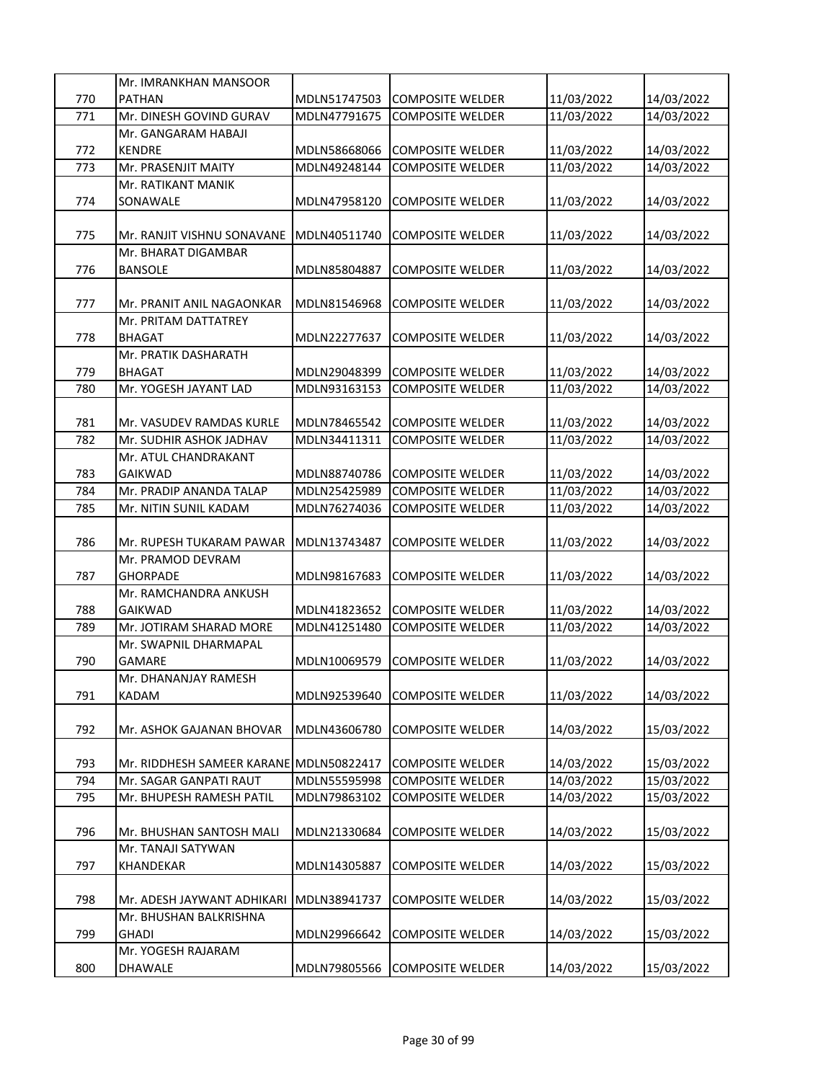|     | Mr. IMRANKHAN MANSOOR                   |              |                         |            |            |
|-----|-----------------------------------------|--------------|-------------------------|------------|------------|
| 770 | <b>PATHAN</b>                           | MDLN51747503 | <b>COMPOSITE WELDER</b> | 11/03/2022 | 14/03/2022 |
| 771 | Mr. DINESH GOVIND GURAV                 | MDLN47791675 | <b>COMPOSITE WELDER</b> | 11/03/2022 | 14/03/2022 |
|     | Mr. GANGARAM HABAJI                     |              |                         |            |            |
| 772 | <b>KENDRE</b>                           | MDLN58668066 | <b>COMPOSITE WELDER</b> | 11/03/2022 | 14/03/2022 |
| 773 | Mr. PRASENJIT MAITY                     | MDLN49248144 | <b>COMPOSITE WELDER</b> | 11/03/2022 | 14/03/2022 |
|     | Mr. RATIKANT MANIK                      |              |                         |            |            |
| 774 | SONAWALE                                | MDLN47958120 | <b>COMPOSITE WELDER</b> | 11/03/2022 | 14/03/2022 |
|     |                                         |              |                         |            |            |
| 775 | Mr. RANJIT VISHNU SONAVANE              | MDLN40511740 | <b>COMPOSITE WELDER</b> | 11/03/2022 | 14/03/2022 |
|     | Mr. BHARAT DIGAMBAR                     |              |                         |            |            |
| 776 | <b>BANSOLE</b>                          | MDLN85804887 | <b>COMPOSITE WELDER</b> | 11/03/2022 | 14/03/2022 |
|     |                                         |              |                         |            |            |
| 777 | Mr. PRANIT ANIL NAGAONKAR               | MDLN81546968 | COMPOSITE WELDER        | 11/03/2022 | 14/03/2022 |
|     | Mr. PRITAM DATTATREY                    |              |                         |            |            |
| 778 | <b>BHAGAT</b>                           | MDLN22277637 | <b>COMPOSITE WELDER</b> | 11/03/2022 | 14/03/2022 |
|     | Mr. PRATIK DASHARATH                    |              |                         |            |            |
| 779 | <b>BHAGAT</b>                           | MDLN29048399 | <b>COMPOSITE WELDER</b> | 11/03/2022 | 14/03/2022 |
| 780 | Mr. YOGESH JAYANT LAD                   | MDLN93163153 | <b>COMPOSITE WELDER</b> | 11/03/2022 | 14/03/2022 |
|     |                                         |              |                         |            |            |
| 781 | Mr. VASUDEV RAMDAS KURLE                | MDLN78465542 | <b>COMPOSITE WELDER</b> | 11/03/2022 | 14/03/2022 |
| 782 | Mr. SUDHIR ASHOK JADHAV                 | MDLN34411311 | <b>COMPOSITE WELDER</b> | 11/03/2022 | 14/03/2022 |
|     | Mr. ATUL CHANDRAKANT                    |              |                         |            |            |
| 783 | GAIKWAD                                 | MDLN88740786 | <b>COMPOSITE WELDER</b> | 11/03/2022 | 14/03/2022 |
| 784 | Mr. PRADIP ANANDA TALAP                 | MDLN25425989 | <b>COMPOSITE WELDER</b> | 11/03/2022 | 14/03/2022 |
| 785 | Mr. NITIN SUNIL KADAM                   | MDLN76274036 | <b>COMPOSITE WELDER</b> | 11/03/2022 | 14/03/2022 |
|     |                                         |              |                         |            |            |
|     |                                         |              |                         |            |            |
| 786 | Mr. RUPESH TUKARAM PAWAR                | MDLN13743487 | <b>COMPOSITE WELDER</b> | 11/03/2022 | 14/03/2022 |
|     | Mr. PRAMOD DEVRAM                       |              |                         |            |            |
| 787 | <b>GHORPADE</b>                         | MDLN98167683 | <b>COMPOSITE WELDER</b> | 11/03/2022 | 14/03/2022 |
|     | Mr. RAMCHANDRA ANKUSH                   |              |                         |            |            |
| 788 | <b>GAIKWAD</b>                          | MDLN41823652 | <b>COMPOSITE WELDER</b> | 11/03/2022 | 14/03/2022 |
| 789 | Mr. JOTIRAM SHARAD MORE                 | MDLN41251480 | <b>COMPOSITE WELDER</b> | 11/03/2022 | 14/03/2022 |
|     | Mr. SWAPNIL DHARMAPAL                   |              |                         |            |            |
| 790 | <b>GAMARE</b>                           | MDLN10069579 | <b>COMPOSITE WELDER</b> | 11/03/2022 | 14/03/2022 |
|     | Mr. DHANANJAY RAMESH                    |              |                         |            |            |
| 791 | <b>KADAM</b>                            | MDLN92539640 | <b>COMPOSITE WELDER</b> | 11/03/2022 | 14/03/2022 |
|     |                                         |              |                         |            |            |
| 792 | Mr. ASHOK GAJANAN BHOVAR                | MDLN43606780 | <b>COMPOSITE WELDER</b> | 14/03/2022 | 15/03/2022 |
|     |                                         |              |                         |            |            |
| 793 | Mr. RIDDHESH SAMEER KARANE MDLN50822417 |              | <b>COMPOSITE WELDER</b> | 14/03/2022 | 15/03/2022 |
| 794 | Mr. SAGAR GANPATI RAUT                  | MDLN55595998 | <b>COMPOSITE WELDER</b> | 14/03/2022 | 15/03/2022 |
| 795 | Mr. BHUPESH RAMESH PATIL                | MDLN79863102 | <b>COMPOSITE WELDER</b> | 14/03/2022 | 15/03/2022 |
|     |                                         |              |                         |            |            |
| 796 | Mr. BHUSHAN SANTOSH MALI                | MDLN21330684 | <b>COMPOSITE WELDER</b> | 14/03/2022 | 15/03/2022 |
|     | Mr. TANAJI SATYWAN                      |              |                         |            |            |
| 797 | KHANDEKAR                               | MDLN14305887 | <b>COMPOSITE WELDER</b> | 14/03/2022 | 15/03/2022 |
|     |                                         |              |                         |            |            |
| 798 | Mr. ADESH JAYWANT ADHIKARI              | MDLN38941737 | <b>COMPOSITE WELDER</b> | 14/03/2022 | 15/03/2022 |
|     | Mr. BHUSHAN BALKRISHNA                  |              |                         |            |            |
| 799 | <b>GHADI</b>                            | MDLN29966642 | <b>COMPOSITE WELDER</b> | 14/03/2022 | 15/03/2022 |
|     | Mr. YOGESH RAJARAM                      |              |                         |            |            |
| 800 | DHAWALE                                 | MDLN79805566 | <b>COMPOSITE WELDER</b> | 14/03/2022 | 15/03/2022 |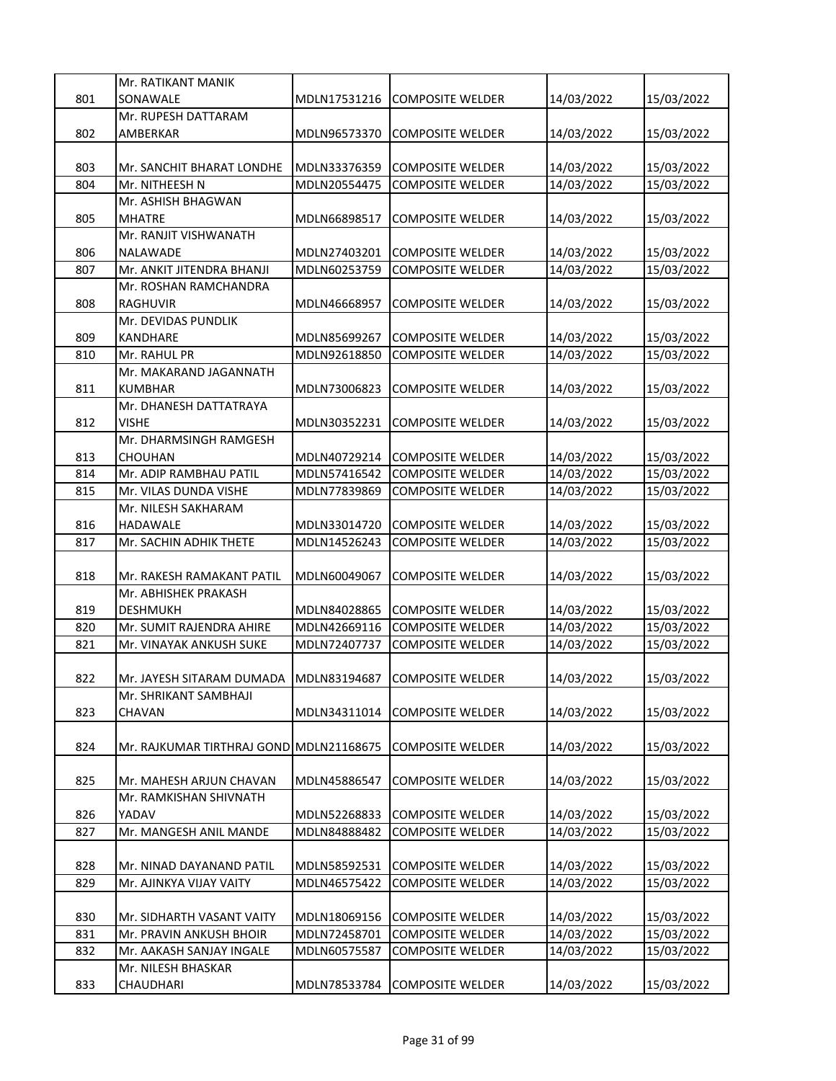|     | Mr. RATIKANT MANIK                      |              |                         |            |            |
|-----|-----------------------------------------|--------------|-------------------------|------------|------------|
| 801 | SONAWALE                                | MDLN17531216 | <b>COMPOSITE WELDER</b> | 14/03/2022 | 15/03/2022 |
|     | Mr. RUPESH DATTARAM                     |              |                         |            |            |
| 802 | AMBERKAR                                | MDLN96573370 | <b>COMPOSITE WELDER</b> | 14/03/2022 | 15/03/2022 |
|     |                                         |              |                         |            |            |
| 803 | Mr. SANCHIT BHARAT LONDHE               | MDLN33376359 | <b>COMPOSITE WELDER</b> | 14/03/2022 | 15/03/2022 |
| 804 | Mr. NITHEESH N                          | MDLN20554475 | <b>COMPOSITE WELDER</b> |            |            |
|     | Mr. ASHISH BHAGWAN                      |              |                         | 14/03/2022 | 15/03/2022 |
|     |                                         |              |                         |            |            |
| 805 | MHATRE                                  | MDLN66898517 | COMPOSITE WELDER        | 14/03/2022 | 15/03/2022 |
|     | Mr. RANJIT VISHWANATH                   |              |                         |            |            |
| 806 | NALAWADE                                | MDLN27403201 | <b>COMPOSITE WELDER</b> | 14/03/2022 | 15/03/2022 |
| 807 | Mr. ANKIT JITENDRA BHANJI               | MDLN60253759 | <b>COMPOSITE WELDER</b> | 14/03/2022 | 15/03/2022 |
|     | Mr. ROSHAN RAMCHANDRA                   |              |                         |            |            |
| 808 | <b>RAGHUVIR</b>                         | MDLN46668957 | <b>COMPOSITE WELDER</b> | 14/03/2022 | 15/03/2022 |
|     | Mr. DEVIDAS PUNDLIK                     |              |                         |            |            |
| 809 | <b>KANDHARE</b>                         | MDLN85699267 | <b>COMPOSITE WELDER</b> | 14/03/2022 | 15/03/2022 |
| 810 | Mr. RAHUL PR                            | MDLN92618850 | <b>COMPOSITE WELDER</b> | 14/03/2022 | 15/03/2022 |
|     | Mr. MAKARAND JAGANNATH                  |              |                         |            |            |
| 811 | <b>KUMBHAR</b>                          | MDLN73006823 | <b>COMPOSITE WELDER</b> | 14/03/2022 | 15/03/2022 |
|     | Mr. DHANESH DATTATRAYA                  |              |                         |            |            |
| 812 | <b>VISHE</b>                            | MDLN30352231 | <b>COMPOSITE WELDER</b> | 14/03/2022 | 15/03/2022 |
|     | Mr. DHARMSINGH RAMGESH                  |              |                         |            |            |
| 813 | <b>CHOUHAN</b>                          | MDLN40729214 | <b>COMPOSITE WELDER</b> | 14/03/2022 | 15/03/2022 |
| 814 | Mr. ADIP RAMBHAU PATIL                  | MDLN57416542 | <b>COMPOSITE WELDER</b> | 14/03/2022 | 15/03/2022 |
| 815 | Mr. VILAS DUNDA VISHE                   | MDLN77839869 | COMPOSITE WELDER        | 14/03/2022 | 15/03/2022 |
|     | Mr. NILESH SAKHARAM                     |              |                         |            |            |
| 816 | HADAWALE                                | MDLN33014720 | <b>COMPOSITE WELDER</b> | 14/03/2022 | 15/03/2022 |
| 817 | Mr. SACHIN ADHIK THETE                  | MDLN14526243 | <b>COMPOSITE WELDER</b> | 14/03/2022 | 15/03/2022 |
|     |                                         |              |                         |            |            |
| 818 | Mr. RAKESH RAMAKANT PATIL               | MDLN60049067 | <b>COMPOSITE WELDER</b> | 14/03/2022 | 15/03/2022 |
|     | Mr. ABHISHEK PRAKASH                    |              |                         |            |            |
| 819 | DESHMUKH                                | MDLN84028865 | <b>COMPOSITE WELDER</b> | 14/03/2022 | 15/03/2022 |
| 820 | Mr. SUMIT RAJENDRA AHIRE                | MDLN42669116 | <b>COMPOSITE WELDER</b> | 14/03/2022 | 15/03/2022 |
| 821 | Mr. VINAYAK ANKUSH SUKE                 | MDLN72407737 | <b>COMPOSITE WELDER</b> | 14/03/2022 | 15/03/2022 |
|     |                                         |              |                         |            |            |
| 822 | Mr. JAYESH SITARAM DUMADA MDLN83194687  |              | COMPOSITE WELDER        | 14/03/2022 | 15/03/2022 |
|     | Mr. SHRIKANT SAMBHAJI                   |              |                         |            |            |
| 823 | CHAVAN                                  | MDLN34311014 | <b>COMPOSITE WELDER</b> | 14/03/2022 | 15/03/2022 |
|     |                                         |              |                         |            |            |
| 824 | Mr. RAJKUMAR TIRTHRAJ GOND MDLN21168675 |              | <b>COMPOSITE WELDER</b> |            |            |
|     |                                         |              |                         | 14/03/2022 | 15/03/2022 |
|     |                                         |              |                         |            |            |
| 825 | Mr. MAHESH ARJUN CHAVAN                 | MDLN45886547 | <b>COMPOSITE WELDER</b> | 14/03/2022 | 15/03/2022 |
|     | Mr. RAMKISHAN SHIVNATH                  |              |                         |            |            |
| 826 | YADAV                                   | MDLN52268833 | <b>COMPOSITE WELDER</b> | 14/03/2022 | 15/03/2022 |
| 827 | Mr. MANGESH ANIL MANDE                  | MDLN84888482 | <b>COMPOSITE WELDER</b> | 14/03/2022 | 15/03/2022 |
|     |                                         |              |                         |            |            |
| 828 | Mr. NINAD DAYANAND PATIL                | MDLN58592531 | <b>COMPOSITE WELDER</b> | 14/03/2022 | 15/03/2022 |
| 829 | Mr. AJINKYA VIJAY VAITY                 | MDLN46575422 | <b>COMPOSITE WELDER</b> | 14/03/2022 | 15/03/2022 |
|     |                                         |              |                         |            |            |
| 830 | Mr. SIDHARTH VASANT VAITY               | MDLN18069156 | <b>COMPOSITE WELDER</b> | 14/03/2022 | 15/03/2022 |
| 831 | Mr. PRAVIN ANKUSH BHOIR                 | MDLN72458701 | <b>COMPOSITE WELDER</b> | 14/03/2022 | 15/03/2022 |
| 832 | Mr. AAKASH SANJAY INGALE                | MDLN60575587 | <b>COMPOSITE WELDER</b> | 14/03/2022 | 15/03/2022 |
|     | Mr. NILESH BHASKAR                      |              |                         |            |            |
| 833 | CHAUDHARI                               | MDLN78533784 | <b>COMPOSITE WELDER</b> | 14/03/2022 | 15/03/2022 |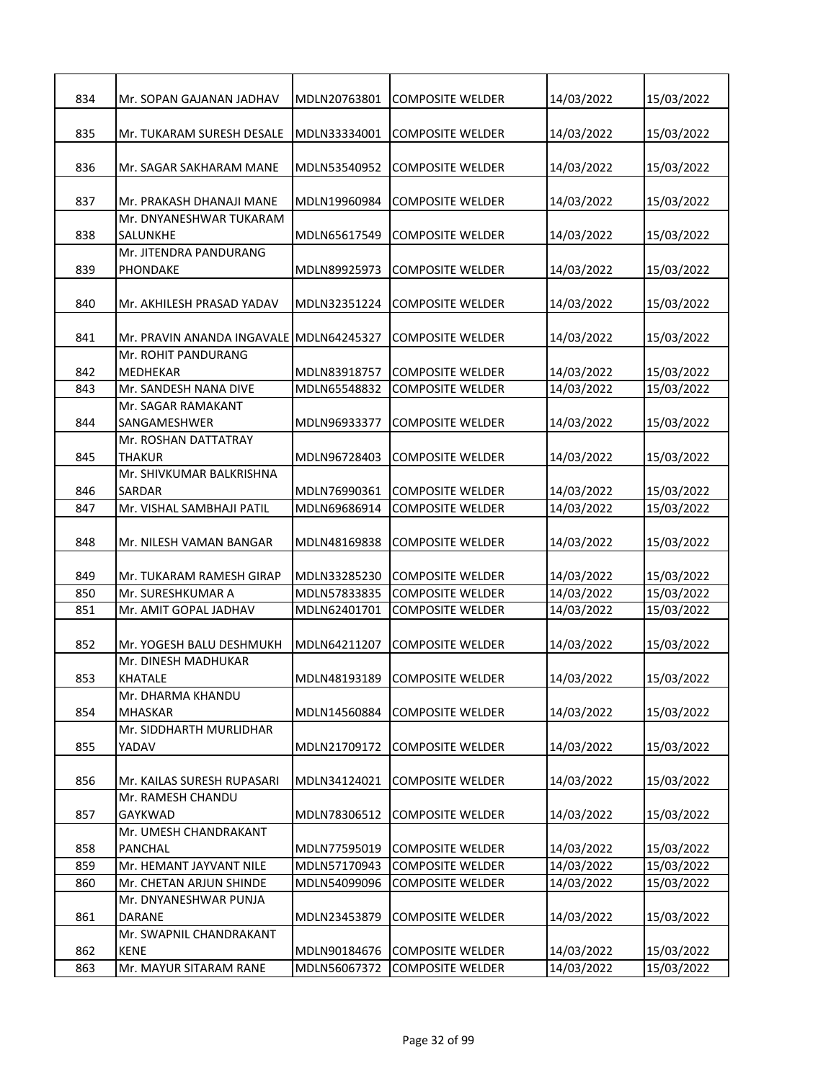| 834 | Mr. SOPAN GAJANAN JADHAV                  | MDLN20763801 | COMPOSITE WELDER        | 14/03/2022 | 15/03/2022 |
|-----|-------------------------------------------|--------------|-------------------------|------------|------------|
|     |                                           |              |                         |            |            |
| 835 | Mr. TUKARAM SURESH DESALE                 | MDLN33334001 | COMPOSITE WELDER        | 14/03/2022 | 15/03/2022 |
| 836 | Mr. SAGAR SAKHARAM MANE                   | MDLN53540952 | <b>COMPOSITE WELDER</b> | 14/03/2022 | 15/03/2022 |
|     |                                           |              |                         |            |            |
| 837 | Mr. PRAKASH DHANAJI MANE                  | MDLN19960984 | COMPOSITE WELDER        | 14/03/2022 | 15/03/2022 |
|     | Mr. DNYANESHWAR TUKARAM                   |              |                         |            |            |
| 838 | SALUNKHE                                  | MDLN65617549 | <b>COMPOSITE WELDER</b> | 14/03/2022 | 15/03/2022 |
|     | Mr. JITENDRA PANDURANG                    |              |                         |            |            |
| 839 | PHONDAKE                                  | MDLN89925973 | <b>COMPOSITE WELDER</b> | 14/03/2022 | 15/03/2022 |
| 840 | Mr. AKHILESH PRASAD YADAV                 | MDLN32351224 | <b>COMPOSITE WELDER</b> | 14/03/2022 | 15/03/2022 |
|     |                                           |              |                         |            |            |
| 841 | Mr. PRAVIN ANANDA INGAVALE                | MDLN64245327 | <b>COMPOSITE WELDER</b> | 14/03/2022 | 15/03/2022 |
|     | Mr. ROHIT PANDURANG                       |              |                         |            |            |
| 842 | <b>MEDHEKAR</b>                           | MDLN83918757 | <b>COMPOSITE WELDER</b> | 14/03/2022 | 15/03/2022 |
| 843 | Mr. SANDESH NANA DIVE                     | MDLN65548832 | <b>COMPOSITE WELDER</b> | 14/03/2022 | 15/03/2022 |
|     | Mr. SAGAR RAMAKANT                        |              |                         |            |            |
| 844 | SANGAMESHWER                              | MDLN96933377 | <b>COMPOSITE WELDER</b> | 14/03/2022 | 15/03/2022 |
|     | Mr. ROSHAN DATTATRAY                      |              |                         |            |            |
| 845 | <b>THAKUR</b><br>Mr. SHIVKUMAR BALKRISHNA | MDLN96728403 | <b>COMPOSITE WELDER</b> | 14/03/2022 | 15/03/2022 |
| 846 | SARDAR                                    | MDLN76990361 | <b>COMPOSITE WELDER</b> | 14/03/2022 | 15/03/2022 |
| 847 | Mr. VISHAL SAMBHAJI PATIL                 | MDLN69686914 | COMPOSITE WELDER        | 14/03/2022 | 15/03/2022 |
|     |                                           |              |                         |            |            |
| 848 | Mr. NILESH VAMAN BANGAR                   | MDLN48169838 | COMPOSITE WELDER        | 14/03/2022 | 15/03/2022 |
|     |                                           |              |                         |            |            |
| 849 | Mr. TUKARAM RAMESH GIRAP                  | MDLN33285230 | COMPOSITE WELDER        | 14/03/2022 | 15/03/2022 |
| 850 | Mr. SURESHKUMAR A                         | MDLN57833835 | <b>COMPOSITE WELDER</b> | 14/03/2022 | 15/03/2022 |
| 851 | Mr. AMIT GOPAL JADHAV                     | MDLN62401701 | COMPOSITE WELDER        | 14/03/2022 | 15/03/2022 |
| 852 | Mr. YOGESH BALU DESHMUKH                  | MDLN64211207 | <b>COMPOSITE WELDER</b> | 14/03/2022 | 15/03/2022 |
|     | Mr. DINESH MADHUKAR                       |              |                         |            |            |
| 853 | <b>KHATALE</b>                            | MDLN48193189 | COMPOSITE WELDER        | 14/03/2022 | 15/03/2022 |
|     | Mr. DHARMA KHANDU                         |              |                         |            |            |
| 854 | <b>MHASKAR</b>                            | MDLN14560884 | <b>COMPOSITE WELDER</b> | 14/03/2022 | 15/03/2022 |
|     | Mr. SIDDHARTH MURLIDHAR                   |              |                         |            |            |
| 855 | YADAV                                     | MDLN21709172 | <b>COMPOSITE WELDER</b> | 14/03/2022 | 15/03/2022 |
|     |                                           |              |                         |            |            |
| 856 | Mr. KAILAS SURESH RUPASARI                | MDLN34124021 | <b>COMPOSITE WELDER</b> | 14/03/2022 | 15/03/2022 |
|     | Mr. RAMESH CHANDU                         |              |                         |            |            |
| 857 | GAYKWAD<br>Mr. UMESH CHANDRAKANT          | MDLN78306512 | <b>COMPOSITE WELDER</b> | 14/03/2022 | 15/03/2022 |
| 858 | <b>PANCHAL</b>                            | MDLN77595019 | <b>COMPOSITE WELDER</b> | 14/03/2022 | 15/03/2022 |
| 859 | Mr. HEMANT JAYVANT NILE                   | MDLN57170943 | <b>COMPOSITE WELDER</b> | 14/03/2022 | 15/03/2022 |
| 860 | Mr. CHETAN ARJUN SHINDE                   | MDLN54099096 | <b>COMPOSITE WELDER</b> | 14/03/2022 | 15/03/2022 |
|     | Mr. DNYANESHWAR PUNJA                     |              |                         |            |            |
| 861 | DARANE                                    | MDLN23453879 | <b>COMPOSITE WELDER</b> | 14/03/2022 | 15/03/2022 |
|     | Mr. SWAPNIL CHANDRAKANT                   |              |                         |            |            |
| 862 | <b>KENE</b>                               | MDLN90184676 | <b>COMPOSITE WELDER</b> | 14/03/2022 | 15/03/2022 |
| 863 | Mr. MAYUR SITARAM RANE                    | MDLN56067372 | <b>COMPOSITE WELDER</b> | 14/03/2022 | 15/03/2022 |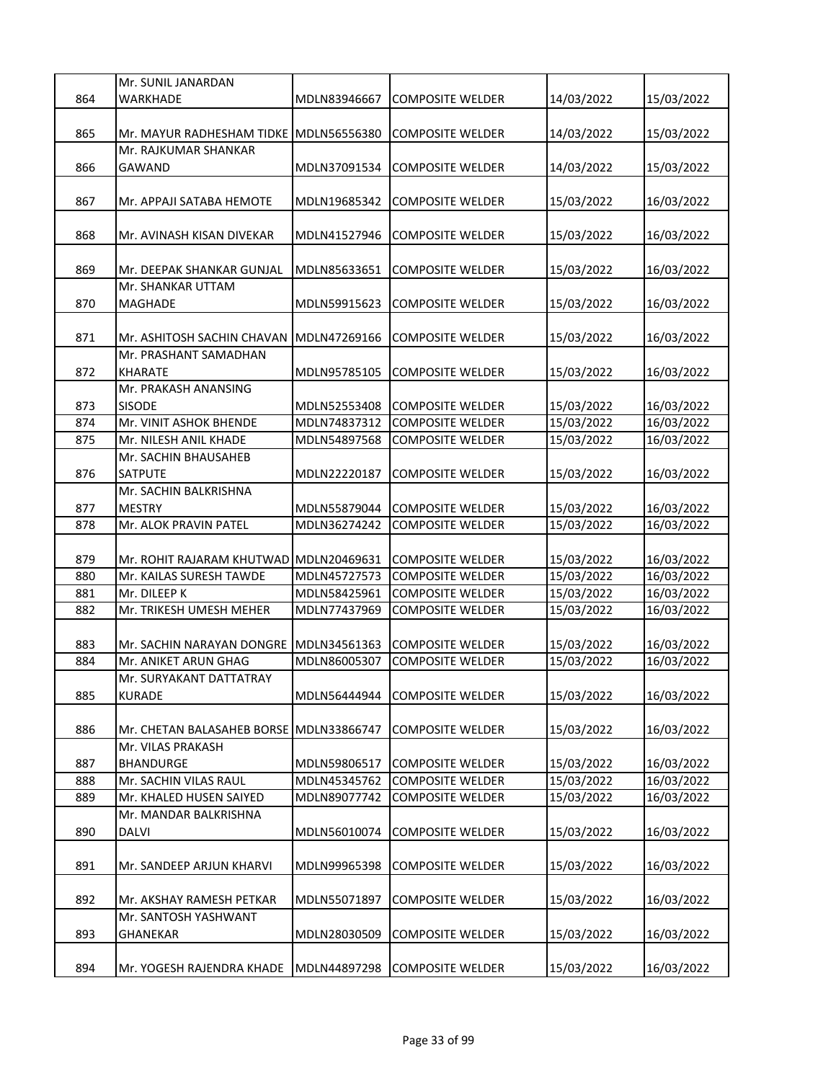|            | Mr. SUNIL JANARDAN                              |                              |                                                    |                          |            |
|------------|-------------------------------------------------|------------------------------|----------------------------------------------------|--------------------------|------------|
| 864        | WARKHADE                                        | MDLN83946667                 | COMPOSITE WELDER                                   | 14/03/2022               | 15/03/2022 |
|            |                                                 |                              |                                                    |                          |            |
| 865        | Mr. MAYUR RADHESHAM TIDKE                       | MDLN56556380                 | <b>COMPOSITE WELDER</b>                            | 14/03/2022               | 15/03/2022 |
|            | Mr. RAJKUMAR SHANKAR                            |                              |                                                    |                          |            |
| 866        | GAWAND                                          | MDLN37091534                 | <b>COMPOSITE WELDER</b>                            | 14/03/2022               | 15/03/2022 |
|            |                                                 |                              |                                                    |                          |            |
| 867        | Mr. APPAJI SATABA HEMOTE                        | MDLN19685342                 | <b>COMPOSITE WELDER</b>                            | 15/03/2022               | 16/03/2022 |
|            |                                                 |                              |                                                    |                          |            |
| 868        | Mr. AVINASH KISAN DIVEKAR                       | MDLN41527946                 | <b>COMPOSITE WELDER</b>                            | 15/03/2022               | 16/03/2022 |
|            |                                                 |                              |                                                    |                          |            |
| 869        | Mr. DEEPAK SHANKAR GUNJAL                       | MDLN85633651                 | <b>COMPOSITE WELDER</b>                            | 15/03/2022               | 16/03/2022 |
|            | Mr. SHANKAR UTTAM                               |                              |                                                    |                          |            |
| 870        | <b>MAGHADE</b>                                  | MDLN59915623                 | <b>COMPOSITE WELDER</b>                            | 15/03/2022               | 16/03/2022 |
|            |                                                 |                              |                                                    |                          |            |
| 871        | Mr. ASHITOSH SACHIN CHAVAN                      | MDLN47269166                 | <b>COMPOSITE WELDER</b>                            | 15/03/2022               | 16/03/2022 |
|            | Mr. PRASHANT SAMADHAN                           |                              |                                                    |                          |            |
| 872        | <b>KHARATE</b>                                  | MDLN95785105                 | <b>COMPOSITE WELDER</b>                            | 15/03/2022               | 16/03/2022 |
|            | Mr. PRAKASH ANANSING                            |                              |                                                    |                          |            |
| 873        | <b>SISODE</b>                                   | MDLN52553408<br>MDLN74837312 | <b>COMPOSITE WELDER</b>                            | 15/03/2022               | 16/03/2022 |
| 874<br>875 | Mr. VINIT ASHOK BHENDE<br>Mr. NILESH ANIL KHADE | MDLN54897568                 | <b>COMPOSITE WELDER</b><br><b>COMPOSITE WELDER</b> | 15/03/2022<br>15/03/2022 | 16/03/2022 |
|            | Mr. SACHIN BHAUSAHEB                            |                              |                                                    |                          | 16/03/2022 |
| 876        | SATPUTE                                         | MDLN22220187                 | <b>COMPOSITE WELDER</b>                            | 15/03/2022               | 16/03/2022 |
|            | Mr. SACHIN BALKRISHNA                           |                              |                                                    |                          |            |
| 877        | MESTRY                                          | MDLN55879044                 | <b>COMPOSITE WELDER</b>                            | 15/03/2022               | 16/03/2022 |
| 878        | Mr. ALOK PRAVIN PATEL                           | MDLN36274242                 | <b>COMPOSITE WELDER</b>                            | 15/03/2022               | 16/03/2022 |
|            |                                                 |                              |                                                    |                          |            |
| 879        | Mr. ROHIT RAJARAM KHUTWAD                       | MDLN20469631                 | <b>COMPOSITE WELDER</b>                            | 15/03/2022               | 16/03/2022 |
| 880        | Mr. KAILAS SURESH TAWDE                         | MDLN45727573                 | <b>COMPOSITE WELDER</b>                            | 15/03/2022               | 16/03/2022 |
| 881        | Mr. DILEEP K                                    | MDLN58425961                 | <b>COMPOSITE WELDER</b>                            | 15/03/2022               | 16/03/2022 |
| 882        | Mr. TRIKESH UMESH MEHER                         | MDLN77437969                 | <b>COMPOSITE WELDER</b>                            | 15/03/2022               | 16/03/2022 |
|            |                                                 |                              |                                                    |                          |            |
| 883        | Mr. SACHIN NARAYAN DONGRE                       | MDLN34561363                 | <b>COMPOSITE WELDER</b>                            | 15/03/2022               | 16/03/2022 |
| 884        | Mr. ANIKET ARUN GHAG                            | MDLN86005307                 | <b>COMPOSITE WELDER</b>                            | 15/03/2022               | 16/03/2022 |
|            | Mr. SURYAKANT DATTATRAY                         |                              |                                                    |                          |            |
| 885        | <b>KURADE</b>                                   | MDLN56444944                 | <b>COMPOSITE WELDER</b>                            | 15/03/2022               | 16/03/2022 |
|            |                                                 |                              |                                                    |                          |            |
| 886        | Mr. CHETAN BALASAHEB BORSE MDLN33866747         |                              | <b>COMPOSITE WELDER</b>                            | 15/03/2022               | 16/03/2022 |
|            | Mr. VILAS PRAKASH                               |                              |                                                    |                          |            |
| 887        | BHANDURGE                                       | MDLN59806517                 | <b>COMPOSITE WELDER</b>                            | 15/03/2022               | 16/03/2022 |
| 888        | Mr. SACHIN VILAS RAUL                           | MDLN45345762                 | <b>COMPOSITE WELDER</b>                            | 15/03/2022               | 16/03/2022 |
| 889        | Mr. KHALED HUSEN SAIYED                         | MDLN89077742                 | <b>COMPOSITE WELDER</b>                            | 15/03/2022               | 16/03/2022 |
|            | Mr. MANDAR BALKRISHNA                           |                              |                                                    |                          |            |
| 890        | DALVI                                           | MDLN56010074                 | <b>COMPOSITE WELDER</b>                            | 15/03/2022               | 16/03/2022 |
|            |                                                 |                              |                                                    |                          |            |
| 891        | Mr. SANDEEP ARJUN KHARVI                        | MDLN99965398                 | <b>COMPOSITE WELDER</b>                            | 15/03/2022               | 16/03/2022 |
|            |                                                 |                              |                                                    |                          |            |
| 892        | Mr. AKSHAY RAMESH PETKAR                        | MDLN55071897                 | <b>COMPOSITE WELDER</b>                            | 15/03/2022               | 16/03/2022 |
|            | Mr. SANTOSH YASHWANT                            |                              |                                                    |                          |            |
| 893        | GHANEKAR                                        | MDLN28030509                 | <b>COMPOSITE WELDER</b>                            | 15/03/2022               | 16/03/2022 |
|            |                                                 |                              |                                                    |                          |            |
| 894        | Mr. YOGESH RAJENDRA KHADE                       | MDLN44897298                 | <b>COMPOSITE WELDER</b>                            | 15/03/2022               | 16/03/2022 |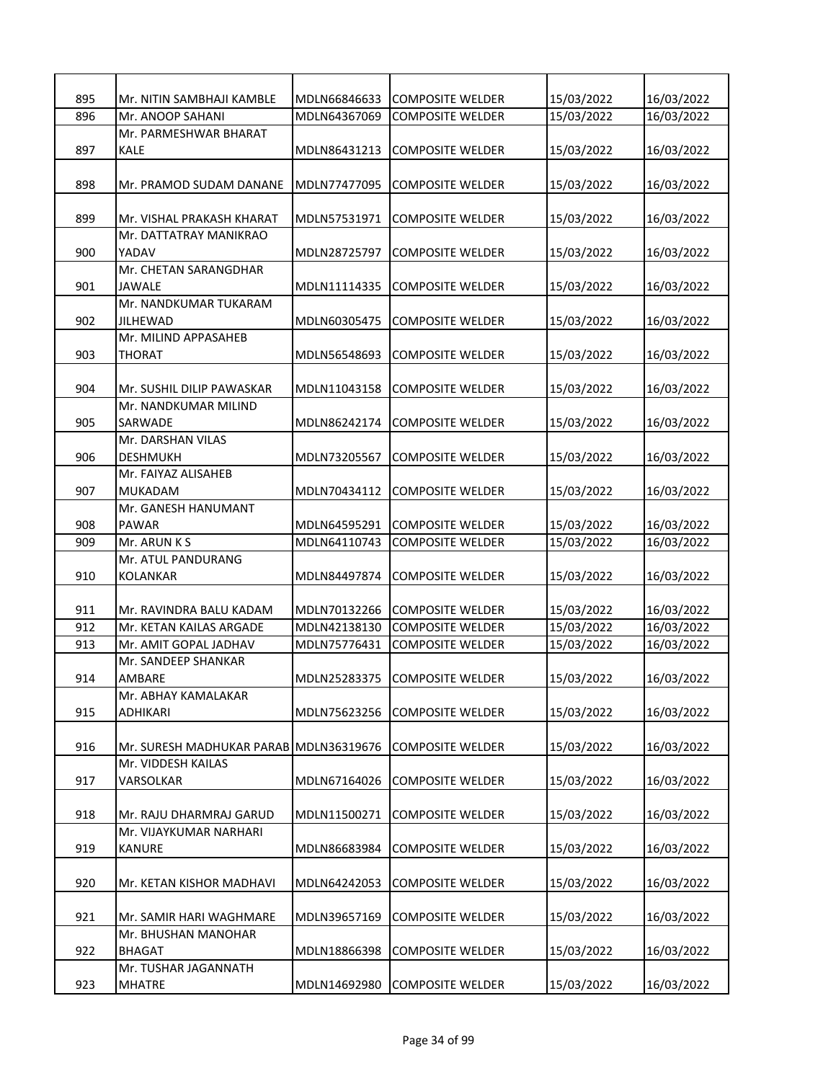| 895 | Mr. NITIN SAMBHAJI KAMBLE | MDLN66846633 | <b>COMPOSITE WELDER</b> | 15/03/2022 | 16/03/2022 |
|-----|---------------------------|--------------|-------------------------|------------|------------|
| 896 | Mr. ANOOP SAHANI          | MDLN64367069 | <b>COMPOSITE WELDER</b> | 15/03/2022 | 16/03/2022 |
|     | Mr. PARMESHWAR BHARAT     |              |                         |            |            |
| 897 | <b>KALE</b>               | MDLN86431213 | <b>COMPOSITE WELDER</b> | 15/03/2022 | 16/03/2022 |
|     |                           |              |                         |            |            |
| 898 | Mr. PRAMOD SUDAM DANANE   | MDLN77477095 | <b>COMPOSITE WELDER</b> | 15/03/2022 | 16/03/2022 |
|     |                           |              |                         |            |            |
| 899 | Mr. VISHAL PRAKASH KHARAT | MDLN57531971 | <b>COMPOSITE WELDER</b> | 15/03/2022 | 16/03/2022 |
|     | Mr. DATTATRAY MANIKRAO    |              |                         |            |            |
| 900 | YADAV                     | MDLN28725797 | <b>COMPOSITE WELDER</b> | 15/03/2022 | 16/03/2022 |
|     | Mr. CHETAN SARANGDHAR     |              |                         |            |            |
| 901 |                           |              |                         |            |            |
|     | JAWALE                    | MDLN11114335 | <b>COMPOSITE WELDER</b> | 15/03/2022 | 16/03/2022 |
|     | Mr. NANDKUMAR TUKARAM     |              |                         |            |            |
| 902 | <b>JILHEWAD</b>           | MDLN60305475 | <b>COMPOSITE WELDER</b> | 15/03/2022 | 16/03/2022 |
|     | Mr. MILIND APPASAHEB      |              |                         |            |            |
| 903 | <b>THORAT</b>             | MDLN56548693 | <b>COMPOSITE WELDER</b> | 15/03/2022 | 16/03/2022 |
|     |                           |              |                         |            |            |
| 904 | Mr. SUSHIL DILIP PAWASKAR | MDLN11043158 | <b>COMPOSITE WELDER</b> | 15/03/2022 | 16/03/2022 |
|     | Mr. NANDKUMAR MILIND      |              |                         |            |            |
| 905 | SARWADE                   | MDLN86242174 | <b>COMPOSITE WELDER</b> | 15/03/2022 | 16/03/2022 |
|     | Mr. DARSHAN VILAS         |              |                         |            |            |
| 906 | <b>DESHMUKH</b>           | MDLN73205567 | <b>COMPOSITE WELDER</b> | 15/03/2022 | 16/03/2022 |
|     | Mr. FAIYAZ ALISAHEB       |              |                         |            |            |
| 907 | MUKADAM                   | MDLN70434112 | <b>COMPOSITE WELDER</b> | 15/03/2022 | 16/03/2022 |
|     | Mr. GANESH HANUMANT       |              |                         |            |            |
| 908 | <b>PAWAR</b>              | MDLN64595291 | <b>COMPOSITE WELDER</b> | 15/03/2022 | 16/03/2022 |
| 909 | Mr. ARUN K S              | MDLN64110743 | <b>COMPOSITE WELDER</b> | 15/03/2022 | 16/03/2022 |
|     | Mr. ATUL PANDURANG        |              |                         |            |            |
| 910 | <b>KOLANKAR</b>           | MDLN84497874 | <b>COMPOSITE WELDER</b> | 15/03/2022 | 16/03/2022 |
|     |                           |              |                         |            |            |
| 911 | Mr. RAVINDRA BALU KADAM   | MDLN70132266 | <b>COMPOSITE WELDER</b> | 15/03/2022 | 16/03/2022 |
| 912 | Mr. KETAN KAILAS ARGADE   | MDLN42138130 | <b>COMPOSITE WELDER</b> | 15/03/2022 | 16/03/2022 |
| 913 | Mr. AMIT GOPAL JADHAV     | MDLN75776431 | <b>COMPOSITE WELDER</b> | 15/03/2022 | 16/03/2022 |
|     | Mr. SANDEEP SHANKAR       |              |                         |            |            |
| 914 | AMBARE                    | MDLN25283375 | <b>COMPOSITE WELDER</b> | 15/03/2022 | 16/03/2022 |
|     | Mr. ABHAY KAMALAKAR       |              |                         |            |            |
| 915 | ADHIKARI                  | MDLN75623256 | <b>COMPOSITE WELDER</b> | 15/03/2022 | 16/03/2022 |
|     |                           |              |                         |            |            |
| 916 | Mr. SURESH MADHUKAR PARAB | MDLN36319676 | <b>COMPOSITE WELDER</b> | 15/03/2022 | 16/03/2022 |
|     | Mr. VIDDESH KAILAS        |              |                         |            |            |
| 917 | VARSOLKAR                 | MDLN67164026 | <b>COMPOSITE WELDER</b> | 15/03/2022 | 16/03/2022 |
|     |                           |              |                         |            |            |
| 918 | Mr. RAJU DHARMRAJ GARUD   | MDLN11500271 | <b>COMPOSITE WELDER</b> | 15/03/2022 | 16/03/2022 |
|     | Mr. VIJAYKUMAR NARHARI    |              |                         |            |            |
| 919 | <b>KANURE</b>             | MDLN86683984 | <b>COMPOSITE WELDER</b> | 15/03/2022 | 16/03/2022 |
|     |                           |              |                         |            |            |
| 920 | Mr. KETAN KISHOR MADHAVI  | MDLN64242053 | <b>COMPOSITE WELDER</b> | 15/03/2022 | 16/03/2022 |
|     |                           |              |                         |            |            |
| 921 | Mr. SAMIR HARI WAGHMARE   | MDLN39657169 | <b>COMPOSITE WELDER</b> | 15/03/2022 | 16/03/2022 |
|     | Mr. BHUSHAN MANOHAR       |              |                         |            |            |
| 922 | <b>BHAGAT</b>             | MDLN18866398 | <b>COMPOSITE WELDER</b> | 15/03/2022 | 16/03/2022 |
|     | Mr. TUSHAR JAGANNATH      |              |                         |            |            |
| 923 | MHATRE                    | MDLN14692980 | <b>COMPOSITE WELDER</b> | 15/03/2022 | 16/03/2022 |
|     |                           |              |                         |            |            |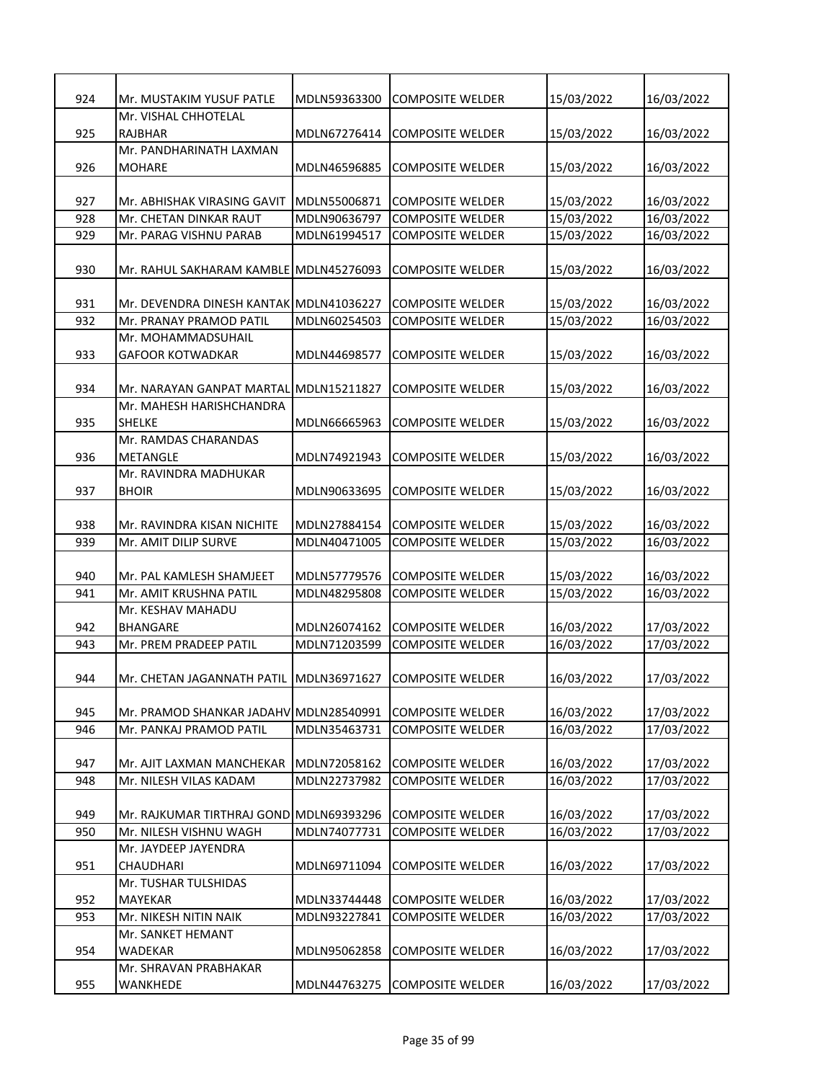| 924 | Mr. MUSTAKIM YUSUF PATLE                                          | MDLN59363300 | <b>COMPOSITE WELDER</b> | 15/03/2022 | 16/03/2022 |
|-----|-------------------------------------------------------------------|--------------|-------------------------|------------|------------|
|     | Mr. VISHAL CHHOTELAL                                              |              |                         |            |            |
| 925 | <b>RAJBHAR</b>                                                    | MDLN67276414 | <b>COMPOSITE WELDER</b> | 15/03/2022 | 16/03/2022 |
|     | Mr. PANDHARINATH LAXMAN                                           |              |                         |            |            |
| 926 | <b>MOHARE</b>                                                     | MDLN46596885 | <b>COMPOSITE WELDER</b> | 15/03/2022 | 16/03/2022 |
|     |                                                                   |              |                         |            |            |
| 927 | Mr. ABHISHAK VIRASING GAVIT                                       | MDLN55006871 | <b>COMPOSITE WELDER</b> | 15/03/2022 | 16/03/2022 |
| 928 | Mr. CHETAN DINKAR RAUT                                            | MDLN90636797 | <b>COMPOSITE WELDER</b> | 15/03/2022 | 16/03/2022 |
| 929 | Mr. PARAG VISHNU PARAB                                            | MDLN61994517 | COMPOSITE WELDER        | 15/03/2022 | 16/03/2022 |
|     |                                                                   |              |                         |            |            |
| 930 | Mr. RAHUL SAKHARAM KAMBLE MDLN45276093                            |              | <b>COMPOSITE WELDER</b> | 15/03/2022 | 16/03/2022 |
|     |                                                                   |              |                         |            |            |
| 931 | Mr. DEVENDRA DINESH KANTAK MDLN41036227                           |              | <b>COMPOSITE WELDER</b> | 15/03/2022 | 16/03/2022 |
| 932 | Mr. PRANAY PRAMOD PATIL                                           | MDLN60254503 | <b>COMPOSITE WELDER</b> | 15/03/2022 | 16/03/2022 |
|     | Mr. MOHAMMADSUHAIL                                                |              |                         |            |            |
| 933 | <b>GAFOOR KOTWADKAR</b>                                           | MDLN44698577 | <b>COMPOSITE WELDER</b> | 15/03/2022 | 16/03/2022 |
|     |                                                                   |              |                         |            |            |
| 934 | Mr. NARAYAN GANPAT MARTAL MDLN15211827                            |              | <b>COMPOSITE WELDER</b> | 15/03/2022 | 16/03/2022 |
|     | Mr. MAHESH HARISHCHANDRA                                          |              |                         |            |            |
| 935 | <b>SHELKE</b><br>Mr. RAMDAS CHARANDAS                             | MDLN66665963 | <b>COMPOSITE WELDER</b> | 15/03/2022 | 16/03/2022 |
| 936 | <b>METANGLE</b>                                                   | MDLN74921943 | <b>COMPOSITE WELDER</b> | 15/03/2022 | 16/03/2022 |
|     | Mr. RAVINDRA MADHUKAR                                             |              |                         |            |            |
| 937 | <b>BHOIR</b>                                                      | MDLN90633695 | <b>COMPOSITE WELDER</b> | 15/03/2022 | 16/03/2022 |
|     |                                                                   |              |                         |            |            |
| 938 | Mr. RAVINDRA KISAN NICHITE                                        | MDLN27884154 | <b>COMPOSITE WELDER</b> | 15/03/2022 | 16/03/2022 |
| 939 | Mr. AMIT DILIP SURVE                                              | MDLN40471005 | <b>COMPOSITE WELDER</b> | 15/03/2022 | 16/03/2022 |
|     |                                                                   |              |                         |            |            |
| 940 | Mr. PAL KAMLESH SHAMJEET                                          | MDLN57779576 | <b>COMPOSITE WELDER</b> | 15/03/2022 | 16/03/2022 |
| 941 | Mr. AMIT KRUSHNA PATIL                                            | MDLN48295808 | <b>COMPOSITE WELDER</b> | 15/03/2022 | 16/03/2022 |
|     | Mr. KESHAV MAHADU                                                 |              |                         |            |            |
| 942 | <b>BHANGARE</b>                                                   | MDLN26074162 | <b>COMPOSITE WELDER</b> | 16/03/2022 | 17/03/2022 |
| 943 | Mr. PREM PRADEEP PATIL                                            | MDLN71203599 | <b>COMPOSITE WELDER</b> | 16/03/2022 | 17/03/2022 |
|     |                                                                   |              |                         |            |            |
| 944 | Mr. CHETAN JAGANNATH PATIL MDLN36971627                           |              | <b>COMPOSITE WELDER</b> | 16/03/2022 | 17/03/2022 |
|     |                                                                   |              |                         |            |            |
| 945 | Mr. PRAMOD SHANKAR JADAHV MDLN28540991                            |              | <b>COMPOSITE WELDER</b> | 16/03/2022 | 17/03/2022 |
| 946 | Mr. PANKAJ PRAMOD PATIL                                           | MDLN35463731 | <b>COMPOSITE WELDER</b> | 16/03/2022 | 17/03/2022 |
|     |                                                                   |              |                         |            |            |
| 947 | Mr. AJIT LAXMAN MANCHEKAR                                         | MDLN72058162 | <b>COMPOSITE WELDER</b> | 16/03/2022 | 17/03/2022 |
| 948 | Mr. NILESH VILAS KADAM                                            | MDLN22737982 | <b>COMPOSITE WELDER</b> | 16/03/2022 | 17/03/2022 |
|     |                                                                   |              |                         |            |            |
| 949 | Mr. RAJKUMAR TIRTHRAJ GOND MDLN69393296<br>Mr. NILESH VISHNU WAGH |              | <b>COMPOSITE WELDER</b> | 16/03/2022 | 17/03/2022 |
| 950 |                                                                   | MDLN74077731 | <b>COMPOSITE WELDER</b> | 16/03/2022 | 17/03/2022 |
| 951 | Mr. JAYDEEP JAYENDRA<br>CHAUDHARI                                 | MDLN69711094 | <b>COMPOSITE WELDER</b> | 16/03/2022 | 17/03/2022 |
|     | Mr. TUSHAR TULSHIDAS                                              |              |                         |            |            |
| 952 | MAYEKAR                                                           | MDLN33744448 | <b>COMPOSITE WELDER</b> | 16/03/2022 | 17/03/2022 |
| 953 | Mr. NIKESH NITIN NAIK                                             | MDLN93227841 | <b>COMPOSITE WELDER</b> | 16/03/2022 | 17/03/2022 |
|     | Mr. SANKET HEMANT                                                 |              |                         |            |            |
| 954 | <b>WADEKAR</b>                                                    | MDLN95062858 | <b>COMPOSITE WELDER</b> | 16/03/2022 | 17/03/2022 |
|     | Mr. SHRAVAN PRABHAKAR                                             |              |                         |            |            |
| 955 | WANKHEDE                                                          | MDLN44763275 | <b>COMPOSITE WELDER</b> | 16/03/2022 | 17/03/2022 |
|     |                                                                   |              |                         |            |            |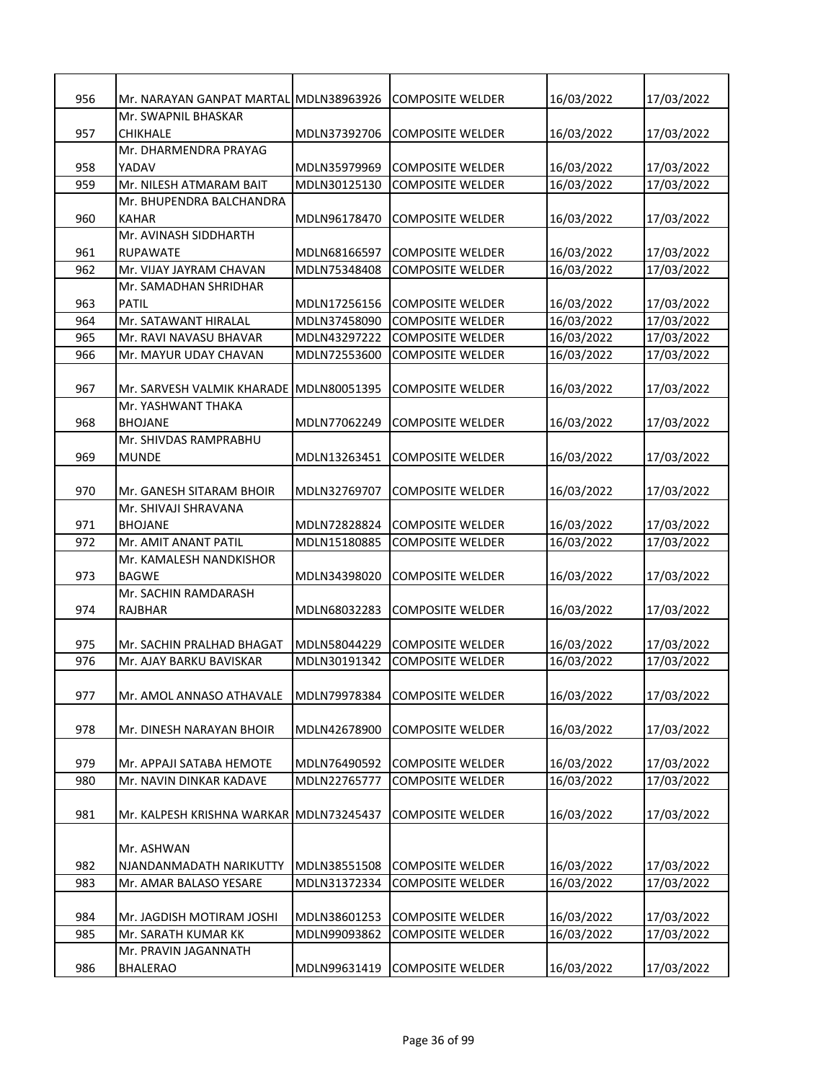| 956 | Mr. NARAYAN GANPAT MARTAL MDLN38963926  |              | COMPOSITE WELDER        | 16/03/2022 | 17/03/2022 |
|-----|-----------------------------------------|--------------|-------------------------|------------|------------|
|     | Mr. SWAPNIL BHASKAR                     |              |                         |            |            |
| 957 | <b>CHIKHALE</b>                         | MDLN37392706 | <b>COMPOSITE WELDER</b> | 16/03/2022 | 17/03/2022 |
|     | Mr. DHARMENDRA PRAYAG                   |              |                         |            |            |
| 958 | YADAV                                   | MDLN35979969 | <b>COMPOSITE WELDER</b> | 16/03/2022 | 17/03/2022 |
| 959 | Mr. NILESH ATMARAM BAIT                 | MDLN30125130 | <b>COMPOSITE WELDER</b> | 16/03/2022 | 17/03/2022 |
|     | Mr. BHUPENDRA BALCHANDRA                |              |                         |            |            |
| 960 | KAHAR                                   | MDLN96178470 | <b>COMPOSITE WELDER</b> | 16/03/2022 | 17/03/2022 |
|     | Mr. AVINASH SIDDHARTH                   |              |                         |            |            |
| 961 | <b>RUPAWATE</b>                         | MDLN68166597 | <b>COMPOSITE WELDER</b> | 16/03/2022 | 17/03/2022 |
| 962 | Mr. VIJAY JAYRAM CHAVAN                 | MDLN75348408 | <b>COMPOSITE WELDER</b> | 16/03/2022 | 17/03/2022 |
|     | Mr. SAMADHAN SHRIDHAR                   |              |                         |            |            |
| 963 | PATIL                                   | MDLN17256156 | <b>COMPOSITE WELDER</b> | 16/03/2022 | 17/03/2022 |
| 964 | Mr. SATAWANT HIRALAL                    | MDLN37458090 | <b>COMPOSITE WELDER</b> | 16/03/2022 | 17/03/2022 |
| 965 | Mr. RAVI NAVASU BHAVAR                  | MDLN43297222 | <b>COMPOSITE WELDER</b> | 16/03/2022 | 17/03/2022 |
| 966 | Mr. MAYUR UDAY CHAVAN                   | MDLN72553600 | <b>COMPOSITE WELDER</b> | 16/03/2022 | 17/03/2022 |
|     |                                         |              |                         |            |            |
| 967 | Mr. SARVESH VALMIK KHARADE MDLN80051395 |              | <b>COMPOSITE WELDER</b> | 16/03/2022 | 17/03/2022 |
|     | Mr. YASHWANT THAKA                      |              |                         |            |            |
| 968 | <b>BHOJANE</b>                          | MDLN77062249 | <b>COMPOSITE WELDER</b> | 16/03/2022 | 17/03/2022 |
|     | Mr. SHIVDAS RAMPRABHU                   |              |                         |            |            |
| 969 | <b>MUNDE</b>                            | MDLN13263451 | <b>COMPOSITE WELDER</b> | 16/03/2022 | 17/03/2022 |
|     |                                         |              |                         |            |            |
| 970 | Mr. GANESH SITARAM BHOIR                | MDLN32769707 | <b>COMPOSITE WELDER</b> | 16/03/2022 | 17/03/2022 |
|     | Mr. SHIVAJI SHRAVANA                    |              |                         |            |            |
| 971 | <b>BHOJANE</b>                          | MDLN72828824 | <b>COMPOSITE WELDER</b> | 16/03/2022 | 17/03/2022 |
| 972 | Mr. AMIT ANANT PATIL                    | MDLN15180885 | <b>COMPOSITE WELDER</b> | 16/03/2022 | 17/03/2022 |
| 973 | Mr. KAMALESH NANDKISHOR                 |              |                         |            |            |
|     | <b>BAGWE</b>                            | MDLN34398020 | <b>COMPOSITE WELDER</b> | 16/03/2022 | 17/03/2022 |
|     | Mr. SACHIN RAMDARASH                    |              |                         |            |            |
| 974 | RAJBHAR                                 | MDLN68032283 | <b>COMPOSITE WELDER</b> | 16/03/2022 | 17/03/2022 |
|     |                                         |              |                         |            |            |
| 975 | Mr. SACHIN PRALHAD BHAGAT               | MDLN58044229 | <b>COMPOSITE WELDER</b> | 16/03/2022 | 17/03/2022 |
| 976 | Mr. AJAY BARKU BAVISKAR                 | MDLN30191342 | COMPOSITE WELDER        | 16/03/2022 | 17/03/2022 |
| 977 | Mr. AMOL ANNASO ATHAVALE                | MDLN79978384 | <b>COMPOSITE WELDER</b> | 16/03/2022 | 17/03/2022 |
|     |                                         |              |                         |            |            |
| 978 | Mr. DINESH NARAYAN BHOIR                | MDLN42678900 | <b>COMPOSITE WELDER</b> | 16/03/2022 | 17/03/2022 |
|     |                                         |              |                         |            |            |
| 979 | Mr. APPAJI SATABA HEMOTE                | MDLN76490592 | <b>COMPOSITE WELDER</b> | 16/03/2022 | 17/03/2022 |
| 980 | Mr. NAVIN DINKAR KADAVE                 | MDLN22765777 | <b>COMPOSITE WELDER</b> | 16/03/2022 | 17/03/2022 |
|     |                                         |              |                         |            |            |
| 981 | Mr. KALPESH KRISHNA WARKAR MDLN73245437 |              | <b>COMPOSITE WELDER</b> | 16/03/2022 | 17/03/2022 |
|     |                                         |              |                         |            |            |
|     | Mr. ASHWAN                              |              |                         |            |            |
| 982 | NJANDANMADATH NARIKUTTY                 | MDLN38551508 | <b>COMPOSITE WELDER</b> | 16/03/2022 | 17/03/2022 |
| 983 | Mr. AMAR BALASO YESARE                  | MDLN31372334 | <b>COMPOSITE WELDER</b> | 16/03/2022 | 17/03/2022 |
|     |                                         |              |                         |            |            |
| 984 | Mr. JAGDISH MOTIRAM JOSHI               | MDLN38601253 | <b>COMPOSITE WELDER</b> | 16/03/2022 | 17/03/2022 |
| 985 | Mr. SARATH KUMAR KK                     | MDLN99093862 | <b>COMPOSITE WELDER</b> | 16/03/2022 | 17/03/2022 |
|     | Mr. PRAVIN JAGANNATH                    |              |                         |            |            |
| 986 | BHALERAO                                | MDLN99631419 | <b>COMPOSITE WELDER</b> | 16/03/2022 | 17/03/2022 |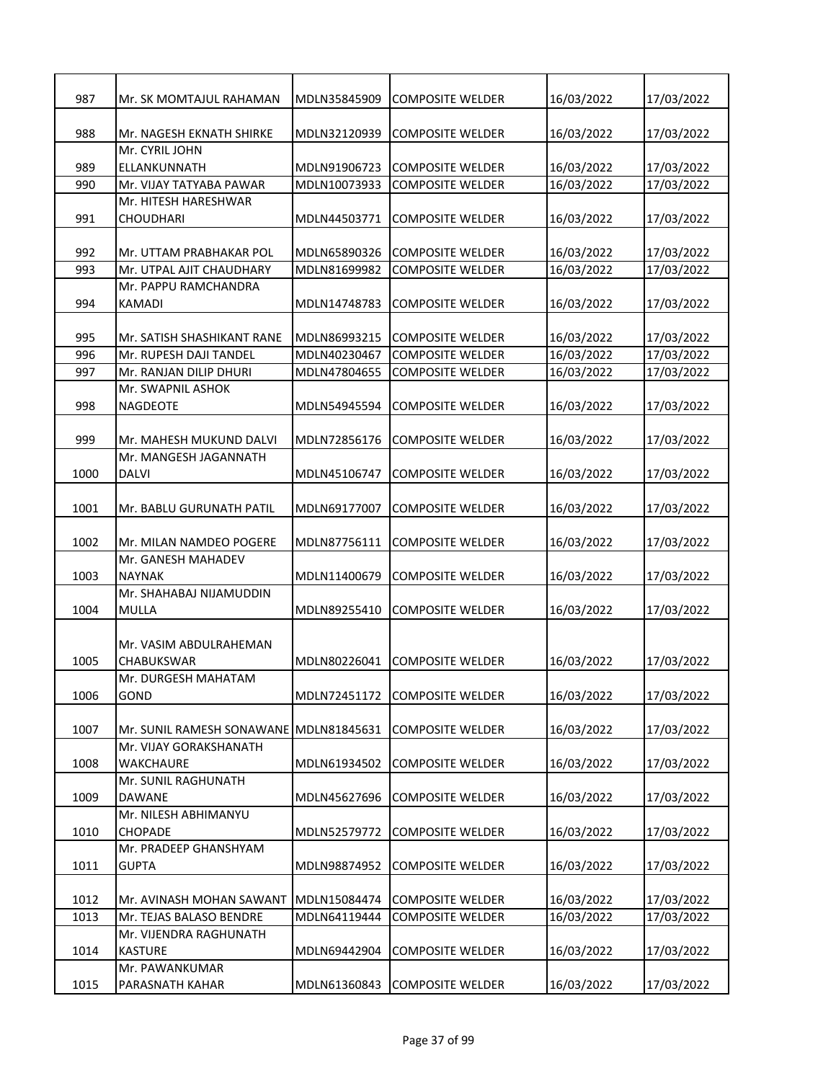| 987  | Mr. SK MOMTAJUL RAHAMAN    | MDLN35845909 | COMPOSITE WELDER        | 16/03/2022 | 17/03/2022 |
|------|----------------------------|--------------|-------------------------|------------|------------|
| 988  | Mr. NAGESH EKNATH SHIRKE   | MDLN32120939 | <b>COMPOSITE WELDER</b> | 16/03/2022 | 17/03/2022 |
|      | Mr. CYRIL JOHN             |              |                         |            |            |
| 989  | ELLANKUNNATH               | MDLN91906723 | <b>COMPOSITE WELDER</b> | 16/03/2022 | 17/03/2022 |
| 990  | Mr. VIJAY TATYABA PAWAR    | MDLN10073933 | <b>COMPOSITE WELDER</b> | 16/03/2022 | 17/03/2022 |
|      | Mr. HITESH HARESHWAR       |              |                         |            |            |
| 991  | CHOUDHARI                  | MDLN44503771 | <b>COMPOSITE WELDER</b> | 16/03/2022 | 17/03/2022 |
| 992  | Mr. UTTAM PRABHAKAR POL    | MDLN65890326 | <b>COMPOSITE WELDER</b> | 16/03/2022 | 17/03/2022 |
| 993  | Mr. UTPAL AJIT CHAUDHARY   | MDLN81699982 | <b>COMPOSITE WELDER</b> | 16/03/2022 | 17/03/2022 |
|      | Mr. PAPPU RAMCHANDRA       |              |                         |            |            |
| 994  | <b>KAMADI</b>              | MDLN14748783 | <b>COMPOSITE WELDER</b> |            |            |
|      |                            |              |                         | 16/03/2022 | 17/03/2022 |
| 995  | Mr. SATISH SHASHIKANT RANE | MDLN86993215 | <b>COMPOSITE WELDER</b> | 16/03/2022 | 17/03/2022 |
| 996  | Mr. RUPESH DAJI TANDEL     | MDLN40230467 | <b>COMPOSITE WELDER</b> | 16/03/2022 | 17/03/2022 |
| 997  | Mr. RANJAN DILIP DHURI     | MDLN47804655 | <b>COMPOSITE WELDER</b> | 16/03/2022 | 17/03/2022 |
|      | Mr. SWAPNIL ASHOK          |              |                         |            |            |
| 998  | <b>NAGDEOTE</b>            | MDLN54945594 | <b>COMPOSITE WELDER</b> | 16/03/2022 | 17/03/2022 |
|      |                            |              |                         |            |            |
| 999  | Mr. MAHESH MUKUND DALVI    | MDLN72856176 | <b>COMPOSITE WELDER</b> | 16/03/2022 | 17/03/2022 |
|      | Mr. MANGESH JAGANNATH      |              |                         |            |            |
| 1000 | <b>DALVI</b>               | MDLN45106747 | <b>COMPOSITE WELDER</b> | 16/03/2022 | 17/03/2022 |
|      |                            |              |                         |            |            |
| 1001 | Mr. BABLU GURUNATH PATIL   | MDLN69177007 | <b>COMPOSITE WELDER</b> | 16/03/2022 | 17/03/2022 |
|      |                            |              |                         |            |            |
| 1002 | Mr. MILAN NAMDEO POGERE    | MDLN87756111 | <b>COMPOSITE WELDER</b> | 16/03/2022 | 17/03/2022 |
|      | Mr. GANESH MAHADEV         |              |                         |            |            |
| 1003 | <b>NAYNAK</b>              | MDLN11400679 | <b>COMPOSITE WELDER</b> | 16/03/2022 | 17/03/2022 |
|      | Mr. SHAHABAJ NIJAMUDDIN    |              |                         |            |            |
| 1004 | MULLA                      | MDLN89255410 | <b>COMPOSITE WELDER</b> | 16/03/2022 | 17/03/2022 |
|      |                            |              |                         |            |            |
|      | Mr. VASIM ABDULRAHEMAN     |              |                         |            |            |
| 1005 | <b>CHABUKSWAR</b>          | MDLN80226041 | <b>COMPOSITE WELDER</b> | 16/03/2022 | 17/03/2022 |
|      | Mr. DURGESH MAHATAM        |              |                         |            |            |
| 1006 | GOND                       | MDLN72451172 | <b>COMPOSITE WELDER</b> | 16/03/2022 | 17/03/2022 |
|      |                            |              |                         |            |            |
| 1007 | Mr. SUNIL RAMESH SONAWANE  | MDLN81845631 | <b>COMPOSITE WELDER</b> | 16/03/2022 | 17/03/2022 |
|      | Mr. VIJAY GORAKSHANATH     |              |                         |            |            |
| 1008 | <b>WAKCHAURE</b>           | MDLN61934502 | <b>COMPOSITE WELDER</b> | 16/03/2022 | 17/03/2022 |
|      | Mr. SUNIL RAGHUNATH        |              |                         |            |            |
| 1009 | DAWANE                     | MDLN45627696 | <b>COMPOSITE WELDER</b> | 16/03/2022 | 17/03/2022 |
|      | Mr. NILESH ABHIMANYU       |              |                         |            |            |
| 1010 | <b>CHOPADE</b>             | MDLN52579772 | COMPOSITE WELDER        | 16/03/2022 | 17/03/2022 |
|      | Mr. PRADEEP GHANSHYAM      |              |                         |            |            |
| 1011 | <b>GUPTA</b>               | MDLN98874952 | COMPOSITE WELDER        | 16/03/2022 | 17/03/2022 |
|      |                            |              |                         |            |            |
| 1012 | Mr. AVINASH MOHAN SAWANT   | MDLN15084474 | <b>COMPOSITE WELDER</b> | 16/03/2022 | 17/03/2022 |
| 1013 | Mr. TEJAS BALASO BENDRE    | MDLN64119444 | <b>COMPOSITE WELDER</b> | 16/03/2022 | 17/03/2022 |
|      | Mr. VIJENDRA RAGHUNATH     |              |                         |            |            |
| 1014 | <b>KASTURE</b>             | MDLN69442904 | <b>COMPOSITE WELDER</b> | 16/03/2022 | 17/03/2022 |
|      | Mr. PAWANKUMAR             |              |                         |            |            |
| 1015 | PARASNATH KAHAR            | MDLN61360843 | <b>COMPOSITE WELDER</b> | 16/03/2022 | 17/03/2022 |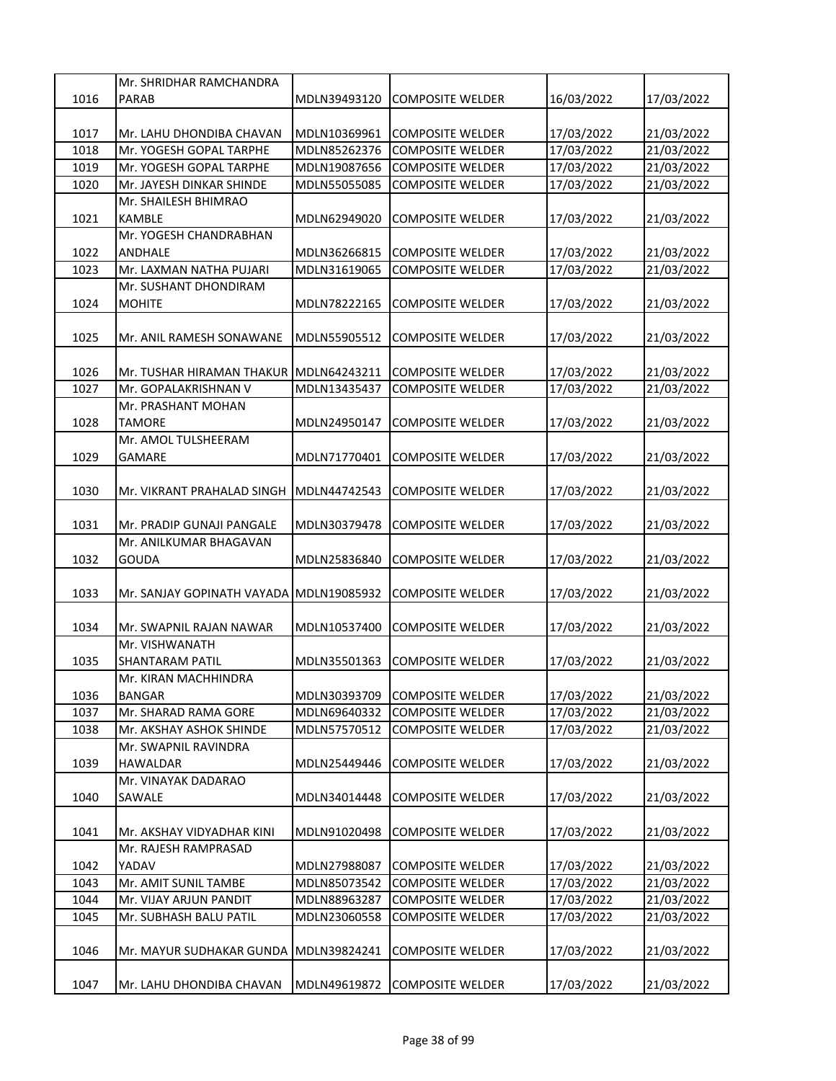|      | Mr. SHRIDHAR RAMCHANDRA                 |              |                         |            |            |
|------|-----------------------------------------|--------------|-------------------------|------------|------------|
| 1016 | <b>PARAB</b>                            | MDLN39493120 | <b>COMPOSITE WELDER</b> | 16/03/2022 | 17/03/2022 |
|      |                                         |              |                         |            |            |
| 1017 | Mr. LAHU DHONDIBA CHAVAN                | MDLN10369961 | <b>COMPOSITE WELDER</b> | 17/03/2022 | 21/03/2022 |
| 1018 | Mr. YOGESH GOPAL TARPHE                 | MDLN85262376 | <b>COMPOSITE WELDER</b> | 17/03/2022 | 21/03/2022 |
| 1019 | Mr. YOGESH GOPAL TARPHE                 | MDLN19087656 | <b>COMPOSITE WELDER</b> | 17/03/2022 | 21/03/2022 |
| 1020 | Mr. JAYESH DINKAR SHINDE                | MDLN55055085 | <b>COMPOSITE WELDER</b> | 17/03/2022 | 21/03/2022 |
|      | Mr. SHAILESH BHIMRAO                    |              |                         |            |            |
| 1021 | <b>KAMBLE</b>                           | MDLN62949020 | <b>COMPOSITE WELDER</b> | 17/03/2022 | 21/03/2022 |
|      | Mr. YOGESH CHANDRABHAN                  |              |                         |            |            |
| 1022 | ANDHALE                                 | MDLN36266815 | <b>COMPOSITE WELDER</b> | 17/03/2022 | 21/03/2022 |
| 1023 | Mr. LAXMAN NATHA PUJARI                 | MDLN31619065 | <b>COMPOSITE WELDER</b> | 17/03/2022 | 21/03/2022 |
|      | Mr. SUSHANT DHONDIRAM                   |              |                         |            |            |
| 1024 | <b>MOHITE</b>                           | MDLN78222165 | <b>COMPOSITE WELDER</b> | 17/03/2022 | 21/03/2022 |
|      |                                         |              |                         |            |            |
| 1025 | Mr. ANIL RAMESH SONAWANE                | MDLN55905512 | <b>COMPOSITE WELDER</b> | 17/03/2022 | 21/03/2022 |
|      |                                         |              |                         |            |            |
| 1026 | Mr. TUSHAR HIRAMAN THAKUR MDLN64243211  |              | <b>COMPOSITE WELDER</b> | 17/03/2022 | 21/03/2022 |
| 1027 | Mr. GOPALAKRISHNAN V                    | MDLN13435437 | <b>COMPOSITE WELDER</b> | 17/03/2022 | 21/03/2022 |
|      | Mr. PRASHANT MOHAN                      |              |                         |            |            |
| 1028 | <b>TAMORE</b>                           | MDLN24950147 | <b>COMPOSITE WELDER</b> | 17/03/2022 | 21/03/2022 |
|      | Mr. AMOL TULSHEERAM                     |              |                         |            |            |
| 1029 | <b>GAMARE</b>                           | MDLN71770401 | <b>COMPOSITE WELDER</b> | 17/03/2022 | 21/03/2022 |
|      |                                         |              |                         |            |            |
| 1030 | Mr. VIKRANT PRAHALAD SINGH              | MDLN44742543 | <b>COMPOSITE WELDER</b> | 17/03/2022 | 21/03/2022 |
|      |                                         |              |                         |            |            |
| 1031 | Mr. PRADIP GUNAJI PANGALE               | MDLN30379478 | <b>COMPOSITE WELDER</b> | 17/03/2022 | 21/03/2022 |
|      | Mr. ANILKUMAR BHAGAVAN                  |              |                         |            |            |
| 1032 | <b>GOUDA</b>                            | MDLN25836840 | <b>COMPOSITE WELDER</b> | 17/03/2022 | 21/03/2022 |
|      |                                         |              |                         |            |            |
| 1033 | Mr. SANJAY GOPINATH VAYADA MDLN19085932 |              | <b>COMPOSITE WELDER</b> | 17/03/2022 | 21/03/2022 |
|      |                                         |              |                         |            |            |
| 1034 | Mr. SWAPNIL RAJAN NAWAR                 | MDLN10537400 | COMPOSITE WELDER        | 17/03/2022 | 21/03/2022 |
|      | Mr. VISHWANATH                          |              |                         |            |            |
| 1035 | <b>SHANTARAM PATIL</b>                  | MDLN35501363 | <b>COMPOSITE WELDER</b> |            |            |
|      |                                         |              |                         | 17/03/2022 | 21/03/2022 |
|      | Mr. KIRAN MACHHINDRA                    |              |                         |            |            |
| 1036 | <b>BANGAR</b>                           | MDLN30393709 | <b>COMPOSITE WELDER</b> | 17/03/2022 | 21/03/2022 |
| 1037 | Mr. SHARAD RAMA GORE                    | MDLN69640332 | <b>COMPOSITE WELDER</b> | 17/03/2022 | 21/03/2022 |
| 1038 | Mr. AKSHAY ASHOK SHINDE                 | MDLN57570512 | <b>COMPOSITE WELDER</b> | 17/03/2022 | 21/03/2022 |
|      | Mr. SWAPNIL RAVINDRA                    |              |                         |            |            |
| 1039 | <b>HAWALDAR</b>                         | MDLN25449446 | <b>COMPOSITE WELDER</b> | 17/03/2022 | 21/03/2022 |
|      | Mr. VINAYAK DADARAO                     |              |                         |            |            |
| 1040 | SAWALE                                  | MDLN34014448 | <b>COMPOSITE WELDER</b> | 17/03/2022 | 21/03/2022 |
|      |                                         |              |                         |            |            |
| 1041 | Mr. AKSHAY VIDYADHAR KINI               | MDLN91020498 | COMPOSITE WELDER        | 17/03/2022 | 21/03/2022 |
|      | Mr. RAJESH RAMPRASAD                    |              |                         |            |            |
| 1042 | YADAV                                   | MDLN27988087 | <b>COMPOSITE WELDER</b> | 17/03/2022 | 21/03/2022 |
| 1043 | Mr. AMIT SUNIL TAMBE                    | MDLN85073542 | <b>COMPOSITE WELDER</b> | 17/03/2022 | 21/03/2022 |
| 1044 | Mr. VIJAY ARJUN PANDIT                  | MDLN88963287 | <b>COMPOSITE WELDER</b> | 17/03/2022 | 21/03/2022 |
| 1045 | Mr. SUBHASH BALU PATIL                  | MDLN23060558 | <b>COMPOSITE WELDER</b> | 17/03/2022 | 21/03/2022 |
|      |                                         |              |                         |            |            |
| 1046 | Mr. MAYUR SUDHAKAR GUNDA                | MDLN39824241 | <b>COMPOSITE WELDER</b> | 17/03/2022 | 21/03/2022 |
|      |                                         |              |                         |            |            |
| 1047 | Mr. LAHU DHONDIBA CHAVAN                | MDLN49619872 | <b>COMPOSITE WELDER</b> | 17/03/2022 | 21/03/2022 |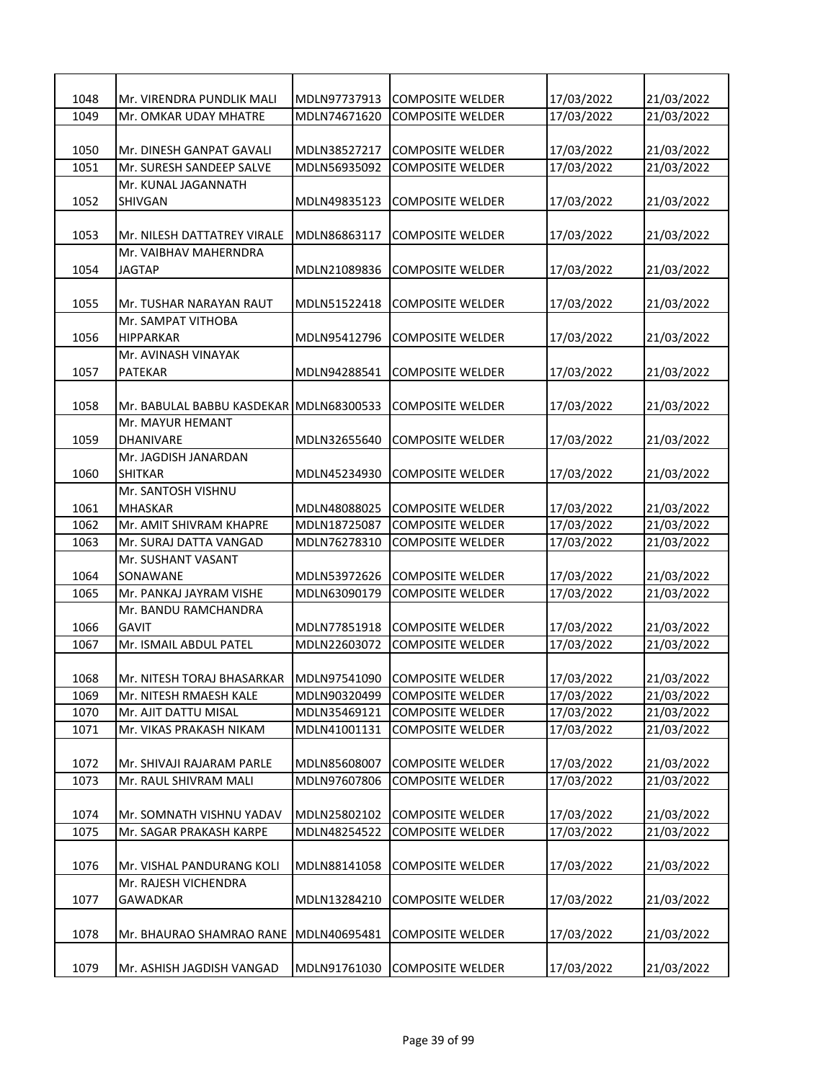| 1048 | Mr. VIRENDRA PUNDLIK MALI   | MDLN97737913 | <b>COMPOSITE WELDER</b> | 17/03/2022 | 21/03/2022 |
|------|-----------------------------|--------------|-------------------------|------------|------------|
| 1049 | Mr. OMKAR UDAY MHATRE       | MDLN74671620 | <b>COMPOSITE WELDER</b> | 17/03/2022 | 21/03/2022 |
|      |                             |              |                         |            |            |
| 1050 | Mr. DINESH GANPAT GAVALI    | MDLN38527217 | <b>COMPOSITE WELDER</b> | 17/03/2022 | 21/03/2022 |
| 1051 | Mr. SURESH SANDEEP SALVE    | MDLN56935092 | <b>COMPOSITE WELDER</b> | 17/03/2022 | 21/03/2022 |
|      | Mr. KUNAL JAGANNATH         |              |                         |            |            |
| 1052 | SHIVGAN                     | MDLN49835123 | <b>COMPOSITE WELDER</b> | 17/03/2022 | 21/03/2022 |
|      |                             |              |                         |            |            |
| 1053 | Mr. NILESH DATTATREY VIRALE | MDLN86863117 | <b>COMPOSITE WELDER</b> | 17/03/2022 | 21/03/2022 |
|      | Mr. VAIBHAV MAHERNDRA       |              |                         |            |            |
| 1054 | JAGTAP                      | MDLN21089836 | <b>COMPOSITE WELDER</b> | 17/03/2022 | 21/03/2022 |
|      |                             |              |                         |            |            |
| 1055 | Mr. TUSHAR NARAYAN RAUT     | MDLN51522418 | <b>COMPOSITE WELDER</b> | 17/03/2022 | 21/03/2022 |
|      | Mr. SAMPAT VITHOBA          |              |                         |            |            |
| 1056 | <b>HIPPARKAR</b>            | MDLN95412796 | COMPOSITE WELDER        | 17/03/2022 | 21/03/2022 |
|      | Mr. AVINASH VINAYAK         |              |                         |            |            |
| 1057 | <b>PATEKAR</b>              | MDLN94288541 | <b>COMPOSITE WELDER</b> | 17/03/2022 | 21/03/2022 |
|      |                             |              |                         |            |            |
| 1058 | Mr. BABULAL BABBU KASDEKAR  | MDLN68300533 | <b>COMPOSITE WELDER</b> | 17/03/2022 | 21/03/2022 |
|      | Mr. MAYUR HEMANT            |              |                         |            |            |
| 1059 | <b>DHANIVARE</b>            | MDLN32655640 | <b>COMPOSITE WELDER</b> | 17/03/2022 | 21/03/2022 |
|      | Mr. JAGDISH JANARDAN        |              |                         |            |            |
| 1060 | SHITKAR                     | MDLN45234930 | <b>COMPOSITE WELDER</b> | 17/03/2022 | 21/03/2022 |
|      | Mr. SANTOSH VISHNU          |              |                         |            |            |
| 1061 | MHASKAR                     | MDLN48088025 | <b>COMPOSITE WELDER</b> | 17/03/2022 | 21/03/2022 |
| 1062 | Mr. AMIT SHIVRAM KHAPRE     | MDLN18725087 | <b>COMPOSITE WELDER</b> | 17/03/2022 | 21/03/2022 |
| 1063 | Mr. SURAJ DATTA VANGAD      | MDLN76278310 | <b>COMPOSITE WELDER</b> | 17/03/2022 | 21/03/2022 |
|      | Mr. SUSHANT VASANT          |              |                         |            |            |
| 1064 | SONAWANE                    | MDLN53972626 | <b>COMPOSITE WELDER</b> |            |            |
|      |                             |              |                         | 17/03/2022 | 21/03/2022 |
| 1065 | Mr. PANKAJ JAYRAM VISHE     | MDLN63090179 | <b>COMPOSITE WELDER</b> | 17/03/2022 | 21/03/2022 |
|      | Mr. BANDU RAMCHANDRA        |              | <b>COMPOSITE WELDER</b> |            |            |
| 1066 | <b>GAVIT</b>                | MDLN77851918 |                         | 17/03/2022 | 21/03/2022 |
| 1067 | Mr. ISMAIL ABDUL PATEL      | MDLN22603072 | <b>COMPOSITE WELDER</b> | 17/03/2022 | 21/03/2022 |
|      |                             |              |                         |            |            |
| 1068 | Mr. NITESH TORAJ BHASARKAR  | MDLN97541090 | <b>COMPOSITE WELDER</b> | 17/03/2022 | 21/03/2022 |
| 1069 | Mr. NITESH RMAESH KALE      | MDLN90320499 | <b>COMPOSITE WELDER</b> | 17/03/2022 | 21/03/2022 |
| 1070 | Mr. AJIT DATTU MISAL        | MDLN35469121 | <b>COMPOSITE WELDER</b> | 17/03/2022 | 21/03/2022 |
| 1071 | Mr. VIKAS PRAKASH NIKAM     | MDLN41001131 | <b>COMPOSITE WELDER</b> | 17/03/2022 | 21/03/2022 |
|      |                             |              |                         |            |            |
| 1072 | Mr. SHIVAJI RAJARAM PARLE   | MDLN85608007 | <b>COMPOSITE WELDER</b> | 17/03/2022 | 21/03/2022 |
| 1073 | Mr. RAUL SHIVRAM MALI       | MDLN97607806 | <b>COMPOSITE WELDER</b> | 17/03/2022 | 21/03/2022 |
|      |                             |              |                         |            |            |
| 1074 | Mr. SOMNATH VISHNU YADAV    | MDLN25802102 | <b>COMPOSITE WELDER</b> | 17/03/2022 | 21/03/2022 |
| 1075 | Mr. SAGAR PRAKASH KARPE     | MDLN48254522 | <b>COMPOSITE WELDER</b> | 17/03/2022 | 21/03/2022 |
|      |                             |              |                         |            |            |
| 1076 | Mr. VISHAL PANDURANG KOLI   | MDLN88141058 | <b>COMPOSITE WELDER</b> | 17/03/2022 | 21/03/2022 |
|      | Mr. RAJESH VICHENDRA        |              |                         |            |            |
| 1077 | GAWADKAR                    | MDLN13284210 | <b>COMPOSITE WELDER</b> | 17/03/2022 | 21/03/2022 |
|      |                             |              |                         |            |            |
| 1078 | Mr. BHAURAO SHAMRAO RANE    | MDLN40695481 | <b>COMPOSITE WELDER</b> | 17/03/2022 | 21/03/2022 |
|      |                             |              |                         |            |            |
| 1079 | Mr. ASHISH JAGDISH VANGAD   | MDLN91761030 | <b>COMPOSITE WELDER</b> | 17/03/2022 | 21/03/2022 |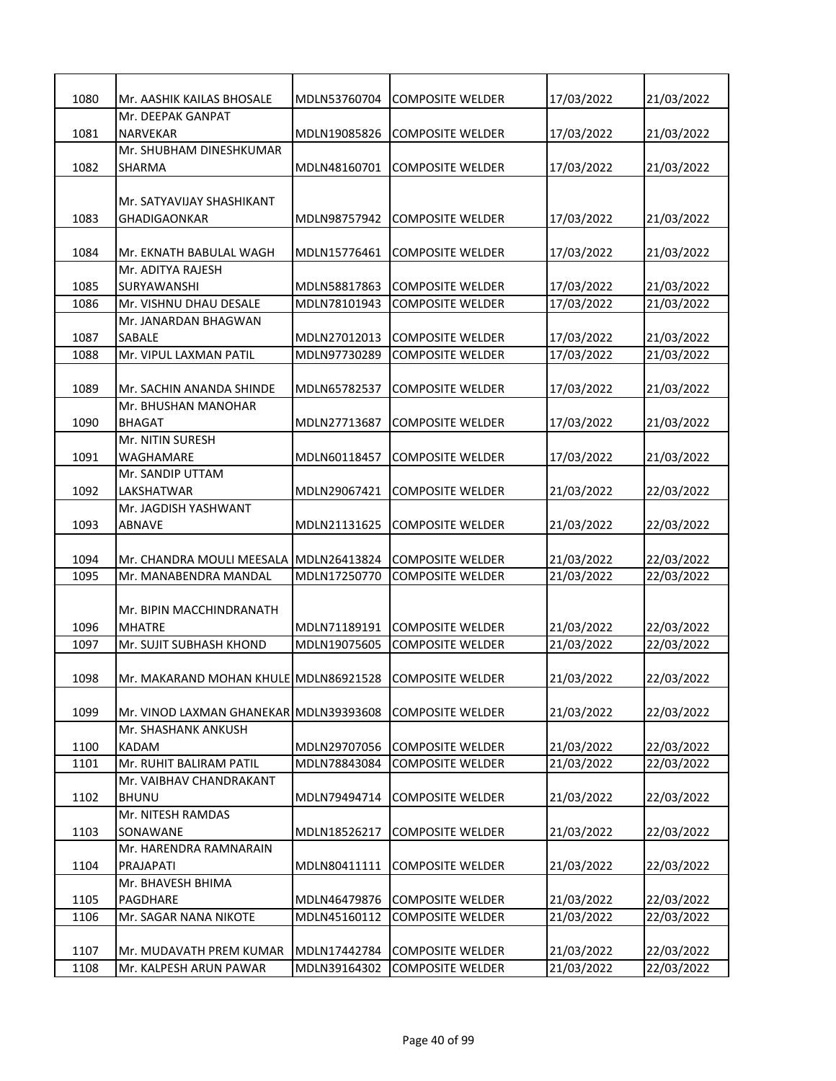| 21/03/2022<br>1080<br>Mr. AASHIK KAILAS BHOSALE<br>MDLN53760704<br><b>COMPOSITE WELDER</b><br>17/03/2022<br>Mr. DEEPAK GANPAT<br>1081<br><b>NARVEKAR</b><br>MDLN19085826<br><b>COMPOSITE WELDER</b><br>17/03/2022<br>21/03/2022<br>Mr. SHUBHAM DINESHKUMAR<br>1082<br>MDLN48160701<br><b>COMPOSITE WELDER</b><br>17/03/2022<br>21/03/2022<br>SHARMA<br>Mr. SATYAVIJAY SHASHIKANT<br>1083<br>17/03/2022<br>21/03/2022<br>GHADIGAONKAR<br>MDLN98757942<br><b>COMPOSITE WELDER</b><br>17/03/2022<br>1084<br>Mr. EKNATH BABULAL WAGH<br>MDLN15776461<br><b>COMPOSITE WELDER</b><br>21/03/2022<br>Mr. ADITYA RAJESH<br>1085<br>SURYAWANSHI<br>MDLN58817863<br><b>COMPOSITE WELDER</b><br>17/03/2022<br>21/03/2022<br>1086<br>Mr. VISHNU DHAU DESALE<br>MDLN78101943<br><b>COMPOSITE WELDER</b><br>17/03/2022<br>21/03/2022<br>Mr. JANARDAN BHAGWAN<br>1087<br>SABALE<br>MDLN27012013<br><b>COMPOSITE WELDER</b><br>17/03/2022<br>21/03/2022<br>MDLN97730289<br>1088<br>Mr. VIPUL LAXMAN PATIL<br><b>COMPOSITE WELDER</b><br>17/03/2022<br>21/03/2022<br>1089<br>MDLN65782537<br><b>COMPOSITE WELDER</b><br>17/03/2022<br>21/03/2022<br>Mr. SACHIN ANANDA SHINDE<br>Mr. BHUSHAN MANOHAR<br>1090<br><b>BHAGAT</b><br>MDLN27713687<br><b>COMPOSITE WELDER</b><br>17/03/2022<br>21/03/2022<br>Mr. NITIN SURESH<br>1091<br>MDLN60118457<br><b>COMPOSITE WELDER</b><br>17/03/2022<br>21/03/2022<br>WAGHAMARE<br>Mr. SANDIP UTTAM<br>LAKSHATWAR<br>1092<br>MDLN29067421<br><b>COMPOSITE WELDER</b><br>21/03/2022<br>22/03/2022<br>Mr. JAGDISH YASHWANT<br>1093<br>ABNAVE<br>MDLN21131625<br><b>COMPOSITE WELDER</b><br>21/03/2022<br>22/03/2022<br>1094<br>21/03/2022<br>22/03/2022<br>Mr. CHANDRA MOULI MEESALA<br>MDLN26413824<br><b>COMPOSITE WELDER</b><br>21/03/2022<br>1095<br>Mr. MANABENDRA MANDAL<br>MDLN17250770<br><b>COMPOSITE WELDER</b><br>22/03/2022<br>Mr. BIPIN MACCHINDRANATH<br>1096<br><b>MHATRE</b><br>MDLN71189191<br><b>COMPOSITE WELDER</b><br>21/03/2022<br>22/03/2022<br>22/03/2022<br>1097<br>Mr. SUJIT SUBHASH KHOND<br>MDLN19075605<br><b>COMPOSITE WELDER</b><br>21/03/2022<br>1098<br>21/03/2022<br>22/03/2022<br>Mr. MAKARAND MOHAN KHULE MDLN86921528<br><b>COMPOSITE WELDER</b><br>1099<br>Mr. VINOD LAXMAN GHANEKAR<br>MDLN39393608<br><b>COMPOSITE WELDER</b><br>21/03/2022<br>22/03/2022<br>Mr. SHASHANK ANKUSH<br>1100<br>MDLN29707056<br><b>COMPOSITE WELDER</b><br>21/03/2022<br>22/03/2022<br>KADAM<br>1101<br>Mr. RUHIT BALIRAM PATIL<br>MDLN78843084<br><b>COMPOSITE WELDER</b><br>21/03/2022<br>22/03/2022<br>Mr. VAIBHAV CHANDRAKANT<br>1102<br><b>BHUNU</b><br>MDLN79494714<br><b>COMPOSITE WELDER</b><br>21/03/2022<br>22/03/2022<br>Mr. NITESH RAMDAS<br>SONAWANE<br>MDLN18526217<br>21/03/2022<br>22/03/2022<br>1103<br><b>COMPOSITE WELDER</b><br>Mr. HARENDRA RAMNARAIN<br>MDLN80411111<br>21/03/2022<br>22/03/2022<br>1104<br>PRAJAPATI<br><b>COMPOSITE WELDER</b><br>Mr. BHAVESH BHIMA<br>21/03/2022<br>1105<br>MDLN46479876<br><b>COMPOSITE WELDER</b><br>22/03/2022<br>PAGDHARE<br>1106<br>Mr. SAGAR NANA NIKOTE<br>MDLN45160112<br><b>COMPOSITE WELDER</b><br>21/03/2022<br>22/03/2022<br>1107<br>MDLN17442784<br><b>COMPOSITE WELDER</b><br>21/03/2022<br>22/03/2022<br>Mr. MUDAVATH PREM KUMAR<br>MDLN39164302<br>21/03/2022<br>22/03/2022<br>1108<br>Mr. KALPESH ARUN PAWAR<br><b>COMPOSITE WELDER</b> |  |  |  |
|-------------------------------------------------------------------------------------------------------------------------------------------------------------------------------------------------------------------------------------------------------------------------------------------------------------------------------------------------------------------------------------------------------------------------------------------------------------------------------------------------------------------------------------------------------------------------------------------------------------------------------------------------------------------------------------------------------------------------------------------------------------------------------------------------------------------------------------------------------------------------------------------------------------------------------------------------------------------------------------------------------------------------------------------------------------------------------------------------------------------------------------------------------------------------------------------------------------------------------------------------------------------------------------------------------------------------------------------------------------------------------------------------------------------------------------------------------------------------------------------------------------------------------------------------------------------------------------------------------------------------------------------------------------------------------------------------------------------------------------------------------------------------------------------------------------------------------------------------------------------------------------------------------------------------------------------------------------------------------------------------------------------------------------------------------------------------------------------------------------------------------------------------------------------------------------------------------------------------------------------------------------------------------------------------------------------------------------------------------------------------------------------------------------------------------------------------------------------------------------------------------------------------------------------------------------------------------------------------------------------------------------------------------------------------------------------------------------------------------------------------------------------------------------------------------------------------------------------------------------------------------------------------------------------------------------------------------------------------------------------------------------------------------------------------------------------------------------------------------------------------------------------------------------------------------------------------------------------------------------------------------------------------------------------------------------------------------------------------------|--|--|--|
|                                                                                                                                                                                                                                                                                                                                                                                                                                                                                                                                                                                                                                                                                                                                                                                                                                                                                                                                                                                                                                                                                                                                                                                                                                                                                                                                                                                                                                                                                                                                                                                                                                                                                                                                                                                                                                                                                                                                                                                                                                                                                                                                                                                                                                                                                                                                                                                                                                                                                                                                                                                                                                                                                                                                                                                                                                                                                                                                                                                                                                                                                                                                                                                                                                                                                                                                                       |  |  |  |
|                                                                                                                                                                                                                                                                                                                                                                                                                                                                                                                                                                                                                                                                                                                                                                                                                                                                                                                                                                                                                                                                                                                                                                                                                                                                                                                                                                                                                                                                                                                                                                                                                                                                                                                                                                                                                                                                                                                                                                                                                                                                                                                                                                                                                                                                                                                                                                                                                                                                                                                                                                                                                                                                                                                                                                                                                                                                                                                                                                                                                                                                                                                                                                                                                                                                                                                                                       |  |  |  |
|                                                                                                                                                                                                                                                                                                                                                                                                                                                                                                                                                                                                                                                                                                                                                                                                                                                                                                                                                                                                                                                                                                                                                                                                                                                                                                                                                                                                                                                                                                                                                                                                                                                                                                                                                                                                                                                                                                                                                                                                                                                                                                                                                                                                                                                                                                                                                                                                                                                                                                                                                                                                                                                                                                                                                                                                                                                                                                                                                                                                                                                                                                                                                                                                                                                                                                                                                       |  |  |  |
|                                                                                                                                                                                                                                                                                                                                                                                                                                                                                                                                                                                                                                                                                                                                                                                                                                                                                                                                                                                                                                                                                                                                                                                                                                                                                                                                                                                                                                                                                                                                                                                                                                                                                                                                                                                                                                                                                                                                                                                                                                                                                                                                                                                                                                                                                                                                                                                                                                                                                                                                                                                                                                                                                                                                                                                                                                                                                                                                                                                                                                                                                                                                                                                                                                                                                                                                                       |  |  |  |
|                                                                                                                                                                                                                                                                                                                                                                                                                                                                                                                                                                                                                                                                                                                                                                                                                                                                                                                                                                                                                                                                                                                                                                                                                                                                                                                                                                                                                                                                                                                                                                                                                                                                                                                                                                                                                                                                                                                                                                                                                                                                                                                                                                                                                                                                                                                                                                                                                                                                                                                                                                                                                                                                                                                                                                                                                                                                                                                                                                                                                                                                                                                                                                                                                                                                                                                                                       |  |  |  |
|                                                                                                                                                                                                                                                                                                                                                                                                                                                                                                                                                                                                                                                                                                                                                                                                                                                                                                                                                                                                                                                                                                                                                                                                                                                                                                                                                                                                                                                                                                                                                                                                                                                                                                                                                                                                                                                                                                                                                                                                                                                                                                                                                                                                                                                                                                                                                                                                                                                                                                                                                                                                                                                                                                                                                                                                                                                                                                                                                                                                                                                                                                                                                                                                                                                                                                                                                       |  |  |  |
|                                                                                                                                                                                                                                                                                                                                                                                                                                                                                                                                                                                                                                                                                                                                                                                                                                                                                                                                                                                                                                                                                                                                                                                                                                                                                                                                                                                                                                                                                                                                                                                                                                                                                                                                                                                                                                                                                                                                                                                                                                                                                                                                                                                                                                                                                                                                                                                                                                                                                                                                                                                                                                                                                                                                                                                                                                                                                                                                                                                                                                                                                                                                                                                                                                                                                                                                                       |  |  |  |
|                                                                                                                                                                                                                                                                                                                                                                                                                                                                                                                                                                                                                                                                                                                                                                                                                                                                                                                                                                                                                                                                                                                                                                                                                                                                                                                                                                                                                                                                                                                                                                                                                                                                                                                                                                                                                                                                                                                                                                                                                                                                                                                                                                                                                                                                                                                                                                                                                                                                                                                                                                                                                                                                                                                                                                                                                                                                                                                                                                                                                                                                                                                                                                                                                                                                                                                                                       |  |  |  |
|                                                                                                                                                                                                                                                                                                                                                                                                                                                                                                                                                                                                                                                                                                                                                                                                                                                                                                                                                                                                                                                                                                                                                                                                                                                                                                                                                                                                                                                                                                                                                                                                                                                                                                                                                                                                                                                                                                                                                                                                                                                                                                                                                                                                                                                                                                                                                                                                                                                                                                                                                                                                                                                                                                                                                                                                                                                                                                                                                                                                                                                                                                                                                                                                                                                                                                                                                       |  |  |  |
|                                                                                                                                                                                                                                                                                                                                                                                                                                                                                                                                                                                                                                                                                                                                                                                                                                                                                                                                                                                                                                                                                                                                                                                                                                                                                                                                                                                                                                                                                                                                                                                                                                                                                                                                                                                                                                                                                                                                                                                                                                                                                                                                                                                                                                                                                                                                                                                                                                                                                                                                                                                                                                                                                                                                                                                                                                                                                                                                                                                                                                                                                                                                                                                                                                                                                                                                                       |  |  |  |
|                                                                                                                                                                                                                                                                                                                                                                                                                                                                                                                                                                                                                                                                                                                                                                                                                                                                                                                                                                                                                                                                                                                                                                                                                                                                                                                                                                                                                                                                                                                                                                                                                                                                                                                                                                                                                                                                                                                                                                                                                                                                                                                                                                                                                                                                                                                                                                                                                                                                                                                                                                                                                                                                                                                                                                                                                                                                                                                                                                                                                                                                                                                                                                                                                                                                                                                                                       |  |  |  |
|                                                                                                                                                                                                                                                                                                                                                                                                                                                                                                                                                                                                                                                                                                                                                                                                                                                                                                                                                                                                                                                                                                                                                                                                                                                                                                                                                                                                                                                                                                                                                                                                                                                                                                                                                                                                                                                                                                                                                                                                                                                                                                                                                                                                                                                                                                                                                                                                                                                                                                                                                                                                                                                                                                                                                                                                                                                                                                                                                                                                                                                                                                                                                                                                                                                                                                                                                       |  |  |  |
|                                                                                                                                                                                                                                                                                                                                                                                                                                                                                                                                                                                                                                                                                                                                                                                                                                                                                                                                                                                                                                                                                                                                                                                                                                                                                                                                                                                                                                                                                                                                                                                                                                                                                                                                                                                                                                                                                                                                                                                                                                                                                                                                                                                                                                                                                                                                                                                                                                                                                                                                                                                                                                                                                                                                                                                                                                                                                                                                                                                                                                                                                                                                                                                                                                                                                                                                                       |  |  |  |
|                                                                                                                                                                                                                                                                                                                                                                                                                                                                                                                                                                                                                                                                                                                                                                                                                                                                                                                                                                                                                                                                                                                                                                                                                                                                                                                                                                                                                                                                                                                                                                                                                                                                                                                                                                                                                                                                                                                                                                                                                                                                                                                                                                                                                                                                                                                                                                                                                                                                                                                                                                                                                                                                                                                                                                                                                                                                                                                                                                                                                                                                                                                                                                                                                                                                                                                                                       |  |  |  |
|                                                                                                                                                                                                                                                                                                                                                                                                                                                                                                                                                                                                                                                                                                                                                                                                                                                                                                                                                                                                                                                                                                                                                                                                                                                                                                                                                                                                                                                                                                                                                                                                                                                                                                                                                                                                                                                                                                                                                                                                                                                                                                                                                                                                                                                                                                                                                                                                                                                                                                                                                                                                                                                                                                                                                                                                                                                                                                                                                                                                                                                                                                                                                                                                                                                                                                                                                       |  |  |  |
|                                                                                                                                                                                                                                                                                                                                                                                                                                                                                                                                                                                                                                                                                                                                                                                                                                                                                                                                                                                                                                                                                                                                                                                                                                                                                                                                                                                                                                                                                                                                                                                                                                                                                                                                                                                                                                                                                                                                                                                                                                                                                                                                                                                                                                                                                                                                                                                                                                                                                                                                                                                                                                                                                                                                                                                                                                                                                                                                                                                                                                                                                                                                                                                                                                                                                                                                                       |  |  |  |
|                                                                                                                                                                                                                                                                                                                                                                                                                                                                                                                                                                                                                                                                                                                                                                                                                                                                                                                                                                                                                                                                                                                                                                                                                                                                                                                                                                                                                                                                                                                                                                                                                                                                                                                                                                                                                                                                                                                                                                                                                                                                                                                                                                                                                                                                                                                                                                                                                                                                                                                                                                                                                                                                                                                                                                                                                                                                                                                                                                                                                                                                                                                                                                                                                                                                                                                                                       |  |  |  |
|                                                                                                                                                                                                                                                                                                                                                                                                                                                                                                                                                                                                                                                                                                                                                                                                                                                                                                                                                                                                                                                                                                                                                                                                                                                                                                                                                                                                                                                                                                                                                                                                                                                                                                                                                                                                                                                                                                                                                                                                                                                                                                                                                                                                                                                                                                                                                                                                                                                                                                                                                                                                                                                                                                                                                                                                                                                                                                                                                                                                                                                                                                                                                                                                                                                                                                                                                       |  |  |  |
|                                                                                                                                                                                                                                                                                                                                                                                                                                                                                                                                                                                                                                                                                                                                                                                                                                                                                                                                                                                                                                                                                                                                                                                                                                                                                                                                                                                                                                                                                                                                                                                                                                                                                                                                                                                                                                                                                                                                                                                                                                                                                                                                                                                                                                                                                                                                                                                                                                                                                                                                                                                                                                                                                                                                                                                                                                                                                                                                                                                                                                                                                                                                                                                                                                                                                                                                                       |  |  |  |
|                                                                                                                                                                                                                                                                                                                                                                                                                                                                                                                                                                                                                                                                                                                                                                                                                                                                                                                                                                                                                                                                                                                                                                                                                                                                                                                                                                                                                                                                                                                                                                                                                                                                                                                                                                                                                                                                                                                                                                                                                                                                                                                                                                                                                                                                                                                                                                                                                                                                                                                                                                                                                                                                                                                                                                                                                                                                                                                                                                                                                                                                                                                                                                                                                                                                                                                                                       |  |  |  |
|                                                                                                                                                                                                                                                                                                                                                                                                                                                                                                                                                                                                                                                                                                                                                                                                                                                                                                                                                                                                                                                                                                                                                                                                                                                                                                                                                                                                                                                                                                                                                                                                                                                                                                                                                                                                                                                                                                                                                                                                                                                                                                                                                                                                                                                                                                                                                                                                                                                                                                                                                                                                                                                                                                                                                                                                                                                                                                                                                                                                                                                                                                                                                                                                                                                                                                                                                       |  |  |  |
|                                                                                                                                                                                                                                                                                                                                                                                                                                                                                                                                                                                                                                                                                                                                                                                                                                                                                                                                                                                                                                                                                                                                                                                                                                                                                                                                                                                                                                                                                                                                                                                                                                                                                                                                                                                                                                                                                                                                                                                                                                                                                                                                                                                                                                                                                                                                                                                                                                                                                                                                                                                                                                                                                                                                                                                                                                                                                                                                                                                                                                                                                                                                                                                                                                                                                                                                                       |  |  |  |
|                                                                                                                                                                                                                                                                                                                                                                                                                                                                                                                                                                                                                                                                                                                                                                                                                                                                                                                                                                                                                                                                                                                                                                                                                                                                                                                                                                                                                                                                                                                                                                                                                                                                                                                                                                                                                                                                                                                                                                                                                                                                                                                                                                                                                                                                                                                                                                                                                                                                                                                                                                                                                                                                                                                                                                                                                                                                                                                                                                                                                                                                                                                                                                                                                                                                                                                                                       |  |  |  |
|                                                                                                                                                                                                                                                                                                                                                                                                                                                                                                                                                                                                                                                                                                                                                                                                                                                                                                                                                                                                                                                                                                                                                                                                                                                                                                                                                                                                                                                                                                                                                                                                                                                                                                                                                                                                                                                                                                                                                                                                                                                                                                                                                                                                                                                                                                                                                                                                                                                                                                                                                                                                                                                                                                                                                                                                                                                                                                                                                                                                                                                                                                                                                                                                                                                                                                                                                       |  |  |  |
|                                                                                                                                                                                                                                                                                                                                                                                                                                                                                                                                                                                                                                                                                                                                                                                                                                                                                                                                                                                                                                                                                                                                                                                                                                                                                                                                                                                                                                                                                                                                                                                                                                                                                                                                                                                                                                                                                                                                                                                                                                                                                                                                                                                                                                                                                                                                                                                                                                                                                                                                                                                                                                                                                                                                                                                                                                                                                                                                                                                                                                                                                                                                                                                                                                                                                                                                                       |  |  |  |
|                                                                                                                                                                                                                                                                                                                                                                                                                                                                                                                                                                                                                                                                                                                                                                                                                                                                                                                                                                                                                                                                                                                                                                                                                                                                                                                                                                                                                                                                                                                                                                                                                                                                                                                                                                                                                                                                                                                                                                                                                                                                                                                                                                                                                                                                                                                                                                                                                                                                                                                                                                                                                                                                                                                                                                                                                                                                                                                                                                                                                                                                                                                                                                                                                                                                                                                                                       |  |  |  |
|                                                                                                                                                                                                                                                                                                                                                                                                                                                                                                                                                                                                                                                                                                                                                                                                                                                                                                                                                                                                                                                                                                                                                                                                                                                                                                                                                                                                                                                                                                                                                                                                                                                                                                                                                                                                                                                                                                                                                                                                                                                                                                                                                                                                                                                                                                                                                                                                                                                                                                                                                                                                                                                                                                                                                                                                                                                                                                                                                                                                                                                                                                                                                                                                                                                                                                                                                       |  |  |  |
|                                                                                                                                                                                                                                                                                                                                                                                                                                                                                                                                                                                                                                                                                                                                                                                                                                                                                                                                                                                                                                                                                                                                                                                                                                                                                                                                                                                                                                                                                                                                                                                                                                                                                                                                                                                                                                                                                                                                                                                                                                                                                                                                                                                                                                                                                                                                                                                                                                                                                                                                                                                                                                                                                                                                                                                                                                                                                                                                                                                                                                                                                                                                                                                                                                                                                                                                                       |  |  |  |
|                                                                                                                                                                                                                                                                                                                                                                                                                                                                                                                                                                                                                                                                                                                                                                                                                                                                                                                                                                                                                                                                                                                                                                                                                                                                                                                                                                                                                                                                                                                                                                                                                                                                                                                                                                                                                                                                                                                                                                                                                                                                                                                                                                                                                                                                                                                                                                                                                                                                                                                                                                                                                                                                                                                                                                                                                                                                                                                                                                                                                                                                                                                                                                                                                                                                                                                                                       |  |  |  |
|                                                                                                                                                                                                                                                                                                                                                                                                                                                                                                                                                                                                                                                                                                                                                                                                                                                                                                                                                                                                                                                                                                                                                                                                                                                                                                                                                                                                                                                                                                                                                                                                                                                                                                                                                                                                                                                                                                                                                                                                                                                                                                                                                                                                                                                                                                                                                                                                                                                                                                                                                                                                                                                                                                                                                                                                                                                                                                                                                                                                                                                                                                                                                                                                                                                                                                                                                       |  |  |  |
|                                                                                                                                                                                                                                                                                                                                                                                                                                                                                                                                                                                                                                                                                                                                                                                                                                                                                                                                                                                                                                                                                                                                                                                                                                                                                                                                                                                                                                                                                                                                                                                                                                                                                                                                                                                                                                                                                                                                                                                                                                                                                                                                                                                                                                                                                                                                                                                                                                                                                                                                                                                                                                                                                                                                                                                                                                                                                                                                                                                                                                                                                                                                                                                                                                                                                                                                                       |  |  |  |
|                                                                                                                                                                                                                                                                                                                                                                                                                                                                                                                                                                                                                                                                                                                                                                                                                                                                                                                                                                                                                                                                                                                                                                                                                                                                                                                                                                                                                                                                                                                                                                                                                                                                                                                                                                                                                                                                                                                                                                                                                                                                                                                                                                                                                                                                                                                                                                                                                                                                                                                                                                                                                                                                                                                                                                                                                                                                                                                                                                                                                                                                                                                                                                                                                                                                                                                                                       |  |  |  |
|                                                                                                                                                                                                                                                                                                                                                                                                                                                                                                                                                                                                                                                                                                                                                                                                                                                                                                                                                                                                                                                                                                                                                                                                                                                                                                                                                                                                                                                                                                                                                                                                                                                                                                                                                                                                                                                                                                                                                                                                                                                                                                                                                                                                                                                                                                                                                                                                                                                                                                                                                                                                                                                                                                                                                                                                                                                                                                                                                                                                                                                                                                                                                                                                                                                                                                                                                       |  |  |  |
|                                                                                                                                                                                                                                                                                                                                                                                                                                                                                                                                                                                                                                                                                                                                                                                                                                                                                                                                                                                                                                                                                                                                                                                                                                                                                                                                                                                                                                                                                                                                                                                                                                                                                                                                                                                                                                                                                                                                                                                                                                                                                                                                                                                                                                                                                                                                                                                                                                                                                                                                                                                                                                                                                                                                                                                                                                                                                                                                                                                                                                                                                                                                                                                                                                                                                                                                                       |  |  |  |
|                                                                                                                                                                                                                                                                                                                                                                                                                                                                                                                                                                                                                                                                                                                                                                                                                                                                                                                                                                                                                                                                                                                                                                                                                                                                                                                                                                                                                                                                                                                                                                                                                                                                                                                                                                                                                                                                                                                                                                                                                                                                                                                                                                                                                                                                                                                                                                                                                                                                                                                                                                                                                                                                                                                                                                                                                                                                                                                                                                                                                                                                                                                                                                                                                                                                                                                                                       |  |  |  |
|                                                                                                                                                                                                                                                                                                                                                                                                                                                                                                                                                                                                                                                                                                                                                                                                                                                                                                                                                                                                                                                                                                                                                                                                                                                                                                                                                                                                                                                                                                                                                                                                                                                                                                                                                                                                                                                                                                                                                                                                                                                                                                                                                                                                                                                                                                                                                                                                                                                                                                                                                                                                                                                                                                                                                                                                                                                                                                                                                                                                                                                                                                                                                                                                                                                                                                                                                       |  |  |  |
|                                                                                                                                                                                                                                                                                                                                                                                                                                                                                                                                                                                                                                                                                                                                                                                                                                                                                                                                                                                                                                                                                                                                                                                                                                                                                                                                                                                                                                                                                                                                                                                                                                                                                                                                                                                                                                                                                                                                                                                                                                                                                                                                                                                                                                                                                                                                                                                                                                                                                                                                                                                                                                                                                                                                                                                                                                                                                                                                                                                                                                                                                                                                                                                                                                                                                                                                                       |  |  |  |
|                                                                                                                                                                                                                                                                                                                                                                                                                                                                                                                                                                                                                                                                                                                                                                                                                                                                                                                                                                                                                                                                                                                                                                                                                                                                                                                                                                                                                                                                                                                                                                                                                                                                                                                                                                                                                                                                                                                                                                                                                                                                                                                                                                                                                                                                                                                                                                                                                                                                                                                                                                                                                                                                                                                                                                                                                                                                                                                                                                                                                                                                                                                                                                                                                                                                                                                                                       |  |  |  |
|                                                                                                                                                                                                                                                                                                                                                                                                                                                                                                                                                                                                                                                                                                                                                                                                                                                                                                                                                                                                                                                                                                                                                                                                                                                                                                                                                                                                                                                                                                                                                                                                                                                                                                                                                                                                                                                                                                                                                                                                                                                                                                                                                                                                                                                                                                                                                                                                                                                                                                                                                                                                                                                                                                                                                                                                                                                                                                                                                                                                                                                                                                                                                                                                                                                                                                                                                       |  |  |  |
|                                                                                                                                                                                                                                                                                                                                                                                                                                                                                                                                                                                                                                                                                                                                                                                                                                                                                                                                                                                                                                                                                                                                                                                                                                                                                                                                                                                                                                                                                                                                                                                                                                                                                                                                                                                                                                                                                                                                                                                                                                                                                                                                                                                                                                                                                                                                                                                                                                                                                                                                                                                                                                                                                                                                                                                                                                                                                                                                                                                                                                                                                                                                                                                                                                                                                                                                                       |  |  |  |
|                                                                                                                                                                                                                                                                                                                                                                                                                                                                                                                                                                                                                                                                                                                                                                                                                                                                                                                                                                                                                                                                                                                                                                                                                                                                                                                                                                                                                                                                                                                                                                                                                                                                                                                                                                                                                                                                                                                                                                                                                                                                                                                                                                                                                                                                                                                                                                                                                                                                                                                                                                                                                                                                                                                                                                                                                                                                                                                                                                                                                                                                                                                                                                                                                                                                                                                                                       |  |  |  |
|                                                                                                                                                                                                                                                                                                                                                                                                                                                                                                                                                                                                                                                                                                                                                                                                                                                                                                                                                                                                                                                                                                                                                                                                                                                                                                                                                                                                                                                                                                                                                                                                                                                                                                                                                                                                                                                                                                                                                                                                                                                                                                                                                                                                                                                                                                                                                                                                                                                                                                                                                                                                                                                                                                                                                                                                                                                                                                                                                                                                                                                                                                                                                                                                                                                                                                                                                       |  |  |  |
|                                                                                                                                                                                                                                                                                                                                                                                                                                                                                                                                                                                                                                                                                                                                                                                                                                                                                                                                                                                                                                                                                                                                                                                                                                                                                                                                                                                                                                                                                                                                                                                                                                                                                                                                                                                                                                                                                                                                                                                                                                                                                                                                                                                                                                                                                                                                                                                                                                                                                                                                                                                                                                                                                                                                                                                                                                                                                                                                                                                                                                                                                                                                                                                                                                                                                                                                                       |  |  |  |
|                                                                                                                                                                                                                                                                                                                                                                                                                                                                                                                                                                                                                                                                                                                                                                                                                                                                                                                                                                                                                                                                                                                                                                                                                                                                                                                                                                                                                                                                                                                                                                                                                                                                                                                                                                                                                                                                                                                                                                                                                                                                                                                                                                                                                                                                                                                                                                                                                                                                                                                                                                                                                                                                                                                                                                                                                                                                                                                                                                                                                                                                                                                                                                                                                                                                                                                                                       |  |  |  |
|                                                                                                                                                                                                                                                                                                                                                                                                                                                                                                                                                                                                                                                                                                                                                                                                                                                                                                                                                                                                                                                                                                                                                                                                                                                                                                                                                                                                                                                                                                                                                                                                                                                                                                                                                                                                                                                                                                                                                                                                                                                                                                                                                                                                                                                                                                                                                                                                                                                                                                                                                                                                                                                                                                                                                                                                                                                                                                                                                                                                                                                                                                                                                                                                                                                                                                                                                       |  |  |  |
|                                                                                                                                                                                                                                                                                                                                                                                                                                                                                                                                                                                                                                                                                                                                                                                                                                                                                                                                                                                                                                                                                                                                                                                                                                                                                                                                                                                                                                                                                                                                                                                                                                                                                                                                                                                                                                                                                                                                                                                                                                                                                                                                                                                                                                                                                                                                                                                                                                                                                                                                                                                                                                                                                                                                                                                                                                                                                                                                                                                                                                                                                                                                                                                                                                                                                                                                                       |  |  |  |
|                                                                                                                                                                                                                                                                                                                                                                                                                                                                                                                                                                                                                                                                                                                                                                                                                                                                                                                                                                                                                                                                                                                                                                                                                                                                                                                                                                                                                                                                                                                                                                                                                                                                                                                                                                                                                                                                                                                                                                                                                                                                                                                                                                                                                                                                                                                                                                                                                                                                                                                                                                                                                                                                                                                                                                                                                                                                                                                                                                                                                                                                                                                                                                                                                                                                                                                                                       |  |  |  |
|                                                                                                                                                                                                                                                                                                                                                                                                                                                                                                                                                                                                                                                                                                                                                                                                                                                                                                                                                                                                                                                                                                                                                                                                                                                                                                                                                                                                                                                                                                                                                                                                                                                                                                                                                                                                                                                                                                                                                                                                                                                                                                                                                                                                                                                                                                                                                                                                                                                                                                                                                                                                                                                                                                                                                                                                                                                                                                                                                                                                                                                                                                                                                                                                                                                                                                                                                       |  |  |  |
|                                                                                                                                                                                                                                                                                                                                                                                                                                                                                                                                                                                                                                                                                                                                                                                                                                                                                                                                                                                                                                                                                                                                                                                                                                                                                                                                                                                                                                                                                                                                                                                                                                                                                                                                                                                                                                                                                                                                                                                                                                                                                                                                                                                                                                                                                                                                                                                                                                                                                                                                                                                                                                                                                                                                                                                                                                                                                                                                                                                                                                                                                                                                                                                                                                                                                                                                                       |  |  |  |
|                                                                                                                                                                                                                                                                                                                                                                                                                                                                                                                                                                                                                                                                                                                                                                                                                                                                                                                                                                                                                                                                                                                                                                                                                                                                                                                                                                                                                                                                                                                                                                                                                                                                                                                                                                                                                                                                                                                                                                                                                                                                                                                                                                                                                                                                                                                                                                                                                                                                                                                                                                                                                                                                                                                                                                                                                                                                                                                                                                                                                                                                                                                                                                                                                                                                                                                                                       |  |  |  |
|                                                                                                                                                                                                                                                                                                                                                                                                                                                                                                                                                                                                                                                                                                                                                                                                                                                                                                                                                                                                                                                                                                                                                                                                                                                                                                                                                                                                                                                                                                                                                                                                                                                                                                                                                                                                                                                                                                                                                                                                                                                                                                                                                                                                                                                                                                                                                                                                                                                                                                                                                                                                                                                                                                                                                                                                                                                                                                                                                                                                                                                                                                                                                                                                                                                                                                                                                       |  |  |  |
|                                                                                                                                                                                                                                                                                                                                                                                                                                                                                                                                                                                                                                                                                                                                                                                                                                                                                                                                                                                                                                                                                                                                                                                                                                                                                                                                                                                                                                                                                                                                                                                                                                                                                                                                                                                                                                                                                                                                                                                                                                                                                                                                                                                                                                                                                                                                                                                                                                                                                                                                                                                                                                                                                                                                                                                                                                                                                                                                                                                                                                                                                                                                                                                                                                                                                                                                                       |  |  |  |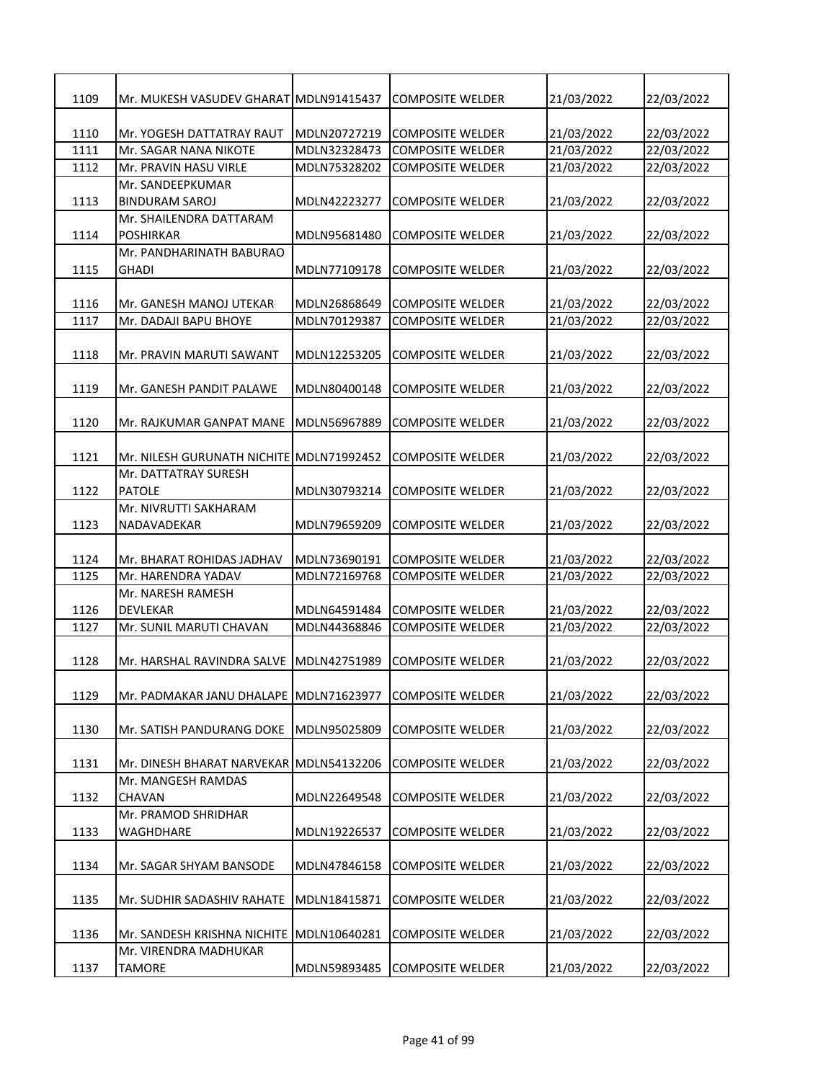| 1109 | Mr. MUKESH VASUDEV GHARAT MDLN91415437     |              | <b>COMPOSITE WELDER</b> | 21/03/2022 | 22/03/2022 |
|------|--------------------------------------------|--------------|-------------------------|------------|------------|
|      |                                            |              |                         |            |            |
| 1110 | Mr. YOGESH DATTATRAY RAUT                  | MDLN20727219 | <b>COMPOSITE WELDER</b> | 21/03/2022 | 22/03/2022 |
| 1111 | Mr. SAGAR NANA NIKOTE                      | MDLN32328473 | <b>COMPOSITE WELDER</b> | 21/03/2022 | 22/03/2022 |
| 1112 | Mr. PRAVIN HASU VIRLE                      | MDLN75328202 | <b>COMPOSITE WELDER</b> | 21/03/2022 | 22/03/2022 |
| 1113 | Mr. SANDEEPKUMAR<br>BINDURAM SAROJ         | MDLN42223277 | <b>COMPOSITE WELDER</b> | 21/03/2022 | 22/03/2022 |
|      | Mr. SHAILENDRA DATTARAM                    |              |                         |            |            |
| 1114 | POSHIRKAR                                  | MDLN95681480 | <b>COMPOSITE WELDER</b> | 21/03/2022 | 22/03/2022 |
|      | Mr. PANDHARINATH BABURAO                   |              |                         |            |            |
| 1115 | GHADI                                      | MDLN77109178 | <b>COMPOSITE WELDER</b> | 21/03/2022 | 22/03/2022 |
|      |                                            |              |                         |            |            |
| 1116 | Mr. GANESH MANOJ UTEKAR                    | MDLN26868649 | <b>COMPOSITE WELDER</b> | 21/03/2022 | 22/03/2022 |
| 1117 | Mr. DADAJI BAPU BHOYE                      | MDLN70129387 | <b>COMPOSITE WELDER</b> | 21/03/2022 | 22/03/2022 |
| 1118 | Mr. PRAVIN MARUTI SAWANT                   | MDLN12253205 | <b>COMPOSITE WELDER</b> | 21/03/2022 | 22/03/2022 |
|      |                                            |              |                         |            |            |
| 1119 | Mr. GANESH PANDIT PALAWE                   | MDLN80400148 | <b>COMPOSITE WELDER</b> | 21/03/2022 | 22/03/2022 |
|      |                                            |              |                         |            |            |
| 1120 | Mr. RAJKUMAR GANPAT MANE                   | MDLN56967889 | <b>COMPOSITE WELDER</b> | 21/03/2022 | 22/03/2022 |
|      |                                            |              |                         |            |            |
| 1121 | Mr. NILESH GURUNATH NICHITE   MDLN71992452 |              | <b>COMPOSITE WELDER</b> | 21/03/2022 | 22/03/2022 |
| 1122 | Mr. DATTATRAY SURESH<br><b>PATOLE</b>      | MDLN30793214 | <b>COMPOSITE WELDER</b> | 21/03/2022 | 22/03/2022 |
|      | Mr. NIVRUTTI SAKHARAM                      |              |                         |            |            |
| 1123 | NADAVADEKAR                                | MDLN79659209 | <b>COMPOSITE WELDER</b> | 21/03/2022 | 22/03/2022 |
|      |                                            |              |                         |            |            |
| 1124 | Mr. BHARAT ROHIDAS JADHAV                  | MDLN73690191 | <b>COMPOSITE WELDER</b> | 21/03/2022 | 22/03/2022 |
| 1125 | Mr. HARENDRA YADAV                         | MDLN72169768 | <b>COMPOSITE WELDER</b> | 21/03/2022 | 22/03/2022 |
|      | Mr. NARESH RAMESH                          |              |                         |            |            |
| 1126 | DEVLEKAR                                   | MDLN64591484 | <b>COMPOSITE WELDER</b> | 21/03/2022 | 22/03/2022 |
| 1127 | Mr. SUNIL MARUTI CHAVAN                    | MDLN44368846 | <b>COMPOSITE WELDER</b> | 21/03/2022 | 22/03/2022 |
|      |                                            |              |                         |            |            |
| 1128 | Mr. HARSHAL RAVINDRA SALVE                 | MDLN42751989 | <b>COMPOSITE WELDER</b> | 21/03/2022 | 22/03/2022 |
|      |                                            |              |                         |            |            |
| 1129 | Mr. PADMAKAR JANU DHALAPE                  | MDLN71623977 | <b>COMPOSITE WELDER</b> | 21/03/2022 | 22/03/2022 |
|      |                                            |              |                         |            |            |
| 1130 | Mr. SATISH PANDURANG DOKE                  | MDLN95025809 | <b>COMPOSITE WELDER</b> | 21/03/2022 | 22/03/2022 |
|      |                                            |              |                         |            |            |
| 1131 | Mr. DINESH BHARAT NARVEKAR                 | MDLN54132206 | <b>COMPOSITE WELDER</b> | 21/03/2022 | 22/03/2022 |
|      | Mr. MANGESH RAMDAS                         |              |                         |            |            |
| 1132 | CHAVAN                                     | MDLN22649548 | <b>COMPOSITE WELDER</b> | 21/03/2022 | 22/03/2022 |
|      | Mr. PRAMOD SHRIDHAR                        |              |                         |            |            |
| 1133 | WAGHDHARE                                  | MDLN19226537 | <b>COMPOSITE WELDER</b> | 21/03/2022 | 22/03/2022 |
|      |                                            |              |                         |            |            |
| 1134 | Mr. SAGAR SHYAM BANSODE                    | MDLN47846158 | <b>COMPOSITE WELDER</b> | 21/03/2022 | 22/03/2022 |
| 1135 | Mr. SUDHIR SADASHIV RAHATE                 | MDLN18415871 | <b>COMPOSITE WELDER</b> | 21/03/2022 | 22/03/2022 |
|      |                                            |              |                         |            |            |
| 1136 | Mr. SANDESH KRISHNA NICHITE                | MDLN10640281 | <b>COMPOSITE WELDER</b> | 21/03/2022 | 22/03/2022 |
|      | Mr. VIRENDRA MADHUKAR                      |              |                         |            |            |
| 1137 | TAMORE                                     | MDLN59893485 | <b>COMPOSITE WELDER</b> | 21/03/2022 | 22/03/2022 |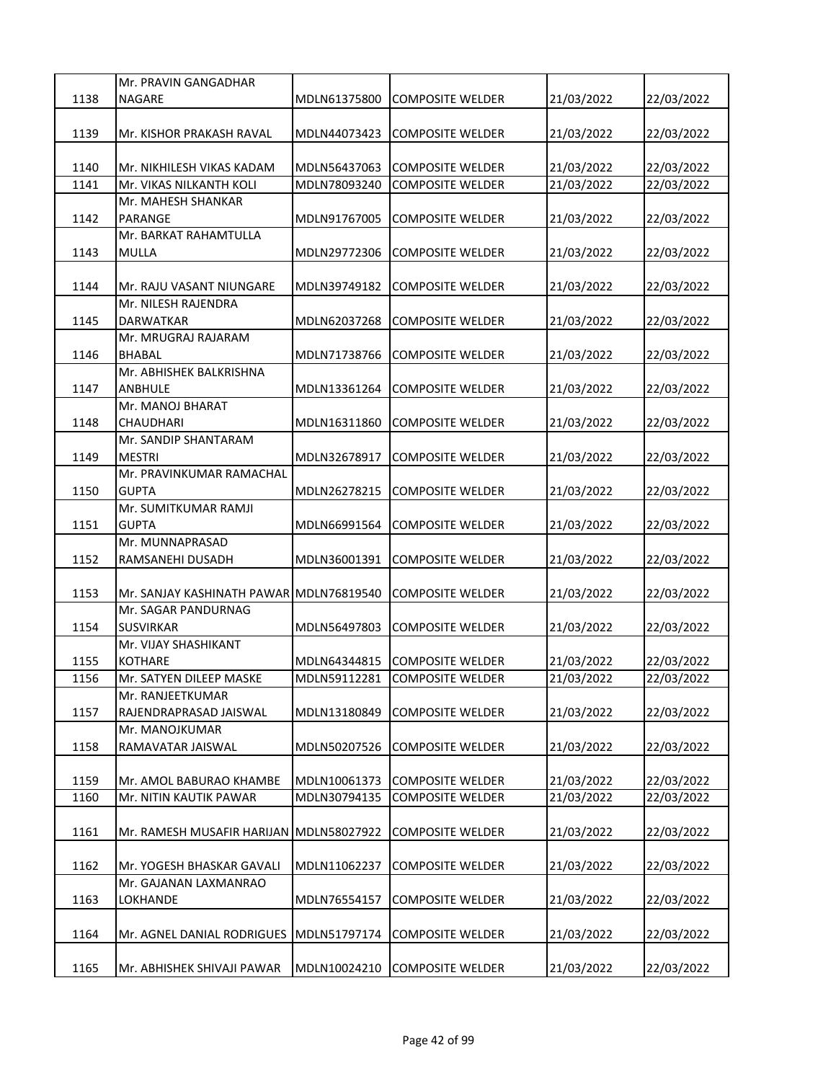|      | Mr. PRAVIN GANGADHAR                    |              |                         |                          |            |
|------|-----------------------------------------|--------------|-------------------------|--------------------------|------------|
| 1138 | <b>NAGARE</b>                           | MDLN61375800 | COMPOSITE WELDER        | 21/03/2022               | 22/03/2022 |
|      |                                         |              |                         |                          |            |
| 1139 | Mr. KISHOR PRAKASH RAVAL                | MDLN44073423 | <b>COMPOSITE WELDER</b> | 21/03/2022               | 22/03/2022 |
|      |                                         |              |                         |                          |            |
| 1140 | Mr. NIKHILESH VIKAS KADAM               | MDLN56437063 | <b>COMPOSITE WELDER</b> | 21/03/2022               | 22/03/2022 |
| 1141 | Mr. VIKAS NILKANTH KOLI                 | MDLN78093240 | <b>COMPOSITE WELDER</b> | 21/03/2022               | 22/03/2022 |
|      | Mr. MAHESH SHANKAR                      |              |                         |                          |            |
| 1142 | PARANGE                                 | MDLN91767005 | <b>COMPOSITE WELDER</b> | 21/03/2022               | 22/03/2022 |
|      | Mr. BARKAT RAHAMTULLA                   |              |                         |                          |            |
| 1143 | <b>MULLA</b>                            | MDLN29772306 | <b>COMPOSITE WELDER</b> | 21/03/2022               | 22/03/2022 |
|      |                                         |              |                         |                          |            |
| 1144 | Mr. RAJU VASANT NIUNGARE                | MDLN39749182 | <b>COMPOSITE WELDER</b> | 21/03/2022               | 22/03/2022 |
|      | Mr. NILESH RAJENDRA                     |              |                         |                          |            |
| 1145 | <b>DARWATKAR</b>                        | MDLN62037268 | <b>COMPOSITE WELDER</b> | 21/03/2022               | 22/03/2022 |
|      | Mr. MRUGRAJ RAJARAM                     |              |                         |                          |            |
| 1146 | <b>BHABAL</b>                           | MDLN71738766 | <b>COMPOSITE WELDER</b> | 21/03/2022               | 22/03/2022 |
|      | Mr. ABHISHEK BALKRISHNA                 |              |                         |                          |            |
| 1147 | <b>ANBHULE</b>                          | MDLN13361264 | <b>COMPOSITE WELDER</b> | 21/03/2022               | 22/03/2022 |
|      | Mr. MANOJ BHARAT                        |              |                         |                          |            |
| 1148 | CHAUDHARI                               | MDLN16311860 | <b>COMPOSITE WELDER</b> | 21/03/2022               | 22/03/2022 |
|      | Mr. SANDIP SHANTARAM                    |              |                         |                          |            |
| 1149 | <b>MESTRI</b>                           | MDLN32678917 | <b>COMPOSITE WELDER</b> | 21/03/2022               | 22/03/2022 |
|      | Mr. PRAVINKUMAR RAMACHAL                |              |                         |                          |            |
| 1150 | GUPTA                                   | MDLN26278215 | <b>COMPOSITE WELDER</b> | 21/03/2022               | 22/03/2022 |
|      | Mr. SUMITKUMAR RAMJI                    |              |                         |                          |            |
| 1151 | <b>GUPTA</b>                            | MDLN66991564 | COMPOSITE WELDER        | 21/03/2022               | 22/03/2022 |
|      | Mr. MUNNAPRASAD                         |              |                         |                          |            |
| 1152 | RAMSANEHI DUSADH                        | MDLN36001391 | <b>COMPOSITE WELDER</b> | 21/03/2022               | 22/03/2022 |
|      |                                         |              |                         |                          |            |
| 1153 | Mr. SANJAY KASHINATH PAWAR MDLN76819540 |              | <b>COMPOSITE WELDER</b> | 21/03/2022               | 22/03/2022 |
| 1154 | Mr. SAGAR PANDURNAG<br><b>SUSVIRKAR</b> | MDLN56497803 | <b>COMPOSITE WELDER</b> | 21/03/2022               |            |
|      | Mr. VIJAY SHASHIKANT                    |              |                         |                          | 22/03/2022 |
|      | <b>KOTHARE</b>                          | MDLN64344815 | <b>COMPOSITE WELDER</b> |                          | 22/03/2022 |
| 1155 | Mr. SATYEN DILEEP MASKE                 | MDLN59112281 |                         | 21/03/2022<br>21/03/2022 | 22/03/2022 |
| 1156 | Mr. RANJEETKUMAR                        |              | <b>COMPOSITE WELDER</b> |                          |            |
| 1157 | RAJENDRAPRASAD JAISWAL                  | MDLN13180849 | <b>COMPOSITE WELDER</b> | 21/03/2022               | 22/03/2022 |
|      | Mr. MANOJKUMAR                          |              |                         |                          |            |
| 1158 | RAMAVATAR JAISWAL                       | MDLN50207526 | <b>COMPOSITE WELDER</b> | 21/03/2022               | 22/03/2022 |
|      |                                         |              |                         |                          |            |
| 1159 | Mr. AMOL BABURAO KHAMBE                 | MDLN10061373 | <b>COMPOSITE WELDER</b> | 21/03/2022               | 22/03/2022 |
| 1160 | Mr. NITIN KAUTIK PAWAR                  | MDLN30794135 | <b>COMPOSITE WELDER</b> | 21/03/2022               | 22/03/2022 |
|      |                                         |              |                         |                          |            |
| 1161 | Mr. RAMESH MUSAFIR HARIJAN MDLN58027922 |              | <b>COMPOSITE WELDER</b> | 21/03/2022               | 22/03/2022 |
|      |                                         |              |                         |                          |            |
| 1162 | Mr. YOGESH BHASKAR GAVALI               | MDLN11062237 | <b>COMPOSITE WELDER</b> | 21/03/2022               | 22/03/2022 |
|      | Mr. GAJANAN LAXMANRAO                   |              |                         |                          |            |
| 1163 | LOKHANDE                                | MDLN76554157 | <b>COMPOSITE WELDER</b> | 21/03/2022               | 22/03/2022 |
|      |                                         |              |                         |                          |            |
| 1164 | Mr. AGNEL DANIAL RODRIGUES              | MDLN51797174 | <b>COMPOSITE WELDER</b> | 21/03/2022               | 22/03/2022 |
|      |                                         |              |                         |                          |            |
| 1165 | Mr. ABHISHEK SHIVAJI PAWAR              | MDLN10024210 | <b>COMPOSITE WELDER</b> | 21/03/2022               | 22/03/2022 |
|      |                                         |              |                         |                          |            |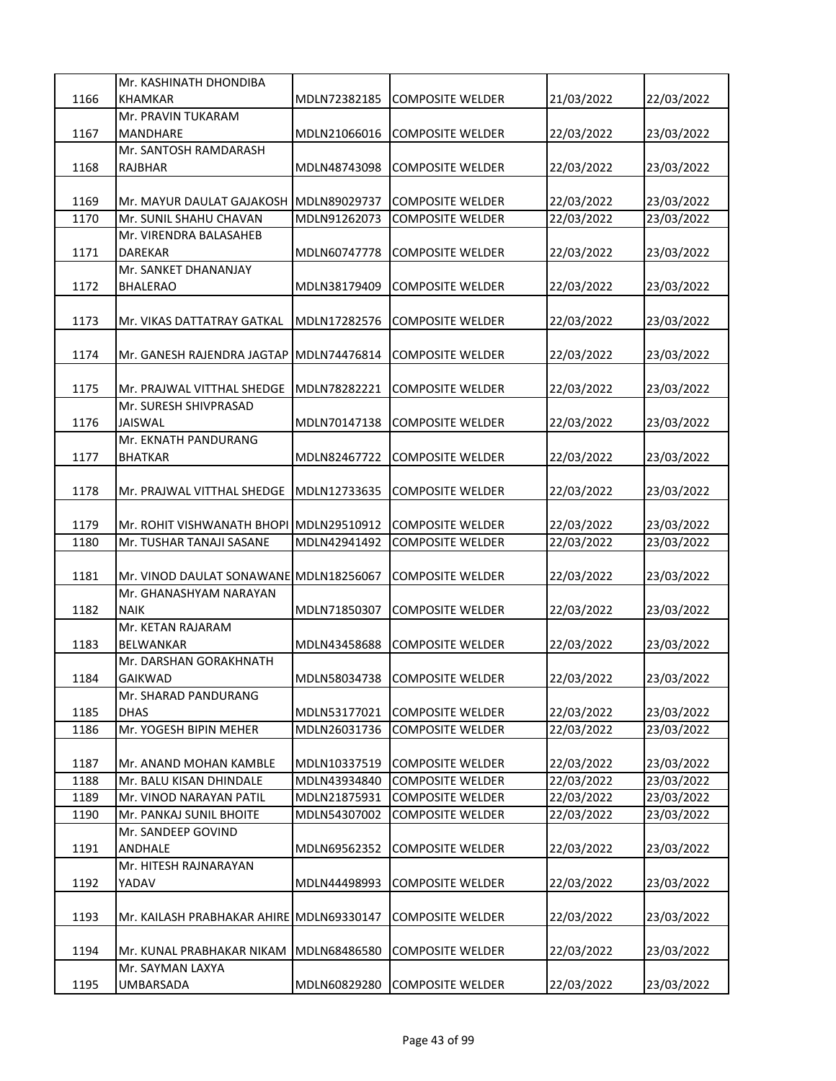|      | Mr. KASHINATH DHONDIBA                   |              |                         |            |            |
|------|------------------------------------------|--------------|-------------------------|------------|------------|
| 1166 | <b>KHAMKAR</b>                           | MDLN72382185 | <b>COMPOSITE WELDER</b> | 21/03/2022 | 22/03/2022 |
|      | Mr. PRAVIN TUKARAM                       |              |                         |            |            |
| 1167 | <b>MANDHARE</b>                          | MDLN21066016 | <b>COMPOSITE WELDER</b> | 22/03/2022 | 23/03/2022 |
|      | Mr. SANTOSH RAMDARASH                    |              |                         |            |            |
| 1168 | RAJBHAR                                  | MDLN48743098 | <b>COMPOSITE WELDER</b> | 22/03/2022 | 23/03/2022 |
|      |                                          |              |                         |            |            |
| 1169 | Mr. MAYUR DAULAT GAJAKOSH MDLN89029737   |              | <b>COMPOSITE WELDER</b> | 22/03/2022 | 23/03/2022 |
| 1170 | Mr. SUNIL SHAHU CHAVAN                   | MDLN91262073 | <b>COMPOSITE WELDER</b> | 22/03/2022 | 23/03/2022 |
|      | Mr. VIRENDRA BALASAHEB                   |              |                         |            |            |
| 1171 | DAREKAR                                  | MDLN60747778 | <b>COMPOSITE WELDER</b> | 22/03/2022 | 23/03/2022 |
|      | Mr. SANKET DHANANJAY                     |              |                         |            |            |
| 1172 | <b>BHALERAO</b>                          | MDLN38179409 | <b>COMPOSITE WELDER</b> | 22/03/2022 | 23/03/2022 |
|      |                                          |              |                         |            |            |
| 1173 | Mr. VIKAS DATTATRAY GATKAL               | MDLN17282576 | COMPOSITE WELDER        | 22/03/2022 | 23/03/2022 |
|      |                                          |              |                         |            |            |
|      |                                          |              | <b>COMPOSITE WELDER</b> |            |            |
| 1174 | Mr. GANESH RAJENDRA JAGTAP               | MDLN74476814 |                         | 22/03/2022 | 23/03/2022 |
| 1175 | Mr. PRAJWAL VITTHAL SHEDGE               | MDLN78282221 | <b>COMPOSITE WELDER</b> |            |            |
|      |                                          |              |                         | 22/03/2022 | 23/03/2022 |
|      | Mr. SURESH SHIVPRASAD                    |              |                         |            |            |
| 1176 | <b>JAISWAL</b>                           | MDLN70147138 | <b>COMPOSITE WELDER</b> | 22/03/2022 | 23/03/2022 |
|      | Mr. EKNATH PANDURANG                     |              |                         |            |            |
| 1177 | <b>BHATKAR</b>                           | MDLN82467722 | <b>COMPOSITE WELDER</b> | 22/03/2022 | 23/03/2022 |
|      |                                          |              |                         |            |            |
| 1178 | Mr. PRAJWAL VITTHAL SHEDGE               | MDLN12733635 | <b>COMPOSITE WELDER</b> | 22/03/2022 | 23/03/2022 |
|      |                                          |              |                         |            |            |
| 1179 | Mr. ROHIT VISHWANATH BHOPI MDLN29510912  |              | <b>COMPOSITE WELDER</b> | 22/03/2022 | 23/03/2022 |
| 1180 | Mr. TUSHAR TANAJI SASANE                 | MDLN42941492 | <b>COMPOSITE WELDER</b> | 22/03/2022 | 23/03/2022 |
|      |                                          |              |                         |            |            |
|      |                                          |              |                         |            |            |
| 1181 | Mr. VINOD DAULAT SONAWANE MDLN18256067   |              | <b>COMPOSITE WELDER</b> | 22/03/2022 | 23/03/2022 |
|      | Mr. GHANASHYAM NARAYAN                   |              |                         |            |            |
| 1182 | <b>NAIK</b>                              | MDLN71850307 | <b>COMPOSITE WELDER</b> | 22/03/2022 | 23/03/2022 |
|      | Mr. KETAN RAJARAM                        |              |                         |            |            |
| 1183 | <b>BELWANKAR</b>                         | MDLN43458688 | <b>COMPOSITE WELDER</b> | 22/03/2022 | 23/03/2022 |
|      | Mr. DARSHAN GORAKHNATH                   |              |                         |            |            |
| 1184 | <b>GAIKWAD</b>                           | MDLN58034738 | <b>COMPOSITE WELDER</b> | 22/03/2022 | 23/03/2022 |
|      | Mr. SHARAD PANDURANG                     |              |                         |            |            |
| 1185 | <b>DHAS</b>                              | MDLN53177021 | <b>COMPOSITE WELDER</b> | 22/03/2022 | 23/03/2022 |
| 1186 | Mr. YOGESH BIPIN MEHER                   | MDLN26031736 | <b>COMPOSITE WELDER</b> | 22/03/2022 | 23/03/2022 |
|      |                                          |              |                         |            |            |
| 1187 | Mr. ANAND MOHAN KAMBLE                   | MDLN10337519 | <b>COMPOSITE WELDER</b> | 22/03/2022 | 23/03/2022 |
| 1188 | Mr. BALU KISAN DHINDALE                  | MDLN43934840 | <b>COMPOSITE WELDER</b> | 22/03/2022 | 23/03/2022 |
| 1189 | Mr. VINOD NARAYAN PATIL                  | MDLN21875931 | <b>COMPOSITE WELDER</b> | 22/03/2022 | 23/03/2022 |
| 1190 | Mr. PANKAJ SUNIL BHOITE                  | MDLN54307002 | <b>COMPOSITE WELDER</b> | 22/03/2022 | 23/03/2022 |
|      | Mr. SANDEEP GOVIND                       |              |                         |            |            |
| 1191 | ANDHALE                                  | MDLN69562352 | <b>COMPOSITE WELDER</b> | 22/03/2022 | 23/03/2022 |
|      | Mr. HITESH RAJNARAYAN                    |              |                         |            |            |
| 1192 | YADAV                                    | MDLN44498993 | COMPOSITE WELDER        | 22/03/2022 | 23/03/2022 |
|      |                                          |              |                         |            |            |
| 1193 | Mr. KAILASH PRABHAKAR AHIRE MDLN69330147 |              | COMPOSITE WELDER        | 22/03/2022 | 23/03/2022 |
|      |                                          |              |                         |            |            |
| 1194 | Mr. KUNAL PRABHAKAR NIKAM                | MDLN68486580 | <b>COMPOSITE WELDER</b> | 22/03/2022 | 23/03/2022 |
| 1195 | Mr. SAYMAN LAXYA<br>UMBARSADA            | MDLN60829280 | <b>COMPOSITE WELDER</b> | 22/03/2022 | 23/03/2022 |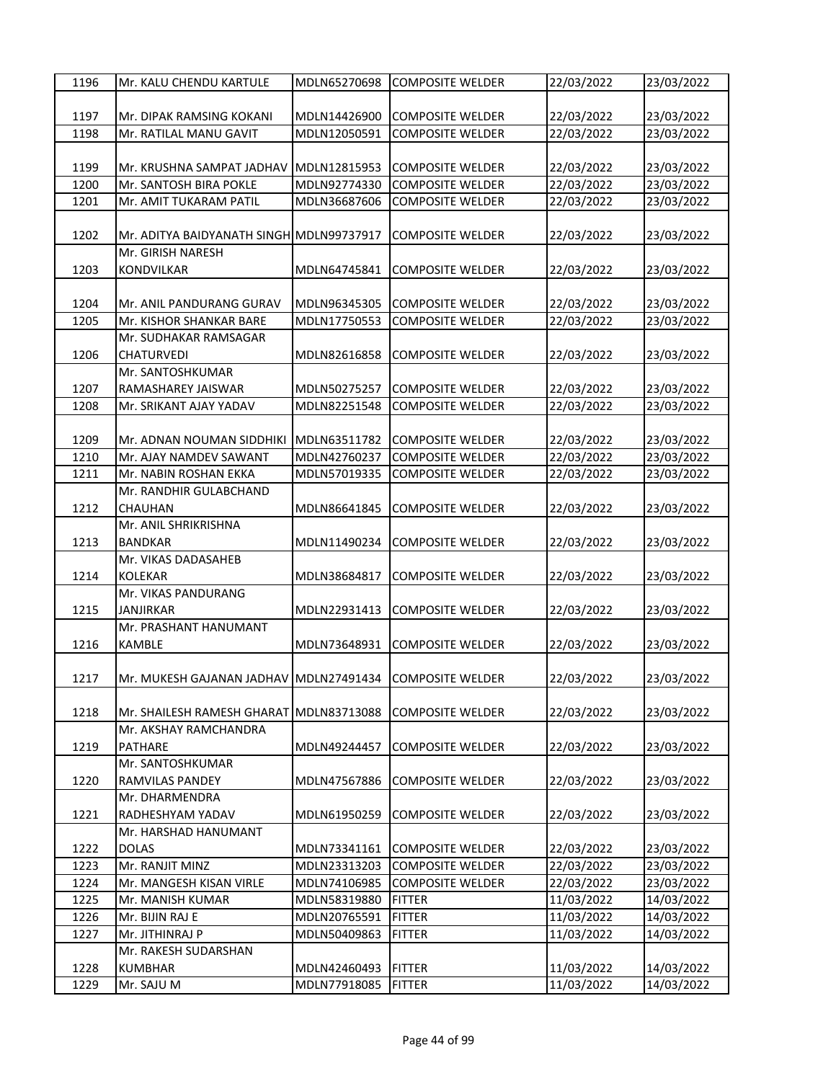| 1196 | Mr. KALU CHENDU KARTULE                                 | MDLN65270698 | <b>COMPOSITE WELDER</b> | 22/03/2022 | 23/03/2022 |
|------|---------------------------------------------------------|--------------|-------------------------|------------|------------|
|      |                                                         |              |                         |            |            |
| 1197 | Mr. DIPAK RAMSING KOKANI                                | MDLN14426900 | <b>COMPOSITE WELDER</b> | 22/03/2022 | 23/03/2022 |
| 1198 | Mr. RATILAL MANU GAVIT                                  | MDLN12050591 | <b>COMPOSITE WELDER</b> | 22/03/2022 | 23/03/2022 |
|      |                                                         |              |                         |            |            |
| 1199 | Mr. KRUSHNA SAMPAT JADHAV                               | MDLN12815953 | <b>COMPOSITE WELDER</b> | 22/03/2022 | 23/03/2022 |
| 1200 | Mr. SANTOSH BIRA POKLE                                  | MDLN92774330 | <b>COMPOSITE WELDER</b> | 22/03/2022 | 23/03/2022 |
| 1201 | Mr. AMIT TUKARAM PATIL                                  | MDLN36687606 | <b>COMPOSITE WELDER</b> | 22/03/2022 | 23/03/2022 |
|      |                                                         |              |                         |            |            |
| 1202 | Mr. ADITYA BAIDYANATH SINGH MDLN99737917                |              | <b>COMPOSITE WELDER</b> | 22/03/2022 | 23/03/2022 |
|      | Mr. GIRISH NARESH                                       |              |                         |            |            |
| 1203 | <b>KONDVILKAR</b>                                       | MDLN64745841 | <b>COMPOSITE WELDER</b> | 22/03/2022 | 23/03/2022 |
|      |                                                         |              |                         |            |            |
| 1204 | Mr. ANIL PANDURANG GURAV                                | MDLN96345305 | <b>COMPOSITE WELDER</b> | 22/03/2022 | 23/03/2022 |
| 1205 | Mr. KISHOR SHANKAR BARE                                 | MDLN17750553 | <b>COMPOSITE WELDER</b> | 22/03/2022 | 23/03/2022 |
|      | Mr. SUDHAKAR RAMSAGAR                                   |              |                         |            |            |
| 1206 | <b>CHATURVEDI</b>                                       | MDLN82616858 | <b>COMPOSITE WELDER</b> | 22/03/2022 | 23/03/2022 |
|      | Mr. SANTOSHKUMAR                                        |              |                         |            |            |
| 1207 | RAMASHAREY JAISWAR                                      | MDLN50275257 | <b>COMPOSITE WELDER</b> | 22/03/2022 | 23/03/2022 |
| 1208 | Mr. SRIKANT AJAY YADAV                                  | MDLN82251548 | <b>COMPOSITE WELDER</b> | 22/03/2022 | 23/03/2022 |
|      |                                                         |              |                         |            |            |
| 1209 | Mr. ADNAN NOUMAN SIDDHIKI                               | MDLN63511782 | <b>COMPOSITE WELDER</b> | 22/03/2022 | 23/03/2022 |
| 1210 | Mr. AJAY NAMDEV SAWANT                                  | MDLN42760237 | <b>COMPOSITE WELDER</b> | 22/03/2022 | 23/03/2022 |
| 1211 | Mr. NABIN ROSHAN EKKA                                   | MDLN57019335 | <b>COMPOSITE WELDER</b> | 22/03/2022 | 23/03/2022 |
|      | Mr. RANDHIR GULABCHAND                                  |              |                         |            |            |
| 1212 | CHAUHAN                                                 | MDLN86641845 | <b>COMPOSITE WELDER</b> | 22/03/2022 | 23/03/2022 |
|      | Mr. ANIL SHRIKRISHNA                                    |              |                         |            |            |
| 1213 | <b>BANDKAR</b><br>Mr. VIKAS DADASAHEB                   | MDLN11490234 | COMPOSITE WELDER        | 22/03/2022 | 23/03/2022 |
| 1214 | <b>KOLEKAR</b>                                          | MDLN38684817 | <b>COMPOSITE WELDER</b> | 22/03/2022 | 23/03/2022 |
|      | Mr. VIKAS PANDURANG                                     |              |                         |            |            |
| 1215 | JANJIRKAR                                               | MDLN22931413 | <b>COMPOSITE WELDER</b> | 22/03/2022 | 23/03/2022 |
|      | Mr. PRASHANT HANUMANT                                   |              |                         |            |            |
| 1216 | KAMBLE                                                  | MDLN73648931 | <b>COMPOSITE WELDER</b> | 22/03/2022 | 23/03/2022 |
|      |                                                         |              |                         |            |            |
| 1217 | Mr. MUKESH GAJANAN JADHAV MDLN27491434 COMPOSITE WELDER |              |                         | 22/03/2022 | 23/03/2022 |
|      |                                                         |              |                         |            |            |
| 1218 | Mr. SHAILESH RAMESH GHARAT MDLN83713088                 |              | <b>COMPOSITE WELDER</b> | 22/03/2022 | 23/03/2022 |
|      | Mr. AKSHAY RAMCHANDRA                                   |              |                         |            |            |
| 1219 | <b>PATHARE</b>                                          | MDLN49244457 | <b>COMPOSITE WELDER</b> | 22/03/2022 | 23/03/2022 |
|      | Mr. SANTOSHKUMAR                                        |              |                         |            |            |
| 1220 | <b>RAMVILAS PANDEY</b>                                  | MDLN47567886 | <b>COMPOSITE WELDER</b> | 22/03/2022 | 23/03/2022 |
|      | Mr. DHARMENDRA                                          |              |                         |            |            |
| 1221 | RADHESHYAM YADAV                                        | MDLN61950259 | <b>COMPOSITE WELDER</b> | 22/03/2022 | 23/03/2022 |
|      | Mr. HARSHAD HANUMANT                                    |              |                         |            |            |
| 1222 | <b>DOLAS</b>                                            | MDLN73341161 | <b>COMPOSITE WELDER</b> | 22/03/2022 | 23/03/2022 |
| 1223 | Mr. RANJIT MINZ                                         | MDLN23313203 | <b>COMPOSITE WELDER</b> | 22/03/2022 | 23/03/2022 |
| 1224 | Mr. MANGESH KISAN VIRLE                                 | MDLN74106985 | <b>COMPOSITE WELDER</b> | 22/03/2022 | 23/03/2022 |
| 1225 | Mr. MANISH KUMAR                                        | MDLN58319880 | <b>FITTER</b>           | 11/03/2022 | 14/03/2022 |
| 1226 | Mr. BIJIN RAJ E                                         | MDLN20765591 | <b>FITTER</b>           | 11/03/2022 | 14/03/2022 |
| 1227 | Mr. JITHINRAJ P                                         | MDLN50409863 | <b>FITTER</b>           | 11/03/2022 | 14/03/2022 |
|      | Mr. RAKESH SUDARSHAN                                    |              |                         |            |            |
| 1228 | <b>KUMBHAR</b>                                          | MDLN42460493 | <b>FITTER</b>           | 11/03/2022 | 14/03/2022 |
| 1229 | Mr. SAJU M                                              | MDLN77918085 | <b>FITTER</b>           | 11/03/2022 | 14/03/2022 |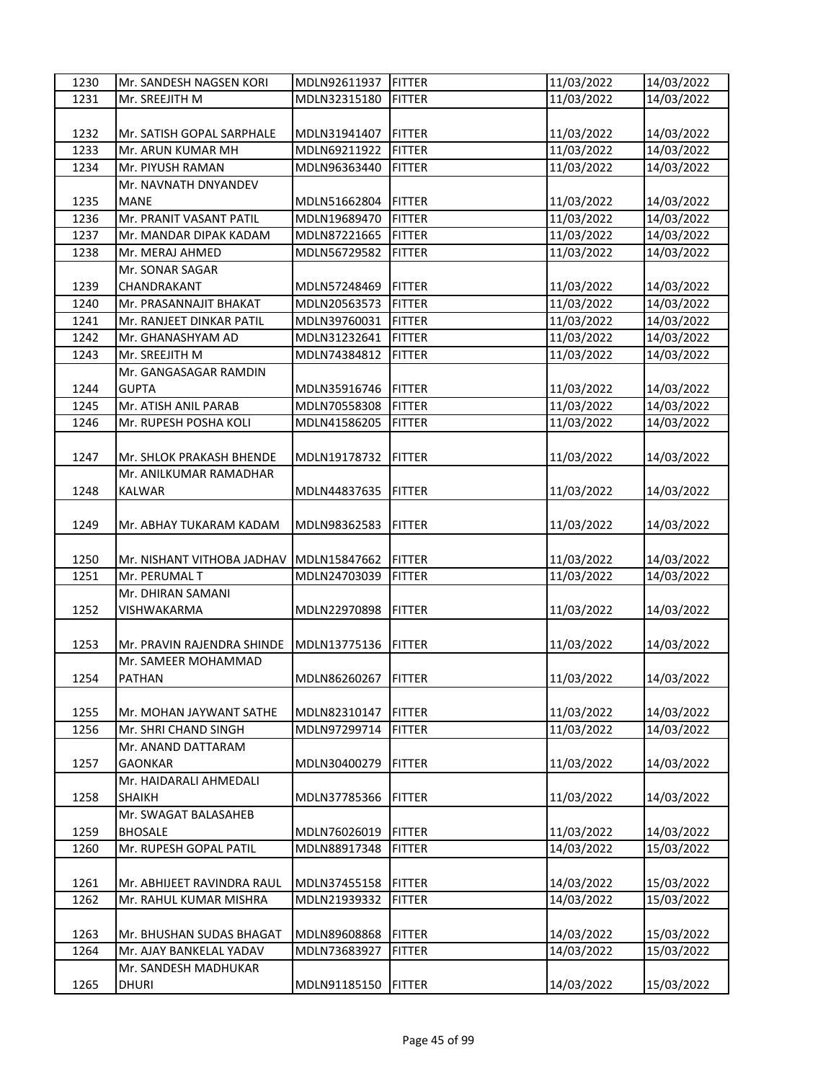| 1230 | Mr. SANDESH NAGSEN KORI    | MDLN92611937 | <b>FITTER</b> | 11/03/2022               | 14/03/2022               |
|------|----------------------------|--------------|---------------|--------------------------|--------------------------|
| 1231 | Mr. SREEJITH M             | MDLN32315180 | <b>FITTER</b> | 11/03/2022               | 14/03/2022               |
|      |                            |              |               |                          |                          |
| 1232 | Mr. SATISH GOPAL SARPHALE  | MDLN31941407 | <b>FITTER</b> | 11/03/2022               | 14/03/2022               |
| 1233 | Mr. ARUN KUMAR MH          | MDLN69211922 | <b>FITTER</b> | 11/03/2022               | 14/03/2022               |
| 1234 | Mr. PIYUSH RAMAN           | MDLN96363440 | <b>FITTER</b> | 11/03/2022               | 14/03/2022               |
|      | Mr. NAVNATH DNYANDEV       |              |               |                          |                          |
| 1235 | <b>MANE</b>                | MDLN51662804 | <b>FITTER</b> | 11/03/2022               | 14/03/2022               |
| 1236 | Mr. PRANIT VASANT PATIL    | MDLN19689470 | <b>FITTER</b> | 11/03/2022               | 14/03/2022               |
| 1237 | Mr. MANDAR DIPAK KADAM     | MDLN87221665 | <b>FITTER</b> | 11/03/2022               | 14/03/2022               |
|      |                            |              |               |                          |                          |
| 1238 | Mr. MERAJ AHMED            | MDLN56729582 | <b>FITTER</b> | 11/03/2022               | 14/03/2022               |
|      | Mr. SONAR SAGAR            |              |               |                          |                          |
| 1239 | CHANDRAKANT                | MDLN57248469 | <b>FITTER</b> | 11/03/2022               | 14/03/2022               |
| 1240 | Mr. PRASANNAJIT BHAKAT     | MDLN20563573 | <b>FITTER</b> | 11/03/2022               | 14/03/2022               |
| 1241 | Mr. RANJEET DINKAR PATIL   | MDLN39760031 | <b>FITTER</b> | 11/03/2022               | 14/03/2022               |
| 1242 | Mr. GHANASHYAM AD          | MDLN31232641 | <b>FITTER</b> | 11/03/2022               | 14/03/2022               |
| 1243 | Mr. SREEJITH M             | MDLN74384812 | <b>FITTER</b> | 11/03/2022               | 14/03/2022               |
|      | Mr. GANGASAGAR RAMDIN      |              |               |                          |                          |
| 1244 | <b>GUPTA</b>               | MDLN35916746 | <b>FITTER</b> | 11/03/2022               | 14/03/2022               |
| 1245 | Mr. ATISH ANIL PARAB       | MDLN70558308 | <b>FITTER</b> | 11/03/2022               | 14/03/2022               |
| 1246 | Mr. RUPESH POSHA KOLI      | MDLN41586205 | <b>FITTER</b> | 11/03/2022               | 14/03/2022               |
|      |                            |              |               |                          |                          |
| 1247 | Mr. SHLOK PRAKASH BHENDE   | MDLN19178732 | <b>FITTER</b> | 11/03/2022               | 14/03/2022               |
|      | Mr. ANILKUMAR RAMADHAR     |              |               |                          |                          |
| 1248 | <b>KALWAR</b>              | MDLN44837635 | <b>FITTER</b> | 11/03/2022               | 14/03/2022               |
|      |                            |              |               |                          |                          |
| 1249 | Mr. ABHAY TUKARAM KADAM    | MDLN98362583 | <b>FITTER</b> | 11/03/2022               | 14/03/2022               |
|      |                            |              |               |                          |                          |
| 1250 |                            |              |               |                          |                          |
| 1251 | Mr. NISHANT VITHOBA JADHAV | MDLN15847662 | <b>FITTER</b> | 11/03/2022<br>11/03/2022 | 14/03/2022<br>14/03/2022 |
|      | Mr. PERUMAL T              | MDLN24703039 | <b>FITTER</b> |                          |                          |
|      | Mr. DHIRAN SAMANI          |              |               |                          |                          |
| 1252 | VISHWAKARMA                | MDLN22970898 | <b>FITTER</b> | 11/03/2022               | 14/03/2022               |
|      |                            |              |               |                          |                          |
| 1253 | Mr. PRAVIN RAJENDRA SHINDE | MDLN13775136 | <b>FITTER</b> | 11/03/2022               | 14/03/2022               |
|      | Mr. SAMEER MOHAMMAD        |              |               |                          |                          |
| 1254 | <b>PATHAN</b>              | MDLN86260267 | <b>FITTER</b> | 11/03/2022               | 14/03/2022               |
|      |                            |              |               |                          |                          |
| 1255 | Mr. MOHAN JAYWANT SATHE    | MDLN82310147 | <b>FITTER</b> | 11/03/2022               | 14/03/2022               |
| 1256 | Mr. SHRI CHAND SINGH       | MDLN97299714 | <b>FITTER</b> | 11/03/2022               | 14/03/2022               |
|      | Mr. ANAND DATTARAM         |              |               |                          |                          |
| 1257 | <b>GAONKAR</b>             | MDLN30400279 | <b>FITTER</b> | 11/03/2022               | 14/03/2022               |
|      | Mr. HAIDARALI AHMEDALI     |              |               |                          |                          |
| 1258 | <b>SHAIKH</b>              | MDLN37785366 | <b>FITTER</b> | 11/03/2022               | 14/03/2022               |
|      | Mr. SWAGAT BALASAHEB       |              |               |                          |                          |
| 1259 | <b>BHOSALE</b>             | MDLN76026019 | <b>FITTER</b> | 11/03/2022               | 14/03/2022               |
| 1260 | Mr. RUPESH GOPAL PATIL     | MDLN88917348 | <b>FITTER</b> | 14/03/2022               | 15/03/2022               |
|      |                            |              |               |                          |                          |
| 1261 | Mr. ABHIJEET RAVINDRA RAUL | MDLN37455158 | <b>FITTER</b> | 14/03/2022               | 15/03/2022               |
| 1262 | Mr. RAHUL KUMAR MISHRA     | MDLN21939332 | <b>FITTER</b> | 14/03/2022               | 15/03/2022               |
|      |                            |              |               |                          |                          |
| 1263 | Mr. BHUSHAN SUDAS BHAGAT   | MDLN89608868 | <b>FITTER</b> | 14/03/2022               | 15/03/2022               |
| 1264 | Mr. AJAY BANKELAL YADAV    | MDLN73683927 | <b>FITTER</b> | 14/03/2022               | 15/03/2022               |
|      | Mr. SANDESH MADHUKAR       |              |               |                          |                          |
| 1265 | <b>DHURI</b>               | MDLN91185150 | <b>FITTER</b> | 14/03/2022               | 15/03/2022               |
|      |                            |              |               |                          |                          |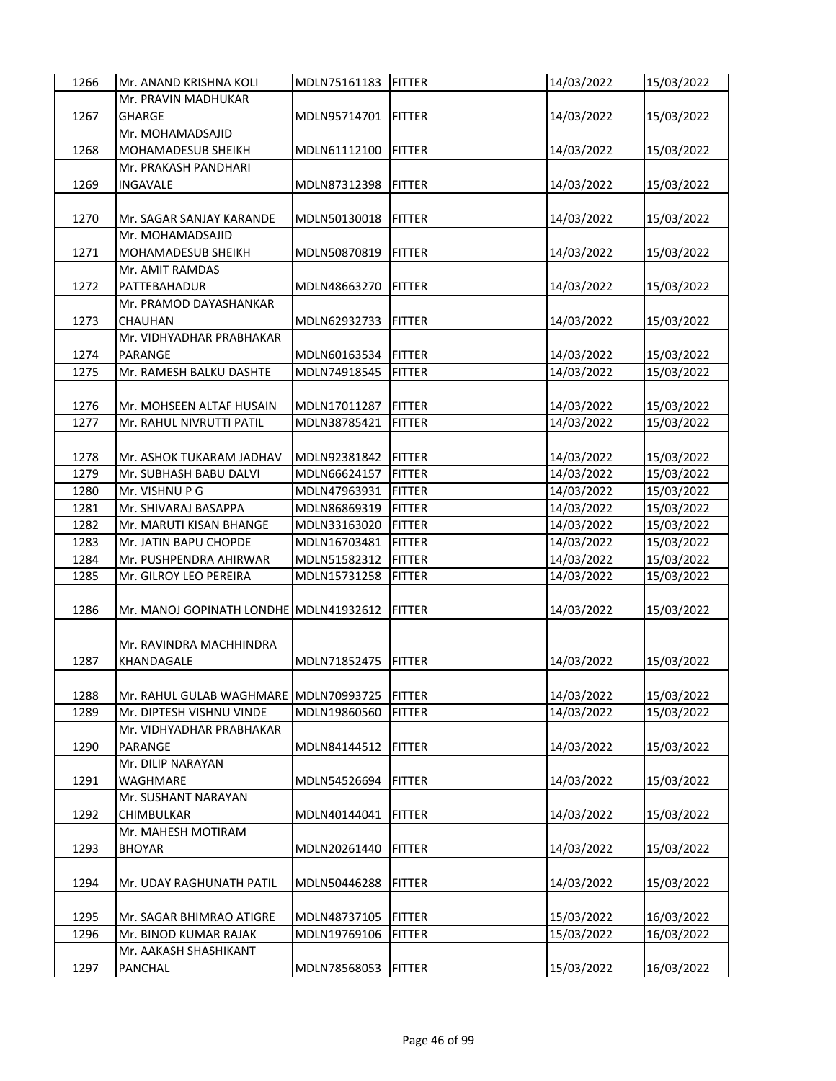| 1266 | Mr. ANAND KRISHNA KOLI                 | MDLN75161183        | FITTER         | 14/03/2022 | 15/03/2022 |
|------|----------------------------------------|---------------------|----------------|------------|------------|
|      | Mr. PRAVIN MADHUKAR                    |                     |                |            |            |
| 1267 | <b>GHARGE</b>                          | MDLN95714701        | <b>IFITTER</b> | 14/03/2022 | 15/03/2022 |
|      | Mr. MOHAMADSAJID                       |                     |                |            |            |
| 1268 | MOHAMADESUB SHEIKH                     | MDLN61112100        | <b>FITTER</b>  | 14/03/2022 | 15/03/2022 |
|      | Mr. PRAKASH PANDHARI                   |                     |                |            |            |
| 1269 | INGAVALE                               | MDLN87312398        | <b>FITTER</b>  | 14/03/2022 | 15/03/2022 |
|      |                                        |                     |                |            |            |
| 1270 | Mr. SAGAR SANJAY KARANDE               | MDLN50130018        | <b>FITTER</b>  | 14/03/2022 | 15/03/2022 |
|      | Mr. MOHAMADSAJID                       |                     |                |            |            |
| 1271 | <b>MOHAMADESUB SHEIKH</b>              | MDLN50870819        | <b>FITTER</b>  | 14/03/2022 | 15/03/2022 |
|      | Mr. AMIT RAMDAS                        |                     |                |            |            |
| 1272 | PATTEBAHADUR                           | MDLN48663270        | <b>FITTER</b>  | 14/03/2022 | 15/03/2022 |
|      | Mr. PRAMOD DAYASHANKAR                 |                     |                |            |            |
| 1273 | CHAUHAN                                | MDLN62932733        | <b>FITTER</b>  | 14/03/2022 | 15/03/2022 |
|      | Mr. VIDHYADHAR PRABHAKAR               |                     |                |            |            |
| 1274 | PARANGE                                | MDLN60163534        | <b>FITTER</b>  | 14/03/2022 | 15/03/2022 |
| 1275 | Mr. RAMESH BALKU DASHTE                | MDLN74918545        | <b>FITTER</b>  | 14/03/2022 | 15/03/2022 |
|      |                                        |                     |                |            |            |
| 1276 | Mr. MOHSEEN ALTAF HUSAIN               | MDLN17011287        | <b>FITTER</b>  | 14/03/2022 | 15/03/2022 |
| 1277 | Mr. RAHUL NIVRUTTI PATIL               | MDLN38785421        | <b>FITTER</b>  | 14/03/2022 | 15/03/2022 |
|      |                                        |                     |                |            |            |
| 1278 | Mr. ASHOK TUKARAM JADHAV               | MDLN92381842 FITTER |                | 14/03/2022 | 15/03/2022 |
| 1279 | Mr. SUBHASH BABU DALVI                 | MDLN66624157        | <b>FITTER</b>  | 14/03/2022 | 15/03/2022 |
| 1280 | Mr. VISHNU P G                         | MDLN47963931        | <b>FITTER</b>  | 14/03/2022 |            |
|      |                                        |                     |                |            | 15/03/2022 |
| 1281 | Mr. SHIVARAJ BASAPPA                   | MDLN86869319        | <b>FITTER</b>  | 14/03/2022 | 15/03/2022 |
| 1282 | Mr. MARUTI KISAN BHANGE                | MDLN33163020        | <b>FITTER</b>  | 14/03/2022 | 15/03/2022 |
| 1283 | Mr. JATIN BAPU CHOPDE                  | MDLN16703481        | <b>FITTER</b>  | 14/03/2022 | 15/03/2022 |
| 1284 | Mr. PUSHPENDRA AHIRWAR                 | MDLN51582312        | <b>FITTER</b>  | 14/03/2022 | 15/03/2022 |
| 1285 | Mr. GILROY LEO PEREIRA                 | MDLN15731258        | <b>FITTER</b>  | 14/03/2022 | 15/03/2022 |
|      |                                        |                     |                |            |            |
| 1286 | Mr. MANOJ GOPINATH LONDHE MDLN41932612 |                     | <b>FITTER</b>  | 14/03/2022 | 15/03/2022 |
|      |                                        |                     |                |            |            |
|      | Mr. RAVINDRA MACHHINDRA                |                     |                |            |            |
| 1287 | KHANDAGALE                             | MDLN71852475        | <b>FITTER</b>  | 14/03/2022 | 15/03/2022 |
|      |                                        |                     |                |            |            |
| 1288 | Mr. RAHUL GULAB WAGHMARE MDLN70993725  |                     | <b>FITTER</b>  | 14/03/2022 | 15/03/2022 |
| 1289 | Mr. DIPTESH VISHNU VINDE               | MDLN19860560        | <b>FITTER</b>  | 14/03/2022 | 15/03/2022 |
|      | Mr. VIDHYADHAR PRABHAKAR               |                     |                |            |            |
| 1290 | PARANGE                                | MDLN84144512        | <b>FITTER</b>  | 14/03/2022 | 15/03/2022 |
|      | Mr. DILIP NARAYAN                      |                     |                |            |            |
| 1291 | WAGHMARE                               | MDLN54526694        | <b>FITTER</b>  | 14/03/2022 | 15/03/2022 |
|      | Mr. SUSHANT NARAYAN                    |                     |                |            |            |
| 1292 | CHIMBULKAR                             | MDLN40144041        | <b>FITTER</b>  | 14/03/2022 | 15/03/2022 |
|      | Mr. MAHESH MOTIRAM                     |                     |                |            |            |
| 1293 | <b>BHOYAR</b>                          | MDLN20261440        | <b>FITTER</b>  | 14/03/2022 | 15/03/2022 |
|      |                                        |                     |                |            |            |
| 1294 | Mr. UDAY RAGHUNATH PATIL               | MDLN50446288        | <b>FITTER</b>  | 14/03/2022 | 15/03/2022 |
|      |                                        |                     |                |            |            |
| 1295 | Mr. SAGAR BHIMRAO ATIGRE               | MDLN48737105        | <b>FITTER</b>  | 15/03/2022 | 16/03/2022 |
| 1296 | Mr. BINOD KUMAR RAJAK                  | MDLN19769106        | <b>FITTER</b>  | 15/03/2022 | 16/03/2022 |
|      | Mr. AAKASH SHASHIKANT                  |                     |                |            |            |
| 1297 | PANCHAL                                | MDLN78568053        | <b>FITTER</b>  | 15/03/2022 | 16/03/2022 |
|      |                                        |                     |                |            |            |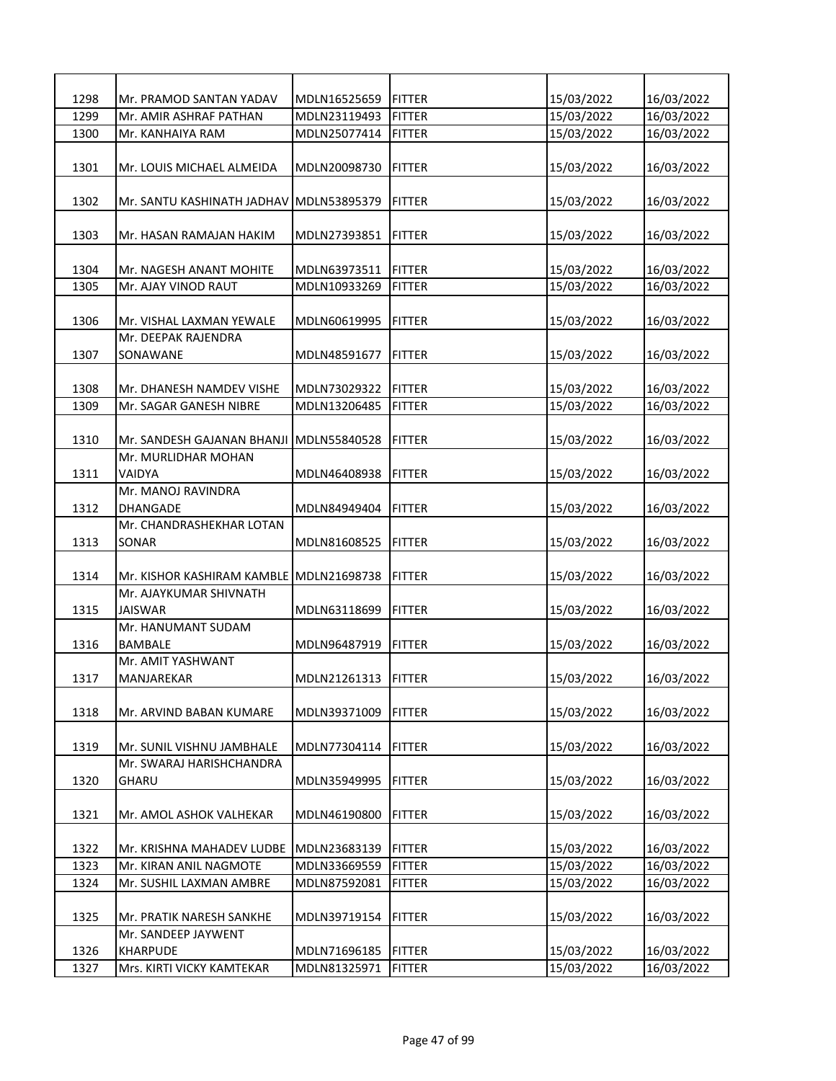| 1298 | Mr. PRAMOD SANTAN YADAV                 | MDLN16525659 | <b>IFITTER</b> | 15/03/2022 | 16/03/2022 |
|------|-----------------------------------------|--------------|----------------|------------|------------|
| 1299 | Mr. AMIR ASHRAF PATHAN                  | MDLN23119493 | <b>FITTER</b>  | 15/03/2022 | 16/03/2022 |
| 1300 | Mr. KANHAIYA RAM                        | MDLN25077414 | FITTER         | 15/03/2022 | 16/03/2022 |
|      |                                         |              |                |            |            |
| 1301 | Mr. LOUIS MICHAEL ALMEIDA               | MDLN20098730 | <b>FITTER</b>  | 15/03/2022 | 16/03/2022 |
|      |                                         |              |                |            |            |
| 1302 | Mr. SANTU KASHINATH JADHAV MDLN53895379 |              | <b>FITTER</b>  | 15/03/2022 | 16/03/2022 |
|      |                                         |              |                |            |            |
| 1303 | Mr. HASAN RAMAJAN HAKIM                 | MDLN27393851 | <b>FITTER</b>  | 15/03/2022 | 16/03/2022 |
|      |                                         |              |                |            |            |
| 1304 | Mr. NAGESH ANANT MOHITE                 | MDLN63973511 | FITTER         | 15/03/2022 | 16/03/2022 |
| 1305 | Mr. AJAY VINOD RAUT                     | MDLN10933269 | <b>FITTER</b>  | 15/03/2022 | 16/03/2022 |
|      |                                         |              |                |            |            |
| 1306 | Mr. VISHAL LAXMAN YEWALE                | MDLN60619995 | <b>FITTER</b>  | 15/03/2022 | 16/03/2022 |
|      | Mr. DEEPAK RAJENDRA                     |              |                |            |            |
| 1307 | SONAWANE                                | MDLN48591677 | <b>FITTER</b>  | 15/03/2022 | 16/03/2022 |
|      |                                         |              |                |            |            |
| 1308 | Mr. DHANESH NAMDEV VISHE                | MDLN73029322 | <b>FITTER</b>  | 15/03/2022 | 16/03/2022 |
| 1309 | Mr. SAGAR GANESH NIBRE                  | MDLN13206485 | <b>FITTER</b>  | 15/03/2022 | 16/03/2022 |
|      |                                         |              |                |            |            |
| 1310 | Mr. SANDESH GAJANAN BHANJI MDLN55840528 |              | <b>FITTER</b>  | 15/03/2022 | 16/03/2022 |
|      | Mr. MURLIDHAR MOHAN                     |              |                |            |            |
| 1311 | VAIDYA                                  | MDLN46408938 | FITTER         | 15/03/2022 | 16/03/2022 |
|      | Mr. MANOJ RAVINDRA                      |              |                |            |            |
| 1312 | DHANGADE                                | MDLN84949404 | <b>FITTER</b>  | 15/03/2022 | 16/03/2022 |
|      | Mr. CHANDRASHEKHAR LOTAN                |              |                |            |            |
| 1313 | SONAR                                   | MDLN81608525 | <b>FITTER</b>  | 15/03/2022 | 16/03/2022 |
|      |                                         |              |                |            |            |
| 1314 | Mr. KISHOR KASHIRAM KAMBLE              | MDLN21698738 | <b>FITTER</b>  | 15/03/2022 | 16/03/2022 |
|      | Mr. AJAYKUMAR SHIVNATH                  |              |                |            |            |
| 1315 | <b>JAISWAR</b>                          | MDLN63118699 | <b>FITTER</b>  | 15/03/2022 | 16/03/2022 |
|      | Mr. HANUMANT SUDAM                      |              |                |            |            |
| 1316 | BAMBALE                                 | MDLN96487919 | <b>FITTER</b>  | 15/03/2022 | 16/03/2022 |
|      | Mr. AMIT YASHWANT                       |              |                |            |            |
| 1317 | MANJAREKAR                              | MDLN21261313 | <b>IFITTER</b> | 15/03/2022 | 16/03/2022 |
|      |                                         |              |                |            |            |
| 1318 | Mr. ARVIND BABAN KUMARE                 | MDLN39371009 | <b>FITTER</b>  | 15/03/2022 | 16/03/2022 |
|      |                                         |              |                |            |            |
| 1319 | Mr. SUNIL VISHNU JAMBHALE               | MDLN77304114 | <b>FITTER</b>  | 15/03/2022 | 16/03/2022 |
|      | Mr. SWARAJ HARISHCHANDRA                |              |                |            |            |
| 1320 | <b>GHARU</b>                            | MDLN35949995 | <b>FITTER</b>  | 15/03/2022 | 16/03/2022 |
|      |                                         |              |                |            |            |
| 1321 | Mr. AMOL ASHOK VALHEKAR                 | MDLN46190800 | <b>FITTER</b>  | 15/03/2022 | 16/03/2022 |
|      |                                         |              |                |            |            |
| 1322 | Mr. KRISHNA MAHADEV LUDBE               | MDLN23683139 | <b>FITTER</b>  | 15/03/2022 | 16/03/2022 |
| 1323 | Mr. KIRAN ANIL NAGMOTE                  | MDLN33669559 | <b>FITTER</b>  | 15/03/2022 | 16/03/2022 |
| 1324 | Mr. SUSHIL LAXMAN AMBRE                 | MDLN87592081 | <b>FITTER</b>  | 15/03/2022 | 16/03/2022 |
|      |                                         |              |                |            |            |
| 1325 | Mr. PRATIK NARESH SANKHE                | MDLN39719154 | <b>FITTER</b>  | 15/03/2022 | 16/03/2022 |
|      | Mr. SANDEEP JAYWENT                     |              |                |            |            |
| 1326 | KHARPUDE                                | MDLN71696185 | <b>FITTER</b>  | 15/03/2022 | 16/03/2022 |
| 1327 | Mrs. KIRTI VICKY KAMTEKAR               | MDLN81325971 | <b>FITTER</b>  | 15/03/2022 | 16/03/2022 |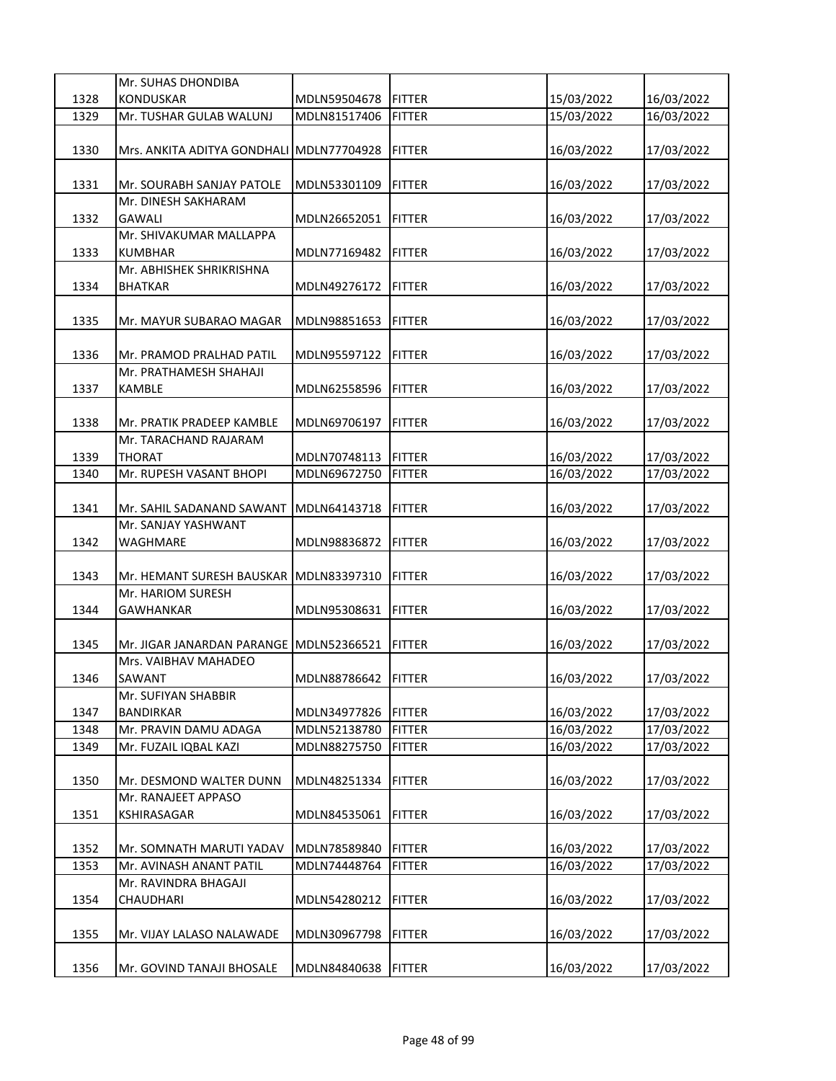|              | Mr. SUHAS DHONDIBA                        |                              |                |                          |                          |
|--------------|-------------------------------------------|------------------------------|----------------|--------------------------|--------------------------|
| 1328         | KONDUSKAR                                 | MDLN59504678                 | <b>FITTER</b>  | 15/03/2022               | 16/03/2022               |
| 1329         | Mr. TUSHAR GULAB WALUNJ                   | MDLN81517406                 | <b>FITTER</b>  | 15/03/2022               | 16/03/2022               |
|              |                                           |                              |                |                          |                          |
| 1330         | Mrs. ANKITA ADITYA GONDHALI MDLN77704928  |                              | <b>FITTER</b>  | 16/03/2022               | 17/03/2022               |
|              |                                           |                              |                |                          |                          |
| 1331         | Mr. SOURABH SANJAY PATOLE                 | MDLN53301109                 | <b>FITTER</b>  | 16/03/2022               | 17/03/2022               |
|              | Mr. DINESH SAKHARAM                       |                              |                |                          |                          |
| 1332         | GAWALI                                    | MDLN26652051                 | <b>FITTER</b>  | 16/03/2022               | 17/03/2022               |
|              | Mr. SHIVAKUMAR MALLAPPA                   |                              |                |                          |                          |
| 1333         | KUMBHAR                                   | MDLN77169482                 | <b>FITTER</b>  | 16/03/2022               | 17/03/2022               |
|              | Mr. ABHISHEK SHRIKRISHNA                  |                              |                |                          |                          |
| 1334         | <b>BHATKAR</b>                            | MDLN49276172                 | <b>FITTER</b>  | 16/03/2022               | 17/03/2022               |
|              |                                           |                              |                |                          |                          |
| 1335         | Mr. MAYUR SUBARAO MAGAR                   | MDLN98851653                 | <b>FITTER</b>  | 16/03/2022               | 17/03/2022               |
|              |                                           |                              |                |                          |                          |
| 1336         | Mr. PRAMOD PRALHAD PATIL                  | MDLN95597122                 | <b>FITTER</b>  | 16/03/2022               | 17/03/2022               |
|              | Mr. PRATHAMESH SHAHAJI                    |                              |                |                          |                          |
| 1337         | <b>KAMBLE</b>                             | MDLN62558596                 | <b>FITTER</b>  | 16/03/2022               | 17/03/2022               |
|              |                                           |                              |                |                          |                          |
| 1338         | Mr. PRATIK PRADEEP KAMBLE                 | MDLN69706197                 | <b>FITTER</b>  | 16/03/2022               | 17/03/2022               |
|              | Mr. TARACHAND RAJARAM                     |                              |                |                          |                          |
| 1339         | <b>THORAT</b>                             | MDLN70748113                 | <b>FITTER</b>  | 16/03/2022               | 17/03/2022               |
| 1340         | Mr. RUPESH VASANT BHOPI                   | MDLN69672750                 | <b>FITTER</b>  | 16/03/2022               | 17/03/2022               |
|              |                                           |                              |                |                          |                          |
| 1341         | Mr. SAHIL SADANAND SAWANT                 | MDLN64143718                 | <b>FITTER</b>  | 16/03/2022               | 17/03/2022               |
|              | Mr. SANJAY YASHWANT                       |                              |                |                          |                          |
| 1342         | WAGHMARE                                  | MDLN98836872                 | <b>FITTER</b>  | 16/03/2022               | 17/03/2022               |
|              |                                           |                              |                |                          |                          |
| 1343         | Mr. HEMANT SURESH BAUSKAR                 | MDLN83397310                 | <b>FITTER</b>  | 16/03/2022               | 17/03/2022               |
|              | Mr. HARIOM SURESH                         |                              |                |                          |                          |
| 1344         | <b>GAWHANKAR</b>                          | MDLN95308631                 | <b>FITTER</b>  | 16/03/2022               | 17/03/2022               |
|              |                                           |                              |                |                          |                          |
| 1345         | Mr. JIGAR JANARDAN PARANGE                | MDLN52366521                 | <b>FITTER</b>  | 16/03/2022               | 17/03/2022               |
|              | Mrs. VAIBHAV MAHADEO                      |                              |                |                          |                          |
| 1346         | SAWANT                                    | MDLN88786642                 | <b>IFITTER</b> | 16/03/2022               | 17/03/2022               |
|              |                                           |                              |                |                          |                          |
|              | Mr. SUFIYAN SHABBIR                       |                              |                |                          |                          |
| 1347<br>1348 | <b>BANDIRKAR</b><br>Mr. PRAVIN DAMU ADAGA | MDLN34977826                 | <b>FITTER</b>  | 16/03/2022<br>16/03/2022 | 17/03/2022<br>17/03/2022 |
| 1349         |                                           | MDLN52138780<br>MDLN88275750 | <b>FITTER</b>  |                          |                          |
|              | Mr. FUZAIL IQBAL KAZI                     |                              | <b>FITTER</b>  | 16/03/2022               | 17/03/2022               |
|              |                                           |                              |                |                          |                          |
| 1350         | Mr. DESMOND WALTER DUNN                   | MDLN48251334                 | <b>FITTER</b>  | 16/03/2022               | 17/03/2022               |
|              | Mr. RANAJEET APPASO                       |                              |                |                          |                          |
| 1351         | KSHIRASAGAR                               | MDLN84535061                 | <b>FITTER</b>  | 16/03/2022               | 17/03/2022               |
|              |                                           |                              |                |                          |                          |
| 1352         | Mr. SOMNATH MARUTI YADAV                  | MDLN78589840                 | <b>FITTER</b>  | 16/03/2022               | 17/03/2022               |
| 1353         | Mr. AVINASH ANANT PATIL                   | MDLN74448764                 | <b>FITTER</b>  | 16/03/2022               | 17/03/2022               |
|              | Mr. RAVINDRA BHAGAJI                      |                              |                |                          |                          |
| 1354         | CHAUDHARI                                 | MDLN54280212                 | <b>FITTER</b>  | 16/03/2022               | 17/03/2022               |
|              |                                           |                              |                |                          |                          |
| 1355         | Mr. VIJAY LALASO NALAWADE                 | MDLN30967798                 | <b>FITTER</b>  | 16/03/2022               | 17/03/2022               |
|              |                                           |                              |                |                          |                          |
| 1356         | Mr. GOVIND TANAJI BHOSALE                 | MDLN84840638                 | <b>FITTER</b>  | 16/03/2022               | 17/03/2022               |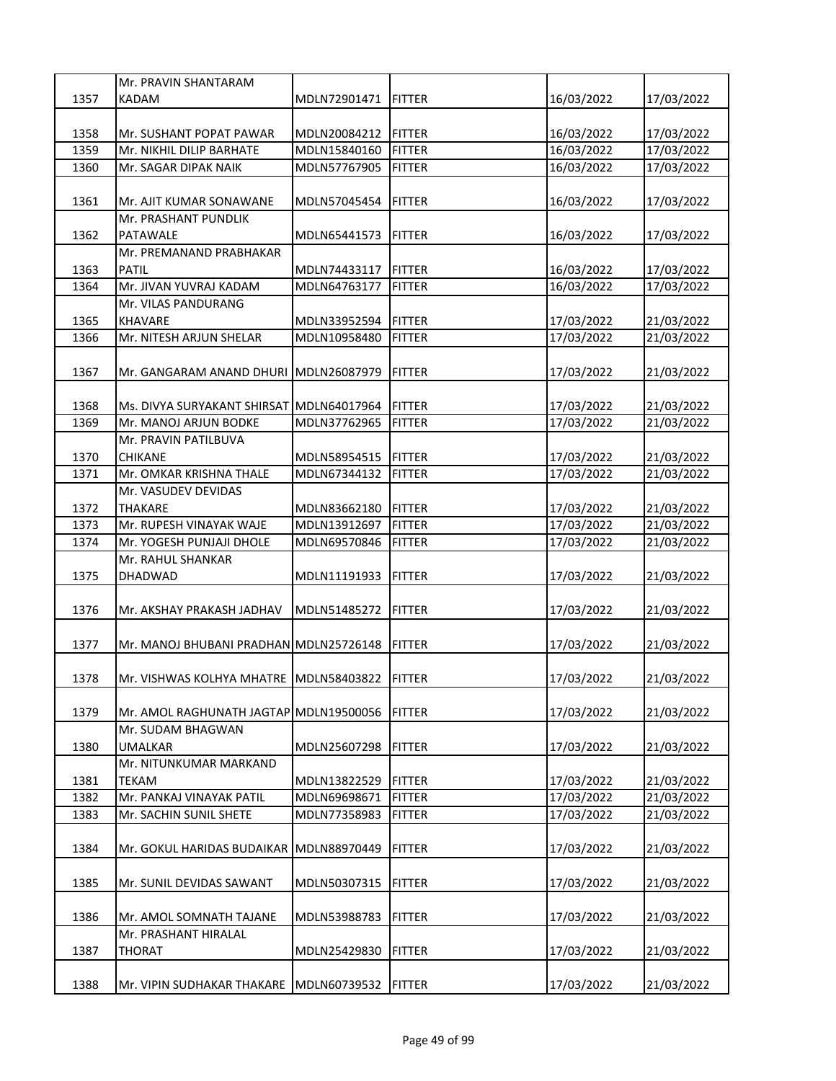|      | Mr. PRAVIN SHANTARAM                     |              |                |            |            |
|------|------------------------------------------|--------------|----------------|------------|------------|
| 1357 | <b>KADAM</b>                             | MDLN72901471 | <b>FITTER</b>  | 16/03/2022 | 17/03/2022 |
|      |                                          |              |                |            |            |
| 1358 | Mr. SUSHANT POPAT PAWAR                  | MDLN20084212 | <b>FITTER</b>  | 16/03/2022 | 17/03/2022 |
| 1359 | Mr. NIKHIL DILIP BARHATE                 | MDLN15840160 | <b>FITTER</b>  | 16/03/2022 | 17/03/2022 |
| 1360 | Mr. SAGAR DIPAK NAIK                     | MDLN57767905 | <b>FITTER</b>  | 16/03/2022 | 17/03/2022 |
|      |                                          |              |                |            |            |
| 1361 | Mr. AJIT KUMAR SONAWANE                  | MDLN57045454 | <b>FITTER</b>  | 16/03/2022 | 17/03/2022 |
|      | Mr. PRASHANT PUNDLIK                     |              |                |            |            |
| 1362 | PATAWALE                                 | MDLN65441573 | <b>FITTER</b>  | 16/03/2022 | 17/03/2022 |
|      | Mr. PREMANAND PRABHAKAR                  |              |                |            |            |
| 1363 | <b>PATIL</b>                             | MDLN74433117 | <b>FITTER</b>  | 16/03/2022 | 17/03/2022 |
| 1364 | Mr. JIVAN YUVRAJ KADAM                   | MDLN64763177 | <b>FITTER</b>  | 16/03/2022 | 17/03/2022 |
|      | Mr. VILAS PANDURANG                      |              |                |            |            |
| 1365 | <b>KHAVARE</b>                           | MDLN33952594 | <b>FITTER</b>  | 17/03/2022 | 21/03/2022 |
| 1366 | Mr. NITESH ARJUN SHELAR                  | MDLN10958480 | <b>FITTER</b>  | 17/03/2022 | 21/03/2022 |
|      |                                          |              |                |            |            |
| 1367 | Mr. GANGARAM ANAND DHURI MDLN26087979    |              | <b>FITTER</b>  | 17/03/2022 | 21/03/2022 |
|      |                                          |              |                |            |            |
| 1368 | Ms. DIVYA SURYAKANT SHIRSAT MDLN64017964 |              | <b>FITTER</b>  | 17/03/2022 | 21/03/2022 |
| 1369 | Mr. MANOJ ARJUN BODKE                    | MDLN37762965 | <b>FITTER</b>  | 17/03/2022 | 21/03/2022 |
|      | Mr. PRAVIN PATILBUVA                     |              |                |            |            |
| 1370 | <b>CHIKANE</b>                           | MDLN58954515 | <b>FITTER</b>  | 17/03/2022 | 21/03/2022 |
| 1371 | Mr. OMKAR KRISHNA THALE                  | MDLN67344132 | <b>FITTER</b>  | 17/03/2022 | 21/03/2022 |
|      | Mr. VASUDEV DEVIDAS                      |              |                |            |            |
| 1372 | <b>THAKARE</b>                           | MDLN83662180 | <b>FITTER</b>  | 17/03/2022 | 21/03/2022 |
| 1373 | Mr. RUPESH VINAYAK WAJE                  | MDLN13912697 | <b>FITTER</b>  | 17/03/2022 | 21/03/2022 |
|      |                                          |              |                |            |            |
|      |                                          |              |                |            |            |
| 1374 | Mr. YOGESH PUNJAJI DHOLE                 | MDLN69570846 | <b>FITTER</b>  | 17/03/2022 | 21/03/2022 |
|      | Mr. RAHUL SHANKAR                        |              |                |            |            |
| 1375 | <b>DHADWAD</b>                           | MDLN11191933 | <b>FITTER</b>  | 17/03/2022 | 21/03/2022 |
|      |                                          |              |                |            |            |
| 1376 | Mr. AKSHAY PRAKASH JADHAV                | MDLN51485272 | <b>FITTER</b>  | 17/03/2022 | 21/03/2022 |
|      |                                          |              |                |            |            |
| 1377 | Mr. MANOJ BHUBANI PRADHAN MDLN25726148   |              | <b>FITTER</b>  | 17/03/2022 | 21/03/2022 |
|      |                                          |              |                |            |            |
| 1378 | Mr. VISHWAS KOLHYA MHATRE MDLN58403822   |              | <b>IFITTER</b> | 17/03/2022 | 21/03/2022 |
|      |                                          |              |                |            |            |
| 1379 | Mr. AMOL RAGHUNATH JAGTAP MDLN19500056   |              | <b>FITTER</b>  | 17/03/2022 | 21/03/2022 |
|      | Mr. SUDAM BHAGWAN                        |              |                |            |            |
| 1380 | <b>UMALKAR</b>                           | MDLN25607298 | <b>FITTER</b>  | 17/03/2022 | 21/03/2022 |
|      | Mr. NITUNKUMAR MARKAND                   |              |                |            |            |
| 1381 | <b>TEKAM</b>                             | MDLN13822529 | <b>FITTER</b>  | 17/03/2022 | 21/03/2022 |
| 1382 | Mr. PANKAJ VINAYAK PATIL                 | MDLN69698671 | <b>FITTER</b>  | 17/03/2022 | 21/03/2022 |
| 1383 | Mr. SACHIN SUNIL SHETE                   | MDLN77358983 | <b>FITTER</b>  | 17/03/2022 | 21/03/2022 |
|      |                                          |              |                |            |            |
| 1384 | Mr. GOKUL HARIDAS BUDAIKAR               | MDLN88970449 | <b>FITTER</b>  | 17/03/2022 | 21/03/2022 |
|      |                                          |              |                |            |            |
| 1385 | Mr. SUNIL DEVIDAS SAWANT                 | MDLN50307315 | <b>FITTER</b>  | 17/03/2022 | 21/03/2022 |
|      |                                          |              |                |            |            |
| 1386 | Mr. AMOL SOMNATH TAJANE                  | MDLN53988783 | <b>FITTER</b>  | 17/03/2022 | 21/03/2022 |
|      | Mr. PRASHANT HIRALAL                     |              |                |            |            |
| 1387 | <b>THORAT</b>                            | MDLN25429830 | <b>FITTER</b>  | 17/03/2022 | 21/03/2022 |
| 1388 | Mr. VIPIN SUDHAKAR THAKARE               | MDLN60739532 | <b>FITTER</b>  | 17/03/2022 | 21/03/2022 |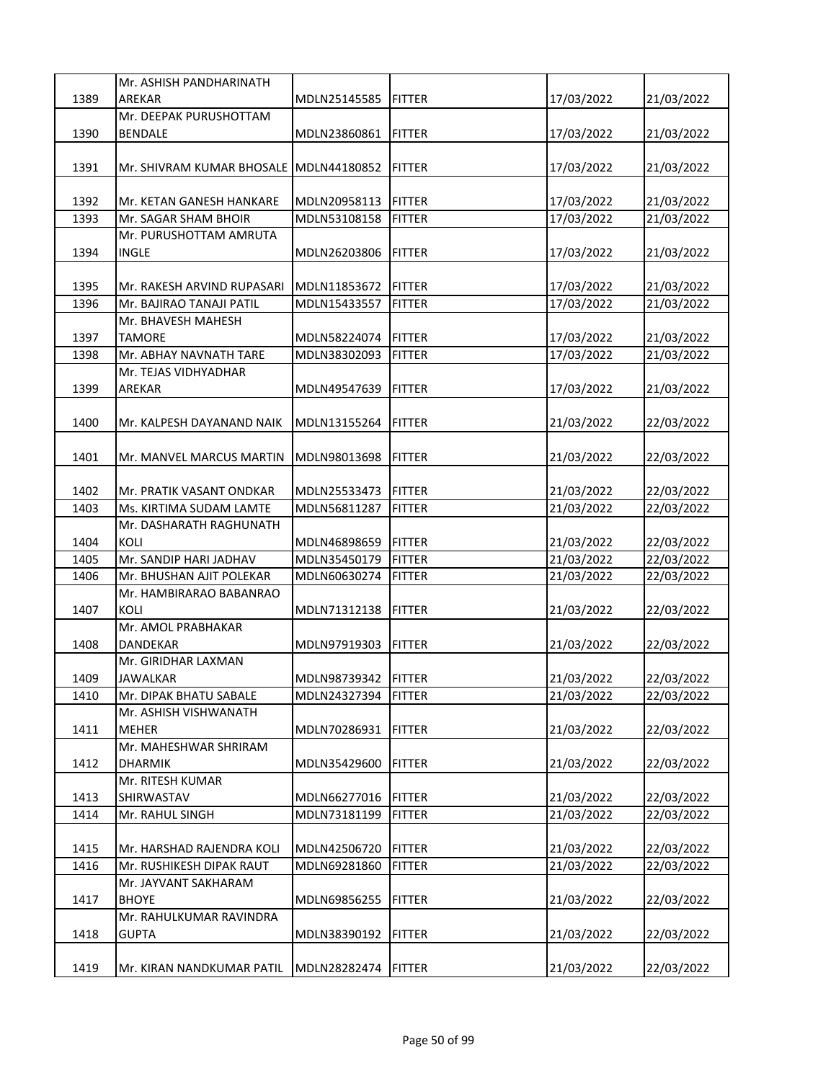|      | Mr. ASHISH PANDHARINATH                |              |                |            |            |
|------|----------------------------------------|--------------|----------------|------------|------------|
| 1389 | AREKAR                                 | MDLN25145585 | <b>FITTER</b>  | 17/03/2022 | 21/03/2022 |
|      | Mr. DEEPAK PURUSHOTTAM                 |              |                |            |            |
| 1390 | <b>BENDALE</b>                         | MDLN23860861 | <b>FITTER</b>  | 17/03/2022 | 21/03/2022 |
|      |                                        |              |                |            |            |
| 1391 | Mr. SHIVRAM KUMAR BHOSALE MDLN44180852 |              | FITTER         | 17/03/2022 | 21/03/2022 |
|      |                                        |              |                |            |            |
| 1392 | Mr. KETAN GANESH HANKARE               | MDLN20958113 | <b>FITTER</b>  | 17/03/2022 | 21/03/2022 |
| 1393 | Mr. SAGAR SHAM BHOIR                   | MDLN53108158 | <b>FITTER</b>  | 17/03/2022 | 21/03/2022 |
|      | Mr. PURUSHOTTAM AMRUTA                 |              |                |            |            |
| 1394 | INGLE                                  | MDLN26203806 | <b>FITTER</b>  | 17/03/2022 | 21/03/2022 |
|      |                                        |              |                |            |            |
|      |                                        |              |                |            |            |
| 1395 | Mr. RAKESH ARVIND RUPASARI             | MDLN11853672 | <b>FITTER</b>  | 17/03/2022 | 21/03/2022 |
| 1396 | Mr. BAJIRAO TANAJI PATIL               | MDLN15433557 | <b>FITTER</b>  | 17/03/2022 | 21/03/2022 |
|      | Mr. BHAVESH MAHESH                     |              |                |            |            |
| 1397 | <b>TAMORE</b>                          | MDLN58224074 | <b>FITTER</b>  | 17/03/2022 | 21/03/2022 |
| 1398 | Mr. ABHAY NAVNATH TARE                 | MDLN38302093 | <b>FITTER</b>  | 17/03/2022 | 21/03/2022 |
|      | Mr. TEJAS VIDHYADHAR                   |              |                |            |            |
| 1399 | AREKAR                                 | MDLN49547639 | <b>FITTER</b>  | 17/03/2022 | 21/03/2022 |
|      |                                        |              |                |            |            |
| 1400 | Mr. KALPESH DAYANAND NAIK              | MDLN13155264 | <b>FITTER</b>  | 21/03/2022 | 22/03/2022 |
|      |                                        |              |                |            |            |
| 1401 | Mr. MANVEL MARCUS MARTIN               | MDLN98013698 | <b>FITTER</b>  | 21/03/2022 | 22/03/2022 |
|      |                                        |              |                |            |            |
| 1402 | Mr. PRATIK VASANT ONDKAR               | MDLN25533473 | <b>FITTER</b>  | 21/03/2022 | 22/03/2022 |
| 1403 | Ms. KIRTIMA SUDAM LAMTE                | MDLN56811287 | <b>FITTER</b>  | 21/03/2022 | 22/03/2022 |
|      | Mr. DASHARATH RAGHUNATH                |              |                |            |            |
| 1404 | KOLI                                   | MDLN46898659 | <b>FITTER</b>  | 21/03/2022 | 22/03/2022 |
| 1405 | Mr. SANDIP HARI JADHAV                 | MDLN35450179 | <b>FITTER</b>  | 21/03/2022 | 22/03/2022 |
| 1406 | Mr. BHUSHAN AJIT POLEKAR               | MDLN60630274 | <b>FITTER</b>  | 21/03/2022 | 22/03/2022 |
|      | Mr. HAMBIRARAO BABANRAO                |              |                |            |            |
| 1407 | KOLI                                   | MDLN71312138 | <b>FITTER</b>  | 21/03/2022 | 22/03/2022 |
|      | Mr. AMOL PRABHAKAR                     |              |                |            |            |
| 1408 | DANDEKAR                               | MDLN97919303 | <b>FITTER</b>  | 21/03/2022 | 22/03/2022 |
|      | Mr. GIRIDHAR LAXMAN                    |              |                |            |            |
| 1409 | <b>JAWALKAR</b>                        | MDLN98739342 | <b>IFITTER</b> | 21/03/2022 | 22/03/2022 |
| 1410 | Mr. DIPAK BHATU SABALE                 | MDLN24327394 | <b>FITTER</b>  | 21/03/2022 | 22/03/2022 |
|      | Mr. ASHISH VISHWANATH                  |              |                |            |            |
| 1411 | MEHER                                  | MDLN70286931 | <b>FITTER</b>  | 21/03/2022 | 22/03/2022 |
|      | Mr. MAHESHWAR SHRIRAM                  |              |                |            |            |
| 1412 | DHARMIK                                | MDLN35429600 | <b>FITTER</b>  | 21/03/2022 | 22/03/2022 |
|      | Mr. RITESH KUMAR                       |              |                |            |            |
|      | SHIRWASTAV                             |              |                |            |            |
| 1413 |                                        | MDLN66277016 | <b>FITTER</b>  | 21/03/2022 | 22/03/2022 |
| 1414 | Mr. RAHUL SINGH                        | MDLN73181199 | <b>FITTER</b>  | 21/03/2022 | 22/03/2022 |
|      |                                        |              |                |            |            |
| 1415 | Mr. HARSHAD RAJENDRA KOLI              | MDLN42506720 | <b>FITTER</b>  | 21/03/2022 | 22/03/2022 |
| 1416 | Mr. RUSHIKESH DIPAK RAUT               | MDLN69281860 | <b>FITTER</b>  | 21/03/2022 | 22/03/2022 |
|      | Mr. JAYVANT SAKHARAM                   |              |                |            |            |
| 1417 | <b>BHOYE</b>                           | MDLN69856255 | <b>FITTER</b>  | 21/03/2022 | 22/03/2022 |
|      | Mr. RAHULKUMAR RAVINDRA                |              |                |            |            |
| 1418 | <b>GUPTA</b>                           | MDLN38390192 | <b>FITTER</b>  | 21/03/2022 | 22/03/2022 |
|      |                                        |              |                |            |            |
| 1419 | Mr. KIRAN NANDKUMAR PATIL              | MDLN28282474 | <b>FITTER</b>  | 21/03/2022 | 22/03/2022 |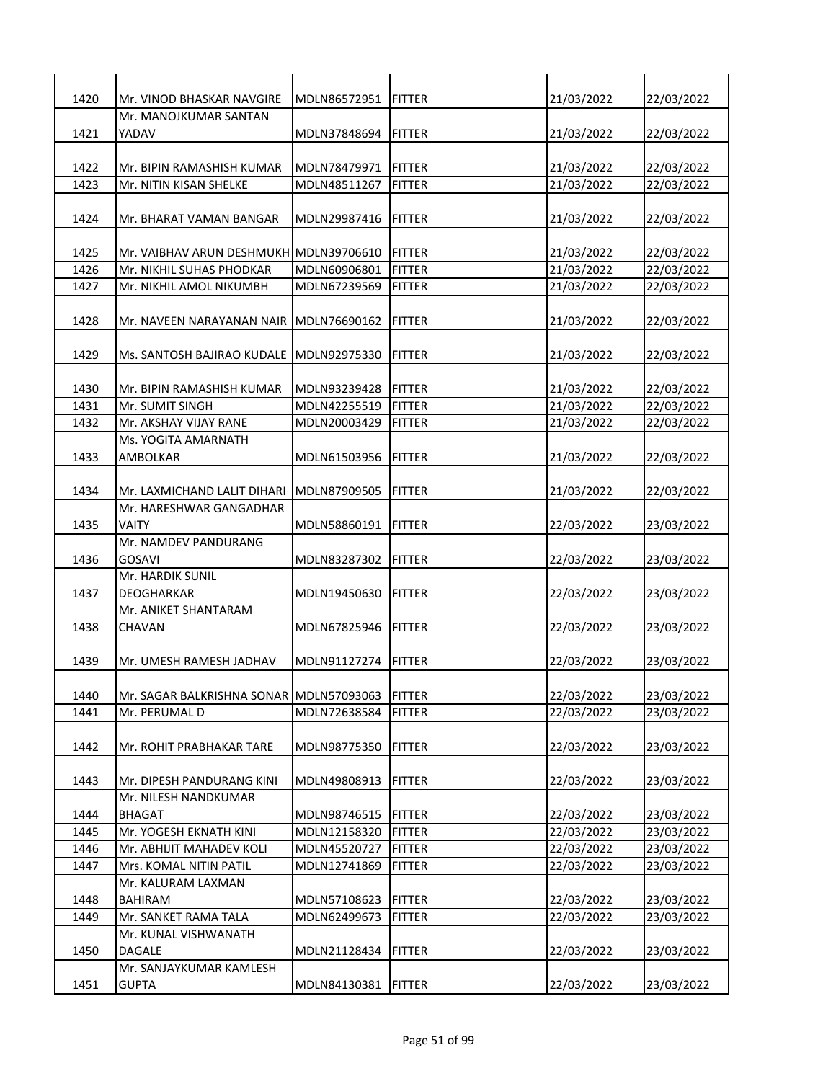| 1420 | Mr. VINOD BHASKAR NAVGIRE               | MDLN86572951 | <b>FITTER</b>  | 21/03/2022 | 22/03/2022 |
|------|-----------------------------------------|--------------|----------------|------------|------------|
|      | Mr. MANOJKUMAR SANTAN                   |              |                |            |            |
| 1421 | YADAV                                   | MDLN37848694 | FITTER         | 21/03/2022 | 22/03/2022 |
|      |                                         |              |                |            |            |
| 1422 | Mr. BIPIN RAMASHISH KUMAR               | MDLN78479971 | <b>FITTER</b>  | 21/03/2022 | 22/03/2022 |
| 1423 | Mr. NITIN KISAN SHELKE                  | MDLN48511267 | <b>FITTER</b>  | 21/03/2022 | 22/03/2022 |
|      |                                         |              |                |            |            |
| 1424 | Mr. BHARAT VAMAN BANGAR                 | MDLN29987416 | <b>FITTER</b>  | 21/03/2022 | 22/03/2022 |
|      |                                         |              |                |            |            |
| 1425 | Mr. VAIBHAV ARUN DESHMUKH MDLN39706610  |              | <b>FITTER</b>  | 21/03/2022 | 22/03/2022 |
| 1426 | Mr. NIKHIL SUHAS PHODKAR                | MDLN60906801 | <b>FITTER</b>  | 21/03/2022 | 22/03/2022 |
| 1427 | Mr. NIKHIL AMOL NIKUMBH                 | MDLN67239569 | <b>FITTER</b>  | 21/03/2022 | 22/03/2022 |
|      |                                         |              |                |            |            |
| 1428 | Mr. NAVEEN NARAYANAN NAIR               | MDLN76690162 | <b>FITTER</b>  | 21/03/2022 | 22/03/2022 |
|      |                                         |              |                |            |            |
| 1429 | Ms. SANTOSH BAJIRAO KUDALE              | MDLN92975330 | <b>FITTER</b>  | 21/03/2022 | 22/03/2022 |
|      |                                         |              |                |            |            |
| 1430 | Mr. BIPIN RAMASHISH KUMAR               | MDLN93239428 | <b>FITTER</b>  | 21/03/2022 | 22/03/2022 |
| 1431 | Mr. SUMIT SINGH                         | MDLN42255519 | <b>IFITTER</b> | 21/03/2022 | 22/03/2022 |
| 1432 | Mr. AKSHAY VIJAY RANE                   | MDLN20003429 | <b>FITTER</b>  | 21/03/2022 | 22/03/2022 |
|      | Ms. YOGITA AMARNATH                     |              |                |            |            |
| 1433 | AMBOLKAR                                | MDLN61503956 | <b>FITTER</b>  | 21/03/2022 | 22/03/2022 |
|      |                                         |              |                |            |            |
| 1434 | Mr. LAXMICHAND LALIT DIHARI             | MDLN87909505 | <b>FITTER</b>  | 21/03/2022 | 22/03/2022 |
|      | Mr. HARESHWAR GANGADHAR                 |              |                |            |            |
| 1435 | <b>VAITY</b>                            | MDLN58860191 | <b>FITTER</b>  | 22/03/2022 | 23/03/2022 |
|      | Mr. NAMDEV PANDURANG                    |              |                |            |            |
| 1436 | <b>GOSAVI</b>                           | MDLN83287302 | FITTER         | 22/03/2022 | 23/03/2022 |
|      | Mr. HARDIK SUNIL                        |              |                |            |            |
| 1437 | <b>DEOGHARKAR</b>                       | MDLN19450630 | <b>FITTER</b>  | 22/03/2022 | 23/03/2022 |
|      | Mr. ANIKET SHANTARAM                    |              |                |            |            |
| 1438 | <b>CHAVAN</b>                           | MDLN67825946 | <b>FITTER</b>  | 22/03/2022 | 23/03/2022 |
|      |                                         |              |                |            |            |
| 1439 | Mr. UMESH RAMESH JADHAV                 | MDLN91127274 | <b>FITTER</b>  | 22/03/2022 | 23/03/2022 |
|      |                                         |              |                |            |            |
| 1440 | Mr. SAGAR BALKRISHNA SONAR MDLN57093063 |              | <b>FITTER</b>  | 22/03/2022 | 23/03/2022 |
| 1441 | Mr. PERUMAL D                           | MDLN72638584 | <b>FITTER</b>  | 22/03/2022 | 23/03/2022 |
|      |                                         |              |                |            |            |
| 1442 | Mr. ROHIT PRABHAKAR TARE                | MDLN98775350 | <b>FITTER</b>  | 22/03/2022 | 23/03/2022 |
|      |                                         |              |                |            |            |
| 1443 | Mr. DIPESH PANDURANG KINI               | MDLN49808913 | <b>FITTER</b>  | 22/03/2022 | 23/03/2022 |
|      | Mr. NILESH NANDKUMAR                    |              |                |            |            |
| 1444 | <b>BHAGAT</b>                           | MDLN98746515 | <b>FITTER</b>  | 22/03/2022 | 23/03/2022 |
| 1445 | Mr. YOGESH EKNATH KINI                  | MDLN12158320 | <b>FITTER</b>  | 22/03/2022 | 23/03/2022 |
| 1446 | Mr. ABHIJIT MAHADEV KOLI                | MDLN45520727 | <b>FITTER</b>  | 22/03/2022 | 23/03/2022 |
| 1447 | Mrs. KOMAL NITIN PATIL                  | MDLN12741869 | <b>FITTER</b>  | 22/03/2022 | 23/03/2022 |
|      | Mr. KALURAM LAXMAN                      |              |                |            |            |
| 1448 | <b>BAHIRAM</b>                          | MDLN57108623 | <b>FITTER</b>  | 22/03/2022 | 23/03/2022 |
| 1449 | Mr. SANKET RAMA TALA                    | MDLN62499673 | <b>FITTER</b>  | 22/03/2022 | 23/03/2022 |
|      | Mr. KUNAL VISHWANATH                    |              |                |            |            |
| 1450 | DAGALE                                  | MDLN21128434 | <b>FITTER</b>  | 22/03/2022 | 23/03/2022 |
|      | Mr. SANJAYKUMAR KAMLESH                 |              |                |            |            |
| 1451 | <b>GUPTA</b>                            | MDLN84130381 | <b>FITTER</b>  | 22/03/2022 | 23/03/2022 |
|      |                                         |              |                |            |            |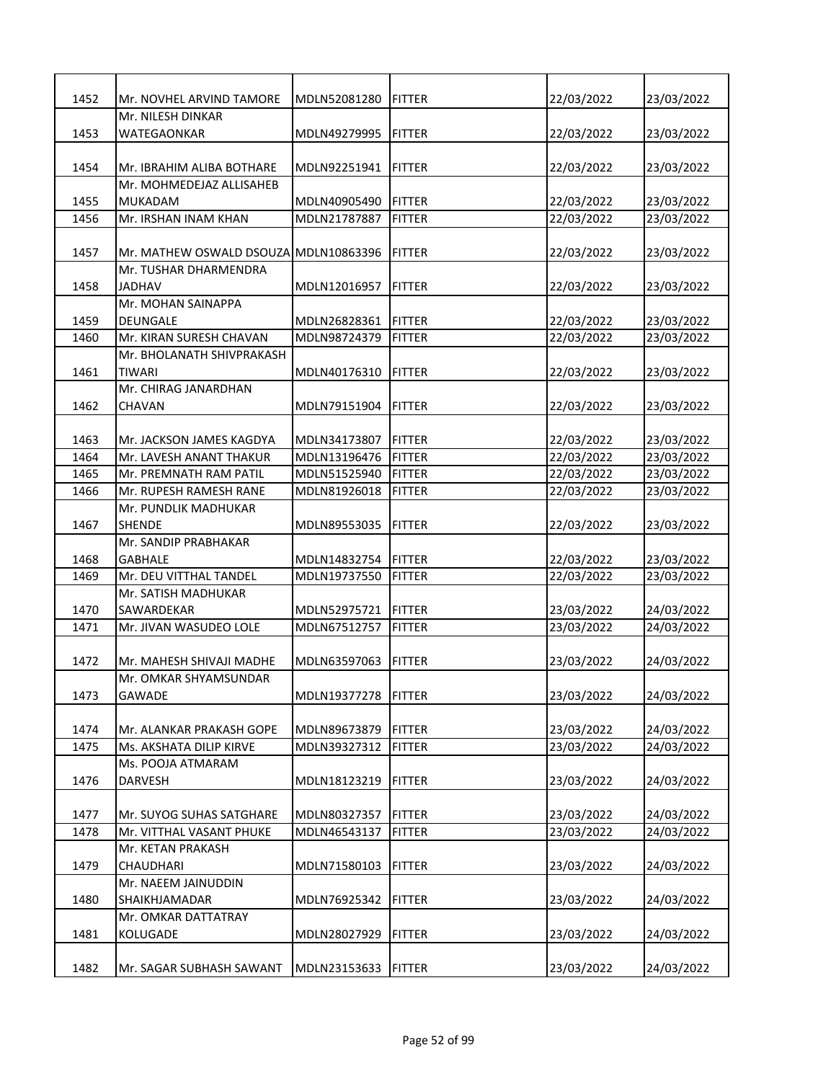| 1452 | Mr. NOVHEL ARVIND TAMORE               | MDLN52081280 | <b>FITTER</b> | 22/03/2022               | 23/03/2022               |
|------|----------------------------------------|--------------|---------------|--------------------------|--------------------------|
|      | Mr. NILESH DINKAR                      |              |               |                          |                          |
| 1453 | WATEGAONKAR                            | MDLN49279995 | <b>FITTER</b> | 22/03/2022               | 23/03/2022               |
|      |                                        |              |               |                          |                          |
| 1454 | Mr. IBRAHIM ALIBA BOTHARE              | MDLN92251941 | <b>FITTER</b> | 22/03/2022               | 23/03/2022               |
|      | Mr. MOHMEDEJAZ ALLISAHEB               |              |               |                          |                          |
| 1455 | MUKADAM                                | MDLN40905490 | <b>FITTER</b> | 22/03/2022               | 23/03/2022               |
| 1456 | Mr. IRSHAN INAM KHAN                   | MDLN21787887 | <b>FITTER</b> | 22/03/2022               | 23/03/2022               |
|      |                                        |              |               |                          |                          |
| 1457 | Mr. MATHEW OSWALD DSOUZA MDLN10863396  |              | <b>FITTER</b> | 22/03/2022               | 23/03/2022               |
|      | Mr. TUSHAR DHARMENDRA                  |              |               |                          |                          |
| 1458 | <b>JADHAV</b>                          | MDLN12016957 | <b>FITTER</b> | 22/03/2022               | 23/03/2022               |
|      | Mr. MOHAN SAINAPPA                     |              |               |                          |                          |
| 1459 | <b>DEUNGALE</b>                        | MDLN26828361 | <b>FITTER</b> | 22/03/2022               | 23/03/2022               |
| 1460 | Mr. KIRAN SURESH CHAVAN                | MDLN98724379 | <b>FITTER</b> | 22/03/2022               | 23/03/2022               |
|      | Mr. BHOLANATH SHIVPRAKASH              |              |               |                          |                          |
| 1461 | <b>TIWARI</b>                          | MDLN40176310 | <b>FITTER</b> | 22/03/2022               | 23/03/2022               |
|      | Mr. CHIRAG JANARDHAN                   |              |               |                          |                          |
| 1462 | <b>CHAVAN</b>                          | MDLN79151904 | <b>FITTER</b> | 22/03/2022               | 23/03/2022               |
|      |                                        |              |               |                          |                          |
| 1463 | Mr. JACKSON JAMES KAGDYA               | MDLN34173807 | <b>FITTER</b> | 22/03/2022               | 23/03/2022               |
| 1464 | Mr. LAVESH ANANT THAKUR                | MDLN13196476 | <b>FITTER</b> | 22/03/2022               | 23/03/2022               |
| 1465 | Mr. PREMNATH RAM PATIL                 | MDLN51525940 | <b>FITTER</b> | 22/03/2022               | 23/03/2022               |
| 1466 | Mr. RUPESH RAMESH RANE                 | MDLN81926018 | <b>FITTER</b> | 22/03/2022               | 23/03/2022               |
|      | Mr. PUNDLIK MADHUKAR                   |              |               |                          |                          |
| 1467 | <b>SHENDE</b>                          | MDLN89553035 | <b>FITTER</b> | 22/03/2022               | 23/03/2022               |
| 1468 | Mr. SANDIP PRABHAKAR<br><b>GABHALE</b> | MDLN14832754 | <b>FITTER</b> |                          |                          |
| 1469 | Mr. DEU VITTHAL TANDEL                 | MDLN19737550 | <b>FITTER</b> | 22/03/2022<br>22/03/2022 | 23/03/2022<br>23/03/2022 |
|      | Mr. SATISH MADHUKAR                    |              |               |                          |                          |
| 1470 | SAWARDEKAR                             | MDLN52975721 | <b>FITTER</b> | 23/03/2022               | 24/03/2022               |
| 1471 | Mr. JIVAN WASUDEO LOLE                 | MDLN67512757 | <b>FITTER</b> | 23/03/2022               | 24/03/2022               |
|      |                                        |              |               |                          |                          |
| 1472 | Mr. MAHESH SHIVAJI MADHE               | MDLN63597063 | <b>FITTER</b> | 23/03/2022               | 24/03/2022               |
|      | Mr. OMKAR SHYAMSUNDAR                  |              |               |                          |                          |
| 1473 | GAWADE                                 | MDLN19377278 | <b>FITTER</b> | 23/03/2022               | 24/03/2022               |
|      |                                        |              |               |                          |                          |
| 1474 | Mr. ALANKAR PRAKASH GOPE               | MDLN89673879 | <b>FITTER</b> | 23/03/2022               | 24/03/2022               |
| 1475 | Ms. AKSHATA DILIP KIRVE                | MDLN39327312 | <b>FITTER</b> | 23/03/2022               | 24/03/2022               |
|      | Ms. POOJA ATMARAM                      |              |               |                          |                          |
| 1476 | DARVESH                                | MDLN18123219 | <b>FITTER</b> | 23/03/2022               | 24/03/2022               |
|      |                                        |              |               |                          |                          |
| 1477 | Mr. SUYOG SUHAS SATGHARE               | MDLN80327357 | <b>FITTER</b> | 23/03/2022               | 24/03/2022               |
| 1478 | Mr. VITTHAL VASANT PHUKE               | MDLN46543137 | <b>FITTER</b> | 23/03/2022               | 24/03/2022               |
|      | Mr. KETAN PRAKASH                      |              |               |                          |                          |
| 1479 | CHAUDHARI                              | MDLN71580103 | <b>FITTER</b> | 23/03/2022               | 24/03/2022               |
|      | Mr. NAEEM JAINUDDIN                    |              |               |                          |                          |
| 1480 | SHAIKHJAMADAR                          | MDLN76925342 | <b>FITTER</b> | 23/03/2022               | 24/03/2022               |
|      | Mr. OMKAR DATTATRAY                    |              |               |                          |                          |
| 1481 | KOLUGADE                               | MDLN28027929 | <b>FITTER</b> | 23/03/2022               | 24/03/2022               |
|      |                                        |              |               |                          |                          |
| 1482 | Mr. SAGAR SUBHASH SAWANT               | MDLN23153633 | <b>FITTER</b> | 23/03/2022               | 24/03/2022               |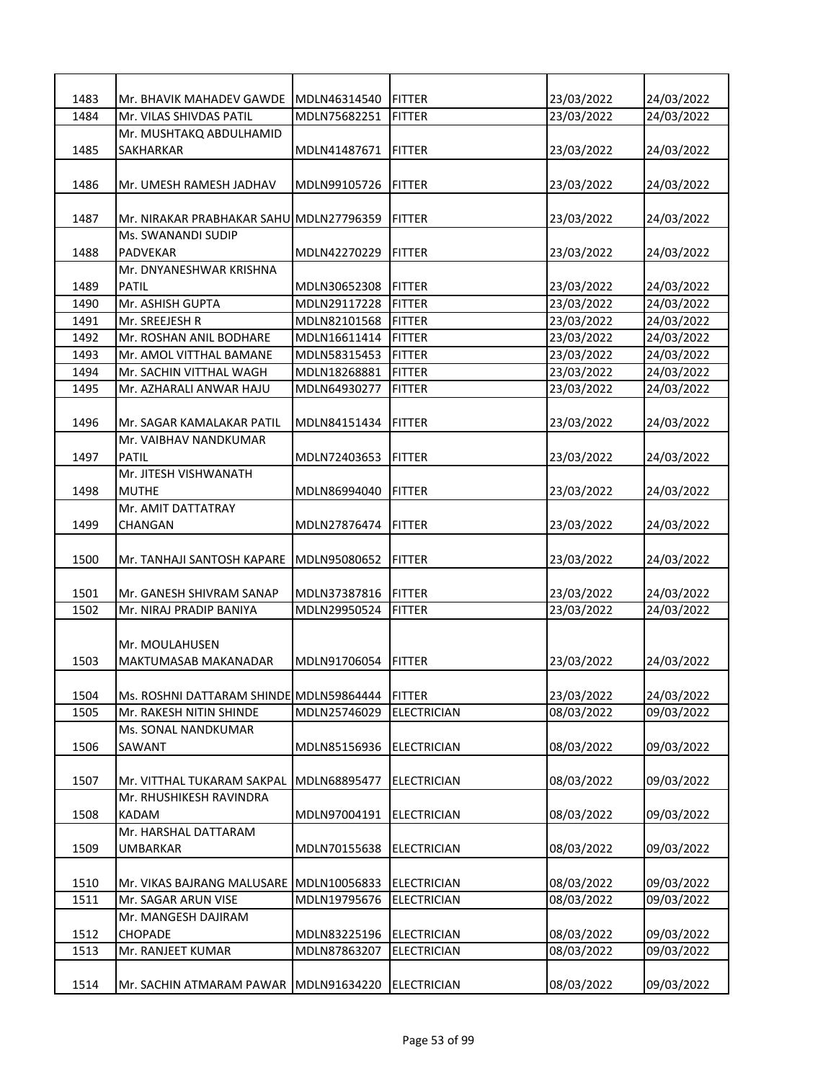| 1483 | Mr. BHAVIK MAHADEV GAWDE                | MDLN46314540 | <b>FITTER</b>      | 23/03/2022 | 24/03/2022 |
|------|-----------------------------------------|--------------|--------------------|------------|------------|
| 1484 | Mr. VILAS SHIVDAS PATIL                 | MDLN75682251 | <b>FITTER</b>      | 23/03/2022 | 24/03/2022 |
|      | Mr. MUSHTAKQ ABDULHAMID                 |              |                    |            |            |
| 1485 | SAKHARKAR                               | MDLN41487671 | <b>FITTER</b>      | 23/03/2022 | 24/03/2022 |
|      |                                         |              |                    |            |            |
| 1486 | Mr. UMESH RAMESH JADHAV                 | MDLN99105726 | <b>FITTER</b>      | 23/03/2022 | 24/03/2022 |
|      |                                         |              |                    |            |            |
| 1487 | Mr. NIRAKAR PRABHAKAR SAHU MDLN27796359 |              | <b>FITTER</b>      | 23/03/2022 | 24/03/2022 |
|      | Ms. SWANANDI SUDIP                      |              |                    |            |            |
| 1488 | PADVEKAR                                | MDLN42270229 | <b>FITTER</b>      | 23/03/2022 | 24/03/2022 |
|      | Mr. DNYANESHWAR KRISHNA                 |              |                    |            |            |
| 1489 | PATIL                                   | MDLN30652308 | <b>IFITTER</b>     | 23/03/2022 | 24/03/2022 |
| 1490 | Mr. ASHISH GUPTA                        | MDLN29117228 | IFITTER            | 23/03/2022 | 24/03/2022 |
| 1491 | Mr. SREEJESH R                          | MDLN82101568 | <b>FITTER</b>      | 23/03/2022 | 24/03/2022 |
| 1492 | Mr. ROSHAN ANIL BODHARE                 | MDLN16611414 | <b>IFITTER</b>     | 23/03/2022 | 24/03/2022 |
| 1493 | Mr. AMOL VITTHAL BAMANE                 | MDLN58315453 | <b>FITTER</b>      | 23/03/2022 | 24/03/2022 |
| 1494 | Mr. SACHIN VITTHAL WAGH                 | MDLN18268881 | <b>FITTER</b>      | 23/03/2022 | 24/03/2022 |
| 1495 | Mr. AZHARALI ANWAR HAJU                 | MDLN64930277 | <b>FITTER</b>      | 23/03/2022 | 24/03/2022 |
|      |                                         |              |                    |            |            |
| 1496 | Mr. SAGAR KAMALAKAR PATIL               | MDLN84151434 | FITTER             | 23/03/2022 | 24/03/2022 |
|      | Mr. VAIBHAV NANDKUMAR                   |              |                    |            |            |
| 1497 | PATIL                                   | MDLN72403653 | <b>FITTER</b>      | 23/03/2022 | 24/03/2022 |
|      | Mr. JITESH VISHWANATH                   |              |                    |            |            |
| 1498 | <b>MUTHE</b>                            | MDLN86994040 | <b>FITTER</b>      | 23/03/2022 | 24/03/2022 |
|      | Mr. AMIT DATTATRAY                      |              |                    |            |            |
| 1499 | CHANGAN                                 | MDLN27876474 | IFITTER            | 23/03/2022 | 24/03/2022 |
|      |                                         |              |                    |            |            |
| 1500 | Mr. TANHAJI SANTOSH KAPARE              | MDLN95080652 | FITTER             | 23/03/2022 | 24/03/2022 |
|      |                                         |              |                    |            |            |
| 1501 | Mr. GANESH SHIVRAM SANAP                | MDLN37387816 | <b>FITTER</b>      | 23/03/2022 | 24/03/2022 |
| 1502 | Mr. NIRAJ PRADIP BANIYA                 | MDLN29950524 | <b>FITTER</b>      | 23/03/2022 | 24/03/2022 |
|      | Mr. MOULAHUSEN                          |              |                    |            |            |
| 1503 | MAKTUMASAB MAKANADAR                    | MDLN91706054 | FITTER             | 23/03/2022 | 24/03/2022 |
|      |                                         |              |                    |            |            |
| 1504 | Ms. ROSHNI DATTARAM SHINDE MDLN59864444 |              | <b>FITTER</b>      | 23/03/2022 | 24/03/2022 |
| 1505 | Mr. RAKESH NITIN SHINDE                 | MDLN25746029 | <b>ELECTRICIAN</b> | 08/03/2022 | 09/03/2022 |
|      | Ms. SONAL NANDKUMAR                     |              |                    |            |            |
| 1506 | SAWANT                                  | MDLN85156936 | <b>ELECTRICIAN</b> | 08/03/2022 | 09/03/2022 |
|      |                                         |              |                    |            |            |
| 1507 | Mr. VITTHAL TUKARAM SAKPAL              | MDLN68895477 | <b>ELECTRICIAN</b> | 08/03/2022 | 09/03/2022 |
|      | Mr. RHUSHIKESH RAVINDRA                 |              |                    |            |            |
| 1508 | KADAM                                   | MDLN97004191 | <b>ELECTRICIAN</b> | 08/03/2022 | 09/03/2022 |
|      | Mr. HARSHAL DATTARAM                    |              |                    |            |            |
| 1509 | UMBARKAR                                | MDLN70155638 | <b>ELECTRICIAN</b> | 08/03/2022 | 09/03/2022 |
|      |                                         |              |                    |            |            |
| 1510 | Mr. VIKAS BAJRANG MALUSARE MDLN10056833 |              | <b>ELECTRICIAN</b> | 08/03/2022 | 09/03/2022 |
| 1511 | Mr. SAGAR ARUN VISE                     | MDLN19795676 | <b>ELECTRICIAN</b> | 08/03/2022 | 09/03/2022 |
|      | Mr. MANGESH DAJIRAM                     |              |                    |            |            |
| 1512 | <b>CHOPADE</b>                          | MDLN83225196 | <b>ELECTRICIAN</b> | 08/03/2022 | 09/03/2022 |
| 1513 | Mr. RANJEET KUMAR                       | MDLN87863207 | <b>ELECTRICIAN</b> | 08/03/2022 | 09/03/2022 |
|      |                                         |              |                    |            |            |
| 1514 | Mr. SACHIN ATMARAM PAWAR                | MDLN91634220 | <b>ELECTRICIAN</b> | 08/03/2022 | 09/03/2022 |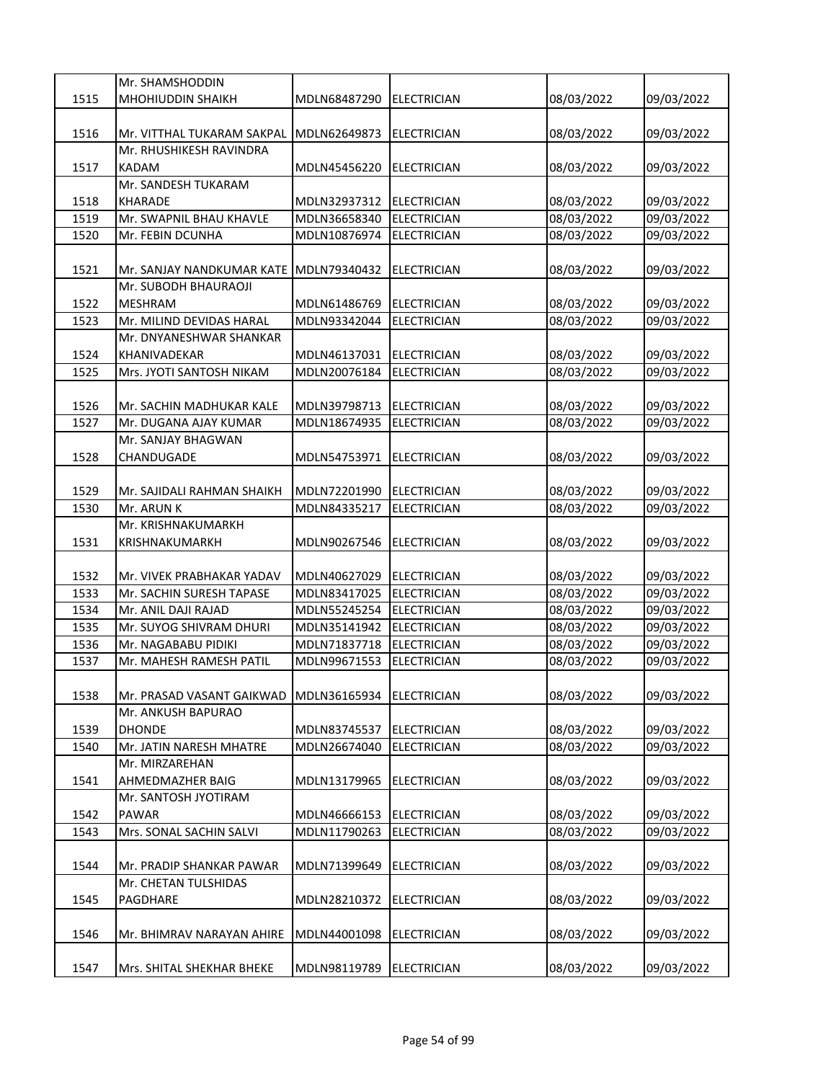|      | Mr. SHAMSHODDIN            |              |                    |            |            |
|------|----------------------------|--------------|--------------------|------------|------------|
| 1515 | <b>MHOHIUDDIN SHAIKH</b>   | MDLN68487290 | ELECTRICIAN        | 08/03/2022 | 09/03/2022 |
|      |                            |              |                    |            |            |
| 1516 | Mr. VITTHAL TUKARAM SAKPAL | MDLN62649873 | <b>ELECTRICIAN</b> | 08/03/2022 | 09/03/2022 |
|      | Mr. RHUSHIKESH RAVINDRA    |              |                    |            |            |
| 1517 | KADAM                      | MDLN45456220 | <b>ELECTRICIAN</b> | 08/03/2022 | 09/03/2022 |
|      | Mr. SANDESH TUKARAM        |              |                    |            |            |
| 1518 | KHARADE                    | MDLN32937312 | <b>ELECTRICIAN</b> | 08/03/2022 | 09/03/2022 |
| 1519 | Mr. SWAPNIL BHAU KHAVLE    | MDLN36658340 | <b>ELECTRICIAN</b> | 08/03/2022 | 09/03/2022 |
| 1520 | Mr. FEBIN DCUNHA           | MDLN10876974 | <b>ELECTRICIAN</b> | 08/03/2022 | 09/03/2022 |
|      |                            |              |                    |            |            |
| 1521 | Mr. SANJAY NANDKUMAR KATE  | MDLN79340432 | <b>ELECTRICIAN</b> | 08/03/2022 | 09/03/2022 |
|      | Mr. SUBODH BHAURAOJI       |              |                    |            |            |
| 1522 | <b>MESHRAM</b>             | MDLN61486769 | <b>ELECTRICIAN</b> | 08/03/2022 | 09/03/2022 |
| 1523 | Mr. MILIND DEVIDAS HARAL   | MDLN93342044 | <b>ELECTRICIAN</b> | 08/03/2022 | 09/03/2022 |
|      | Mr. DNYANESHWAR SHANKAR    |              |                    |            |            |
| 1524 | KHANIVADEKAR               | MDLN46137031 | <b>ELECTRICIAN</b> | 08/03/2022 | 09/03/2022 |
| 1525 | Mrs. JYOTI SANTOSH NIKAM   | MDLN20076184 | <b>ELECTRICIAN</b> | 08/03/2022 | 09/03/2022 |
|      |                            |              |                    |            |            |
| 1526 | Mr. SACHIN MADHUKAR KALE   | MDLN39798713 | <b>ELECTRICIAN</b> | 08/03/2022 | 09/03/2022 |
| 1527 | Mr. DUGANA AJAY KUMAR      | MDLN18674935 | <b>ELECTRICIAN</b> | 08/03/2022 | 09/03/2022 |
|      | Mr. SANJAY BHAGWAN         |              |                    |            |            |
| 1528 | CHANDUGADE                 | MDLN54753971 | <b>ELECTRICIAN</b> | 08/03/2022 | 09/03/2022 |
|      |                            |              |                    |            |            |
| 1529 | Mr. SAJIDALI RAHMAN SHAIKH | MDLN72201990 | <b>ELECTRICIAN</b> | 08/03/2022 | 09/03/2022 |
| 1530 | Mr. ARUN K                 | MDLN84335217 | <b>ELECTRICIAN</b> | 08/03/2022 | 09/03/2022 |
|      | Mr. KRISHNAKUMARKH         |              |                    |            |            |
| 1531 | <b>KRISHNAKUMARKH</b>      | MDLN90267546 | <b>ELECTRICIAN</b> | 08/03/2022 | 09/03/2022 |
|      |                            |              |                    |            |            |
| 1532 | Mr. VIVEK PRABHAKAR YADAV  | MDLN40627029 | <b>ELECTRICIAN</b> | 08/03/2022 | 09/03/2022 |
| 1533 | Mr. SACHIN SURESH TAPASE   | MDLN83417025 | <b>ELECTRICIAN</b> | 08/03/2022 | 09/03/2022 |
| 1534 | Mr. ANIL DAJI RAJAD        | MDLN55245254 | <b>ELECTRICIAN</b> | 08/03/2022 | 09/03/2022 |
| 1535 | Mr. SUYOG SHIVRAM DHURI    | MDLN35141942 | <b>ELECTRICIAN</b> | 08/03/2022 | 09/03/2022 |
| 1536 | Mr. NAGABABU PIDIKI        | MDLN71837718 | <b>ELECTRICIAN</b> | 08/03/2022 | 09/03/2022 |
| 1537 | Mr. MAHESH RAMESH PATIL    | MDLN99671553 | <b>ELECTRICIAN</b> | 08/03/2022 | 09/03/2022 |
|      |                            |              |                    |            |            |
| 1538 | Mr. PRASAD VASANT GAIKWAD  | MDLN36165934 | <b>ELECTRICIAN</b> | 08/03/2022 | 09/03/2022 |
|      | Mr. ANKUSH BAPURAO         |              |                    |            |            |
| 1539 | <b>DHONDE</b>              | MDLN83745537 | <b>ELECTRICIAN</b> | 08/03/2022 | 09/03/2022 |
| 1540 | Mr. JATIN NARESH MHATRE    | MDLN26674040 | <b>ELECTRICIAN</b> | 08/03/2022 | 09/03/2022 |
|      | Mr. MIRZAREHAN             |              |                    |            |            |
| 1541 | AHMEDMAZHER BAIG           | MDLN13179965 | <b>ELECTRICIAN</b> | 08/03/2022 | 09/03/2022 |
|      | Mr. SANTOSH JYOTIRAM       |              |                    |            |            |
| 1542 | PAWAR                      | MDLN46666153 | <b>ELECTRICIAN</b> | 08/03/2022 | 09/03/2022 |
| 1543 | Mrs. SONAL SACHIN SALVI    | MDLN11790263 | <b>ELECTRICIAN</b> | 08/03/2022 | 09/03/2022 |
|      |                            |              |                    |            |            |
| 1544 | Mr. PRADIP SHANKAR PAWAR   | MDLN71399649 | <b>ELECTRICIAN</b> | 08/03/2022 | 09/03/2022 |
|      | Mr. CHETAN TULSHIDAS       |              |                    |            |            |
| 1545 | PAGDHARE                   | MDLN28210372 | <b>ELECTRICIAN</b> | 08/03/2022 | 09/03/2022 |
|      |                            |              |                    |            |            |
| 1546 | Mr. BHIMRAV NARAYAN AHIRE  | MDLN44001098 | <b>ELECTRICIAN</b> | 08/03/2022 | 09/03/2022 |
|      |                            |              |                    |            |            |
| 1547 | Mrs. SHITAL SHEKHAR BHEKE  | MDLN98119789 | <b>ELECTRICIAN</b> | 08/03/2022 | 09/03/2022 |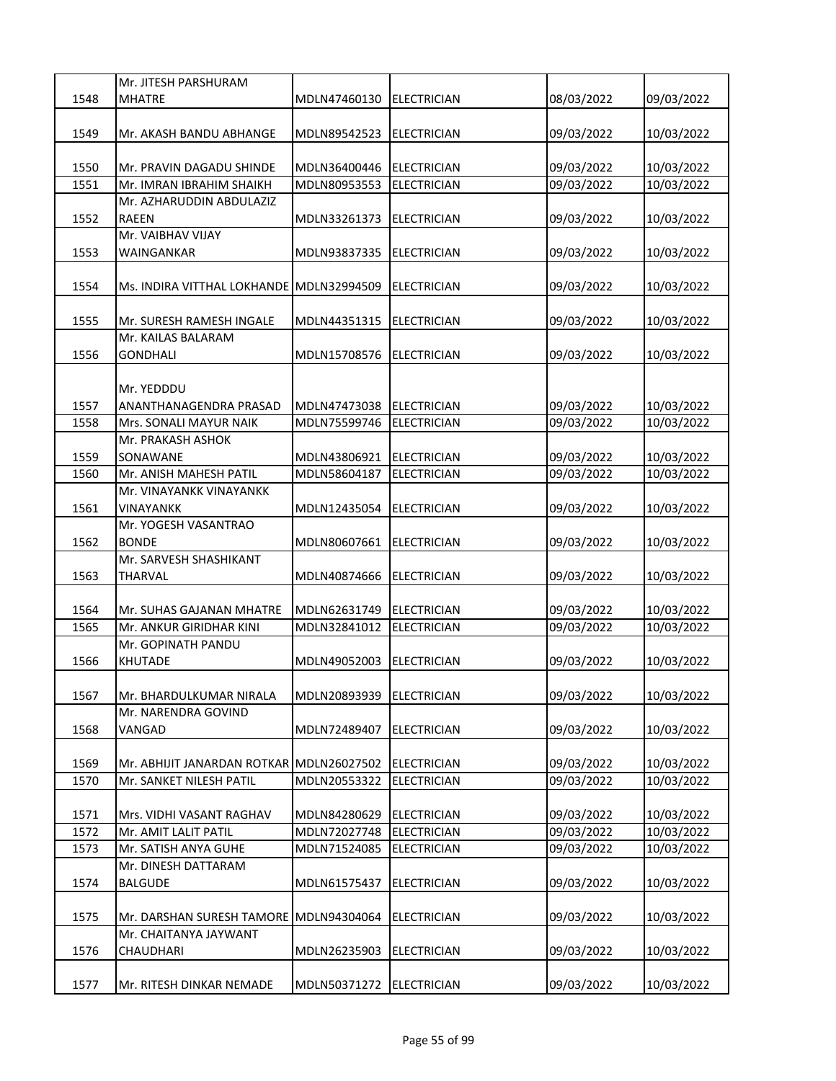|      | Mr. JITESH PARSHURAM                     |              |                    |            |            |
|------|------------------------------------------|--------------|--------------------|------------|------------|
| 1548 | <b>MHATRE</b>                            | MDLN47460130 | <b>ELECTRICIAN</b> | 08/03/2022 | 09/03/2022 |
|      |                                          |              |                    |            |            |
| 1549 | Mr. AKASH BANDU ABHANGE                  | MDLN89542523 | <b>ELECTRICIAN</b> | 09/03/2022 | 10/03/2022 |
|      |                                          |              |                    |            |            |
| 1550 | Mr. PRAVIN DAGADU SHINDE                 | MDLN36400446 | <b>ELECTRICIAN</b> | 09/03/2022 | 10/03/2022 |
| 1551 | Mr. IMRAN IBRAHIM SHAIKH                 | MDLN80953553 | <b>ELECTRICIAN</b> | 09/03/2022 | 10/03/2022 |
|      | Mr. AZHARUDDIN ABDULAZIZ                 |              |                    |            |            |
| 1552 | <b>RAEEN</b>                             | MDLN33261373 | <b>ELECTRICIAN</b> | 09/03/2022 | 10/03/2022 |
|      | Mr. VAIBHAV VIJAY                        |              |                    |            |            |
| 1553 | WAINGANKAR                               | MDLN93837335 | <b>ELECTRICIAN</b> | 09/03/2022 | 10/03/2022 |
|      |                                          |              |                    |            |            |
| 1554 | Ms. INDIRA VITTHAL LOKHANDE MDLN32994509 |              | <b>ELECTRICIAN</b> | 09/03/2022 | 10/03/2022 |
|      |                                          |              |                    |            |            |
| 1555 | Mr. SURESH RAMESH INGALE                 | MDLN44351315 | <b>ELECTRICIAN</b> | 09/03/2022 | 10/03/2022 |
|      | Mr. KAILAS BALARAM                       |              |                    |            |            |
| 1556 | <b>GONDHALI</b>                          | MDLN15708576 | <b>ELECTRICIAN</b> | 09/03/2022 | 10/03/2022 |
|      |                                          |              |                    |            |            |
|      | Mr. YEDDDU                               |              |                    |            |            |
| 1557 | ANANTHANAGENDRA PRASAD                   | MDLN47473038 | <b>ELECTRICIAN</b> | 09/03/2022 | 10/03/2022 |
| 1558 | Mrs. SONALI MAYUR NAIK                   | MDLN75599746 | <b>ELECTRICIAN</b> | 09/03/2022 | 10/03/2022 |
|      | Mr. PRAKASH ASHOK                        |              |                    |            |            |
| 1559 | SONAWANE                                 | MDLN43806921 | <b>ELECTRICIAN</b> | 09/03/2022 | 10/03/2022 |
| 1560 | Mr. ANISH MAHESH PATIL                   | MDLN58604187 | <b>ELECTRICIAN</b> | 09/03/2022 | 10/03/2022 |
|      | Mr. VINAYANKK VINAYANKK                  |              |                    |            |            |
| 1561 | <b>VINAYANKK</b>                         | MDLN12435054 | <b>ELECTRICIAN</b> | 09/03/2022 | 10/03/2022 |
|      | Mr. YOGESH VASANTRAO                     |              |                    |            |            |
| 1562 | <b>BONDE</b>                             | MDLN80607661 | <b>ELECTRICIAN</b> | 09/03/2022 | 10/03/2022 |
|      | Mr. SARVESH SHASHIKANT                   |              |                    |            |            |
| 1563 | <b>THARVAL</b>                           | MDLN40874666 | <b>ELECTRICIAN</b> | 09/03/2022 | 10/03/2022 |
|      |                                          |              |                    |            |            |
| 1564 | Mr. SUHAS GAJANAN MHATRE                 | MDLN62631749 | <b>ELECTRICIAN</b> | 09/03/2022 | 10/03/2022 |
| 1565 | Mr. ANKUR GIRIDHAR KINI                  | MDLN32841012 | <b>ELECTRICIAN</b> | 09/03/2022 | 10/03/2022 |
|      | Mr. GOPINATH PANDU                       |              |                    |            |            |
| 1566 | <b>KHUTADE</b>                           | MDLN49052003 | <b>ELECTRICIAN</b> | 09/03/2022 | 10/03/2022 |
|      |                                          |              |                    |            |            |
| 1567 | Mr. BHARDULKUMAR NIRALA                  | MDLN20893939 | <b>ELECTRICIAN</b> | 09/03/2022 | 10/03/2022 |
|      | Mr. NARENDRA GOVIND                      |              |                    |            |            |
| 1568 | VANGAD                                   | MDLN72489407 | <b>ELECTRICIAN</b> | 09/03/2022 | 10/03/2022 |
|      |                                          |              |                    |            |            |
| 1569 | Mr. ABHIJIT JANARDAN ROTKAR              | MDLN26027502 | <b>ELECTRICIAN</b> | 09/03/2022 | 10/03/2022 |
| 1570 | Mr. SANKET NILESH PATIL                  | MDLN20553322 | <b>ELECTRICIAN</b> | 09/03/2022 | 10/03/2022 |
|      |                                          |              |                    |            |            |
| 1571 | Mrs. VIDHI VASANT RAGHAV                 | MDLN84280629 | <b>ELECTRICIAN</b> | 09/03/2022 | 10/03/2022 |
| 1572 | Mr. AMIT LALIT PATIL                     | MDLN72027748 | <b>ELECTRICIAN</b> | 09/03/2022 | 10/03/2022 |
| 1573 | Mr. SATISH ANYA GUHE                     | MDLN71524085 | ELECTRICIAN        | 09/03/2022 | 10/03/2022 |
|      | Mr. DINESH DATTARAM                      |              |                    |            |            |
| 1574 | <b>BALGUDE</b>                           | MDLN61575437 | <b>ELECTRICIAN</b> | 09/03/2022 | 10/03/2022 |
|      |                                          |              |                    |            |            |
| 1575 | Mr. DARSHAN SURESH TAMORE                | MDLN94304064 | <b>ELECTRICIAN</b> | 09/03/2022 | 10/03/2022 |
|      | Mr. CHAITANYA JAYWANT                    |              |                    |            |            |
| 1576 | CHAUDHARI                                | MDLN26235903 | <b>ELECTRICIAN</b> | 09/03/2022 | 10/03/2022 |
|      |                                          |              |                    |            |            |
| 1577 | Mr. RITESH DINKAR NEMADE                 | MDLN50371272 | <b>ELECTRICIAN</b> | 09/03/2022 | 10/03/2022 |
|      |                                          |              |                    |            |            |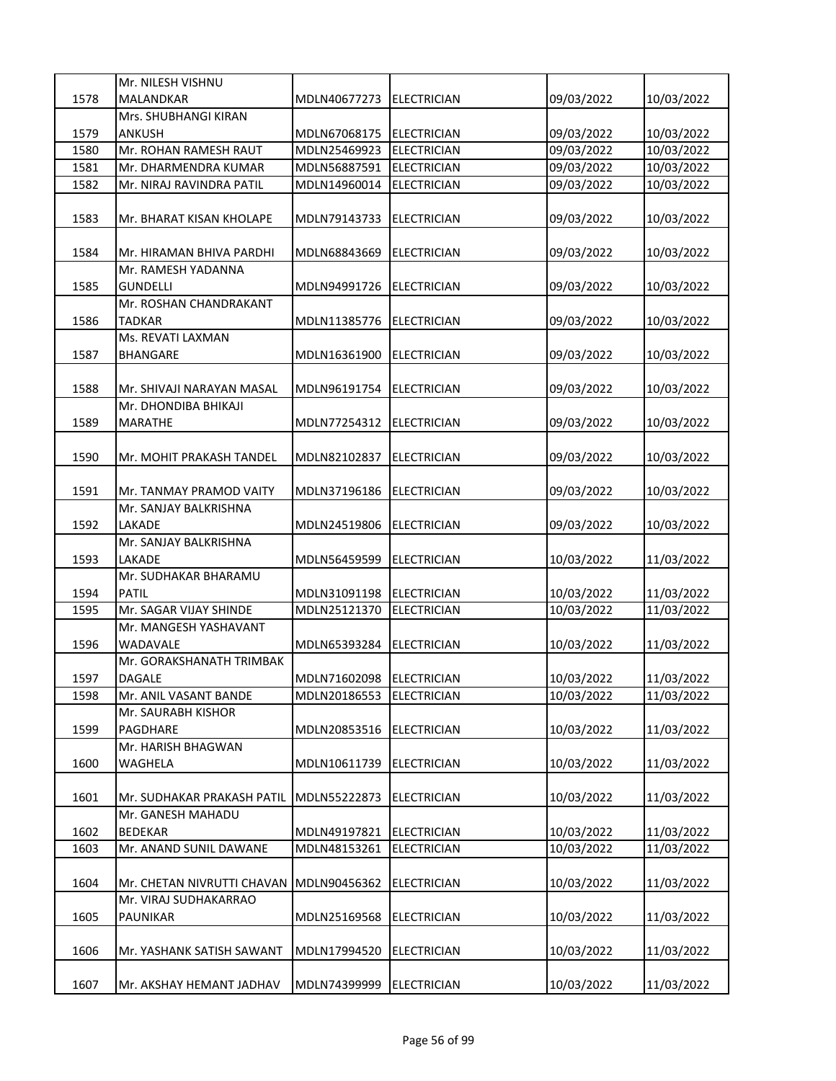|      | Mr. NILESH VISHNU                    |                              |                                          |            |            |
|------|--------------------------------------|------------------------------|------------------------------------------|------------|------------|
| 1578 | <b>MALANDKAR</b>                     | MDLN40677273                 | ELECTRICIAN                              | 09/03/2022 | 10/03/2022 |
|      | Mrs. SHUBHANGI KIRAN                 |                              |                                          |            |            |
| 1579 | <b>ANKUSH</b>                        | MDLN67068175                 | <b>ELECTRICIAN</b>                       | 09/03/2022 | 10/03/2022 |
| 1580 | Mr. ROHAN RAMESH RAUT                | MDLN25469923<br>MDLN56887591 | <b>ELECTRICIAN</b><br><b>ELECTRICIAN</b> | 09/03/2022 | 10/03/2022 |
| 1581 | Mr. DHARMENDRA KUMAR                 |                              |                                          | 09/03/2022 | 10/03/2022 |
| 1582 | Mr. NIRAJ RAVINDRA PATIL             | MDLN14960014                 | <b>ELECTRICIAN</b>                       | 09/03/2022 | 10/03/2022 |
| 1583 | Mr. BHARAT KISAN KHOLAPE             | MDLN79143733                 | <b>ELECTRICIAN</b>                       | 09/03/2022 | 10/03/2022 |
| 1584 | Mr. HIRAMAN BHIVA PARDHI             | MDLN68843669                 | <b>ELECTRICIAN</b>                       | 09/03/2022 | 10/03/2022 |
|      | Mr. RAMESH YADANNA                   |                              |                                          |            |            |
| 1585 | GUNDELLI                             | MDLN94991726                 | <b>ELECTRICIAN</b>                       | 09/03/2022 | 10/03/2022 |
|      | Mr. ROSHAN CHANDRAKANT               |                              |                                          |            |            |
| 1586 | <b>TADKAR</b>                        | MDLN11385776                 | <b>ELECTRICIAN</b>                       | 09/03/2022 | 10/03/2022 |
| 1587 | Ms. REVATI LAXMAN<br><b>BHANGARE</b> | MDLN16361900                 | <b>ELECTRICIAN</b>                       | 09/03/2022 | 10/03/2022 |
|      |                                      |                              |                                          |            |            |
| 1588 | Mr. SHIVAJI NARAYAN MASAL            | MDLN96191754                 | <b>ELECTRICIAN</b>                       | 09/03/2022 | 10/03/2022 |
|      | Mr. DHONDIBA BHIKAJI                 |                              |                                          |            |            |
| 1589 | MARATHE                              | MDLN77254312                 | <b>ELECTRICIAN</b>                       | 09/03/2022 | 10/03/2022 |
|      |                                      |                              |                                          |            |            |
| 1590 | Mr. MOHIT PRAKASH TANDEL             | MDLN82102837                 | <b>ELECTRICIAN</b>                       | 09/03/2022 | 10/03/2022 |
| 1591 | Mr. TANMAY PRAMOD VAITY              | MDLN37196186                 | <b>ELECTRICIAN</b>                       | 09/03/2022 | 10/03/2022 |
|      | Mr. SANJAY BALKRISHNA                |                              |                                          |            |            |
| 1592 | LAKADE                               | MDLN24519806                 | <b>ELECTRICIAN</b>                       | 09/03/2022 | 10/03/2022 |
|      | Mr. SANJAY BALKRISHNA                |                              |                                          |            |            |
| 1593 | LAKADE                               | MDLN56459599                 | <b>ELECTRICIAN</b>                       | 10/03/2022 | 11/03/2022 |
|      | Mr. SUDHAKAR BHARAMU                 |                              |                                          |            |            |
| 1594 | <b>PATIL</b>                         | MDLN31091198                 | <b>ELECTRICIAN</b>                       | 10/03/2022 | 11/03/2022 |
| 1595 | Mr. SAGAR VIJAY SHINDE               | MDLN25121370                 | <b>ELECTRICIAN</b>                       | 10/03/2022 | 11/03/2022 |
|      | Mr. MANGESH YASHAVANT                |                              |                                          |            |            |
| 1596 | WADAVALE                             | MDLN65393284                 | <b>ELECTRICIAN</b>                       | 10/03/2022 | 11/03/2022 |
|      | Mr. GORAKSHANATH TRIMBAK             |                              |                                          |            |            |
| 1597 | DAGALE                               | MDLN71602098 ELECTRICIAN     |                                          | 10/03/2022 | 11/03/2022 |
| 1598 | Mr. ANIL VASANT BANDE                | MDLN20186553                 | <b>ELECTRICIAN</b>                       | 10/03/2022 | 11/03/2022 |
| 1599 | Mr. SAURABH KISHOR<br>PAGDHARE       |                              |                                          |            |            |
|      | Mr. HARISH BHAGWAN                   | MDLN20853516                 | <b>ELECTRICIAN</b>                       | 10/03/2022 | 11/03/2022 |
| 1600 | WAGHELA                              | MDLN10611739                 | <b>ELECTRICIAN</b>                       | 10/03/2022 | 11/03/2022 |
|      |                                      |                              |                                          |            |            |
| 1601 | Mr. SUDHAKAR PRAKASH PATIL           | MDLN55222873                 | <b>ELECTRICIAN</b>                       | 10/03/2022 | 11/03/2022 |
|      | Mr. GANESH MAHADU                    |                              |                                          |            |            |
| 1602 | <b>BEDEKAR</b>                       | MDLN49197821                 | <b>ELECTRICIAN</b>                       | 10/03/2022 | 11/03/2022 |
| 1603 | Mr. ANAND SUNIL DAWANE               | MDLN48153261                 | <b>ELECTRICIAN</b>                       | 10/03/2022 | 11/03/2022 |
| 1604 | Mr. CHETAN NIVRUTTI CHAVAN           | MDLN90456362                 | <b>ELECTRICIAN</b>                       | 10/03/2022 | 11/03/2022 |
|      | Mr. VIRAJ SUDHAKARRAO                |                              |                                          |            |            |
| 1605 | PAUNIKAR                             | MDLN25169568                 | <b>ELECTRICIAN</b>                       | 10/03/2022 | 11/03/2022 |
| 1606 | Mr. YASHANK SATISH SAWANT            | MDLN17994520                 | <b>ELECTRICIAN</b>                       | 10/03/2022 | 11/03/2022 |
|      |                                      |                              |                                          |            |            |
| 1607 | Mr. AKSHAY HEMANT JADHAV             | MDLN74399999                 | <b>ELECTRICIAN</b>                       | 10/03/2022 | 11/03/2022 |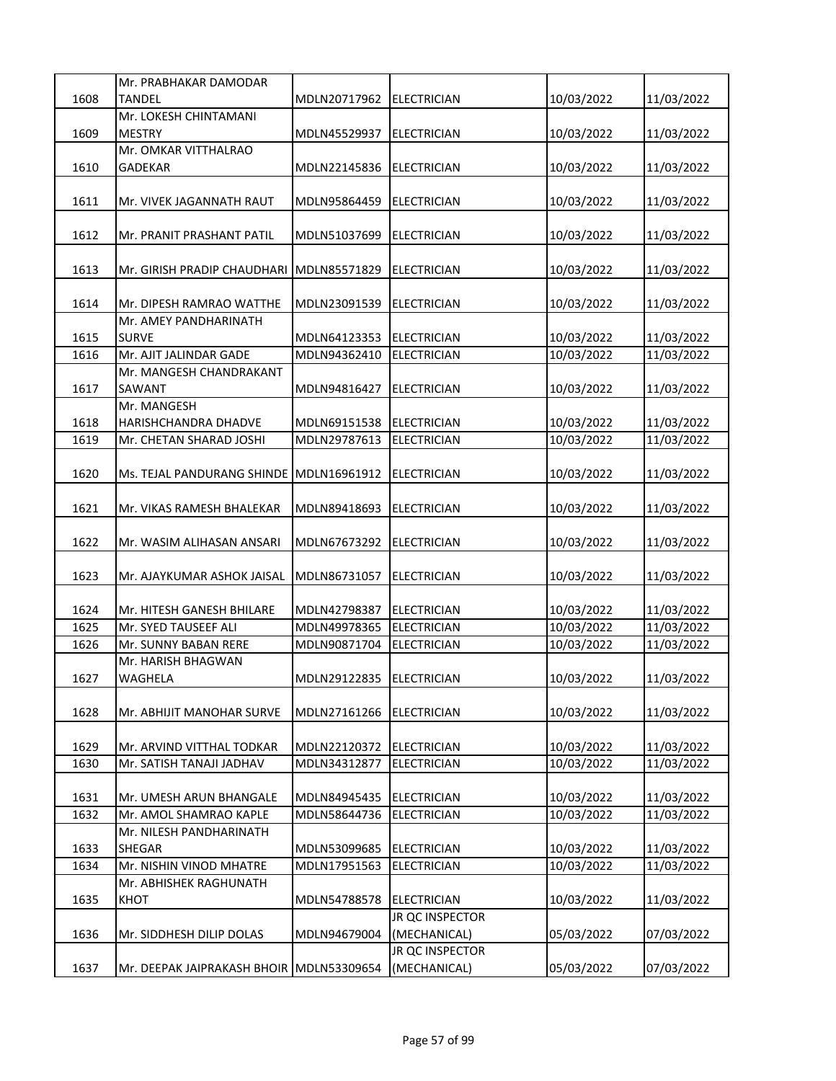|      | Mr. PRABHAKAR DAMODAR                    |              |                     |            |            |
|------|------------------------------------------|--------------|---------------------|------------|------------|
| 1608 | TANDEL                                   | MDLN20717962 | <b>ELECTRICIAN</b>  | 10/03/2022 | 11/03/2022 |
|      | Mr. LOKESH CHINTAMANI                    |              |                     |            |            |
| 1609 | <b>MESTRY</b>                            | MDLN45529937 | <b>ELECTRICIAN</b>  | 10/03/2022 | 11/03/2022 |
|      | Mr. OMKAR VITTHALRAO                     |              |                     |            |            |
| 1610 | GADEKAR                                  | MDLN22145836 | <b>IELECTRICIAN</b> | 10/03/2022 | 11/03/2022 |
|      |                                          |              |                     |            |            |
| 1611 | Mr. VIVEK JAGANNATH RAUT                 | MDLN95864459 | <b>ELECTRICIAN</b>  | 10/03/2022 | 11/03/2022 |
|      |                                          |              |                     |            |            |
| 1612 | Mr. PRANIT PRASHANT PATIL                | MDLN51037699 | <b>ELECTRICIAN</b>  | 10/03/2022 | 11/03/2022 |
|      |                                          |              |                     |            |            |
| 1613 | Mr. GIRISH PRADIP CHAUDHARI              | MDLN85571829 | <b>ELECTRICIAN</b>  | 10/03/2022 | 11/03/2022 |
|      |                                          |              |                     |            |            |
| 1614 | Mr. DIPESH RAMRAO WATTHE                 | MDLN23091539 | <b>ELECTRICIAN</b>  | 10/03/2022 | 11/03/2022 |
|      | Mr. AMEY PANDHARINATH                    |              |                     |            |            |
| 1615 | <b>SURVE</b>                             | MDLN64123353 | <b>ELECTRICIAN</b>  | 10/03/2022 | 11/03/2022 |
| 1616 | Mr. AJIT JALINDAR GADE                   | MDLN94362410 | <b>ELECTRICIAN</b>  | 10/03/2022 | 11/03/2022 |
|      | Mr. MANGESH CHANDRAKANT                  |              |                     |            |            |
| 1617 | SAWANT                                   | MDLN94816427 | <b>ELECTRICIAN</b>  | 10/03/2022 | 11/03/2022 |
|      | Mr. MANGESH                              |              |                     |            |            |
| 1618 | HARISHCHANDRA DHADVE                     | MDLN69151538 | <b>ELECTRICIAN</b>  | 10/03/2022 | 11/03/2022 |
| 1619 | Mr. CHETAN SHARAD JOSHI                  | MDLN29787613 | <b>ELECTRICIAN</b>  | 10/03/2022 | 11/03/2022 |
|      |                                          |              |                     |            |            |
| 1620 | Ms. TEJAL PANDURANG SHINDE               | MDLN16961912 | <b>ELECTRICIAN</b>  | 10/03/2022 | 11/03/2022 |
|      |                                          |              |                     |            |            |
| 1621 | Mr. VIKAS RAMESH BHALEKAR                | MDLN89418693 | <b>ELECTRICIAN</b>  | 10/03/2022 | 11/03/2022 |
|      |                                          |              |                     |            |            |
| 1622 | Mr. WASIM ALIHASAN ANSARI                | MDLN67673292 | <b>ELECTRICIAN</b>  | 10/03/2022 | 11/03/2022 |
|      |                                          |              |                     |            |            |
| 1623 | Mr. AJAYKUMAR ASHOK JAISAL               | MDLN86731057 | <b>ELECTRICIAN</b>  | 10/03/2022 | 11/03/2022 |
|      |                                          |              |                     |            |            |
| 1624 | Mr. HITESH GANESH BHILARE                | MDLN42798387 | <b>ELECTRICIAN</b>  | 10/03/2022 | 11/03/2022 |
| 1625 | Mr. SYED TAUSEEF ALI                     | MDLN49978365 | <b>ELECTRICIAN</b>  | 10/03/2022 | 11/03/2022 |
| 1626 | Mr. SUNNY BABAN RERE                     | MDLN90871704 | <b>ELECTRICIAN</b>  | 10/03/2022 | 11/03/2022 |
|      | Mr. HARISH BHAGWAN                       |              |                     |            |            |
| 1627 | WAGHELA                                  | MDLN29122835 | <b>ELECTRICIAN</b>  | 10/03/2022 | 11/03/2022 |
|      |                                          |              |                     |            |            |
| 1628 | Mr. ABHIJIT MANOHAR SURVE                | MDLN27161266 | <b>ELECTRICIAN</b>  | 10/03/2022 | 11/03/2022 |
|      |                                          |              |                     |            |            |
| 1629 | Mr. ARVIND VITTHAL TODKAR                | MDLN22120372 | <b>ELECTRICIAN</b>  | 10/03/2022 | 11/03/2022 |
| 1630 | Mr. SATISH TANAJI JADHAV                 | MDLN34312877 | <b>ELECTRICIAN</b>  | 10/03/2022 | 11/03/2022 |
|      |                                          |              |                     |            |            |
| 1631 | Mr. UMESH ARUN BHANGALE                  | MDLN84945435 | <b>ELECTRICIAN</b>  | 10/03/2022 | 11/03/2022 |
| 1632 | Mr. AMOL SHAMRAO KAPLE                   | MDLN58644736 | <b>ELECTRICIAN</b>  | 10/03/2022 | 11/03/2022 |
|      | Mr. NILESH PANDHARINATH                  |              |                     |            |            |
| 1633 | SHEGAR                                   | MDLN53099685 | <b>ELECTRICIAN</b>  | 10/03/2022 | 11/03/2022 |
| 1634 | Mr. NISHIN VINOD MHATRE                  | MDLN17951563 | <b>ELECTRICIAN</b>  | 10/03/2022 | 11/03/2022 |
|      | Mr. ABHISHEK RAGHUNATH                   |              |                     |            |            |
| 1635 | KHOT                                     | MDLN54788578 | <b>ELECTRICIAN</b>  | 10/03/2022 | 11/03/2022 |
|      |                                          |              | JR QC INSPECTOR     |            |            |
| 1636 | Mr. SIDDHESH DILIP DOLAS                 | MDLN94679004 | (MECHANICAL)        | 05/03/2022 | 07/03/2022 |
|      |                                          |              | JR QC INSPECTOR     |            |            |
| 1637 | Mr. DEEPAK JAIPRAKASH BHOIR MDLN53309654 |              | (MECHANICAL)        | 05/03/2022 | 07/03/2022 |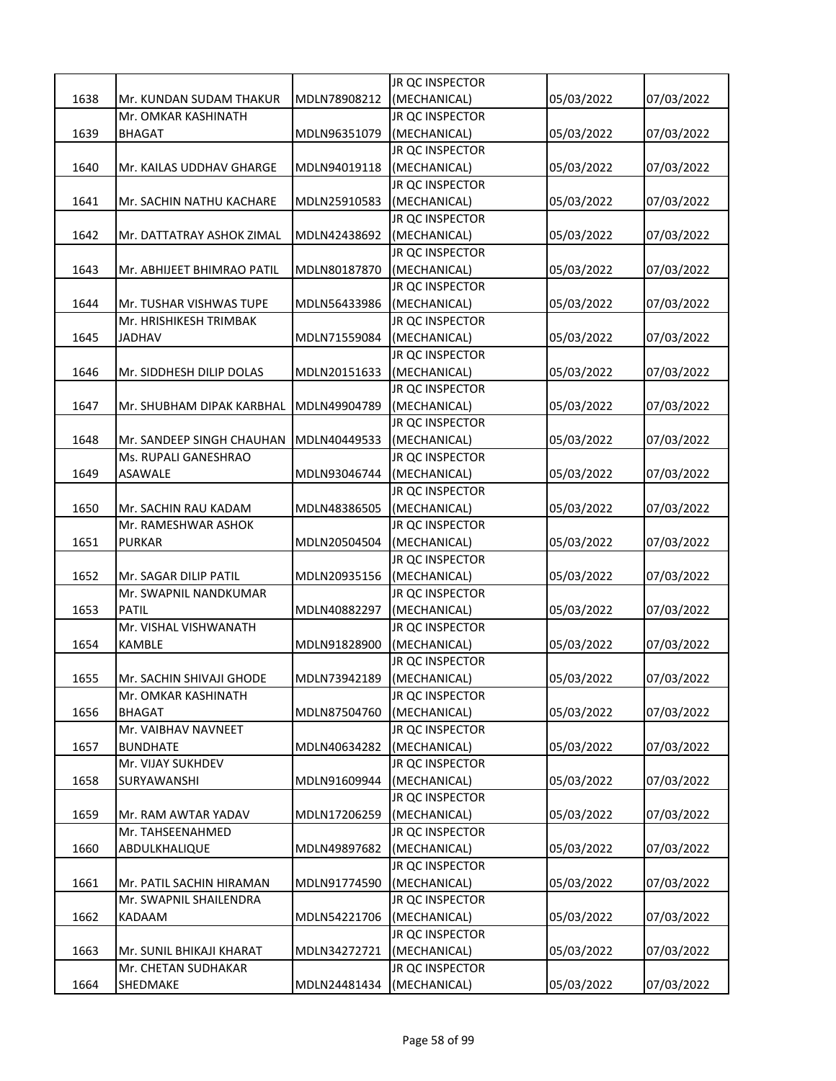|      |                                 |              | JR QC INSPECTOR                 |            |            |
|------|---------------------------------|--------------|---------------------------------|------------|------------|
| 1638 | Mr. KUNDAN SUDAM THAKUR         | MDLN78908212 | (MECHANICAL)                    | 05/03/2022 | 07/03/2022 |
|      | Mr. OMKAR KASHINATH             |              | JR QC INSPECTOR                 |            |            |
| 1639 | <b>BHAGAT</b>                   | MDLN96351079 | (MECHANICAL)                    | 05/03/2022 | 07/03/2022 |
|      |                                 |              | JR QC INSPECTOR                 |            |            |
| 1640 | Mr. KAILAS UDDHAV GHARGE        | MDLN94019118 | (MECHANICAL)                    | 05/03/2022 | 07/03/2022 |
|      |                                 |              | JR QC INSPECTOR                 |            |            |
| 1641 | Mr. SACHIN NATHU KACHARE        | MDLN25910583 | (MECHANICAL)                    | 05/03/2022 | 07/03/2022 |
|      |                                 |              | JR QC INSPECTOR                 |            |            |
| 1642 | Mr. DATTATRAY ASHOK ZIMAL       | MDLN42438692 | (MECHANICAL)                    | 05/03/2022 | 07/03/2022 |
|      |                                 |              | JR QC INSPECTOR                 |            |            |
| 1643 | Mr. ABHIJEET BHIMRAO PATIL      | MDLN80187870 | (MECHANICAL)                    | 05/03/2022 | 07/03/2022 |
|      |                                 |              | JR QC INSPECTOR                 |            |            |
| 1644 | Mr. TUSHAR VISHWAS TUPE         | MDLN56433986 | (MECHANICAL)                    | 05/03/2022 | 07/03/2022 |
|      | Mr. HRISHIKESH TRIMBAK          |              | JR QC INSPECTOR                 |            |            |
| 1645 | <b>JADHAV</b>                   | MDLN71559084 | (MECHANICAL)                    | 05/03/2022 | 07/03/2022 |
|      |                                 |              | JR QC INSPECTOR                 |            |            |
| 1646 | Mr. SIDDHESH DILIP DOLAS        | MDLN20151633 | (MECHANICAL)                    | 05/03/2022 | 07/03/2022 |
|      |                                 |              | <b>JR QC INSPECTOR</b>          |            |            |
| 1647 | Mr. SHUBHAM DIPAK KARBHAL       | MDLN49904789 | (MECHANICAL)                    | 05/03/2022 | 07/03/2022 |
|      |                                 |              | JR QC INSPECTOR                 |            |            |
| 1648 | Mr. SANDEEP SINGH CHAUHAN       | MDLN40449533 | (MECHANICAL)                    | 05/03/2022 | 07/03/2022 |
|      | Ms. RUPALI GANESHRAO            |              | JR QC INSPECTOR                 |            |            |
| 1649 | ASAWALE                         | MDLN93046744 | (MECHANICAL)                    | 05/03/2022 | 07/03/2022 |
|      |                                 |              | <b>JR QC INSPECTOR</b>          |            |            |
| 1650 | Mr. SACHIN RAU KADAM            | MDLN48386505 | (MECHANICAL)                    | 05/03/2022 | 07/03/2022 |
|      | Mr. RAMESHWAR ASHOK             |              | JR QC INSPECTOR                 |            |            |
| 1651 | PURKAR                          | MDLN20504504 | (MECHANICAL)                    | 05/03/2022 | 07/03/2022 |
|      |                                 |              |                                 |            |            |
|      |                                 |              | JR QC INSPECTOR                 |            |            |
| 1652 | Mr. SAGAR DILIP PATIL           | MDLN20935156 | (MECHANICAL)                    | 05/03/2022 | 07/03/2022 |
|      | Mr. SWAPNIL NANDKUMAR           |              | JR QC INSPECTOR                 |            |            |
| 1653 | <b>PATIL</b>                    | MDLN40882297 | (MECHANICAL)                    | 05/03/2022 | 07/03/2022 |
|      | Mr. VISHAL VISHWANATH           |              | JR QC INSPECTOR                 |            |            |
| 1654 | KAMBLE                          | MDLN91828900 | (MECHANICAL)                    | 05/03/2022 | 07/03/2022 |
|      |                                 |              | JR QC INSPECTOR                 |            |            |
| 1655 | Mr. SACHIN SHIVAJI GHODE        | MDLN73942189 | (MECHANICAL)                    | 05/03/2022 | 07/03/2022 |
|      | Mr. OMKAR KASHINATH             |              | JR QC INSPECTOR                 |            |            |
| 1656 | <b>BHAGAT</b>                   | MDLN87504760 | (MECHANICAL)                    | 05/03/2022 | 07/03/2022 |
|      | Mr. VAIBHAV NAVNEET             |              | JR QC INSPECTOR                 |            |            |
| 1657 | BUNDHATE                        | MDLN40634282 | (MECHANICAL)                    | 05/03/2022 | 07/03/2022 |
|      | Mr. VIJAY SUKHDEV               |              | JR QC INSPECTOR                 |            |            |
| 1658 | SURYAWANSHI                     | MDLN91609944 | (MECHANICAL)                    | 05/03/2022 | 07/03/2022 |
|      |                                 |              | JR QC INSPECTOR                 |            |            |
| 1659 | Mr. RAM AWTAR YADAV             | MDLN17206259 | (MECHANICAL)                    | 05/03/2022 | 07/03/2022 |
|      | Mr. TAHSEENAHMED                |              | JR QC INSPECTOR                 |            |            |
| 1660 | ABDULKHALIQUE                   | MDLN49897682 | (MECHANICAL)                    | 05/03/2022 | 07/03/2022 |
|      |                                 |              | JR QC INSPECTOR                 |            |            |
| 1661 | Mr. PATIL SACHIN HIRAMAN        | MDLN91774590 | (MECHANICAL)                    | 05/03/2022 | 07/03/2022 |
|      | Mr. SWAPNIL SHAILENDRA          |              | JR QC INSPECTOR                 |            |            |
| 1662 | KADAAM                          | MDLN54221706 | (MECHANICAL)                    | 05/03/2022 | 07/03/2022 |
|      |                                 |              | JR QC INSPECTOR                 |            |            |
| 1663 | Mr. SUNIL BHIKAJI KHARAT        | MDLN34272721 | (MECHANICAL)                    | 05/03/2022 | 07/03/2022 |
| 1664 | Mr. CHETAN SUDHAKAR<br>SHEDMAKE | MDLN24481434 | JR QC INSPECTOR<br>(MECHANICAL) | 05/03/2022 | 07/03/2022 |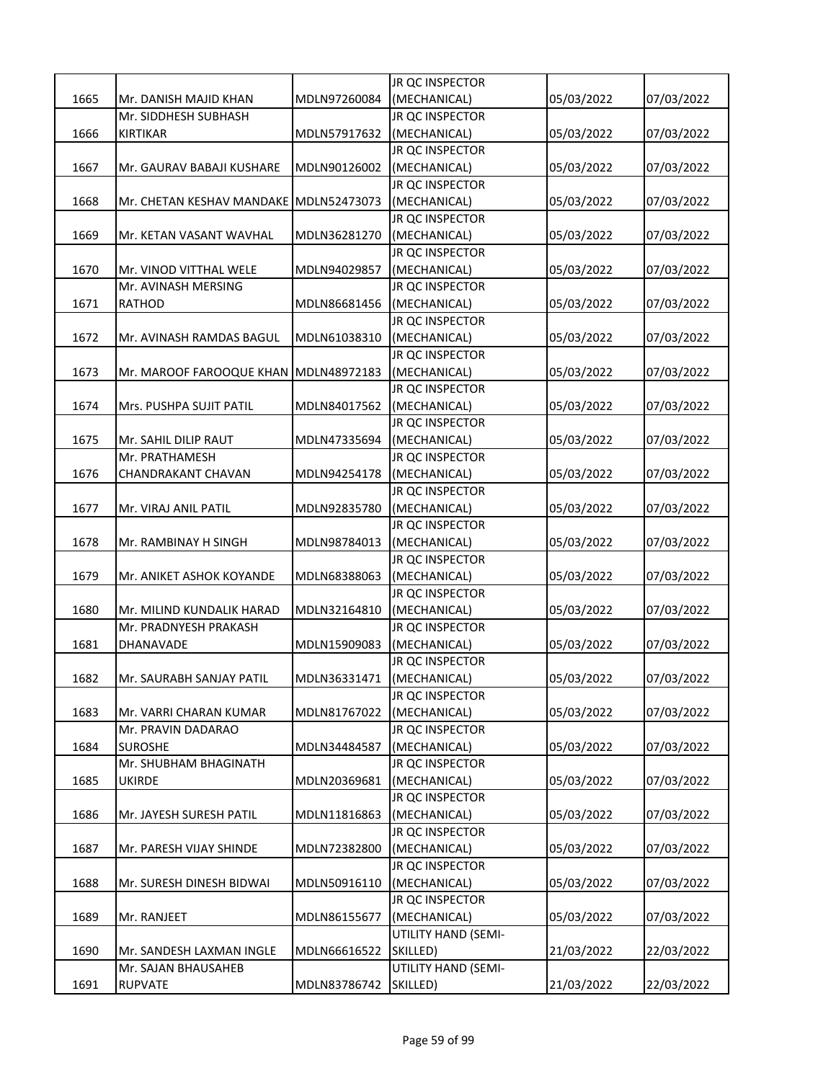|      |                                              |              | <b>JR QC INSPECTOR</b>          |            |            |
|------|----------------------------------------------|--------------|---------------------------------|------------|------------|
| 1665 | Mr. DANISH MAJID KHAN                        | MDLN97260084 | (MECHANICAL)                    | 05/03/2022 | 07/03/2022 |
|      | Mr. SIDDHESH SUBHASH                         |              | JR QC INSPECTOR                 |            |            |
| 1666 | <b>KIRTIKAR</b>                              | MDLN57917632 | (MECHANICAL)                    | 05/03/2022 | 07/03/2022 |
|      |                                              |              | JR QC INSPECTOR                 |            |            |
| 1667 | Mr. GAURAV BABAJI KUSHARE                    | MDLN90126002 | (MECHANICAL)                    | 05/03/2022 | 07/03/2022 |
|      |                                              |              | JR QC INSPECTOR                 |            |            |
| 1668 | Mr. CHETAN KESHAV MANDAKE                    | MDLN52473073 | (MECHANICAL)                    | 05/03/2022 | 07/03/2022 |
|      |                                              |              | JR QC INSPECTOR                 |            |            |
| 1669 | Mr. KETAN VASANT WAVHAL                      | MDLN36281270 | (MECHANICAL)                    | 05/03/2022 | 07/03/2022 |
|      |                                              |              | JR QC INSPECTOR                 |            |            |
| 1670 | Mr. VINOD VITTHAL WELE                       | MDLN94029857 | (MECHANICAL)                    | 05/03/2022 | 07/03/2022 |
|      | Mr. AVINASH MERSING                          |              | JR QC INSPECTOR                 |            |            |
| 1671 | <b>RATHOD</b>                                | MDLN86681456 | (MECHANICAL)                    | 05/03/2022 | 07/03/2022 |
|      |                                              |              | JR QC INSPECTOR                 |            |            |
| 1672 | Mr. AVINASH RAMDAS BAGUL                     | MDLN61038310 | (MECHANICAL)                    | 05/03/2022 | 07/03/2022 |
|      |                                              |              | JR QC INSPECTOR                 |            |            |
| 1673 | Mr. MAROOF FAROOQUE KHAN                     | MDLN48972183 | (MECHANICAL)                    | 05/03/2022 | 07/03/2022 |
|      |                                              |              | <b>JR QC INSPECTOR</b>          |            |            |
| 1674 | Mrs. PUSHPA SUJIT PATIL                      | MDLN84017562 | (MECHANICAL)                    | 05/03/2022 | 07/03/2022 |
|      |                                              |              | JR QC INSPECTOR                 |            |            |
| 1675 | Mr. SAHIL DILIP RAUT                         | MDLN47335694 | (MECHANICAL)                    | 05/03/2022 | 07/03/2022 |
|      | Mr. PRATHAMESH                               |              | JR QC INSPECTOR                 |            |            |
| 1676 | CHANDRAKANT CHAVAN                           | MDLN94254178 | (MECHANICAL)                    | 05/03/2022 | 07/03/2022 |
|      |                                              |              | <b>JR QC INSPECTOR</b>          |            |            |
| 1677 | Mr. VIRAJ ANIL PATIL                         | MDLN92835780 | (MECHANICAL)                    | 05/03/2022 | 07/03/2022 |
|      |                                              |              | JR QC INSPECTOR                 |            |            |
| 1678 | Mr. RAMBINAY H SINGH                         | MDLN98784013 | (MECHANICAL)                    | 05/03/2022 | 07/03/2022 |
|      |                                              |              | JR QC INSPECTOR                 |            |            |
| 1679 | Mr. ANIKET ASHOK KOYANDE                     | MDLN68388063 | (MECHANICAL)                    | 05/03/2022 | 07/03/2022 |
|      |                                              |              | JR QC INSPECTOR                 |            |            |
| 1680 | Mr. MILIND KUNDALIK HARAD                    | MDLN32164810 | (MECHANICAL)                    | 05/03/2022 | 07/03/2022 |
|      | Mr. PRADNYESH PRAKASH                        |              | <b>JR QC INSPECTOR</b>          |            |            |
| 1681 | DHANAVADE                                    | MDLN15909083 | (MECHANICAL)                    | 05/03/2022 | 07/03/2022 |
|      |                                              |              | JR QC INSPECTOR                 |            |            |
| 1682 | Mr. SAURABH SANJAY PATIL                     | MDLN36331471 | (MECHANICAL)<br>JR QC INSPECTOR | 05/03/2022 | 07/03/2022 |
|      |                                              |              |                                 |            |            |
| 1683 | Mr. VARRI CHARAN KUMAR<br>Mr. PRAVIN DADARAO | MDLN81767022 | (MECHANICAL)<br>JR QC INSPECTOR | 05/03/2022 | 07/03/2022 |
| 1684 | <b>SUROSHE</b>                               | MDLN34484587 | (MECHANICAL)                    | 05/03/2022 | 07/03/2022 |
|      | Mr. SHUBHAM BHAGINATH                        |              | JR QC INSPECTOR                 |            |            |
| 1685 | UKIRDE                                       | MDLN20369681 | (MECHANICAL)                    | 05/03/2022 | 07/03/2022 |
|      |                                              |              | JR QC INSPECTOR                 |            |            |
| 1686 | Mr. JAYESH SURESH PATIL                      | MDLN11816863 | (MECHANICAL)                    | 05/03/2022 | 07/03/2022 |
|      |                                              |              | <b>JR OC INSPECTOR</b>          |            |            |
| 1687 | Mr. PARESH VIJAY SHINDE                      | MDLN72382800 | (MECHANICAL)                    | 05/03/2022 | 07/03/2022 |
|      |                                              |              | JR QC INSPECTOR                 |            |            |
| 1688 | Mr. SURESH DINESH BIDWAI                     | MDLN50916110 | (MECHANICAL)                    | 05/03/2022 | 07/03/2022 |
|      |                                              |              | JR QC INSPECTOR                 |            |            |
| 1689 | Mr. RANJEET                                  | MDLN86155677 | (MECHANICAL)                    | 05/03/2022 | 07/03/2022 |
|      |                                              |              | UTILITY HAND (SEMI-             |            |            |
| 1690 | Mr. SANDESH LAXMAN INGLE                     | MDLN66616522 | SKILLED)                        | 21/03/2022 | 22/03/2022 |
|      | Mr. SAJAN BHAUSAHEB                          |              | UTILITY HAND (SEMI-             |            |            |
| 1691 | <b>RUPVATE</b>                               | MDLN83786742 | SKILLED)                        | 21/03/2022 | 22/03/2022 |
|      |                                              |              |                                 |            |            |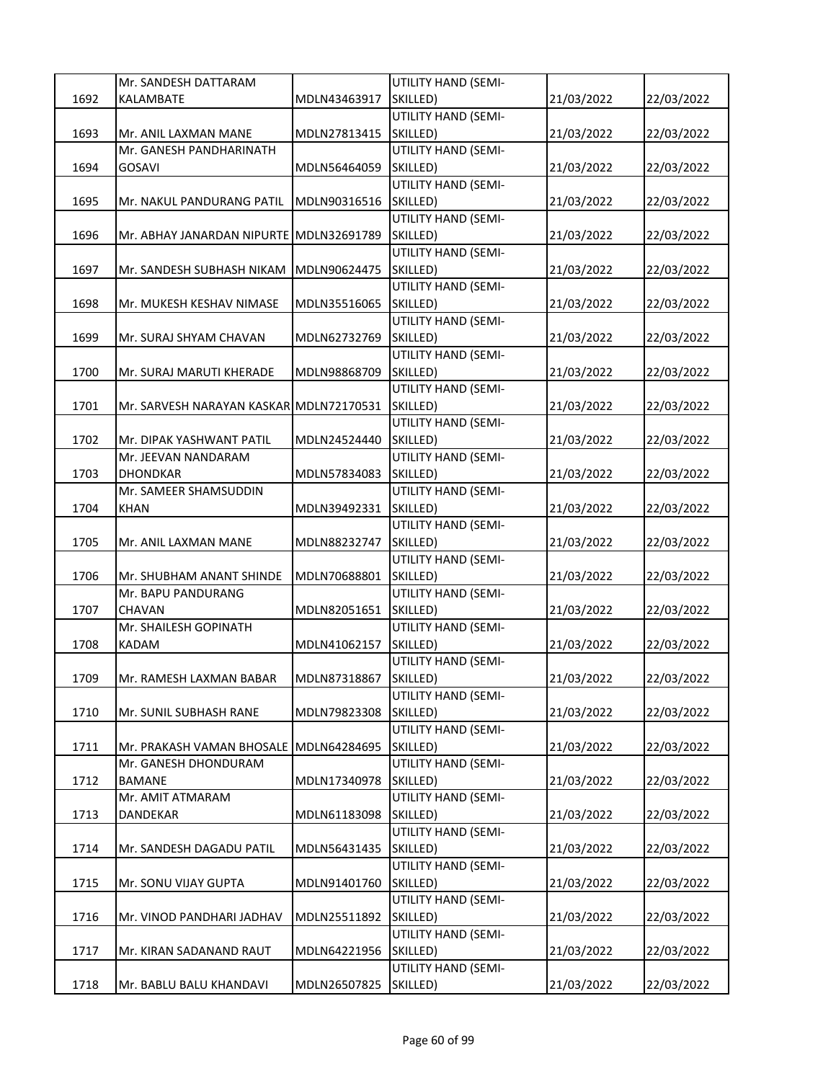|      | Mr. SANDESH DATTARAM                    |              | UTILITY HAND (SEMI-             |            |            |
|------|-----------------------------------------|--------------|---------------------------------|------------|------------|
| 1692 | KALAMBATE                               | MDLN43463917 | SKILLED)                        | 21/03/2022 | 22/03/2022 |
|      |                                         |              | UTILITY HAND (SEMI-             |            |            |
| 1693 | Mr. ANIL LAXMAN MANE                    | MDLN27813415 | SKILLED)                        | 21/03/2022 | 22/03/2022 |
|      | Mr. GANESH PANDHARINATH                 |              | UTILITY HAND (SEMI-             |            |            |
| 1694 | GOSAVI                                  | MDLN56464059 | SKILLED)                        | 21/03/2022 | 22/03/2022 |
|      |                                         |              | UTILITY HAND (SEMI-             |            |            |
| 1695 | Mr. NAKUL PANDURANG PATIL               | MDLN90316516 | SKILLED)                        | 21/03/2022 | 22/03/2022 |
|      |                                         |              | UTILITY HAND (SEMI-             |            |            |
| 1696 | Mr. ABHAY JANARDAN NIPURTE              | MDLN32691789 | SKILLED)                        | 21/03/2022 | 22/03/2022 |
|      |                                         |              | UTILITY HAND (SEMI-             |            |            |
| 1697 | Mr. SANDESH SUBHASH NIKAM               | MDLN90624475 | SKILLED)                        | 21/03/2022 | 22/03/2022 |
|      |                                         |              | UTILITY HAND (SEMI-             |            |            |
| 1698 | Mr. MUKESH KESHAV NIMASE                | MDLN35516065 | SKILLED)                        | 21/03/2022 | 22/03/2022 |
|      |                                         |              | UTILITY HAND (SEMI-             |            |            |
| 1699 | Mr. SURAJ SHYAM CHAVAN                  | MDLN62732769 | SKILLED)                        | 21/03/2022 | 22/03/2022 |
|      |                                         |              | UTILITY HAND (SEMI-             |            |            |
| 1700 | Mr. SURAJ MARUTI KHERADE                | MDLN98868709 | SKILLED)                        | 21/03/2022 | 22/03/2022 |
|      |                                         |              | <b>UTILITY HAND (SEMI-</b>      |            |            |
| 1701 | Mr. SARVESH NARAYAN KASKAR MDLN72170531 |              | SKILLED)                        | 21/03/2022 | 22/03/2022 |
|      |                                         |              | UTILITY HAND (SEMI-             |            |            |
| 1702 | Mr. DIPAK YASHWANT PATIL                | MDLN24524440 | SKILLED)                        | 21/03/2022 | 22/03/2022 |
|      | Mr. JEEVAN NANDARAM                     |              | UTILITY HAND (SEMI-             |            |            |
| 1703 | DHONDKAR                                | MDLN57834083 | SKILLED)                        | 21/03/2022 | 22/03/2022 |
|      | Mr. SAMEER SHAMSUDDIN                   |              | UTILITY HAND (SEMI-             |            |            |
| 1704 | KHAN                                    | MDLN39492331 | SKILLED)                        | 21/03/2022 | 22/03/2022 |
|      |                                         |              | UTILITY HAND (SEMI-             |            |            |
| 1705 | Mr. ANIL LAXMAN MANE                    | MDLN88232747 | SKILLED)                        | 21/03/2022 | 22/03/2022 |
|      |                                         |              | UTILITY HAND (SEMI-             |            |            |
| 1706 | Mr. SHUBHAM ANANT SHINDE                | MDLN70688801 | SKILLED)                        | 21/03/2022 | 22/03/2022 |
|      | Mr. BAPU PANDURANG                      |              | UTILITY HAND (SEMI-             |            |            |
| 1707 | CHAVAN                                  | MDLN82051651 | SKILLED)                        | 21/03/2022 | 22/03/2022 |
|      | Mr. SHAILESH GOPINATH                   |              | UTILITY HAND (SEMI-             |            |            |
| 1708 | <b>KADAM</b>                            | MDLN41062157 | SKILLED)                        | 21/03/2022 | 22/03/2022 |
|      |                                         |              | UTILITY HAND (SEMI-             |            |            |
| 1709 | Mr. RAMESH LAXMAN BABAR                 | MDLN87318867 | SKILLED)                        | 21/03/2022 | 22/03/2022 |
| 1710 |                                         |              | UTILITY HAND (SEMI-<br>SKILLED) | 21/03/2022 |            |
|      | Mr. SUNIL SUBHASH RANE                  | MDLN79823308 | UTILITY HAND (SEMI-             |            | 22/03/2022 |
| 1711 | Mr. PRAKASH VAMAN BHOSALE               | MDLN64284695 | SKILLED)                        | 21/03/2022 | 22/03/2022 |
|      | Mr. GANESH DHONDURAM                    |              | UTILITY HAND (SEMI-             |            |            |
| 1712 | BAMANE                                  | MDLN17340978 | SKILLED)                        | 21/03/2022 | 22/03/2022 |
|      | Mr. AMIT ATMARAM                        |              | UTILITY HAND (SEMI-             |            |            |
| 1713 | DANDEKAR                                | MDLN61183098 | SKILLED)                        | 21/03/2022 | 22/03/2022 |
|      |                                         |              | UTILITY HAND (SEMI-             |            |            |
| 1714 | Mr. SANDESH DAGADU PATIL                | MDLN56431435 | SKILLED)                        | 21/03/2022 | 22/03/2022 |
|      |                                         |              | <b>UTILITY HAND (SEMI-</b>      |            |            |
| 1715 | Mr. SONU VIJAY GUPTA                    | MDLN91401760 | SKILLED)                        | 21/03/2022 | 22/03/2022 |
|      |                                         |              | UTILITY HAND (SEMI-             |            |            |
| 1716 | Mr. VINOD PANDHARI JADHAV               | MDLN25511892 | SKILLED)                        | 21/03/2022 | 22/03/2022 |
|      |                                         |              | UTILITY HAND (SEMI-             |            |            |
| 1717 | Mr. KIRAN SADANAND RAUT                 | MDLN64221956 | SKILLED)                        | 21/03/2022 | 22/03/2022 |
|      |                                         |              | UTILITY HAND (SEMI-             |            |            |
| 1718 | Mr. BABLU BALU KHANDAVI                 | MDLN26507825 | SKILLED)                        | 21/03/2022 | 22/03/2022 |
|      |                                         |              |                                 |            |            |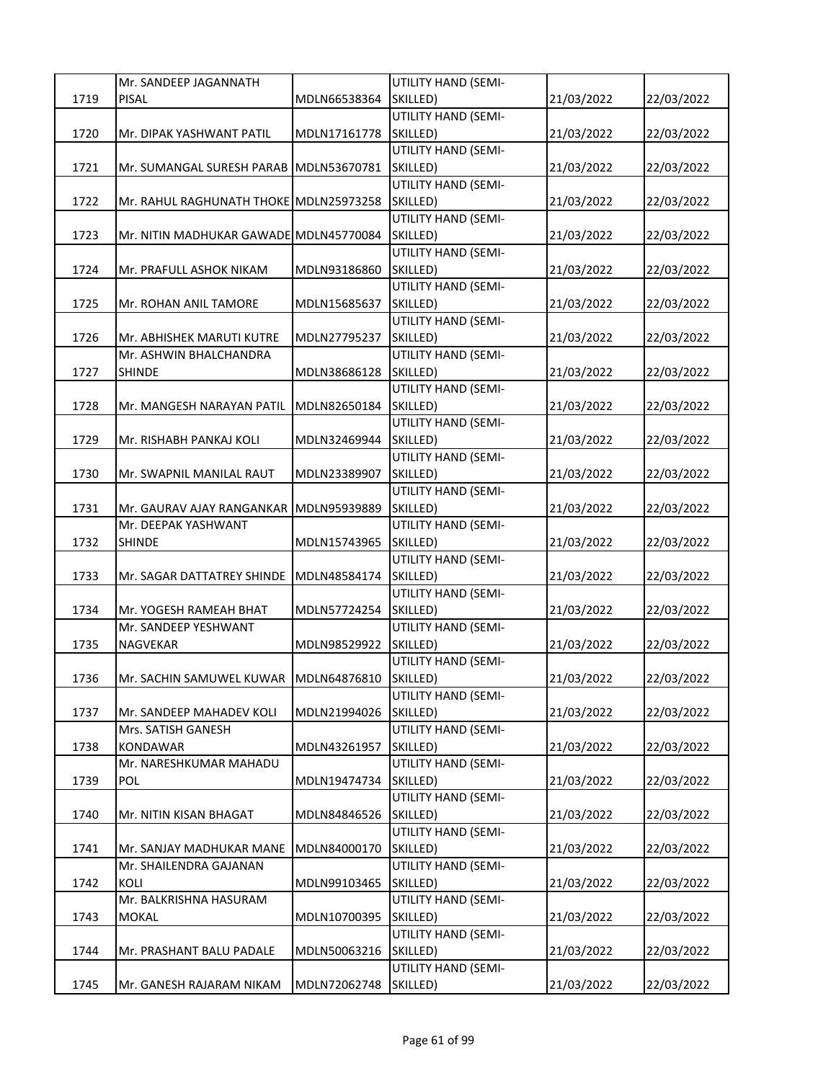|      | Mr. SANDEEP JAGANNATH                  |              | UTILITY HAND (SEMI-        |            |            |
|------|----------------------------------------|--------------|----------------------------|------------|------------|
| 1719 | <b>PISAL</b>                           | MDLN66538364 | SKILLED)                   | 21/03/2022 | 22/03/2022 |
|      |                                        |              | UTILITY HAND (SEMI-        |            |            |
| 1720 | Mr. DIPAK YASHWANT PATIL               | MDLN17161778 | SKILLED)                   | 21/03/2022 | 22/03/2022 |
|      |                                        |              | <b>UTILITY HAND (SEMI-</b> |            |            |
| 1721 | Mr. SUMANGAL SURESH PARAB MDLN53670781 |              | SKILLED)                   | 21/03/2022 | 22/03/2022 |
|      |                                        |              | UTILITY HAND (SEMI-        |            |            |
| 1722 | Mr. RAHUL RAGHUNATH THOKE MDLN25973258 |              | SKILLED)                   | 21/03/2022 | 22/03/2022 |
|      |                                        |              | UTILITY HAND (SEMI-        |            |            |
| 1723 | Mr. NITIN MADHUKAR GAWADE MDLN45770084 |              | SKILLED)                   | 21/03/2022 | 22/03/2022 |
|      |                                        |              | UTILITY HAND (SEMI-        |            |            |
| 1724 | Mr. PRAFULL ASHOK NIKAM                | MDLN93186860 | SKILLED)                   | 21/03/2022 | 22/03/2022 |
|      |                                        |              | UTILITY HAND (SEMI-        |            |            |
| 1725 | Mr. ROHAN ANIL TAMORE                  | MDLN15685637 | SKILLED)                   | 21/03/2022 | 22/03/2022 |
|      |                                        |              | <b>UTILITY HAND (SEMI-</b> |            |            |
| 1726 | Mr. ABHISHEK MARUTI KUTRE              | MDLN27795237 | SKILLED)                   | 21/03/2022 | 22/03/2022 |
|      | Mr. ASHWIN BHALCHANDRA                 |              | <b>UTILITY HAND (SEMI-</b> |            |            |
| 1727 | <b>SHINDE</b>                          | MDLN38686128 | SKILLED)                   | 21/03/2022 | 22/03/2022 |
|      |                                        |              | UTILITY HAND (SEMI-        |            |            |
| 1728 | Mr. MANGESH NARAYAN PATIL              | MDLN82650184 | SKILLED)                   | 21/03/2022 | 22/03/2022 |
|      |                                        |              | UTILITY HAND (SEMI-        |            |            |
| 1729 | Mr. RISHABH PANKAJ KOLI                | MDLN32469944 | SKILLED)                   | 21/03/2022 | 22/03/2022 |
|      |                                        |              | UTILITY HAND (SEMI-        |            |            |
| 1730 | Mr. SWAPNIL MANILAL RAUT               | MDLN23389907 | SKILLED)                   | 21/03/2022 | 22/03/2022 |
|      |                                        |              | UTILITY HAND (SEMI-        |            |            |
| 1731 | Mr. GAURAV AJAY RANGANKAR              | MDLN95939889 | SKILLED)                   | 21/03/2022 | 22/03/2022 |
|      | Mr. DEEPAK YASHWANT                    |              | UTILITY HAND (SEMI-        |            |            |
| 1732 | <b>SHINDE</b>                          | MDLN15743965 | SKILLED)                   | 21/03/2022 | 22/03/2022 |
|      |                                        |              | <b>UTILITY HAND (SEMI-</b> |            |            |
| 1733 | Mr. SAGAR DATTATREY SHINDE             | MDLN48584174 | SKILLED)                   | 21/03/2022 | 22/03/2022 |
|      |                                        |              | UTILITY HAND (SEMI-        |            |            |
| 1734 | Mr. YOGESH RAMEAH BHAT                 | MDLN57724254 | SKILLED)                   | 21/03/2022 | 22/03/2022 |
|      | Mr. SANDEEP YESHWANT                   |              | UTILITY HAND (SEMI-        |            |            |
| 1735 | NAGVEKAR                               | MDLN98529922 | SKILLED)                   | 21/03/2022 | 22/03/2022 |
|      |                                        |              | UTILITY HAND (SEMI-        |            |            |
| 1736 | Mr. SACHIN SAMUWEL KUWAR MDLN64876810  |              | SKILLED)                   | 21/03/2022 | 22/03/2022 |
|      |                                        |              | UTILITY HAND (SEMI-        |            |            |
| 1737 | Mr. SANDEEP MAHADEV KOLI               | MDLN21994026 | SKILLED)                   | 21/03/2022 | 22/03/2022 |
|      | Mrs. SATISH GANESH                     |              | <b>UTILITY HAND (SEMI-</b> |            |            |
| 1738 | <b>KONDAWAR</b>                        | MDLN43261957 | SKILLED)                   | 21/03/2022 | 22/03/2022 |
|      | Mr. NARESHKUMAR MAHADU                 |              | <b>UTILITY HAND (SEMI-</b> |            |            |
| 1739 | POL                                    | MDLN19474734 | SKILLED)                   | 21/03/2022 | 22/03/2022 |
|      |                                        |              | UTILITY HAND (SEMI-        |            |            |
| 1740 | Mr. NITIN KISAN BHAGAT                 | MDLN84846526 | SKILLED)                   | 21/03/2022 | 22/03/2022 |
|      |                                        |              | UTILITY HAND (SEMI-        |            |            |
| 1741 | Mr. SANJAY MADHUKAR MANE               | MDLN84000170 | SKILLED)                   | 21/03/2022 | 22/03/2022 |
|      | Mr. SHAILENDRA GAJANAN                 |              | UTILITY HAND (SEMI-        |            |            |
| 1742 | KOLI                                   | MDLN99103465 | SKILLED)                   | 21/03/2022 | 22/03/2022 |
|      | Mr. BALKRISHNA HASURAM                 |              | UTILITY HAND (SEMI-        |            |            |
| 1743 | MOKAL                                  | MDLN10700395 | SKILLED)                   | 21/03/2022 | 22/03/2022 |
|      |                                        |              | UTILITY HAND (SEMI-        |            |            |
| 1744 | Mr. PRASHANT BALU PADALE               | MDLN50063216 | SKILLED)                   | 21/03/2022 | 22/03/2022 |
|      |                                        |              | UTILITY HAND (SEMI-        |            |            |
| 1745 | Mr. GANESH RAJARAM NIKAM               | MDLN72062748 | SKILLED)                   | 21/03/2022 | 22/03/2022 |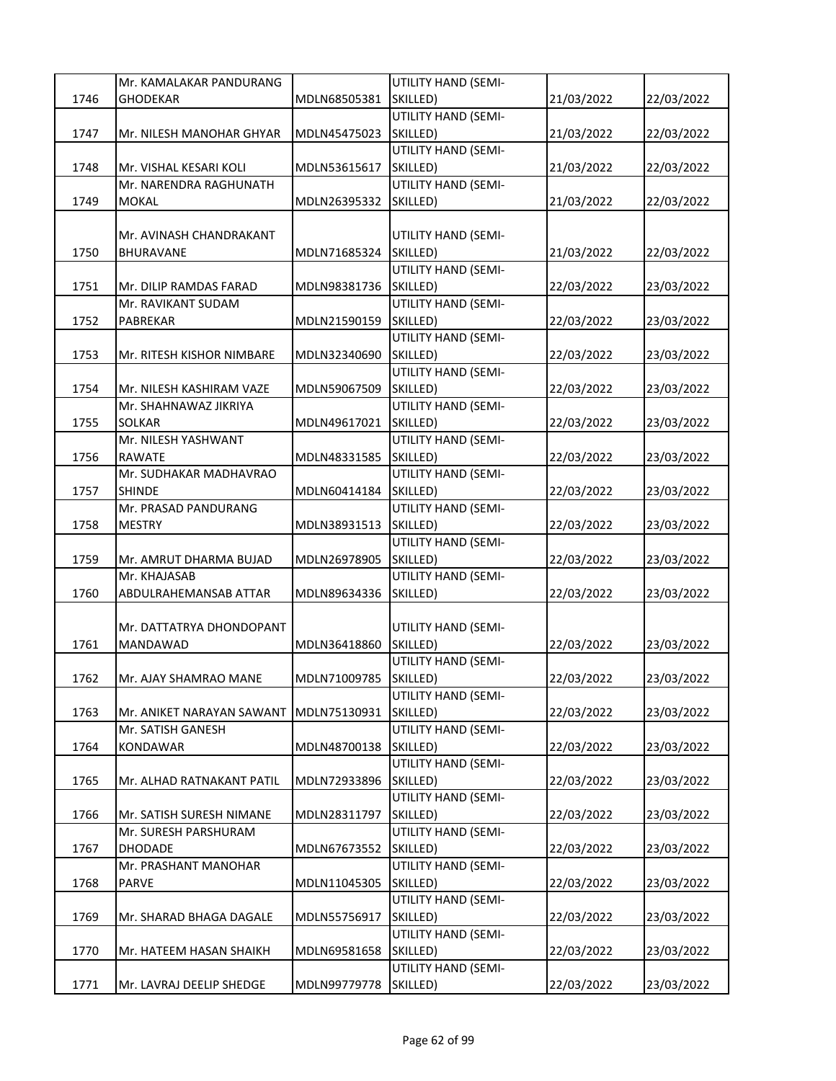|      | Mr. KAMALAKAR PANDURANG   |              | UTILITY HAND (SEMI-             |            |            |
|------|---------------------------|--------------|---------------------------------|------------|------------|
| 1746 | <b>GHODEKAR</b>           | MDLN68505381 | SKILLED)                        | 21/03/2022 | 22/03/2022 |
|      |                           |              | UTILITY HAND (SEMI-             |            |            |
| 1747 | Mr. NILESH MANOHAR GHYAR  | MDLN45475023 | SKILLED)                        | 21/03/2022 | 22/03/2022 |
|      |                           |              | UTILITY HAND (SEMI-             |            |            |
| 1748 | Mr. VISHAL KESARI KOLI    | MDLN53615617 | SKILLED)                        | 21/03/2022 | 22/03/2022 |
|      | Mr. NARENDRA RAGHUNATH    |              | UTILITY HAND (SEMI-             |            |            |
| 1749 | <b>MOKAL</b>              | MDLN26395332 | SKILLED)                        | 21/03/2022 | 22/03/2022 |
|      |                           |              |                                 |            |            |
|      | Mr. AVINASH CHANDRAKANT   |              | UTILITY HAND (SEMI-             |            |            |
| 1750 | <b>BHURAVANE</b>          | MDLN71685324 | SKILLED)                        | 21/03/2022 | 22/03/2022 |
|      |                           |              | UTILITY HAND (SEMI-             |            |            |
| 1751 | Mr. DILIP RAMDAS FARAD    | MDLN98381736 | SKILLED)                        | 22/03/2022 | 23/03/2022 |
|      | Mr. RAVIKANT SUDAM        |              | UTILITY HAND (SEMI-             |            |            |
| 1752 | PABREKAR                  | MDLN21590159 | SKILLED)                        | 22/03/2022 | 23/03/2022 |
|      |                           |              | UTILITY HAND (SEMI-             |            |            |
| 1753 | Mr. RITESH KISHOR NIMBARE | MDLN32340690 | SKILLED)                        | 22/03/2022 | 23/03/2022 |
|      |                           |              | UTILITY HAND (SEMI-             |            |            |
| 1754 | Mr. NILESH KASHIRAM VAZE  | MDLN59067509 | SKILLED)                        | 22/03/2022 | 23/03/2022 |
|      | Mr. SHAHNAWAZ JIKRIYA     |              | UTILITY HAND (SEMI-             |            |            |
| 1755 | <b>SOLKAR</b>             | MDLN49617021 | SKILLED)                        | 22/03/2022 | 23/03/2022 |
|      | Mr. NILESH YASHWANT       |              | UTILITY HAND (SEMI-             |            |            |
| 1756 | <b>RAWATE</b>             | MDLN48331585 | SKILLED)                        | 22/03/2022 | 23/03/2022 |
|      | Mr. SUDHAKAR MADHAVRAO    |              | UTILITY HAND (SEMI-             |            |            |
| 1757 | SHINDE                    | MDLN60414184 | SKILLED)                        | 22/03/2022 | 23/03/2022 |
|      | Mr. PRASAD PANDURANG      |              | UTILITY HAND (SEMI-             |            |            |
| 1758 | <b>MESTRY</b>             | MDLN38931513 | SKILLED)                        | 22/03/2022 | 23/03/2022 |
|      |                           |              | UTILITY HAND (SEMI-             |            |            |
| 1759 | Mr. AMRUT DHARMA BUJAD    | MDLN26978905 | SKILLED)                        | 22/03/2022 | 23/03/2022 |
|      | Mr. KHAJASAB              |              | UTILITY HAND (SEMI-             |            |            |
| 1760 | ABDULRAHEMANSAB ATTAR     | MDLN89634336 | SKILLED)                        | 22/03/2022 | 23/03/2022 |
|      |                           |              |                                 |            |            |
|      | Mr. DATTATRYA DHONDOPANT  |              | UTILITY HAND (SEMI-             |            |            |
| 1761 | MANDAWAD                  | MDLN36418860 | SKILLED)                        | 22/03/2022 | 23/03/2022 |
|      |                           |              | UTILITY HAND (SEMI-             |            |            |
| 1762 | Mr. AJAY SHAMRAO MANE     | MDLN71009785 | SKILLED)                        | 22/03/2022 | 23/03/2022 |
|      |                           |              | UTILITY HAND (SEMI-             |            |            |
| 1763 | Mr. ANIKET NARAYAN SAWANT | MDLN75130931 | SKILLED)                        | 22/03/2022 | 23/03/2022 |
|      | Mr. SATISH GANESH         |              | UTILITY HAND (SEMI-             |            |            |
| 1764 | KONDAWAR                  | MDLN48700138 | SKILLED)                        | 22/03/2022 | 23/03/2022 |
|      |                           |              | UTILITY HAND (SEMI-             |            |            |
| 1765 | Mr. ALHAD RATNAKANT PATIL | MDLN72933896 | SKILLED)                        | 22/03/2022 | 23/03/2022 |
|      |                           |              | UTILITY HAND (SEMI-             |            |            |
| 1766 | Mr. SATISH SURESH NIMANE  | MDLN28311797 | SKILLED)                        | 22/03/2022 | 23/03/2022 |
|      | Mr. SURESH PARSHURAM      |              | UTILITY HAND (SEMI-             |            |            |
| 1767 | <b>DHODADE</b>            | MDLN67673552 | SKILLED)                        | 22/03/2022 | 23/03/2022 |
|      | Mr. PRASHANT MANOHAR      |              | UTILITY HAND (SEMI-             |            |            |
| 1768 | <b>PARVE</b>              | MDLN11045305 | SKILLED)                        | 22/03/2022 | 23/03/2022 |
|      |                           |              | UTILITY HAND (SEMI-             |            |            |
| 1769 | Mr. SHARAD BHAGA DAGALE   | MDLN55756917 | SKILLED)                        | 22/03/2022 | 23/03/2022 |
|      |                           |              | UTILITY HAND (SEMI-             |            |            |
| 1770 | Mr. HATEEM HASAN SHAIKH   | MDLN69581658 | SKILLED)<br>UTILITY HAND (SEMI- | 22/03/2022 | 23/03/2022 |
|      |                           |              |                                 |            |            |
| 1771 | Mr. LAVRAJ DEELIP SHEDGE  | MDLN99779778 | SKILLED)                        | 22/03/2022 | 23/03/2022 |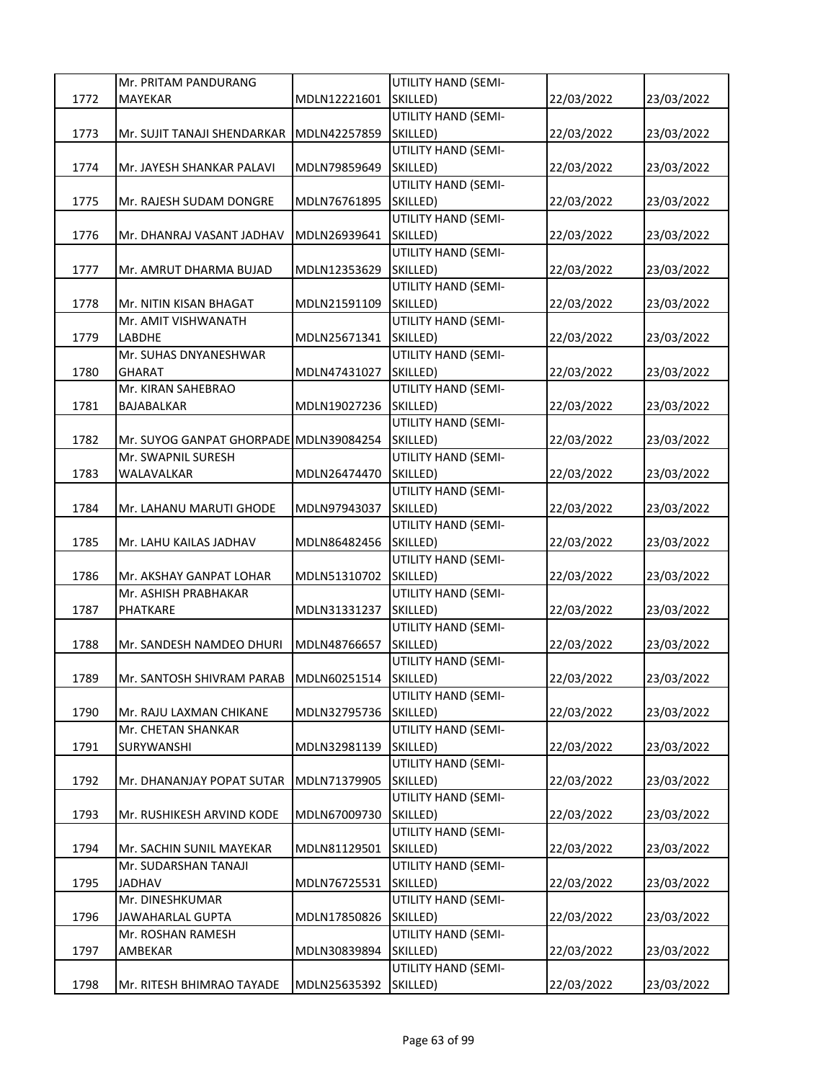|      | Mr. PRITAM PANDURANG                   |              | UTILITY HAND (SEMI-        |            |            |
|------|----------------------------------------|--------------|----------------------------|------------|------------|
| 1772 | <b>MAYEKAR</b>                         | MDLN12221601 | SKILLED)                   | 22/03/2022 | 23/03/2022 |
|      |                                        |              | UTILITY HAND (SEMI-        |            |            |
| 1773 | Mr. SUJIT TANAJI SHENDARKAR            | MDLN42257859 | SKILLED)                   | 22/03/2022 | 23/03/2022 |
|      |                                        |              | <b>UTILITY HAND (SEMI-</b> |            |            |
| 1774 | Mr. JAYESH SHANKAR PALAVI              | MDLN79859649 | SKILLED)                   | 22/03/2022 | 23/03/2022 |
|      |                                        |              | <b>UTILITY HAND (SEMI-</b> |            |            |
| 1775 | Mr. RAJESH SUDAM DONGRE                | MDLN76761895 | SKILLED)                   | 22/03/2022 | 23/03/2022 |
|      |                                        |              | UTILITY HAND (SEMI-        |            |            |
| 1776 | Mr. DHANRAJ VASANT JADHAV              | MDLN26939641 | SKILLED)                   | 22/03/2022 | 23/03/2022 |
|      |                                        |              | <b>UTILITY HAND (SEMI-</b> |            |            |
| 1777 | Mr. AMRUT DHARMA BUJAD                 | MDLN12353629 | SKILLED)                   | 22/03/2022 | 23/03/2022 |
|      |                                        |              | UTILITY HAND (SEMI-        |            |            |
| 1778 | Mr. NITIN KISAN BHAGAT                 | MDLN21591109 | SKILLED)                   | 22/03/2022 | 23/03/2022 |
|      | Mr. AMIT VISHWANATH                    |              | UTILITY HAND (SEMI-        |            |            |
| 1779 | <b>LABDHE</b>                          | MDLN25671341 | SKILLED)                   | 22/03/2022 | 23/03/2022 |
|      | Mr. SUHAS DNYANESHWAR                  |              | UTILITY HAND (SEMI-        |            |            |
| 1780 | <b>GHARAT</b>                          | MDLN47431027 | SKILLED)                   | 22/03/2022 | 23/03/2022 |
|      | Mr. KIRAN SAHEBRAO                     |              | UTILITY HAND (SEMI-        |            |            |
| 1781 | <b>BAJABALKAR</b>                      | MDLN19027236 | SKILLED)                   | 22/03/2022 | 23/03/2022 |
|      |                                        |              | UTILITY HAND (SEMI-        |            |            |
| 1782 | Mr. SUYOG GANPAT GHORPADE MDLN39084254 |              | SKILLED)                   | 22/03/2022 | 23/03/2022 |
|      | Mr. SWAPNIL SURESH                     |              | UTILITY HAND (SEMI-        |            |            |
| 1783 | WALAVALKAR                             | MDLN26474470 | SKILLED)                   | 22/03/2022 | 23/03/2022 |
|      |                                        |              | <b>UTILITY HAND (SEMI-</b> |            |            |
| 1784 | Mr. LAHANU MARUTI GHODE                | MDLN97943037 | SKILLED)                   | 22/03/2022 | 23/03/2022 |
|      |                                        |              | UTILITY HAND (SEMI-        |            |            |
| 1785 | Mr. LAHU KAILAS JADHAV                 | MDLN86482456 | SKILLED)                   | 22/03/2022 | 23/03/2022 |
|      |                                        |              | <b>UTILITY HAND (SEMI-</b> |            |            |
| 1786 | Mr. AKSHAY GANPAT LOHAR                | MDLN51310702 | SKILLED)                   | 22/03/2022 | 23/03/2022 |
|      | Mr. ASHISH PRABHAKAR                   |              | UTILITY HAND (SEMI-        |            |            |
| 1787 | PHATKARE                               | MDLN31331237 | SKILLED)                   | 22/03/2022 | 23/03/2022 |
|      |                                        |              | UTILITY HAND (SEMI-        |            |            |
| 1788 | Mr. SANDESH NAMDEO DHURI               | MDLN48766657 | SKILLED)                   | 22/03/2022 | 23/03/2022 |
|      |                                        |              | UTILITY HAND (SEMI-        |            |            |
| 1789 | Mr. SANTOSH SHIVRAM PARAB MDLN60251514 |              | SKILLED)                   | 22/03/2022 | 23/03/2022 |
|      |                                        |              | UTILITY HAND (SEMI-        |            |            |
| 1790 | Mr. RAJU LAXMAN CHIKANE                | MDLN32795736 | SKILLED)                   | 22/03/2022 | 23/03/2022 |
|      | Mr. CHETAN SHANKAR                     |              | UTILITY HAND (SEMI-        |            |            |
| 1791 | SURYWANSHI                             | MDLN32981139 | SKILLED)                   | 22/03/2022 | 23/03/2022 |
|      |                                        |              | <b>UTILITY HAND (SEMI-</b> |            |            |
| 1792 | Mr. DHANANJAY POPAT SUTAR              | MDLN71379905 | SKILLED)                   | 22/03/2022 | 23/03/2022 |
|      |                                        |              | UTILITY HAND (SEMI-        |            |            |
| 1793 | Mr. RUSHIKESH ARVIND KODE              | MDLN67009730 | SKILLED)                   | 22/03/2022 | 23/03/2022 |
|      |                                        |              | UTILITY HAND (SEMI-        |            |            |
| 1794 | Mr. SACHIN SUNIL MAYEKAR               | MDLN81129501 | SKILLED)                   | 22/03/2022 | 23/03/2022 |
|      | Mr. SUDARSHAN TANAJI                   |              | <b>UTILITY HAND (SEMI-</b> |            |            |
| 1795 | <b>JADHAV</b>                          | MDLN76725531 | SKILLED)                   | 22/03/2022 | 23/03/2022 |
|      | Mr. DINESHKUMAR                        |              | UTILITY HAND (SEMI-        |            |            |
| 1796 | <b>JAWAHARLAL GUPTA</b>                | MDLN17850826 | SKILLED)                   | 22/03/2022 | 23/03/2022 |
|      | Mr. ROSHAN RAMESH                      |              | UTILITY HAND (SEMI-        |            |            |
| 1797 | AMBEKAR                                | MDLN30839894 | SKILLED)                   | 22/03/2022 | 23/03/2022 |
|      |                                        |              | UTILITY HAND (SEMI-        |            |            |
| 1798 | Mr. RITESH BHIMRAO TAYADE              | MDLN25635392 | SKILLED)                   | 22/03/2022 | 23/03/2022 |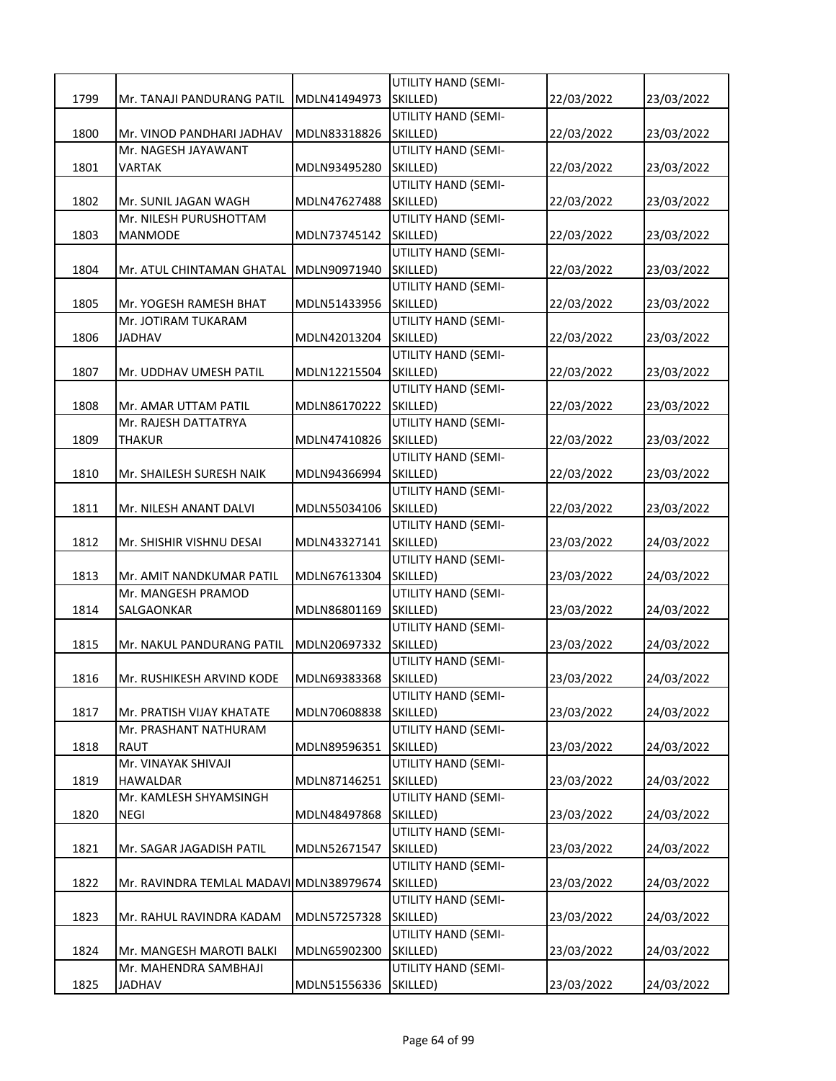|      |                                         |              | UTILITY HAND (SEMI-             |            |            |
|------|-----------------------------------------|--------------|---------------------------------|------------|------------|
| 1799 | Mr. TANAJI PANDURANG PATIL              | MDLN41494973 | SKILLED)                        | 22/03/2022 | 23/03/2022 |
|      |                                         |              | UTILITY HAND (SEMI-             |            |            |
| 1800 | Mr. VINOD PANDHARI JADHAV               | MDLN83318826 | SKILLED)                        | 22/03/2022 | 23/03/2022 |
|      | Mr. NAGESH JAYAWANT                     |              | UTILITY HAND (SEMI-             |            |            |
| 1801 | VARTAK                                  | MDLN93495280 | SKILLED)                        | 22/03/2022 | 23/03/2022 |
|      |                                         |              | UTILITY HAND (SEMI-             |            |            |
| 1802 | Mr. SUNIL JAGAN WAGH                    | MDLN47627488 | SKILLED)                        | 22/03/2022 | 23/03/2022 |
|      | Mr. NILESH PURUSHOTTAM                  |              | UTILITY HAND (SEMI-             |            |            |
| 1803 | MANMODE                                 | MDLN73745142 | SKILLED)                        | 22/03/2022 | 23/03/2022 |
|      |                                         |              | UTILITY HAND (SEMI-             |            |            |
| 1804 | Mr. ATUL CHINTAMAN GHATAL               | MDLN90971940 | SKILLED)                        | 22/03/2022 | 23/03/2022 |
|      |                                         |              | UTILITY HAND (SEMI-             |            |            |
| 1805 | Mr. YOGESH RAMESH BHAT                  | MDLN51433956 | SKILLED)                        | 22/03/2022 | 23/03/2022 |
|      | Mr. JOTIRAM TUKARAM                     |              | UTILITY HAND (SEMI-             |            |            |
| 1806 | <b>JADHAV</b>                           | MDLN42013204 | SKILLED)                        | 22/03/2022 | 23/03/2022 |
|      |                                         |              | UTILITY HAND (SEMI-             |            |            |
| 1807 | Mr. UDDHAV UMESH PATIL                  | MDLN12215504 | SKILLED)                        | 22/03/2022 | 23/03/2022 |
|      |                                         |              | UTILITY HAND (SEMI-             |            |            |
| 1808 | Mr. AMAR UTTAM PATIL                    | MDLN86170222 | SKILLED)                        | 22/03/2022 | 23/03/2022 |
|      | Mr. RAJESH DATTATRYA                    |              | UTILITY HAND (SEMI-             |            |            |
| 1809 | THAKUR                                  | MDLN47410826 | SKILLED)                        | 22/03/2022 | 23/03/2022 |
|      |                                         |              | UTILITY HAND (SEMI-             |            |            |
| 1810 | Mr. SHAILESH SURESH NAIK                | MDLN94366994 | SKILLED)                        | 22/03/2022 | 23/03/2022 |
|      |                                         |              | UTILITY HAND (SEMI-             |            |            |
| 1811 | Mr. NILESH ANANT DALVI                  | MDLN55034106 | SKILLED)                        | 22/03/2022 | 23/03/2022 |
|      |                                         |              | UTILITY HAND (SEMI-             |            |            |
| 1812 | Mr. SHISHIR VISHNU DESAI                | MDLN43327141 | SKILLED)<br>UTILITY HAND (SEMI- | 23/03/2022 | 24/03/2022 |
|      | Mr. AMIT NANDKUMAR PATIL                |              | SKILLED)                        |            |            |
| 1813 | Mr. MANGESH PRAMOD                      | MDLN67613304 | UTILITY HAND (SEMI-             | 23/03/2022 | 24/03/2022 |
| 1814 | SALGAONKAR                              | MDLN86801169 | SKILLED)                        | 23/03/2022 | 24/03/2022 |
|      |                                         |              | UTILITY HAND (SEMI-             |            |            |
| 1815 | Mr. NAKUL PANDURANG PATIL               | MDLN20697332 | SKILLED)                        | 23/03/2022 | 24/03/2022 |
|      |                                         |              | UTILITY HAND (SEMI-             |            |            |
| 1816 | Mr. RUSHIKESH ARVIND KODE               | MDLN69383368 | SKILLED)                        | 23/03/2022 | 24/03/2022 |
|      |                                         |              | UTILITY HAND (SEMI-             |            |            |
| 1817 | Mr. PRATISH VIJAY KHATATE               | MDLN70608838 | SKILLED)                        | 23/03/2022 | 24/03/2022 |
|      | Mr. PRASHANT NATHURAM                   |              | UTILITY HAND (SEMI-             |            |            |
| 1818 | RAUT                                    | MDLN89596351 | SKILLED)                        | 23/03/2022 | 24/03/2022 |
|      | Mr. VINAYAK SHIVAJI                     |              | UTILITY HAND (SEMI-             |            |            |
| 1819 | HAWALDAR                                | MDLN87146251 | SKILLED)                        | 23/03/2022 | 24/03/2022 |
|      | Mr. KAMLESH SHYAMSINGH                  |              | UTILITY HAND (SEMI-             |            |            |
| 1820 | <b>NEGI</b>                             | MDLN48497868 | SKILLED)                        | 23/03/2022 | 24/03/2022 |
|      |                                         |              | UTILITY HAND (SEMI-             |            |            |
| 1821 | Mr. SAGAR JAGADISH PATIL                | MDLN52671547 | SKILLED)                        | 23/03/2022 | 24/03/2022 |
|      |                                         |              | <b>UTILITY HAND (SEMI-</b>      |            |            |
| 1822 | Mr. RAVINDRA TEMLAL MADAVI MDLN38979674 |              | SKILLED)                        | 23/03/2022 | 24/03/2022 |
|      |                                         |              | UTILITY HAND (SEMI-             |            |            |
| 1823 | Mr. RAHUL RAVINDRA KADAM                | MDLN57257328 | SKILLED)                        | 23/03/2022 | 24/03/2022 |
|      |                                         |              | UTILITY HAND (SEMI-             |            |            |
| 1824 | Mr. MANGESH MAROTI BALKI                | MDLN65902300 | SKILLED)                        | 23/03/2022 | 24/03/2022 |
|      | Mr. MAHENDRA SAMBHAJI                   |              | UTILITY HAND (SEMI-             |            |            |
| 1825 | JADHAV                                  | MDLN51556336 | SKILLED)                        | 23/03/2022 | 24/03/2022 |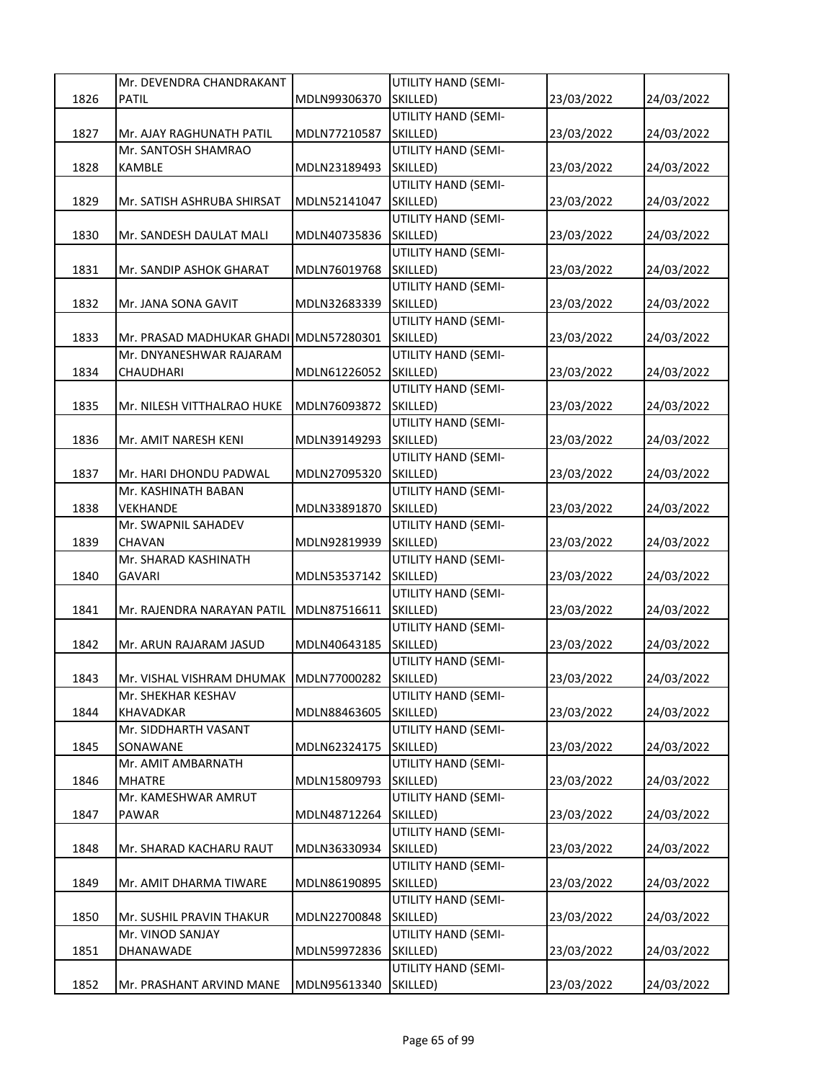|      | Mr. DEVENDRA CHANDRAKANT                     |              | UTILITY HAND (SEMI-             |            |            |
|------|----------------------------------------------|--------------|---------------------------------|------------|------------|
| 1826 | <b>PATIL</b>                                 | MDLN99306370 | SKILLED)                        | 23/03/2022 | 24/03/2022 |
|      |                                              |              | UTILITY HAND (SEMI-             |            |            |
| 1827 | Mr. AJAY RAGHUNATH PATIL                     | MDLN77210587 | SKILLED)                        | 23/03/2022 | 24/03/2022 |
|      | Mr. SANTOSH SHAMRAO                          |              | UTILITY HAND (SEMI-             |            |            |
| 1828 | KAMBLE                                       | MDLN23189493 | SKILLED)                        | 23/03/2022 | 24/03/2022 |
|      |                                              |              | UTILITY HAND (SEMI-             |            |            |
| 1829 | Mr. SATISH ASHRUBA SHIRSAT                   | MDLN52141047 | SKILLED)                        | 23/03/2022 | 24/03/2022 |
|      |                                              |              | UTILITY HAND (SEMI-             |            |            |
| 1830 | Mr. SANDESH DAULAT MALI                      | MDLN40735836 | SKILLED)                        | 23/03/2022 | 24/03/2022 |
|      |                                              |              | UTILITY HAND (SEMI-             |            |            |
| 1831 | Mr. SANDIP ASHOK GHARAT                      | MDLN76019768 | SKILLED)                        | 23/03/2022 | 24/03/2022 |
|      |                                              |              | UTILITY HAND (SEMI-             |            |            |
| 1832 | Mr. JANA SONA GAVIT                          | MDLN32683339 | SKILLED)                        | 23/03/2022 | 24/03/2022 |
|      |                                              |              | UTILITY HAND (SEMI-             |            |            |
| 1833 | Mr. PRASAD MADHUKAR GHADI MDLN57280301       |              | SKILLED)                        | 23/03/2022 | 24/03/2022 |
|      | Mr. DNYANESHWAR RAJARAM                      |              | UTILITY HAND (SEMI-             |            |            |
| 1834 | CHAUDHARI                                    | MDLN61226052 | SKILLED)<br>UTILITY HAND (SEMI- | 23/03/2022 | 24/03/2022 |
| 1835 |                                              | MDLN76093872 | SKILLED)                        |            | 24/03/2022 |
|      | Mr. NILESH VITTHALRAO HUKE                   |              | UTILITY HAND (SEMI-             | 23/03/2022 |            |
| 1836 | Mr. AMIT NARESH KENI                         | MDLN39149293 | SKILLED)                        | 23/03/2022 | 24/03/2022 |
|      |                                              |              | UTILITY HAND (SEMI-             |            |            |
| 1837 | Mr. HARI DHONDU PADWAL                       | MDLN27095320 | SKILLED)                        | 23/03/2022 | 24/03/2022 |
|      | Mr. KASHINATH BABAN                          |              | UTILITY HAND (SEMI-             |            |            |
| 1838 | VEKHANDE                                     | MDLN33891870 | SKILLED)                        | 23/03/2022 | 24/03/2022 |
|      | Mr. SWAPNIL SAHADEV                          |              | UTILITY HAND (SEMI-             |            |            |
| 1839 | <b>CHAVAN</b>                                | MDLN92819939 | SKILLED)                        | 23/03/2022 | 24/03/2022 |
|      | Mr. SHARAD KASHINATH                         |              | UTILITY HAND (SEMI-             |            |            |
| 1840 | GAVARI                                       | MDLN53537142 | SKILLED)                        | 23/03/2022 | 24/03/2022 |
|      |                                              |              | UTILITY HAND (SEMI-             |            |            |
| 1841 | Mr. RAJENDRA NARAYAN PATIL                   | MDLN87516611 | SKILLED)                        | 23/03/2022 | 24/03/2022 |
|      |                                              |              | UTILITY HAND (SEMI-             |            |            |
| 1842 | Mr. ARUN RAJARAM JASUD                       | MDLN40643185 | SKILLED)                        | 23/03/2022 | 24/03/2022 |
|      |                                              |              | UTILITY HAND (SEMI-             |            |            |
| 1843 | Mr. VISHAL VISHRAM DHUMAK   MDLN77000282     |              | SKILLED)                        | 23/03/2022 | 24/03/2022 |
|      | Mr. SHEKHAR KESHAV                           |              | UTILITY HAND (SEMI-             |            |            |
| 1844 | KHAVADKAR                                    | MDLN88463605 | SKILLED)                        | 23/03/2022 | 24/03/2022 |
|      | Mr. SIDDHARTH VASANT                         |              | UTILITY HAND (SEMI-             |            |            |
| 1845 | SONAWANE                                     | MDLN62324175 | SKILLED)                        | 23/03/2022 | 24/03/2022 |
|      | Mr. AMIT AMBARNATH                           |              | UTILITY HAND (SEMI-             |            |            |
| 1846 | <b>MHATRE</b>                                | MDLN15809793 | SKILLED)                        | 23/03/2022 | 24/03/2022 |
|      | Mr. KAMESHWAR AMRUT                          |              | UTILITY HAND (SEMI-             |            |            |
| 1847 | <b>PAWAR</b>                                 | MDLN48712264 | SKILLED)                        | 23/03/2022 | 24/03/2022 |
|      |                                              |              | UTILITY HAND (SEMI-             |            |            |
| 1848 | Mr. SHARAD KACHARU RAUT                      | MDLN36330934 | SKILLED)                        | 23/03/2022 | 24/03/2022 |
|      |                                              |              | UTILITY HAND (SEMI-             |            |            |
| 1849 | Mr. AMIT DHARMA TIWARE                       | MDLN86190895 | SKILLED)                        | 23/03/2022 | 24/03/2022 |
|      |                                              | MDLN22700848 | UTILITY HAND (SEMI-             |            |            |
| 1850 | Mr. SUSHIL PRAVIN THAKUR<br>Mr. VINOD SANJAY |              | SKILLED)<br>UTILITY HAND (SEMI- | 23/03/2022 | 24/03/2022 |
| 1851 | DHANAWADE                                    | MDLN59972836 | SKILLED)                        | 23/03/2022 | 24/03/2022 |
|      |                                              |              | UTILITY HAND (SEMI-             |            |            |
| 1852 | Mr. PRASHANT ARVIND MANE                     | MDLN95613340 | SKILLED)                        | 23/03/2022 | 24/03/2022 |
|      |                                              |              |                                 |            |            |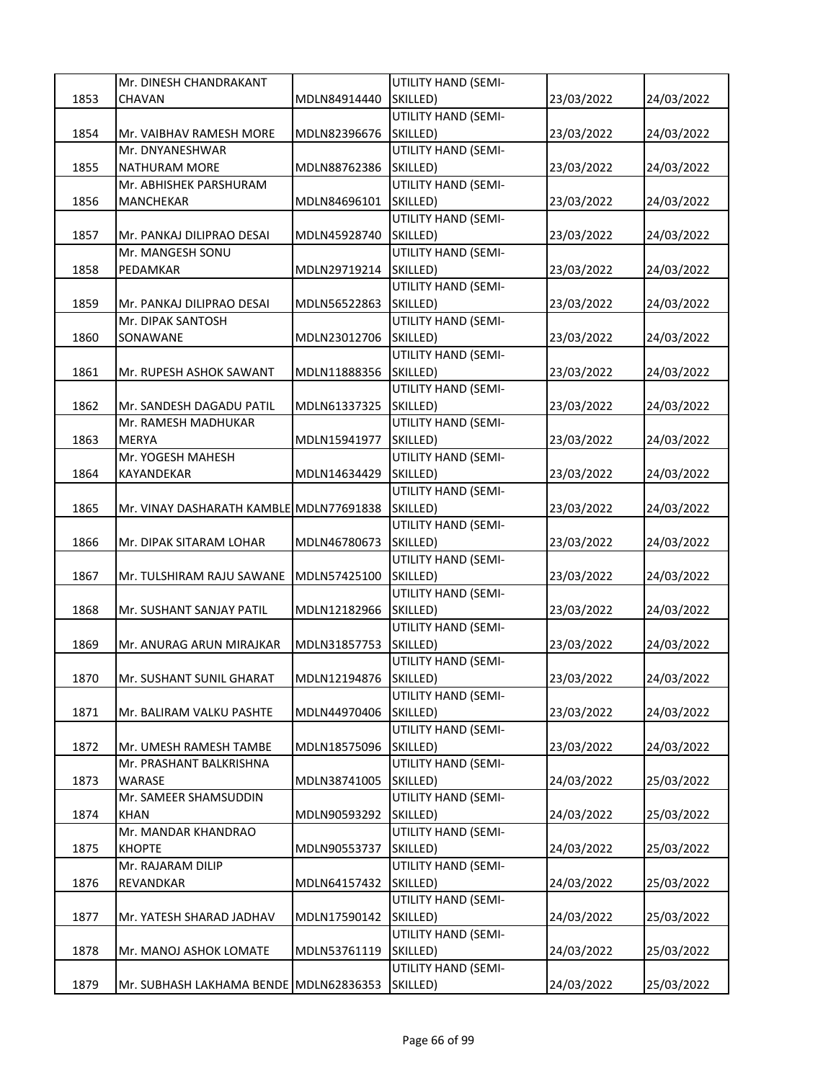|      | Mr. DINESH CHANDRAKANT                            |              | UTILITY HAND (SEMI-                    |            |            |
|------|---------------------------------------------------|--------------|----------------------------------------|------------|------------|
| 1853 | CHAVAN                                            | MDLN84914440 | SKILLED)                               | 23/03/2022 | 24/03/2022 |
|      |                                                   |              | UTILITY HAND (SEMI-                    |            |            |
| 1854 | Mr. VAIBHAV RAMESH MORE                           | MDLN82396676 | SKILLED)                               | 23/03/2022 | 24/03/2022 |
|      | Mr. DNYANESHWAR                                   |              | UTILITY HAND (SEMI-                    |            |            |
| 1855 | NATHURAM MORE                                     | MDLN88762386 | SKILLED)                               | 23/03/2022 | 24/03/2022 |
|      | Mr. ABHISHEK PARSHURAM                            |              | UTILITY HAND (SEMI-                    |            |            |
| 1856 | MANCHEKAR                                         | MDLN84696101 | SKILLED)                               | 23/03/2022 | 24/03/2022 |
|      |                                                   |              | UTILITY HAND (SEMI-                    |            |            |
| 1857 | Mr. PANKAJ DILIPRAO DESAI                         | MDLN45928740 | SKILLED)                               | 23/03/2022 | 24/03/2022 |
|      | Mr. MANGESH SONU                                  |              | UTILITY HAND (SEMI-                    |            |            |
| 1858 | PEDAMKAR                                          | MDLN29719214 | SKILLED)                               | 23/03/2022 | 24/03/2022 |
|      |                                                   |              | UTILITY HAND (SEMI-                    |            |            |
| 1859 | Mr. PANKAJ DILIPRAO DESAI                         | MDLN56522863 | SKILLED)                               | 23/03/2022 | 24/03/2022 |
|      | Mr. DIPAK SANTOSH                                 |              | UTILITY HAND (SEMI-                    |            |            |
| 1860 | SONAWANE                                          | MDLN23012706 | SKILLED)                               | 23/03/2022 | 24/03/2022 |
|      |                                                   |              | UTILITY HAND (SEMI-                    |            |            |
| 1861 | Mr. RUPESH ASHOK SAWANT                           | MDLN11888356 | SKILLED)                               | 23/03/2022 | 24/03/2022 |
|      |                                                   |              | UTILITY HAND (SEMI-                    |            |            |
| 1862 | Mr. SANDESH DAGADU PATIL                          | MDLN61337325 | SKILLED)                               | 23/03/2022 | 24/03/2022 |
|      | Mr. RAMESH MADHUKAR                               |              | UTILITY HAND (SEMI-                    |            |            |
| 1863 | MERYA                                             | MDLN15941977 | SKILLED)                               | 23/03/2022 | 24/03/2022 |
|      | Mr. YOGESH MAHESH                                 |              | UTILITY HAND (SEMI-                    |            |            |
| 1864 | KAYANDEKAR                                        | MDLN14634429 | SKILLED)                               | 23/03/2022 | 24/03/2022 |
|      |                                                   |              | UTILITY HAND (SEMI-                    |            |            |
| 1865 | Mr. VINAY DASHARATH KAMBLE MDLN77691838           |              | SKILLED)                               | 23/03/2022 | 24/03/2022 |
|      |                                                   |              | UTILITY HAND (SEMI-                    |            |            |
| 1866 | Mr. DIPAK SITARAM LOHAR                           | MDLN46780673 | SKILLED)                               | 23/03/2022 | 24/03/2022 |
|      |                                                   |              | UTILITY HAND (SEMI-                    |            |            |
| 1867 | Mr. TULSHIRAM RAJU SAWANE                         | MDLN57425100 | SKILLED)                               | 23/03/2022 | 24/03/2022 |
|      |                                                   |              | UTILITY HAND (SEMI-                    |            |            |
| 1868 | Mr. SUSHANT SANJAY PATIL                          | MDLN12182966 | SKILLED)                               | 23/03/2022 | 24/03/2022 |
|      |                                                   |              | UTILITY HAND (SEMI-                    |            |            |
| 1869 | Mr. ANURAG ARUN MIRAJKAR                          | MDLN31857753 | SKILLED)                               | 23/03/2022 | 24/03/2022 |
|      |                                                   |              | UTILITY HAND (SEMI-                    |            |            |
| 1870 | Mr. SUSHANT SUNIL GHARAT                          | MDLN12194876 | SKILLED)                               | 23/03/2022 | 24/03/2022 |
|      |                                                   |              | UTILITY HAND (SEMI-                    |            |            |
| 1871 | Mr. BALIRAM VALKU PASHTE                          | MDLN44970406 | SKILLED)                               | 23/03/2022 | 24/03/2022 |
|      |                                                   |              | UTILITY HAND (SEMI-                    |            |            |
| 1872 | Mr. UMESH RAMESH TAMBE<br>Mr. PRASHANT BALKRISHNA | MDLN18575096 | SKILLED)<br><b>UTILITY HAND (SEMI-</b> | 23/03/2022 | 24/03/2022 |
| 1873 | WARASE                                            | MDLN38741005 | SKILLED)                               | 24/03/2022 | 25/03/2022 |
|      | Mr. SAMEER SHAMSUDDIN                             |              | UTILITY HAND (SEMI-                    |            |            |
| 1874 | <b>KHAN</b>                                       | MDLN90593292 | SKILLED)                               | 24/03/2022 | 25/03/2022 |
|      | Mr. MANDAR KHANDRAO                               |              | UTILITY HAND (SEMI-                    |            |            |
| 1875 | <b>KHOPTE</b>                                     | MDLN90553737 | SKILLED)                               | 24/03/2022 | 25/03/2022 |
|      | Mr. RAJARAM DILIP                                 |              | UTILITY HAND (SEMI-                    |            |            |
| 1876 | REVANDKAR                                         | MDLN64157432 | SKILLED)                               | 24/03/2022 | 25/03/2022 |
|      |                                                   |              | UTILITY HAND (SEMI-                    |            |            |
| 1877 | Mr. YATESH SHARAD JADHAV                          | MDLN17590142 | SKILLED)                               | 24/03/2022 | 25/03/2022 |
|      |                                                   |              | UTILITY HAND (SEMI-                    |            |            |
| 1878 | Mr. MANOJ ASHOK LOMATE                            | MDLN53761119 | SKILLED)                               | 24/03/2022 | 25/03/2022 |
|      |                                                   |              | UTILITY HAND (SEMI-                    |            |            |
| 1879 | Mr. SUBHASH LAKHAMA BENDE MDLN62836353            |              | SKILLED)                               | 24/03/2022 | 25/03/2022 |
|      |                                                   |              |                                        |            |            |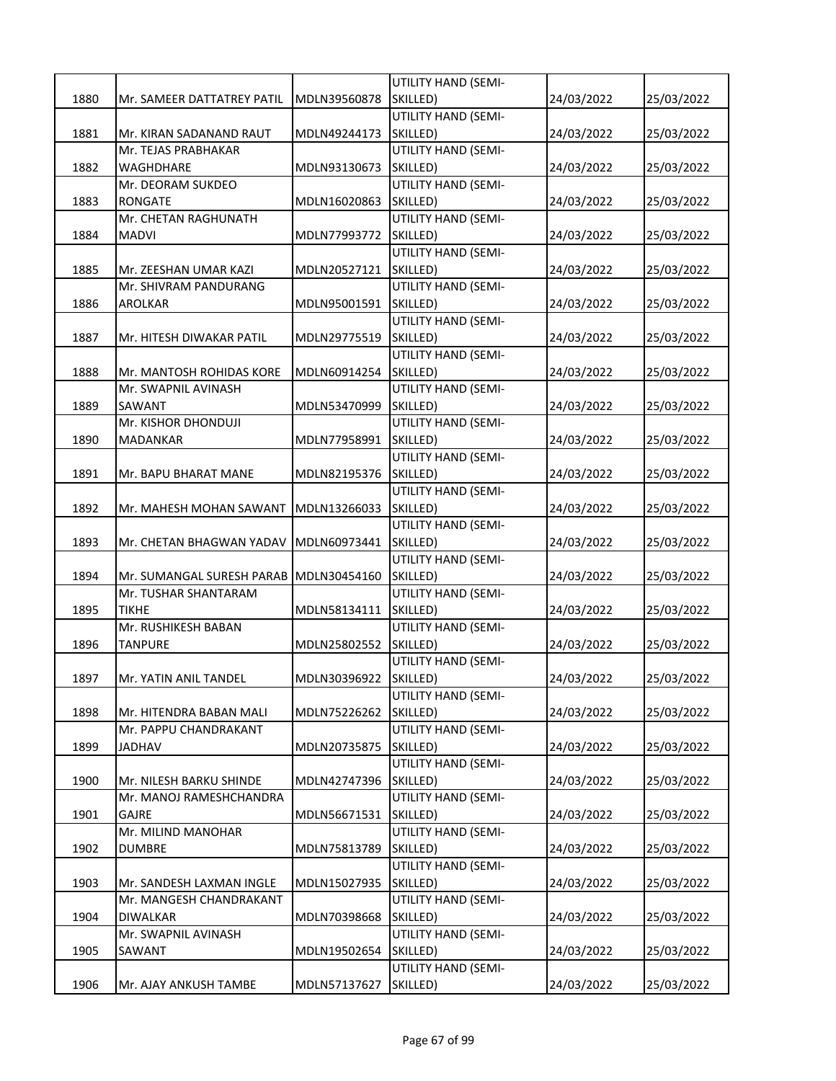|      |                            |              | UTILITY HAND (SEMI-             |            |            |
|------|----------------------------|--------------|---------------------------------|------------|------------|
| 1880 | Mr. SAMEER DATTATREY PATIL | MDLN39560878 | SKILLED)                        | 24/03/2022 | 25/03/2022 |
|      |                            |              | UTILITY HAND (SEMI-             |            |            |
| 1881 | Mr. KIRAN SADANAND RAUT    | MDLN49244173 | SKILLED)                        | 24/03/2022 | 25/03/2022 |
|      | Mr. TEJAS PRABHAKAR        |              | UTILITY HAND (SEMI-             |            |            |
| 1882 | WAGHDHARE                  | MDLN93130673 | SKILLED)                        | 24/03/2022 | 25/03/2022 |
|      | Mr. DEORAM SUKDEO          |              | UTILITY HAND (SEMI-             |            |            |
| 1883 | RONGATE                    | MDLN16020863 | SKILLED)                        | 24/03/2022 | 25/03/2022 |
|      | Mr. CHETAN RAGHUNATH       |              | UTILITY HAND (SEMI-             |            |            |
| 1884 | MADVI                      | MDLN77993772 | SKILLED)                        | 24/03/2022 | 25/03/2022 |
|      |                            |              | UTILITY HAND (SEMI-             |            |            |
| 1885 | Mr. ZEESHAN UMAR KAZI      | MDLN20527121 | SKILLED)                        | 24/03/2022 | 25/03/2022 |
|      | Mr. SHIVRAM PANDURANG      |              | UTILITY HAND (SEMI-             |            |            |
| 1886 | AROLKAR                    | MDLN95001591 | SKILLED)                        | 24/03/2022 | 25/03/2022 |
|      |                            |              | UTILITY HAND (SEMI-             |            |            |
| 1887 | Mr. HITESH DIWAKAR PATIL   | MDLN29775519 | SKILLED)                        | 24/03/2022 | 25/03/2022 |
|      |                            |              | UTILITY HAND (SEMI-             |            |            |
| 1888 | Mr. MANTOSH ROHIDAS KORE   | MDLN60914254 | SKILLED)                        | 24/03/2022 | 25/03/2022 |
|      | Mr. SWAPNIL AVINASH        |              | UTILITY HAND (SEMI-             |            |            |
| 1889 | SAWANT                     | MDLN53470999 | SKILLED)                        | 24/03/2022 | 25/03/2022 |
|      | Mr. KISHOR DHONDUJI        |              | UTILITY HAND (SEMI-             |            |            |
| 1890 | MADANKAR                   | MDLN77958991 | SKILLED)                        | 24/03/2022 | 25/03/2022 |
|      |                            |              | UTILITY HAND (SEMI-             |            |            |
| 1891 | Mr. BAPU BHARAT MANE       | MDLN82195376 | SKILLED)                        | 24/03/2022 | 25/03/2022 |
|      |                            |              | UTILITY HAND (SEMI-             |            |            |
| 1892 | Mr. MAHESH MOHAN SAWANT    | MDLN13266033 | SKILLED)                        | 24/03/2022 | 25/03/2022 |
|      |                            |              | UTILITY HAND (SEMI-             |            |            |
| 1893 | Mr. CHETAN BHAGWAN YADAV   | MDLN60973441 | SKILLED)<br>UTILITY HAND (SEMI- | 24/03/2022 | 25/03/2022 |
| 1894 | Mr. SUMANGAL SURESH PARAB  |              | SKILLED)                        |            |            |
|      | Mr. TUSHAR SHANTARAM       | MDLN30454160 | UTILITY HAND (SEMI-             | 24/03/2022 | 25/03/2022 |
| 1895 | <b>TIKHE</b>               | MDLN58134111 | SKILLED)                        | 24/03/2022 | 25/03/2022 |
|      | Mr. RUSHIKESH BABAN        |              | UTILITY HAND (SEMI-             |            |            |
| 1896 | TANPURE                    | MDLN25802552 | SKILLED)                        | 24/03/2022 | 25/03/2022 |
|      |                            |              | UTILITY HAND (SEMI-             |            |            |
| 1897 | Mr. YATIN ANIL TANDEL      | MDLN30396922 | SKILLED)                        | 24/03/2022 | 25/03/2022 |
|      |                            |              | UTILITY HAND (SEMI-             |            |            |
| 1898 | Mr. HITENDRA BABAN MALI    | MDLN75226262 | SKILLED)                        | 24/03/2022 | 25/03/2022 |
|      | Mr. PAPPU CHANDRAKANT      |              | <b>UTILITY HAND (SEMI-</b>      |            |            |
| 1899 | JADHAV                     | MDLN20735875 | SKILLED)                        | 24/03/2022 | 25/03/2022 |
|      |                            |              | <b>UTILITY HAND (SEMI-</b>      |            |            |
| 1900 | Mr. NILESH BARKU SHINDE    | MDLN42747396 | SKILLED)                        | 24/03/2022 | 25/03/2022 |
|      | Mr. MANOJ RAMESHCHANDRA    |              | UTILITY HAND (SEMI-             |            |            |
| 1901 | GAJRE                      | MDLN56671531 | SKILLED)                        | 24/03/2022 | 25/03/2022 |
|      | Mr. MILIND MANOHAR         |              | UTILITY HAND (SEMI-             |            |            |
| 1902 | <b>DUMBRE</b>              | MDLN75813789 | SKILLED)                        | 24/03/2022 | 25/03/2022 |
|      |                            |              | <b>UTILITY HAND (SEMI-</b>      |            |            |
| 1903 | Mr. SANDESH LAXMAN INGLE   | MDLN15027935 | SKILLED)                        | 24/03/2022 | 25/03/2022 |
|      | Mr. MANGESH CHANDRAKANT    |              | UTILITY HAND (SEMI-             |            |            |
| 1904 | DIWALKAR                   | MDLN70398668 | SKILLED)                        | 24/03/2022 | 25/03/2022 |
|      | Mr. SWAPNIL AVINASH        |              | UTILITY HAND (SEMI-             |            |            |
| 1905 | SAWANT                     | MDLN19502654 | SKILLED)                        | 24/03/2022 | 25/03/2022 |
|      |                            |              | UTILITY HAND (SEMI-             |            |            |
| 1906 | Mr. AJAY ANKUSH TAMBE      | MDLN57137627 | SKILLED)                        | 24/03/2022 | 25/03/2022 |
|      |                            |              |                                 |            |            |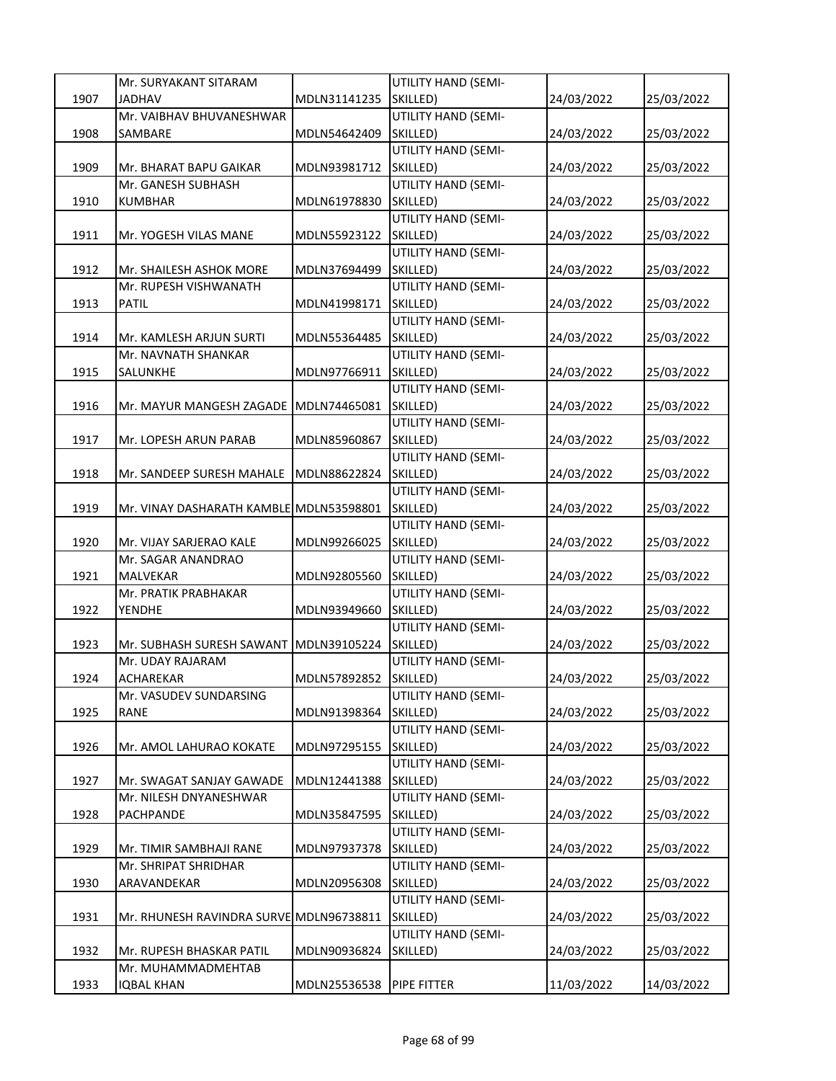|      | Mr. SURYAKANT SITARAM                   |              | UTILITY HAND (SEMI-             |            |            |
|------|-----------------------------------------|--------------|---------------------------------|------------|------------|
| 1907 | <b>JADHAV</b>                           | MDLN31141235 | SKILLED)                        | 24/03/2022 | 25/03/2022 |
|      | Mr. VAIBHAV BHUVANESHWAR                |              | UTILITY HAND (SEMI-             |            |            |
| 1908 | SAMBARE                                 | MDLN54642409 | SKILLED)                        | 24/03/2022 | 25/03/2022 |
|      |                                         |              | UTILITY HAND (SEMI-             |            |            |
| 1909 | Mr. BHARAT BAPU GAIKAR                  | MDLN93981712 | SKILLED)                        | 24/03/2022 | 25/03/2022 |
|      | Mr. GANESH SUBHASH                      |              | UTILITY HAND (SEMI-             |            |            |
| 1910 | <b>KUMBHAR</b>                          | MDLN61978830 | SKILLED)                        | 24/03/2022 | 25/03/2022 |
|      |                                         |              | UTILITY HAND (SEMI-             |            |            |
| 1911 | Mr. YOGESH VILAS MANE                   | MDLN55923122 | SKILLED)                        | 24/03/2022 | 25/03/2022 |
|      |                                         |              | UTILITY HAND (SEMI-             |            |            |
| 1912 | Mr. SHAILESH ASHOK MORE                 | MDLN37694499 | SKILLED)                        | 24/03/2022 | 25/03/2022 |
|      | Mr. RUPESH VISHWANATH                   |              | UTILITY HAND (SEMI-             |            |            |
| 1913 | <b>PATIL</b>                            | MDLN41998171 | SKILLED)                        | 24/03/2022 | 25/03/2022 |
|      |                                         |              | UTILITY HAND (SEMI-             |            |            |
| 1914 | Mr. KAMLESH ARJUN SURTI                 | MDLN55364485 | SKILLED)                        | 24/03/2022 | 25/03/2022 |
|      | Mr. NAVNATH SHANKAR                     |              | UTILITY HAND (SEMI-             |            |            |
| 1915 | SALUNKHE                                | MDLN97766911 | SKILLED)                        | 24/03/2022 | 25/03/2022 |
|      |                                         |              | UTILITY HAND (SEMI-             |            |            |
| 1916 | Mr. MAYUR MANGESH ZAGADE MDLN74465081   |              | SKILLED)                        | 24/03/2022 | 25/03/2022 |
|      |                                         |              | UTILITY HAND (SEMI-             |            |            |
| 1917 | Mr. LOPESH ARUN PARAB                   | MDLN85960867 | SKILLED)                        | 24/03/2022 | 25/03/2022 |
|      |                                         |              | UTILITY HAND (SEMI-             |            |            |
| 1918 | Mr. SANDEEP SURESH MAHALE               | MDLN88622824 | SKILLED)                        | 24/03/2022 | 25/03/2022 |
|      |                                         |              | UTILITY HAND (SEMI-             |            |            |
| 1919 | Mr. VINAY DASHARATH KAMBLE MDLN53598801 |              | SKILLED)                        | 24/03/2022 | 25/03/2022 |
|      |                                         |              | UTILITY HAND (SEMI-             |            |            |
| 1920 | Mr. VIJAY SARJERAO KALE                 | MDLN99266025 | SKILLED)                        | 24/03/2022 | 25/03/2022 |
|      | Mr. SAGAR ANANDRAO                      |              | UTILITY HAND (SEMI-             |            |            |
| 1921 | MALVEKAR                                | MDLN92805560 | SKILLED)                        | 24/03/2022 | 25/03/2022 |
|      | Mr. PRATIK PRABHAKAR                    |              | UTILITY HAND (SEMI-             |            |            |
| 1922 | YENDHE                                  | MDLN93949660 | SKILLED)                        | 24/03/2022 | 25/03/2022 |
|      |                                         |              | UTILITY HAND (SEMI-             |            |            |
| 1923 | Mr. SUBHASH SURESH SAWANT               | MDLN39105224 | SKILLED)                        | 24/03/2022 | 25/03/2022 |
|      | Mr. UDAY RAJARAM                        |              | UTILITY HAND (SEMI-             |            |            |
| 1924 | <b>ACHAREKAR</b>                        | MDLN57892852 | SKILLED)                        | 24/03/2022 | 25/03/2022 |
|      | Mr. VASUDEV SUNDARSING                  |              | UTILITY HAND (SEMI-             |            |            |
| 1925 | RANE                                    | MDLN91398364 | SKILLED)                        | 24/03/2022 | 25/03/2022 |
|      |                                         |              | UTILITY HAND (SEMI-             |            |            |
| 1926 | Mr. AMOL LAHURAO KOKATE                 | MDLN97295155 | SKILLED)<br>UTILITY HAND (SEMI- | 24/03/2022 | 25/03/2022 |
|      | Mr. SWAGAT SANJAY GAWADE                |              | SKILLED)                        |            | 25/03/2022 |
| 1927 | Mr. NILESH DNYANESHWAR                  | MDLN12441388 | UTILITY HAND (SEMI-             | 24/03/2022 |            |
| 1928 | PACHPANDE                               | MDLN35847595 | SKILLED)                        | 24/03/2022 | 25/03/2022 |
|      |                                         |              | UTILITY HAND (SEMI-             |            |            |
| 1929 | Mr. TIMIR SAMBHAJI RANE                 | MDLN97937378 | SKILLED)                        | 24/03/2022 | 25/03/2022 |
|      | Mr. SHRIPAT SHRIDHAR                    |              | UTILITY HAND (SEMI-             |            |            |
| 1930 | ARAVANDEKAR                             | MDLN20956308 | SKILLED)                        | 24/03/2022 | 25/03/2022 |
|      |                                         |              | UTILITY HAND (SEMI-             |            |            |
| 1931 | Mr. RHUNESH RAVINDRA SURVE MDLN96738811 |              | SKILLED)                        | 24/03/2022 | 25/03/2022 |
|      |                                         |              | UTILITY HAND (SEMI-             |            |            |
| 1932 | Mr. RUPESH BHASKAR PATIL                | MDLN90936824 | SKILLED)                        | 24/03/2022 | 25/03/2022 |
|      | Mr. MUHAMMADMEHTAB                      |              |                                 |            |            |
| 1933 | <b>IQBAL KHAN</b>                       | MDLN25536538 | PIPE FITTER                     | 11/03/2022 | 14/03/2022 |
|      |                                         |              |                                 |            |            |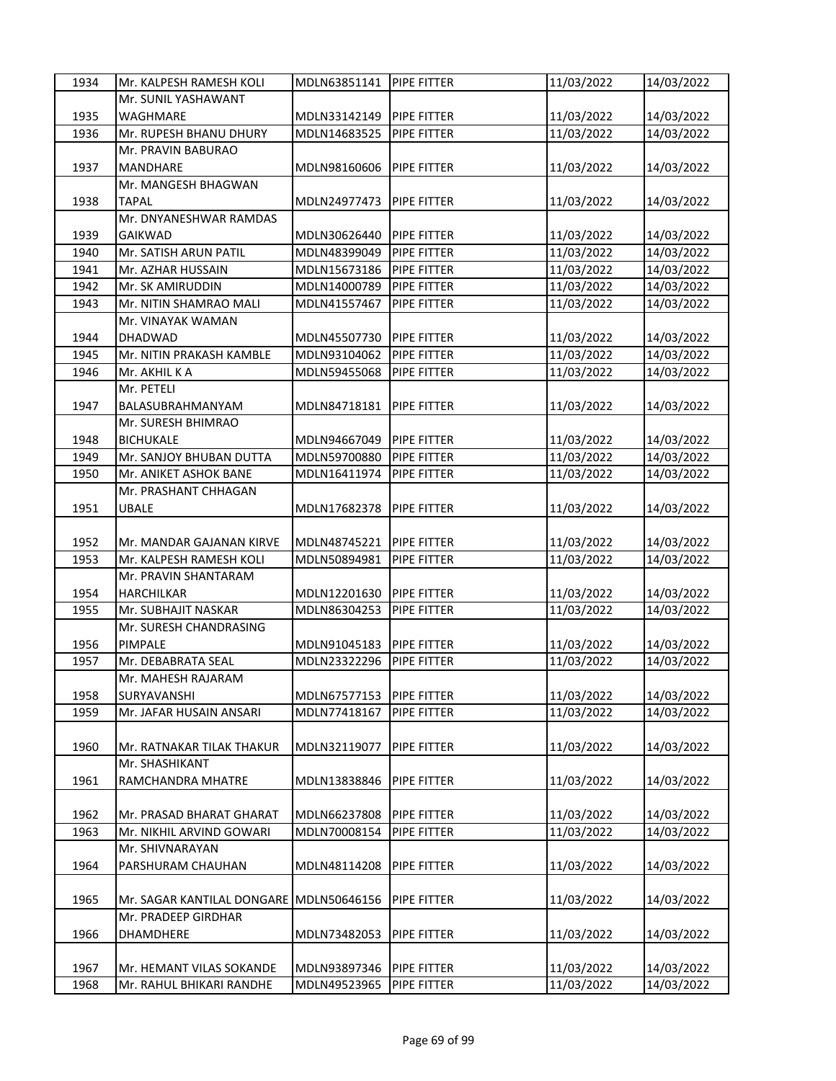| 1934 | Mr. KALPESH RAMESH KOLI    | MDLN63851141 | PIPE FITTER        | 11/03/2022 | 14/03/2022 |
|------|----------------------------|--------------|--------------------|------------|------------|
|      | Mr. SUNIL YASHAWANT        |              |                    |            |            |
| 1935 | <b>WAGHMARE</b>            | MDLN33142149 | <b>PIPE FITTER</b> | 11/03/2022 | 14/03/2022 |
| 1936 | Mr. RUPESH BHANU DHURY     | MDLN14683525 | PIPE FITTER        | 11/03/2022 | 14/03/2022 |
|      | Mr. PRAVIN BABURAO         |              |                    |            |            |
| 1937 | <b>MANDHARE</b>            | MDLN98160606 | PIPE FITTER        | 11/03/2022 | 14/03/2022 |
|      | Mr. MANGESH BHAGWAN        |              |                    |            |            |
| 1938 | <b>TAPAL</b>               | MDLN24977473 | PIPE FITTER        | 11/03/2022 | 14/03/2022 |
|      | Mr. DNYANESHWAR RAMDAS     |              |                    |            |            |
| 1939 | <b>GAIKWAD</b>             | MDLN30626440 | PIPE FITTER        | 11/03/2022 | 14/03/2022 |
| 1940 | Mr. SATISH ARUN PATIL      | MDLN48399049 | PIPE FITTER        | 11/03/2022 | 14/03/2022 |
| 1941 | Mr. AZHAR HUSSAIN          | MDLN15673186 | PIPE FITTER        | 11/03/2022 | 14/03/2022 |
| 1942 | Mr. SK AMIRUDDIN           | MDLN14000789 | PIPE FITTER        | 11/03/2022 | 14/03/2022 |
| 1943 | Mr. NITIN SHAMRAO MALI     | MDLN41557467 | PIPE FITTER        | 11/03/2022 | 14/03/2022 |
|      | Mr. VINAYAK WAMAN          |              |                    |            |            |
| 1944 | <b>DHADWAD</b>             | MDLN45507730 | PIPE FITTER        | 11/03/2022 | 14/03/2022 |
| 1945 | Mr. NITIN PRAKASH KAMBLE   | MDLN93104062 | PIPE FITTER        | 11/03/2022 | 14/03/2022 |
| 1946 | Mr. AKHIL K A              | MDLN59455068 | PIPE FITTER        | 11/03/2022 | 14/03/2022 |
|      | Mr. PETELI                 |              |                    |            |            |
| 1947 | BALASUBRAHMANYAM           | MDLN84718181 | PIPE FITTER        | 11/03/2022 | 14/03/2022 |
|      | Mr. SURESH BHIMRAO         |              |                    |            |            |
| 1948 | <b>BICHUKALE</b>           | MDLN94667049 | <b>PIPE FITTER</b> | 11/03/2022 | 14/03/2022 |
| 1949 | Mr. SANJOY BHUBAN DUTTA    | MDLN59700880 | PIPE FITTER        | 11/03/2022 | 14/03/2022 |
| 1950 | Mr. ANIKET ASHOK BANE      | MDLN16411974 | PIPE FITTER        | 11/03/2022 | 14/03/2022 |
|      | Mr. PRASHANT CHHAGAN       |              |                    |            |            |
| 1951 | UBALE                      | MDLN17682378 | PIPE FITTER        | 11/03/2022 | 14/03/2022 |
|      |                            |              |                    |            |            |
| 1952 | Mr. MANDAR GAJANAN KIRVE   | MDLN48745221 | <b>PIPE FITTER</b> | 11/03/2022 | 14/03/2022 |
| 1953 | Mr. KALPESH RAMESH KOLI    | MDLN50894981 | PIPE FITTER        | 11/03/2022 | 14/03/2022 |
|      | Mr. PRAVIN SHANTARAM       |              |                    |            |            |
| 1954 | <b>HARCHILKAR</b>          | MDLN12201630 | PIPE FITTER        | 11/03/2022 | 14/03/2022 |
| 1955 | Mr. SUBHAJIT NASKAR        | MDLN86304253 | PIPE FITTER        | 11/03/2022 | 14/03/2022 |
|      | Mr. SURESH CHANDRASING     |              |                    |            |            |
| 1956 | PIMPALE                    | MDLN91045183 | <b>PIPE FITTER</b> | 11/03/2022 | 14/03/2022 |
| 1957 | Mr. DEBABRATA SEAL         | MDLN23322296 | PIPE FITTER        | 11/03/2022 | 14/03/2022 |
|      | Mr. MAHESH RAJARAM         |              |                    |            |            |
| 1958 | SURYAVANSHI                | MDLN67577153 | <b>PIPE FITTER</b> | 11/03/2022 | 14/03/2022 |
| 1959 | Mr. JAFAR HUSAIN ANSARI    | MDLN77418167 | PIPE FITTER        | 11/03/2022 | 14/03/2022 |
|      |                            |              |                    |            |            |
| 1960 | Mr. RATNAKAR TILAK THAKUR  | MDLN32119077 | PIPE FITTER        | 11/03/2022 | 14/03/2022 |
|      | Mr. SHASHIKANT             |              |                    |            |            |
| 1961 | RAMCHANDRA MHATRE          | MDLN13838846 | PIPE FITTER        | 11/03/2022 | 14/03/2022 |
| 1962 | Mr. PRASAD BHARAT GHARAT   | MDLN66237808 | PIPE FITTER        | 11/03/2022 | 14/03/2022 |
| 1963 | Mr. NIKHIL ARVIND GOWARI   | MDLN70008154 | PIPE FITTER        | 11/03/2022 | 14/03/2022 |
|      | Mr. SHIVNARAYAN            |              |                    |            |            |
| 1964 | PARSHURAM CHAUHAN          | MDLN48114208 | PIPE FITTER        | 11/03/2022 | 14/03/2022 |
|      |                            |              |                    |            |            |
| 1965 | Mr. SAGAR KANTILAL DONGARE | MDLN50646156 | PIPE FITTER        | 11/03/2022 | 14/03/2022 |
|      | Mr. PRADEEP GIRDHAR        |              |                    |            |            |
| 1966 | <b>DHAMDHERE</b>           | MDLN73482053 | PIPE FITTER        | 11/03/2022 | 14/03/2022 |
|      |                            |              |                    |            |            |
| 1967 | Mr. HEMANT VILAS SOKANDE   | MDLN93897346 | PIPE FITTER        | 11/03/2022 | 14/03/2022 |
| 1968 | Mr. RAHUL BHIKARI RANDHE   | MDLN49523965 | PIPE FITTER        | 11/03/2022 | 14/03/2022 |
|      |                            |              |                    |            |            |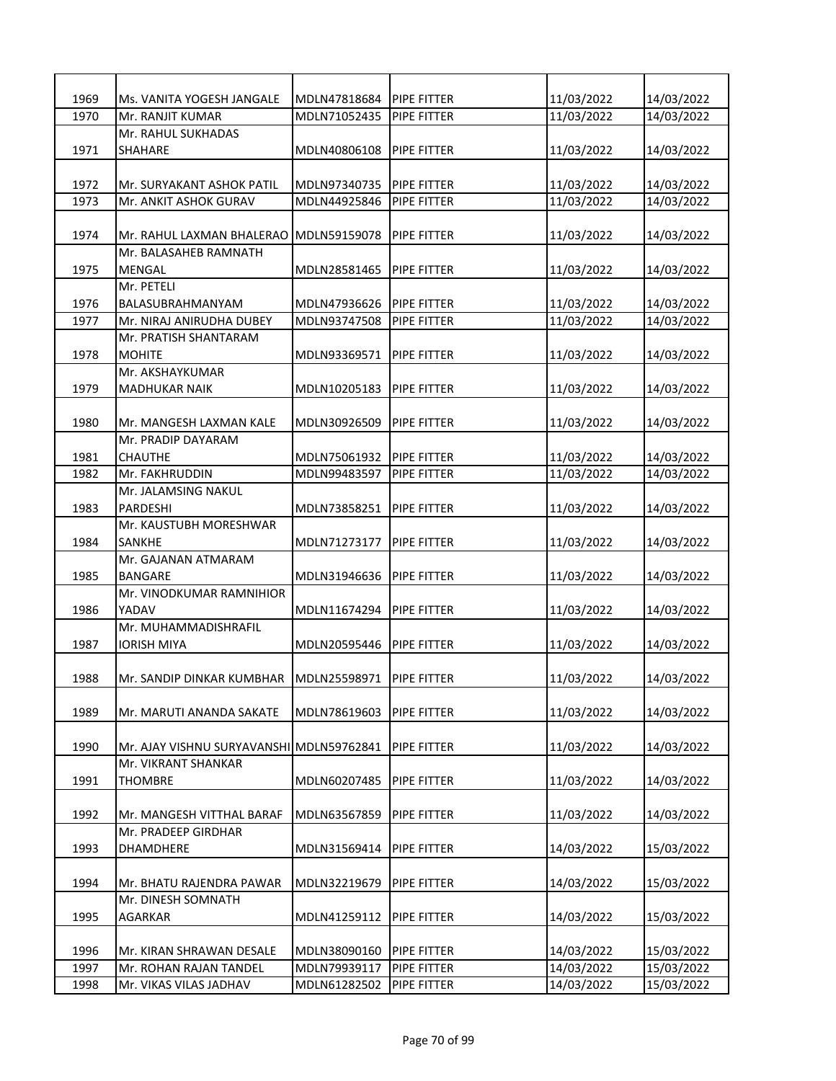| 1969 | Ms. VANITA YOGESH JANGALE                | MDLN47818684             | <b>PIPE FITTER</b> | 11/03/2022 | 14/03/2022 |
|------|------------------------------------------|--------------------------|--------------------|------------|------------|
| 1970 | Mr. RANJIT KUMAR                         | MDLN71052435             | PIPE FITTER        | 11/03/2022 | 14/03/2022 |
|      | Mr. RAHUL SUKHADAS                       |                          |                    |            |            |
| 1971 | <b>SHAHARE</b>                           | MDLN40806108             | <b>PIPE FITTER</b> | 11/03/2022 | 14/03/2022 |
|      |                                          |                          |                    |            |            |
| 1972 | Mr. SURYAKANT ASHOK PATIL                | MDLN97340735             | <b>PIPE FITTER</b> | 11/03/2022 | 14/03/2022 |
| 1973 | Mr. ANKIT ASHOK GURAV                    | MDLN44925846             | PIPE FITTER        | 11/03/2022 | 14/03/2022 |
|      |                                          |                          |                    |            |            |
| 1974 | Mr. RAHUL LAXMAN BHALERAO                | MDLN59159078             | PIPE FITTER        | 11/03/2022 | 14/03/2022 |
|      | Mr. BALASAHEB RAMNATH                    |                          |                    |            |            |
| 1975 | MENGAL                                   | MDLN28581465             | PIPE FITTER        | 11/03/2022 | 14/03/2022 |
|      | Mr. PETELI                               |                          |                    |            |            |
| 1976 | BALASUBRAHMANYAM                         | MDLN47936626             | <b>PIPE FITTER</b> | 11/03/2022 | 14/03/2022 |
| 1977 | Mr. NIRAJ ANIRUDHA DUBEY                 | MDLN93747508             | PIPE FITTER        | 11/03/2022 | 14/03/2022 |
|      | Mr. PRATISH SHANTARAM                    |                          |                    |            |            |
| 1978 | <b>MOHITE</b>                            | MDLN93369571             | <b>PIPE FITTER</b> | 11/03/2022 | 14/03/2022 |
|      | Mr. AKSHAYKUMAR                          |                          |                    |            |            |
| 1979 | <b>MADHUKAR NAIK</b>                     | MDLN10205183             | <b>PIPE FITTER</b> | 11/03/2022 | 14/03/2022 |
|      |                                          |                          |                    |            |            |
| 1980 | Mr. MANGESH LAXMAN KALE                  | MDLN30926509             | <b>PIPE FITTER</b> | 11/03/2022 | 14/03/2022 |
|      | Mr. PRADIP DAYARAM                       |                          |                    |            |            |
| 1981 | CHAUTHE                                  | MDLN75061932 PIPE FITTER |                    | 11/03/2022 | 14/03/2022 |
| 1982 | Mr. FAKHRUDDIN                           | MDLN99483597             | PIPE FITTER        | 11/03/2022 | 14/03/2022 |
| 1983 | Mr. JALAMSING NAKUL<br>PARDESHI          | MDLN73858251             | <b>PIPE FITTER</b> |            |            |
|      | Mr. KAUSTUBH MORESHWAR                   |                          |                    | 11/03/2022 | 14/03/2022 |
| 1984 | <b>SANKHE</b>                            | MDLN71273177             | <b>PIPE FITTER</b> | 11/03/2022 | 14/03/2022 |
|      | Mr. GAJANAN ATMARAM                      |                          |                    |            |            |
| 1985 | BANGARE                                  | MDLN31946636             | <b>PIPE FITTER</b> | 11/03/2022 | 14/03/2022 |
|      | Mr. VINODKUMAR RAMNIHIOR                 |                          |                    |            |            |
| 1986 | YADAV                                    | MDLN11674294             | <b>PIPE FITTER</b> | 11/03/2022 | 14/03/2022 |
|      | Mr. MUHAMMADISHRAFIL                     |                          |                    |            |            |
| 1987 | IORISH MIYA                              | MDLN20595446             | PIPE FITTER        | 11/03/2022 | 14/03/2022 |
|      |                                          |                          |                    |            |            |
| 1988 | Mr. SANDIP DINKAR KUMBHAR                | MDLN25598971             | <b>PIPE FITTER</b> | 11/03/2022 | 14/03/2022 |
|      |                                          |                          |                    |            |            |
| 1989 | Mr. MARUTI ANANDA SAKATE                 | MDLN78619603             | PIPE FITTER        | 11/03/2022 | 14/03/2022 |
|      |                                          |                          |                    |            |            |
| 1990 | Mr. AJAY VISHNU SURYAVANSHI MDLN59762841 |                          | PIPE FITTER        | 11/03/2022 | 14/03/2022 |
|      | Mr. VIKRANT SHANKAR                      |                          |                    |            |            |
| 1991 | <b>THOMBRE</b>                           | MDLN60207485             | PIPE FITTER        | 11/03/2022 | 14/03/2022 |
|      |                                          |                          |                    |            |            |
| 1992 | Mr. MANGESH VITTHAL BARAF                | MDLN63567859             | PIPE FITTER        | 11/03/2022 | 14/03/2022 |
|      | Mr. PRADEEP GIRDHAR                      |                          |                    |            |            |
| 1993 | <b>DHAMDHERE</b>                         | MDLN31569414             | <b>PIPE FITTER</b> | 14/03/2022 | 15/03/2022 |
|      |                                          |                          |                    |            |            |
| 1994 | Mr. BHATU RAJENDRA PAWAR                 | MDLN32219679             | PIPE FITTER        | 14/03/2022 | 15/03/2022 |
|      | Mr. DINESH SOMNATH                       |                          |                    |            |            |
| 1995 | <b>AGARKAR</b>                           | MDLN41259112             | PIPE FITTER        | 14/03/2022 | 15/03/2022 |
|      |                                          |                          |                    |            |            |
| 1996 | Mr. KIRAN SHRAWAN DESALE                 | MDLN38090160             | <b>PIPE FITTER</b> | 14/03/2022 | 15/03/2022 |
| 1997 | Mr. ROHAN RAJAN TANDEL                   | MDLN79939117             | PIPE FITTER        | 14/03/2022 | 15/03/2022 |
| 1998 | Mr. VIKAS VILAS JADHAV                   | MDLN61282502             | PIPE FITTER        | 14/03/2022 | 15/03/2022 |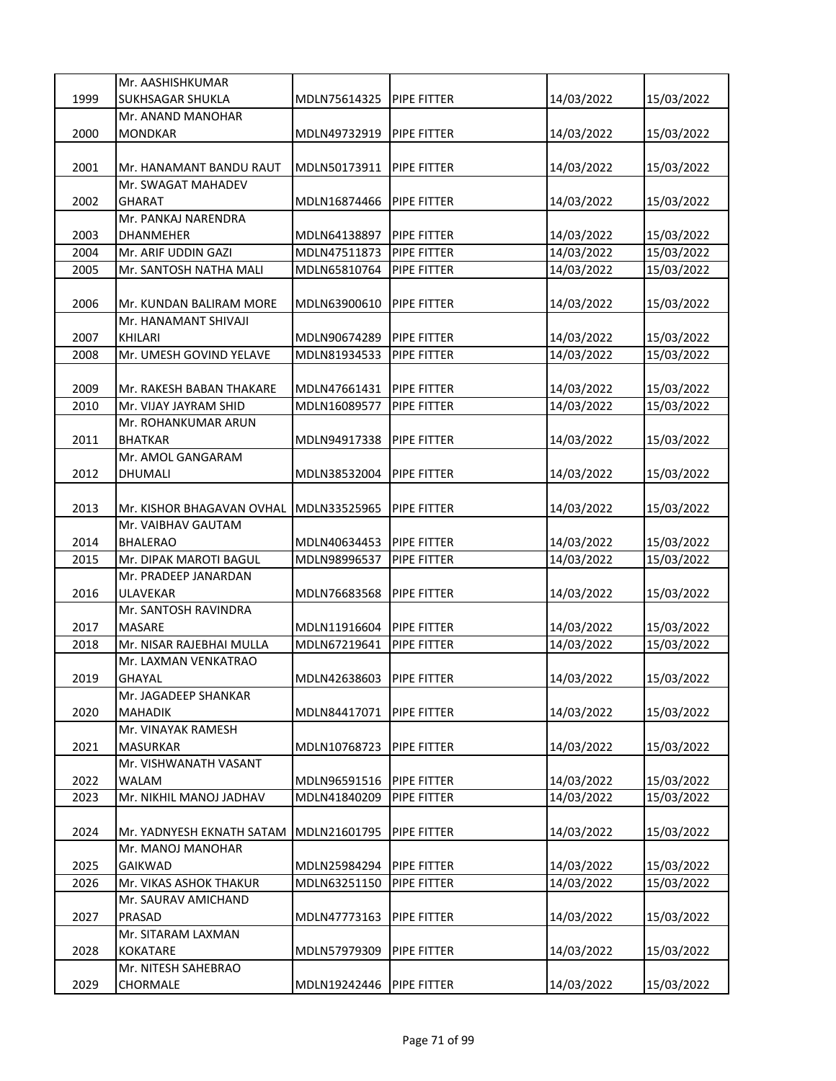|      | Mr. AASHISHKUMAR          |              |                    |            |            |
|------|---------------------------|--------------|--------------------|------------|------------|
| 1999 | SUKHSAGAR SHUKLA          | MDLN75614325 | PIPE FITTER        | 14/03/2022 | 15/03/2022 |
|      | Mr. ANAND MANOHAR         |              |                    |            |            |
| 2000 | <b>MONDKAR</b>            | MDLN49732919 | <b>PIPE FITTER</b> | 14/03/2022 | 15/03/2022 |
|      |                           |              |                    |            |            |
| 2001 | Mr. HANAMANT BANDU RAUT   | MDLN50173911 | <b>PIPE FITTER</b> | 14/03/2022 | 15/03/2022 |
|      | Mr. SWAGAT MAHADEV        |              |                    |            |            |
| 2002 | <b>GHARAT</b>             | MDLN16874466 | <b>PIPE FITTER</b> | 14/03/2022 | 15/03/2022 |
|      | Mr. PANKAJ NARENDRA       |              |                    |            |            |
| 2003 | DHANMEHER                 | MDLN64138897 | <b>PIPE FITTER</b> | 14/03/2022 | 15/03/2022 |
| 2004 | Mr. ARIF UDDIN GAZI       | MDLN47511873 | PIPE FITTER        | 14/03/2022 | 15/03/2022 |
| 2005 | Mr. SANTOSH NATHA MALI    | MDLN65810764 | PIPE FITTER        | 14/03/2022 |            |
|      |                           |              |                    |            | 15/03/2022 |
|      |                           |              |                    |            |            |
| 2006 | Mr. KUNDAN BALIRAM MORE   | MDLN63900610 | PIPE FITTER        | 14/03/2022 | 15/03/2022 |
|      | Mr. HANAMANT SHIVAJI      |              |                    |            |            |
| 2007 | <b>KHILARI</b>            | MDLN90674289 | <b>PIPE FITTER</b> | 14/03/2022 | 15/03/2022 |
| 2008 | Mr. UMESH GOVIND YELAVE   | MDLN81934533 | <b>PIPE FITTER</b> | 14/03/2022 | 15/03/2022 |
|      |                           |              |                    |            |            |
| 2009 | Mr. RAKESH BABAN THAKARE  | MDLN47661431 | PIPE FITTER        | 14/03/2022 | 15/03/2022 |
| 2010 | Mr. VIJAY JAYRAM SHID     | MDLN16089577 | PIPE FITTER        | 14/03/2022 | 15/03/2022 |
|      | Mr. ROHANKUMAR ARUN       |              |                    |            |            |
| 2011 | <b>BHATKAR</b>            | MDLN94917338 | PIPE FITTER        | 14/03/2022 | 15/03/2022 |
|      | Mr. AMOL GANGARAM         |              |                    |            |            |
| 2012 | DHUMALI                   | MDLN38532004 | PIPE FITTER        | 14/03/2022 | 15/03/2022 |
|      |                           |              |                    |            |            |
| 2013 | Mr. KISHOR BHAGAVAN OVHAL | MDLN33525965 | PIPE FITTER        | 14/03/2022 | 15/03/2022 |
|      | Mr. VAIBHAV GAUTAM        |              |                    |            |            |
| 2014 | <b>BHALERAO</b>           | MDLN40634453 | <b>PIPE FITTER</b> | 14/03/2022 | 15/03/2022 |
| 2015 | Mr. DIPAK MAROTI BAGUL    | MDLN98996537 | PIPE FITTER        | 14/03/2022 | 15/03/2022 |
|      | Mr. PRADEEP JANARDAN      |              |                    |            |            |
| 2016 | <b>ULAVEKAR</b>           | MDLN76683568 | PIPE FITTER        | 14/03/2022 | 15/03/2022 |
|      | Mr. SANTOSH RAVINDRA      |              |                    |            |            |
| 2017 | <b>MASARE</b>             | MDLN11916604 | <b>PIPE FITTER</b> | 14/03/2022 | 15/03/2022 |
| 2018 | Mr. NISAR RAJEBHAI MULLA  | MDLN67219641 | PIPE FITTER        | 14/03/2022 | 15/03/2022 |
|      | Mr. LAXMAN VENKATRAO      |              |                    |            |            |
| 2019 | <b>GHAYAL</b>             | MDLN42638603 | <b>PIPE FITTER</b> | 14/03/2022 | 15/03/2022 |
|      | Mr. JAGADEEP SHANKAR      |              |                    |            |            |
| 2020 | <b>MAHADIK</b>            | MDLN84417071 | PIPE FITTER        | 14/03/2022 | 15/03/2022 |
|      | Mr. VINAYAK RAMESH        |              |                    |            |            |
| 2021 |                           |              |                    |            |            |
|      | <b>MASURKAR</b>           | MDLN10768723 | PIPE FITTER        | 14/03/2022 | 15/03/2022 |
|      | Mr. VISHWANATH VASANT     |              |                    |            |            |
| 2022 | <b>WALAM</b>              | MDLN96591516 | PIPE FITTER        | 14/03/2022 | 15/03/2022 |
| 2023 | Mr. NIKHIL MANOJ JADHAV   | MDLN41840209 | PIPE FITTER        | 14/03/2022 | 15/03/2022 |
|      |                           |              |                    |            |            |
| 2024 | Mr. YADNYESH EKNATH SATAM | MDLN21601795 | PIPE FITTER        | 14/03/2022 | 15/03/2022 |
|      | Mr. MANOJ MANOHAR         |              |                    |            |            |
| 2025 | <b>GAIKWAD</b>            | MDLN25984294 | PIPE FITTER        | 14/03/2022 | 15/03/2022 |
| 2026 | Mr. VIKAS ASHOK THAKUR    | MDLN63251150 | PIPE FITTER        | 14/03/2022 | 15/03/2022 |
|      | Mr. SAURAV AMICHAND       |              |                    |            |            |
| 2027 | PRASAD                    | MDLN47773163 | PIPE FITTER        | 14/03/2022 | 15/03/2022 |
|      | Mr. SITARAM LAXMAN        |              |                    |            |            |
| 2028 | <b>KOKATARE</b>           | MDLN57979309 | PIPE FITTER        | 14/03/2022 | 15/03/2022 |
|      | Mr. NITESH SAHEBRAO       |              |                    |            |            |
| 2029 | CHORMALE                  | MDLN19242446 | PIPE FITTER        | 14/03/2022 | 15/03/2022 |
|      |                           |              |                    |            |            |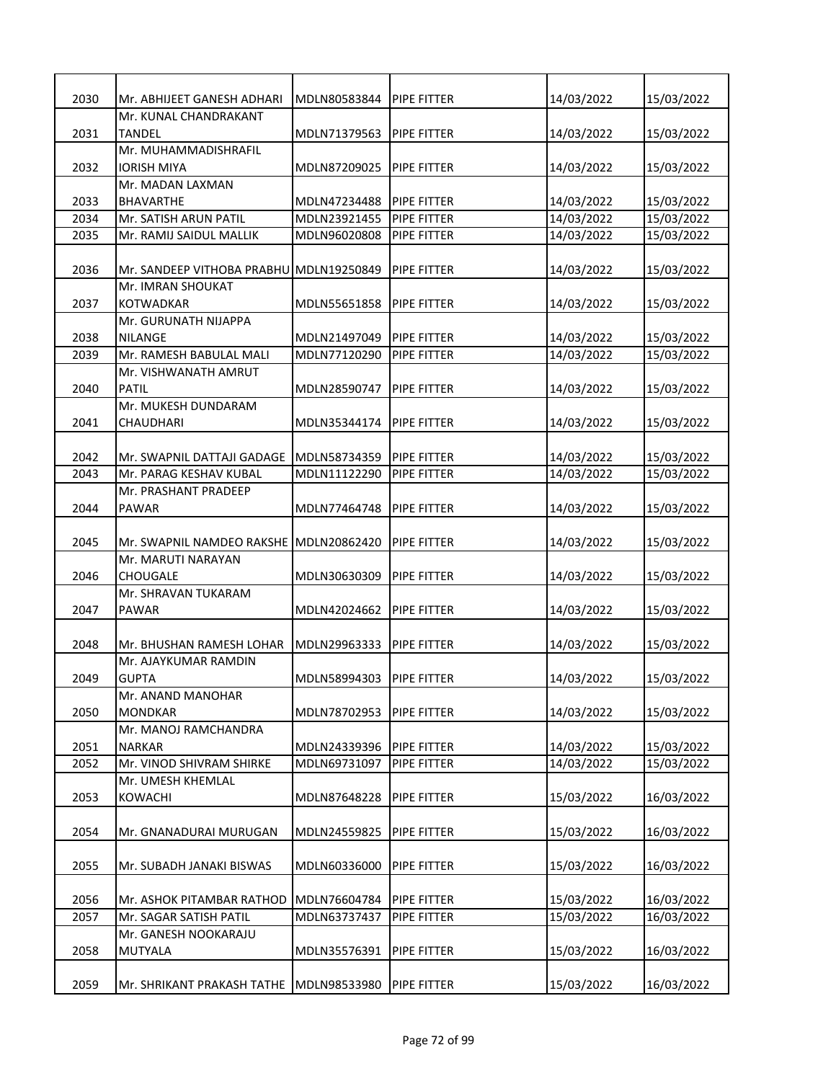| 2030 | Mr. ABHIJEET GANESH ADHARI              | MDLN80583844 | PIPE FITTER         | 14/03/2022 | 15/03/2022 |
|------|-----------------------------------------|--------------|---------------------|------------|------------|
|      | Mr. KUNAL CHANDRAKANT                   |              |                     |            |            |
| 2031 | <b>TANDEL</b>                           | MDLN71379563 | <b>PIPE FITTER</b>  | 14/03/2022 | 15/03/2022 |
|      | Mr. MUHAMMADISHRAFIL                    |              |                     |            |            |
| 2032 | <b>IORISH MIYA</b>                      | MDLN87209025 | <b>PIPE FITTER</b>  | 14/03/2022 | 15/03/2022 |
|      | Mr. MADAN LAXMAN                        |              |                     |            |            |
| 2033 | <b>BHAVARTHE</b>                        | MDLN47234488 | <b>PIPE FITTER</b>  | 14/03/2022 | 15/03/2022 |
| 2034 | Mr. SATISH ARUN PATIL                   | MDLN23921455 | PIPE FITTER         | 14/03/2022 | 15/03/2022 |
| 2035 | Mr. RAMIJ SAIDUL MALLIK                 | MDLN96020808 | PIPE FITTER         | 14/03/2022 | 15/03/2022 |
| 2036 | Mr. SANDEEP VITHOBA PRABHU MDLN19250849 |              | PIPE FITTER         | 14/03/2022 | 15/03/2022 |
|      | Mr. IMRAN SHOUKAT                       |              |                     |            |            |
| 2037 | KOTWADKAR                               | MDLN55651858 | PIPE FITTER         | 14/03/2022 | 15/03/2022 |
|      | Mr. GURUNATH NIJAPPA                    |              |                     |            |            |
| 2038 | <b>NILANGE</b>                          | MDLN21497049 | <b>PIPE FITTER</b>  | 14/03/2022 | 15/03/2022 |
| 2039 | Mr. RAMESH BABULAL MALI                 | MDLN77120290 | <b>PIPE FITTER</b>  | 14/03/2022 | 15/03/2022 |
|      | Mr. VISHWANATH AMRUT                    |              |                     |            |            |
| 2040 | <b>PATIL</b>                            | MDLN28590747 | <b>PIPE FITTER</b>  | 14/03/2022 | 15/03/2022 |
|      | Mr. MUKESH DUNDARAM                     |              |                     |            |            |
| 2041 | CHAUDHARI                               | MDLN35344174 | PIPE FITTER         | 14/03/2022 | 15/03/2022 |
|      |                                         |              |                     |            |            |
| 2042 | Mr. SWAPNIL DATTAJI GADAGE              | MDLN58734359 | <b>PIPE FITTER</b>  | 14/03/2022 | 15/03/2022 |
| 2043 | Mr. PARAG KESHAV KUBAL                  | MDLN11122290 | PIPE FITTER         | 14/03/2022 | 15/03/2022 |
|      | Mr. PRASHANT PRADEEP                    |              |                     |            |            |
| 2044 | PAWAR                                   | MDLN77464748 | PIPE FITTER         | 14/03/2022 | 15/03/2022 |
|      |                                         |              |                     |            |            |
| 2045 | Mr. SWAPNIL NAMDEO RAKSHE               | MDLN20862420 | PIPE FITTER         | 14/03/2022 | 15/03/2022 |
|      | Mr. MARUTI NARAYAN                      |              |                     |            |            |
| 2046 | <b>CHOUGALE</b>                         | MDLN30630309 | <b>PIPE FITTER</b>  | 14/03/2022 | 15/03/2022 |
|      | Mr. SHRAVAN TUKARAM                     |              |                     |            |            |
| 2047 | <b>PAWAR</b>                            | MDLN42024662 | <b>PIPE FITTER</b>  | 14/03/2022 | 15/03/2022 |
|      |                                         |              |                     |            |            |
| 2048 | Mr. BHUSHAN RAMESH LOHAR                | MDLN29963333 | PIPE FITTER         | 14/03/2022 | 15/03/2022 |
|      | Mr. AJAYKUMAR RAMDIN                    |              |                     |            |            |
| 2049 | <b>GUPTA</b>                            | MDLN58994303 | <b>IPIPE FITTER</b> | 14/03/2022 | 15/03/2022 |
| 2050 | Mr. ANAND MANOHAR<br><b>MONDKAR</b>     |              |                     |            |            |
|      | Mr. MANOJ RAMCHANDRA                    | MDLN78702953 | PIPE FITTER         | 14/03/2022 | 15/03/2022 |
| 2051 | <b>NARKAR</b>                           | MDLN24339396 | PIPE FITTER         | 14/03/2022 | 15/03/2022 |
| 2052 | Mr. VINOD SHIVRAM SHIRKE                | MDLN69731097 | PIPE FITTER         | 14/03/2022 | 15/03/2022 |
|      | Mr. UMESH KHEMLAL                       |              |                     |            |            |
| 2053 | KOWACHI                                 | MDLN87648228 | PIPE FITTER         | 15/03/2022 | 16/03/2022 |
|      |                                         |              |                     |            |            |
| 2054 | Mr. GNANADURAI MURUGAN                  | MDLN24559825 | PIPE FITTER         | 15/03/2022 | 16/03/2022 |
|      |                                         |              |                     |            |            |
| 2055 | Mr. SUBADH JANAKI BISWAS                | MDLN60336000 | PIPE FITTER         | 15/03/2022 | 16/03/2022 |
|      |                                         |              |                     |            |            |
| 2056 | Mr. ASHOK PITAMBAR RATHOD               | MDLN76604784 | <b>PIPE FITTER</b>  | 15/03/2022 | 16/03/2022 |
| 2057 | Mr. SAGAR SATISH PATIL                  | MDLN63737437 | PIPE FITTER         | 15/03/2022 | 16/03/2022 |
|      | Mr. GANESH NOOKARAJU                    |              |                     |            |            |
| 2058 | MUTYALA                                 | MDLN35576391 | PIPE FITTER         | 15/03/2022 | 16/03/2022 |
|      |                                         |              |                     |            |            |
| 2059 | Mr. SHRIKANT PRAKASH TATHE              | MDLN98533980 | PIPE FITTER         | 15/03/2022 | 16/03/2022 |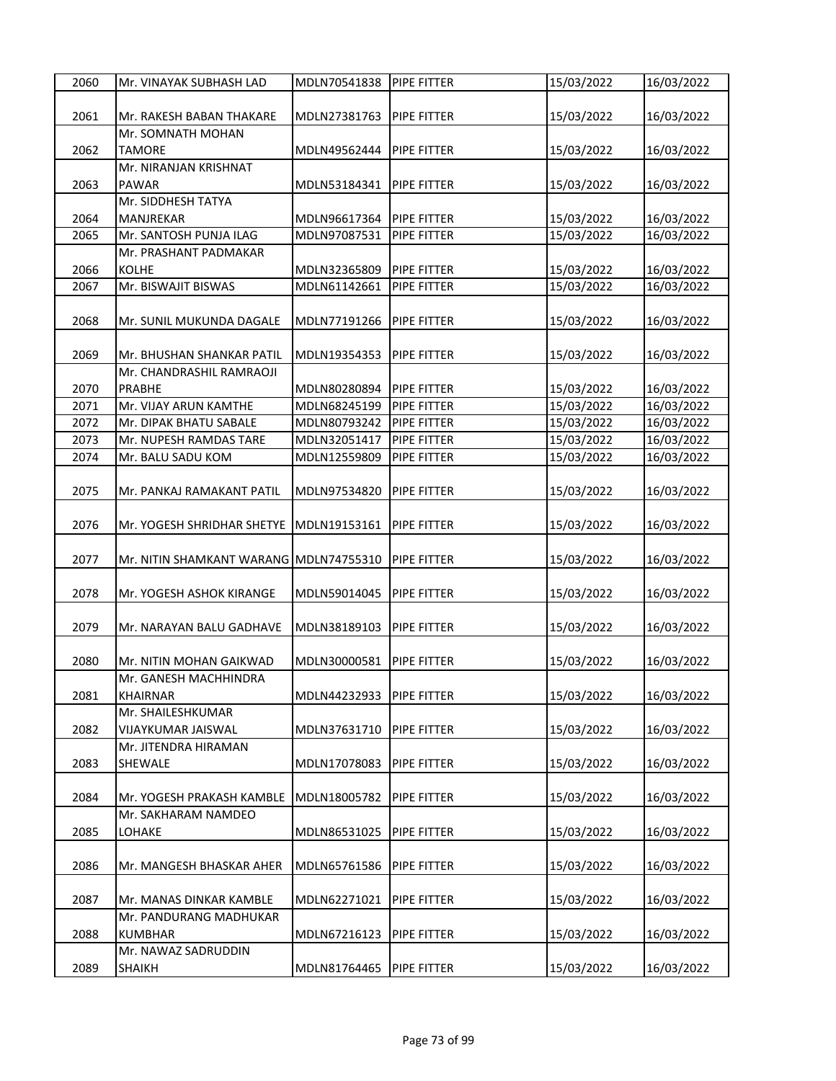| 2060 | Mr. VINAYAK SUBHASH LAD                | MDLN70541838 | PIPE FITTER        | 15/03/2022 | 16/03/2022 |
|------|----------------------------------------|--------------|--------------------|------------|------------|
|      |                                        |              |                    |            |            |
| 2061 | Mr. RAKESH BABAN THAKARE               | MDLN27381763 | <b>PIPE FITTER</b> | 15/03/2022 | 16/03/2022 |
|      | Mr. SOMNATH MOHAN                      |              |                    |            |            |
| 2062 | <b>TAMORE</b>                          | MDLN49562444 | <b>PIPE FITTER</b> | 15/03/2022 | 16/03/2022 |
|      | Mr. NIRANJAN KRISHNAT                  |              |                    |            |            |
| 2063 | <b>PAWAR</b>                           | MDLN53184341 | <b>PIPE FITTER</b> | 15/03/2022 | 16/03/2022 |
|      | Mr. SIDDHESH TATYA                     |              |                    |            |            |
| 2064 | MANJREKAR                              | MDLN96617364 | <b>PIPE FITTER</b> | 15/03/2022 | 16/03/2022 |
| 2065 | Mr. SANTOSH PUNJA ILAG                 | MDLN97087531 | PIPE FITTER        | 15/03/2022 | 16/03/2022 |
|      | Mr. PRASHANT PADMAKAR                  |              |                    |            |            |
|      |                                        |              |                    |            |            |
| 2066 | <b>KOLHE</b>                           | MDLN32365809 | <b>PIPE FITTER</b> | 15/03/2022 | 16/03/2022 |
| 2067 | Mr. BISWAJIT BISWAS                    | MDLN61142661 | PIPE FITTER        | 15/03/2022 | 16/03/2022 |
|      |                                        |              |                    |            |            |
| 2068 | Mr. SUNIL MUKUNDA DAGALE               | MDLN77191266 | PIPE FITTER        | 15/03/2022 | 16/03/2022 |
|      |                                        |              |                    |            |            |
| 2069 | Mr. BHUSHAN SHANKAR PATIL              | MDLN19354353 | <b>PIPE FITTER</b> | 15/03/2022 | 16/03/2022 |
|      | Mr. CHANDRASHIL RAMRAOJI               |              |                    |            |            |
| 2070 | <b>PRABHE</b>                          | MDLN80280894 | PIPE FITTER        | 15/03/2022 | 16/03/2022 |
| 2071 | Mr. VIJAY ARUN KAMTHE                  | MDLN68245199 | PIPE FITTER        | 15/03/2022 | 16/03/2022 |
| 2072 | Mr. DIPAK BHATU SABALE                 | MDLN80793242 | <b>PIPE FITTER</b> | 15/03/2022 | 16/03/2022 |
| 2073 | Mr. NUPESH RAMDAS TARE                 | MDLN32051417 | <b>PIPE FITTER</b> | 15/03/2022 | 16/03/2022 |
| 2074 | Mr. BALU SADU KOM                      | MDLN12559809 | PIPE FITTER        | 15/03/2022 | 16/03/2022 |
|      |                                        |              |                    |            |            |
| 2075 | Mr. PANKAJ RAMAKANT PATIL              | MDLN97534820 | <b>PIPE FITTER</b> | 15/03/2022 | 16/03/2022 |
|      |                                        |              |                    |            |            |
| 2076 | Mr. YOGESH SHRIDHAR SHETYE             | MDLN19153161 | PIPE FITTER        | 15/03/2022 | 16/03/2022 |
|      |                                        |              |                    |            |            |
| 2077 | Mr. NITIN SHAMKANT WARANG MDLN74755310 |              | <b>PIPE FITTER</b> |            |            |
|      |                                        |              |                    | 15/03/2022 | 16/03/2022 |
|      |                                        |              |                    |            |            |
| 2078 | Mr. YOGESH ASHOK KIRANGE               | MDLN59014045 | PIPE FITTER        | 15/03/2022 | 16/03/2022 |
|      |                                        |              |                    |            |            |
| 2079 | Mr. NARAYAN BALU GADHAVE               | MDLN38189103 | <b>PIPE FITTER</b> | 15/03/2022 | 16/03/2022 |
|      |                                        |              |                    |            |            |
| 2080 | Mr. NITIN MOHAN GAIKWAD                | MDLN30000581 | PIPE FITTER        | 15/03/2022 | 16/03/2022 |
|      | Mr. GANESH MACHHINDRA                  |              |                    |            |            |
| 2081 | <b>KHAIRNAR</b>                        | MDLN44232933 | PIPE FITTER        | 15/03/2022 | 16/03/2022 |
|      | Mr. SHAILESHKUMAR                      |              |                    |            |            |
| 2082 | VIJAYKUMAR JAISWAL                     | MDLN37631710 | PIPE FITTER        | 15/03/2022 | 16/03/2022 |
|      | Mr. JITENDRA HIRAMAN                   |              |                    |            |            |
| 2083 | SHEWALE                                | MDLN17078083 | PIPE FITTER        | 15/03/2022 | 16/03/2022 |
|      |                                        |              |                    |            |            |
| 2084 | Mr. YOGESH PRAKASH KAMBLE              | MDLN18005782 | PIPE FITTER        | 15/03/2022 | 16/03/2022 |
|      | Mr. SAKHARAM NAMDEO                    |              |                    |            |            |
| 2085 | LOHAKE                                 | MDLN86531025 | <b>PIPE FITTER</b> | 15/03/2022 | 16/03/2022 |
|      |                                        |              |                    |            |            |
| 2086 | Mr. MANGESH BHASKAR AHER               | MDLN65761586 | PIPE FITTER        | 15/03/2022 | 16/03/2022 |
|      |                                        |              |                    |            |            |
| 2087 | Mr. MANAS DINKAR KAMBLE                | MDLN62271021 | PIPE FITTER        | 15/03/2022 | 16/03/2022 |
|      | Mr. PANDURANG MADHUKAR                 |              |                    |            |            |
| 2088 | <b>KUMBHAR</b>                         | MDLN67216123 | PIPE FITTER        | 15/03/2022 | 16/03/2022 |
|      | Mr. NAWAZ SADRUDDIN                    |              |                    |            |            |
| 2089 |                                        |              |                    | 15/03/2022 | 16/03/2022 |
|      | <b>SHAIKH</b>                          | MDLN81764465 | <b>PIPE FITTER</b> |            |            |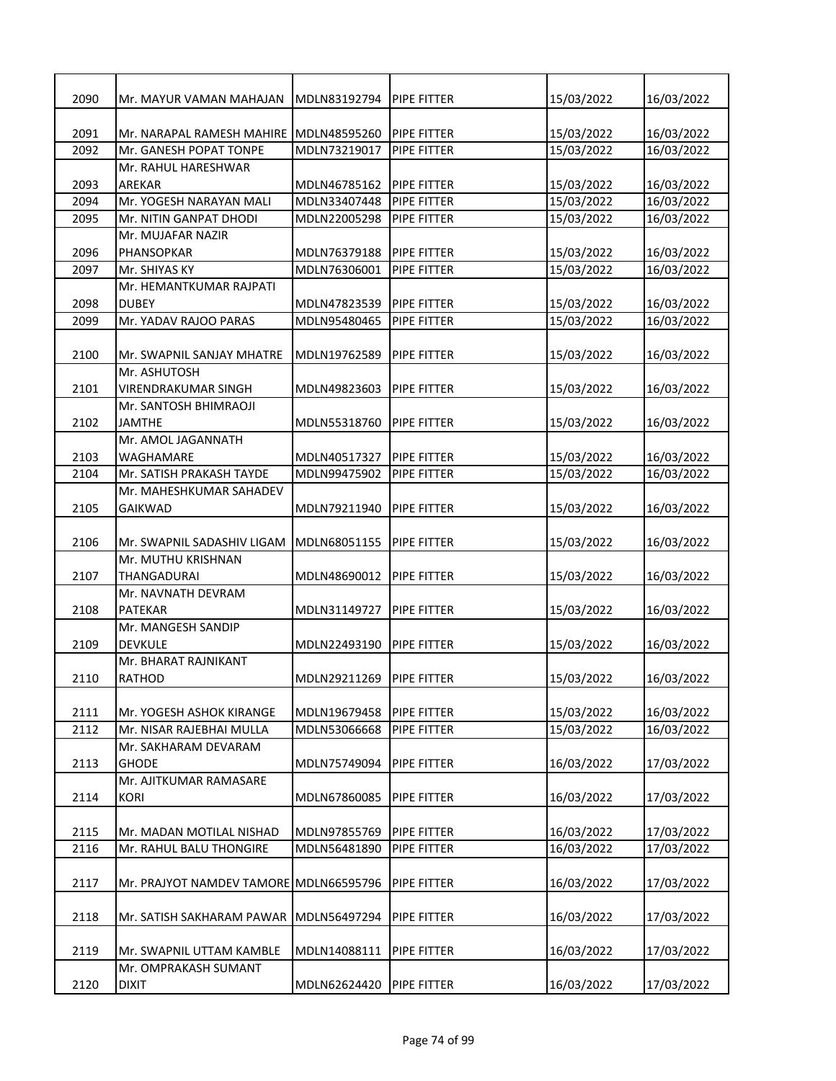| 2090 | Mr. MAYUR VAMAN MAHAJAN                | MDLN83192794 | PIPE FITTER        | 15/03/2022 | 16/03/2022 |
|------|----------------------------------------|--------------|--------------------|------------|------------|
|      |                                        |              |                    |            |            |
| 2091 | Mr. NARAPAL RAMESH MAHIRE              | MDLN48595260 | <b>PIPE FITTER</b> | 15/03/2022 | 16/03/2022 |
| 2092 | Mr. GANESH POPAT TONPE                 | MDLN73219017 | PIPE FITTER        | 15/03/2022 | 16/03/2022 |
|      | Mr. RAHUL HARESHWAR                    |              |                    |            |            |
| 2093 | <b>AREKAR</b>                          | MDLN46785162 | <b>PIPE FITTER</b> | 15/03/2022 | 16/03/2022 |
| 2094 | Mr. YOGESH NARAYAN MALI                | MDLN33407448 | PIPE FITTER        | 15/03/2022 | 16/03/2022 |
| 2095 | Mr. NITIN GANPAT DHODI                 | MDLN22005298 | PIPE FITTER        | 15/03/2022 | 16/03/2022 |
|      | Mr. MUJAFAR NAZIR                      |              |                    |            |            |
| 2096 | PHANSOPKAR                             | MDLN76379188 | <b>PIPE FITTER</b> | 15/03/2022 | 16/03/2022 |
| 2097 | Mr. SHIYAS KY                          | MDLN76306001 | PIPE FITTER        | 15/03/2022 | 16/03/2022 |
|      | Mr. HEMANTKUMAR RAJPATI                |              |                    |            |            |
| 2098 | <b>DUBEY</b>                           | MDLN47823539 | PIPE FITTER        | 15/03/2022 | 16/03/2022 |
| 2099 | Mr. YADAV RAJOO PARAS                  | MDLN95480465 | PIPE FITTER        | 15/03/2022 | 16/03/2022 |
|      |                                        |              |                    |            |            |
| 2100 | Mr. SWAPNIL SANJAY MHATRE              | MDLN19762589 | <b>PIPE FITTER</b> | 15/03/2022 | 16/03/2022 |
|      | Mr. ASHUTOSH                           |              |                    |            |            |
| 2101 | <b>VIRENDRAKUMAR SINGH</b>             | MDLN49823603 | PIPE FITTER        | 15/03/2022 | 16/03/2022 |
|      | Mr. SANTOSH BHIMRAOJI                  |              |                    |            |            |
| 2102 | <b>JAMTHE</b>                          | MDLN55318760 | PIPE FITTER        | 15/03/2022 | 16/03/2022 |
|      | Mr. AMOL JAGANNATH                     |              |                    |            |            |
| 2103 | WAGHAMARE                              | MDLN40517327 | <b>PIPE FITTER</b> | 15/03/2022 | 16/03/2022 |
| 2104 | Mr. SATISH PRAKASH TAYDE               | MDLN99475902 | PIPE FITTER        | 15/03/2022 | 16/03/2022 |
|      | Mr. MAHESHKUMAR SAHADEV                |              |                    |            |            |
| 2105 | <b>GAIKWAD</b>                         | MDLN79211940 | PIPE FITTER        | 15/03/2022 | 16/03/2022 |
|      |                                        |              |                    |            |            |
| 2106 | Mr. SWAPNIL SADASHIV LIGAM             | MDLN68051155 | PIPE FITTER        | 15/03/2022 | 16/03/2022 |
|      | Mr. MUTHU KRISHNAN                     |              |                    |            |            |
| 2107 | <b>THANGADURAI</b>                     | MDLN48690012 | PIPE FITTER        | 15/03/2022 | 16/03/2022 |
|      | Mr. NAVNATH DEVRAM                     |              |                    |            |            |
| 2108 | <b>PATEKAR</b>                         | MDLN31149727 | PIPE FITTER        | 15/03/2022 | 16/03/2022 |
|      | Mr. MANGESH SANDIP                     |              |                    |            |            |
| 2109 | <b>DEVKULE</b>                         | MDLN22493190 | PIPE FITTER        | 15/03/2022 | 16/03/2022 |
|      | Mr. BHARAT RAJNIKANT                   |              |                    |            |            |
| 2110 | <b>RATHOD</b>                          | MDLN29211269 | <b>PIPE FITTER</b> | 15/03/2022 | 16/03/2022 |
|      |                                        |              |                    |            |            |
| 2111 | Mr. YOGESH ASHOK KIRANGE               | MDLN19679458 | PIPE FITTER        | 15/03/2022 | 16/03/2022 |
| 2112 | Mr. NISAR RAJEBHAI MULLA               | MDLN53066668 | PIPE FITTER        | 15/03/2022 | 16/03/2022 |
|      | Mr. SAKHARAM DEVARAM                   |              |                    |            |            |
| 2113 | <b>GHODE</b>                           | MDLN75749094 | PIPE FITTER        | 16/03/2022 | 17/03/2022 |
|      | Mr. AJITKUMAR RAMASARE                 |              |                    |            |            |
| 2114 | <b>KORI</b>                            | MDLN67860085 | PIPE FITTER        | 16/03/2022 | 17/03/2022 |
|      |                                        |              |                    |            |            |
| 2115 | Mr. MADAN MOTILAL NISHAD               | MDLN97855769 | PIPE FITTER        | 16/03/2022 | 17/03/2022 |
| 2116 |                                        |              |                    | 16/03/2022 | 17/03/2022 |
|      | Mr. RAHUL BALU THONGIRE                | MDLN56481890 | PIPE FITTER        |            |            |
|      |                                        |              |                    | 16/03/2022 |            |
| 2117 | Mr. PRAJYOT NAMDEV TAMORE MDLN66595796 |              | PIPE FITTER        |            | 17/03/2022 |
|      |                                        |              |                    |            |            |
| 2118 | Mr. SATISH SAKHARAM PAWAR              | MDLN56497294 | PIPE FITTER        | 16/03/2022 | 17/03/2022 |
|      |                                        |              |                    |            |            |
| 2119 | Mr. SWAPNIL UTTAM KAMBLE               | MDLN14088111 | PIPE FITTER        | 16/03/2022 | 17/03/2022 |
|      | Mr. OMPRAKASH SUMANT                   |              |                    |            |            |
| 2120 | <b>DIXIT</b>                           | MDLN62624420 | PIPE FITTER        | 16/03/2022 | 17/03/2022 |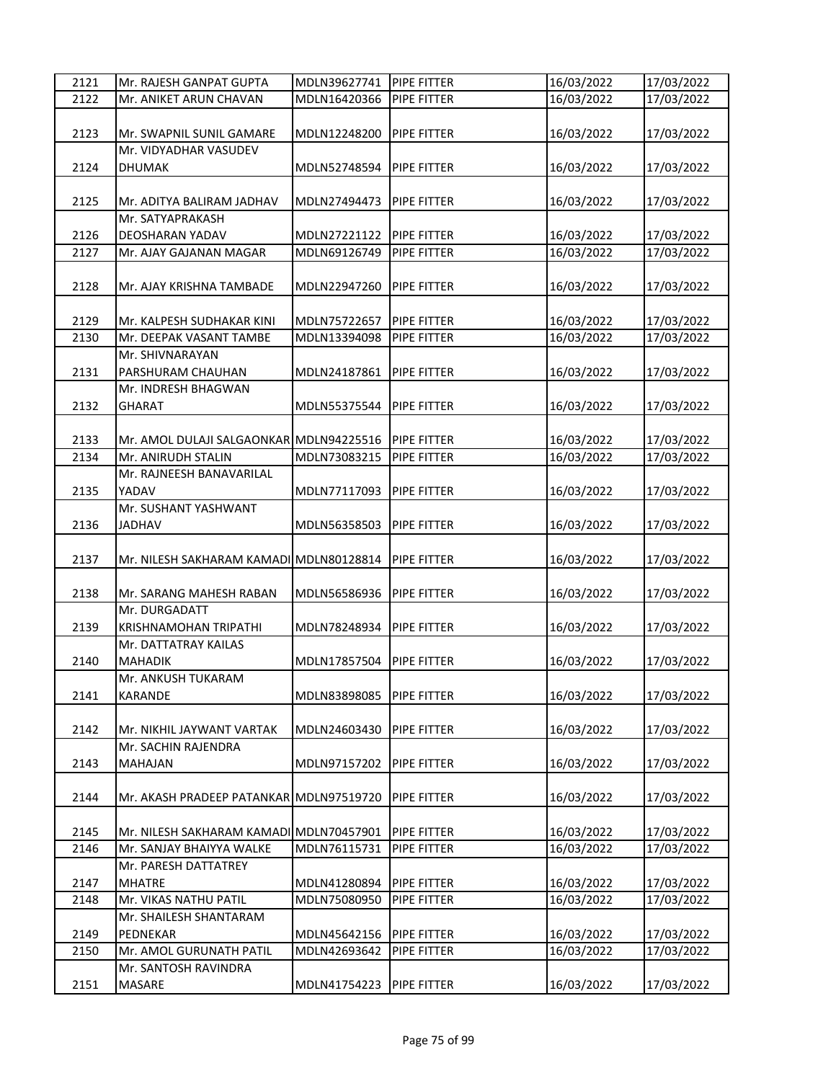| 2121 | Mr. RAJESH GANPAT GUPTA                 | MDLN39627741 | PIPE FITTER                | 16/03/2022 | 17/03/2022 |
|------|-----------------------------------------|--------------|----------------------------|------------|------------|
| 2122 | Mr. ANIKET ARUN CHAVAN                  | MDLN16420366 | PIPE FITTER                | 16/03/2022 | 17/03/2022 |
| 2123 | Mr. SWAPNIL SUNIL GAMARE                | MDLN12248200 | <b>PIPE FITTER</b>         | 16/03/2022 | 17/03/2022 |
|      | Mr. VIDYADHAR VASUDEV                   |              |                            |            |            |
| 2124 | <b>DHUMAK</b>                           | MDLN52748594 | <b>PIPE FITTER</b>         | 16/03/2022 | 17/03/2022 |
| 2125 | Mr. ADITYA BALIRAM JADHAV               | MDLN27494473 | PIPE FITTER                | 16/03/2022 | 17/03/2022 |
|      | Mr. SATYAPRAKASH                        |              |                            |            |            |
| 2126 | DEOSHARAN YADAV                         | MDLN27221122 | PIPE FITTER<br>PIPE FITTER | 16/03/2022 | 17/03/2022 |
| 2127 | Mr. AJAY GAJANAN MAGAR                  | MDLN69126749 |                            | 16/03/2022 | 17/03/2022 |
| 2128 | Mr. AJAY KRISHNA TAMBADE                | MDLN22947260 | PIPE FITTER                | 16/03/2022 | 17/03/2022 |
| 2129 | Mr. KALPESH SUDHAKAR KINI               | MDLN75722657 | PIPE FITTER                | 16/03/2022 | 17/03/2022 |
| 2130 | Mr. DEEPAK VASANT TAMBE                 | MDLN13394098 | PIPE FITTER                | 16/03/2022 | 17/03/2022 |
|      | Mr. SHIVNARAYAN                         |              |                            |            |            |
| 2131 | PARSHURAM CHAUHAN                       | MDLN24187861 | PIPE FITTER                | 16/03/2022 | 17/03/2022 |
|      | Mr. INDRESH BHAGWAN                     |              |                            |            |            |
| 2132 | <b>GHARAT</b>                           | MDLN55375544 | PIPE FITTER                | 16/03/2022 | 17/03/2022 |
|      |                                         |              |                            |            |            |
| 2133 | Mr. AMOL DULAJI SALGAONKAR MDLN94225516 |              | <b>PIPE FITTER</b>         | 16/03/2022 | 17/03/2022 |
| 2134 | Mr. ANIRUDH STALIN                      | MDLN73083215 | PIPE FITTER                | 16/03/2022 | 17/03/2022 |
|      | Mr. RAJNEESH BANAVARILAL                |              |                            |            |            |
| 2135 | YADAV                                   | MDLN77117093 | PIPE FITTER                | 16/03/2022 | 17/03/2022 |
|      | Mr. SUSHANT YASHWANT                    |              |                            |            |            |
| 2136 | <b>JADHAV</b>                           | MDLN56358503 | PIPE FITTER                | 16/03/2022 | 17/03/2022 |
| 2137 | Mr. NILESH SAKHARAM KAMADI MDLN80128814 |              | PIPE FITTER                | 16/03/2022 | 17/03/2022 |
| 2138 | Mr. SARANG MAHESH RABAN                 | MDLN56586936 | PIPE FITTER                | 16/03/2022 | 17/03/2022 |
|      | Mr. DURGADATT                           |              |                            |            |            |
| 2139 | KRISHNAMOHAN TRIPATHI                   | MDLN78248934 | PIPE FITTER                | 16/03/2022 | 17/03/2022 |
|      | Mr. DATTATRAY KAILAS                    |              |                            |            |            |
| 2140 | <b>MAHADIK</b>                          | MDLN17857504 | PIPE FITTER                | 16/03/2022 | 17/03/2022 |
|      | Mr. ANKUSH TUKARAM                      |              |                            |            |            |
| 2141 | KARANDE                                 | MDLN83898085 | PIPE FITTER                | 16/03/2022 | 17/03/2022 |
|      |                                         |              |                            |            |            |
| 2142 | Mr. NIKHIL JAYWANT VARTAK               | MDLN24603430 | PIPE FITTER                | 16/03/2022 | 17/03/2022 |
|      | Mr. SACHIN RAJENDRA                     |              |                            |            |            |
| 2143 | MAHAJAN                                 | MDLN97157202 | PIPE FITTER                | 16/03/2022 | 17/03/2022 |
| 2144 | Mr. AKASH PRADEEP PATANKAR MDLN97519720 |              | PIPE FITTER                | 16/03/2022 | 17/03/2022 |
| 2145 | Mr. NILESH SAKHARAM KAMADI MDLN70457901 |              | PIPE FITTER                | 16/03/2022 | 17/03/2022 |
| 2146 | Mr. SANJAY BHAIYYA WALKE                | MDLN76115731 | PIPE FITTER                | 16/03/2022 | 17/03/2022 |
|      | Mr. PARESH DATTATREY                    |              |                            |            |            |
| 2147 | <b>MHATRE</b>                           | MDLN41280894 | PIPE FITTER                | 16/03/2022 | 17/03/2022 |
| 2148 | Mr. VIKAS NATHU PATIL                   | MDLN75080950 | PIPE FITTER                | 16/03/2022 | 17/03/2022 |
|      | Mr. SHAILESH SHANTARAM                  |              |                            |            |            |
| 2149 | PEDNEKAR                                | MDLN45642156 | PIPE FITTER                | 16/03/2022 | 17/03/2022 |
| 2150 | Mr. AMOL GURUNATH PATIL                 | MDLN42693642 | PIPE FITTER                | 16/03/2022 | 17/03/2022 |
|      | Mr. SANTOSH RAVINDRA                    |              |                            |            |            |
| 2151 | MASARE                                  | MDLN41754223 | PIPE FITTER                | 16/03/2022 | 17/03/2022 |
|      |                                         |              |                            |            |            |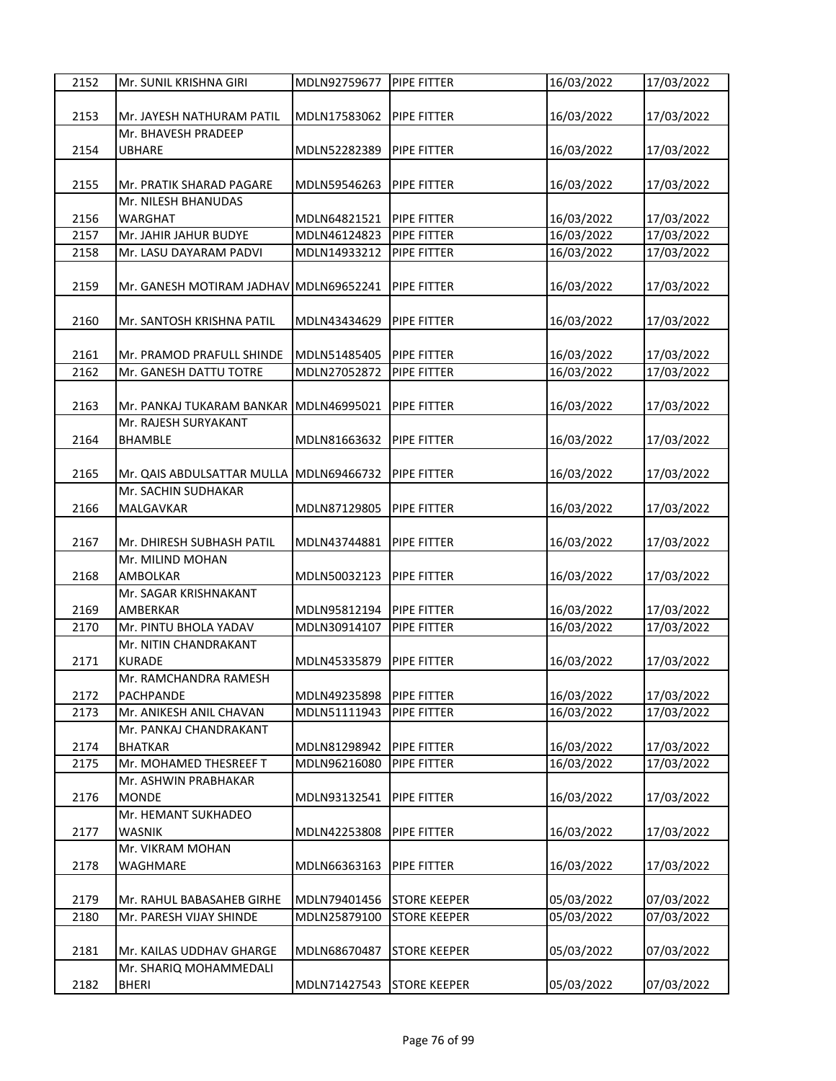| 2152 | Mr. SUNIL KRISHNA GIRI                 | MDLN92759677 | PIPE FITTER         | 16/03/2022 | 17/03/2022 |
|------|----------------------------------------|--------------|---------------------|------------|------------|
|      |                                        |              |                     |            |            |
| 2153 | Mr. JAYESH NATHURAM PATIL              | MDLN17583062 | PIPE FITTER         | 16/03/2022 | 17/03/2022 |
|      | Mr. BHAVESH PRADEEP                    |              |                     |            |            |
| 2154 | <b>UBHARE</b>                          | MDLN52282389 | PIPE FITTER         | 16/03/2022 | 17/03/2022 |
|      |                                        |              |                     |            |            |
| 2155 | Mr. PRATIK SHARAD PAGARE               | MDLN59546263 | PIPE FITTER         | 16/03/2022 | 17/03/2022 |
|      | Mr. NILESH BHANUDAS                    |              |                     |            |            |
| 2156 | <b>WARGHAT</b>                         | MDLN64821521 | <b>PIPE FITTER</b>  | 16/03/2022 | 17/03/2022 |
| 2157 | Mr. JAHIR JAHUR BUDYE                  | MDLN46124823 | PIPE FITTER         | 16/03/2022 | 17/03/2022 |
| 2158 | Mr. LASU DAYARAM PADVI                 | MDLN14933212 | PIPE FITTER         | 16/03/2022 | 17/03/2022 |
|      |                                        |              |                     |            |            |
| 2159 | Mr. GANESH MOTIRAM JADHAV MDLN69652241 |              | PIPE FITTER         | 16/03/2022 |            |
|      |                                        |              |                     |            | 17/03/2022 |
|      |                                        |              |                     |            |            |
| 2160 | Mr. SANTOSH KRISHNA PATIL              | MDLN43434629 | PIPE FITTER         | 16/03/2022 | 17/03/2022 |
|      |                                        |              |                     |            |            |
| 2161 | Mr. PRAMOD PRAFULL SHINDE              | MDLN51485405 | PIPE FITTER         | 16/03/2022 | 17/03/2022 |
| 2162 | Mr. GANESH DATTU TOTRE                 | MDLN27052872 | PIPE FITTER         | 16/03/2022 | 17/03/2022 |
|      |                                        |              |                     |            |            |
| 2163 | Mr. PANKAJ TUKARAM BANKAR MDLN46995021 |              | PIPE FITTER         | 16/03/2022 | 17/03/2022 |
|      | Mr. RAJESH SURYAKANT                   |              |                     |            |            |
| 2164 | <b>BHAMBLE</b>                         | MDLN81663632 | PIPE FITTER         | 16/03/2022 | 17/03/2022 |
|      |                                        |              |                     |            |            |
| 2165 | Mr. QAIS ABDULSATTAR MULLA             | MDLN69466732 | PIPE FITTER         | 16/03/2022 | 17/03/2022 |
|      | Mr. SACHIN SUDHAKAR                    |              |                     |            |            |
| 2166 | MALGAVKAR                              | MDLN87129805 | PIPE FITTER         | 16/03/2022 | 17/03/2022 |
|      |                                        |              |                     |            |            |
| 2167 | Mr. DHIRESH SUBHASH PATIL              | MDLN43744881 | PIPE FITTER         | 16/03/2022 | 17/03/2022 |
|      | Mr. MILIND MOHAN                       |              |                     |            |            |
| 2168 | <b>AMBOLKAR</b>                        | MDLN50032123 | PIPE FITTER         | 16/03/2022 | 17/03/2022 |
|      | Mr. SAGAR KRISHNAKANT                  |              |                     |            |            |
| 2169 | <b>AMBERKAR</b>                        | MDLN95812194 | PIPE FITTER         | 16/03/2022 | 17/03/2022 |
| 2170 | Mr. PINTU BHOLA YADAV                  | MDLN30914107 | PIPE FITTER         | 16/03/2022 | 17/03/2022 |
|      | Mr. NITIN CHANDRAKANT                  |              |                     |            |            |
| 2171 | <b>KURADE</b>                          | MDLN45335879 | PIPE FITTER         | 16/03/2022 | 17/03/2022 |
|      | Mr. RAMCHANDRA RAMESH                  |              |                     |            |            |
| 2172 | <b>PACHPANDE</b>                       | MDLN49235898 | PIPE FITTER         | 16/03/2022 | 17/03/2022 |
| 2173 | Mr. ANIKESH ANIL CHAVAN                | MDLN51111943 | PIPE FITTER         | 16/03/2022 | 17/03/2022 |
|      | Mr. PANKAJ CHANDRAKANT                 |              |                     |            |            |
| 2174 | <b>BHATKAR</b>                         | MDLN81298942 | PIPE FITTER         | 16/03/2022 | 17/03/2022 |
| 2175 | Mr. MOHAMED THESREEF T                 | MDLN96216080 | PIPE FITTER         | 16/03/2022 | 17/03/2022 |
|      | Mr. ASHWIN PRABHAKAR                   |              |                     |            |            |
| 2176 | <b>MONDE</b>                           | MDLN93132541 | PIPE FITTER         | 16/03/2022 | 17/03/2022 |
|      | Mr. HEMANT SUKHADEO                    |              |                     |            |            |
| 2177 | <b>WASNIK</b>                          | MDLN42253808 | PIPE FITTER         | 16/03/2022 | 17/03/2022 |
|      | Mr. VIKRAM MOHAN                       |              |                     |            |            |
|      |                                        |              |                     |            |            |
| 2178 | WAGHMARE                               | MDLN66363163 | PIPE FITTER         | 16/03/2022 | 17/03/2022 |
|      |                                        |              |                     |            |            |
| 2179 | Mr. RAHUL BABASAHEB GIRHE              | MDLN79401456 | <b>STORE KEEPER</b> | 05/03/2022 | 07/03/2022 |
| 2180 | Mr. PARESH VIJAY SHINDE                | MDLN25879100 | <b>STORE KEEPER</b> | 05/03/2022 | 07/03/2022 |
|      |                                        |              |                     |            |            |
| 2181 | Mr. KAILAS UDDHAV GHARGE               | MDLN68670487 | <b>STORE KEEPER</b> | 05/03/2022 | 07/03/2022 |
|      | Mr. SHARIQ MOHAMMEDALI                 |              |                     |            |            |
| 2182 | <b>BHERI</b>                           | MDLN71427543 | <b>STORE KEEPER</b> | 05/03/2022 | 07/03/2022 |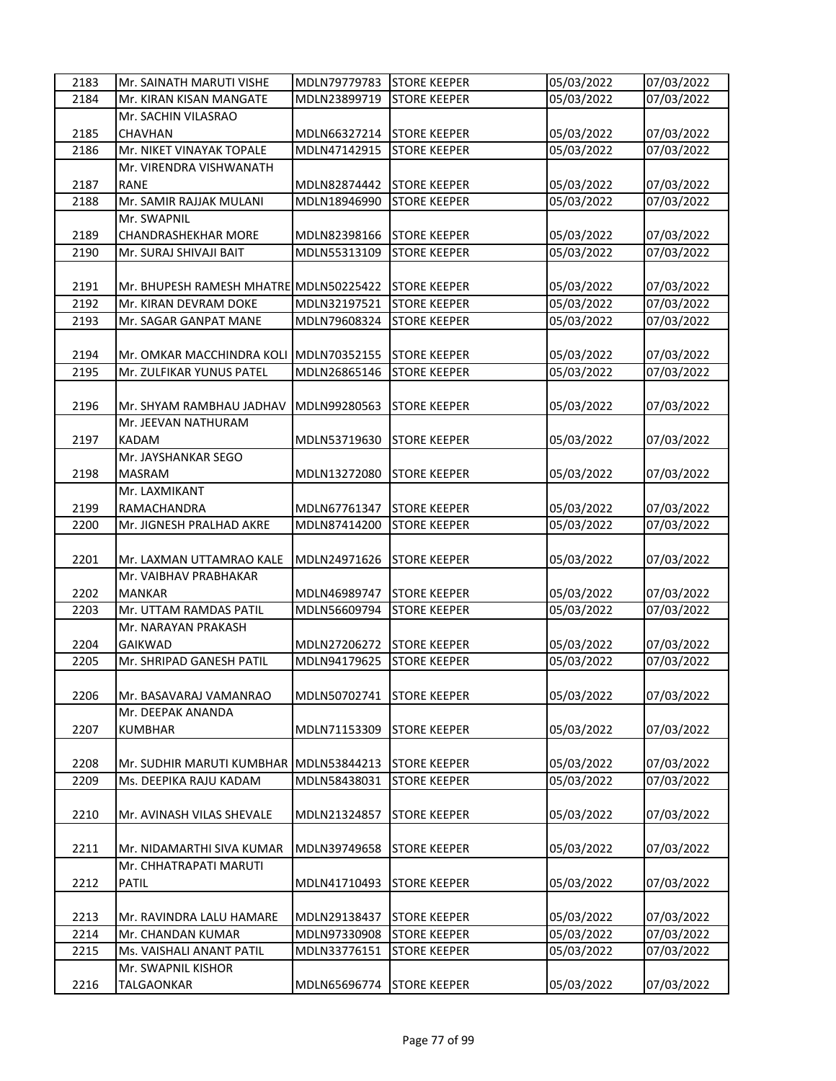| 2183 | Mr. SAINATH MARUTI VISHE               | MDLN79779783 | <b>STORE KEEPER</b> | 05/03/2022 | 07/03/2022 |
|------|----------------------------------------|--------------|---------------------|------------|------------|
| 2184 | Mr. KIRAN KISAN MANGATE                | MDLN23899719 | <b>STORE KEEPER</b> | 05/03/2022 | 07/03/2022 |
|      | Mr. SACHIN VILASRAO                    |              |                     |            |            |
| 2185 | <b>CHAVHAN</b>                         | MDLN66327214 | <b>STORE KEEPER</b> | 05/03/2022 | 07/03/2022 |
| 2186 | Mr. NIKET VINAYAK TOPALE               | MDLN47142915 | <b>STORE KEEPER</b> | 05/03/2022 | 07/03/2022 |
|      | Mr. VIRENDRA VISHWANATH                |              |                     |            |            |
| 2187 | <b>RANE</b>                            | MDLN82874442 | <b>STORE KEEPER</b> | 05/03/2022 | 07/03/2022 |
| 2188 | Mr. SAMIR RAJJAK MULANI                | MDLN18946990 | <b>STORE KEEPER</b> | 05/03/2022 | 07/03/2022 |
|      | Mr. SWAPNIL                            |              |                     |            |            |
| 2189 | <b>CHANDRASHEKHAR MORE</b>             | MDLN82398166 | <b>STORE KEEPER</b> | 05/03/2022 | 07/03/2022 |
| 2190 | Mr. SURAJ SHIVAJI BAIT                 | MDLN55313109 | <b>STORE KEEPER</b> | 05/03/2022 | 07/03/2022 |
|      |                                        |              |                     |            |            |
| 2191 | Mr. BHUPESH RAMESH MHATRE MDLN50225422 |              | <b>STORE KEEPER</b> | 05/03/2022 | 07/03/2022 |
| 2192 | Mr. KIRAN DEVRAM DOKE                  | MDLN32197521 | <b>STORE KEEPER</b> | 05/03/2022 | 07/03/2022 |
| 2193 | Mr. SAGAR GANPAT MANE                  | MDLN79608324 | <b>STORE KEEPER</b> | 05/03/2022 | 07/03/2022 |
|      |                                        |              |                     |            |            |
| 2194 | Mr. OMKAR MACCHINDRA KOLI MDLN70352155 |              | <b>STORE KEEPER</b> | 05/03/2022 | 07/03/2022 |
| 2195 | Mr. ZULFIKAR YUNUS PATEL               | MDLN26865146 | <b>STORE KEEPER</b> | 05/03/2022 | 07/03/2022 |
|      |                                        |              |                     |            |            |
| 2196 | Mr. SHYAM RAMBHAU JADHAV               | MDLN99280563 | <b>STORE KEEPER</b> | 05/03/2022 | 07/03/2022 |
|      | Mr. JEEVAN NATHURAM                    |              |                     |            |            |
| 2197 | <b>KADAM</b>                           | MDLN53719630 | <b>STORE KEEPER</b> | 05/03/2022 | 07/03/2022 |
|      | Mr. JAYSHANKAR SEGO                    |              |                     |            |            |
| 2198 | <b>MASRAM</b>                          | MDLN13272080 | <b>STORE KEEPER</b> | 05/03/2022 | 07/03/2022 |
|      | Mr. LAXMIKANT                          |              |                     |            |            |
| 2199 | RAMACHANDRA                            | MDLN67761347 | <b>STORE KEEPER</b> | 05/03/2022 | 07/03/2022 |
| 2200 | Mr. JIGNESH PRALHAD AKRE               | MDLN87414200 | <b>STORE KEEPER</b> | 05/03/2022 | 07/03/2022 |
|      |                                        |              |                     |            |            |
| 2201 | Mr. LAXMAN UTTAMRAO KALE               | MDLN24971626 | <b>STORE KEEPER</b> | 05/03/2022 | 07/03/2022 |
|      | Mr. VAIBHAV PRABHAKAR                  |              |                     |            |            |
| 2202 | <b>MANKAR</b>                          | MDLN46989747 | <b>STORE KEEPER</b> | 05/03/2022 | 07/03/2022 |
| 2203 | Mr. UTTAM RAMDAS PATIL                 | MDLN56609794 | <b>STORE KEEPER</b> | 05/03/2022 | 07/03/2022 |
|      | Mr. NARAYAN PRAKASH                    |              |                     |            |            |
| 2204 | <b>GAIKWAD</b>                         | MDLN27206272 | <b>STORE KEEPER</b> | 05/03/2022 | 07/03/2022 |
| 2205 | Mr. SHRIPAD GANESH PATIL               | MDLN94179625 | <b>STORE KEEPER</b> | 05/03/2022 | 07/03/2022 |
|      |                                        |              |                     |            |            |
| 2206 | Mr. BASAVARAJ VAMANRAO                 | MDLN50702741 | <b>STORE KEEPER</b> | 05/03/2022 | 07/03/2022 |
|      | Mr. DEEPAK ANANDA                      |              |                     |            |            |
| 2207 | <b>KUMBHAR</b>                         | MDLN71153309 | <b>STORE KEEPER</b> | 05/03/2022 | 07/03/2022 |
|      |                                        |              |                     |            |            |
| 2208 | Mr. SUDHIR MARUTI KUMBHAR              | MDLN53844213 | <b>STORE KEEPER</b> | 05/03/2022 | 07/03/2022 |
| 2209 | Ms. DEEPIKA RAJU KADAM                 | MDLN58438031 | <b>STORE KEEPER</b> | 05/03/2022 | 07/03/2022 |
|      |                                        |              |                     |            |            |
| 2210 | Mr. AVINASH VILAS SHEVALE              | MDLN21324857 | <b>STORE KEEPER</b> | 05/03/2022 | 07/03/2022 |
|      |                                        |              |                     |            |            |
| 2211 | Mr. NIDAMARTHI SIVA KUMAR              | MDLN39749658 | <b>STORE KEEPER</b> | 05/03/2022 | 07/03/2022 |
|      | Mr. CHHATRAPATI MARUTI                 |              |                     |            |            |
| 2212 | PATIL                                  | MDLN41710493 | <b>STORE KEEPER</b> | 05/03/2022 | 07/03/2022 |
|      |                                        |              |                     |            |            |
| 2213 | Mr. RAVINDRA LALU HAMARE               | MDLN29138437 | <b>STORE KEEPER</b> | 05/03/2022 | 07/03/2022 |
| 2214 | Mr. CHANDAN KUMAR                      | MDLN97330908 | <b>STORE KEEPER</b> | 05/03/2022 | 07/03/2022 |
| 2215 | Ms. VAISHALI ANANT PATIL               | MDLN33776151 | <b>STORE KEEPER</b> | 05/03/2022 | 07/03/2022 |
|      | Mr. SWAPNIL KISHOR                     |              |                     |            |            |
| 2216 | TALGAONKAR                             | MDLN65696774 | <b>STORE KEEPER</b> | 05/03/2022 | 07/03/2022 |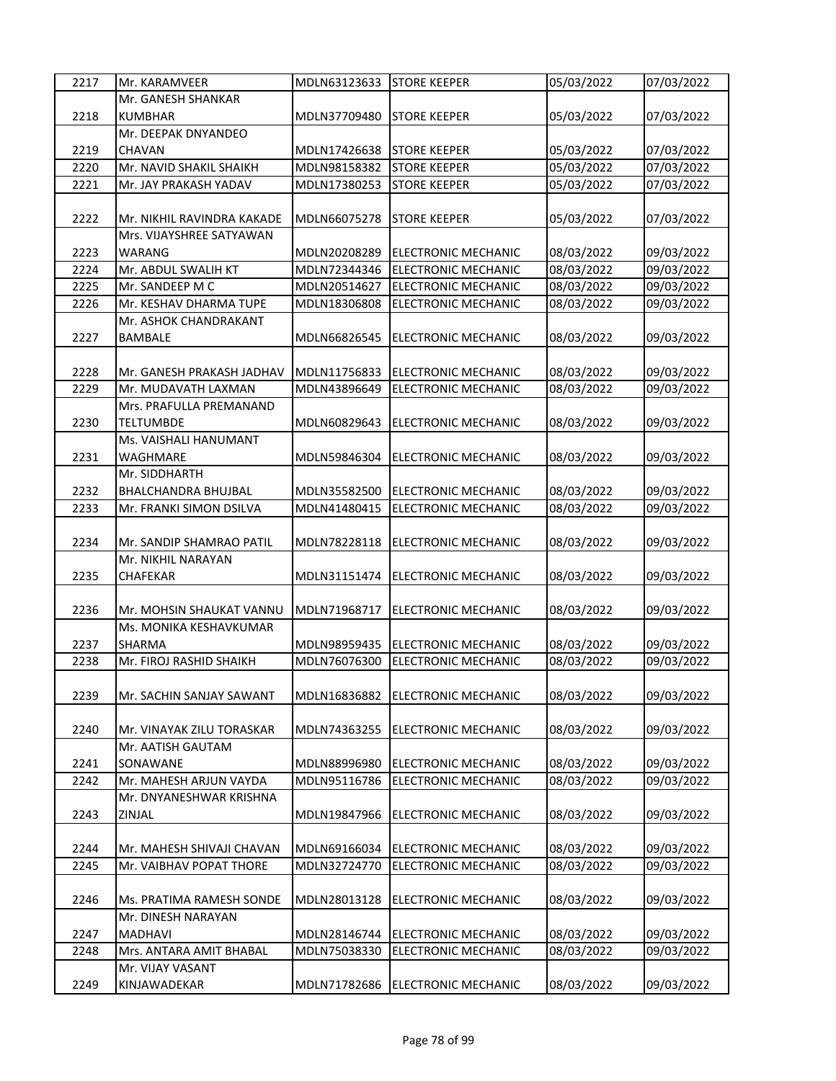| 2217 | Mr. KARAMVEER              | MDLN63123633 | <b>STORE KEEPER</b>        | 05/03/2022 | 07/03/2022 |
|------|----------------------------|--------------|----------------------------|------------|------------|
|      | Mr. GANESH SHANKAR         |              |                            |            |            |
| 2218 | <b>KUMBHAR</b>             | MDLN37709480 | <b>STORE KEEPER</b>        | 05/03/2022 | 07/03/2022 |
|      | Mr. DEEPAK DNYANDEO        |              |                            |            |            |
| 2219 | <b>CHAVAN</b>              | MDLN17426638 | <b>STORE KEEPER</b>        | 05/03/2022 | 07/03/2022 |
| 2220 | Mr. NAVID SHAKIL SHAIKH    | MDLN98158382 | <b>STORE KEEPER</b>        | 05/03/2022 | 07/03/2022 |
| 2221 | Mr. JAY PRAKASH YADAV      | MDLN17380253 | <b>STORE KEEPER</b>        | 05/03/2022 | 07/03/2022 |
|      |                            |              |                            |            |            |
| 2222 | Mr. NIKHIL RAVINDRA KAKADE | MDLN66075278 | <b>STORE KEEPER</b>        | 05/03/2022 | 07/03/2022 |
|      | Mrs. VIJAYSHREE SATYAWAN   |              |                            |            |            |
| 2223 | WARANG                     | MDLN20208289 | ELECTRONIC MECHANIC        | 08/03/2022 | 09/03/2022 |
| 2224 | Mr. ABDUL SWALIH KT        | MDLN72344346 | <b>ELECTRONIC MECHANIC</b> | 08/03/2022 | 09/03/2022 |
| 2225 | Mr. SANDEEP M C            | MDLN20514627 | <b>ELECTRONIC MECHANIC</b> | 08/03/2022 | 09/03/2022 |
| 2226 | Mr. KESHAV DHARMA TUPE     | MDLN18306808 | ELECTRONIC MECHANIC        | 08/03/2022 | 09/03/2022 |
|      | Mr. ASHOK CHANDRAKANT      |              |                            |            |            |
| 2227 | <b>BAMBALE</b>             | MDLN66826545 | ELECTRONIC MECHANIC        | 08/03/2022 | 09/03/2022 |
|      |                            |              |                            |            |            |
| 2228 | Mr. GANESH PRAKASH JADHAV  | MDLN11756833 | <b>ELECTRONIC MECHANIC</b> | 08/03/2022 | 09/03/2022 |
| 2229 | Mr. MUDAVATH LAXMAN        | MDLN43896649 | <b>ELECTRONIC MECHANIC</b> | 08/03/2022 | 09/03/2022 |
|      | Mrs. PRAFULLA PREMANAND    |              |                            |            |            |
| 2230 | <b>TELTUMBDE</b>           | MDLN60829643 | ELECTRONIC MECHANIC        | 08/03/2022 | 09/03/2022 |
|      | Ms. VAISHALI HANUMANT      |              |                            |            |            |
| 2231 | WAGHMARE                   | MDLN59846304 | <b>ELECTRONIC MECHANIC</b> | 08/03/2022 | 09/03/2022 |
|      | Mr. SIDDHARTH              |              |                            |            |            |
| 2232 | BHALCHANDRA BHUJBAL        | MDLN35582500 | ELECTRONIC MECHANIC        | 08/03/2022 | 09/03/2022 |
| 2233 | Mr. FRANKI SIMON DSILVA    | MDLN41480415 | <b>ELECTRONIC MECHANIC</b> | 08/03/2022 | 09/03/2022 |
|      |                            |              |                            |            |            |
| 2234 | Mr. SANDIP SHAMRAO PATIL   | MDLN78228118 | <b>ELECTRONIC MECHANIC</b> | 08/03/2022 | 09/03/2022 |
|      | Mr. NIKHIL NARAYAN         |              |                            |            |            |
| 2235 | <b>CHAFEKAR</b>            | MDLN31151474 | <b>ELECTRONIC MECHANIC</b> | 08/03/2022 | 09/03/2022 |
|      |                            |              |                            |            |            |
| 2236 | Mr. MOHSIN SHAUKAT VANNU   | MDLN71968717 | ELECTRONIC MECHANIC        | 08/03/2022 | 09/03/2022 |
|      | Ms. MONIKA KESHAVKUMAR     |              |                            |            |            |
| 2237 | SHARMA                     | MDLN98959435 | <b>ELECTRONIC MECHANIC</b> | 08/03/2022 | 09/03/2022 |
| 2238 | Mr. FIROJ RASHID SHAIKH    | MDLN76076300 | <b>ELECTRONIC MECHANIC</b> | 08/03/2022 | 09/03/2022 |
|      |                            |              |                            |            |            |
| 2239 | Mr. SACHIN SANJAY SAWANT   | MDLN16836882 | ELECTRONIC MECHANIC        | 08/03/2022 | 09/03/2022 |
| 2240 | Mr. VINAYAK ZILU TORASKAR  | MDLN74363255 | ELECTRONIC MECHANIC        | 08/03/2022 | 09/03/2022 |
|      | Mr. AATISH GAUTAM          |              |                            |            |            |
| 2241 | SONAWANE                   | MDLN88996980 | ELECTRONIC MECHANIC        | 08/03/2022 | 09/03/2022 |
| 2242 | Mr. MAHESH ARJUN VAYDA     | MDLN95116786 | ELECTRONIC MECHANIC        | 08/03/2022 | 09/03/2022 |
|      | Mr. DNYANESHWAR KRISHNA    |              |                            |            |            |
| 2243 | ZINJAL                     | MDLN19847966 | ELECTRONIC MECHANIC        | 08/03/2022 | 09/03/2022 |
|      |                            |              |                            |            |            |
| 2244 | Mr. MAHESH SHIVAJI CHAVAN  | MDLN69166034 | <b>ELECTRONIC MECHANIC</b> | 08/03/2022 | 09/03/2022 |
| 2245 | Mr. VAIBHAV POPAT THORE    | MDLN32724770 | ELECTRONIC MECHANIC        | 08/03/2022 | 09/03/2022 |
|      |                            |              |                            |            |            |
| 2246 | Ms. PRATIMA RAMESH SONDE   | MDLN28013128 | ELECTRONIC MECHANIC        | 08/03/2022 | 09/03/2022 |
|      | Mr. DINESH NARAYAN         |              |                            |            |            |
| 2247 | <b>MADHAVI</b>             | MDLN28146744 | ELECTRONIC MECHANIC        | 08/03/2022 | 09/03/2022 |
| 2248 | Mrs. ANTARA AMIT BHABAL    | MDLN75038330 | ELECTRONIC MECHANIC        | 08/03/2022 | 09/03/2022 |
|      | Mr. VIJAY VASANT           |              |                            |            |            |
| 2249 | KINJAWADEKAR               | MDLN71782686 | ELECTRONIC MECHANIC        | 08/03/2022 | 09/03/2022 |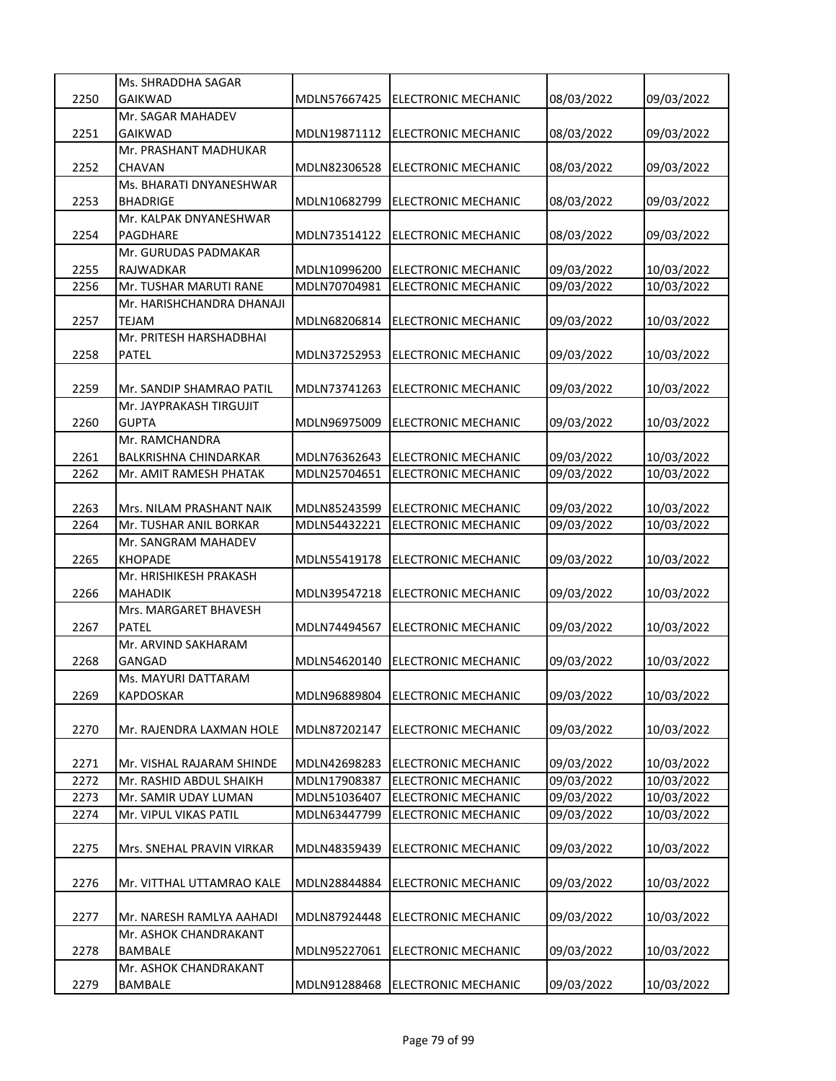|      | Ms. SHRADDHA SAGAR           |              |                            |            |            |
|------|------------------------------|--------------|----------------------------|------------|------------|
| 2250 | <b>GAIKWAD</b>               | MDLN57667425 | ELECTRONIC MECHANIC        | 08/03/2022 | 09/03/2022 |
|      | Mr. SAGAR MAHADEV            |              |                            |            |            |
| 2251 | <b>GAIKWAD</b>               | MDLN19871112 | <b>ELECTRONIC MECHANIC</b> | 08/03/2022 | 09/03/2022 |
|      | Mr. PRASHANT MADHUKAR        |              |                            |            |            |
| 2252 | CHAVAN                       | MDLN82306528 | <b>ELECTRONIC MECHANIC</b> | 08/03/2022 | 09/03/2022 |
|      | Ms. BHARATI DNYANESHWAR      |              |                            |            |            |
| 2253 | <b>BHADRIGE</b>              | MDLN10682799 | ELECTRONIC MECHANIC        | 08/03/2022 | 09/03/2022 |
|      | Mr. KALPAK DNYANESHWAR       |              |                            |            |            |
| 2254 | PAGDHARE                     | MDLN73514122 | <b>ELECTRONIC MECHANIC</b> | 08/03/2022 | 09/03/2022 |
|      | Mr. GURUDAS PADMAKAR         |              |                            |            |            |
| 2255 | RAJWADKAR                    | MDLN10996200 | <b>ELECTRONIC MECHANIC</b> | 09/03/2022 | 10/03/2022 |
| 2256 | Mr. TUSHAR MARUTI RANE       | MDLN70704981 | <b>ELECTRONIC MECHANIC</b> | 09/03/2022 | 10/03/2022 |
|      | Mr. HARISHCHANDRA DHANAJI    |              |                            |            |            |
| 2257 | <b>TEJAM</b>                 | MDLN68206814 | <b>ELECTRONIC MECHANIC</b> | 09/03/2022 |            |
|      | Mr. PRITESH HARSHADBHAI      |              |                            |            | 10/03/2022 |
|      |                              |              |                            |            |            |
| 2258 | <b>PATEL</b>                 | MDLN37252953 | ELECTRONIC MECHANIC        | 09/03/2022 | 10/03/2022 |
| 2259 |                              |              |                            |            |            |
|      | Mr. SANDIP SHAMRAO PATIL     | MDLN73741263 | ELECTRONIC MECHANIC        | 09/03/2022 | 10/03/2022 |
|      | Mr. JAYPRAKASH TIRGUJIT      |              |                            |            |            |
| 2260 | <b>GUPTA</b>                 | MDLN96975009 | ELECTRONIC MECHANIC        | 09/03/2022 | 10/03/2022 |
|      | Mr. RAMCHANDRA               |              |                            |            |            |
| 2261 | <b>BALKRISHNA CHINDARKAR</b> | MDLN76362643 | ELECTRONIC MECHANIC        | 09/03/2022 | 10/03/2022 |
| 2262 | Mr. AMIT RAMESH PHATAK       | MDLN25704651 | <b>ELECTRONIC MECHANIC</b> | 09/03/2022 | 10/03/2022 |
|      |                              |              |                            |            |            |
| 2263 | Mrs. NILAM PRASHANT NAIK     | MDLN85243599 | <b>ELECTRONIC MECHANIC</b> | 09/03/2022 | 10/03/2022 |
| 2264 | Mr. TUSHAR ANIL BORKAR       | MDLN54432221 | <b>ELECTRONIC MECHANIC</b> | 09/03/2022 | 10/03/2022 |
|      | Mr. SANGRAM MAHADEV          |              |                            |            |            |
| 2265 | <b>KHOPADE</b>               | MDLN55419178 | <b>ELECTRONIC MECHANIC</b> | 09/03/2022 | 10/03/2022 |
|      | Mr. HRISHIKESH PRAKASH       |              |                            |            |            |
| 2266 | <b>MAHADIK</b>               | MDLN39547218 | <b>ELECTRONIC MECHANIC</b> | 09/03/2022 | 10/03/2022 |
|      | Mrs. MARGARET BHAVESH        |              |                            |            |            |
| 2267 | PATEL                        | MDLN74494567 | ELECTRONIC MECHANIC        | 09/03/2022 | 10/03/2022 |
|      | Mr. ARVIND SAKHARAM          |              |                            |            |            |
| 2268 | GANGAD                       | MDLN54620140 | ELECTRONIC MECHANIC        | 09/03/2022 | 10/03/2022 |
|      | Ms. MAYURI DATTARAM          |              |                            |            |            |
| 2269 | KAPDOSKAR                    | MDLN96889804 | ELECTRONIC MECHANIC        | 09/03/2022 | 10/03/2022 |
|      |                              |              |                            |            |            |
| 2270 | Mr. RAJENDRA LAXMAN HOLE     | MDLN87202147 | ELECTRONIC MECHANIC        | 09/03/2022 | 10/03/2022 |
|      |                              |              |                            |            |            |
| 2271 | Mr. VISHAL RAJARAM SHINDE    | MDLN42698283 | ELECTRONIC MECHANIC        | 09/03/2022 | 10/03/2022 |
| 2272 | Mr. RASHID ABDUL SHAIKH      | MDLN17908387 | <b>ELECTRONIC MECHANIC</b> | 09/03/2022 | 10/03/2022 |
| 2273 | Mr. SAMIR UDAY LUMAN         | MDLN51036407 | ELECTRONIC MECHANIC        | 09/03/2022 | 10/03/2022 |
| 2274 | Mr. VIPUL VIKAS PATIL        | MDLN63447799 | ELECTRONIC MECHANIC        | 09/03/2022 | 10/03/2022 |
|      |                              |              |                            |            |            |
| 2275 | Mrs. SNEHAL PRAVIN VIRKAR    | MDLN48359439 | ELECTRONIC MECHANIC        | 09/03/2022 | 10/03/2022 |
|      |                              |              |                            |            |            |
| 2276 | Mr. VITTHAL UTTAMRAO KALE    | MDLN28844884 | ELECTRONIC MECHANIC        | 09/03/2022 | 10/03/2022 |
|      |                              |              |                            |            |            |
| 2277 | Mr. NARESH RAMLYA AAHADI     | MDLN87924448 | ELECTRONIC MECHANIC        | 09/03/2022 | 10/03/2022 |
|      | Mr. ASHOK CHANDRAKANT        |              |                            |            |            |
| 2278 | <b>BAMBALE</b>               | MDLN95227061 | ELECTRONIC MECHANIC        | 09/03/2022 | 10/03/2022 |
|      | Mr. ASHOK CHANDRAKANT        |              |                            |            |            |
| 2279 | BAMBALE                      | MDLN91288468 | <b>ELECTRONIC MECHANIC</b> | 09/03/2022 | 10/03/2022 |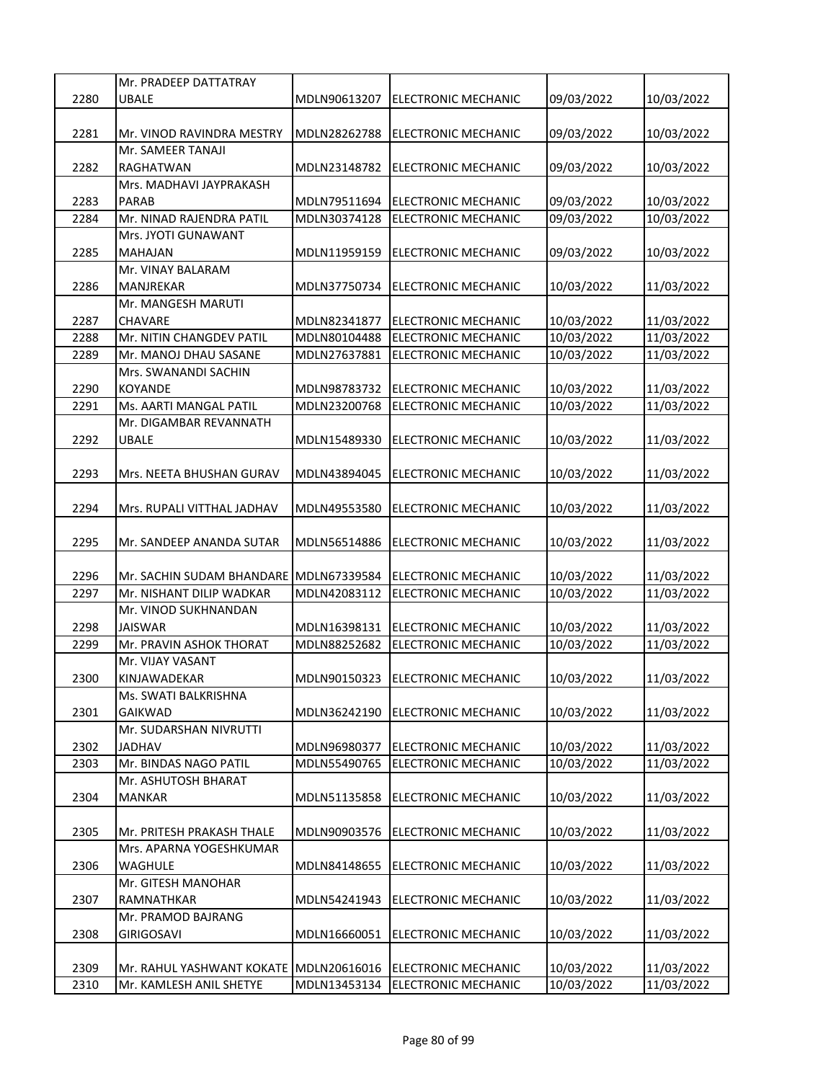|      | Mr. PRADEEP DATTATRAY                  |              |                                  |                          |            |
|------|----------------------------------------|--------------|----------------------------------|--------------------------|------------|
| 2280 | <b>UBALE</b>                           | MDLN90613207 | ELECTRONIC MECHANIC              | 09/03/2022               | 10/03/2022 |
|      |                                        |              |                                  |                          |            |
| 2281 | Mr. VINOD RAVINDRA MESTRY              | MDLN28262788 | <b>ELECTRONIC MECHANIC</b>       | 09/03/2022               | 10/03/2022 |
|      | Mr. SAMEER TANAJI                      |              |                                  |                          |            |
| 2282 | RAGHATWAN                              | MDLN23148782 | <b>IELECTRONIC MECHANIC</b>      | 09/03/2022               | 10/03/2022 |
|      | Mrs. MADHAVI JAYPRAKASH                |              |                                  |                          |            |
| 2283 | <b>PARAB</b>                           | MDLN79511694 | <b>ELECTRONIC MECHANIC</b>       | 09/03/2022               | 10/03/2022 |
| 2284 | Mr. NINAD RAJENDRA PATIL               | MDLN30374128 | <b>ELECTRONIC MECHANIC</b>       | 09/03/2022               | 10/03/2022 |
|      | Mrs. JYOTI GUNAWANT                    |              |                                  |                          |            |
| 2285 | <b>MAHAJAN</b>                         | MDLN11959159 | <b>ELECTRONIC MECHANIC</b>       | 09/03/2022               | 10/03/2022 |
|      | Mr. VINAY BALARAM                      |              |                                  |                          |            |
| 2286 | MANJREKAR                              | MDLN37750734 | ELECTRONIC MECHANIC              | 10/03/2022               | 11/03/2022 |
|      | Mr. MANGESH MARUTI                     |              |                                  |                          |            |
|      |                                        |              |                                  |                          |            |
| 2287 | CHAVARE<br>Mr. NITIN CHANGDEV PATIL    | MDLN82341877 | ELECTRONIC MECHANIC              | 10/03/2022<br>10/03/2022 | 11/03/2022 |
| 2288 |                                        | MDLN80104488 | <b>ELECTRONIC MECHANIC</b>       |                          | 11/03/2022 |
| 2289 | Mr. MANOJ DHAU SASANE                  | MDLN27637881 | <b>ELECTRONIC MECHANIC</b>       | 10/03/2022               | 11/03/2022 |
|      | Mrs. SWANANDI SACHIN                   |              |                                  |                          |            |
| 2290 | <b>KOYANDE</b>                         | MDLN98783732 | <b>ELECTRONIC MECHANIC</b>       | 10/03/2022               | 11/03/2022 |
| 2291 | Ms. AARTI MANGAL PATIL                 | MDLN23200768 | <b>ELECTRONIC MECHANIC</b>       | 10/03/2022               | 11/03/2022 |
|      | Mr. DIGAMBAR REVANNATH                 |              |                                  |                          |            |
| 2292 | <b>UBALE</b>                           | MDLN15489330 | ELECTRONIC MECHANIC              | 10/03/2022               | 11/03/2022 |
|      |                                        |              |                                  |                          |            |
| 2293 | Mrs. NEETA BHUSHAN GURAV               | MDLN43894045 | <b>ELECTRONIC MECHANIC</b>       | 10/03/2022               | 11/03/2022 |
|      |                                        |              |                                  |                          |            |
| 2294 | Mrs. RUPALI VITTHAL JADHAV             | MDLN49553580 | <b>ELECTRONIC MECHANIC</b>       | 10/03/2022               | 11/03/2022 |
|      |                                        |              |                                  |                          |            |
| 2295 | Mr. SANDEEP ANANDA SUTAR               | MDLN56514886 | ELECTRONIC MECHANIC              | 10/03/2022               | 11/03/2022 |
|      |                                        |              |                                  |                          |            |
| 2296 | Mr. SACHIN SUDAM BHANDARE MDLN67339584 |              | <b>ELECTRONIC MECHANIC</b>       | 10/03/2022               | 11/03/2022 |
| 2297 | Mr. NISHANT DILIP WADKAR               | MDLN42083112 | <b>ELECTRONIC MECHANIC</b>       | 10/03/2022               | 11/03/2022 |
|      | Mr. VINOD SUKHNANDAN                   |              |                                  |                          |            |
| 2298 | <b>JAISWAR</b>                         | MDLN16398131 | <b>ELECTRONIC MECHANIC</b>       | 10/03/2022               | 11/03/2022 |
| 2299 | Mr. PRAVIN ASHOK THORAT                | MDLN88252682 | ELECTRONIC MECHANIC              | 10/03/2022               | 11/03/2022 |
|      | Mr. VIJAY VASANT                       |              |                                  |                          |            |
| 2300 | KINJAWADEKAR                           |              | MDLN90150323 ELECTRONIC MECHANIC | 10/03/2022               | 11/03/2022 |
|      | Ms. SWATI BALKRISHNA                   |              |                                  |                          |            |
| 2301 | <b>GAIKWAD</b>                         | MDLN36242190 | ELECTRONIC MECHANIC              | 10/03/2022               | 11/03/2022 |
|      | Mr. SUDARSHAN NIVRUTTI                 |              |                                  |                          |            |
| 2302 | <b>JADHAV</b>                          | MDLN96980377 | ELECTRONIC MECHANIC              | 10/03/2022               | 11/03/2022 |
| 2303 | Mr. BINDAS NAGO PATIL                  | MDLN55490765 | <b>ELECTRONIC MECHANIC</b>       | 10/03/2022               | 11/03/2022 |
|      | Mr. ASHUTOSH BHARAT                    |              |                                  |                          |            |
| 2304 | <b>MANKAR</b>                          | MDLN51135858 | ELECTRONIC MECHANIC              | 10/03/2022               | 11/03/2022 |
|      |                                        |              |                                  |                          |            |
| 2305 | Mr. PRITESH PRAKASH THALE              | MDLN90903576 | ELECTRONIC MECHANIC              | 10/03/2022               | 11/03/2022 |
|      | Mrs. APARNA YOGESHKUMAR                |              |                                  |                          |            |
| 2306 | WAGHULE                                | MDLN84148655 | ELECTRONIC MECHANIC              | 10/03/2022               | 11/03/2022 |
|      | Mr. GITESH MANOHAR                     |              |                                  |                          |            |
| 2307 | RAMNATHKAR                             | MDLN54241943 | ELECTRONIC MECHANIC              | 10/03/2022               | 11/03/2022 |
|      | Mr. PRAMOD BAJRANG                     |              |                                  |                          |            |
| 2308 | GIRIGOSAVI                             | MDLN16660051 | ELECTRONIC MECHANIC              | 10/03/2022               | 11/03/2022 |
|      |                                        |              |                                  |                          |            |
| 2309 | Mr. RAHUL YASHWANT KOKATE              | MDLN20616016 | ELECTRONIC MECHANIC              | 10/03/2022               | 11/03/2022 |
| 2310 | Mr. KAMLESH ANIL SHETYE                | MDLN13453134 | ELECTRONIC MECHANIC              | 10/03/2022               | 11/03/2022 |
|      |                                        |              |                                  |                          |            |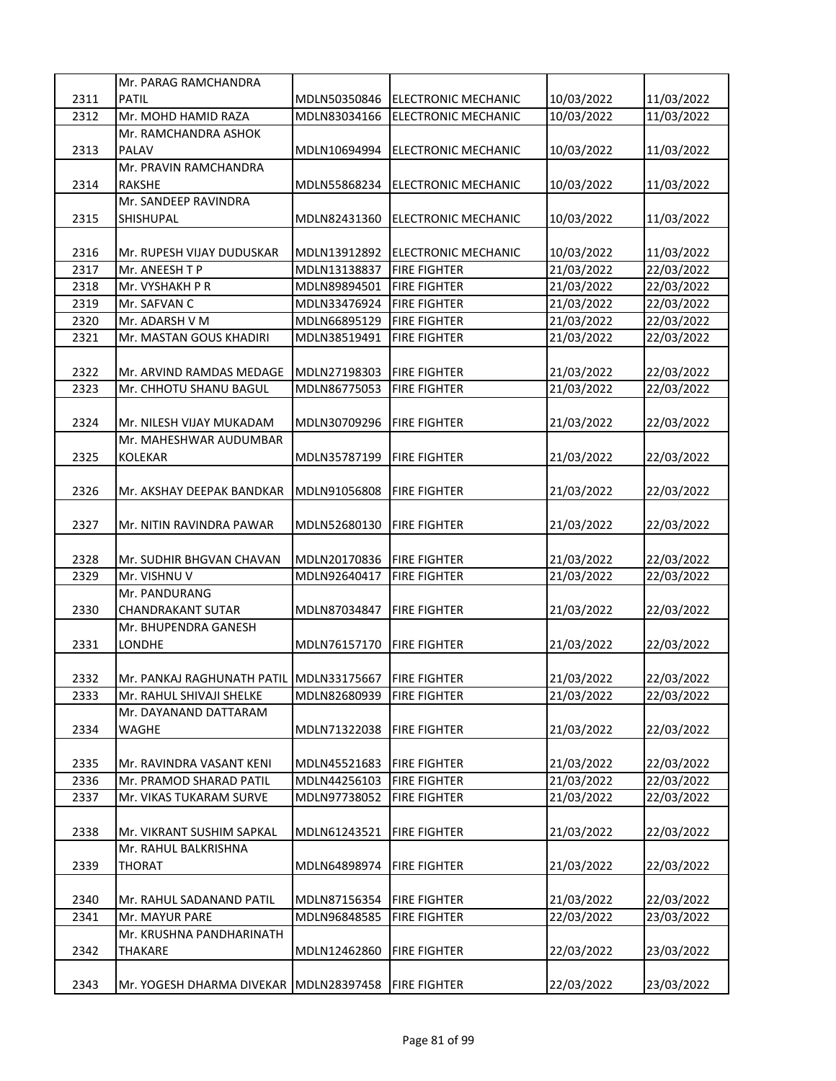| 2311<br><b>PATIL</b><br>MDLN50350846<br>ELECTRONIC MECHANIC<br>10/03/2022<br>11/03/2022<br>2312<br>Mr. MOHD HAMID RAZA<br>10/03/2022<br>11/03/2022<br>MDLN83034166<br><b>ELECTRONIC MECHANIC</b><br>Mr. RAMCHANDRA ASHOK<br>2313<br><b>PALAV</b><br>MDLN10694994<br><b>ELECTRONIC MECHANIC</b><br>10/03/2022<br>11/03/2022<br>Mr. PRAVIN RAMCHANDRA<br>2314<br>MDLN55868234<br>10/03/2022<br>11/03/2022<br><b>RAKSHE</b><br><b>ELECTRONIC MECHANIC</b><br>Mr. SANDEEP RAVINDRA<br>2315<br>MDLN82431360<br>10/03/2022<br><b>SHISHUPAL</b><br><b>ELECTRONIC MECHANIC</b><br>11/03/2022<br>2316<br>MDLN13912892<br><b>ELECTRONIC MECHANIC</b><br>10/03/2022<br>11/03/2022<br>Mr. RUPESH VIJAY DUDUSKAR<br>2317<br>Mr. ANEESH T P<br>MDLN13138837<br><b>FIRE FIGHTER</b><br>21/03/2022<br>22/03/2022<br>2318<br>MDLN89894501<br><b>FIRE FIGHTER</b><br>21/03/2022<br>22/03/2022<br>Mr. VYSHAKH P R<br>2319<br>MDLN33476924<br>21/03/2022<br>22/03/2022<br>Mr. SAFVAN C<br><b>FIRE FIGHTER</b><br>2320<br>MDLN66895129<br>21/03/2022<br>22/03/2022<br>Mr. ADARSH V M<br><b>FIRE FIGHTER</b><br>2321<br>Mr. MASTAN GOUS KHADIRI<br>MDLN38519491<br><b>FIRE FIGHTER</b><br>21/03/2022<br>22/03/2022<br>21/03/2022<br>22/03/2022<br>2322<br>MDLN27198303<br><b>FIRE FIGHTER</b><br>Mr. ARVIND RAMDAS MEDAGE<br>21/03/2022<br>22/03/2022<br>2323<br>Mr. CHHOTU SHANU BAGUL<br>MDLN86775053<br><b>FIRE FIGHTER</b><br>2324<br>MDLN30709296<br>21/03/2022<br>22/03/2022<br>Mr. NILESH VIJAY MUKADAM<br><b>FIRE FIGHTER</b><br>Mr. MAHESHWAR AUDUMBAR<br>2325<br><b>KOLEKAR</b><br>MDLN35787199<br>21/03/2022<br>22/03/2022<br><b>FIRE FIGHTER</b><br>2326<br>21/03/2022<br>Mr. AKSHAY DEEPAK BANDKAR<br>MDLN91056808<br><b>FIRE FIGHTER</b><br>22/03/2022<br>2327<br>MDLN52680130<br>21/03/2022<br>22/03/2022<br>Mr. NITIN RAVINDRA PAWAR<br><b>FIRE FIGHTER</b><br>2328<br>MDLN20170836<br><b>FIRE FIGHTER</b><br>21/03/2022<br>22/03/2022<br>Mr. SUDHIR BHGVAN CHAVAN<br>2329<br>Mr. VISHNU V<br><b>FIRE FIGHTER</b><br>21/03/2022<br>22/03/2022<br>MDLN92640417<br>Mr. PANDURANG<br>2330<br><b>CHANDRAKANT SUTAR</b><br>MDLN87034847<br><b>FIRE FIGHTER</b><br>21/03/2022<br>22/03/2022<br>Mr. BHUPENDRA GANESH<br>2331<br>LONDHE<br>MDLN76157170<br>21/03/2022<br>22/03/2022<br><b>FIRE FIGHTER</b><br>2332<br>21/03/2022<br>22/03/2022<br>Mr. PANKAJ RAGHUNATH PATIL MDLN33175667 FIRE FIGHTER<br>2333<br>MDLN82680939<br><b>FIRE FIGHTER</b><br>21/03/2022<br>22/03/2022<br>Mr. RAHUL SHIVAJI SHELKE<br>Mr. DAYANAND DATTARAM<br>2334<br>WAGHE<br>MDLN71322038<br><b>FIRE FIGHTER</b><br>21/03/2022<br>22/03/2022<br>2335<br>MDLN45521683<br><b>FIRE FIGHTER</b><br>21/03/2022<br>22/03/2022<br>Mr. RAVINDRA VASANT KENI<br>21/03/2022<br>2336<br><b>FIRE FIGHTER</b><br>22/03/2022<br>Mr. PRAMOD SHARAD PATIL<br>MDLN44256103<br>2337<br><b>FIRE FIGHTER</b><br>21/03/2022<br>22/03/2022<br>Mr. VIKAS TUKARAM SURVE<br>MDLN97738052<br>2338<br>Mr. VIKRANT SUSHIM SAPKAL<br>MDLN61243521<br><b>FIRE FIGHTER</b><br>21/03/2022<br>22/03/2022<br>Mr. RAHUL BALKRISHNA<br>2339<br><b>THORAT</b><br>MDLN64898974<br>21/03/2022<br>22/03/2022<br><b>FIRE FIGHTER</b><br>21/03/2022<br>2340<br>MDLN87156354<br><b>FIRE FIGHTER</b><br>22/03/2022<br>Mr. RAHUL SADANAND PATIL<br>2341<br><b>FIRE FIGHTER</b><br>22/03/2022<br>23/03/2022<br>Mr. MAYUR PARE<br>MDLN96848585<br>Mr. KRUSHNA PANDHARINATH<br>2342<br><b>FIRE FIGHTER</b><br>22/03/2022<br>23/03/2022<br><b>THAKARE</b><br>MDLN12462860<br>2343<br>MDLN28397458<br><b>FIRE FIGHTER</b><br>22/03/2022<br>23/03/2022<br>Mr. YOGESH DHARMA DIVEKAR | Mr. PARAG RAMCHANDRA |  |  |
|--------------------------------------------------------------------------------------------------------------------------------------------------------------------------------------------------------------------------------------------------------------------------------------------------------------------------------------------------------------------------------------------------------------------------------------------------------------------------------------------------------------------------------------------------------------------------------------------------------------------------------------------------------------------------------------------------------------------------------------------------------------------------------------------------------------------------------------------------------------------------------------------------------------------------------------------------------------------------------------------------------------------------------------------------------------------------------------------------------------------------------------------------------------------------------------------------------------------------------------------------------------------------------------------------------------------------------------------------------------------------------------------------------------------------------------------------------------------------------------------------------------------------------------------------------------------------------------------------------------------------------------------------------------------------------------------------------------------------------------------------------------------------------------------------------------------------------------------------------------------------------------------------------------------------------------------------------------------------------------------------------------------------------------------------------------------------------------------------------------------------------------------------------------------------------------------------------------------------------------------------------------------------------------------------------------------------------------------------------------------------------------------------------------------------------------------------------------------------------------------------------------------------------------------------------------------------------------------------------------------------------------------------------------------------------------------------------------------------------------------------------------------------------------------------------------------------------------------------------------------------------------------------------------------------------------------------------------------------------------------------------------------------------------------------------------------------------------------------------------------------------------------------------------------------------------------------------------------------------------------------------------------------------------------------------------------------------------------------------------------------------------------------------------------------------------------------------------------------------------------------------------------------------------------------------------------------------------------------|----------------------|--|--|
|                                                                                                                                                                                                                                                                                                                                                                                                                                                                                                                                                                                                                                                                                                                                                                                                                                                                                                                                                                                                                                                                                                                                                                                                                                                                                                                                                                                                                                                                                                                                                                                                                                                                                                                                                                                                                                                                                                                                                                                                                                                                                                                                                                                                                                                                                                                                                                                                                                                                                                                                                                                                                                                                                                                                                                                                                                                                                                                                                                                                                                                                                                                                                                                                                                                                                                                                                                                                                                                                                                                                                                                                  |                      |  |  |
|                                                                                                                                                                                                                                                                                                                                                                                                                                                                                                                                                                                                                                                                                                                                                                                                                                                                                                                                                                                                                                                                                                                                                                                                                                                                                                                                                                                                                                                                                                                                                                                                                                                                                                                                                                                                                                                                                                                                                                                                                                                                                                                                                                                                                                                                                                                                                                                                                                                                                                                                                                                                                                                                                                                                                                                                                                                                                                                                                                                                                                                                                                                                                                                                                                                                                                                                                                                                                                                                                                                                                                                                  |                      |  |  |
|                                                                                                                                                                                                                                                                                                                                                                                                                                                                                                                                                                                                                                                                                                                                                                                                                                                                                                                                                                                                                                                                                                                                                                                                                                                                                                                                                                                                                                                                                                                                                                                                                                                                                                                                                                                                                                                                                                                                                                                                                                                                                                                                                                                                                                                                                                                                                                                                                                                                                                                                                                                                                                                                                                                                                                                                                                                                                                                                                                                                                                                                                                                                                                                                                                                                                                                                                                                                                                                                                                                                                                                                  |                      |  |  |
|                                                                                                                                                                                                                                                                                                                                                                                                                                                                                                                                                                                                                                                                                                                                                                                                                                                                                                                                                                                                                                                                                                                                                                                                                                                                                                                                                                                                                                                                                                                                                                                                                                                                                                                                                                                                                                                                                                                                                                                                                                                                                                                                                                                                                                                                                                                                                                                                                                                                                                                                                                                                                                                                                                                                                                                                                                                                                                                                                                                                                                                                                                                                                                                                                                                                                                                                                                                                                                                                                                                                                                                                  |                      |  |  |
|                                                                                                                                                                                                                                                                                                                                                                                                                                                                                                                                                                                                                                                                                                                                                                                                                                                                                                                                                                                                                                                                                                                                                                                                                                                                                                                                                                                                                                                                                                                                                                                                                                                                                                                                                                                                                                                                                                                                                                                                                                                                                                                                                                                                                                                                                                                                                                                                                                                                                                                                                                                                                                                                                                                                                                                                                                                                                                                                                                                                                                                                                                                                                                                                                                                                                                                                                                                                                                                                                                                                                                                                  |                      |  |  |
|                                                                                                                                                                                                                                                                                                                                                                                                                                                                                                                                                                                                                                                                                                                                                                                                                                                                                                                                                                                                                                                                                                                                                                                                                                                                                                                                                                                                                                                                                                                                                                                                                                                                                                                                                                                                                                                                                                                                                                                                                                                                                                                                                                                                                                                                                                                                                                                                                                                                                                                                                                                                                                                                                                                                                                                                                                                                                                                                                                                                                                                                                                                                                                                                                                                                                                                                                                                                                                                                                                                                                                                                  |                      |  |  |
|                                                                                                                                                                                                                                                                                                                                                                                                                                                                                                                                                                                                                                                                                                                                                                                                                                                                                                                                                                                                                                                                                                                                                                                                                                                                                                                                                                                                                                                                                                                                                                                                                                                                                                                                                                                                                                                                                                                                                                                                                                                                                                                                                                                                                                                                                                                                                                                                                                                                                                                                                                                                                                                                                                                                                                                                                                                                                                                                                                                                                                                                                                                                                                                                                                                                                                                                                                                                                                                                                                                                                                                                  |                      |  |  |
|                                                                                                                                                                                                                                                                                                                                                                                                                                                                                                                                                                                                                                                                                                                                                                                                                                                                                                                                                                                                                                                                                                                                                                                                                                                                                                                                                                                                                                                                                                                                                                                                                                                                                                                                                                                                                                                                                                                                                                                                                                                                                                                                                                                                                                                                                                                                                                                                                                                                                                                                                                                                                                                                                                                                                                                                                                                                                                                                                                                                                                                                                                                                                                                                                                                                                                                                                                                                                                                                                                                                                                                                  |                      |  |  |
|                                                                                                                                                                                                                                                                                                                                                                                                                                                                                                                                                                                                                                                                                                                                                                                                                                                                                                                                                                                                                                                                                                                                                                                                                                                                                                                                                                                                                                                                                                                                                                                                                                                                                                                                                                                                                                                                                                                                                                                                                                                                                                                                                                                                                                                                                                                                                                                                                                                                                                                                                                                                                                                                                                                                                                                                                                                                                                                                                                                                                                                                                                                                                                                                                                                                                                                                                                                                                                                                                                                                                                                                  |                      |  |  |
|                                                                                                                                                                                                                                                                                                                                                                                                                                                                                                                                                                                                                                                                                                                                                                                                                                                                                                                                                                                                                                                                                                                                                                                                                                                                                                                                                                                                                                                                                                                                                                                                                                                                                                                                                                                                                                                                                                                                                                                                                                                                                                                                                                                                                                                                                                                                                                                                                                                                                                                                                                                                                                                                                                                                                                                                                                                                                                                                                                                                                                                                                                                                                                                                                                                                                                                                                                                                                                                                                                                                                                                                  |                      |  |  |
|                                                                                                                                                                                                                                                                                                                                                                                                                                                                                                                                                                                                                                                                                                                                                                                                                                                                                                                                                                                                                                                                                                                                                                                                                                                                                                                                                                                                                                                                                                                                                                                                                                                                                                                                                                                                                                                                                                                                                                                                                                                                                                                                                                                                                                                                                                                                                                                                                                                                                                                                                                                                                                                                                                                                                                                                                                                                                                                                                                                                                                                                                                                                                                                                                                                                                                                                                                                                                                                                                                                                                                                                  |                      |  |  |
|                                                                                                                                                                                                                                                                                                                                                                                                                                                                                                                                                                                                                                                                                                                                                                                                                                                                                                                                                                                                                                                                                                                                                                                                                                                                                                                                                                                                                                                                                                                                                                                                                                                                                                                                                                                                                                                                                                                                                                                                                                                                                                                                                                                                                                                                                                                                                                                                                                                                                                                                                                                                                                                                                                                                                                                                                                                                                                                                                                                                                                                                                                                                                                                                                                                                                                                                                                                                                                                                                                                                                                                                  |                      |  |  |
|                                                                                                                                                                                                                                                                                                                                                                                                                                                                                                                                                                                                                                                                                                                                                                                                                                                                                                                                                                                                                                                                                                                                                                                                                                                                                                                                                                                                                                                                                                                                                                                                                                                                                                                                                                                                                                                                                                                                                                                                                                                                                                                                                                                                                                                                                                                                                                                                                                                                                                                                                                                                                                                                                                                                                                                                                                                                                                                                                                                                                                                                                                                                                                                                                                                                                                                                                                                                                                                                                                                                                                                                  |                      |  |  |
|                                                                                                                                                                                                                                                                                                                                                                                                                                                                                                                                                                                                                                                                                                                                                                                                                                                                                                                                                                                                                                                                                                                                                                                                                                                                                                                                                                                                                                                                                                                                                                                                                                                                                                                                                                                                                                                                                                                                                                                                                                                                                                                                                                                                                                                                                                                                                                                                                                                                                                                                                                                                                                                                                                                                                                                                                                                                                                                                                                                                                                                                                                                                                                                                                                                                                                                                                                                                                                                                                                                                                                                                  |                      |  |  |
|                                                                                                                                                                                                                                                                                                                                                                                                                                                                                                                                                                                                                                                                                                                                                                                                                                                                                                                                                                                                                                                                                                                                                                                                                                                                                                                                                                                                                                                                                                                                                                                                                                                                                                                                                                                                                                                                                                                                                                                                                                                                                                                                                                                                                                                                                                                                                                                                                                                                                                                                                                                                                                                                                                                                                                                                                                                                                                                                                                                                                                                                                                                                                                                                                                                                                                                                                                                                                                                                                                                                                                                                  |                      |  |  |
|                                                                                                                                                                                                                                                                                                                                                                                                                                                                                                                                                                                                                                                                                                                                                                                                                                                                                                                                                                                                                                                                                                                                                                                                                                                                                                                                                                                                                                                                                                                                                                                                                                                                                                                                                                                                                                                                                                                                                                                                                                                                                                                                                                                                                                                                                                                                                                                                                                                                                                                                                                                                                                                                                                                                                                                                                                                                                                                                                                                                                                                                                                                                                                                                                                                                                                                                                                                                                                                                                                                                                                                                  |                      |  |  |
|                                                                                                                                                                                                                                                                                                                                                                                                                                                                                                                                                                                                                                                                                                                                                                                                                                                                                                                                                                                                                                                                                                                                                                                                                                                                                                                                                                                                                                                                                                                                                                                                                                                                                                                                                                                                                                                                                                                                                                                                                                                                                                                                                                                                                                                                                                                                                                                                                                                                                                                                                                                                                                                                                                                                                                                                                                                                                                                                                                                                                                                                                                                                                                                                                                                                                                                                                                                                                                                                                                                                                                                                  |                      |  |  |
|                                                                                                                                                                                                                                                                                                                                                                                                                                                                                                                                                                                                                                                                                                                                                                                                                                                                                                                                                                                                                                                                                                                                                                                                                                                                                                                                                                                                                                                                                                                                                                                                                                                                                                                                                                                                                                                                                                                                                                                                                                                                                                                                                                                                                                                                                                                                                                                                                                                                                                                                                                                                                                                                                                                                                                                                                                                                                                                                                                                                                                                                                                                                                                                                                                                                                                                                                                                                                                                                                                                                                                                                  |                      |  |  |
|                                                                                                                                                                                                                                                                                                                                                                                                                                                                                                                                                                                                                                                                                                                                                                                                                                                                                                                                                                                                                                                                                                                                                                                                                                                                                                                                                                                                                                                                                                                                                                                                                                                                                                                                                                                                                                                                                                                                                                                                                                                                                                                                                                                                                                                                                                                                                                                                                                                                                                                                                                                                                                                                                                                                                                                                                                                                                                                                                                                                                                                                                                                                                                                                                                                                                                                                                                                                                                                                                                                                                                                                  |                      |  |  |
|                                                                                                                                                                                                                                                                                                                                                                                                                                                                                                                                                                                                                                                                                                                                                                                                                                                                                                                                                                                                                                                                                                                                                                                                                                                                                                                                                                                                                                                                                                                                                                                                                                                                                                                                                                                                                                                                                                                                                                                                                                                                                                                                                                                                                                                                                                                                                                                                                                                                                                                                                                                                                                                                                                                                                                                                                                                                                                                                                                                                                                                                                                                                                                                                                                                                                                                                                                                                                                                                                                                                                                                                  |                      |  |  |
|                                                                                                                                                                                                                                                                                                                                                                                                                                                                                                                                                                                                                                                                                                                                                                                                                                                                                                                                                                                                                                                                                                                                                                                                                                                                                                                                                                                                                                                                                                                                                                                                                                                                                                                                                                                                                                                                                                                                                                                                                                                                                                                                                                                                                                                                                                                                                                                                                                                                                                                                                                                                                                                                                                                                                                                                                                                                                                                                                                                                                                                                                                                                                                                                                                                                                                                                                                                                                                                                                                                                                                                                  |                      |  |  |
|                                                                                                                                                                                                                                                                                                                                                                                                                                                                                                                                                                                                                                                                                                                                                                                                                                                                                                                                                                                                                                                                                                                                                                                                                                                                                                                                                                                                                                                                                                                                                                                                                                                                                                                                                                                                                                                                                                                                                                                                                                                                                                                                                                                                                                                                                                                                                                                                                                                                                                                                                                                                                                                                                                                                                                                                                                                                                                                                                                                                                                                                                                                                                                                                                                                                                                                                                                                                                                                                                                                                                                                                  |                      |  |  |
|                                                                                                                                                                                                                                                                                                                                                                                                                                                                                                                                                                                                                                                                                                                                                                                                                                                                                                                                                                                                                                                                                                                                                                                                                                                                                                                                                                                                                                                                                                                                                                                                                                                                                                                                                                                                                                                                                                                                                                                                                                                                                                                                                                                                                                                                                                                                                                                                                                                                                                                                                                                                                                                                                                                                                                                                                                                                                                                                                                                                                                                                                                                                                                                                                                                                                                                                                                                                                                                                                                                                                                                                  |                      |  |  |
|                                                                                                                                                                                                                                                                                                                                                                                                                                                                                                                                                                                                                                                                                                                                                                                                                                                                                                                                                                                                                                                                                                                                                                                                                                                                                                                                                                                                                                                                                                                                                                                                                                                                                                                                                                                                                                                                                                                                                                                                                                                                                                                                                                                                                                                                                                                                                                                                                                                                                                                                                                                                                                                                                                                                                                                                                                                                                                                                                                                                                                                                                                                                                                                                                                                                                                                                                                                                                                                                                                                                                                                                  |                      |  |  |
|                                                                                                                                                                                                                                                                                                                                                                                                                                                                                                                                                                                                                                                                                                                                                                                                                                                                                                                                                                                                                                                                                                                                                                                                                                                                                                                                                                                                                                                                                                                                                                                                                                                                                                                                                                                                                                                                                                                                                                                                                                                                                                                                                                                                                                                                                                                                                                                                                                                                                                                                                                                                                                                                                                                                                                                                                                                                                                                                                                                                                                                                                                                                                                                                                                                                                                                                                                                                                                                                                                                                                                                                  |                      |  |  |
|                                                                                                                                                                                                                                                                                                                                                                                                                                                                                                                                                                                                                                                                                                                                                                                                                                                                                                                                                                                                                                                                                                                                                                                                                                                                                                                                                                                                                                                                                                                                                                                                                                                                                                                                                                                                                                                                                                                                                                                                                                                                                                                                                                                                                                                                                                                                                                                                                                                                                                                                                                                                                                                                                                                                                                                                                                                                                                                                                                                                                                                                                                                                                                                                                                                                                                                                                                                                                                                                                                                                                                                                  |                      |  |  |
|                                                                                                                                                                                                                                                                                                                                                                                                                                                                                                                                                                                                                                                                                                                                                                                                                                                                                                                                                                                                                                                                                                                                                                                                                                                                                                                                                                                                                                                                                                                                                                                                                                                                                                                                                                                                                                                                                                                                                                                                                                                                                                                                                                                                                                                                                                                                                                                                                                                                                                                                                                                                                                                                                                                                                                                                                                                                                                                                                                                                                                                                                                                                                                                                                                                                                                                                                                                                                                                                                                                                                                                                  |                      |  |  |
|                                                                                                                                                                                                                                                                                                                                                                                                                                                                                                                                                                                                                                                                                                                                                                                                                                                                                                                                                                                                                                                                                                                                                                                                                                                                                                                                                                                                                                                                                                                                                                                                                                                                                                                                                                                                                                                                                                                                                                                                                                                                                                                                                                                                                                                                                                                                                                                                                                                                                                                                                                                                                                                                                                                                                                                                                                                                                                                                                                                                                                                                                                                                                                                                                                                                                                                                                                                                                                                                                                                                                                                                  |                      |  |  |
|                                                                                                                                                                                                                                                                                                                                                                                                                                                                                                                                                                                                                                                                                                                                                                                                                                                                                                                                                                                                                                                                                                                                                                                                                                                                                                                                                                                                                                                                                                                                                                                                                                                                                                                                                                                                                                                                                                                                                                                                                                                                                                                                                                                                                                                                                                                                                                                                                                                                                                                                                                                                                                                                                                                                                                                                                                                                                                                                                                                                                                                                                                                                                                                                                                                                                                                                                                                                                                                                                                                                                                                                  |                      |  |  |
|                                                                                                                                                                                                                                                                                                                                                                                                                                                                                                                                                                                                                                                                                                                                                                                                                                                                                                                                                                                                                                                                                                                                                                                                                                                                                                                                                                                                                                                                                                                                                                                                                                                                                                                                                                                                                                                                                                                                                                                                                                                                                                                                                                                                                                                                                                                                                                                                                                                                                                                                                                                                                                                                                                                                                                                                                                                                                                                                                                                                                                                                                                                                                                                                                                                                                                                                                                                                                                                                                                                                                                                                  |                      |  |  |
|                                                                                                                                                                                                                                                                                                                                                                                                                                                                                                                                                                                                                                                                                                                                                                                                                                                                                                                                                                                                                                                                                                                                                                                                                                                                                                                                                                                                                                                                                                                                                                                                                                                                                                                                                                                                                                                                                                                                                                                                                                                                                                                                                                                                                                                                                                                                                                                                                                                                                                                                                                                                                                                                                                                                                                                                                                                                                                                                                                                                                                                                                                                                                                                                                                                                                                                                                                                                                                                                                                                                                                                                  |                      |  |  |
|                                                                                                                                                                                                                                                                                                                                                                                                                                                                                                                                                                                                                                                                                                                                                                                                                                                                                                                                                                                                                                                                                                                                                                                                                                                                                                                                                                                                                                                                                                                                                                                                                                                                                                                                                                                                                                                                                                                                                                                                                                                                                                                                                                                                                                                                                                                                                                                                                                                                                                                                                                                                                                                                                                                                                                                                                                                                                                                                                                                                                                                                                                                                                                                                                                                                                                                                                                                                                                                                                                                                                                                                  |                      |  |  |
|                                                                                                                                                                                                                                                                                                                                                                                                                                                                                                                                                                                                                                                                                                                                                                                                                                                                                                                                                                                                                                                                                                                                                                                                                                                                                                                                                                                                                                                                                                                                                                                                                                                                                                                                                                                                                                                                                                                                                                                                                                                                                                                                                                                                                                                                                                                                                                                                                                                                                                                                                                                                                                                                                                                                                                                                                                                                                                                                                                                                                                                                                                                                                                                                                                                                                                                                                                                                                                                                                                                                                                                                  |                      |  |  |
|                                                                                                                                                                                                                                                                                                                                                                                                                                                                                                                                                                                                                                                                                                                                                                                                                                                                                                                                                                                                                                                                                                                                                                                                                                                                                                                                                                                                                                                                                                                                                                                                                                                                                                                                                                                                                                                                                                                                                                                                                                                                                                                                                                                                                                                                                                                                                                                                                                                                                                                                                                                                                                                                                                                                                                                                                                                                                                                                                                                                                                                                                                                                                                                                                                                                                                                                                                                                                                                                                                                                                                                                  |                      |  |  |
|                                                                                                                                                                                                                                                                                                                                                                                                                                                                                                                                                                                                                                                                                                                                                                                                                                                                                                                                                                                                                                                                                                                                                                                                                                                                                                                                                                                                                                                                                                                                                                                                                                                                                                                                                                                                                                                                                                                                                                                                                                                                                                                                                                                                                                                                                                                                                                                                                                                                                                                                                                                                                                                                                                                                                                                                                                                                                                                                                                                                                                                                                                                                                                                                                                                                                                                                                                                                                                                                                                                                                                                                  |                      |  |  |
|                                                                                                                                                                                                                                                                                                                                                                                                                                                                                                                                                                                                                                                                                                                                                                                                                                                                                                                                                                                                                                                                                                                                                                                                                                                                                                                                                                                                                                                                                                                                                                                                                                                                                                                                                                                                                                                                                                                                                                                                                                                                                                                                                                                                                                                                                                                                                                                                                                                                                                                                                                                                                                                                                                                                                                                                                                                                                                                                                                                                                                                                                                                                                                                                                                                                                                                                                                                                                                                                                                                                                                                                  |                      |  |  |
|                                                                                                                                                                                                                                                                                                                                                                                                                                                                                                                                                                                                                                                                                                                                                                                                                                                                                                                                                                                                                                                                                                                                                                                                                                                                                                                                                                                                                                                                                                                                                                                                                                                                                                                                                                                                                                                                                                                                                                                                                                                                                                                                                                                                                                                                                                                                                                                                                                                                                                                                                                                                                                                                                                                                                                                                                                                                                                                                                                                                                                                                                                                                                                                                                                                                                                                                                                                                                                                                                                                                                                                                  |                      |  |  |
|                                                                                                                                                                                                                                                                                                                                                                                                                                                                                                                                                                                                                                                                                                                                                                                                                                                                                                                                                                                                                                                                                                                                                                                                                                                                                                                                                                                                                                                                                                                                                                                                                                                                                                                                                                                                                                                                                                                                                                                                                                                                                                                                                                                                                                                                                                                                                                                                                                                                                                                                                                                                                                                                                                                                                                                                                                                                                                                                                                                                                                                                                                                                                                                                                                                                                                                                                                                                                                                                                                                                                                                                  |                      |  |  |
|                                                                                                                                                                                                                                                                                                                                                                                                                                                                                                                                                                                                                                                                                                                                                                                                                                                                                                                                                                                                                                                                                                                                                                                                                                                                                                                                                                                                                                                                                                                                                                                                                                                                                                                                                                                                                                                                                                                                                                                                                                                                                                                                                                                                                                                                                                                                                                                                                                                                                                                                                                                                                                                                                                                                                                                                                                                                                                                                                                                                                                                                                                                                                                                                                                                                                                                                                                                                                                                                                                                                                                                                  |                      |  |  |
|                                                                                                                                                                                                                                                                                                                                                                                                                                                                                                                                                                                                                                                                                                                                                                                                                                                                                                                                                                                                                                                                                                                                                                                                                                                                                                                                                                                                                                                                                                                                                                                                                                                                                                                                                                                                                                                                                                                                                                                                                                                                                                                                                                                                                                                                                                                                                                                                                                                                                                                                                                                                                                                                                                                                                                                                                                                                                                                                                                                                                                                                                                                                                                                                                                                                                                                                                                                                                                                                                                                                                                                                  |                      |  |  |
|                                                                                                                                                                                                                                                                                                                                                                                                                                                                                                                                                                                                                                                                                                                                                                                                                                                                                                                                                                                                                                                                                                                                                                                                                                                                                                                                                                                                                                                                                                                                                                                                                                                                                                                                                                                                                                                                                                                                                                                                                                                                                                                                                                                                                                                                                                                                                                                                                                                                                                                                                                                                                                                                                                                                                                                                                                                                                                                                                                                                                                                                                                                                                                                                                                                                                                                                                                                                                                                                                                                                                                                                  |                      |  |  |
|                                                                                                                                                                                                                                                                                                                                                                                                                                                                                                                                                                                                                                                                                                                                                                                                                                                                                                                                                                                                                                                                                                                                                                                                                                                                                                                                                                                                                                                                                                                                                                                                                                                                                                                                                                                                                                                                                                                                                                                                                                                                                                                                                                                                                                                                                                                                                                                                                                                                                                                                                                                                                                                                                                                                                                                                                                                                                                                                                                                                                                                                                                                                                                                                                                                                                                                                                                                                                                                                                                                                                                                                  |                      |  |  |
|                                                                                                                                                                                                                                                                                                                                                                                                                                                                                                                                                                                                                                                                                                                                                                                                                                                                                                                                                                                                                                                                                                                                                                                                                                                                                                                                                                                                                                                                                                                                                                                                                                                                                                                                                                                                                                                                                                                                                                                                                                                                                                                                                                                                                                                                                                                                                                                                                                                                                                                                                                                                                                                                                                                                                                                                                                                                                                                                                                                                                                                                                                                                                                                                                                                                                                                                                                                                                                                                                                                                                                                                  |                      |  |  |
|                                                                                                                                                                                                                                                                                                                                                                                                                                                                                                                                                                                                                                                                                                                                                                                                                                                                                                                                                                                                                                                                                                                                                                                                                                                                                                                                                                                                                                                                                                                                                                                                                                                                                                                                                                                                                                                                                                                                                                                                                                                                                                                                                                                                                                                                                                                                                                                                                                                                                                                                                                                                                                                                                                                                                                                                                                                                                                                                                                                                                                                                                                                                                                                                                                                                                                                                                                                                                                                                                                                                                                                                  |                      |  |  |
|                                                                                                                                                                                                                                                                                                                                                                                                                                                                                                                                                                                                                                                                                                                                                                                                                                                                                                                                                                                                                                                                                                                                                                                                                                                                                                                                                                                                                                                                                                                                                                                                                                                                                                                                                                                                                                                                                                                                                                                                                                                                                                                                                                                                                                                                                                                                                                                                                                                                                                                                                                                                                                                                                                                                                                                                                                                                                                                                                                                                                                                                                                                                                                                                                                                                                                                                                                                                                                                                                                                                                                                                  |                      |  |  |
|                                                                                                                                                                                                                                                                                                                                                                                                                                                                                                                                                                                                                                                                                                                                                                                                                                                                                                                                                                                                                                                                                                                                                                                                                                                                                                                                                                                                                                                                                                                                                                                                                                                                                                                                                                                                                                                                                                                                                                                                                                                                                                                                                                                                                                                                                                                                                                                                                                                                                                                                                                                                                                                                                                                                                                                                                                                                                                                                                                                                                                                                                                                                                                                                                                                                                                                                                                                                                                                                                                                                                                                                  |                      |  |  |
|                                                                                                                                                                                                                                                                                                                                                                                                                                                                                                                                                                                                                                                                                                                                                                                                                                                                                                                                                                                                                                                                                                                                                                                                                                                                                                                                                                                                                                                                                                                                                                                                                                                                                                                                                                                                                                                                                                                                                                                                                                                                                                                                                                                                                                                                                                                                                                                                                                                                                                                                                                                                                                                                                                                                                                                                                                                                                                                                                                                                                                                                                                                                                                                                                                                                                                                                                                                                                                                                                                                                                                                                  |                      |  |  |
|                                                                                                                                                                                                                                                                                                                                                                                                                                                                                                                                                                                                                                                                                                                                                                                                                                                                                                                                                                                                                                                                                                                                                                                                                                                                                                                                                                                                                                                                                                                                                                                                                                                                                                                                                                                                                                                                                                                                                                                                                                                                                                                                                                                                                                                                                                                                                                                                                                                                                                                                                                                                                                                                                                                                                                                                                                                                                                                                                                                                                                                                                                                                                                                                                                                                                                                                                                                                                                                                                                                                                                                                  |                      |  |  |
|                                                                                                                                                                                                                                                                                                                                                                                                                                                                                                                                                                                                                                                                                                                                                                                                                                                                                                                                                                                                                                                                                                                                                                                                                                                                                                                                                                                                                                                                                                                                                                                                                                                                                                                                                                                                                                                                                                                                                                                                                                                                                                                                                                                                                                                                                                                                                                                                                                                                                                                                                                                                                                                                                                                                                                                                                                                                                                                                                                                                                                                                                                                                                                                                                                                                                                                                                                                                                                                                                                                                                                                                  |                      |  |  |
|                                                                                                                                                                                                                                                                                                                                                                                                                                                                                                                                                                                                                                                                                                                                                                                                                                                                                                                                                                                                                                                                                                                                                                                                                                                                                                                                                                                                                                                                                                                                                                                                                                                                                                                                                                                                                                                                                                                                                                                                                                                                                                                                                                                                                                                                                                                                                                                                                                                                                                                                                                                                                                                                                                                                                                                                                                                                                                                                                                                                                                                                                                                                                                                                                                                                                                                                                                                                                                                                                                                                                                                                  |                      |  |  |
|                                                                                                                                                                                                                                                                                                                                                                                                                                                                                                                                                                                                                                                                                                                                                                                                                                                                                                                                                                                                                                                                                                                                                                                                                                                                                                                                                                                                                                                                                                                                                                                                                                                                                                                                                                                                                                                                                                                                                                                                                                                                                                                                                                                                                                                                                                                                                                                                                                                                                                                                                                                                                                                                                                                                                                                                                                                                                                                                                                                                                                                                                                                                                                                                                                                                                                                                                                                                                                                                                                                                                                                                  |                      |  |  |
|                                                                                                                                                                                                                                                                                                                                                                                                                                                                                                                                                                                                                                                                                                                                                                                                                                                                                                                                                                                                                                                                                                                                                                                                                                                                                                                                                                                                                                                                                                                                                                                                                                                                                                                                                                                                                                                                                                                                                                                                                                                                                                                                                                                                                                                                                                                                                                                                                                                                                                                                                                                                                                                                                                                                                                                                                                                                                                                                                                                                                                                                                                                                                                                                                                                                                                                                                                                                                                                                                                                                                                                                  |                      |  |  |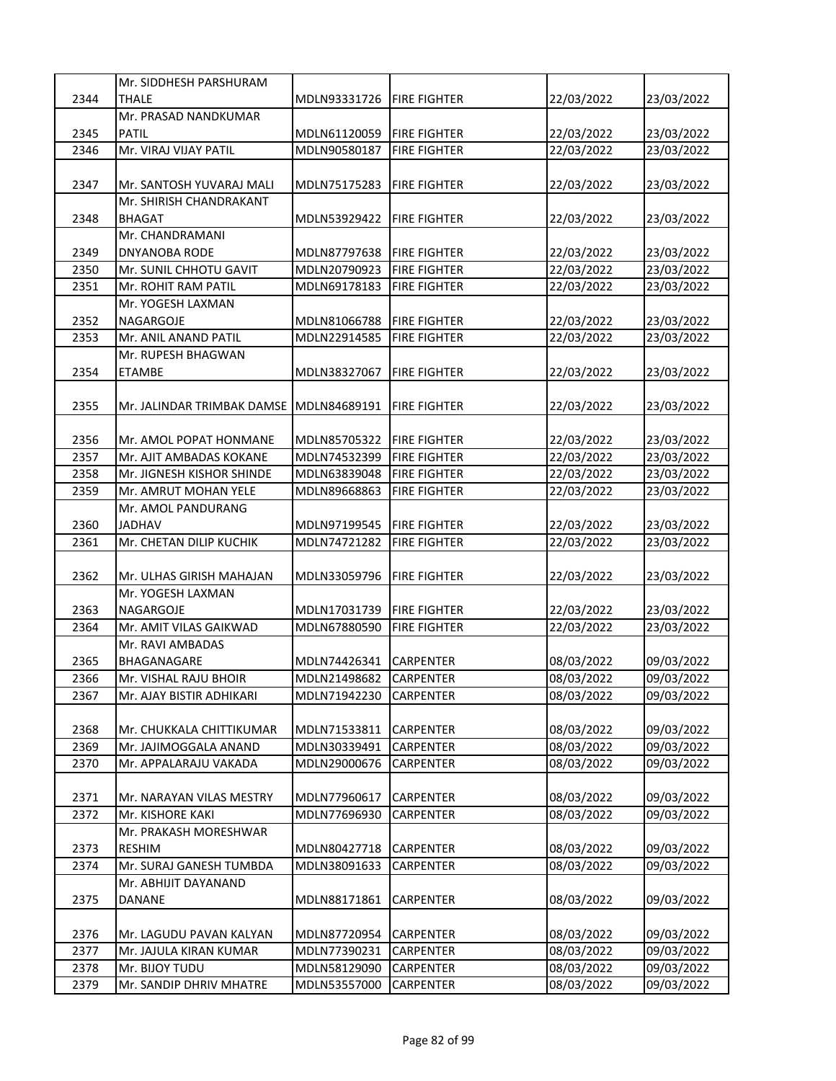|      | Mr. SIDDHESH PARSHURAM     |              |                     |            |            |
|------|----------------------------|--------------|---------------------|------------|------------|
| 2344 | <b>THALE</b>               | MDLN93331726 | <b>FIRE FIGHTER</b> | 22/03/2022 | 23/03/2022 |
|      | Mr. PRASAD NANDKUMAR       |              |                     |            |            |
| 2345 | <b>PATIL</b>               | MDLN61120059 | <b>FIRE FIGHTER</b> | 22/03/2022 | 23/03/2022 |
| 2346 | Mr. VIRAJ VIJAY PATIL      | MDLN90580187 | <b>FIRE FIGHTER</b> | 22/03/2022 | 23/03/2022 |
|      |                            |              |                     |            |            |
| 2347 | Mr. SANTOSH YUVARAJ MALI   | MDLN75175283 | <b>FIRE FIGHTER</b> | 22/03/2022 | 23/03/2022 |
|      | Mr. SHIRISH CHANDRAKANT    |              |                     |            |            |
| 2348 | <b>BHAGAT</b>              | MDLN53929422 | <b>FIRE FIGHTER</b> | 22/03/2022 | 23/03/2022 |
|      | Mr. CHANDRAMANI            |              |                     |            |            |
| 2349 | DNYANOBA RODE              | MDLN87797638 | <b>FIRE FIGHTER</b> | 22/03/2022 | 23/03/2022 |
| 2350 | Mr. SUNIL CHHOTU GAVIT     | MDLN20790923 | <b>FIRE FIGHTER</b> | 22/03/2022 | 23/03/2022 |
| 2351 | Mr. ROHIT RAM PATIL        | MDLN69178183 | <b>FIRE FIGHTER</b> | 22/03/2022 | 23/03/2022 |
|      | Mr. YOGESH LAXMAN          |              |                     |            |            |
| 2352 | NAGARGOJE                  | MDLN81066788 | <b>FIRE FIGHTER</b> | 22/03/2022 | 23/03/2022 |
|      |                            |              |                     |            |            |
| 2353 | Mr. ANIL ANAND PATIL       | MDLN22914585 | <b>FIRE FIGHTER</b> | 22/03/2022 | 23/03/2022 |
|      | Mr. RUPESH BHAGWAN         |              |                     |            |            |
| 2354 | <b>ETAMBE</b>              | MDLN38327067 | <b>FIRE FIGHTER</b> | 22/03/2022 | 23/03/2022 |
|      |                            |              |                     |            |            |
| 2355 | Mr. JALINDAR TRIMBAK DAMSE | MDLN84689191 | <b>FIRE FIGHTER</b> | 22/03/2022 | 23/03/2022 |
|      |                            |              |                     |            |            |
| 2356 | Mr. AMOL POPAT HONMANE     | MDLN85705322 | <b>FIRE FIGHTER</b> | 22/03/2022 | 23/03/2022 |
| 2357 | Mr. AJIT AMBADAS KOKANE    | MDLN74532399 | <b>FIRE FIGHTER</b> | 22/03/2022 | 23/03/2022 |
| 2358 | Mr. JIGNESH KISHOR SHINDE  | MDLN63839048 | <b>FIRE FIGHTER</b> | 22/03/2022 | 23/03/2022 |
| 2359 | Mr. AMRUT MOHAN YELE       | MDLN89668863 | <b>FIRE FIGHTER</b> | 22/03/2022 | 23/03/2022 |
|      | Mr. AMOL PANDURANG         |              |                     |            |            |
| 2360 | <b>JADHAV</b>              | MDLN97199545 | <b>FIRE FIGHTER</b> | 22/03/2022 | 23/03/2022 |
| 2361 | Mr. CHETAN DILIP KUCHIK    | MDLN74721282 | <b>FIRE FIGHTER</b> | 22/03/2022 | 23/03/2022 |
|      |                            |              |                     |            |            |
| 2362 | Mr. ULHAS GIRISH MAHAJAN   | MDLN33059796 | <b>FIRE FIGHTER</b> | 22/03/2022 | 23/03/2022 |
|      | Mr. YOGESH LAXMAN          |              |                     |            |            |
| 2363 | <b>NAGARGOJE</b>           | MDLN17031739 | <b>FIRE FIGHTER</b> | 22/03/2022 | 23/03/2022 |
| 2364 | Mr. AMIT VILAS GAIKWAD     | MDLN67880590 | <b>FIRE FIGHTER</b> | 22/03/2022 | 23/03/2022 |
|      | Mr. RAVI AMBADAS           |              |                     |            |            |
| 2365 | BHAGANAGARE                | MDLN74426341 | CARPENTER           | 08/03/2022 | 09/03/2022 |
| 2366 | Mr. VISHAL RAJU BHOIR      | MDLN21498682 | <b>CARPENTER</b>    | 08/03/2022 | 09/03/2022 |
| 2367 | Mr. AJAY BISTIR ADHIKARI   | MDLN71942230 | CARPENTER           | 08/03/2022 | 09/03/2022 |
|      |                            |              |                     |            |            |
| 2368 | Mr. CHUKKALA CHITTIKUMAR   | MDLN71533811 | CARPENTER           | 08/03/2022 | 09/03/2022 |
| 2369 | Mr. JAJIMOGGALA ANAND      | MDLN30339491 | CARPENTER           | 08/03/2022 | 09/03/2022 |
| 2370 | Mr. APPALARAJU VAKADA      | MDLN29000676 | CARPENTER           | 08/03/2022 | 09/03/2022 |
|      |                            |              |                     |            |            |
| 2371 | Mr. NARAYAN VILAS MESTRY   | MDLN77960617 | CARPENTER           | 08/03/2022 | 09/03/2022 |
| 2372 | Mr. KISHORE KAKI           | MDLN77696930 | CARPENTER           | 08/03/2022 | 09/03/2022 |
|      | Mr. PRAKASH MORESHWAR      |              |                     |            |            |
| 2373 | <b>RESHIM</b>              | MDLN80427718 | CARPENTER           | 08/03/2022 | 09/03/2022 |
| 2374 | Mr. SURAJ GANESH TUMBDA    | MDLN38091633 | CARPENTER           | 08/03/2022 | 09/03/2022 |
|      | Mr. ABHIJIT DAYANAND       |              |                     |            |            |
| 2375 | DANANE                     | MDLN88171861 | CARPENTER           | 08/03/2022 | 09/03/2022 |
|      |                            |              |                     |            |            |
|      |                            |              |                     |            |            |
| 2376 | Mr. LAGUDU PAVAN KALYAN    | MDLN87720954 | CARPENTER           | 08/03/2022 | 09/03/2022 |
| 2377 | Mr. JAJULA KIRAN KUMAR     | MDLN77390231 | CARPENTER           | 08/03/2022 | 09/03/2022 |
| 2378 | Mr. BIJOY TUDU             | MDLN58129090 | CARPENTER           | 08/03/2022 | 09/03/2022 |
| 2379 | Mr. SANDIP DHRIV MHATRE    | MDLN53557000 | CARPENTER           | 08/03/2022 | 09/03/2022 |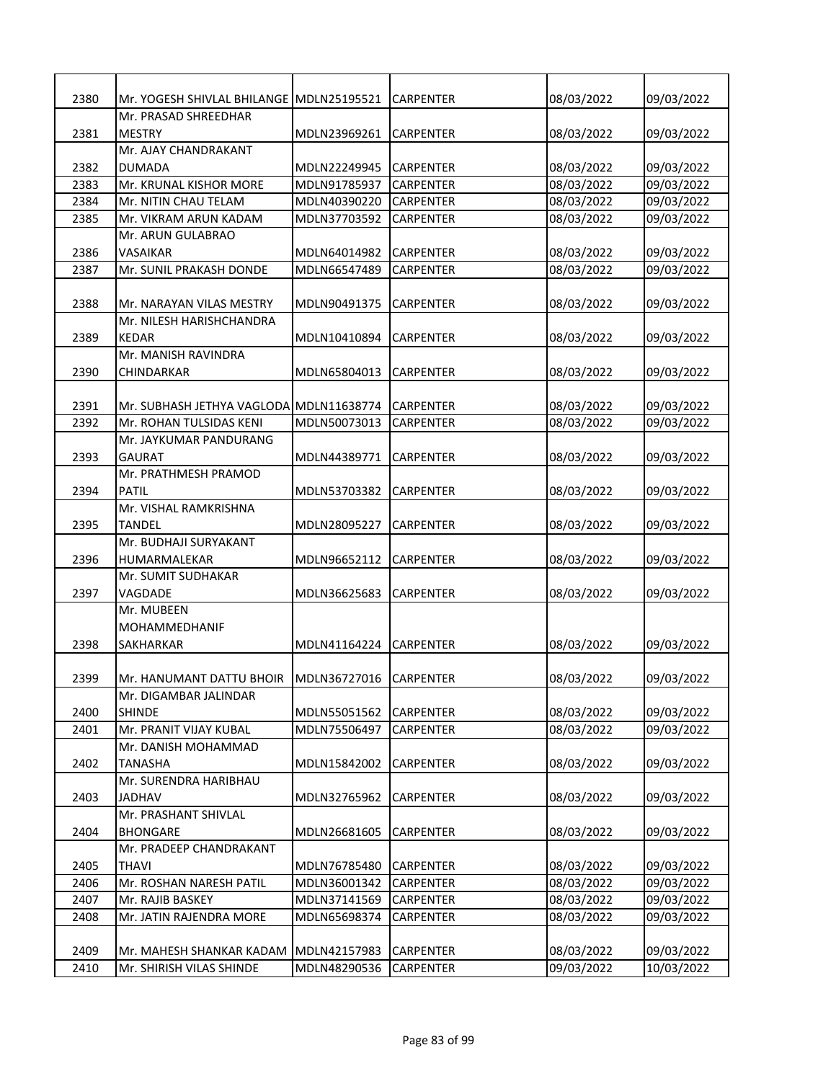| 2380 | Mr. YOGESH SHIVLAL BHILANGE IMDLN25195521 |              | CARPENTER        | 08/03/2022 | 09/03/2022 |
|------|-------------------------------------------|--------------|------------------|------------|------------|
|      | Mr. PRASAD SHREEDHAR                      |              |                  |            |            |
| 2381 | <b>MESTRY</b>                             | MDLN23969261 | <b>CARPENTER</b> | 08/03/2022 | 09/03/2022 |
|      | Mr. AJAY CHANDRAKANT                      |              |                  |            |            |
| 2382 | <b>DUMADA</b>                             | MDLN22249945 | <b>CARPENTER</b> | 08/03/2022 | 09/03/2022 |
| 2383 | Mr. KRUNAL KISHOR MORE                    | MDLN91785937 | CARPENTER        | 08/03/2022 | 09/03/2022 |
| 2384 | Mr. NITIN CHAU TELAM                      | MDLN40390220 | <b>CARPENTER</b> | 08/03/2022 | 09/03/2022 |
| 2385 | Mr. VIKRAM ARUN KADAM                     | MDLN37703592 | <b>CARPENTER</b> | 08/03/2022 | 09/03/2022 |
|      | Mr. ARUN GULABRAO                         |              |                  |            |            |
| 2386 | VASAIKAR                                  | MDLN64014982 | <b>CARPENTER</b> | 08/03/2022 | 09/03/2022 |
| 2387 | Mr. SUNIL PRAKASH DONDE                   | MDLN66547489 | <b>CARPENTER</b> | 08/03/2022 | 09/03/2022 |
|      |                                           |              |                  |            |            |
| 2388 | Mr. NARAYAN VILAS MESTRY                  | MDLN90491375 | <b>CARPENTER</b> | 08/03/2022 | 09/03/2022 |
|      | Mr. NILESH HARISHCHANDRA                  |              |                  |            |            |
| 2389 | <b>KEDAR</b>                              | MDLN10410894 | <b>CARPENTER</b> | 08/03/2022 | 09/03/2022 |
|      | Mr. MANISH RAVINDRA                       |              |                  |            |            |
| 2390 | CHINDARKAR                                | MDLN65804013 | <b>CARPENTER</b> | 08/03/2022 | 09/03/2022 |
|      |                                           |              |                  |            |            |
| 2391 | Mr. SUBHASH JETHYA VAGLODA MDLN11638774   |              | <b>CARPENTER</b> | 08/03/2022 | 09/03/2022 |
| 2392 | Mr. ROHAN TULSIDAS KENI                   | MDLN50073013 | <b>CARPENTER</b> | 08/03/2022 | 09/03/2022 |
|      | Mr. JAYKUMAR PANDURANG                    |              |                  |            |            |
| 2393 | <b>GAURAT</b>                             | MDLN44389771 | <b>CARPENTER</b> | 08/03/2022 | 09/03/2022 |
|      | Mr. PRATHMESH PRAMOD                      |              |                  |            |            |
| 2394 | <b>PATIL</b>                              | MDLN53703382 | CARPENTER        | 08/03/2022 | 09/03/2022 |
|      | Mr. VISHAL RAMKRISHNA                     |              |                  |            |            |
| 2395 | TANDEL                                    | MDLN28095227 | CARPENTER        | 08/03/2022 | 09/03/2022 |
|      | Mr. BUDHAJI SURYAKANT                     |              |                  |            |            |
| 2396 |                                           | MDLN96652112 | <b>CARPENTER</b> |            |            |
|      | HUMARMALEKAR<br>Mr. SUMIT SUDHAKAR        |              |                  | 08/03/2022 | 09/03/2022 |
|      |                                           |              |                  |            |            |
| 2397 | VAGDADE                                   | MDLN36625683 | <b>CARPENTER</b> | 08/03/2022 | 09/03/2022 |
|      | Mr. MUBEEN<br><b>MOHAMMEDHANIF</b>        |              |                  |            |            |
|      |                                           |              |                  |            |            |
| 2398 | <b>SAKHARKAR</b>                          | MDLN41164224 | <b>CARPENTER</b> | 08/03/2022 | 09/03/2022 |
|      |                                           |              |                  |            |            |
| 2399 | Mr. HANUMANT DATTU BHOIR MDLN36727016     |              | <b>CARPENTER</b> | 08/03/2022 | 09/03/2022 |
|      | Mr. DIGAMBAR JALINDAR                     |              |                  |            |            |
| 2400 | <b>SHINDE</b>                             | MDLN55051562 | CARPENTER        | 08/03/2022 | 09/03/2022 |
| 2401 | Mr. PRANIT VIJAY KUBAL                    | MDLN75506497 | CARPENTER        | 08/03/2022 | 09/03/2022 |
|      | Mr. DANISH MOHAMMAD                       |              |                  |            |            |
| 2402 | <b>TANASHA</b>                            | MDLN15842002 | CARPENTER        | 08/03/2022 | 09/03/2022 |
|      | Mr. SURENDRA HARIBHAU                     |              |                  |            |            |
| 2403 | <b>JADHAV</b>                             | MDLN32765962 | CARPENTER        | 08/03/2022 | 09/03/2022 |
|      | Mr. PRASHANT SHIVLAL                      |              |                  |            |            |
| 2404 | <b>BHONGARE</b>                           | MDLN26681605 | CARPENTER        | 08/03/2022 | 09/03/2022 |
|      | Mr. PRADEEP CHANDRAKANT                   |              |                  |            |            |
| 2405 | THAVI                                     | MDLN76785480 | CARPENTER        | 08/03/2022 | 09/03/2022 |
| 2406 | Mr. ROSHAN NARESH PATIL                   | MDLN36001342 | CARPENTER        | 08/03/2022 | 09/03/2022 |
| 2407 | Mr. RAJIB BASKEY                          | MDLN37141569 | CARPENTER        | 08/03/2022 | 09/03/2022 |
| 2408 | Mr. JATIN RAJENDRA MORE                   | MDLN65698374 | CARPENTER        | 08/03/2022 | 09/03/2022 |
|      |                                           |              |                  |            |            |
| 2409 | Mr. MAHESH SHANKAR KADAM                  | MDLN42157983 | CARPENTER        | 08/03/2022 | 09/03/2022 |
| 2410 | Mr. SHIRISH VILAS SHINDE                  | MDLN48290536 | CARPENTER        | 09/03/2022 | 10/03/2022 |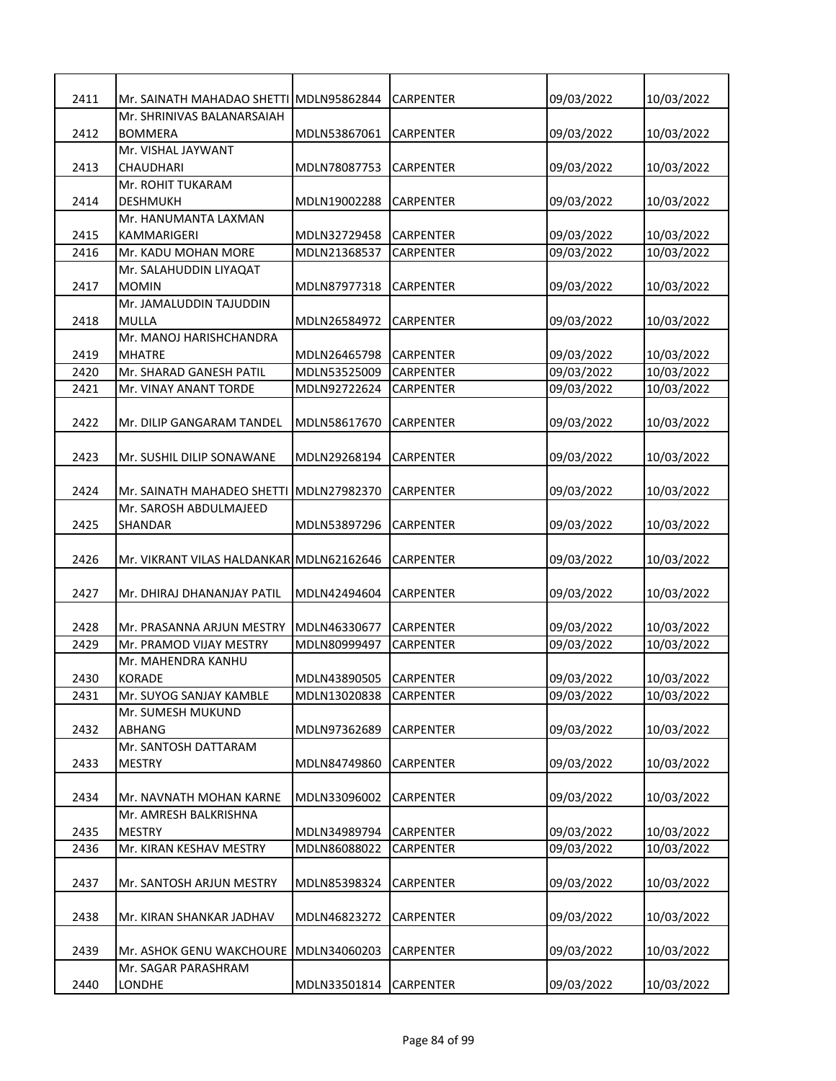| 2411 | Mr. SAINATH MAHADAO SHETTI MDLN95862844  |              | CARPENTER        | 09/03/2022 | 10/03/2022 |
|------|------------------------------------------|--------------|------------------|------------|------------|
|      | Mr. SHRINIVAS BALANARSAIAH               |              |                  |            |            |
| 2412 | <b>BOMMERA</b>                           | MDLN53867061 | CARPENTER        | 09/03/2022 | 10/03/2022 |
|      | Mr. VISHAL JAYWANT                       |              |                  |            |            |
| 2413 | CHAUDHARI                                | MDLN78087753 | <b>CARPENTER</b> | 09/03/2022 | 10/03/2022 |
|      | Mr. ROHIT TUKARAM                        |              |                  |            |            |
| 2414 | <b>DESHMUKH</b>                          | MDLN19002288 | <b>CARPENTER</b> | 09/03/2022 | 10/03/2022 |
|      | Mr. HANUMANTA LAXMAN                     |              |                  |            |            |
| 2415 | KAMMARIGERI                              | MDLN32729458 | <b>CARPENTER</b> | 09/03/2022 | 10/03/2022 |
| 2416 | Mr. KADU MOHAN MORE                      | MDLN21368537 | <b>CARPENTER</b> | 09/03/2022 | 10/03/2022 |
|      | Mr. SALAHUDDIN LIYAQAT                   |              |                  |            |            |
| 2417 | <b>MOMIN</b><br>Mr. JAMALUDDIN TAJUDDIN  | MDLN87977318 | <b>CARPENTER</b> | 09/03/2022 | 10/03/2022 |
| 2418 | MULLA                                    | MDLN26584972 | CARPENTER        | 09/03/2022 | 10/03/2022 |
|      | Mr. MANOJ HARISHCHANDRA                  |              |                  |            |            |
| 2419 | <b>MHATRE</b>                            | MDLN26465798 | CARPENTER        | 09/03/2022 | 10/03/2022 |
| 2420 | Mr. SHARAD GANESH PATIL                  | MDLN53525009 | <b>CARPENTER</b> | 09/03/2022 | 10/03/2022 |
| 2421 | Mr. VINAY ANANT TORDE                    | MDLN92722624 | <b>CARPENTER</b> | 09/03/2022 | 10/03/2022 |
|      |                                          |              |                  |            |            |
| 2422 | Mr. DILIP GANGARAM TANDEL                | MDLN58617670 | <b>CARPENTER</b> | 09/03/2022 | 10/03/2022 |
|      |                                          |              |                  |            |            |
| 2423 | Mr. SUSHIL DILIP SONAWANE                | MDLN29268194 | CARPENTER        | 09/03/2022 | 10/03/2022 |
|      |                                          |              |                  |            |            |
| 2424 | Mr. SAINATH MAHADEO SHETTI               | MDLN27982370 | CARPENTER        | 09/03/2022 | 10/03/2022 |
|      | Mr. SAROSH ABDULMAJEED                   |              |                  |            |            |
| 2425 | <b>SHANDAR</b>                           | MDLN53897296 | CARPENTER        | 09/03/2022 | 10/03/2022 |
|      |                                          |              |                  |            |            |
| 2426 | Mr. VIKRANT VILAS HALDANKAR MDLN62162646 |              | <b>CARPENTER</b> | 09/03/2022 | 10/03/2022 |
|      |                                          |              |                  |            |            |
| 2427 | Mr. DHIRAJ DHANANJAY PATIL               | MDLN42494604 | <b>CARPENTER</b> | 09/03/2022 | 10/03/2022 |
|      |                                          |              |                  |            |            |
| 2428 | Mr. PRASANNA ARJUN MESTRY                | MDLN46330677 | <b>CARPENTER</b> | 09/03/2022 | 10/03/2022 |
| 2429 | Mr. PRAMOD VIJAY MESTRY                  | MDLN80999497 | <b>CARPENTER</b> | 09/03/2022 | 10/03/2022 |
|      | Mr. MAHENDRA KANHU                       |              |                  |            |            |
| 2430 | <b>KORADE</b>                            | MDLN43890505 | <b>CARPENTER</b> | 09/03/2022 | 10/03/2022 |
| 2431 | Mr. SUYOG SANJAY KAMBLE                  | MDLN13020838 | CARPENTER        | 09/03/2022 | 10/03/2022 |
|      | Mr. SUMESH MUKUND                        |              |                  |            |            |
| 2432 | ABHANG                                   | MDLN97362689 | CARPENTER        | 09/03/2022 | 10/03/2022 |
|      | Mr. SANTOSH DATTARAM                     |              |                  |            |            |
| 2433 | <b>MESTRY</b>                            | MDLN84749860 | CARPENTER        | 09/03/2022 | 10/03/2022 |
|      |                                          |              |                  |            |            |
| 2434 | Mr. NAVNATH MOHAN KARNE                  | MDLN33096002 | CARPENTER        | 09/03/2022 | 10/03/2022 |
|      | Mr. AMRESH BALKRISHNA                    |              |                  |            |            |
| 2435 | <b>MESTRY</b>                            | MDLN34989794 | CARPENTER        | 09/03/2022 | 10/03/2022 |
| 2436 | Mr. KIRAN KESHAV MESTRY                  | MDLN86088022 | CARPENTER        | 09/03/2022 | 10/03/2022 |
|      |                                          |              |                  |            |            |
| 2437 | Mr. SANTOSH ARJUN MESTRY                 | MDLN85398324 | <b>CARPENTER</b> | 09/03/2022 | 10/03/2022 |
|      |                                          |              |                  |            |            |
| 2438 | Mr. KIRAN SHANKAR JADHAV                 | MDLN46823272 | CARPENTER        | 09/03/2022 | 10/03/2022 |
|      |                                          |              |                  |            |            |
| 2439 | Mr. ASHOK GENU WAKCHOURE                 | MDLN34060203 | <b>CARPENTER</b> | 09/03/2022 | 10/03/2022 |
|      | Mr. SAGAR PARASHRAM                      |              |                  |            |            |
| 2440 | LONDHE                                   | MDLN33501814 | CARPENTER        | 09/03/2022 | 10/03/2022 |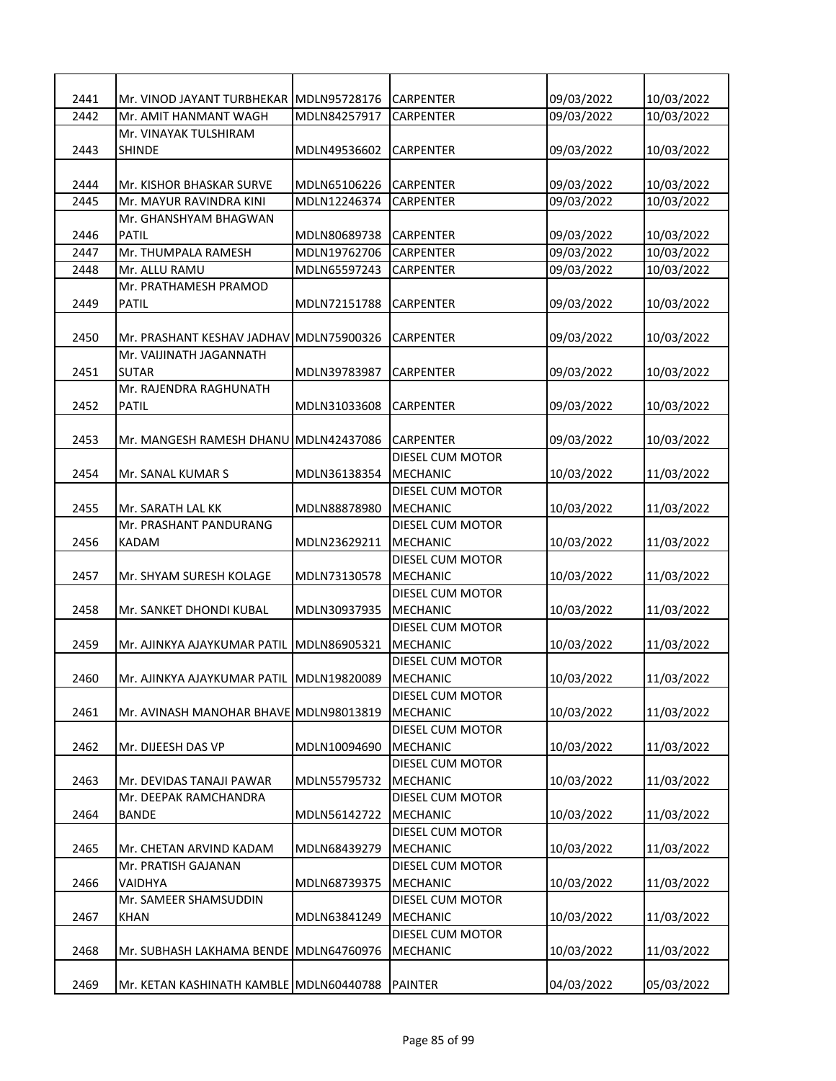| 2441 | Mr. VINOD JAYANT TURBHEKAR  MDLN95728176  |              | <b>CARPENTER</b>                    | 09/03/2022 | 10/03/2022 |
|------|-------------------------------------------|--------------|-------------------------------------|------------|------------|
| 2442 | Mr. AMIT HANMANT WAGH                     | MDLN84257917 | <b>CARPENTER</b>                    | 09/03/2022 | 10/03/2022 |
|      | Mr. VINAYAK TULSHIRAM                     |              |                                     |            |            |
| 2443 | <b>SHINDE</b>                             | MDLN49536602 | <b>CARPENTER</b>                    | 09/03/2022 | 10/03/2022 |
|      |                                           |              |                                     |            |            |
| 2444 | Mr. KISHOR BHASKAR SURVE                  | MDLN65106226 | <b>CARPENTER</b>                    | 09/03/2022 | 10/03/2022 |
| 2445 | Mr. MAYUR RAVINDRA KINI                   | MDLN12246374 | <b>CARPENTER</b>                    | 09/03/2022 | 10/03/2022 |
|      | Mr. GHANSHYAM BHAGWAN                     |              |                                     |            |            |
| 2446 | <b>PATIL</b>                              | MDLN80689738 | <b>CARPENTER</b>                    | 09/03/2022 | 10/03/2022 |
| 2447 | Mr. THUMPALA RAMESH                       | MDLN19762706 | <b>CARPENTER</b>                    | 09/03/2022 | 10/03/2022 |
| 2448 | Mr. ALLU RAMU                             | MDLN65597243 | <b>CARPENTER</b>                    | 09/03/2022 | 10/03/2022 |
|      | Mr. PRATHAMESH PRAMOD                     |              |                                     |            |            |
| 2449 | <b>PATIL</b>                              | MDLN72151788 | <b>CARPENTER</b>                    | 09/03/2022 | 10/03/2022 |
|      |                                           |              |                                     |            |            |
| 2450 | Mr. PRASHANT KESHAV JADHAV MDLN75900326   |              | CARPENTER                           | 09/03/2022 | 10/03/2022 |
|      | Mr. VAIJINATH JAGANNATH                   |              |                                     |            |            |
| 2451 | <b>SUTAR</b>                              | MDLN39783987 | <b>CARPENTER</b>                    | 09/03/2022 | 10/03/2022 |
|      | Mr. RAJENDRA RAGHUNATH                    |              |                                     |            |            |
| 2452 | <b>PATIL</b>                              | MDLN31033608 | <b>CARPENTER</b>                    | 09/03/2022 | 10/03/2022 |
|      |                                           |              |                                     |            |            |
| 2453 | Mr. MANGESH RAMESH DHANU MDLN42437086     |              | <b>CARPENTER</b>                    | 09/03/2022 | 10/03/2022 |
|      |                                           |              | DIESEL CUM MOTOR                    |            |            |
| 2454 | Mr. SANAL KUMAR S                         | MDLN36138354 | <b>MECHANIC</b>                     | 10/03/2022 | 11/03/2022 |
|      |                                           |              | DIESEL CUM MOTOR                    |            |            |
| 2455 | Mr. SARATH LAL KK                         | MDLN88878980 | <b>MECHANIC</b>                     | 10/03/2022 | 11/03/2022 |
|      | Mr. PRASHANT PANDURANG                    |              | DIESEL CUM MOTOR                    |            |            |
| 2456 | <b>KADAM</b>                              | MDLN23629211 | <b>MECHANIC</b>                     | 10/03/2022 | 11/03/2022 |
|      |                                           |              | DIESEL CUM MOTOR                    |            |            |
| 2457 | Mr. SHYAM SURESH KOLAGE                   | MDLN73130578 | <b>MECHANIC</b>                     | 10/03/2022 | 11/03/2022 |
|      |                                           |              | DIESEL CUM MOTOR                    |            |            |
| 2458 | Mr. SANKET DHONDI KUBAL                   | MDLN30937935 | <b>MECHANIC</b>                     | 10/03/2022 | 11/03/2022 |
|      |                                           | MDLN86905321 | DIESEL CUM MOTOR                    |            |            |
| 2459 | Mr. AJINKYA AJAYKUMAR PATIL               |              | <b>MECHANIC</b><br>DIESEL CUM MOTOR | 10/03/2022 | 11/03/2022 |
| 2460 | Mr. AJINKYA AJAYKUMAR PATIL  MDLN19820089 |              | <b>MECHANIC</b>                     | 10/03/2022 | 11/03/2022 |
|      |                                           |              | DIESEL CUM MOTOR                    |            |            |
| 2461 | Mr. AVINASH MANOHAR BHAVE MDLN98013819    |              | <b>MECHANIC</b>                     | 10/03/2022 | 11/03/2022 |
|      |                                           |              | DIESEL CUM MOTOR                    |            |            |
| 2462 | Mr. DIJEESH DAS VP                        | MDLN10094690 | <b>MECHANIC</b>                     | 10/03/2022 | 11/03/2022 |
|      |                                           |              | DIESEL CUM MOTOR                    |            |            |
| 2463 | Mr. DEVIDAS TANAJI PAWAR                  | MDLN55795732 | <b>MECHANIC</b>                     | 10/03/2022 | 11/03/2022 |
|      | Mr. DEEPAK RAMCHANDRA                     |              | DIESEL CUM MOTOR                    |            |            |
| 2464 | <b>BANDE</b>                              | MDLN56142722 | <b>MECHANIC</b>                     | 10/03/2022 | 11/03/2022 |
|      |                                           |              | DIESEL CUM MOTOR                    |            |            |
| 2465 | Mr. CHETAN ARVIND KADAM                   | MDLN68439279 | <b>MECHANIC</b>                     | 10/03/2022 | 11/03/2022 |
|      | Mr. PRATISH GAJANAN                       |              | DIESEL CUM MOTOR                    |            |            |
| 2466 | VAIDHYA                                   | MDLN68739375 | <b>MECHANIC</b>                     | 10/03/2022 | 11/03/2022 |
|      | Mr. SAMEER SHAMSUDDIN                     |              | DIESEL CUM MOTOR                    |            |            |
| 2467 | <b>KHAN</b>                               | MDLN63841249 | <b>MECHANIC</b>                     | 10/03/2022 | 11/03/2022 |
|      |                                           |              | DIESEL CUM MOTOR                    |            |            |
| 2468 | Mr. SUBHASH LAKHAMA BENDE MDLN64760976    |              | <b>MECHANIC</b>                     | 10/03/2022 | 11/03/2022 |
|      |                                           |              |                                     |            |            |
| 2469 | Mr. KETAN KASHINATH KAMBLE MDLN60440788   |              | <b>PAINTER</b>                      | 04/03/2022 | 05/03/2022 |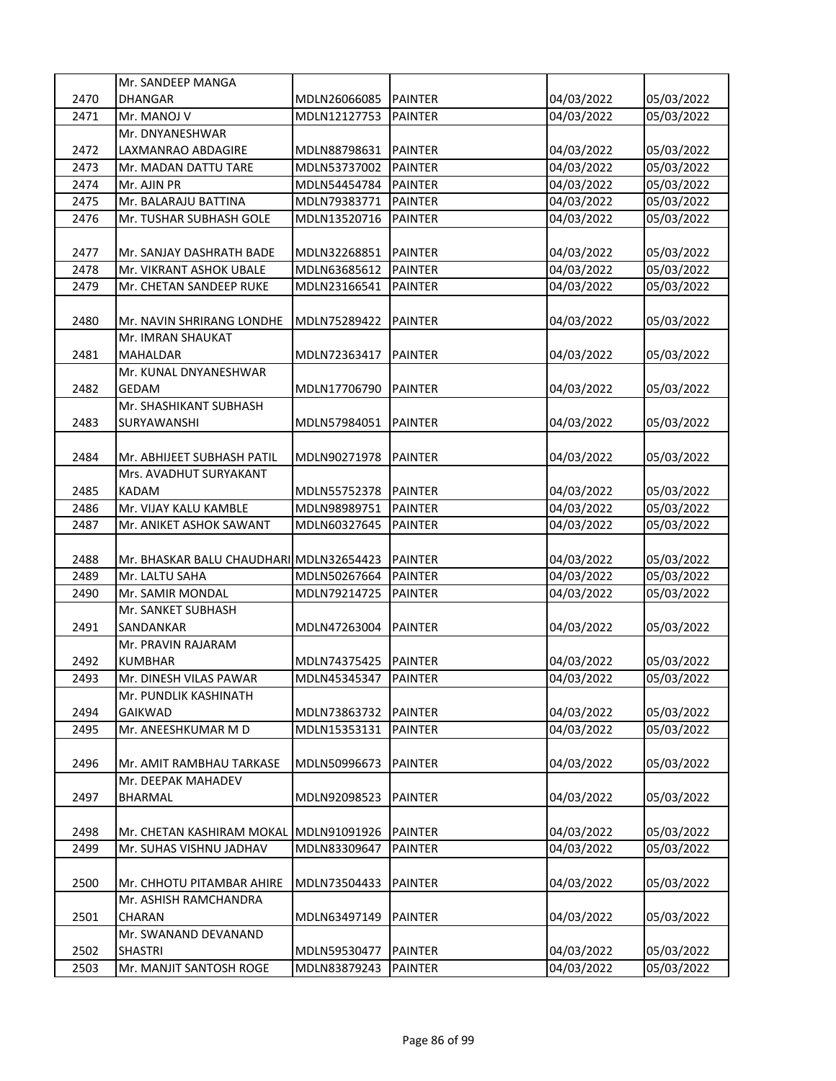|      | Mr. SANDEEP MANGA                       |              |                |            |            |
|------|-----------------------------------------|--------------|----------------|------------|------------|
| 2470 | DHANGAR                                 | MDLN26066085 | <b>PAINTER</b> | 04/03/2022 | 05/03/2022 |
| 2471 | Mr. MANOJ V                             | MDLN12127753 | <b>PAINTER</b> | 04/03/2022 | 05/03/2022 |
|      | Mr. DNYANESHWAR                         |              |                |            |            |
| 2472 | LAXMANRAO ABDAGIRE                      | MDLN88798631 | <b>PAINTER</b> | 04/03/2022 | 05/03/2022 |
| 2473 | Mr. MADAN DATTU TARE                    | MDLN53737002 | <b>PAINTER</b> | 04/03/2022 | 05/03/2022 |
| 2474 | Mr. AJIN PR                             | MDLN54454784 | <b>PAINTER</b> | 04/03/2022 | 05/03/2022 |
| 2475 | Mr. BALARAJU BATTINA                    | MDLN79383771 | <b>PAINTER</b> | 04/03/2022 | 05/03/2022 |
| 2476 | Mr. TUSHAR SUBHASH GOLE                 | MDLN13520716 | PAINTER        | 04/03/2022 | 05/03/2022 |
|      |                                         |              |                |            |            |
| 2477 | Mr. SANJAY DASHRATH BADE                | MDLN32268851 | <b>PAINTER</b> | 04/03/2022 | 05/03/2022 |
| 2478 | Mr. VIKRANT ASHOK UBALE                 | MDLN63685612 | <b>PAINTER</b> | 04/03/2022 | 05/03/2022 |
| 2479 | Mr. CHETAN SANDEEP RUKE                 | MDLN23166541 | <b>PAINTER</b> | 04/03/2022 | 05/03/2022 |
|      |                                         |              |                |            |            |
| 2480 | Mr. NAVIN SHRIRANG LONDHE               | MDLN75289422 | <b>PAINTER</b> | 04/03/2022 | 05/03/2022 |
|      | Mr. IMRAN SHAUKAT                       |              |                |            |            |
| 2481 | <b>MAHALDAR</b>                         | MDLN72363417 | <b>PAINTER</b> | 04/03/2022 | 05/03/2022 |
|      | Mr. KUNAL DNYANESHWAR                   |              |                |            |            |
| 2482 | <b>GEDAM</b>                            | MDLN17706790 | <b>PAINTER</b> | 04/03/2022 | 05/03/2022 |
|      | Mr. SHASHIKANT SUBHASH                  |              |                |            |            |
| 2483 | SURYAWANSHI                             | MDLN57984051 | <b>PAINTER</b> | 04/03/2022 | 05/03/2022 |
|      |                                         |              |                |            |            |
| 2484 | Mr. ABHIJEET SUBHASH PATIL              | MDLN90271978 | <b>PAINTER</b> | 04/03/2022 | 05/03/2022 |
|      | Mrs. AVADHUT SURYAKANT                  |              |                |            |            |
| 2485 | <b>KADAM</b>                            | MDLN55752378 | <b>PAINTER</b> | 04/03/2022 | 05/03/2022 |
| 2486 | Mr. VIJAY KALU KAMBLE                   | MDLN98989751 | <b>PAINTER</b> | 04/03/2022 | 05/03/2022 |
| 2487 | Mr. ANIKET ASHOK SAWANT                 | MDLN60327645 | <b>PAINTER</b> | 04/03/2022 | 05/03/2022 |
|      |                                         |              |                |            |            |
| 2488 | Mr. BHASKAR BALU CHAUDHARI MDLN32654423 |              | <b>PAINTER</b> | 04/03/2022 | 05/03/2022 |
| 2489 | Mr. LALTU SAHA                          | MDLN50267664 | <b>PAINTER</b> | 04/03/2022 | 05/03/2022 |
| 2490 | Mr. SAMIR MONDAL                        | MDLN79214725 | <b>PAINTER</b> | 04/03/2022 | 05/03/2022 |
|      | Mr. SANKET SUBHASH                      |              |                |            |            |
| 2491 | SANDANKAR                               | MDLN47263004 | <b>PAINTER</b> | 04/03/2022 | 05/03/2022 |
|      | Mr. PRAVIN RAJARAM                      |              |                |            |            |
| 2492 | <b>KUMBHAR</b>                          | MDLN74375425 | <b>PAINTER</b> | 04/03/2022 | 05/03/2022 |
| 2493 | Mr. DINESH VILAS PAWAR                  | MDLN45345347 | <b>PAINTER</b> | 04/03/2022 | 05/03/2022 |
|      | Mr. PUNDLIK KASHINATH                   |              |                |            |            |
| 2494 | <b>GAIKWAD</b>                          | MDLN73863732 | PAINTER        | 04/03/2022 | 05/03/2022 |
| 2495 | Mr. ANEESHKUMAR M D                     | MDLN15353131 | PAINTER        | 04/03/2022 | 05/03/2022 |
|      |                                         |              |                |            |            |
| 2496 | Mr. AMIT RAMBHAU TARKASE                | MDLN50996673 | <b>PAINTER</b> | 04/03/2022 | 05/03/2022 |
|      | Mr. DEEPAK MAHADEV                      |              |                |            |            |
| 2497 | BHARMAL                                 | MDLN92098523 | <b>PAINTER</b> | 04/03/2022 | 05/03/2022 |
|      |                                         |              |                |            |            |
| 2498 | Mr. CHETAN KASHIRAM MOKAL               | MDLN91091926 | <b>PAINTER</b> | 04/03/2022 | 05/03/2022 |
| 2499 | Mr. SUHAS VISHNU JADHAV                 | MDLN83309647 | PAINTER        | 04/03/2022 | 05/03/2022 |
|      |                                         |              |                |            |            |
| 2500 | Mr. CHHOTU PITAMBAR AHIRE               | MDLN73504433 | <b>PAINTER</b> | 04/03/2022 | 05/03/2022 |
|      | Mr. ASHISH RAMCHANDRA                   |              |                |            |            |
| 2501 | CHARAN                                  | MDLN63497149 | <b>PAINTER</b> | 04/03/2022 | 05/03/2022 |
|      | Mr. SWANAND DEVANAND                    |              |                |            |            |
| 2502 | SHASTRI                                 | MDLN59530477 | PAINTER        | 04/03/2022 | 05/03/2022 |
| 2503 | Mr. MANJIT SANTOSH ROGE                 | MDLN83879243 | PAINTER        | 04/03/2022 | 05/03/2022 |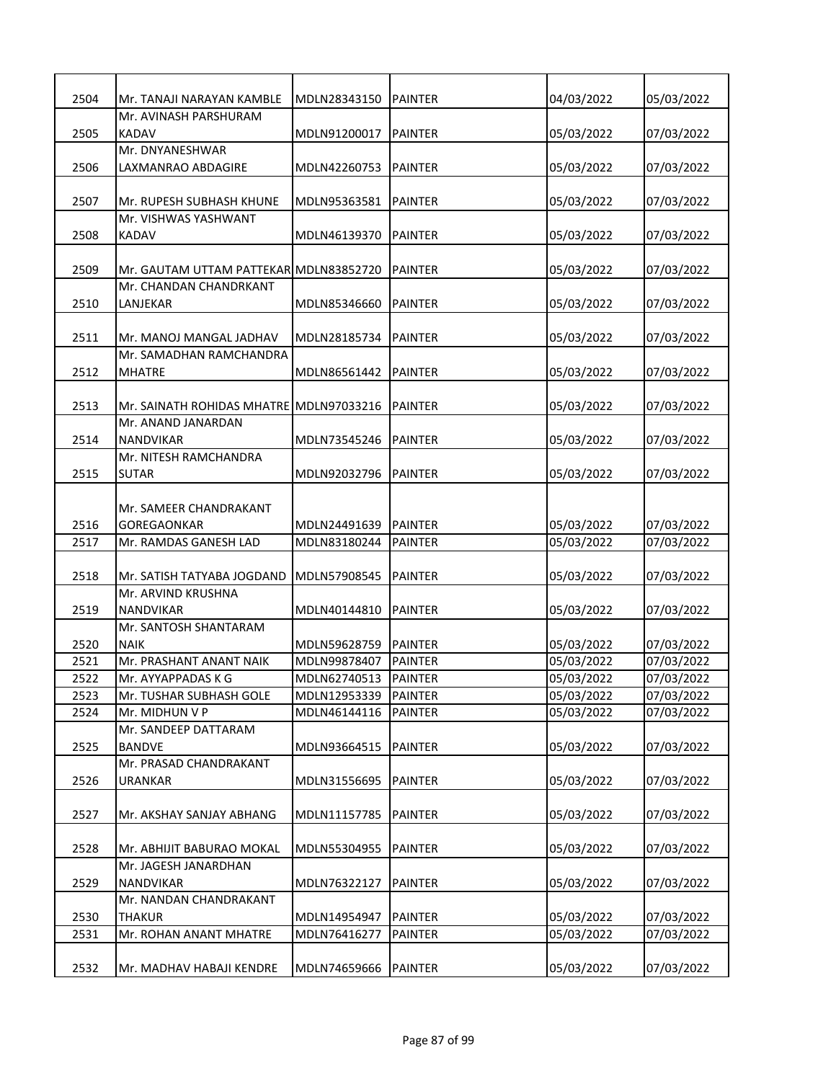| 2504         | Mr. TANAJI NARAYAN KAMBLE<br>Mr. AVINASH PARSHURAM            | MDLN28343150 | <b>PAINTER</b> | 04/03/2022 | 05/03/2022               |
|--------------|---------------------------------------------------------------|--------------|----------------|------------|--------------------------|
| 2505         | KADAV                                                         | MDLN91200017 | <b>PAINTER</b> | 05/03/2022 | 07/03/2022               |
|              | Mr. DNYANESHWAR                                               |              |                |            |                          |
| 2506         | LAXMANRAO ABDAGIRE                                            | MDLN42260753 | <b>PAINTER</b> | 05/03/2022 | 07/03/2022               |
|              |                                                               |              |                |            |                          |
| 2507         | Mr. RUPESH SUBHASH KHUNE                                      | MDLN95363581 | <b>PAINTER</b> | 05/03/2022 | 07/03/2022               |
|              | Mr. VISHWAS YASHWANT                                          |              |                |            |                          |
| 2508         | KADAV                                                         | MDLN46139370 | <b>PAINTER</b> | 05/03/2022 | 07/03/2022               |
|              |                                                               |              |                |            |                          |
| 2509         | Mr. GAUTAM UTTAM PATTEKAR MDLN83852720                        |              | PAINTER        | 05/03/2022 | 07/03/2022               |
|              | Mr. CHANDAN CHANDRKANT                                        |              |                |            |                          |
| 2510         | LANJEKAR                                                      | MDLN85346660 | PAINTER        | 05/03/2022 | 07/03/2022               |
|              |                                                               |              |                |            |                          |
| 2511         | Mr. MANOJ MANGAL JADHAV                                       | MDLN28185734 | <b>PAINTER</b> | 05/03/2022 | 07/03/2022               |
|              | Mr. SAMADHAN RAMCHANDRA                                       |              |                |            |                          |
| 2512         | <b>MHATRE</b>                                                 | MDLN86561442 | <b>PAINTER</b> | 05/03/2022 | 07/03/2022               |
|              |                                                               |              |                |            |                          |
| 2513         | Mr. SAINATH ROHIDAS MHATRE MDLN97033216<br>Mr. ANAND JANARDAN |              | <b>PAINTER</b> | 05/03/2022 | 07/03/2022               |
| 2514         | <b>NANDVIKAR</b>                                              | MDLN73545246 | <b>PAINTER</b> | 05/03/2022 | 07/03/2022               |
|              | Mr. NITESH RAMCHANDRA                                         |              |                |            |                          |
| 2515         | <b>SUTAR</b>                                                  | MDLN92032796 | <b>PAINTER</b> | 05/03/2022 | 07/03/2022               |
|              |                                                               |              |                |            |                          |
|              | Mr. SAMEER CHANDRAKANT                                        |              |                |            |                          |
| 2516         | <b>GOREGAONKAR</b>                                            | MDLN24491639 | <b>PAINTER</b> | 05/03/2022 | 07/03/2022               |
| 2517         | Mr. RAMDAS GANESH LAD                                         | MDLN83180244 | <b>PAINTER</b> | 05/03/2022 | 07/03/2022               |
|              |                                                               |              |                |            |                          |
| 2518         | Mr. SATISH TATYABA JOGDAND                                    | MDLN57908545 | <b>PAINTER</b> | 05/03/2022 | 07/03/2022               |
|              | Mr. ARVIND KRUSHNA                                            |              |                |            |                          |
| 2519         | <b>NANDVIKAR</b>                                              | MDLN40144810 | <b>PAINTER</b> | 05/03/2022 | 07/03/2022               |
|              | Mr. SANTOSH SHANTARAM                                         |              |                |            |                          |
| 2520         | <b>NAIK</b>                                                   | MDLN59628759 | <b>PAINTER</b> | 05/03/2022 | 07/03/2022               |
| 2521         | Mr. PRASHANT ANANT NAIK                                       | MDLN99878407 | <b>PAINTER</b> | 05/03/2022 | 07/03/2022               |
| 2522         | Mr. AYYAPPADAS K G                                            | MDLN62740513 | <b>PAINTER</b> | 05/03/2022 | 07/03/2022               |
| 2523<br>2524 | Mr. TUSHAR SUBHASH GOLE                                       | MDLN12953339 | <b>PAINTER</b> | 05/03/2022 | 07/03/2022<br>07/03/2022 |
|              | Mr. MIDHUN V P<br>Mr. SANDEEP DATTARAM                        | MDLN46144116 | PAINTER        | 05/03/2022 |                          |
| 2525         | <b>BANDVE</b>                                                 | MDLN93664515 | <b>PAINTER</b> | 05/03/2022 | 07/03/2022               |
|              | Mr. PRASAD CHANDRAKANT                                        |              |                |            |                          |
| 2526         | <b>URANKAR</b>                                                | MDLN31556695 | PAINTER        | 05/03/2022 | 07/03/2022               |
|              |                                                               |              |                |            |                          |
| 2527         | Mr. AKSHAY SANJAY ABHANG                                      | MDLN11157785 | <b>PAINTER</b> | 05/03/2022 | 07/03/2022               |
|              |                                                               |              |                |            |                          |
| 2528         | Mr. ABHIJIT BABURAO MOKAL                                     | MDLN55304955 | <b>PAINTER</b> | 05/03/2022 | 07/03/2022               |
|              | Mr. JAGESH JANARDHAN                                          |              |                |            |                          |
| 2529         | NANDVIKAR                                                     | MDLN76322127 | <b>PAINTER</b> | 05/03/2022 | 07/03/2022               |
|              | Mr. NANDAN CHANDRAKANT                                        |              |                |            |                          |
| 2530         | THAKUR                                                        | MDLN14954947 | <b>PAINTER</b> | 05/03/2022 | 07/03/2022               |
| 2531         | Mr. ROHAN ANANT MHATRE                                        | MDLN76416277 | PAINTER        | 05/03/2022 | 07/03/2022               |
|              |                                                               |              |                |            |                          |
| 2532         | Mr. MADHAV HABAJI KENDRE                                      | MDLN74659666 | <b>PAINTER</b> | 05/03/2022 | 07/03/2022               |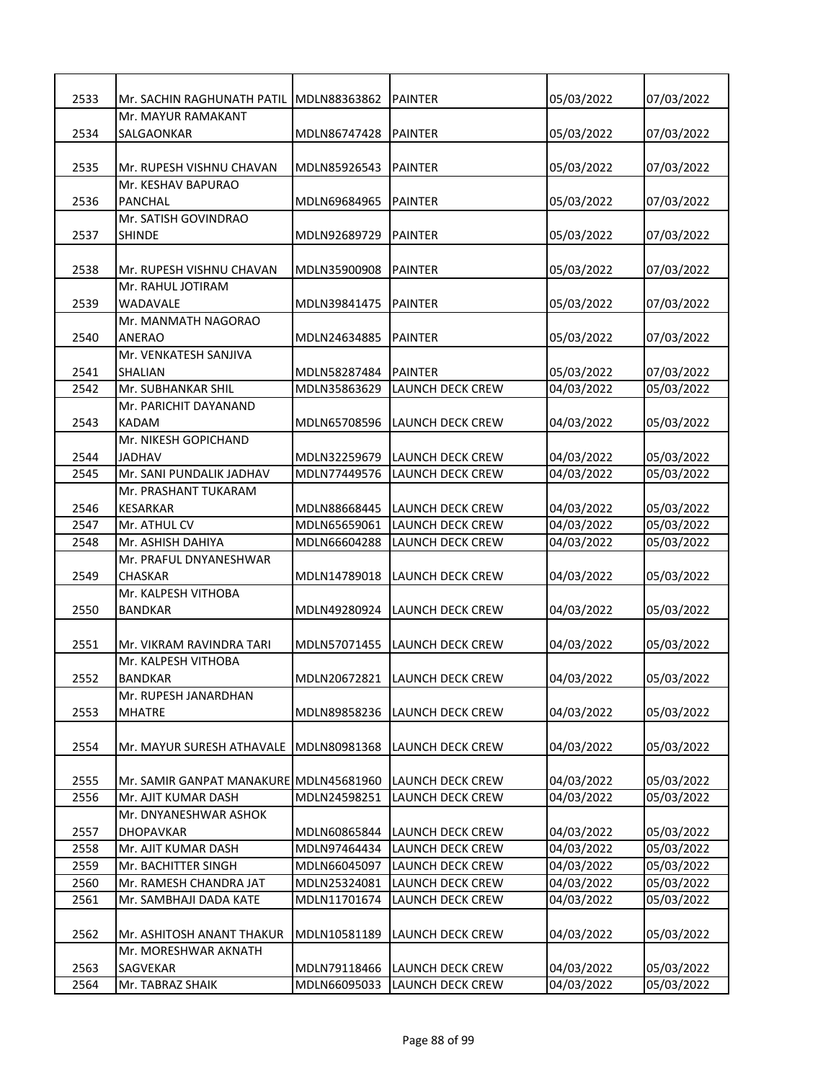| 2533 | Mr. SACHIN RAGHUNATH PATIL              | MDLN88363862 | <b>PAINTER</b>                | 05/03/2022               | 07/03/2022               |
|------|-----------------------------------------|--------------|-------------------------------|--------------------------|--------------------------|
|      | Mr. MAYUR RAMAKANT                      |              |                               |                          |                          |
| 2534 | SALGAONKAR                              | MDLN86747428 | <b>PAINTER</b>                | 05/03/2022               | 07/03/2022               |
|      |                                         |              |                               |                          |                          |
| 2535 | Mr. RUPESH VISHNU CHAVAN                | MDLN85926543 | <b>PAINTER</b>                | 05/03/2022               | 07/03/2022               |
|      | Mr. KESHAV BAPURAO                      |              |                               |                          |                          |
| 2536 | <b>PANCHAL</b>                          | MDLN69684965 | <b>PAINTER</b>                | 05/03/2022               | 07/03/2022               |
|      | Mr. SATISH GOVINDRAO                    |              |                               |                          |                          |
| 2537 | <b>SHINDE</b>                           | MDLN92689729 | <b>PAINTER</b>                | 05/03/2022               | 07/03/2022               |
|      |                                         |              |                               |                          |                          |
| 2538 | Mr. RUPESH VISHNU CHAVAN                | MDLN35900908 | <b>PAINTER</b>                | 05/03/2022               | 07/03/2022               |
|      | Mr. RAHUL JOTIRAM                       |              |                               |                          |                          |
| 2539 | WADAVALE                                | MDLN39841475 | PAINTER                       | 05/03/2022               | 07/03/2022               |
|      | Mr. MANMATH NAGORAO                     |              |                               |                          |                          |
| 2540 | <b>ANERAO</b>                           | MDLN24634885 | PAINTER                       | 05/03/2022               | 07/03/2022               |
| 2541 | Mr. VENKATESH SANJIVA<br><b>SHALIAN</b> | MDLN58287484 | <b>PAINTER</b>                |                          |                          |
| 2542 | Mr. SUBHANKAR SHIL                      | MDLN35863629 | LAUNCH DECK CREW              | 05/03/2022<br>04/03/2022 | 07/03/2022<br>05/03/2022 |
|      | Mr. PARICHIT DAYANAND                   |              |                               |                          |                          |
| 2543 | <b>KADAM</b>                            | MDLN65708596 | LAUNCH DECK CREW              | 04/03/2022               | 05/03/2022               |
|      | Mr. NIKESH GOPICHAND                    |              |                               |                          |                          |
| 2544 | <b>JADHAV</b>                           | MDLN32259679 | <b>LAUNCH DECK CREW</b>       | 04/03/2022               | 05/03/2022               |
| 2545 | Mr. SANI PUNDALIK JADHAV                | MDLN77449576 | LAUNCH DECK CREW              | 04/03/2022               | 05/03/2022               |
|      | Mr. PRASHANT TUKARAM                    |              |                               |                          |                          |
| 2546 | <b>KESARKAR</b>                         | MDLN88668445 | LAUNCH DECK CREW              | 04/03/2022               | 05/03/2022               |
| 2547 | Mr. ATHUL CV                            | MDLN65659061 | LAUNCH DECK CREW              | 04/03/2022               | 05/03/2022               |
| 2548 | Mr. ASHISH DAHIYA                       | MDLN66604288 | LAUNCH DECK CREW              | 04/03/2022               | 05/03/2022               |
|      | Mr. PRAFUL DNYANESHWAR                  |              |                               |                          |                          |
| 2549 | <b>CHASKAR</b>                          | MDLN14789018 | <b>LAUNCH DECK CREW</b>       | 04/03/2022               | 05/03/2022               |
|      | Mr. KALPESH VITHOBA                     |              |                               |                          |                          |
| 2550 | <b>BANDKAR</b>                          | MDLN49280924 | <b>LAUNCH DECK CREW</b>       | 04/03/2022               | 05/03/2022               |
|      |                                         |              |                               |                          |                          |
| 2551 | Mr. VIKRAM RAVINDRA TARI                | MDLN57071455 | LAUNCH DECK CREW              | 04/03/2022               | 05/03/2022               |
|      | Mr. KALPESH VITHOBA                     |              |                               |                          |                          |
| 2552 | <b>BANDKAR</b>                          |              | MDLN20672821 LAUNCH DECK CREW | 04/03/2022               | 05/03/2022               |
|      | Mr. RUPESH JANARDHAN                    |              |                               |                          |                          |
| 2553 | <b>MHATRE</b>                           | MDLN89858236 | LAUNCH DECK CREW              | 04/03/2022               | 05/03/2022               |
|      |                                         |              |                               |                          |                          |
| 2554 | Mr. MAYUR SURESH ATHAVALE               | MDLN80981368 | LAUNCH DECK CREW              | 04/03/2022               | 05/03/2022               |
|      |                                         |              |                               |                          |                          |
| 2555 | Mr. SAMIR GANPAT MANAKURE MDLN45681960  |              | LAUNCH DECK CREW              | 04/03/2022               | 05/03/2022               |
| 2556 | Mr. AJIT KUMAR DASH                     | MDLN24598251 | LAUNCH DECK CREW              | 04/03/2022               | 05/03/2022               |
|      | Mr. DNYANESHWAR ASHOK                   |              |                               |                          |                          |
| 2557 | <b>DHOPAVKAR</b>                        | MDLN60865844 | LAUNCH DECK CREW              | 04/03/2022               | 05/03/2022               |
| 2558 | Mr. AJIT KUMAR DASH                     | MDLN97464434 | <b>LAUNCH DECK CREW</b>       | 04/03/2022               | 05/03/2022               |
| 2559 | Mr. BACHITTER SINGH                     | MDLN66045097 | LAUNCH DECK CREW              | 04/03/2022               | 05/03/2022               |
| 2560 | Mr. RAMESH CHANDRA JAT                  | MDLN25324081 | LAUNCH DECK CREW              | 04/03/2022               | 05/03/2022               |
| 2561 | Mr. SAMBHAJI DADA KATE                  | MDLN11701674 | LAUNCH DECK CREW              | 04/03/2022               | 05/03/2022               |
|      |                                         |              |                               |                          |                          |
| 2562 | Mr. ASHITOSH ANANT THAKUR               | MDLN10581189 | LAUNCH DECK CREW              | 04/03/2022               | 05/03/2022               |
|      | Mr. MORESHWAR AKNATH                    |              |                               |                          |                          |
| 2563 | SAGVEKAR                                | MDLN79118466 | LAUNCH DECK CREW              | 04/03/2022               | 05/03/2022               |
| 2564 | Mr. TABRAZ SHAIK                        | MDLN66095033 | LAUNCH DECK CREW              | 04/03/2022               | 05/03/2022               |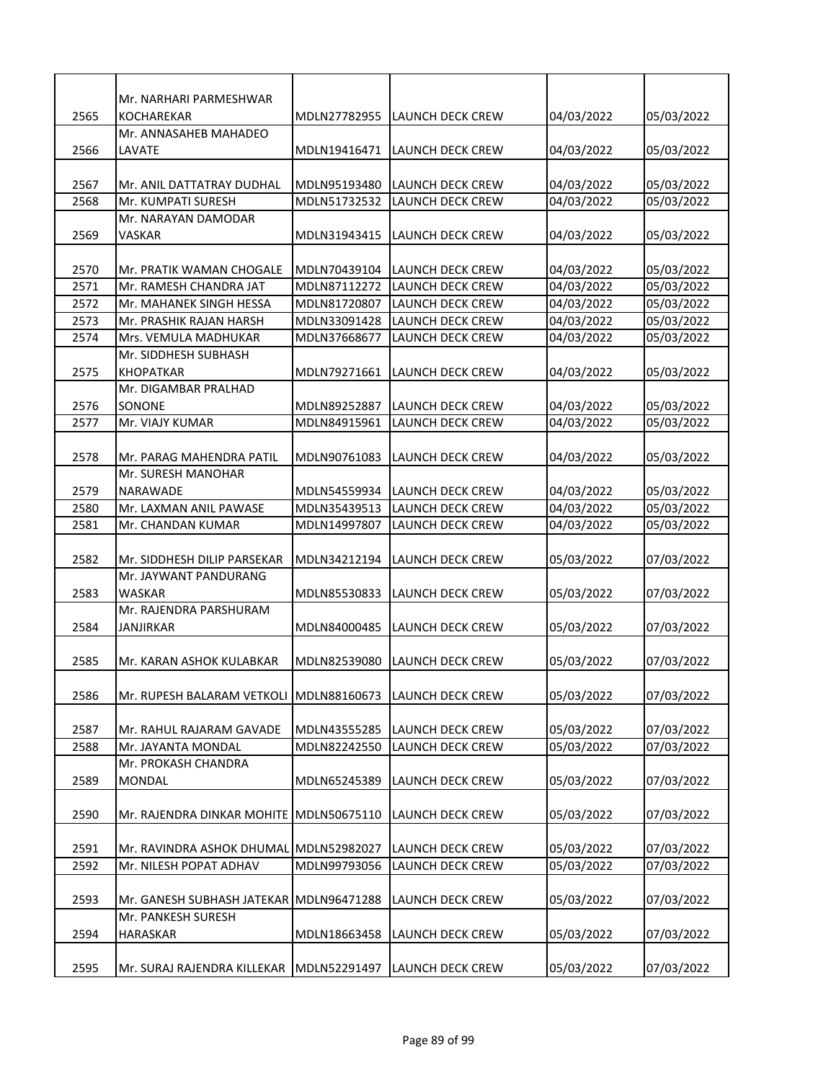|      | Mr. NARHARI PARMESHWAR                  |              |                         |            |            |
|------|-----------------------------------------|--------------|-------------------------|------------|------------|
| 2565 | <b>KOCHAREKAR</b>                       | MDLN27782955 | LAUNCH DECK CREW        | 04/03/2022 | 05/03/2022 |
|      | Mr. ANNASAHEB MAHADEO                   |              |                         |            |            |
| 2566 | LAVATE                                  | MDLN19416471 | LAUNCH DECK CREW        | 04/03/2022 | 05/03/2022 |
|      |                                         |              |                         |            |            |
| 2567 | Mr. ANIL DATTATRAY DUDHAL               | MDLN95193480 | LAUNCH DECK CREW        | 04/03/2022 | 05/03/2022 |
| 2568 | Mr. KUMPATI SURESH                      | MDLN51732532 | LAUNCH DECK CREW        | 04/03/2022 | 05/03/2022 |
|      | Mr. NARAYAN DAMODAR                     |              |                         |            |            |
| 2569 | VASKAR                                  | MDLN31943415 | LAUNCH DECK CREW        | 04/03/2022 | 05/03/2022 |
|      |                                         |              |                         |            |            |
| 2570 | Mr. PRATIK WAMAN CHOGALE                | MDLN70439104 | LAUNCH DECK CREW        | 04/03/2022 | 05/03/2022 |
| 2571 | Mr. RAMESH CHANDRA JAT                  | MDLN87112272 | LAUNCH DECK CREW        | 04/03/2022 | 05/03/2022 |
| 2572 | Mr. MAHANEK SINGH HESSA                 | MDLN81720807 | LAUNCH DECK CREW        | 04/03/2022 | 05/03/2022 |
| 2573 | Mr. PRASHIK RAJAN HARSH                 | MDLN33091428 | LAUNCH DECK CREW        | 04/03/2022 | 05/03/2022 |
| 2574 | Mrs. VEMULA MADHUKAR                    | MDLN37668677 | LAUNCH DECK CREW        | 04/03/2022 | 05/03/2022 |
|      | Mr. SIDDHESH SUBHASH                    |              |                         |            |            |
| 2575 | <b>KHOPATKAR</b>                        | MDLN79271661 | LAUNCH DECK CREW        | 04/03/2022 | 05/03/2022 |
|      | Mr. DIGAMBAR PRALHAD                    |              |                         |            |            |
| 2576 | SONONE                                  | MDLN89252887 | LAUNCH DECK CREW        | 04/03/2022 | 05/03/2022 |
| 2577 | Mr. VIAJY KUMAR                         | MDLN84915961 | LAUNCH DECK CREW        | 04/03/2022 | 05/03/2022 |
|      |                                         |              |                         |            |            |
| 2578 | Mr. PARAG MAHENDRA PATIL                | MDLN90761083 | LAUNCH DECK CREW        | 04/03/2022 | 05/03/2022 |
|      | Mr. SURESH MANOHAR                      |              |                         |            |            |
| 2579 | NARAWADE                                | MDLN54559934 | LAUNCH DECK CREW        | 04/03/2022 | 05/03/2022 |
| 2580 | Mr. LAXMAN ANIL PAWASE                  | MDLN35439513 | <b>LAUNCH DECK CREW</b> | 04/03/2022 | 05/03/2022 |
| 2581 | Mr. CHANDAN KUMAR                       | MDLN14997807 | LAUNCH DECK CREW        | 04/03/2022 | 05/03/2022 |
|      |                                         |              |                         |            |            |
| 2582 | Mr. SIDDHESH DILIP PARSEKAR             | MDLN34212194 | LAUNCH DECK CREW        | 05/03/2022 | 07/03/2022 |
|      | Mr. JAYWANT PANDURANG                   |              |                         |            |            |
| 2583 | WASKAR                                  | MDLN85530833 | LAUNCH DECK CREW        | 05/03/2022 | 07/03/2022 |
|      | Mr. RAJENDRA PARSHURAM                  |              |                         |            |            |
| 2584 | <b>JANJIRKAR</b>                        | MDLN84000485 | LAUNCH DECK CREW        | 05/03/2022 | 07/03/2022 |
|      |                                         |              |                         |            |            |
| 2585 | Mr. KARAN ASHOK KULABKAR                | MDLN82539080 | <b>LAUNCH DECK CREW</b> | 05/03/2022 | 07/03/2022 |
|      |                                         |              |                         |            |            |
| 2586 | Mr. RUPESH BALARAM VETKOLI MDLN88160673 |              | LAUNCH DECK CREW        | 05/03/2022 | 07/03/2022 |
|      |                                         |              |                         |            |            |
| 2587 | Mr. RAHUL RAJARAM GAVADE                | MDLN43555285 | LAUNCH DECK CREW        | 05/03/2022 | 07/03/2022 |
| 2588 | Mr. JAYANTA MONDAL                      | MDLN82242550 | LAUNCH DECK CREW        | 05/03/2022 | 07/03/2022 |
| 2589 | Mr. PROKASH CHANDRA                     | MDLN65245389 | LAUNCH DECK CREW        |            |            |
|      | MONDAL                                  |              |                         | 05/03/2022 | 07/03/2022 |
| 2590 | Mr. RAJENDRA DINKAR MOHITE MDLN50675110 |              | LAUNCH DECK CREW        | 05/03/2022 | 07/03/2022 |
|      |                                         |              |                         |            |            |
| 2591 | Mr. RAVINDRA ASHOK DHUMAL MDLN52982027  |              | LAUNCH DECK CREW        | 05/03/2022 | 07/03/2022 |
| 2592 | Mr. NILESH POPAT ADHAV                  | MDLN99793056 | LAUNCH DECK CREW        | 05/03/2022 | 07/03/2022 |
|      |                                         |              |                         |            |            |
| 2593 | Mr. GANESH SUBHASH JATEKAR MDLN96471288 |              | LAUNCH DECK CREW        | 05/03/2022 | 07/03/2022 |
|      | Mr. PANKESH SURESH                      |              |                         |            |            |
| 2594 | HARASKAR                                | MDLN18663458 | LAUNCH DECK CREW        | 05/03/2022 | 07/03/2022 |
|      |                                         |              |                         |            |            |
| 2595 | Mr. SURAJ RAJENDRA KILLEKAR             | MDLN52291497 | LAUNCH DECK CREW        | 05/03/2022 | 07/03/2022 |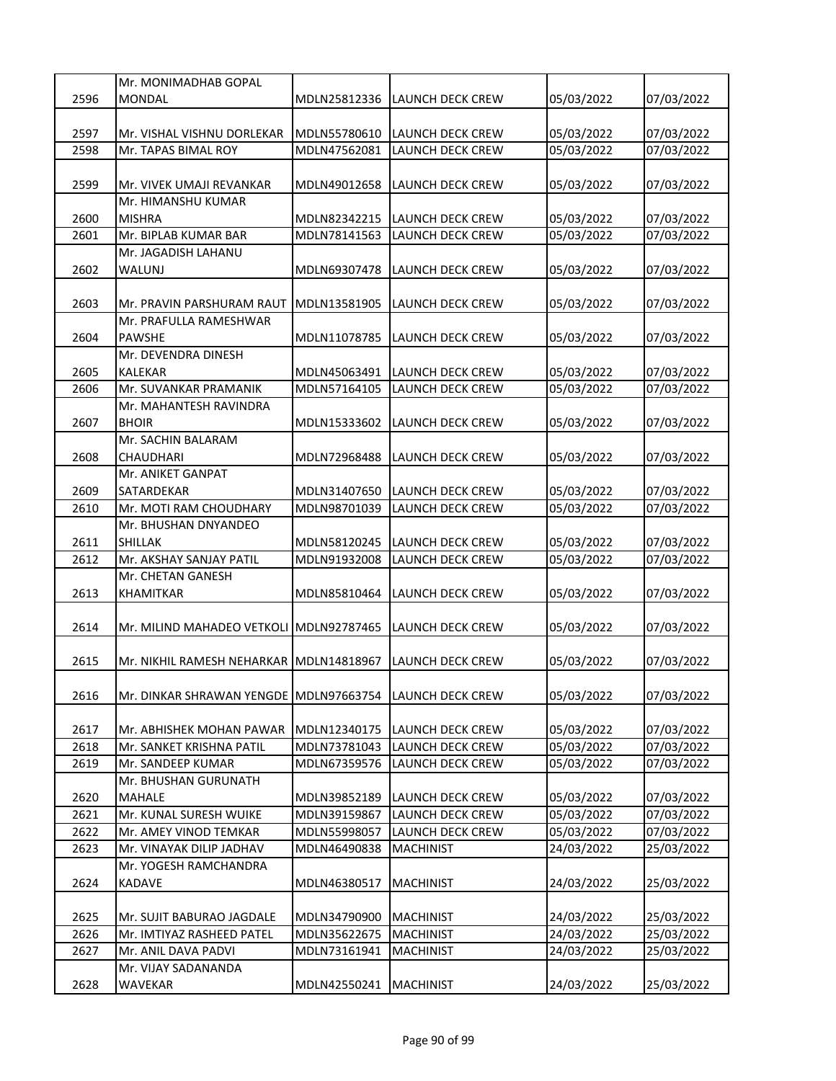|      | Mr. MONIMADHAB GOPAL                    |              |                         |            |            |
|------|-----------------------------------------|--------------|-------------------------|------------|------------|
| 2596 | <b>MONDAL</b>                           | MDLN25812336 | LAUNCH DECK CREW        | 05/03/2022 | 07/03/2022 |
|      |                                         |              |                         |            |            |
| 2597 | Mr. VISHAL VISHNU DORLEKAR              | MDLN55780610 | LAUNCH DECK CREW        | 05/03/2022 | 07/03/2022 |
| 2598 | Mr. TAPAS BIMAL ROY                     | MDLN47562081 | <b>LAUNCH DECK CREW</b> | 05/03/2022 | 07/03/2022 |
|      |                                         |              |                         |            |            |
| 2599 | Mr. VIVEK UMAJI REVANKAR                | MDLN49012658 | LAUNCH DECK CREW        | 05/03/2022 | 07/03/2022 |
|      | Mr. HIMANSHU KUMAR                      |              |                         |            |            |
| 2600 |                                         | MDLN82342215 |                         |            |            |
|      | <b>MISHRA</b>                           |              | LAUNCH DECK CREW        | 05/03/2022 | 07/03/2022 |
| 2601 | Mr. BIPLAB KUMAR BAR                    | MDLN78141563 | LAUNCH DECK CREW        | 05/03/2022 | 07/03/2022 |
|      | Mr. JAGADISH LAHANU                     |              |                         |            |            |
| 2602 | WALUNJ                                  | MDLN69307478 | LAUNCH DECK CREW        | 05/03/2022 | 07/03/2022 |
|      |                                         |              |                         |            |            |
| 2603 | Mr. PRAVIN PARSHURAM RAUT               | MDLN13581905 | LAUNCH DECK CREW        | 05/03/2022 | 07/03/2022 |
|      | Mr. PRAFULLA RAMESHWAR                  |              |                         |            |            |
| 2604 | <b>PAWSHE</b>                           | MDLN11078785 | LAUNCH DECK CREW        | 05/03/2022 | 07/03/2022 |
|      | Mr. DEVENDRA DINESH                     |              |                         |            |            |
| 2605 | <b>KALEKAR</b>                          | MDLN45063491 | <b>LAUNCH DECK CREW</b> | 05/03/2022 | 07/03/2022 |
| 2606 | Mr. SUVANKAR PRAMANIK                   | MDLN57164105 | LAUNCH DECK CREW        | 05/03/2022 | 07/03/2022 |
|      | Mr. MAHANTESH RAVINDRA                  |              |                         |            |            |
| 2607 | <b>BHOIR</b>                            | MDLN15333602 | LAUNCH DECK CREW        | 05/03/2022 | 07/03/2022 |
|      | Mr. SACHIN BALARAM                      |              |                         |            |            |
| 2608 | <b>CHAUDHARI</b>                        |              |                         |            |            |
|      |                                         | MDLN72968488 | LAUNCH DECK CREW        | 05/03/2022 | 07/03/2022 |
|      | Mr. ANIKET GANPAT                       |              |                         |            |            |
| 2609 | SATARDEKAR                              | MDLN31407650 | LAUNCH DECK CREW        | 05/03/2022 | 07/03/2022 |
| 2610 | Mr. MOTI RAM CHOUDHARY                  | MDLN98701039 | LAUNCH DECK CREW        | 05/03/2022 | 07/03/2022 |
|      | Mr. BHUSHAN DNYANDEO                    |              |                         |            |            |
| 2611 | <b>SHILLAK</b>                          | MDLN58120245 | <b>LAUNCH DECK CREW</b> | 05/03/2022 | 07/03/2022 |
| 2612 | Mr. AKSHAY SANJAY PATIL                 | MDLN91932008 | LAUNCH DECK CREW        | 05/03/2022 | 07/03/2022 |
|      | Mr. CHETAN GANESH                       |              |                         |            |            |
| 2613 | KHAMITKAR                               | MDLN85810464 | LAUNCH DECK CREW        | 05/03/2022 | 07/03/2022 |
|      |                                         |              |                         |            |            |
| 2614 | Mr. MILIND MAHADEO VETKOLI MDLN92787465 |              | LAUNCH DECK CREW        | 05/03/2022 | 07/03/2022 |
|      |                                         |              |                         |            |            |
| 2615 | Mr. NIKHIL RAMESH NEHARKAR              | MDLN14818967 | LAUNCH DECK CREW        | 05/03/2022 | 07/03/2022 |
|      |                                         |              |                         |            |            |
| 2616 | Mr. DINKAR SHRAWAN YENGDE MDLN97663754  |              | LAUNCH DECK CREW        | 05/03/2022 | 07/03/2022 |
|      |                                         |              |                         |            |            |
|      |                                         |              |                         |            |            |
| 2617 | Mr. ABHISHEK MOHAN PAWAR                | MDLN12340175 | LAUNCH DECK CREW        | 05/03/2022 | 07/03/2022 |
| 2618 | Mr. SANKET KRISHNA PATIL                | MDLN73781043 | LAUNCH DECK CREW        | 05/03/2022 | 07/03/2022 |
| 2619 | Mr. SANDEEP KUMAR                       | MDLN67359576 | LAUNCH DECK CREW        | 05/03/2022 | 07/03/2022 |
|      | Mr. BHUSHAN GURUNATH                    |              |                         |            |            |
| 2620 | <b>MAHALE</b>                           | MDLN39852189 | LAUNCH DECK CREW        | 05/03/2022 | 07/03/2022 |
| 2621 | Mr. KUNAL SURESH WUIKE                  | MDLN39159867 | LAUNCH DECK CREW        | 05/03/2022 | 07/03/2022 |
| 2622 | Mr. AMEY VINOD TEMKAR                   | MDLN55998057 | LAUNCH DECK CREW        | 05/03/2022 | 07/03/2022 |
| 2623 | Mr. VINAYAK DILIP JADHAV                | MDLN46490838 | <b>MACHINIST</b>        | 24/03/2022 | 25/03/2022 |
|      | Mr. YOGESH RAMCHANDRA                   |              |                         |            |            |
| 2624 | <b>KADAVE</b>                           | MDLN46380517 | <b>MACHINIST</b>        | 24/03/2022 | 25/03/2022 |
|      |                                         |              |                         |            |            |
| 2625 | Mr. SUJIT BABURAO JAGDALE               | MDLN34790900 | <b>MACHINIST</b>        | 24/03/2022 | 25/03/2022 |
| 2626 | Mr. IMTIYAZ RASHEED PATEL               | MDLN35622675 | <b>MACHINIST</b>        | 24/03/2022 | 25/03/2022 |
| 2627 |                                         |              |                         |            |            |
|      | Mr. ANIL DAVA PADVI                     | MDLN73161941 | <b>MACHINIST</b>        | 24/03/2022 | 25/03/2022 |
|      | Mr. VIJAY SADANANDA                     |              |                         |            |            |
| 2628 | WAVEKAR                                 | MDLN42550241 | <b>MACHINIST</b>        | 24/03/2022 | 25/03/2022 |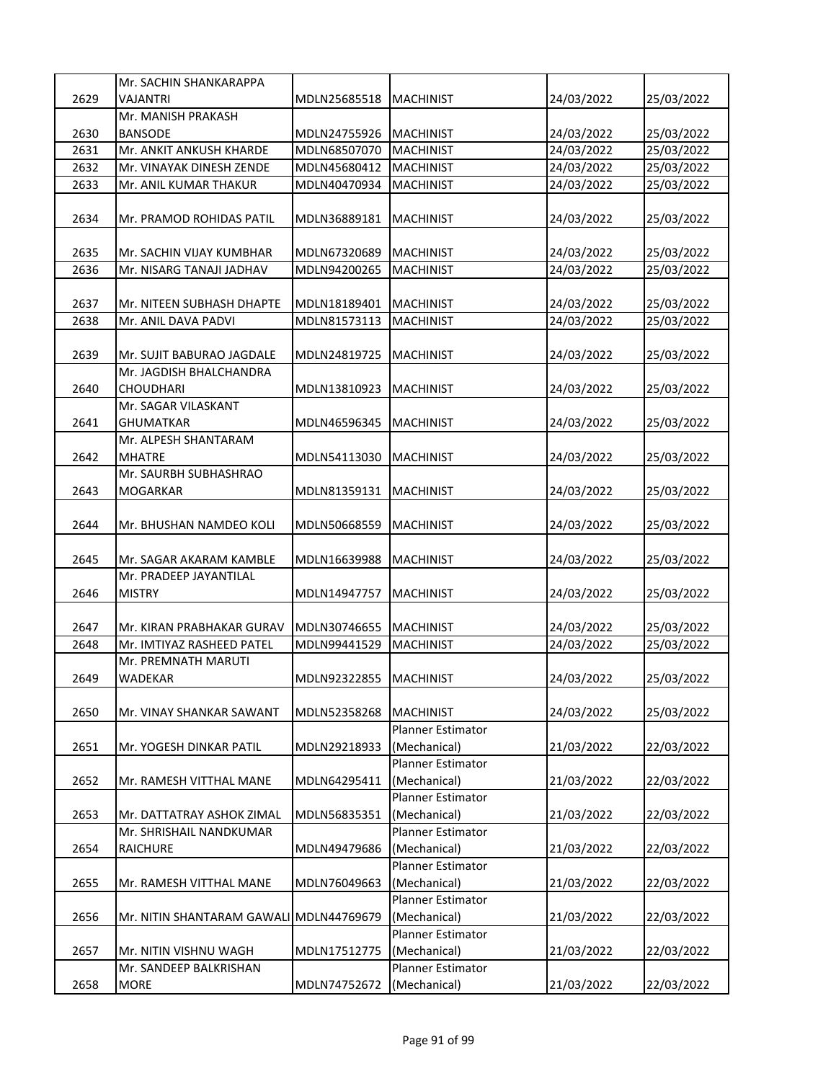|      | Mr. SACHIN SHANKARAPPA                  |                          |                          |            |            |
|------|-----------------------------------------|--------------------------|--------------------------|------------|------------|
| 2629 | VAJANTRI                                | MDLN25685518             | <b>MACHINIST</b>         | 24/03/2022 | 25/03/2022 |
|      | Mr. MANISH PRAKASH                      |                          |                          |            |            |
| 2630 | <b>BANSODE</b>                          | MDLN24755926             | <b>MACHINIST</b>         | 24/03/2022 | 25/03/2022 |
| 2631 | Mr. ANKIT ANKUSH KHARDE                 | MDLN68507070             | <b>MACHINIST</b>         | 24/03/2022 | 25/03/2022 |
| 2632 | Mr. VINAYAK DINESH ZENDE                | MDLN45680412             | <b>MACHINIST</b>         | 24/03/2022 | 25/03/2022 |
| 2633 | Mr. ANIL KUMAR THAKUR                   | MDLN40470934             | <b>MACHINIST</b>         | 24/03/2022 | 25/03/2022 |
| 2634 | Mr. PRAMOD ROHIDAS PATIL                | MDLN36889181             | <b>MACHINIST</b>         | 24/03/2022 | 25/03/2022 |
| 2635 | Mr. SACHIN VIJAY KUMBHAR                | MDLN67320689             | <b>MACHINIST</b>         | 24/03/2022 | 25/03/2022 |
| 2636 | Mr. NISARG TANAJI JADHAV                | MDLN94200265             | <b>MACHINIST</b>         | 24/03/2022 | 25/03/2022 |
|      |                                         |                          |                          |            |            |
| 2637 | Mr. NITEEN SUBHASH DHAPTE               | MDLN18189401             | <b>MACHINIST</b>         | 24/03/2022 | 25/03/2022 |
| 2638 | Mr. ANIL DAVA PADVI                     | MDLN81573113             | <b>MACHINIST</b>         | 24/03/2022 | 25/03/2022 |
|      |                                         |                          |                          |            |            |
| 2639 | Mr. SUJIT BABURAO JAGDALE               | MDLN24819725             | <b>MACHINIST</b>         | 24/03/2022 | 25/03/2022 |
|      | Mr. JAGDISH BHALCHANDRA                 |                          |                          |            |            |
| 2640 | CHOUDHARI                               | MDLN13810923             | <b>MACHINIST</b>         | 24/03/2022 | 25/03/2022 |
|      | Mr. SAGAR VILASKANT                     |                          |                          |            |            |
| 2641 | GHUMATKAR                               | MDLN46596345             | <b>MACHINIST</b>         | 24/03/2022 | 25/03/2022 |
|      | Mr. ALPESH SHANTARAM                    |                          |                          |            |            |
| 2642 | MHATRE                                  | MDLN54113030             | <b>MACHINIST</b>         | 24/03/2022 | 25/03/2022 |
|      | Mr. SAURBH SUBHASHRAO                   |                          |                          |            |            |
| 2643 | MOGARKAR                                | MDLN81359131             | <b>MACHINIST</b>         | 24/03/2022 | 25/03/2022 |
| 2644 | Mr. BHUSHAN NAMDEO KOLI                 | MDLN50668559             | <b>MACHINIST</b>         | 24/03/2022 | 25/03/2022 |
| 2645 | Mr. SAGAR AKARAM KAMBLE                 | MDLN16639988             | <b>MACHINIST</b>         | 24/03/2022 | 25/03/2022 |
|      | Mr. PRADEEP JAYANTILAL                  |                          |                          |            |            |
| 2646 | <b>MISTRY</b>                           | MDLN14947757             | <b>MACHINIST</b>         | 24/03/2022 | 25/03/2022 |
|      |                                         |                          |                          |            |            |
| 2647 | Mr. KIRAN PRABHAKAR GURAV               | MDLN30746655             | <b>MACHINIST</b>         | 24/03/2022 | 25/03/2022 |
| 2648 | Mr. IMTIYAZ RASHEED PATEL               | MDLN99441529             | <b>MACHINIST</b>         | 24/03/2022 | 25/03/2022 |
|      | Mr. PREMNATH MARUTI                     |                          |                          |            |            |
| 2649 | <b>WADEKAR</b>                          | MDLN92322855   MACHINIST |                          | 24/03/2022 | 25/03/2022 |
| 2650 | Mr. VINAY SHANKAR SAWANT                | MDLN52358268             | <b>MACHINIST</b>         | 24/03/2022 | 25/03/2022 |
|      |                                         |                          | <b>Planner Estimator</b> |            |            |
| 2651 | Mr. YOGESH DINKAR PATIL                 | MDLN29218933             | (Mechanical)             | 21/03/2022 | 22/03/2022 |
|      |                                         |                          | <b>Planner Estimator</b> |            |            |
| 2652 | Mr. RAMESH VITTHAL MANE                 | MDLN64295411             | (Mechanical)             | 21/03/2022 | 22/03/2022 |
|      |                                         |                          | <b>Planner Estimator</b> |            |            |
| 2653 | Mr. DATTATRAY ASHOK ZIMAL               | MDLN56835351             | (Mechanical)             | 21/03/2022 | 22/03/2022 |
|      | Mr. SHRISHAIL NANDKUMAR                 |                          | <b>Planner Estimator</b> |            |            |
| 2654 | <b>RAICHURE</b>                         | MDLN49479686             | (Mechanical)             | 21/03/2022 | 22/03/2022 |
|      |                                         |                          | Planner Estimator        |            |            |
| 2655 | Mr. RAMESH VITTHAL MANE                 | MDLN76049663             | (Mechanical)             | 21/03/2022 | 22/03/2022 |
|      |                                         |                          | Planner Estimator        |            |            |
| 2656 | Mr. NITIN SHANTARAM GAWALI MDLN44769679 |                          | (Mechanical)             | 21/03/2022 | 22/03/2022 |
|      |                                         |                          | <b>Planner Estimator</b> |            |            |
| 2657 | Mr. NITIN VISHNU WAGH                   | MDLN17512775             | (Mechanical)             | 21/03/2022 | 22/03/2022 |
|      | Mr. SANDEEP BALKRISHAN                  |                          | Planner Estimator        |            |            |
| 2658 | <b>MORE</b>                             | MDLN74752672             | (Mechanical)             | 21/03/2022 | 22/03/2022 |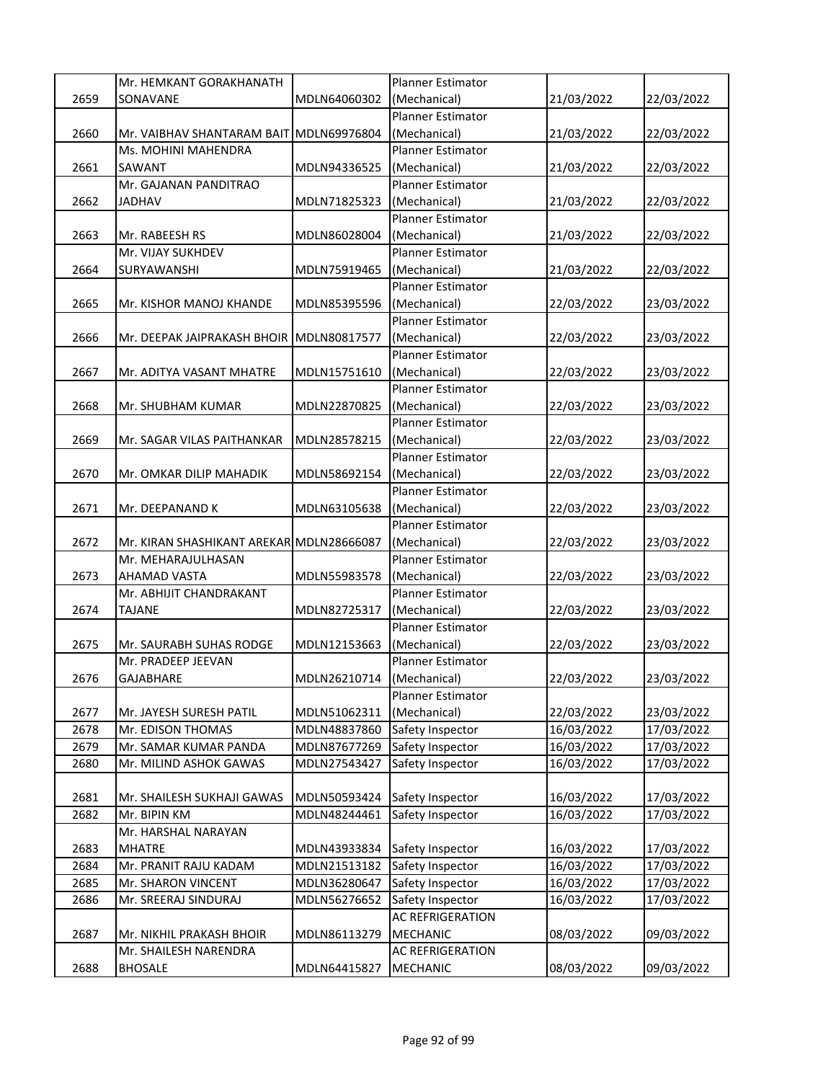|      | Mr. HEMKANT GORAKHANATH                  |                           | <b>Planner Estimator</b> |            |            |
|------|------------------------------------------|---------------------------|--------------------------|------------|------------|
| 2659 | SONAVANE                                 | MDLN64060302              | (Mechanical)             | 21/03/2022 | 22/03/2022 |
|      |                                          |                           | Planner Estimator        |            |            |
| 2660 | Mr. VAIBHAV SHANTARAM BAIT               | MDLN69976804              | (Mechanical)             | 21/03/2022 | 22/03/2022 |
|      | Ms. MOHINI MAHENDRA                      |                           | <b>Planner Estimator</b> |            |            |
| 2661 | SAWANT                                   | MDLN94336525              | (Mechanical)             | 21/03/2022 | 22/03/2022 |
|      | Mr. GAJANAN PANDITRAO                    |                           | <b>Planner Estimator</b> |            |            |
| 2662 | JADHAV                                   | MDLN71825323              | (Mechanical)             | 21/03/2022 | 22/03/2022 |
|      |                                          |                           | <b>Planner Estimator</b> |            |            |
| 2663 | Mr. RABEESH RS                           | MDLN86028004              | (Mechanical)             | 21/03/2022 | 22/03/2022 |
|      | Mr. VIJAY SUKHDEV                        |                           | <b>Planner Estimator</b> |            |            |
| 2664 | SURYAWANSHI                              | MDLN75919465              | (Mechanical)             | 21/03/2022 | 22/03/2022 |
|      |                                          |                           | <b>Planner Estimator</b> |            |            |
| 2665 | Mr. KISHOR MANOJ KHANDE                  | MDLN85395596              | (Mechanical)             | 22/03/2022 | 23/03/2022 |
|      |                                          |                           | <b>Planner Estimator</b> |            |            |
| 2666 | Mr. DEEPAK JAIPRAKASH BHOIR              | MDLN80817577              | (Mechanical)             | 22/03/2022 | 23/03/2022 |
|      |                                          |                           | <b>Planner Estimator</b> |            |            |
| 2667 | Mr. ADITYA VASANT MHATRE                 | MDLN15751610              | (Mechanical)             | 22/03/2022 | 23/03/2022 |
|      |                                          |                           | <b>Planner Estimator</b> |            |            |
| 2668 | Mr. SHUBHAM KUMAR                        | MDLN22870825              | (Mechanical)             | 22/03/2022 | 23/03/2022 |
|      |                                          |                           | <b>Planner Estimator</b> |            |            |
| 2669 | Mr. SAGAR VILAS PAITHANKAR               | MDLN28578215              | (Mechanical)             | 22/03/2022 | 23/03/2022 |
|      |                                          |                           | Planner Estimator        |            |            |
| 2670 | Mr. OMKAR DILIP MAHADIK                  | MDLN58692154              | (Mechanical)             | 22/03/2022 | 23/03/2022 |
|      |                                          |                           | Planner Estimator        |            |            |
| 2671 | Mr. DEEPANAND K                          | MDLN63105638              | (Mechanical)             | 22/03/2022 | 23/03/2022 |
|      |                                          |                           | <b>Planner Estimator</b> |            |            |
| 2672 | Mr. KIRAN SHASHIKANT AREKAR MDLN28666087 |                           | (Mechanical)             | 22/03/2022 | 23/03/2022 |
|      | Mr. MEHARAJULHASAN                       |                           | <b>Planner Estimator</b> |            |            |
| 2673 | AHAMAD VASTA                             | MDLN55983578              | (Mechanical)             | 22/03/2022 | 23/03/2022 |
|      | Mr. ABHIJIT CHANDRAKANT                  |                           | <b>Planner Estimator</b> |            |            |
| 2674 | TAJANE                                   | MDLN82725317              | (Mechanical)             | 22/03/2022 | 23/03/2022 |
|      |                                          |                           | Planner Estimator        |            |            |
| 2675 | Mr. SAURABH SUHAS RODGE                  | MDLN12153663              | (Mechanical)             | 22/03/2022 | 23/03/2022 |
|      | Mr. PRADEEP JEEVAN                       |                           | <b>Planner Estimator</b> |            |            |
| 2676 | <b>GAJABHARE</b>                         | MDLN26210714 (Mechanical) |                          | 22/03/2022 | 23/03/2022 |
|      |                                          |                           | Planner Estimator        |            |            |
| 2677 | Mr. JAYESH SURESH PATIL                  | MDLN51062311              | (Mechanical)             | 22/03/2022 | 23/03/2022 |
| 2678 | Mr. EDISON THOMAS                        | MDLN48837860              | Safety Inspector         | 16/03/2022 | 17/03/2022 |
| 2679 | Mr. SAMAR KUMAR PANDA                    | MDLN87677269              | Safety Inspector         | 16/03/2022 | 17/03/2022 |
| 2680 | Mr. MILIND ASHOK GAWAS                   | MDLN27543427              | Safety Inspector         | 16/03/2022 | 17/03/2022 |
|      |                                          |                           |                          |            |            |
| 2681 | Mr. SHAILESH SUKHAJI GAWAS               | MDLN50593424              | Safety Inspector         | 16/03/2022 | 17/03/2022 |
| 2682 | Mr. BIPIN KM                             | MDLN48244461              | Safety Inspector         | 16/03/2022 | 17/03/2022 |
|      | Mr. HARSHAL NARAYAN                      |                           |                          |            |            |
| 2683 | <b>MHATRE</b>                            | MDLN43933834              | Safety Inspector         | 16/03/2022 | 17/03/2022 |
| 2684 | Mr. PRANIT RAJU KADAM                    | MDLN21513182              | Safety Inspector         | 16/03/2022 | 17/03/2022 |
| 2685 | Mr. SHARON VINCENT                       | MDLN36280647              | Safety Inspector         | 16/03/2022 | 17/03/2022 |
| 2686 | Mr. SREERAJ SINDURAJ                     | MDLN56276652              | Safety Inspector         | 16/03/2022 | 17/03/2022 |
|      |                                          |                           | AC REFRIGERATION         |            |            |
| 2687 | Mr. NIKHIL PRAKASH BHOIR                 | MDLN86113279              | <b>MECHANIC</b>          | 08/03/2022 | 09/03/2022 |
|      | Mr. SHAILESH NARENDRA                    |                           | AC REFRIGERATION         |            |            |
| 2688 | <b>BHOSALE</b>                           | MDLN64415827              | <b>MECHANIC</b>          | 08/03/2022 | 09/03/2022 |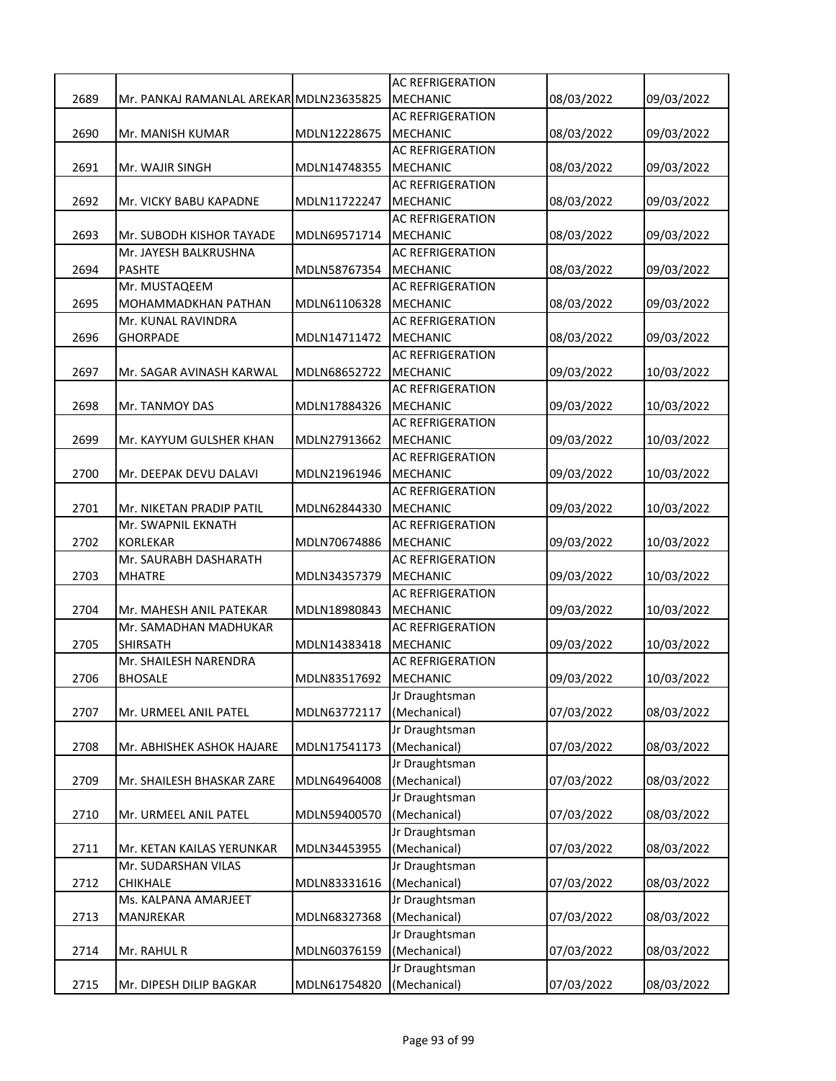|      |                                         |              | <b>AC REFRIGERATION</b>        |            |            |
|------|-----------------------------------------|--------------|--------------------------------|------------|------------|
| 2689 | Mr. PANKAJ RAMANLAL AREKARIMDLN23635825 |              | <b>MECHANIC</b>                | 08/03/2022 | 09/03/2022 |
|      |                                         |              | <b>AC REFRIGERATION</b>        |            |            |
| 2690 | Mr. MANISH KUMAR                        | MDLN12228675 | <b>MECHANIC</b>                | 08/03/2022 | 09/03/2022 |
|      |                                         |              | <b>AC REFRIGERATION</b>        |            |            |
| 2691 | Mr. WAJIR SINGH                         | MDLN14748355 | <b>MECHANIC</b>                | 08/03/2022 | 09/03/2022 |
|      |                                         |              | <b>AC REFRIGERATION</b>        |            |            |
| 2692 | Mr. VICKY BABU KAPADNE                  | MDLN11722247 | MECHANIC                       | 08/03/2022 | 09/03/2022 |
|      |                                         |              | <b>AC REFRIGERATION</b>        |            |            |
| 2693 | Mr. SUBODH KISHOR TAYADE                | MDLN69571714 | <b>MECHANIC</b>                | 08/03/2022 | 09/03/2022 |
|      | Mr. JAYESH BALKRUSHNA                   |              | <b>AC REFRIGERATION</b>        |            |            |
| 2694 | PASHTE                                  | MDLN58767354 | <b>MECHANIC</b>                | 08/03/2022 |            |
|      |                                         |              | <b>AC REFRIGERATION</b>        |            | 09/03/2022 |
|      | Mr. MUSTAQEEM                           |              |                                |            |            |
| 2695 | MOHAMMADKHAN PATHAN                     | MDLN61106328 | <b>MECHANIC</b>                | 08/03/2022 | 09/03/2022 |
|      | Mr. KUNAL RAVINDRA                      |              | <b>AC REFRIGERATION</b>        |            |            |
| 2696 | <b>GHORPADE</b>                         | MDLN14711472 | <b>MECHANIC</b>                | 08/03/2022 | 09/03/2022 |
|      |                                         |              | <b>AC REFRIGERATION</b>        |            |            |
| 2697 | Mr. SAGAR AVINASH KARWAL                | MDLN68652722 | <b>MECHANIC</b>                | 09/03/2022 | 10/03/2022 |
|      |                                         |              | <b>AC REFRIGERATION</b>        |            |            |
| 2698 | Mr. TANMOY DAS                          | MDLN17884326 | <b>MECHANIC</b>                | 09/03/2022 | 10/03/2022 |
|      |                                         |              | <b>AC REFRIGERATION</b>        |            |            |
| 2699 | Mr. KAYYUM GULSHER KHAN                 | MDLN27913662 | <b>MECHANIC</b>                | 09/03/2022 | 10/03/2022 |
|      |                                         |              | <b>AC REFRIGERATION</b>        |            |            |
| 2700 | Mr. DEEPAK DEVU DALAVI                  | MDLN21961946 | <b>MECHANIC</b>                | 09/03/2022 | 10/03/2022 |
|      |                                         |              | <b>AC REFRIGERATION</b>        |            |            |
| 2701 | Mr. NIKETAN PRADIP PATIL                | MDLN62844330 | <b>MECHANIC</b>                | 09/03/2022 | 10/03/2022 |
|      | Mr. SWAPNIL EKNATH                      |              | <b>AC REFRIGERATION</b>        |            |            |
| 2702 | <b>KORLEKAR</b>                         | MDLN70674886 | <b>MECHANIC</b>                | 09/03/2022 | 10/03/2022 |
|      | Mr. SAURABH DASHARATH                   |              | <b>AC REFRIGERATION</b>        |            |            |
|      |                                         |              |                                |            |            |
| 2703 | <b>MHATRE</b>                           | MDLN34357379 | MECHANIC                       | 09/03/2022 | 10/03/2022 |
|      |                                         |              | <b>AC REFRIGERATION</b>        |            |            |
| 2704 | Mr. MAHESH ANIL PATEKAR                 | MDLN18980843 | <b>MECHANIC</b>                | 09/03/2022 | 10/03/2022 |
|      | Mr. SAMADHAN MADHUKAR                   |              | <b>AC REFRIGERATION</b>        |            |            |
| 2705 | <b>SHIRSATH</b>                         | MDLN14383418 | <b>MECHANIC</b>                | 09/03/2022 | 10/03/2022 |
|      | Mr. SHAILESH NARENDRA                   |              | <b>AC REFRIGERATION</b>        |            |            |
| 2706 | <b>BHOSALE</b>                          | MDLN83517692 | <b>MECHANIC</b>                | 09/03/2022 | 10/03/2022 |
|      |                                         |              | Jr Draughtsman                 |            |            |
| 2707 | Mr. URMEEL ANIL PATEL                   | MDLN63772117 | (Mechanical)                   | 07/03/2022 | 08/03/2022 |
|      |                                         |              | Jr Draughtsman                 |            |            |
| 2708 | Mr. ABHISHEK ASHOK HAJARE               | MDLN17541173 | (Mechanical)                   | 07/03/2022 | 08/03/2022 |
|      |                                         |              | Jr Draughtsman                 |            |            |
| 2709 | Mr. SHAILESH BHASKAR ZARE               | MDLN64964008 | (Mechanical)                   | 07/03/2022 | 08/03/2022 |
|      |                                         |              | Jr Draughtsman                 |            |            |
| 2710 | Mr. URMEEL ANIL PATEL                   | MDLN59400570 | (Mechanical)                   | 07/03/2022 | 08/03/2022 |
|      |                                         |              | Jr Draughtsman                 |            |            |
| 2711 | Mr. KETAN KAILAS YERUNKAR               | MDLN34453955 | (Mechanical)                   | 07/03/2022 | 08/03/2022 |
|      | Mr. SUDARSHAN VILAS                     |              | Jr Draughtsman                 |            |            |
| 2712 | <b>CHIKHALE</b>                         | MDLN83331616 | (Mechanical)                   | 07/03/2022 | 08/03/2022 |
|      | Ms. KALPANA AMARJEET                    |              | Jr Draughtsman                 |            |            |
| 2713 | MANJREKAR                               | MDLN68327368 | (Mechanical)                   | 07/03/2022 | 08/03/2022 |
|      |                                         |              | Jr Draughtsman                 |            |            |
| 2714 | Mr. RAHUL R                             | MDLN60376159 | (Mechanical)                   | 07/03/2022 | 08/03/2022 |
| 2715 | Mr. DIPESH DILIP BAGKAR                 | MDLN61754820 | Jr Draughtsman<br>(Mechanical) | 07/03/2022 | 08/03/2022 |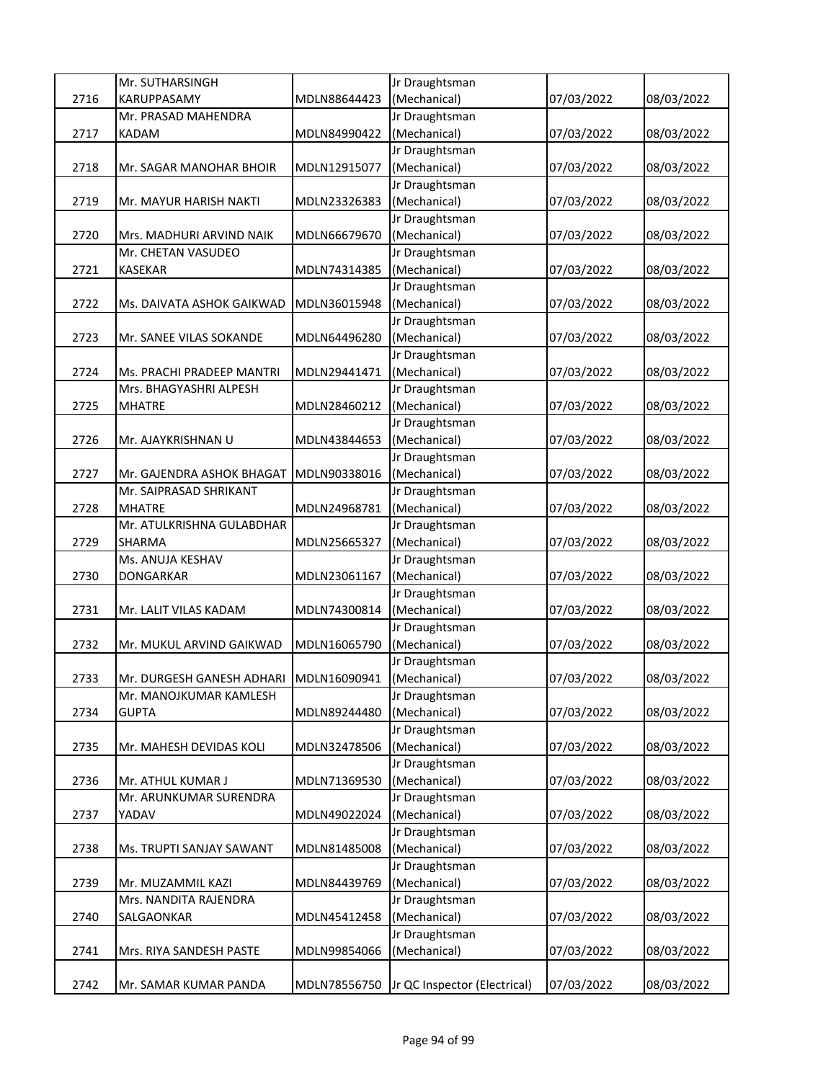|      | Mr. SUTHARSINGH                        |              | Jr Draughtsman               |            |            |
|------|----------------------------------------|--------------|------------------------------|------------|------------|
| 2716 | KARUPPASAMY                            | MDLN88644423 | (Mechanical)                 | 07/03/2022 | 08/03/2022 |
|      | Mr. PRASAD MAHENDRA                    |              | Jr Draughtsman               |            |            |
| 2717 | KADAM                                  | MDLN84990422 | (Mechanical)                 | 07/03/2022 | 08/03/2022 |
|      |                                        |              | Jr Draughtsman               |            |            |
| 2718 | Mr. SAGAR MANOHAR BHOIR                | MDLN12915077 | (Mechanical)                 | 07/03/2022 | 08/03/2022 |
|      |                                        |              | Jr Draughtsman               |            |            |
| 2719 | Mr. MAYUR HARISH NAKTI                 | MDLN23326383 | (Mechanical)                 | 07/03/2022 | 08/03/2022 |
|      |                                        |              | Jr Draughtsman               |            |            |
| 2720 | Mrs. MADHURI ARVIND NAIK               | MDLN66679670 | (Mechanical)                 | 07/03/2022 | 08/03/2022 |
|      | Mr. CHETAN VASUDEO                     |              | Jr Draughtsman               |            |            |
| 2721 | KASEKAR                                | MDLN74314385 | (Mechanical)                 | 07/03/2022 | 08/03/2022 |
|      |                                        |              | Jr Draughtsman               |            |            |
| 2722 | Ms. DAIVATA ASHOK GAIKWAD              | MDLN36015948 | (Mechanical)                 | 07/03/2022 | 08/03/2022 |
|      |                                        |              | Jr Draughtsman               |            |            |
| 2723 | Mr. SANEE VILAS SOKANDE                | MDLN64496280 | (Mechanical)                 | 07/03/2022 | 08/03/2022 |
|      |                                        |              | Jr Draughtsman               |            |            |
| 2724 | Ms. PRACHI PRADEEP MANTRI              | MDLN29441471 | (Mechanical)                 | 07/03/2022 | 08/03/2022 |
|      | Mrs. BHAGYASHRI ALPESH                 |              | Jr Draughtsman               |            |            |
| 2725 | <b>MHATRE</b>                          | MDLN28460212 | (Mechanical)                 | 07/03/2022 | 08/03/2022 |
|      |                                        |              | Jr Draughtsman               |            |            |
| 2726 | Mr. AJAYKRISHNAN U                     | MDLN43844653 | (Mechanical)                 | 07/03/2022 | 08/03/2022 |
|      |                                        |              | Jr Draughtsman               |            |            |
| 2727 | Mr. GAJENDRA ASHOK BHAGAT              | MDLN90338016 | (Mechanical)                 | 07/03/2022 | 08/03/2022 |
|      | Mr. SAIPRASAD SHRIKANT                 |              | Jr Draughtsman               |            |            |
| 2728 | <b>MHATRE</b>                          | MDLN24968781 | (Mechanical)                 | 07/03/2022 | 08/03/2022 |
|      | Mr. ATULKRISHNA GULABDHAR              |              | Jr Draughtsman               |            |            |
| 2729 | SHARMA                                 | MDLN25665327 | (Mechanical)                 | 07/03/2022 | 08/03/2022 |
|      | Ms. ANUJA KESHAV                       |              | Jr Draughtsman               |            |            |
| 2730 | DONGARKAR                              | MDLN23061167 | (Mechanical)                 | 07/03/2022 | 08/03/2022 |
|      |                                        |              | Jr Draughtsman               |            |            |
| 2731 | Mr. LALIT VILAS KADAM                  | MDLN74300814 | (Mechanical)                 | 07/03/2022 | 08/03/2022 |
|      |                                        |              | Jr Draughtsman               |            |            |
| 2732 | Mr. MUKUL ARVIND GAIKWAD               | MDLN16065790 | (Mechanical)                 | 07/03/2022 | 08/03/2022 |
|      |                                        |              | Jr Draughtsman               |            |            |
| 2733 | Mr. DURGESH GANESH ADHARI MDLN16090941 |              | (Mechanical)                 | 07/03/2022 | 08/03/2022 |
|      | Mr. MANOJKUMAR KAMLESH                 |              | Jr Draughtsman               |            |            |
| 2734 | <b>GUPTA</b>                           | MDLN89244480 | (Mechanical)                 | 07/03/2022 | 08/03/2022 |
|      |                                        |              | Jr Draughtsman               |            |            |
| 2735 | Mr. MAHESH DEVIDAS KOLI                | MDLN32478506 | (Mechanical)                 | 07/03/2022 | 08/03/2022 |
|      |                                        |              | Jr Draughtsman               |            |            |
| 2736 | Mr. ATHUL KUMAR J                      | MDLN71369530 | (Mechanical)                 | 07/03/2022 | 08/03/2022 |
|      | Mr. ARUNKUMAR SURENDRA                 |              | Jr Draughtsman               |            |            |
| 2737 | YADAV                                  | MDLN49022024 | (Mechanical)                 | 07/03/2022 | 08/03/2022 |
|      |                                        |              | Jr Draughtsman               |            |            |
| 2738 | Ms. TRUPTI SANJAY SAWANT               | MDLN81485008 | (Mechanical)                 | 07/03/2022 | 08/03/2022 |
|      |                                        |              | Jr Draughtsman               |            |            |
| 2739 | Mr. MUZAMMIL KAZI                      | MDLN84439769 | (Mechanical)                 | 07/03/2022 | 08/03/2022 |
|      | Mrs. NANDITA RAJENDRA                  |              | Jr Draughtsman               |            |            |
| 2740 | SALGAONKAR                             | MDLN45412458 | (Mechanical)                 | 07/03/2022 | 08/03/2022 |
|      |                                        |              | Jr Draughtsman               |            |            |
| 2741 | Mrs. RIYA SANDESH PASTE                | MDLN99854066 | (Mechanical)                 | 07/03/2022 | 08/03/2022 |
|      |                                        |              |                              |            |            |
| 2742 | Mr. SAMAR KUMAR PANDA                  | MDLN78556750 | Jr QC Inspector (Electrical) | 07/03/2022 | 08/03/2022 |
|      |                                        |              |                              |            |            |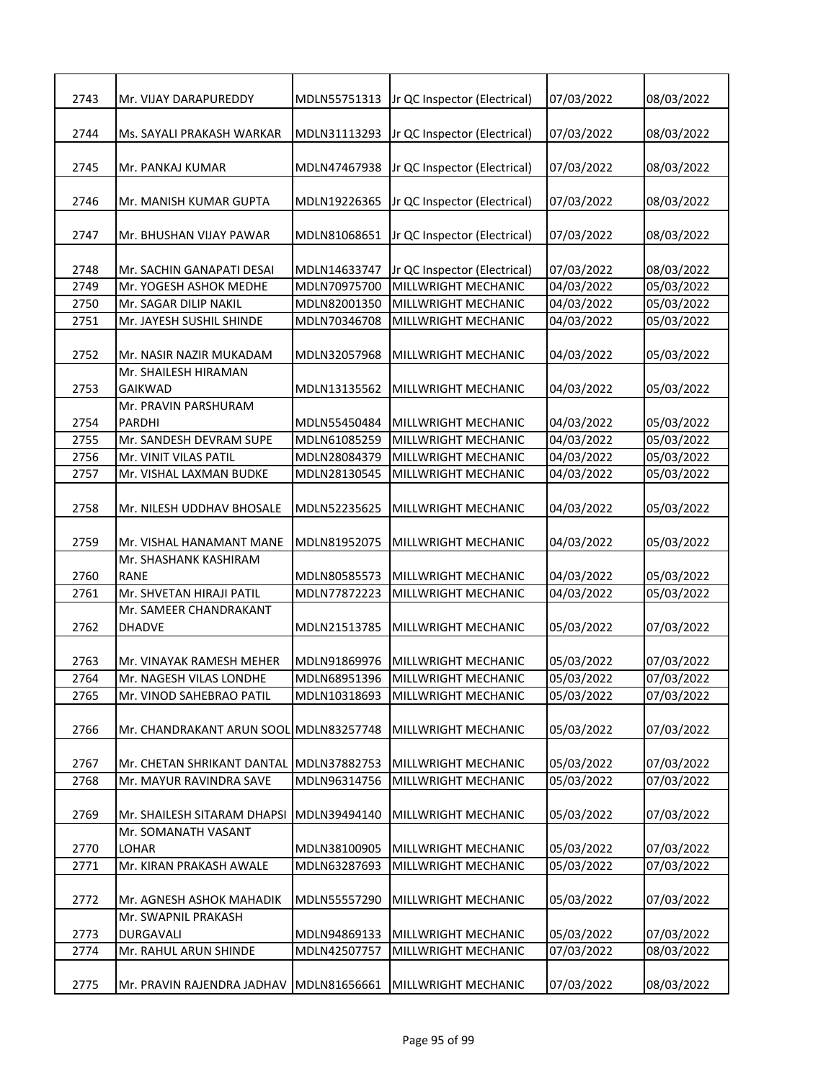| 2743 | Mr. VIJAY DARAPUREDDY                              | MDLN55751313                 | Jr QC Inspector (Electrical)                        | 07/03/2022               | 08/03/2022               |
|------|----------------------------------------------------|------------------------------|-----------------------------------------------------|--------------------------|--------------------------|
|      |                                                    |                              |                                                     |                          |                          |
| 2744 | Ms. SAYALI PRAKASH WARKAR                          | MDLN31113293                 | Jr QC Inspector (Electrical)                        | 07/03/2022               | 08/03/2022               |
|      |                                                    |                              |                                                     |                          |                          |
| 2745 | Mr. PANKAJ KUMAR                                   | MDLN47467938                 | Jr QC Inspector (Electrical)                        | 07/03/2022               | 08/03/2022               |
| 2746 | Mr. MANISH KUMAR GUPTA                             | MDLN19226365                 | Jr QC Inspector (Electrical)                        | 07/03/2022               | 08/03/2022               |
|      |                                                    |                              |                                                     |                          |                          |
| 2747 | Mr. BHUSHAN VIJAY PAWAR                            | MDLN81068651                 | Jr QC Inspector (Electrical)                        | 07/03/2022               | 08/03/2022               |
| 2748 | Mr. SACHIN GANAPATI DESAI                          |                              |                                                     |                          |                          |
| 2749 | Mr. YOGESH ASHOK MEDHE                             | MDLN14633747<br>MDLN70975700 | Jr QC Inspector (Electrical)<br>MILLWRIGHT MECHANIC | 07/03/2022<br>04/03/2022 | 08/03/2022<br>05/03/2022 |
| 2750 | Mr. SAGAR DILIP NAKIL                              | MDLN82001350                 | MILLWRIGHT MECHANIC                                 | 04/03/2022               | 05/03/2022               |
| 2751 | Mr. JAYESH SUSHIL SHINDE                           | MDLN70346708                 | MILLWRIGHT MECHANIC                                 | 04/03/2022               | 05/03/2022               |
|      |                                                    |                              |                                                     |                          |                          |
| 2752 | Mr. NASIR NAZIR MUKADAM                            | MDLN32057968                 | MILLWRIGHT MECHANIC                                 | 04/03/2022               | 05/03/2022               |
|      | Mr. SHAILESH HIRAMAN                               |                              |                                                     |                          |                          |
| 2753 | <b>GAIKWAD</b>                                     | MDLN13135562                 | MILLWRIGHT MECHANIC                                 | 04/03/2022               | 05/03/2022               |
|      | Mr. PRAVIN PARSHURAM                               |                              |                                                     |                          |                          |
| 2754 | <b>PARDHI</b>                                      | MDLN55450484                 | MILLWRIGHT MECHANIC                                 | 04/03/2022               | 05/03/2022               |
| 2755 | Mr. SANDESH DEVRAM SUPE                            | MDLN61085259                 | MILLWRIGHT MECHANIC                                 | 04/03/2022               | 05/03/2022               |
| 2756 | Mr. VINIT VILAS PATIL                              | MDLN28084379                 | MILLWRIGHT MECHANIC                                 | 04/03/2022               | 05/03/2022               |
| 2757 | Mr. VISHAL LAXMAN BUDKE                            | MDLN28130545                 | MILLWRIGHT MECHANIC                                 | 04/03/2022               | 05/03/2022               |
|      |                                                    |                              |                                                     |                          |                          |
| 2758 | Mr. NILESH UDDHAV BHOSALE                          | MDLN52235625                 | MILLWRIGHT MECHANIC                                 | 04/03/2022               | 05/03/2022               |
|      |                                                    |                              |                                                     |                          |                          |
| 2759 | Mr. VISHAL HANAMANT MANE                           | MDLN81952075                 | MILLWRIGHT MECHANIC                                 | 04/03/2022               | 05/03/2022               |
|      | Mr. SHASHANK KASHIRAM                              |                              |                                                     |                          |                          |
| 2760 | <b>RANE</b>                                        | MDLN80585573                 | MILLWRIGHT MECHANIC                                 | 04/03/2022               | 05/03/2022               |
| 2761 | Mr. SHVETAN HIRAJI PATIL<br>Mr. SAMEER CHANDRAKANT | MDLN77872223                 | MILLWRIGHT MECHANIC                                 | 04/03/2022               | 05/03/2022               |
| 2762 | <b>DHADVE</b>                                      | MDLN21513785                 | MILLWRIGHT MECHANIC                                 | 05/03/2022               | 07/03/2022               |
|      |                                                    |                              |                                                     |                          |                          |
| 2763 | Mr. VINAYAK RAMESH MEHER                           | MDLN91869976                 | MILLWRIGHT MECHANIC                                 | 05/03/2022               | 07/03/2022               |
| 2764 | Mr. NAGESH VILAS LONDHE                            | MDLN68951396                 | MILLWRIGHT MECHANIC                                 | 05/03/2022               | 07/03/2022               |
| 2765 | Mr. VINOD SAHEBRAO PATIL                           | MDLN10318693                 | MILLWRIGHT MECHANIC                                 | 05/03/2022               | 07/03/2022               |
|      |                                                    |                              |                                                     |                          |                          |
| 2766 | Mr. CHANDRAKANT ARUN SOOL MDLN83257748             |                              | MILLWRIGHT MECHANIC                                 | 05/03/2022               | 07/03/2022               |
|      |                                                    |                              |                                                     |                          |                          |
| 2767 | Mr. CHETAN SHRIKANT DANTAL                         | MDLN37882753                 | MILLWRIGHT MECHANIC                                 | 05/03/2022               | 07/03/2022               |
| 2768 | Mr. MAYUR RAVINDRA SAVE                            | MDLN96314756                 | MILLWRIGHT MECHANIC                                 | 05/03/2022               | 07/03/2022               |
|      |                                                    |                              |                                                     |                          |                          |
| 2769 | Mr. SHAILESH SITARAM DHAPSI                        | MDLN39494140                 | MILLWRIGHT MECHANIC                                 | 05/03/2022               | 07/03/2022               |
|      | Mr. SOMANATH VASANT                                |                              |                                                     |                          |                          |
| 2770 | <b>LOHAR</b>                                       | MDLN38100905                 | MILLWRIGHT MECHANIC                                 | 05/03/2022               | 07/03/2022               |
| 2771 | Mr. KIRAN PRAKASH AWALE                            | MDLN63287693                 | MILLWRIGHT MECHANIC                                 | 05/03/2022               | 07/03/2022               |
|      |                                                    |                              |                                                     |                          |                          |
| 2772 | Mr. AGNESH ASHOK MAHADIK                           | MDLN55557290                 | MILLWRIGHT MECHANIC                                 | 05/03/2022               | 07/03/2022               |
|      | Mr. SWAPNIL PRAKASH                                |                              |                                                     |                          |                          |
| 2773 | DURGAVALI                                          | MDLN94869133                 | MILLWRIGHT MECHANIC                                 | 05/03/2022               | 07/03/2022               |
| 2774 | Mr. RAHUL ARUN SHINDE                              | MDLN42507757                 | MILLWRIGHT MECHANIC                                 | 07/03/2022               | 08/03/2022               |
|      |                                                    |                              |                                                     |                          |                          |
| 2775 | Mr. PRAVIN RAJENDRA JADHAV                         | MDLN81656661                 | MILLWRIGHT MECHANIC                                 | 07/03/2022               | 08/03/2022               |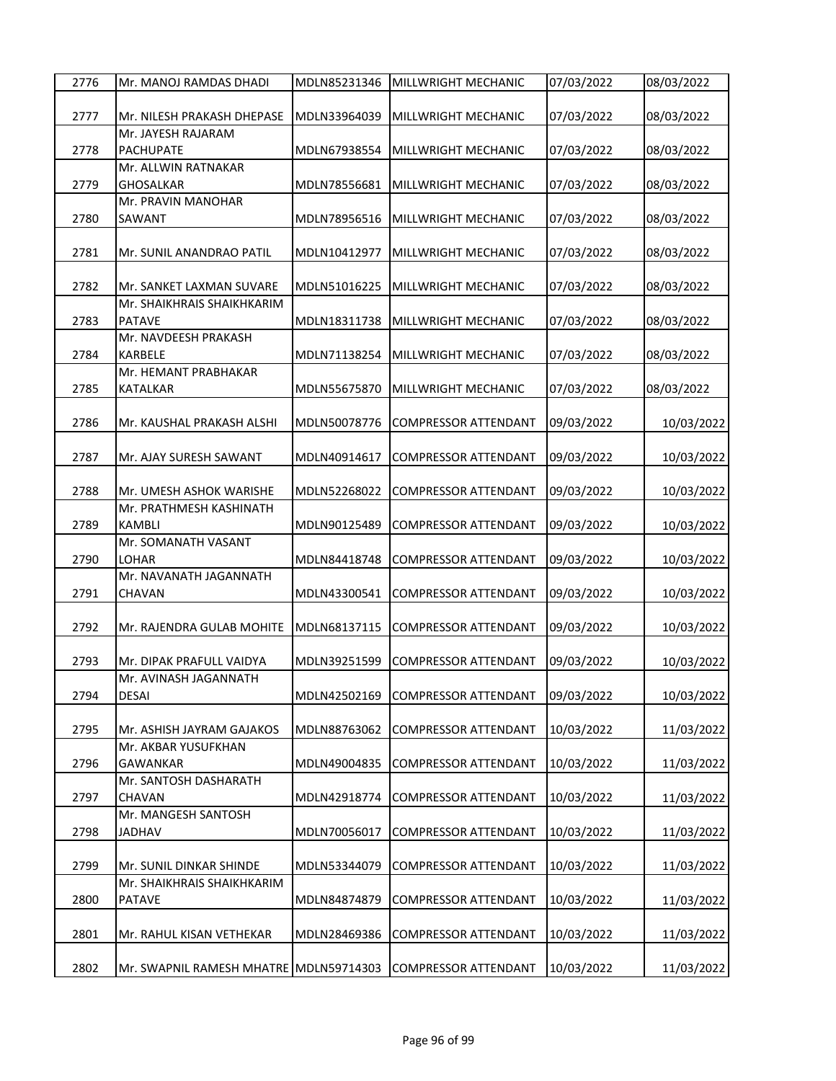| 2777<br>Mr. NILESH PRAKASH DHEPASE<br>MDLN33964039<br>MILLWRIGHT MECHANIC<br>07/03/2022<br>08/03/2022<br>Mr. JAYESH RAJARAM<br>2778<br><b>PACHUPATE</b><br>MDLN67938554<br>MILLWRIGHT MECHANIC<br>07/03/2022<br>08/03/2022<br>Mr. ALLWIN RATNAKAR<br>08/03/2022<br>2779<br><b>GHOSALKAR</b><br>MDLN78556681<br>MILLWRIGHT MECHANIC<br>07/03/2022<br>Mr. PRAVIN MANOHAR<br>2780<br>MDLN78956516<br>07/03/2022<br>08/03/2022<br>SAWANT<br>MILLWRIGHT MECHANIC<br>2781<br>MDLN10412977<br>07/03/2022<br>08/03/2022<br>Mr. SUNIL ANANDRAO PATIL<br>MILLWRIGHT MECHANIC<br>2782<br>MDLN51016225<br>MILLWRIGHT MECHANIC<br>07/03/2022<br>08/03/2022<br>Mr. SANKET LAXMAN SUVARE<br>Mr. SHAIKHRAIS SHAIKHKARIM<br>2783<br><b>PATAVE</b><br>MDLN18311738<br>MILLWRIGHT MECHANIC<br>07/03/2022<br>08/03/2022<br>Mr. NAVDEESH PRAKASH<br><b>KARBELE</b><br>2784<br>MDLN71138254<br>MILLWRIGHT MECHANIC<br>07/03/2022<br>08/03/2022<br>Mr. HEMANT PRABHAKAR<br>2785<br><b>KATALKAR</b><br>MDLN55675870<br>MILLWRIGHT MECHANIC<br>07/03/2022<br>08/03/2022<br>10/03/2022<br>2786<br>MDLN50078776<br><b>COMPRESSOR ATTENDANT</b><br>09/03/2022<br>Mr. KAUSHAL PRAKASH ALSHI<br>2787<br>MDLN40914617<br>09/03/2022<br>Mr. AJAY SURESH SAWANT<br><b>COMPRESSOR ATTENDANT</b><br>10/03/2022<br>2788<br>MDLN52268022<br><b>COMPRESSOR ATTENDANT</b><br>09/03/2022<br>10/03/2022<br>Mr. UMESH ASHOK WARISHE<br>Mr. PRATHMESH KASHINATH<br>10/03/2022<br>2789<br><b>KAMBLI</b><br>MDLN90125489<br>COMPRESSOR ATTENDANT<br>09/03/2022<br>Mr. SOMANATH VASANT<br>2790<br><b>LOHAR</b><br>MDLN84418748<br>COMPRESSOR ATTENDANT<br>09/03/2022<br>10/03/2022<br>Mr. NAVANATH JAGANNATH<br>10/03/2022<br>2791<br>CHAVAN<br>MDLN43300541<br>COMPRESSOR ATTENDANT<br>09/03/2022<br>2792<br>MDLN68137115<br>COMPRESSOR ATTENDANT<br>09/03/2022<br>Mr. RAJENDRA GULAB MOHITE<br>10/03/2022<br>2793<br>MDLN39251599<br><b>COMPRESSOR ATTENDANT</b><br>09/03/2022<br>10/03/2022<br>Mr. DIPAK PRAFULL VAIDYA<br>Mr. AVINASH JAGANNATH<br>2794<br><b>DESAI</b><br>MDLN42502169<br><b>COMPRESSOR ATTENDANT</b><br>09/03/2022<br>10/03/2022<br>2795<br>11/03/2022<br>MDLN88763062<br>COMPRESSOR ATTENDANT<br>10/03/2022<br>Mr. ASHISH JAYRAM GAJAKOS<br>Mr. AKBAR YUSUFKHAN<br>2796<br>MDLN49004835<br><b>COMPRESSOR ATTENDANT</b><br>10/03/2022<br>GAWANKAR<br>11/03/2022<br>Mr. SANTOSH DASHARATH<br>2797<br>CHAVAN<br>MDLN42918774<br><b>COMPRESSOR ATTENDANT</b><br>10/03/2022<br>11/03/2022<br>Mr. MANGESH SANTOSH<br>MDLN70056017<br>10/03/2022<br>2798<br>COMPRESSOR ATTENDANT<br>JADHAV<br>2799<br>MDLN53344079<br>COMPRESSOR ATTENDANT<br>10/03/2022<br>Mr. SUNIL DINKAR SHINDE<br>Mr. SHAIKHRAIS SHAIKHKARIM<br>2800<br>MDLN84874879<br>COMPRESSOR ATTENDANT<br>10/03/2022<br><b>PATAVE</b><br>2801<br>MDLN28469386<br>COMPRESSOR ATTENDANT<br>10/03/2022<br>Mr. RAHUL KISAN VETHEKAR | 2776 | Mr. MANOJ RAMDAS DHADI | MDLN85231346 | MILLWRIGHT MECHANIC | 07/03/2022 | 08/03/2022 |
|--------------------------------------------------------------------------------------------------------------------------------------------------------------------------------------------------------------------------------------------------------------------------------------------------------------------------------------------------------------------------------------------------------------------------------------------------------------------------------------------------------------------------------------------------------------------------------------------------------------------------------------------------------------------------------------------------------------------------------------------------------------------------------------------------------------------------------------------------------------------------------------------------------------------------------------------------------------------------------------------------------------------------------------------------------------------------------------------------------------------------------------------------------------------------------------------------------------------------------------------------------------------------------------------------------------------------------------------------------------------------------------------------------------------------------------------------------------------------------------------------------------------------------------------------------------------------------------------------------------------------------------------------------------------------------------------------------------------------------------------------------------------------------------------------------------------------------------------------------------------------------------------------------------------------------------------------------------------------------------------------------------------------------------------------------------------------------------------------------------------------------------------------------------------------------------------------------------------------------------------------------------------------------------------------------------------------------------------------------------------------------------------------------------------------------------------------------------------------------------------------------------------------------------------------------------------------------------------------------------------------------------------------------------------------------------------------------------------------------------------------------------------------------------------------------------------------------------------------------------|------|------------------------|--------------|---------------------|------------|------------|
|                                                                                                                                                                                                                                                                                                                                                                                                                                                                                                                                                                                                                                                                                                                                                                                                                                                                                                                                                                                                                                                                                                                                                                                                                                                                                                                                                                                                                                                                                                                                                                                                                                                                                                                                                                                                                                                                                                                                                                                                                                                                                                                                                                                                                                                                                                                                                                                                                                                                                                                                                                                                                                                                                                                                                                                                                                                              |      |                        |              |                     |            |            |
|                                                                                                                                                                                                                                                                                                                                                                                                                                                                                                                                                                                                                                                                                                                                                                                                                                                                                                                                                                                                                                                                                                                                                                                                                                                                                                                                                                                                                                                                                                                                                                                                                                                                                                                                                                                                                                                                                                                                                                                                                                                                                                                                                                                                                                                                                                                                                                                                                                                                                                                                                                                                                                                                                                                                                                                                                                                              |      |                        |              |                     |            |            |
|                                                                                                                                                                                                                                                                                                                                                                                                                                                                                                                                                                                                                                                                                                                                                                                                                                                                                                                                                                                                                                                                                                                                                                                                                                                                                                                                                                                                                                                                                                                                                                                                                                                                                                                                                                                                                                                                                                                                                                                                                                                                                                                                                                                                                                                                                                                                                                                                                                                                                                                                                                                                                                                                                                                                                                                                                                                              |      |                        |              |                     |            |            |
|                                                                                                                                                                                                                                                                                                                                                                                                                                                                                                                                                                                                                                                                                                                                                                                                                                                                                                                                                                                                                                                                                                                                                                                                                                                                                                                                                                                                                                                                                                                                                                                                                                                                                                                                                                                                                                                                                                                                                                                                                                                                                                                                                                                                                                                                                                                                                                                                                                                                                                                                                                                                                                                                                                                                                                                                                                                              |      |                        |              |                     |            |            |
|                                                                                                                                                                                                                                                                                                                                                                                                                                                                                                                                                                                                                                                                                                                                                                                                                                                                                                                                                                                                                                                                                                                                                                                                                                                                                                                                                                                                                                                                                                                                                                                                                                                                                                                                                                                                                                                                                                                                                                                                                                                                                                                                                                                                                                                                                                                                                                                                                                                                                                                                                                                                                                                                                                                                                                                                                                                              |      |                        |              |                     |            |            |
|                                                                                                                                                                                                                                                                                                                                                                                                                                                                                                                                                                                                                                                                                                                                                                                                                                                                                                                                                                                                                                                                                                                                                                                                                                                                                                                                                                                                                                                                                                                                                                                                                                                                                                                                                                                                                                                                                                                                                                                                                                                                                                                                                                                                                                                                                                                                                                                                                                                                                                                                                                                                                                                                                                                                                                                                                                                              |      |                        |              |                     |            |            |
|                                                                                                                                                                                                                                                                                                                                                                                                                                                                                                                                                                                                                                                                                                                                                                                                                                                                                                                                                                                                                                                                                                                                                                                                                                                                                                                                                                                                                                                                                                                                                                                                                                                                                                                                                                                                                                                                                                                                                                                                                                                                                                                                                                                                                                                                                                                                                                                                                                                                                                                                                                                                                                                                                                                                                                                                                                                              |      |                        |              |                     |            |            |
|                                                                                                                                                                                                                                                                                                                                                                                                                                                                                                                                                                                                                                                                                                                                                                                                                                                                                                                                                                                                                                                                                                                                                                                                                                                                                                                                                                                                                                                                                                                                                                                                                                                                                                                                                                                                                                                                                                                                                                                                                                                                                                                                                                                                                                                                                                                                                                                                                                                                                                                                                                                                                                                                                                                                                                                                                                                              |      |                        |              |                     |            |            |
|                                                                                                                                                                                                                                                                                                                                                                                                                                                                                                                                                                                                                                                                                                                                                                                                                                                                                                                                                                                                                                                                                                                                                                                                                                                                                                                                                                                                                                                                                                                                                                                                                                                                                                                                                                                                                                                                                                                                                                                                                                                                                                                                                                                                                                                                                                                                                                                                                                                                                                                                                                                                                                                                                                                                                                                                                                                              |      |                        |              |                     |            |            |
|                                                                                                                                                                                                                                                                                                                                                                                                                                                                                                                                                                                                                                                                                                                                                                                                                                                                                                                                                                                                                                                                                                                                                                                                                                                                                                                                                                                                                                                                                                                                                                                                                                                                                                                                                                                                                                                                                                                                                                                                                                                                                                                                                                                                                                                                                                                                                                                                                                                                                                                                                                                                                                                                                                                                                                                                                                                              |      |                        |              |                     |            |            |
|                                                                                                                                                                                                                                                                                                                                                                                                                                                                                                                                                                                                                                                                                                                                                                                                                                                                                                                                                                                                                                                                                                                                                                                                                                                                                                                                                                                                                                                                                                                                                                                                                                                                                                                                                                                                                                                                                                                                                                                                                                                                                                                                                                                                                                                                                                                                                                                                                                                                                                                                                                                                                                                                                                                                                                                                                                                              |      |                        |              |                     |            |            |
|                                                                                                                                                                                                                                                                                                                                                                                                                                                                                                                                                                                                                                                                                                                                                                                                                                                                                                                                                                                                                                                                                                                                                                                                                                                                                                                                                                                                                                                                                                                                                                                                                                                                                                                                                                                                                                                                                                                                                                                                                                                                                                                                                                                                                                                                                                                                                                                                                                                                                                                                                                                                                                                                                                                                                                                                                                                              |      |                        |              |                     |            |            |
|                                                                                                                                                                                                                                                                                                                                                                                                                                                                                                                                                                                                                                                                                                                                                                                                                                                                                                                                                                                                                                                                                                                                                                                                                                                                                                                                                                                                                                                                                                                                                                                                                                                                                                                                                                                                                                                                                                                                                                                                                                                                                                                                                                                                                                                                                                                                                                                                                                                                                                                                                                                                                                                                                                                                                                                                                                                              |      |                        |              |                     |            |            |
|                                                                                                                                                                                                                                                                                                                                                                                                                                                                                                                                                                                                                                                                                                                                                                                                                                                                                                                                                                                                                                                                                                                                                                                                                                                                                                                                                                                                                                                                                                                                                                                                                                                                                                                                                                                                                                                                                                                                                                                                                                                                                                                                                                                                                                                                                                                                                                                                                                                                                                                                                                                                                                                                                                                                                                                                                                                              |      |                        |              |                     |            |            |
|                                                                                                                                                                                                                                                                                                                                                                                                                                                                                                                                                                                                                                                                                                                                                                                                                                                                                                                                                                                                                                                                                                                                                                                                                                                                                                                                                                                                                                                                                                                                                                                                                                                                                                                                                                                                                                                                                                                                                                                                                                                                                                                                                                                                                                                                                                                                                                                                                                                                                                                                                                                                                                                                                                                                                                                                                                                              |      |                        |              |                     |            |            |
|                                                                                                                                                                                                                                                                                                                                                                                                                                                                                                                                                                                                                                                                                                                                                                                                                                                                                                                                                                                                                                                                                                                                                                                                                                                                                                                                                                                                                                                                                                                                                                                                                                                                                                                                                                                                                                                                                                                                                                                                                                                                                                                                                                                                                                                                                                                                                                                                                                                                                                                                                                                                                                                                                                                                                                                                                                                              |      |                        |              |                     |            |            |
|                                                                                                                                                                                                                                                                                                                                                                                                                                                                                                                                                                                                                                                                                                                                                                                                                                                                                                                                                                                                                                                                                                                                                                                                                                                                                                                                                                                                                                                                                                                                                                                                                                                                                                                                                                                                                                                                                                                                                                                                                                                                                                                                                                                                                                                                                                                                                                                                                                                                                                                                                                                                                                                                                                                                                                                                                                                              |      |                        |              |                     |            |            |
|                                                                                                                                                                                                                                                                                                                                                                                                                                                                                                                                                                                                                                                                                                                                                                                                                                                                                                                                                                                                                                                                                                                                                                                                                                                                                                                                                                                                                                                                                                                                                                                                                                                                                                                                                                                                                                                                                                                                                                                                                                                                                                                                                                                                                                                                                                                                                                                                                                                                                                                                                                                                                                                                                                                                                                                                                                                              |      |                        |              |                     |            |            |
|                                                                                                                                                                                                                                                                                                                                                                                                                                                                                                                                                                                                                                                                                                                                                                                                                                                                                                                                                                                                                                                                                                                                                                                                                                                                                                                                                                                                                                                                                                                                                                                                                                                                                                                                                                                                                                                                                                                                                                                                                                                                                                                                                                                                                                                                                                                                                                                                                                                                                                                                                                                                                                                                                                                                                                                                                                                              |      |                        |              |                     |            |            |
|                                                                                                                                                                                                                                                                                                                                                                                                                                                                                                                                                                                                                                                                                                                                                                                                                                                                                                                                                                                                                                                                                                                                                                                                                                                                                                                                                                                                                                                                                                                                                                                                                                                                                                                                                                                                                                                                                                                                                                                                                                                                                                                                                                                                                                                                                                                                                                                                                                                                                                                                                                                                                                                                                                                                                                                                                                                              |      |                        |              |                     |            |            |
|                                                                                                                                                                                                                                                                                                                                                                                                                                                                                                                                                                                                                                                                                                                                                                                                                                                                                                                                                                                                                                                                                                                                                                                                                                                                                                                                                                                                                                                                                                                                                                                                                                                                                                                                                                                                                                                                                                                                                                                                                                                                                                                                                                                                                                                                                                                                                                                                                                                                                                                                                                                                                                                                                                                                                                                                                                                              |      |                        |              |                     |            |            |
|                                                                                                                                                                                                                                                                                                                                                                                                                                                                                                                                                                                                                                                                                                                                                                                                                                                                                                                                                                                                                                                                                                                                                                                                                                                                                                                                                                                                                                                                                                                                                                                                                                                                                                                                                                                                                                                                                                                                                                                                                                                                                                                                                                                                                                                                                                                                                                                                                                                                                                                                                                                                                                                                                                                                                                                                                                                              |      |                        |              |                     |            |            |
|                                                                                                                                                                                                                                                                                                                                                                                                                                                                                                                                                                                                                                                                                                                                                                                                                                                                                                                                                                                                                                                                                                                                                                                                                                                                                                                                                                                                                                                                                                                                                                                                                                                                                                                                                                                                                                                                                                                                                                                                                                                                                                                                                                                                                                                                                                                                                                                                                                                                                                                                                                                                                                                                                                                                                                                                                                                              |      |                        |              |                     |            |            |
|                                                                                                                                                                                                                                                                                                                                                                                                                                                                                                                                                                                                                                                                                                                                                                                                                                                                                                                                                                                                                                                                                                                                                                                                                                                                                                                                                                                                                                                                                                                                                                                                                                                                                                                                                                                                                                                                                                                                                                                                                                                                                                                                                                                                                                                                                                                                                                                                                                                                                                                                                                                                                                                                                                                                                                                                                                                              |      |                        |              |                     |            |            |
|                                                                                                                                                                                                                                                                                                                                                                                                                                                                                                                                                                                                                                                                                                                                                                                                                                                                                                                                                                                                                                                                                                                                                                                                                                                                                                                                                                                                                                                                                                                                                                                                                                                                                                                                                                                                                                                                                                                                                                                                                                                                                                                                                                                                                                                                                                                                                                                                                                                                                                                                                                                                                                                                                                                                                                                                                                                              |      |                        |              |                     |            |            |
|                                                                                                                                                                                                                                                                                                                                                                                                                                                                                                                                                                                                                                                                                                                                                                                                                                                                                                                                                                                                                                                                                                                                                                                                                                                                                                                                                                                                                                                                                                                                                                                                                                                                                                                                                                                                                                                                                                                                                                                                                                                                                                                                                                                                                                                                                                                                                                                                                                                                                                                                                                                                                                                                                                                                                                                                                                                              |      |                        |              |                     |            |            |
|                                                                                                                                                                                                                                                                                                                                                                                                                                                                                                                                                                                                                                                                                                                                                                                                                                                                                                                                                                                                                                                                                                                                                                                                                                                                                                                                                                                                                                                                                                                                                                                                                                                                                                                                                                                                                                                                                                                                                                                                                                                                                                                                                                                                                                                                                                                                                                                                                                                                                                                                                                                                                                                                                                                                                                                                                                                              |      |                        |              |                     |            |            |
|                                                                                                                                                                                                                                                                                                                                                                                                                                                                                                                                                                                                                                                                                                                                                                                                                                                                                                                                                                                                                                                                                                                                                                                                                                                                                                                                                                                                                                                                                                                                                                                                                                                                                                                                                                                                                                                                                                                                                                                                                                                                                                                                                                                                                                                                                                                                                                                                                                                                                                                                                                                                                                                                                                                                                                                                                                                              |      |                        |              |                     |            |            |
|                                                                                                                                                                                                                                                                                                                                                                                                                                                                                                                                                                                                                                                                                                                                                                                                                                                                                                                                                                                                                                                                                                                                                                                                                                                                                                                                                                                                                                                                                                                                                                                                                                                                                                                                                                                                                                                                                                                                                                                                                                                                                                                                                                                                                                                                                                                                                                                                                                                                                                                                                                                                                                                                                                                                                                                                                                                              |      |                        |              |                     |            |            |
|                                                                                                                                                                                                                                                                                                                                                                                                                                                                                                                                                                                                                                                                                                                                                                                                                                                                                                                                                                                                                                                                                                                                                                                                                                                                                                                                                                                                                                                                                                                                                                                                                                                                                                                                                                                                                                                                                                                                                                                                                                                                                                                                                                                                                                                                                                                                                                                                                                                                                                                                                                                                                                                                                                                                                                                                                                                              |      |                        |              |                     |            |            |
|                                                                                                                                                                                                                                                                                                                                                                                                                                                                                                                                                                                                                                                                                                                                                                                                                                                                                                                                                                                                                                                                                                                                                                                                                                                                                                                                                                                                                                                                                                                                                                                                                                                                                                                                                                                                                                                                                                                                                                                                                                                                                                                                                                                                                                                                                                                                                                                                                                                                                                                                                                                                                                                                                                                                                                                                                                                              |      |                        |              |                     |            |            |
|                                                                                                                                                                                                                                                                                                                                                                                                                                                                                                                                                                                                                                                                                                                                                                                                                                                                                                                                                                                                                                                                                                                                                                                                                                                                                                                                                                                                                                                                                                                                                                                                                                                                                                                                                                                                                                                                                                                                                                                                                                                                                                                                                                                                                                                                                                                                                                                                                                                                                                                                                                                                                                                                                                                                                                                                                                                              |      |                        |              |                     |            |            |
|                                                                                                                                                                                                                                                                                                                                                                                                                                                                                                                                                                                                                                                                                                                                                                                                                                                                                                                                                                                                                                                                                                                                                                                                                                                                                                                                                                                                                                                                                                                                                                                                                                                                                                                                                                                                                                                                                                                                                                                                                                                                                                                                                                                                                                                                                                                                                                                                                                                                                                                                                                                                                                                                                                                                                                                                                                                              |      |                        |              |                     |            |            |
|                                                                                                                                                                                                                                                                                                                                                                                                                                                                                                                                                                                                                                                                                                                                                                                                                                                                                                                                                                                                                                                                                                                                                                                                                                                                                                                                                                                                                                                                                                                                                                                                                                                                                                                                                                                                                                                                                                                                                                                                                                                                                                                                                                                                                                                                                                                                                                                                                                                                                                                                                                                                                                                                                                                                                                                                                                                              |      |                        |              |                     |            |            |
|                                                                                                                                                                                                                                                                                                                                                                                                                                                                                                                                                                                                                                                                                                                                                                                                                                                                                                                                                                                                                                                                                                                                                                                                                                                                                                                                                                                                                                                                                                                                                                                                                                                                                                                                                                                                                                                                                                                                                                                                                                                                                                                                                                                                                                                                                                                                                                                                                                                                                                                                                                                                                                                                                                                                                                                                                                                              |      |                        |              |                     |            |            |
|                                                                                                                                                                                                                                                                                                                                                                                                                                                                                                                                                                                                                                                                                                                                                                                                                                                                                                                                                                                                                                                                                                                                                                                                                                                                                                                                                                                                                                                                                                                                                                                                                                                                                                                                                                                                                                                                                                                                                                                                                                                                                                                                                                                                                                                                                                                                                                                                                                                                                                                                                                                                                                                                                                                                                                                                                                                              |      |                        |              |                     |            |            |
|                                                                                                                                                                                                                                                                                                                                                                                                                                                                                                                                                                                                                                                                                                                                                                                                                                                                                                                                                                                                                                                                                                                                                                                                                                                                                                                                                                                                                                                                                                                                                                                                                                                                                                                                                                                                                                                                                                                                                                                                                                                                                                                                                                                                                                                                                                                                                                                                                                                                                                                                                                                                                                                                                                                                                                                                                                                              |      |                        |              |                     |            |            |
| 11/03/2022<br>11/03/2022<br>11/03/2022<br>11/03/2022                                                                                                                                                                                                                                                                                                                                                                                                                                                                                                                                                                                                                                                                                                                                                                                                                                                                                                                                                                                                                                                                                                                                                                                                                                                                                                                                                                                                                                                                                                                                                                                                                                                                                                                                                                                                                                                                                                                                                                                                                                                                                                                                                                                                                                                                                                                                                                                                                                                                                                                                                                                                                                                                                                                                                                                                         |      |                        |              |                     |            |            |
|                                                                                                                                                                                                                                                                                                                                                                                                                                                                                                                                                                                                                                                                                                                                                                                                                                                                                                                                                                                                                                                                                                                                                                                                                                                                                                                                                                                                                                                                                                                                                                                                                                                                                                                                                                                                                                                                                                                                                                                                                                                                                                                                                                                                                                                                                                                                                                                                                                                                                                                                                                                                                                                                                                                                                                                                                                                              |      |                        |              |                     |            |            |
|                                                                                                                                                                                                                                                                                                                                                                                                                                                                                                                                                                                                                                                                                                                                                                                                                                                                                                                                                                                                                                                                                                                                                                                                                                                                                                                                                                                                                                                                                                                                                                                                                                                                                                                                                                                                                                                                                                                                                                                                                                                                                                                                                                                                                                                                                                                                                                                                                                                                                                                                                                                                                                                                                                                                                                                                                                                              |      |                        |              |                     |            |            |
|                                                                                                                                                                                                                                                                                                                                                                                                                                                                                                                                                                                                                                                                                                                                                                                                                                                                                                                                                                                                                                                                                                                                                                                                                                                                                                                                                                                                                                                                                                                                                                                                                                                                                                                                                                                                                                                                                                                                                                                                                                                                                                                                                                                                                                                                                                                                                                                                                                                                                                                                                                                                                                                                                                                                                                                                                                                              |      |                        |              |                     |            |            |
|                                                                                                                                                                                                                                                                                                                                                                                                                                                                                                                                                                                                                                                                                                                                                                                                                                                                                                                                                                                                                                                                                                                                                                                                                                                                                                                                                                                                                                                                                                                                                                                                                                                                                                                                                                                                                                                                                                                                                                                                                                                                                                                                                                                                                                                                                                                                                                                                                                                                                                                                                                                                                                                                                                                                                                                                                                                              |      |                        |              |                     |            |            |
|                                                                                                                                                                                                                                                                                                                                                                                                                                                                                                                                                                                                                                                                                                                                                                                                                                                                                                                                                                                                                                                                                                                                                                                                                                                                                                                                                                                                                                                                                                                                                                                                                                                                                                                                                                                                                                                                                                                                                                                                                                                                                                                                                                                                                                                                                                                                                                                                                                                                                                                                                                                                                                                                                                                                                                                                                                                              |      |                        |              |                     |            |            |
|                                                                                                                                                                                                                                                                                                                                                                                                                                                                                                                                                                                                                                                                                                                                                                                                                                                                                                                                                                                                                                                                                                                                                                                                                                                                                                                                                                                                                                                                                                                                                                                                                                                                                                                                                                                                                                                                                                                                                                                                                                                                                                                                                                                                                                                                                                                                                                                                                                                                                                                                                                                                                                                                                                                                                                                                                                                              |      |                        |              |                     |            |            |
|                                                                                                                                                                                                                                                                                                                                                                                                                                                                                                                                                                                                                                                                                                                                                                                                                                                                                                                                                                                                                                                                                                                                                                                                                                                                                                                                                                                                                                                                                                                                                                                                                                                                                                                                                                                                                                                                                                                                                                                                                                                                                                                                                                                                                                                                                                                                                                                                                                                                                                                                                                                                                                                                                                                                                                                                                                                              |      |                        |              |                     |            |            |
| 2802<br>11/03/2022<br>Mr. SWAPNIL RAMESH MHATRE MDLN59714303<br>COMPRESSOR ATTENDANT<br>10/03/2022                                                                                                                                                                                                                                                                                                                                                                                                                                                                                                                                                                                                                                                                                                                                                                                                                                                                                                                                                                                                                                                                                                                                                                                                                                                                                                                                                                                                                                                                                                                                                                                                                                                                                                                                                                                                                                                                                                                                                                                                                                                                                                                                                                                                                                                                                                                                                                                                                                                                                                                                                                                                                                                                                                                                                           |      |                        |              |                     |            |            |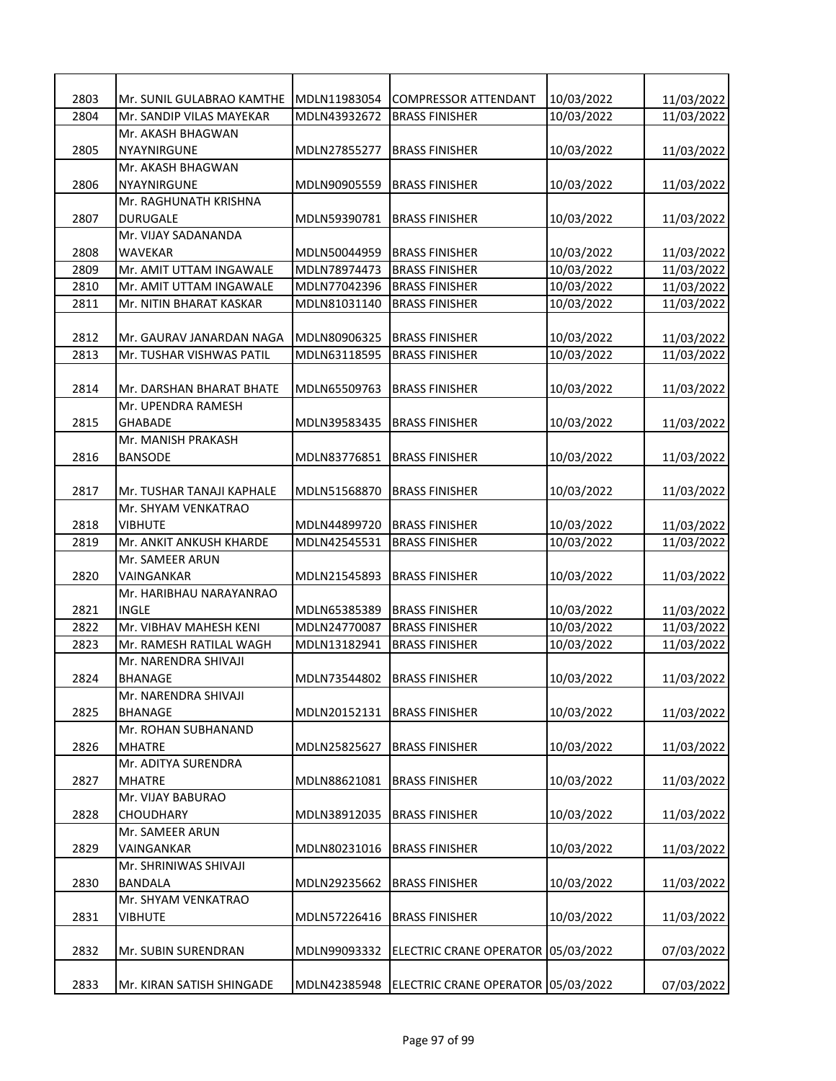| 2803 | Mr. SUNIL GULABRAO KAMTHE | MDLN11983054 | <b>COMPRESSOR ATTENDANT</b>        | 10/03/2022 | 11/03/2022 |
|------|---------------------------|--------------|------------------------------------|------------|------------|
| 2804 | Mr. SANDIP VILAS MAYEKAR  | MDLN43932672 | <b>BRASS FINISHER</b>              | 10/03/2022 | 11/03/2022 |
|      | Mr. AKASH BHAGWAN         |              |                                    |            |            |
| 2805 | <b>NYAYNIRGUNE</b>        | MDLN27855277 | <b>BRASS FINISHER</b>              | 10/03/2022 | 11/03/2022 |
|      | Mr. AKASH BHAGWAN         |              |                                    |            |            |
| 2806 | NYAYNIRGUNE               | MDLN90905559 | <b>BRASS FINISHER</b>              | 10/03/2022 | 11/03/2022 |
|      | Mr. RAGHUNATH KRISHNA     |              |                                    |            |            |
| 2807 | <b>DURUGALE</b>           | MDLN59390781 | <b>BRASS FINISHER</b>              | 10/03/2022 | 11/03/2022 |
|      | Mr. VIJAY SADANANDA       |              |                                    |            |            |
| 2808 | WAVEKAR                   | MDLN50044959 | <b>BRASS FINISHER</b>              | 10/03/2022 | 11/03/2022 |
| 2809 | Mr. AMIT UTTAM INGAWALE   | MDLN78974473 | <b>BRASS FINISHER</b>              | 10/03/2022 | 11/03/2022 |
| 2810 | Mr. AMIT UTTAM INGAWALE   | MDLN77042396 | <b>BRASS FINISHER</b>              | 10/03/2022 | 11/03/2022 |
| 2811 | Mr. NITIN BHARAT KASKAR   | MDLN81031140 | <b>BRASS FINISHER</b>              | 10/03/2022 | 11/03/2022 |
|      |                           |              |                                    |            |            |
| 2812 | Mr. GAURAV JANARDAN NAGA  | MDLN80906325 | <b>BRASS FINISHER</b>              | 10/03/2022 | 11/03/2022 |
| 2813 | Mr. TUSHAR VISHWAS PATIL  | MDLN63118595 | <b>BRASS FINISHER</b>              | 10/03/2022 | 11/03/2022 |
|      |                           |              |                                    |            |            |
| 2814 | Mr. DARSHAN BHARAT BHATE  | MDLN65509763 | <b>BRASS FINISHER</b>              | 10/03/2022 | 11/03/2022 |
|      | Mr. UPENDRA RAMESH        |              |                                    |            |            |
| 2815 | <b>GHABADE</b>            | MDLN39583435 | <b>BRASS FINISHER</b>              | 10/03/2022 | 11/03/2022 |
|      | Mr. MANISH PRAKASH        |              |                                    |            |            |
| 2816 | <b>BANSODE</b>            | MDLN83776851 | <b>BRASS FINISHER</b>              | 10/03/2022 | 11/03/2022 |
|      |                           |              |                                    |            |            |
| 2817 | Mr. TUSHAR TANAJI KAPHALE | MDLN51568870 | <b>BRASS FINISHER</b>              | 10/03/2022 | 11/03/2022 |
|      | Mr. SHYAM VENKATRAO       |              |                                    |            |            |
| 2818 | <b>VIBHUTE</b>            | MDLN44899720 | <b>BRASS FINISHER</b>              | 10/03/2022 | 11/03/2022 |
| 2819 | Mr. ANKIT ANKUSH KHARDE   | MDLN42545531 | <b>BRASS FINISHER</b>              | 10/03/2022 | 11/03/2022 |
|      | Mr. SAMEER ARUN           |              |                                    |            |            |
| 2820 | VAINGANKAR                | MDLN21545893 | <b>BRASS FINISHER</b>              | 10/03/2022 | 11/03/2022 |
|      | Mr. HARIBHAU NARAYANRAO   |              |                                    |            |            |
| 2821 | <b>INGLE</b>              | MDLN65385389 | <b>BRASS FINISHER</b>              | 10/03/2022 | 11/03/2022 |
| 2822 | Mr. VIBHAV MAHESH KENI    | MDLN24770087 | <b>BRASS FINISHER</b>              | 10/03/2022 | 11/03/2022 |
| 2823 | Mr. RAMESH RATILAL WAGH   | MDLN13182941 | <b>BRASS FINISHER</b>              | 10/03/2022 | 11/03/2022 |
|      | Mr. NARENDRA SHIVAJI      |              |                                    |            |            |
| 2824 | <b>BHANAGE</b>            | MDLN73544802 | <b>BRASS FINISHER</b>              | 10/03/2022 | 11/03/2022 |
|      | Mr. NARENDRA SHIVAJI      |              |                                    |            |            |
| 2825 | <b>BHANAGE</b>            | MDLN20152131 | <b>BRASS FINISHER</b>              | 10/03/2022 | 11/03/2022 |
|      | Mr. ROHAN SUBHANAND       |              |                                    |            |            |
| 2826 | MHATRE                    | MDLN25825627 | <b>BRASS FINISHER</b>              | 10/03/2022 | 11/03/2022 |
|      | Mr. ADITYA SURENDRA       |              |                                    |            |            |
| 2827 | <b>MHATRE</b>             | MDLN88621081 | <b>BRASS FINISHER</b>              | 10/03/2022 | 11/03/2022 |
|      | Mr. VIJAY BABURAO         |              |                                    |            |            |
| 2828 | <b>CHOUDHARY</b>          | MDLN38912035 | <b>BRASS FINISHER</b>              | 10/03/2022 | 11/03/2022 |
|      | Mr. SAMEER ARUN           |              |                                    |            |            |
| 2829 | VAINGANKAR                | MDLN80231016 | <b>BRASS FINISHER</b>              | 10/03/2022 | 11/03/2022 |
|      | Mr. SHRINIWAS SHIVAJI     |              |                                    |            |            |
| 2830 | BANDALA                   | MDLN29235662 | <b>BRASS FINISHER</b>              | 10/03/2022 | 11/03/2022 |
|      | Mr. SHYAM VENKATRAO       |              |                                    |            |            |
| 2831 | <b>VIBHUTE</b>            | MDLN57226416 | <b>BRASS FINISHER</b>              | 10/03/2022 | 11/03/2022 |
|      |                           |              |                                    |            |            |
| 2832 | Mr. SUBIN SURENDRAN       | MDLN99093332 | ELECTRIC CRANE OPERATOR            | 05/03/2022 | 07/03/2022 |
|      |                           |              |                                    |            |            |
| 2833 | Mr. KIRAN SATISH SHINGADE | MDLN42385948 | ELECTRIC CRANE OPERATOR 05/03/2022 |            | 07/03/2022 |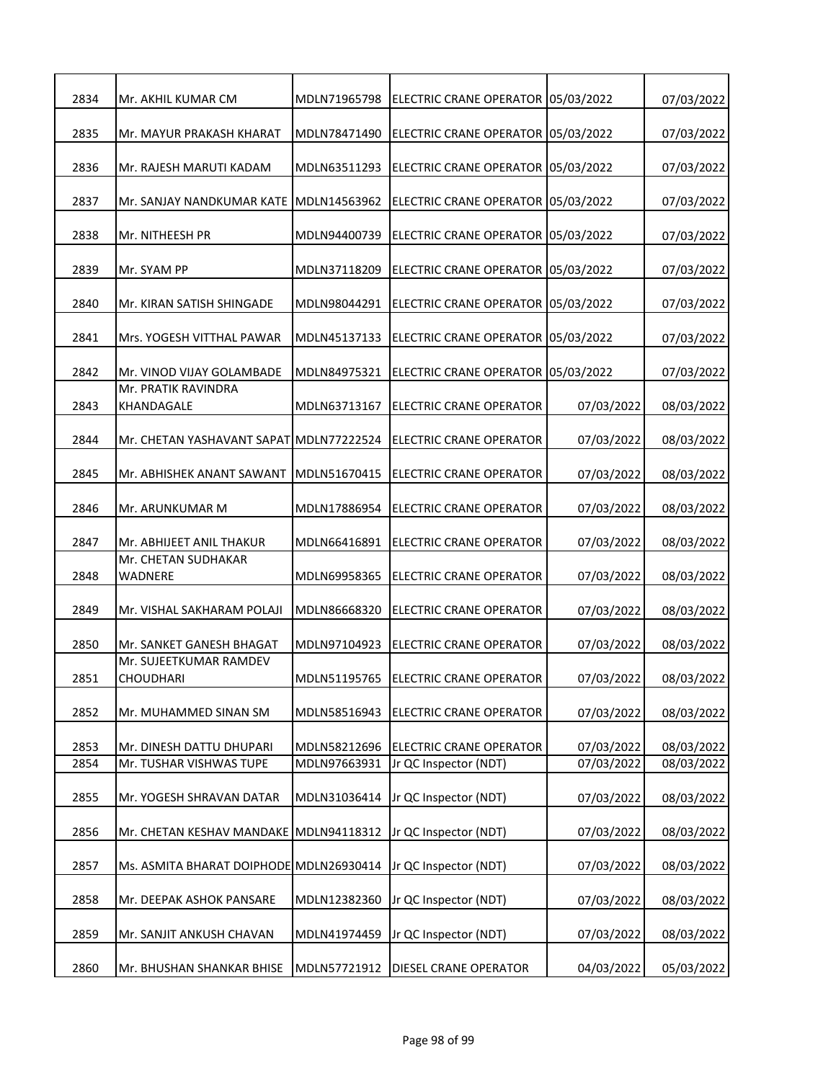| 2834 | Mr. AKHIL KUMAR CM                         | MDLN71965798 | ELECTRIC CRANE OPERATOR        | 05/03/2022 | 07/03/2022 |
|------|--------------------------------------------|--------------|--------------------------------|------------|------------|
|      |                                            |              |                                |            |            |
| 2835 | Mr. MAYUR PRAKASH KHARAT                   | MDLN78471490 | <b>ELECTRIC CRANE OPERATOR</b> | 05/03/2022 | 07/03/2022 |
| 2836 | Mr. RAJESH MARUTI KADAM                    | MDLN63511293 | ELECTRIC CRANE OPERATOR        | 05/03/2022 | 07/03/2022 |
| 2837 | Mr. SANJAY NANDKUMAR KATE                  | MDLN14563962 | <b>ELECTRIC CRANE OPERATOR</b> | 05/03/2022 | 07/03/2022 |
| 2838 | Mr. NITHEESH PR                            | MDLN94400739 | <b>ELECTRIC CRANE OPERATOR</b> | 05/03/2022 | 07/03/2022 |
| 2839 | Mr. SYAM PP                                | MDLN37118209 | <b>ELECTRIC CRANE OPERATOR</b> | 05/03/2022 | 07/03/2022 |
| 2840 | Mr. KIRAN SATISH SHINGADE                  | MDLN98044291 | ELECTRIC CRANE OPERATOR        | 05/03/2022 | 07/03/2022 |
| 2841 | Mrs. YOGESH VITTHAL PAWAR                  | MDLN45137133 | ELECTRIC CRANE OPERATOR        | 05/03/2022 | 07/03/2022 |
| 2842 | Mr. VINOD VIJAY GOLAMBADE                  | MDLN84975321 | ELECTRIC CRANE OPERATOR        | 05/03/2022 | 07/03/2022 |
| 2843 | Mr. PRATIK RAVINDRA<br>KHANDAGALE          | MDLN63713167 | <b>ELECTRIC CRANE OPERATOR</b> | 07/03/2022 | 08/03/2022 |
| 2844 | Mr. CHETAN YASHAVANT SAPAT MDLN77222524    |              | <b>ELECTRIC CRANE OPERATOR</b> | 07/03/2022 | 08/03/2022 |
| 2845 | Mr. ABHISHEK ANANT SAWANT                  | MDLN51670415 | <b>ELECTRIC CRANE OPERATOR</b> | 07/03/2022 | 08/03/2022 |
| 2846 | Mr. ARUNKUMAR M                            | MDLN17886954 | ELECTRIC CRANE OPERATOR        | 07/03/2022 | 08/03/2022 |
| 2847 | Mr. ABHIJEET ANIL THAKUR                   | MDLN66416891 | <b>ELECTRIC CRANE OPERATOR</b> | 07/03/2022 | 08/03/2022 |
| 2848 | Mr. CHETAN SUDHAKAR<br>WADNERE             | MDLN69958365 | <b>ELECTRIC CRANE OPERATOR</b> | 07/03/2022 | 08/03/2022 |
| 2849 | Mr. VISHAL SAKHARAM POLAJI                 | MDLN86668320 | <b>ELECTRIC CRANE OPERATOR</b> | 07/03/2022 | 08/03/2022 |
| 2850 | Mr. SANKET GANESH BHAGAT                   | MDLN97104923 | <b>ELECTRIC CRANE OPERATOR</b> | 07/03/2022 | 08/03/2022 |
| 2851 | Mr. SUJEETKUMAR RAMDEV<br><b>CHOUDHARI</b> | MDLN51195765 | <b>ELECTRIC CRANE OPERATOR</b> | 07/03/2022 | 08/03/2022 |
| 2852 | Mr. MUHAMMED SINAN SM                      | MDLN58516943 | ELECTRIC CRANE OPERATOR        | 07/03/2022 | 08/03/2022 |
| 2853 | Mr. DINESH DATTU DHUPARI                   | MDLN58212696 | ELECTRIC CRANE OPERATOR        | 07/03/2022 | 08/03/2022 |
| 2854 | Mr. TUSHAR VISHWAS TUPE                    | MDLN97663931 | Jr QC Inspector (NDT)          | 07/03/2022 | 08/03/2022 |
| 2855 | Mr. YOGESH SHRAVAN DATAR                   | MDLN31036414 | Jr QC Inspector (NDT)          | 07/03/2022 | 08/03/2022 |
| 2856 | Mr. CHETAN KESHAV MANDAKE                  | MDLN94118312 | Jr QC Inspector (NDT)          | 07/03/2022 | 08/03/2022 |
| 2857 | Ms. ASMITA BHARAT DOIPHODE MDLN26930414    |              | Jr QC Inspector (NDT)          | 07/03/2022 | 08/03/2022 |
| 2858 | Mr. DEEPAK ASHOK PANSARE                   | MDLN12382360 | Jr QC Inspector (NDT)          | 07/03/2022 | 08/03/2022 |
| 2859 | Mr. SANJIT ANKUSH CHAVAN                   | MDLN41974459 | Jr QC Inspector (NDT)          | 07/03/2022 | 08/03/2022 |
| 2860 | Mr. BHUSHAN SHANKAR BHISE                  | MDLN57721912 | DIESEL CRANE OPERATOR          | 04/03/2022 | 05/03/2022 |